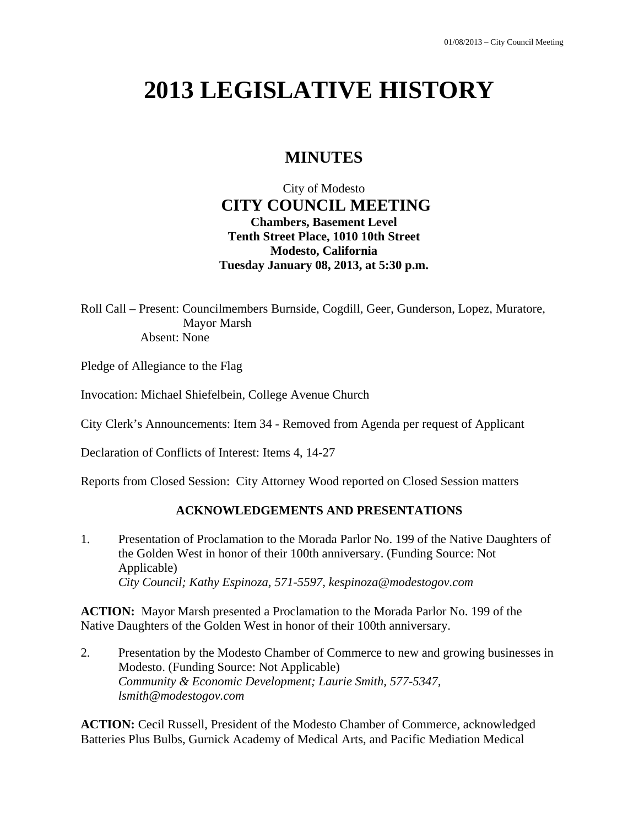# **2013 LEGISLATIVE HISTORY**

# **MINUTES**

# City of Modesto  **CITY COUNCIL MEETING Chambers, Basement Level Tenth Street Place, 1010 10th Street Modesto, California Tuesday January 08, 2013, at 5:30 p.m.**

Roll Call – Present: Councilmembers Burnside, Cogdill, Geer, Gunderson, Lopez, Muratore, Mayor Marsh Absent: None

Pledge of Allegiance to the Flag

Invocation: Michael Shiefelbein, College Avenue Church

City Clerk's Announcements: Item 34 - Removed from Agenda per request of Applicant

Declaration of Conflicts of Interest: Items 4, 14-27

Reports from Closed Session: City Attorney Wood reported on Closed Session matters

### **ACKNOWLEDGEMENTS AND PRESENTATIONS**

1. Presentation of Proclamation to the Morada Parlor No. 199 of the Native Daughters of the Golden West in honor of their 100th anniversary. (Funding Source: Not Applicable)  *City Council; Kathy Espinoza, 571-5597, kespinoza@modestogov.com* 

**ACTION:** Mayor Marsh presented a Proclamation to the Morada Parlor No. 199 of the Native Daughters of the Golden West in honor of their 100th anniversary.

2. Presentation by the Modesto Chamber of Commerce to new and growing businesses in Modesto. (Funding Source: Not Applicable)  *Community & Economic Development; Laurie Smith, 577-5347, lsmith@modestogov.com* 

**ACTION:** Cecil Russell, President of the Modesto Chamber of Commerce, acknowledged Batteries Plus Bulbs, Gurnick Academy of Medical Arts, and Pacific Mediation Medical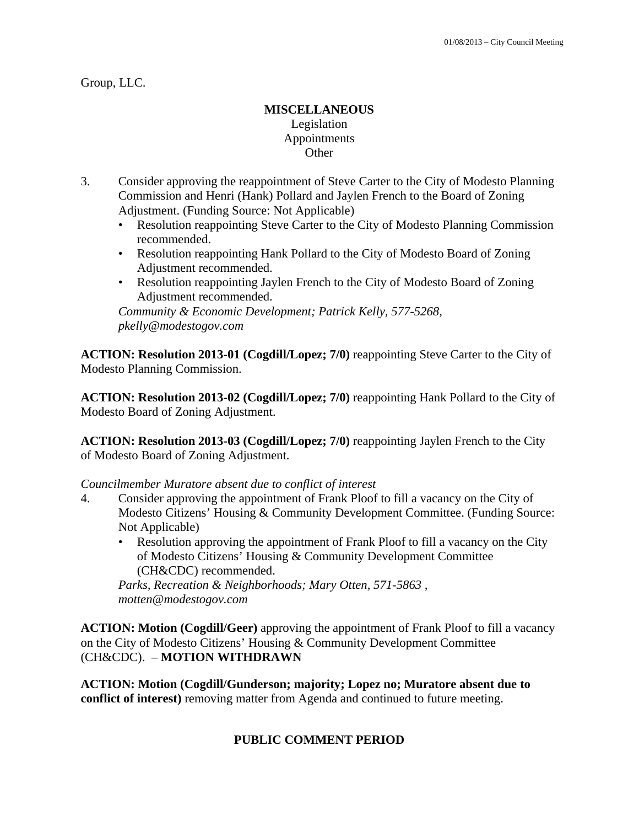Group, LLC.

### **MISCELLANEOUS**  Legislation Appointments Other

- 3. Consider approving the reappointment of Steve Carter to the City of Modesto Planning Commission and Henri (Hank) Pollard and Jaylen French to the Board of Zoning Adjustment. (Funding Source: Not Applicable)
	- Resolution reappointing Steve Carter to the City of Modesto Planning Commission recommended.
	- Resolution reappointing Hank Pollard to the City of Modesto Board of Zoning Adjustment recommended.
	- Resolution reappointing Jaylen French to the City of Modesto Board of Zoning Adjustment recommended.

*Community & Economic Development; Patrick Kelly, 577-5268, pkelly@modestogov.com* 

**ACTION: Resolution 2013-01 (Cogdill/Lopez; 7/0)** reappointing Steve Carter to the City of Modesto Planning Commission.

**ACTION: Resolution 2013-02 (Cogdill/Lopez; 7/0)** reappointing Hank Pollard to the City of Modesto Board of Zoning Adjustment.

**ACTION: Resolution 2013-03 (Cogdill/Lopez; 7/0)** reappointing Jaylen French to the City of Modesto Board of Zoning Adjustment.

*Councilmember Muratore absent due to conflict of interest* 

- 4. Consider approving the appointment of Frank Ploof to fill a vacancy on the City of Modesto Citizens' Housing & Community Development Committee. (Funding Source: Not Applicable)
	- Resolution approving the appointment of Frank Ploof to fill a vacancy on the City of Modesto Citizens' Housing & Community Development Committee (CH&CDC) recommended.

*Parks, Recreation & Neighborhoods; Mary Otten, 571-5863 , motten@modestogov.com* 

**ACTION: Motion (Cogdill/Geer)** approving the appointment of Frank Ploof to fill a vacancy on the City of Modesto Citizens' Housing & Community Development Committee (CH&CDC). – **MOTION WITHDRAWN**

**ACTION: Motion (Cogdill/Gunderson; majority; Lopez no; Muratore absent due to conflict of interest**) removing matter from Agenda and continued to future meeting.

# **PUBLIC COMMENT PERIOD**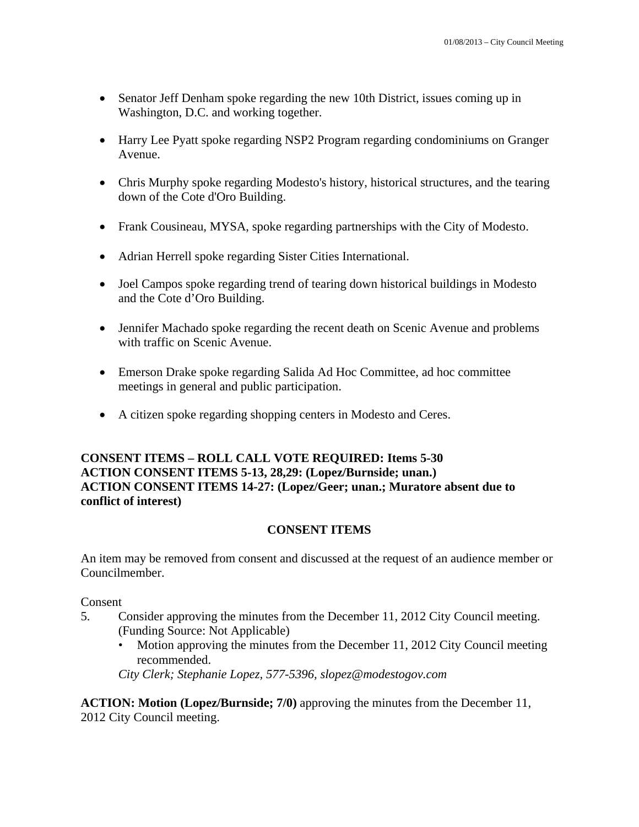- Senator Jeff Denham spoke regarding the new 10th District, issues coming up in Washington, D.C. and working together.
- Harry Lee Pyatt spoke regarding NSP2 Program regarding condominiums on Granger Avenue.
- Chris Murphy spoke regarding Modesto's history, historical structures, and the tearing down of the Cote d'Oro Building.
- Frank Cousineau, MYSA, spoke regarding partnerships with the City of Modesto.
- Adrian Herrell spoke regarding Sister Cities International.
- Joel Campos spoke regarding trend of tearing down historical buildings in Modesto and the Cote d'Oro Building.
- Jennifer Machado spoke regarding the recent death on Scenic Avenue and problems with traffic on Scenic Avenue.
- Emerson Drake spoke regarding Salida Ad Hoc Committee, ad hoc committee meetings in general and public participation.
- A citizen spoke regarding shopping centers in Modesto and Ceres.

# **CONSENT ITEMS – ROLL CALL VOTE REQUIRED: Items 5-30 ACTION CONSENT ITEMS 5-13, 28,29: (Lopez/Burnside; unan.) ACTION CONSENT ITEMS 14-27: (Lopez/Geer; unan.; Muratore absent due to conflict of interest)**

### **CONSENT ITEMS**

An item may be removed from consent and discussed at the request of an audience member or Councilmember.

### Consent

- 5. Consider approving the minutes from the December 11, 2012 City Council meeting. (Funding Source: Not Applicable)
	- Motion approving the minutes from the December 11, 2012 City Council meeting recommended.

*City Clerk; Stephanie Lopez, 577-5396, slopez@modestogov.com* 

**ACTION: Motion (Lopez/Burnside; 7/0)** approving the minutes from the December 11, 2012 City Council meeting.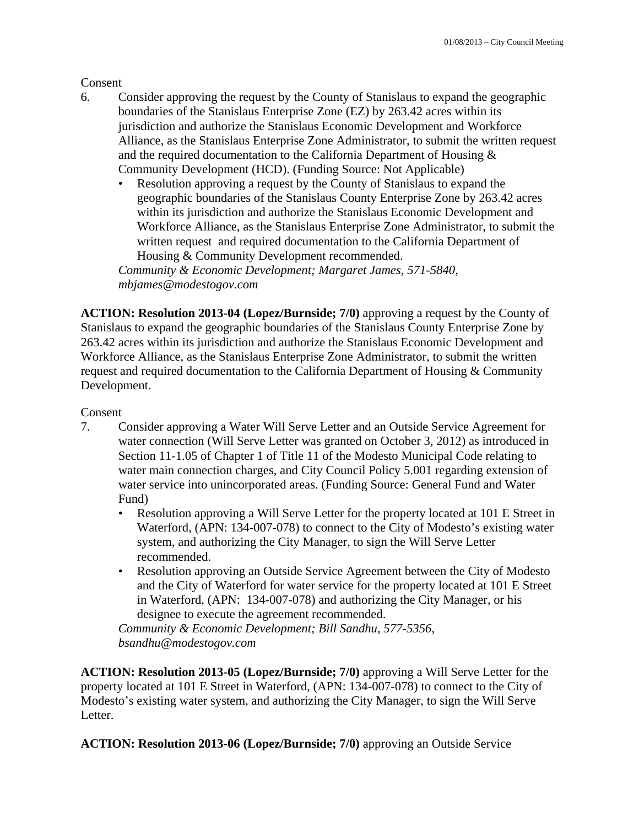Consent

- 6. Consider approving the request by the County of Stanislaus to expand the geographic boundaries of the Stanislaus Enterprise Zone (EZ) by 263.42 acres within its jurisdiction and authorize the Stanislaus Economic Development and Workforce Alliance, as the Stanislaus Enterprise Zone Administrator, to submit the written request and the required documentation to the California Department of Housing & Community Development (HCD). (Funding Source: Not Applicable)
	- Resolution approving a request by the County of Stanislaus to expand the geographic boundaries of the Stanislaus County Enterprise Zone by 263.42 acres within its jurisdiction and authorize the Stanislaus Economic Development and Workforce Alliance, as the Stanislaus Enterprise Zone Administrator, to submit the written request and required documentation to the California Department of Housing & Community Development recommended.

*Community & Economic Development; Margaret James, 571-5840, mbjames@modestogov.com* 

**ACTION: Resolution 2013-04 (Lopez/Burnside; 7/0)** approving a request by the County of Stanislaus to expand the geographic boundaries of the Stanislaus County Enterprise Zone by 263.42 acres within its jurisdiction and authorize the Stanislaus Economic Development and Workforce Alliance, as the Stanislaus Enterprise Zone Administrator, to submit the written request and required documentation to the California Department of Housing & Community Development.

### Consent

- 7. Consider approving a Water Will Serve Letter and an Outside Service Agreement for water connection (Will Serve Letter was granted on October 3, 2012) as introduced in Section 11-1.05 of Chapter 1 of Title 11 of the Modesto Municipal Code relating to water main connection charges, and City Council Policy 5.001 regarding extension of water service into unincorporated areas. (Funding Source: General Fund and Water Fund)
	- Resolution approving a Will Serve Letter for the property located at 101 E Street in Waterford, (APN: 134-007-078) to connect to the City of Modesto's existing water system, and authorizing the City Manager, to sign the Will Serve Letter recommended.
	- Resolution approving an Outside Service Agreement between the City of Modesto and the City of Waterford for water service for the property located at 101 E Street in Waterford, (APN: 134-007-078) and authorizing the City Manager, or his designee to execute the agreement recommended.

*Community & Economic Development; Bill Sandhu, 577-5356, bsandhu@modestogov.com* 

**ACTION: Resolution 2013-05 (Lopez/Burnside; 7/0)** approving a Will Serve Letter for the property located at 101 E Street in Waterford, (APN: 134-007-078) to connect to the City of Modesto's existing water system, and authorizing the City Manager, to sign the Will Serve Letter.

**ACTION: Resolution 2013-06 (Lopez/Burnside; 7/0)** approving an Outside Service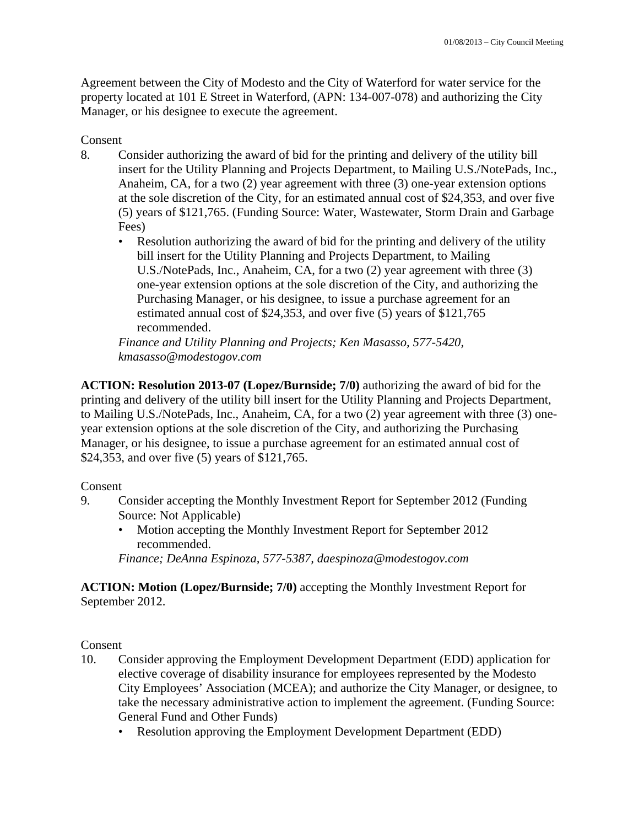Agreement between the City of Modesto and the City of Waterford for water service for the property located at 101 E Street in Waterford, (APN: 134-007-078) and authorizing the City Manager, or his designee to execute the agreement.

Consent

- 8. Consider authorizing the award of bid for the printing and delivery of the utility bill insert for the Utility Planning and Projects Department, to Mailing U.S./NotePads, Inc., Anaheim, CA, for a two (2) year agreement with three (3) one-year extension options at the sole discretion of the City, for an estimated annual cost of \$24,353, and over five (5) years of \$121,765. (Funding Source: Water, Wastewater, Storm Drain and Garbage Fees)
	- Resolution authorizing the award of bid for the printing and delivery of the utility bill insert for the Utility Planning and Projects Department, to Mailing U.S./NotePads, Inc., Anaheim, CA, for a two (2) year agreement with three (3) one-year extension options at the sole discretion of the City, and authorizing the Purchasing Manager, or his designee, to issue a purchase agreement for an estimated annual cost of \$24,353, and over five (5) years of \$121,765 recommended.

*Finance and Utility Planning and Projects; Ken Masasso, 577-5420, kmasasso@modestogov.com* 

**ACTION: Resolution 2013-07 (Lopez/Burnside; 7/0)** authorizing the award of bid for the printing and delivery of the utility bill insert for the Utility Planning and Projects Department, to Mailing U.S./NotePads, Inc., Anaheim, CA, for a two (2) year agreement with three (3) oneyear extension options at the sole discretion of the City, and authorizing the Purchasing Manager, or his designee, to issue a purchase agreement for an estimated annual cost of \$24,353, and over five (5) years of \$121,765.

### Consent

- 9. Consider accepting the Monthly Investment Report for September 2012 (Funding Source: Not Applicable)
	- Motion accepting the Monthly Investment Report for September 2012 recommended.

*Finance; DeAnna Espinoza, 577-5387, daespinoza@modestogov.com* 

**ACTION: Motion (Lopez/Burnside; 7/0)** accepting the Monthly Investment Report for September 2012.

Consent

- 10. Consider approving the Employment Development Department (EDD) application for elective coverage of disability insurance for employees represented by the Modesto City Employees' Association (MCEA); and authorize the City Manager, or designee, to take the necessary administrative action to implement the agreement. (Funding Source: General Fund and Other Funds)
	- Resolution approving the Employment Development Department (EDD)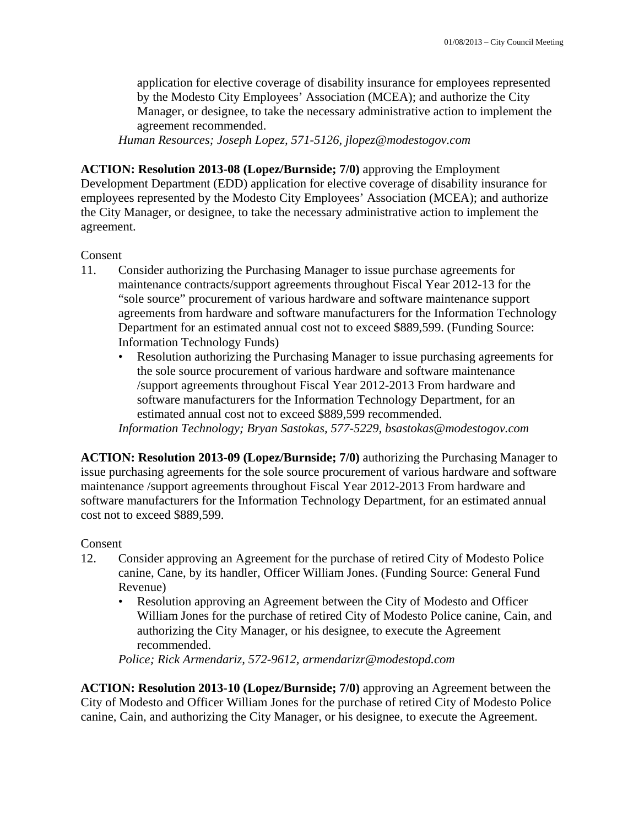application for elective coverage of disability insurance for employees represented by the Modesto City Employees' Association (MCEA); and authorize the City Manager, or designee, to take the necessary administrative action to implement the agreement recommended.

*Human Resources; Joseph Lopez, 571-5126, jlopez@modestogov.com* 

**ACTION: Resolution 2013-08 (Lopez/Burnside; 7/0)** approving the Employment Development Department (EDD) application for elective coverage of disability insurance for employees represented by the Modesto City Employees' Association (MCEA); and authorize the City Manager, or designee, to take the necessary administrative action to implement the agreement.

### Consent

- 11. Consider authorizing the Purchasing Manager to issue purchase agreements for maintenance contracts/support agreements throughout Fiscal Year 2012-13 for the "sole source" procurement of various hardware and software maintenance support agreements from hardware and software manufacturers for the Information Technology Department for an estimated annual cost not to exceed \$889,599. (Funding Source: Information Technology Funds)
	- Resolution authorizing the Purchasing Manager to issue purchasing agreements for the sole source procurement of various hardware and software maintenance /support agreements throughout Fiscal Year 2012-2013 From hardware and software manufacturers for the Information Technology Department, for an estimated annual cost not to exceed \$889,599 recommended.

*Information Technology; Bryan Sastokas, 577-5229, bsastokas@modestogov.com* 

**ACTION: Resolution 2013-09 (Lopez/Burnside; 7/0)** authorizing the Purchasing Manager to issue purchasing agreements for the sole source procurement of various hardware and software maintenance /support agreements throughout Fiscal Year 2012-2013 From hardware and software manufacturers for the Information Technology Department, for an estimated annual cost not to exceed \$889,599.

### Consent

- 12. Consider approving an Agreement for the purchase of retired City of Modesto Police canine, Cane, by its handler, Officer William Jones. (Funding Source: General Fund Revenue)
	- Resolution approving an Agreement between the City of Modesto and Officer William Jones for the purchase of retired City of Modesto Police canine, Cain, and authorizing the City Manager, or his designee, to execute the Agreement recommended.

*Police; Rick Armendariz, 572-9612, armendarizr@modestopd.com* 

**ACTION: Resolution 2013-10 (Lopez/Burnside; 7/0)** approving an Agreement between the City of Modesto and Officer William Jones for the purchase of retired City of Modesto Police canine, Cain, and authorizing the City Manager, or his designee, to execute the Agreement.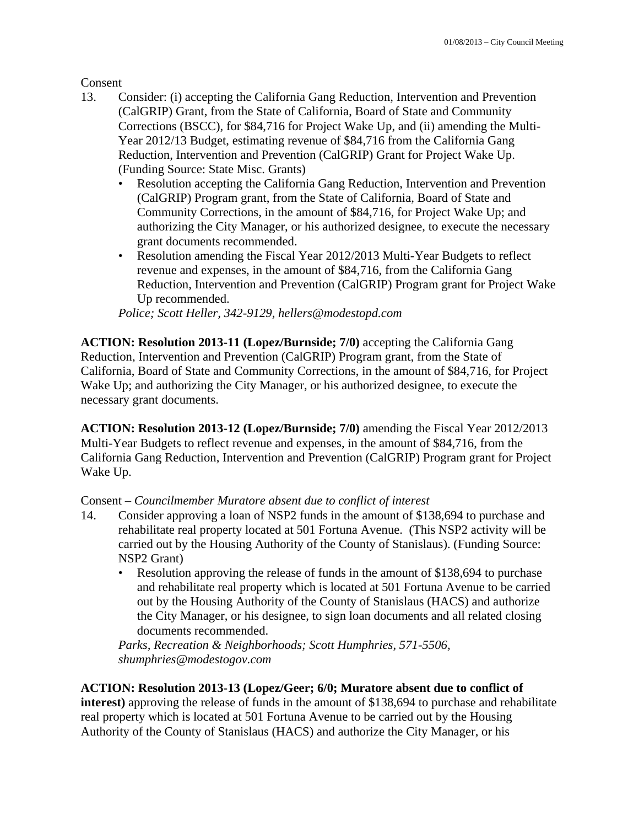Consent

- 13. Consider: (i) accepting the California Gang Reduction, Intervention and Prevention (CalGRIP) Grant, from the State of California, Board of State and Community Corrections (BSCC), for \$84,716 for Project Wake Up, and (ii) amending the Multi-Year 2012/13 Budget, estimating revenue of \$84,716 from the California Gang Reduction, Intervention and Prevention (CalGRIP) Grant for Project Wake Up. (Funding Source: State Misc. Grants)
	- Resolution accepting the California Gang Reduction, Intervention and Prevention (CalGRIP) Program grant, from the State of California, Board of State and Community Corrections, in the amount of \$84,716, for Project Wake Up; and authorizing the City Manager, or his authorized designee, to execute the necessary grant documents recommended.
	- Resolution amending the Fiscal Year 2012/2013 Multi-Year Budgets to reflect revenue and expenses, in the amount of \$84,716, from the California Gang Reduction, Intervention and Prevention (CalGRIP) Program grant for Project Wake Up recommended.

*Police; Scott Heller, 342-9129, hellers@modestopd.com* 

**ACTION: Resolution 2013-11 (Lopez/Burnside; 7/0)** accepting the California Gang Reduction, Intervention and Prevention (CalGRIP) Program grant, from the State of California, Board of State and Community Corrections, in the amount of \$84,716, for Project Wake Up; and authorizing the City Manager, or his authorized designee, to execute the necessary grant documents.

**ACTION: Resolution 2013-12 (Lopez/Burnside; 7/0)** amending the Fiscal Year 2012/2013 Multi-Year Budgets to reflect revenue and expenses, in the amount of \$84,716, from the California Gang Reduction, Intervention and Prevention (CalGRIP) Program grant for Project Wake Up.

Consent – *Councilmember Muratore absent due to conflict of interest* 

- 14. Consider approving a loan of NSP2 funds in the amount of \$138,694 to purchase and rehabilitate real property located at 501 Fortuna Avenue. (This NSP2 activity will be carried out by the Housing Authority of the County of Stanislaus). (Funding Source: NSP2 Grant)
	- Resolution approving the release of funds in the amount of \$138,694 to purchase and rehabilitate real property which is located at 501 Fortuna Avenue to be carried out by the Housing Authority of the County of Stanislaus (HACS) and authorize the City Manager, or his designee, to sign loan documents and all related closing documents recommended.

*Parks, Recreation & Neighborhoods; Scott Humphries, 571-5506, shumphries@modestogov.com* 

### **ACTION: Resolution 2013-13 (Lopez/Geer; 6/0; Muratore absent due to conflict of**

**interest)** approving the release of funds in the amount of \$138,694 to purchase and rehabilitate real property which is located at 501 Fortuna Avenue to be carried out by the Housing Authority of the County of Stanislaus (HACS) and authorize the City Manager, or his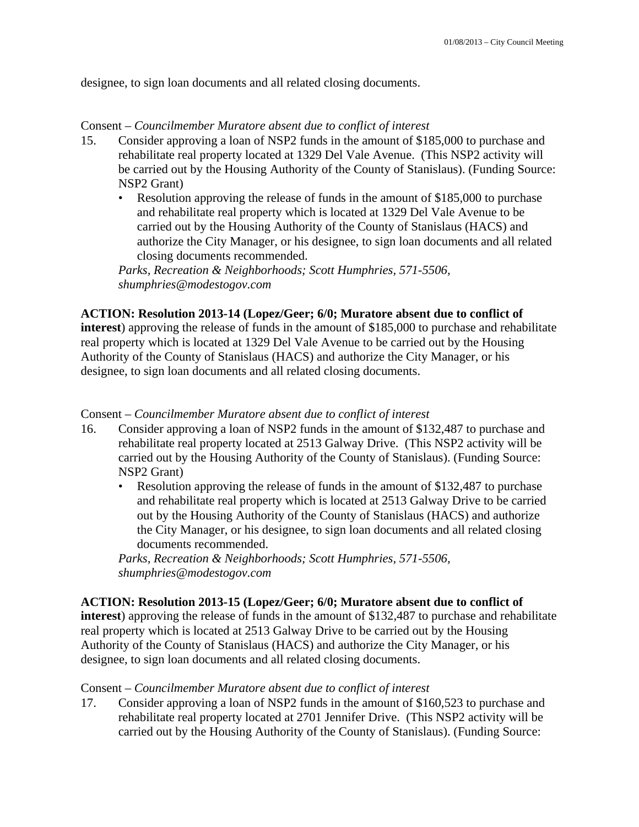designee, to sign loan documents and all related closing documents.

### Consent – *Councilmember Muratore absent due to conflict of interest*

- 15. Consider approving a loan of NSP2 funds in the amount of \$185,000 to purchase and rehabilitate real property located at 1329 Del Vale Avenue. (This NSP2 activity will be carried out by the Housing Authority of the County of Stanislaus). (Funding Source: NSP2 Grant)
	- Resolution approving the release of funds in the amount of \$185,000 to purchase and rehabilitate real property which is located at 1329 Del Vale Avenue to be carried out by the Housing Authority of the County of Stanislaus (HACS) and authorize the City Manager, or his designee, to sign loan documents and all related closing documents recommended.

*Parks, Recreation & Neighborhoods; Scott Humphries, 571-5506, shumphries@modestogov.com* 

### **ACTION: Resolution 2013-14 (Lopez/Geer; 6/0; Muratore absent due to conflict of**

**interest**) approving the release of funds in the amount of \$185,000 to purchase and rehabilitate real property which is located at 1329 Del Vale Avenue to be carried out by the Housing Authority of the County of Stanislaus (HACS) and authorize the City Manager, or his designee, to sign loan documents and all related closing documents.

### Consent – *Councilmember Muratore absent due to conflict of interest*

- 16. Consider approving a loan of NSP2 funds in the amount of \$132,487 to purchase and rehabilitate real property located at 2513 Galway Drive. (This NSP2 activity will be carried out by the Housing Authority of the County of Stanislaus). (Funding Source: NSP2 Grant)
	- Resolution approving the release of funds in the amount of \$132,487 to purchase and rehabilitate real property which is located at 2513 Galway Drive to be carried out by the Housing Authority of the County of Stanislaus (HACS) and authorize the City Manager, or his designee, to sign loan documents and all related closing documents recommended.

*Parks, Recreation & Neighborhoods; Scott Humphries, 571-5506, shumphries@modestogov.com* 

### **ACTION: Resolution 2013-15 (Lopez/Geer; 6/0; Muratore absent due to conflict of**

**interest**) approving the release of funds in the amount of \$132,487 to purchase and rehabilitate real property which is located at 2513 Galway Drive to be carried out by the Housing Authority of the County of Stanislaus (HACS) and authorize the City Manager, or his designee, to sign loan documents and all related closing documents.

### Consent – *Councilmember Muratore absent due to conflict of interest*

17. Consider approving a loan of NSP2 funds in the amount of \$160,523 to purchase and rehabilitate real property located at 2701 Jennifer Drive. (This NSP2 activity will be carried out by the Housing Authority of the County of Stanislaus). (Funding Source: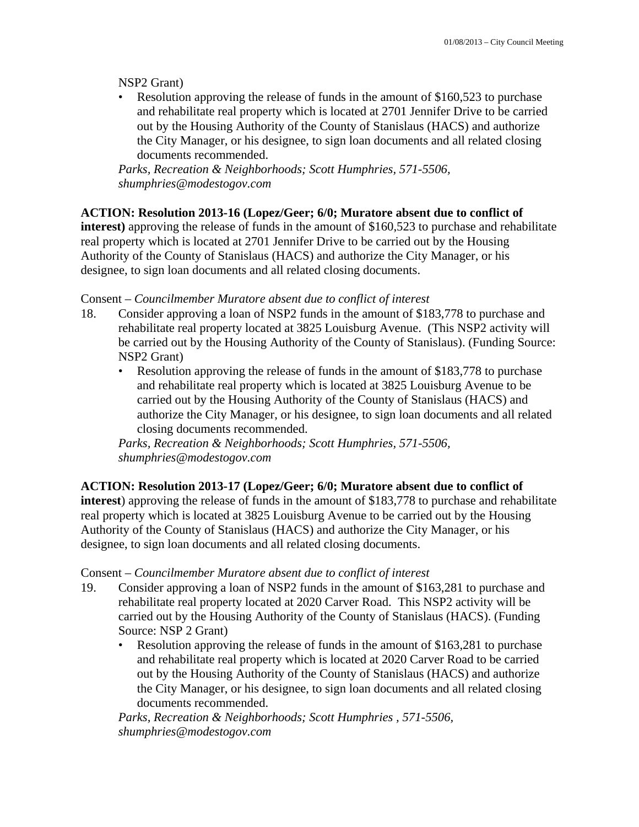### NSP2 Grant)

Resolution approving the release of funds in the amount of \$160,523 to purchase and rehabilitate real property which is located at 2701 Jennifer Drive to be carried out by the Housing Authority of the County of Stanislaus (HACS) and authorize the City Manager, or his designee, to sign loan documents and all related closing documents recommended.

*Parks, Recreation & Neighborhoods; Scott Humphries, 571-5506, shumphries@modestogov.com* 

### **ACTION: Resolution 2013-16 (Lopez/Geer; 6/0; Muratore absent due to conflict of**

**interest)** approving the release of funds in the amount of \$160,523 to purchase and rehabilitate real property which is located at 2701 Jennifer Drive to be carried out by the Housing Authority of the County of Stanislaus (HACS) and authorize the City Manager, or his designee, to sign loan documents and all related closing documents.

### Consent – *Councilmember Muratore absent due to conflict of interest*

- 18. Consider approving a loan of NSP2 funds in the amount of \$183,778 to purchase and rehabilitate real property located at 3825 Louisburg Avenue. (This NSP2 activity will be carried out by the Housing Authority of the County of Stanislaus). (Funding Source: NSP2 Grant)
	- Resolution approving the release of funds in the amount of \$183,778 to purchase and rehabilitate real property which is located at 3825 Louisburg Avenue to be carried out by the Housing Authority of the County of Stanislaus (HACS) and authorize the City Manager, or his designee, to sign loan documents and all related closing documents recommended.

*Parks, Recreation & Neighborhoods; Scott Humphries, 571-5506, shumphries@modestogov.com* 

### **ACTION: Resolution 2013-17 (Lopez/Geer; 6/0; Muratore absent due to conflict of**

**interest**) approving the release of funds in the amount of \$183,778 to purchase and rehabilitate real property which is located at 3825 Louisburg Avenue to be carried out by the Housing Authority of the County of Stanislaus (HACS) and authorize the City Manager, or his designee, to sign loan documents and all related closing documents.

### Consent – *Councilmember Muratore absent due to conflict of interest*

- 19. Consider approving a loan of NSP2 funds in the amount of \$163,281 to purchase and rehabilitate real property located at 2020 Carver Road. This NSP2 activity will be carried out by the Housing Authority of the County of Stanislaus (HACS). (Funding Source: NSP 2 Grant)
	- Resolution approving the release of funds in the amount of \$163,281 to purchase and rehabilitate real property which is located at 2020 Carver Road to be carried out by the Housing Authority of the County of Stanislaus (HACS) and authorize the City Manager, or his designee, to sign loan documents and all related closing documents recommended.

*Parks, Recreation & Neighborhoods; Scott Humphries , 571-5506, shumphries@modestogov.com*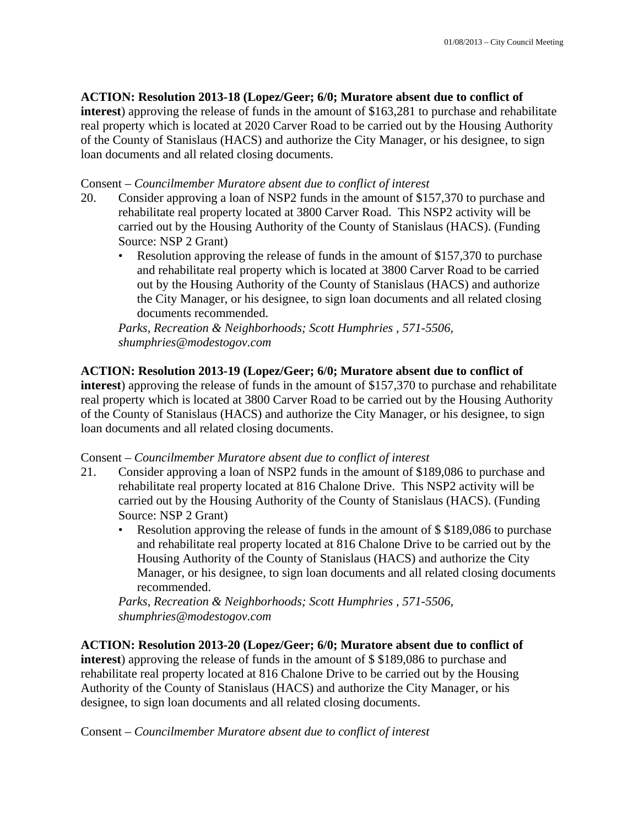### **ACTION: Resolution 2013-18 (Lopez/Geer; 6/0; Muratore absent due to conflict of**

**interest**) approving the release of funds in the amount of \$163,281 to purchase and rehabilitate real property which is located at 2020 Carver Road to be carried out by the Housing Authority of the County of Stanislaus (HACS) and authorize the City Manager, or his designee, to sign loan documents and all related closing documents.

### Consent – *Councilmember Muratore absent due to conflict of interest*

- 20. Consider approving a loan of NSP2 funds in the amount of \$157,370 to purchase and rehabilitate real property located at 3800 Carver Road. This NSP2 activity will be carried out by the Housing Authority of the County of Stanislaus (HACS). (Funding Source: NSP 2 Grant)
	- Resolution approving the release of funds in the amount of \$157,370 to purchase and rehabilitate real property which is located at 3800 Carver Road to be carried out by the Housing Authority of the County of Stanislaus (HACS) and authorize the City Manager, or his designee, to sign loan documents and all related closing documents recommended.

*Parks, Recreation & Neighborhoods; Scott Humphries , 571-5506, shumphries@modestogov.com* 

### **ACTION: Resolution 2013-19 (Lopez/Geer; 6/0; Muratore absent due to conflict of**

**interest**) approving the release of funds in the amount of \$157,370 to purchase and rehabilitate real property which is located at 3800 Carver Road to be carried out by the Housing Authority of the County of Stanislaus (HACS) and authorize the City Manager, or his designee, to sign loan documents and all related closing documents.

### Consent – *Councilmember Muratore absent due to conflict of interest*

- 21. Consider approving a loan of NSP2 funds in the amount of \$189,086 to purchase and rehabilitate real property located at 816 Chalone Drive. This NSP2 activity will be carried out by the Housing Authority of the County of Stanislaus (HACS). (Funding Source: NSP 2 Grant)
	- Resolution approving the release of funds in the amount of \$\$189,086 to purchase and rehabilitate real property located at 816 Chalone Drive to be carried out by the Housing Authority of the County of Stanislaus (HACS) and authorize the City Manager, or his designee, to sign loan documents and all related closing documents recommended.

*Parks, Recreation & Neighborhoods; Scott Humphries , 571-5506, shumphries@modestogov.com* 

### **ACTION: Resolution 2013-20 (Lopez/Geer; 6/0; Muratore absent due to conflict of**

**interest**) approving the release of funds in the amount of \$ \$189,086 to purchase and rehabilitate real property located at 816 Chalone Drive to be carried out by the Housing Authority of the County of Stanislaus (HACS) and authorize the City Manager, or his designee, to sign loan documents and all related closing documents.

Consent – *Councilmember Muratore absent due to conflict of interest*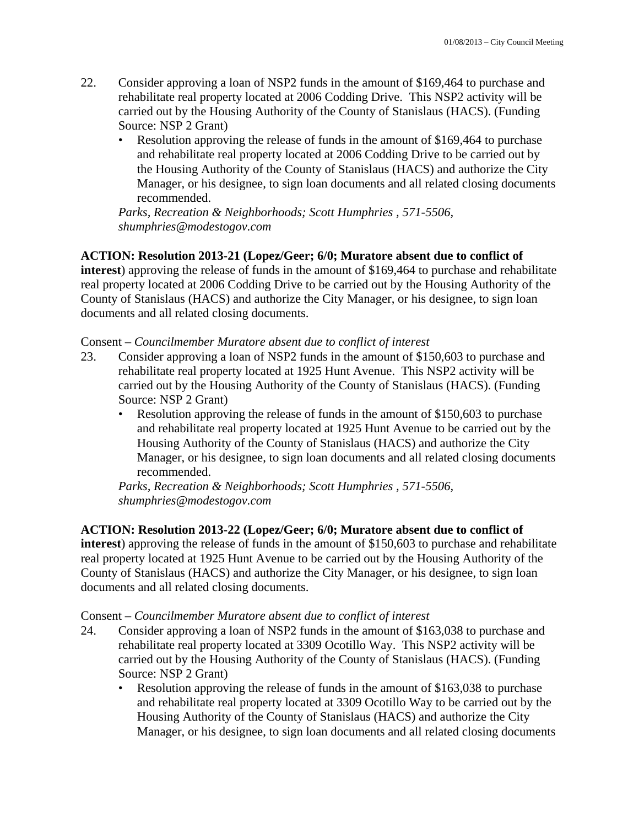- 22. Consider approving a loan of NSP2 funds in the amount of \$169,464 to purchase and rehabilitate real property located at 2006 Codding Drive. This NSP2 activity will be carried out by the Housing Authority of the County of Stanislaus (HACS). (Funding Source: NSP 2 Grant)
	- Resolution approving the release of funds in the amount of \$169,464 to purchase and rehabilitate real property located at 2006 Codding Drive to be carried out by the Housing Authority of the County of Stanislaus (HACS) and authorize the City Manager, or his designee, to sign loan documents and all related closing documents recommended.

*Parks, Recreation & Neighborhoods; Scott Humphries , 571-5506, shumphries@modestogov.com* 

### **ACTION: Resolution 2013-21 (Lopez/Geer; 6/0; Muratore absent due to conflict of**

**interest**) approving the release of funds in the amount of \$169,464 to purchase and rehabilitate real property located at 2006 Codding Drive to be carried out by the Housing Authority of the County of Stanislaus (HACS) and authorize the City Manager, or his designee, to sign loan documents and all related closing documents.

### Consent – *Councilmember Muratore absent due to conflict of interest*

- 23. Consider approving a loan of NSP2 funds in the amount of \$150,603 to purchase and rehabilitate real property located at 1925 Hunt Avenue. This NSP2 activity will be carried out by the Housing Authority of the County of Stanislaus (HACS). (Funding Source: NSP 2 Grant)
	- Resolution approving the release of funds in the amount of \$150,603 to purchase and rehabilitate real property located at 1925 Hunt Avenue to be carried out by the Housing Authority of the County of Stanislaus (HACS) and authorize the City Manager, or his designee, to sign loan documents and all related closing documents recommended.

*Parks, Recreation & Neighborhoods; Scott Humphries , 571-5506, shumphries@modestogov.com* 

### **ACTION: Resolution 2013-22 (Lopez/Geer; 6/0; Muratore absent due to conflict of**

**interest**) approving the release of funds in the amount of \$150,603 to purchase and rehabilitate real property located at 1925 Hunt Avenue to be carried out by the Housing Authority of the County of Stanislaus (HACS) and authorize the City Manager, or his designee, to sign loan documents and all related closing documents.

### Consent – *Councilmember Muratore absent due to conflict of interest*

- 24. Consider approving a loan of NSP2 funds in the amount of \$163,038 to purchase and rehabilitate real property located at 3309 Ocotillo Way. This NSP2 activity will be carried out by the Housing Authority of the County of Stanislaus (HACS). (Funding Source: NSP 2 Grant)
	- Resolution approving the release of funds in the amount of \$163,038 to purchase and rehabilitate real property located at 3309 Ocotillo Way to be carried out by the Housing Authority of the County of Stanislaus (HACS) and authorize the City Manager, or his designee, to sign loan documents and all related closing documents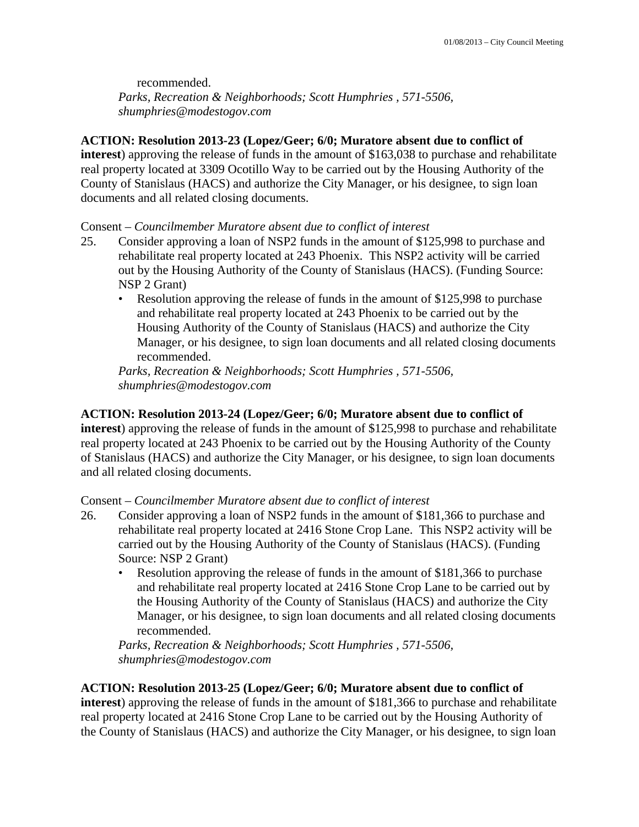recommended. *Parks, Recreation & Neighborhoods; Scott Humphries , 571-5506, shumphries@modestogov.com* 

### **ACTION: Resolution 2013-23 (Lopez/Geer; 6/0; Muratore absent due to conflict of**

**interest**) approving the release of funds in the amount of \$163,038 to purchase and rehabilitate real property located at 3309 Ocotillo Way to be carried out by the Housing Authority of the County of Stanislaus (HACS) and authorize the City Manager, or his designee, to sign loan documents and all related closing documents.

### Consent – *Councilmember Muratore absent due to conflict of interest*

- 25. Consider approving a loan of NSP2 funds in the amount of \$125,998 to purchase and rehabilitate real property located at 243 Phoenix. This NSP2 activity will be carried out by the Housing Authority of the County of Stanislaus (HACS). (Funding Source: NSP 2 Grant)
	- Resolution approving the release of funds in the amount of \$125,998 to purchase and rehabilitate real property located at 243 Phoenix to be carried out by the Housing Authority of the County of Stanislaus (HACS) and authorize the City Manager, or his designee, to sign loan documents and all related closing documents recommended.

*Parks, Recreation & Neighborhoods; Scott Humphries , 571-5506, shumphries@modestogov.com* 

### **ACTION: Resolution 2013-24 (Lopez/Geer; 6/0; Muratore absent due to conflict of**

**interest**) approving the release of funds in the amount of \$125,998 to purchase and rehabilitate real property located at 243 Phoenix to be carried out by the Housing Authority of the County of Stanislaus (HACS) and authorize the City Manager, or his designee, to sign loan documents and all related closing documents.

Consent – *Councilmember Muratore absent due to conflict of interest*

- 26. Consider approving a loan of NSP2 funds in the amount of \$181,366 to purchase and rehabilitate real property located at 2416 Stone Crop Lane. This NSP2 activity will be carried out by the Housing Authority of the County of Stanislaus (HACS). (Funding Source: NSP 2 Grant)
	- Resolution approving the release of funds in the amount of \$181,366 to purchase and rehabilitate real property located at 2416 Stone Crop Lane to be carried out by the Housing Authority of the County of Stanislaus (HACS) and authorize the City Manager, or his designee, to sign loan documents and all related closing documents recommended.

*Parks, Recreation & Neighborhoods; Scott Humphries , 571-5506, shumphries@modestogov.com* 

### **ACTION: Resolution 2013-25 (Lopez/Geer; 6/0; Muratore absent due to conflict of**

**interest**) approving the release of funds in the amount of \$181,366 to purchase and rehabilitate real property located at 2416 Stone Crop Lane to be carried out by the Housing Authority of the County of Stanislaus (HACS) and authorize the City Manager, or his designee, to sign loan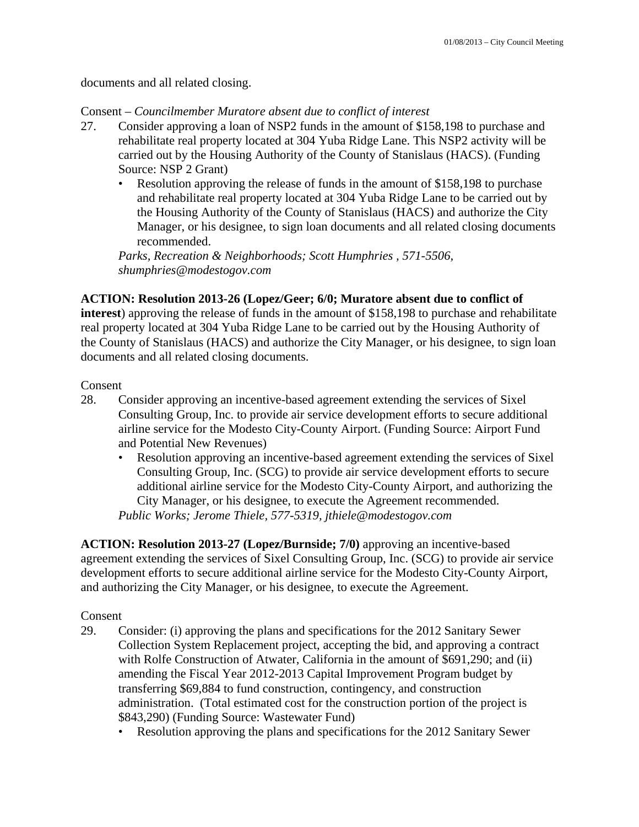documents and all related closing.

### Consent – *Councilmember Muratore absent due to conflict of interest*

- 27. Consider approving a loan of NSP2 funds in the amount of \$158,198 to purchase and rehabilitate real property located at 304 Yuba Ridge Lane. This NSP2 activity will be carried out by the Housing Authority of the County of Stanislaus (HACS). (Funding Source: NSP 2 Grant)
	- Resolution approving the release of funds in the amount of \$158,198 to purchase and rehabilitate real property located at 304 Yuba Ridge Lane to be carried out by the Housing Authority of the County of Stanislaus (HACS) and authorize the City Manager, or his designee, to sign loan documents and all related closing documents recommended.

*Parks, Recreation & Neighborhoods; Scott Humphries , 571-5506, shumphries@modestogov.com* 

### **ACTION: Resolution 2013-26 (Lopez/Geer; 6/0; Muratore absent due to conflict of**

**interest**) approving the release of funds in the amount of \$158,198 to purchase and rehabilitate real property located at 304 Yuba Ridge Lane to be carried out by the Housing Authority of the County of Stanislaus (HACS) and authorize the City Manager, or his designee, to sign loan documents and all related closing documents.

### Consent

- 28. Consider approving an incentive-based agreement extending the services of Sixel Consulting Group, Inc. to provide air service development efforts to secure additional airline service for the Modesto City-County Airport. (Funding Source: Airport Fund and Potential New Revenues)
	- Resolution approving an incentive-based agreement extending the services of Sixel Consulting Group, Inc. (SCG) to provide air service development efforts to secure additional airline service for the Modesto City-County Airport, and authorizing the City Manager, or his designee, to execute the Agreement recommended. *Public Works; Jerome Thiele, 577-5319, jthiele@modestogov.com*

**ACTION: Resolution 2013-27 (Lopez/Burnside; 7/0)** approving an incentive-based agreement extending the services of Sixel Consulting Group, Inc. (SCG) to provide air service development efforts to secure additional airline service for the Modesto City-County Airport, and authorizing the City Manager, or his designee, to execute the Agreement.

### Consent

- 29. Consider: (i) approving the plans and specifications for the 2012 Sanitary Sewer Collection System Replacement project, accepting the bid, and approving a contract with Rolfe Construction of Atwater, California in the amount of \$691,290; and (ii) amending the Fiscal Year 2012-2013 Capital Improvement Program budget by transferring \$69,884 to fund construction, contingency, and construction administration. (Total estimated cost for the construction portion of the project is \$843,290) (Funding Source: Wastewater Fund)
	- Resolution approving the plans and specifications for the 2012 Sanitary Sewer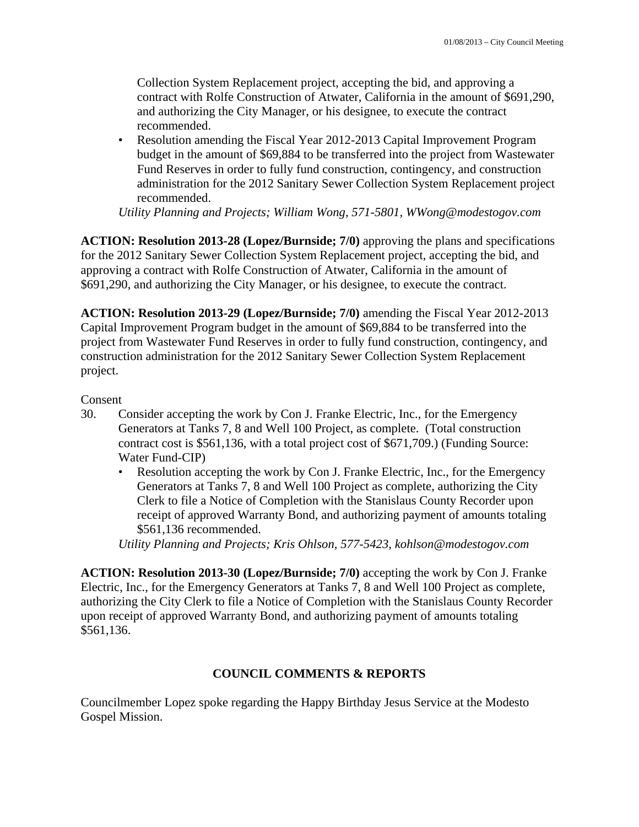Collection System Replacement project, accepting the bid, and approving a contract with Rolfe Construction of Atwater, California in the amount of \$691,290, and authorizing the City Manager, or his designee, to execute the contract recommended.

• Resolution amending the Fiscal Year 2012-2013 Capital Improvement Program budget in the amount of \$69,884 to be transferred into the project from Wastewater Fund Reserves in order to fully fund construction, contingency, and construction administration for the 2012 Sanitary Sewer Collection System Replacement project recommended.

*Utility Planning and Projects; William Wong, 571-5801, WWong@modestogov.com* 

**ACTION: Resolution 2013-28 (Lopez/Burnside; 7/0)** approving the plans and specifications for the 2012 Sanitary Sewer Collection System Replacement project, accepting the bid, and approving a contract with Rolfe Construction of Atwater, California in the amount of \$691,290, and authorizing the City Manager, or his designee, to execute the contract.

**ACTION: Resolution 2013-29 (Lopez/Burnside; 7/0)** amending the Fiscal Year 2012-2013 Capital Improvement Program budget in the amount of \$69,884 to be transferred into the project from Wastewater Fund Reserves in order to fully fund construction, contingency, and construction administration for the 2012 Sanitary Sewer Collection System Replacement project.

### Consent

- 30. Consider accepting the work by Con J. Franke Electric, Inc., for the Emergency Generators at Tanks 7, 8 and Well 100 Project, as complete. (Total construction contract cost is \$561,136, with a total project cost of \$671,709.) (Funding Source: Water Fund-CIP)
	- Resolution accepting the work by Con J. Franke Electric, Inc., for the Emergency Generators at Tanks 7, 8 and Well 100 Project as complete, authorizing the City Clerk to file a Notice of Completion with the Stanislaus County Recorder upon receipt of approved Warranty Bond, and authorizing payment of amounts totaling \$561,136 recommended.

*Utility Planning and Projects; Kris Ohlson, 577-5423, kohlson@modestogov.com* 

**ACTION: Resolution 2013-30 (Lopez/Burnside; 7/0)** accepting the work by Con J. Franke Electric, Inc., for the Emergency Generators at Tanks 7, 8 and Well 100 Project as complete, authorizing the City Clerk to file a Notice of Completion with the Stanislaus County Recorder upon receipt of approved Warranty Bond, and authorizing payment of amounts totaling \$561,136.

### **COUNCIL COMMENTS & REPORTS**

Councilmember Lopez spoke regarding the Happy Birthday Jesus Service at the Modesto Gospel Mission.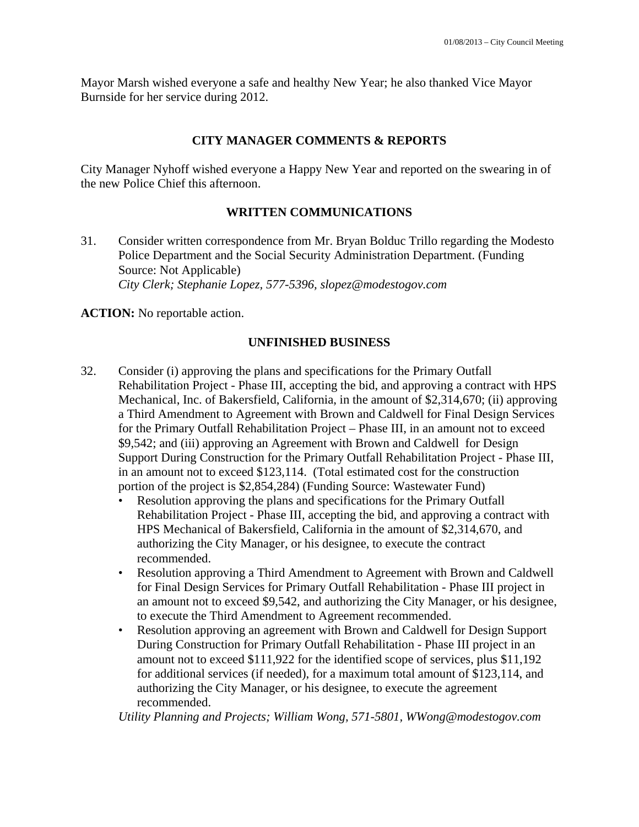Mayor Marsh wished everyone a safe and healthy New Year; he also thanked Vice Mayor Burnside for her service during 2012.

### **CITY MANAGER COMMENTS & REPORTS**

City Manager Nyhoff wished everyone a Happy New Year and reported on the swearing in of the new Police Chief this afternoon.

### **WRITTEN COMMUNICATIONS**

31. Consider written correspondence from Mr. Bryan Bolduc Trillo regarding the Modesto Police Department and the Social Security Administration Department. (Funding Source: Not Applicable)  *City Clerk; Stephanie Lopez, 577-5396, slopez@modestogov.com* 

**ACTION:** No reportable action.

### **UNFINISHED BUSINESS**

- 32. Consider (i) approving the plans and specifications for the Primary Outfall Rehabilitation Project - Phase III, accepting the bid, and approving a contract with HPS Mechanical, Inc. of Bakersfield, California, in the amount of \$2,314,670; (ii) approving a Third Amendment to Agreement with Brown and Caldwell for Final Design Services for the Primary Outfall Rehabilitation Project – Phase III, in an amount not to exceed \$9,542; and (iii) approving an Agreement with Brown and Caldwell for Design Support During Construction for the Primary Outfall Rehabilitation Project - Phase III, in an amount not to exceed \$123,114. (Total estimated cost for the construction portion of the project is \$2,854,284) (Funding Source: Wastewater Fund)
	- Resolution approving the plans and specifications for the Primary Outfall Rehabilitation Project - Phase III, accepting the bid, and approving a contract with HPS Mechanical of Bakersfield, California in the amount of \$2,314,670, and authorizing the City Manager, or his designee, to execute the contract recommended.
	- Resolution approving a Third Amendment to Agreement with Brown and Caldwell for Final Design Services for Primary Outfall Rehabilitation - Phase III project in an amount not to exceed \$9,542, and authorizing the City Manager, or his designee, to execute the Third Amendment to Agreement recommended.
	- Resolution approving an agreement with Brown and Caldwell for Design Support During Construction for Primary Outfall Rehabilitation - Phase III project in an amount not to exceed \$111,922 for the identified scope of services, plus \$11,192 for additional services (if needed), for a maximum total amount of \$123,114, and authorizing the City Manager, or his designee, to execute the agreement recommended.

*Utility Planning and Projects; William Wong, 571-5801, WWong@modestogov.com*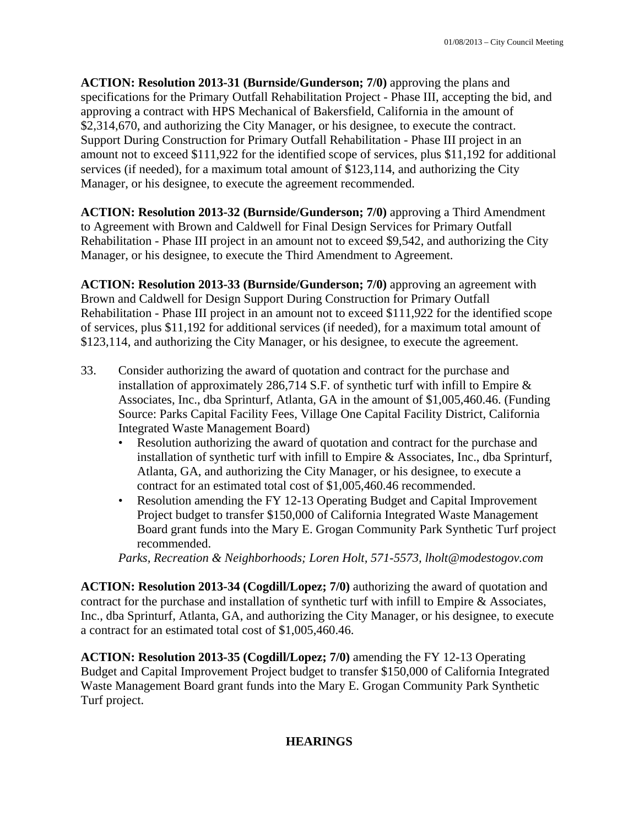**ACTION: Resolution 2013-31 (Burnside/Gunderson; 7/0)** approving the plans and specifications for the Primary Outfall Rehabilitation Project - Phase III, accepting the bid, and approving a contract with HPS Mechanical of Bakersfield, California in the amount of \$2,314,670, and authorizing the City Manager, or his designee, to execute the contract. Support During Construction for Primary Outfall Rehabilitation - Phase III project in an amount not to exceed \$111,922 for the identified scope of services, plus \$11,192 for additional services (if needed), for a maximum total amount of \$123,114, and authorizing the City Manager, or his designee, to execute the agreement recommended.

**ACTION: Resolution 2013-32 (Burnside/Gunderson; 7/0)** approving a Third Amendment to Agreement with Brown and Caldwell for Final Design Services for Primary Outfall Rehabilitation - Phase III project in an amount not to exceed \$9,542, and authorizing the City Manager, or his designee, to execute the Third Amendment to Agreement.

**ACTION: Resolution 2013-33 (Burnside/Gunderson; 7/0)** approving an agreement with Brown and Caldwell for Design Support During Construction for Primary Outfall Rehabilitation - Phase III project in an amount not to exceed \$111,922 for the identified scope of services, plus \$11,192 for additional services (if needed), for a maximum total amount of \$123,114, and authorizing the City Manager, or his designee, to execute the agreement.

- 33. Consider authorizing the award of quotation and contract for the purchase and installation of approximately 286,714 S.F. of synthetic turf with infill to Empire & Associates, Inc., dba Sprinturf, Atlanta, GA in the amount of \$1,005,460.46. (Funding Source: Parks Capital Facility Fees, Village One Capital Facility District, California Integrated Waste Management Board)
	- Resolution authorizing the award of quotation and contract for the purchase and installation of synthetic turf with infill to Empire & Associates, Inc., dba Sprinturf, Atlanta, GA, and authorizing the City Manager, or his designee, to execute a contract for an estimated total cost of \$1,005,460.46 recommended.
	- Resolution amending the FY 12-13 Operating Budget and Capital Improvement Project budget to transfer \$150,000 of California Integrated Waste Management Board grant funds into the Mary E. Grogan Community Park Synthetic Turf project recommended.

*Parks, Recreation & Neighborhoods; Loren Holt, 571-5573, lholt@modestogov.com* 

**ACTION: Resolution 2013-34 (Cogdill/Lopez; 7/0)** authorizing the award of quotation and contract for the purchase and installation of synthetic turf with infill to Empire & Associates, Inc., dba Sprinturf, Atlanta, GA, and authorizing the City Manager, or his designee, to execute a contract for an estimated total cost of \$1,005,460.46.

**ACTION: Resolution 2013-35 (Cogdill/Lopez; 7/0)** amending the FY 12-13 Operating Budget and Capital Improvement Project budget to transfer \$150,000 of California Integrated Waste Management Board grant funds into the Mary E. Grogan Community Park Synthetic Turf project.

### **HEARINGS**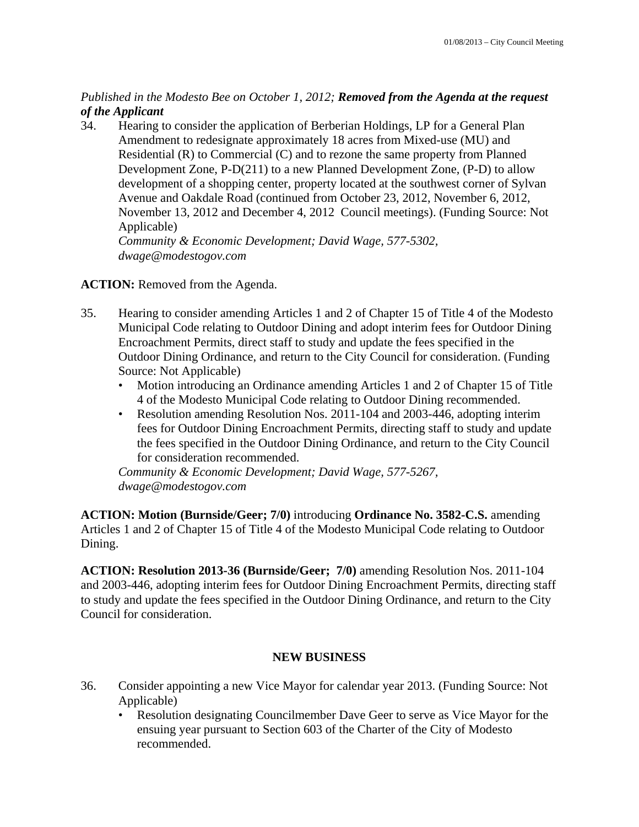# *Published in the Modesto Bee on October 1, 2012; Removed from the Agenda at the request of the Applicant*

34. Hearing to consider the application of Berberian Holdings, LP for a General Plan Amendment to redesignate approximately 18 acres from Mixed-use (MU) and Residential (R) to Commercial (C) and to rezone the same property from Planned Development Zone, P-D(211) to a new Planned Development Zone, (P-D) to allow development of a shopping center, property located at the southwest corner of Sylvan Avenue and Oakdale Road (continued from October 23, 2012, November 6, 2012, November 13, 2012 and December 4, 2012 Council meetings). (Funding Source: Not Applicable)  *Community & Economic Development; David Wage, 577-5302,* 

ACTION: Removed from the Agenda.

*dwage@modestogov.com* 

- 35. Hearing to consider amending Articles 1 and 2 of Chapter 15 of Title 4 of the Modesto Municipal Code relating to Outdoor Dining and adopt interim fees for Outdoor Dining Encroachment Permits, direct staff to study and update the fees specified in the Outdoor Dining Ordinance, and return to the City Council for consideration. (Funding Source: Not Applicable)
	- Motion introducing an Ordinance amending Articles 1 and 2 of Chapter 15 of Title 4 of the Modesto Municipal Code relating to Outdoor Dining recommended.
	- Resolution amending Resolution Nos. 2011-104 and 2003-446, adopting interim fees for Outdoor Dining Encroachment Permits, directing staff to study and update the fees specified in the Outdoor Dining Ordinance, and return to the City Council for consideration recommended.

*Community & Economic Development; David Wage, 577-5267, dwage@modestogov.com* 

**ACTION: Motion (Burnside/Geer; 7/0)** introducing **Ordinance No. 3582-C.S.** amending Articles 1 and 2 of Chapter 15 of Title 4 of the Modesto Municipal Code relating to Outdoor Dining.

**ACTION: Resolution 2013-36 (Burnside/Geer; 7/0)** amending Resolution Nos. 2011-104 and 2003-446, adopting interim fees for Outdoor Dining Encroachment Permits, directing staff to study and update the fees specified in the Outdoor Dining Ordinance, and return to the City Council for consideration.

# **NEW BUSINESS**

- 36. Consider appointing a new Vice Mayor for calendar year 2013. (Funding Source: Not Applicable)
	- Resolution designating Councilmember Dave Geer to serve as Vice Mayor for the ensuing year pursuant to Section 603 of the Charter of the City of Modesto recommended.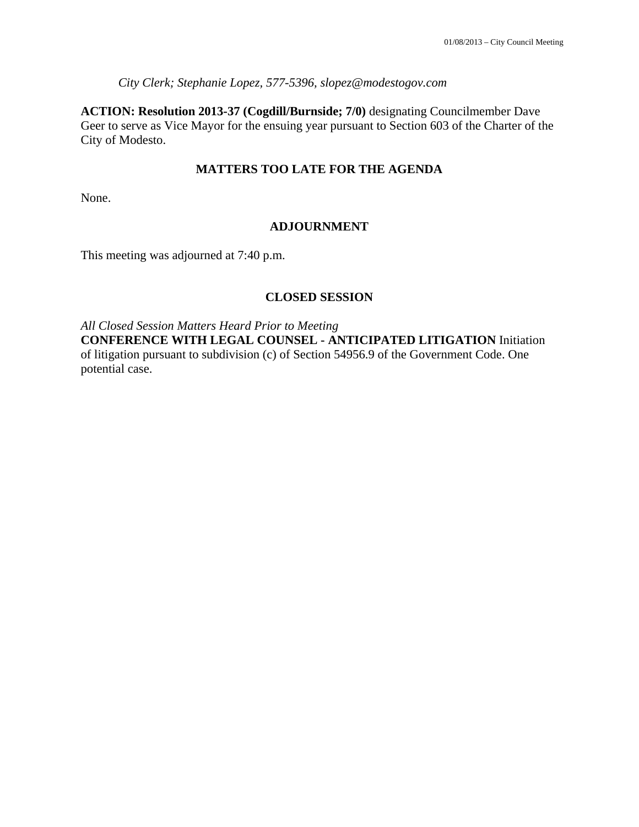*City Clerk; Stephanie Lopez, 577-5396, slopez@modestogov.com* 

**ACTION: Resolution 2013-37 (Cogdill/Burnside; 7/0)** designating Councilmember Dave Geer to serve as Vice Mayor for the ensuing year pursuant to Section 603 of the Charter of the City of Modesto.

### **MATTERS TOO LATE FOR THE AGENDA**

None.

### **ADJOURNMENT**

This meeting was adjourned at 7:40 p.m.

### **CLOSED SESSION**

*All Closed Session Matters Heard Prior to Meeting*

**CONFERENCE WITH LEGAL COUNSEL - ANTICIPATED LITIGATION** Initiation of litigation pursuant to subdivision (c) of Section 54956.9 of the Government Code. One potential case.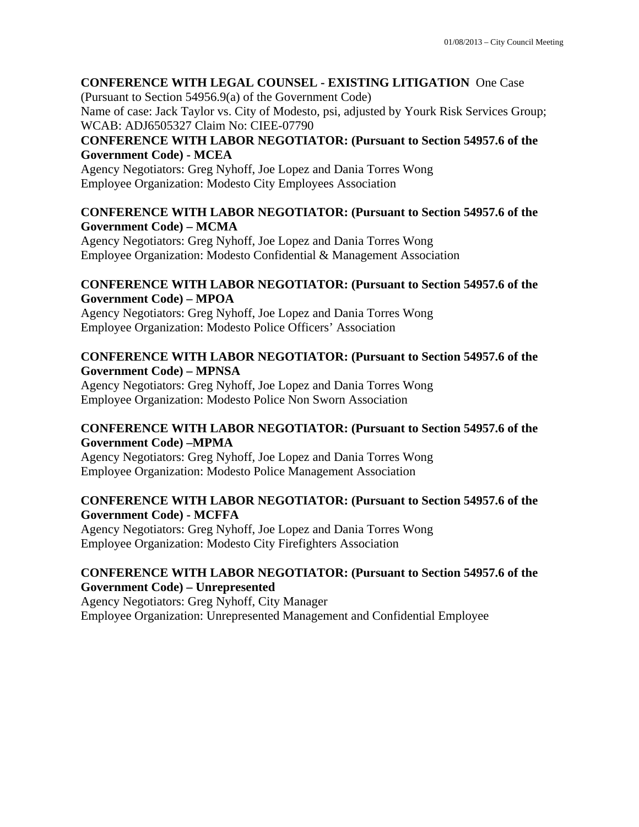# **CONFERENCE WITH LEGAL COUNSEL - EXISTING LITIGATION** One Case

(Pursuant to Section 54956.9(a) of the Government Code) Name of case: Jack Taylor vs. City of Modesto, psi, adjusted by Yourk Risk Services Group; WCAB: ADJ6505327 Claim No: CIEE-07790

# **CONFERENCE WITH LABOR NEGOTIATOR: (Pursuant to Section 54957.6 of the Government Code) - MCEA**

Agency Negotiators: Greg Nyhoff, Joe Lopez and Dania Torres Wong Employee Organization: Modesto City Employees Association

### **CONFERENCE WITH LABOR NEGOTIATOR: (Pursuant to Section 54957.6 of the Government Code) – MCMA**

Agency Negotiators: Greg Nyhoff, Joe Lopez and Dania Torres Wong Employee Organization: Modesto Confidential & Management Association

### **CONFERENCE WITH LABOR NEGOTIATOR: (Pursuant to Section 54957.6 of the Government Code) – MPOA**

Agency Negotiators: Greg Nyhoff, Joe Lopez and Dania Torres Wong Employee Organization: Modesto Police Officers' Association

# **CONFERENCE WITH LABOR NEGOTIATOR: (Pursuant to Section 54957.6 of the Government Code) – MPNSA**

Agency Negotiators: Greg Nyhoff, Joe Lopez and Dania Torres Wong Employee Organization: Modesto Police Non Sworn Association

### **CONFERENCE WITH LABOR NEGOTIATOR: (Pursuant to Section 54957.6 of the Government Code) –MPMA**

Agency Negotiators: Greg Nyhoff, Joe Lopez and Dania Torres Wong Employee Organization: Modesto Police Management Association

# **CONFERENCE WITH LABOR NEGOTIATOR: (Pursuant to Section 54957.6 of the Government Code) - MCFFA**

Agency Negotiators: Greg Nyhoff, Joe Lopez and Dania Torres Wong Employee Organization: Modesto City Firefighters Association

### **CONFERENCE WITH LABOR NEGOTIATOR: (Pursuant to Section 54957.6 of the Government Code) – Unrepresented**

Agency Negotiators: Greg Nyhoff, City Manager Employee Organization: Unrepresented Management and Confidential Employee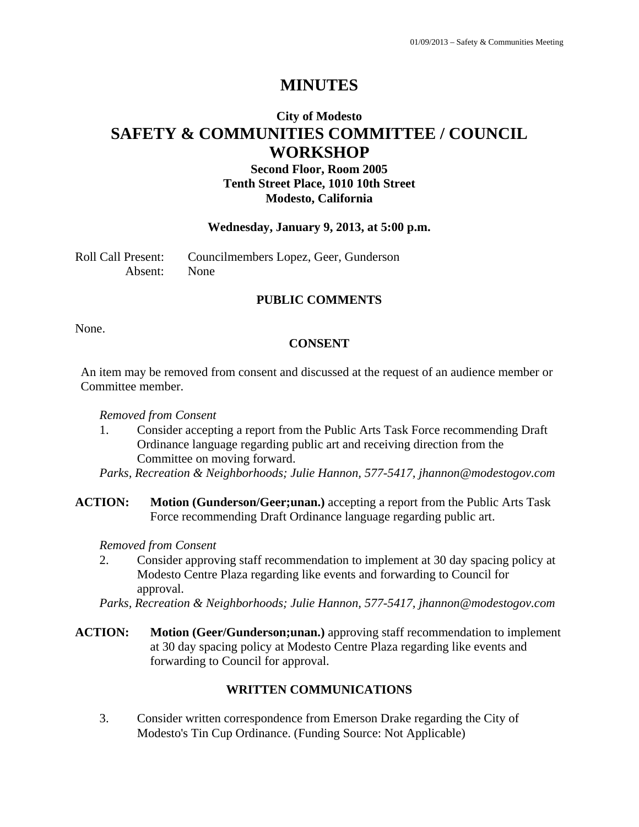# **City of Modesto SAFETY & COMMUNITIES COMMITTEE / COUNCIL WORKSHOP**

# **Second Floor, Room 2005 Tenth Street Place, 1010 10th Street Modesto, California**

### **Wednesday, January 9, 2013, at 5:00 p.m.**

Roll Call Present: Councilmembers Lopez, Geer, Gunderson Absent: None

### **PUBLIC COMMENTS**

None.

### **CONSENT**

An item may be removed from consent and discussed at the request of an audience member or Committee member.

*Removed from Consent* 

1. Consider accepting a report from the Public Arts Task Force recommending Draft Ordinance language regarding public art and receiving direction from the Committee on moving forward.

*Parks, Recreation & Neighborhoods; Julie Hannon, 577-5417, jhannon@modestogov.com* 

**ACTION: Motion (Gunderson/Geer;unan.)** accepting a report from the Public Arts Task Force recommending Draft Ordinance language regarding public art.

*Removed from Consent* 

2. Consider approving staff recommendation to implement at 30 day spacing policy at Modesto Centre Plaza regarding like events and forwarding to Council for approval.

*Parks, Recreation & Neighborhoods; Julie Hannon, 577-5417, jhannon@modestogov.com* 

**ACTION: Motion (Geer/Gunderson;unan.)** approving staff recommendation to implement at 30 day spacing policy at Modesto Centre Plaza regarding like events and forwarding to Council for approval.

### **WRITTEN COMMUNICATIONS**

3. Consider written correspondence from Emerson Drake regarding the City of Modesto's Tin Cup Ordinance. (Funding Source: Not Applicable)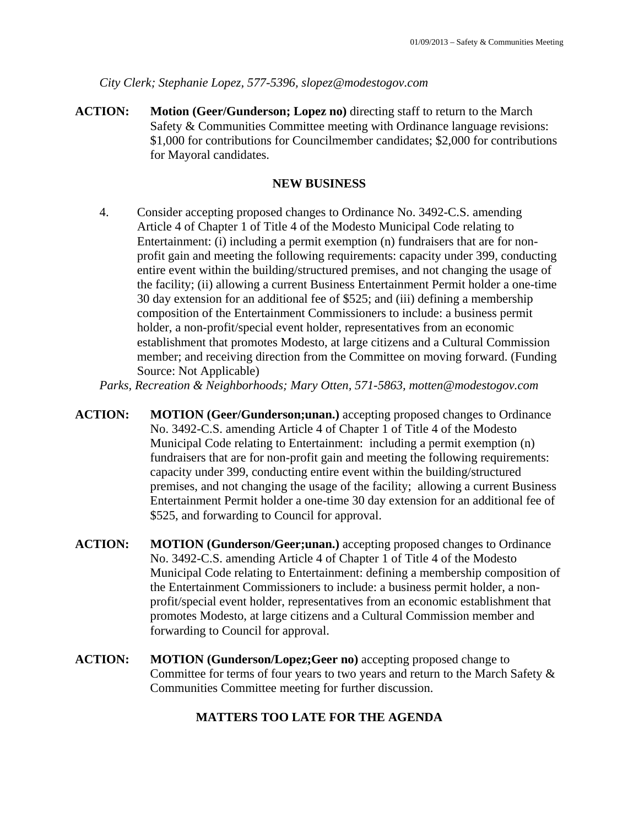*City Clerk; Stephanie Lopez, 577-5396, slopez@modestogov.com* 

**ACTION: Motion (Geer/Gunderson; Lopez no)** directing staff to return to the March Safety & Communities Committee meeting with Ordinance language revisions: \$1,000 for contributions for Councilmember candidates; \$2,000 for contributions for Mayoral candidates.

### **NEW BUSINESS**

4. Consider accepting proposed changes to Ordinance No. 3492-C.S. amending Article 4 of Chapter 1 of Title 4 of the Modesto Municipal Code relating to Entertainment: (i) including a permit exemption (n) fundraisers that are for nonprofit gain and meeting the following requirements: capacity under 399, conducting entire event within the building/structured premises, and not changing the usage of the facility; (ii) allowing a current Business Entertainment Permit holder a one-time 30 day extension for an additional fee of \$525; and (iii) defining a membership composition of the Entertainment Commissioners to include: a business permit holder, a non-profit/special event holder, representatives from an economic establishment that promotes Modesto, at large citizens and a Cultural Commission member; and receiving direction from the Committee on moving forward. (Funding Source: Not Applicable)

*Parks, Recreation & Neighborhoods; Mary Otten, 571-5863, motten@modestogov.com* 

- **ACTION: MOTION (Geer/Gunderson;unan.)** accepting proposed changes to Ordinance No. 3492-C.S. amending Article 4 of Chapter 1 of Title 4 of the Modesto Municipal Code relating to Entertainment: including a permit exemption (n) fundraisers that are for non-profit gain and meeting the following requirements: capacity under 399, conducting entire event within the building/structured premises, and not changing the usage of the facility; allowing a current Business Entertainment Permit holder a one-time 30 day extension for an additional fee of \$525, and forwarding to Council for approval.
- **ACTION: MOTION (Gunderson/Geer;unan.)** accepting proposed changes to Ordinance No. 3492-C.S. amending Article 4 of Chapter 1 of Title 4 of the Modesto Municipal Code relating to Entertainment: defining a membership composition of the Entertainment Commissioners to include: a business permit holder, a nonprofit/special event holder, representatives from an economic establishment that promotes Modesto, at large citizens and a Cultural Commission member and forwarding to Council for approval.
- **ACTION: MOTION (Gunderson/Lopez;Geer no)** accepting proposed change to Committee for terms of four years to two years and return to the March Safety & Communities Committee meeting for further discussion.

### **MATTERS TOO LATE FOR THE AGENDA**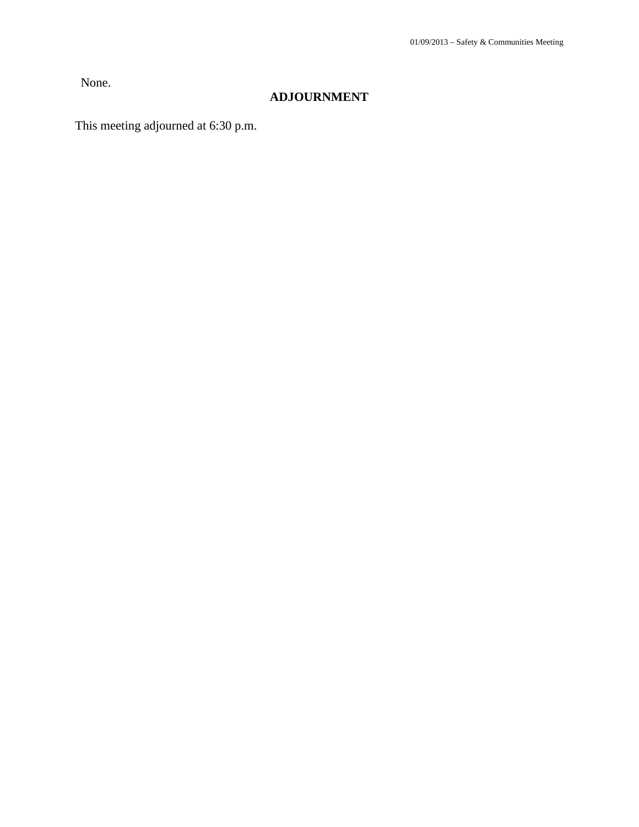None.

# **ADJOURNMENT**

This meeting adjourned at 6:30 p.m.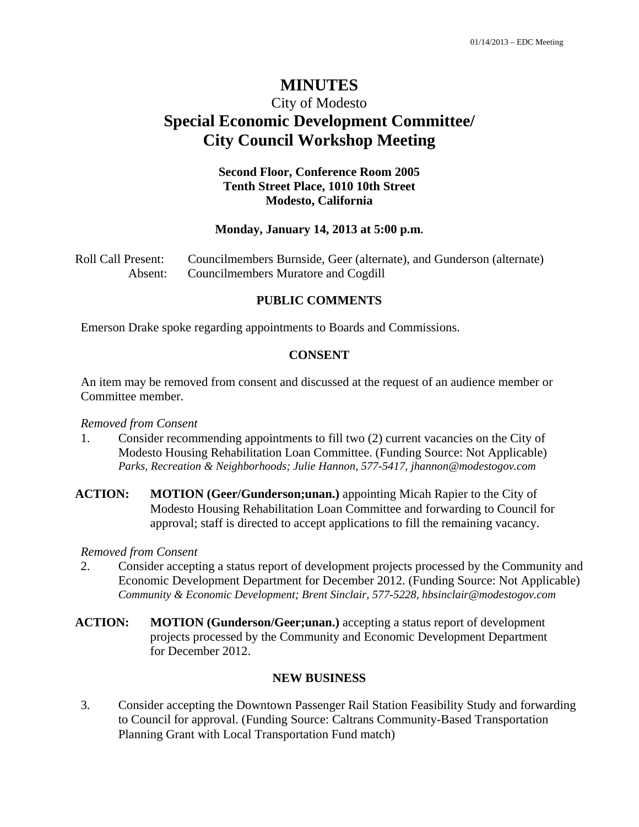# City of Modesto **Special Economic Development Committee/ City Council Workshop Meeting**

### **Second Floor, Conference Room 2005 Tenth Street Place, 1010 10th Street Modesto, California**

#### **Monday, January 14, 2013 at 5:00 p.m.**

Roll Call Present: Councilmembers Burnside, Geer (alternate), and Gunderson (alternate) Absent: Councilmembers Muratore and Cogdill

### **PUBLIC COMMENTS**

Emerson Drake spoke regarding appointments to Boards and Commissions.

#### **CONSENT**

An item may be removed from consent and discussed at the request of an audience member or Committee member.

#### *Removed from Consent*

- 1. Consider recommending appointments to fill two (2) current vacancies on the City of Modesto Housing Rehabilitation Loan Committee. (Funding Source: Not Applicable) *Parks, Recreation & Neighborhoods; Julie Hannon, 577-5417, jhannon@modestogov.com*
- **ACTION: MOTION (Geer/Gunderson;unan.)** appointing Micah Rapier to the City of Modesto Housing Rehabilitation Loan Committee and forwarding to Council for approval; staff is directed to accept applications to fill the remaining vacancy.

*Removed from Consent* 

- 2. Consider accepting a status report of development projects processed by the Community and Economic Development Department for December 2012. (Funding Source: Not Applicable) *Community & Economic Development; Brent Sinclair, 577-5228, hbsinclair@modestogov.com*
- **ACTION: MOTION (Gunderson/Geer;unan.)** accepting a status report of development projects processed by the Community and Economic Development Department for December 2012.

#### **NEW BUSINESS**

3. Consider accepting the Downtown Passenger Rail Station Feasibility Study and forwarding to Council for approval. (Funding Source: Caltrans Community-Based Transportation Planning Grant with Local Transportation Fund match)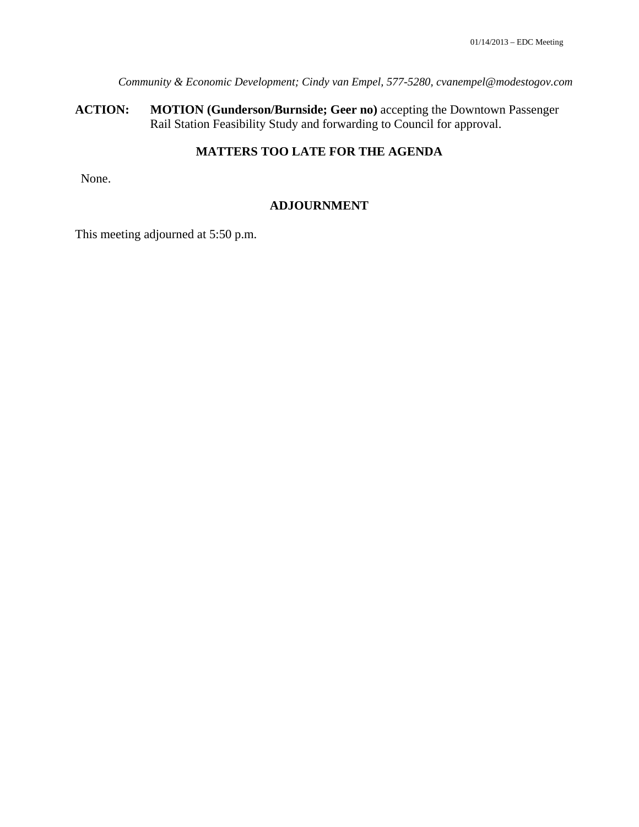*Community & Economic Development; Cindy van Empel, 577-5280, cvanempel@modestogov.com* 

**ACTION: MOTION (Gunderson/Burnside; Geer no)** accepting the Downtown Passenger Rail Station Feasibility Study and forwarding to Council for approval.

# **MATTERS TOO LATE FOR THE AGENDA**

None.

### **ADJOURNMENT**

This meeting adjourned at 5:50 p.m.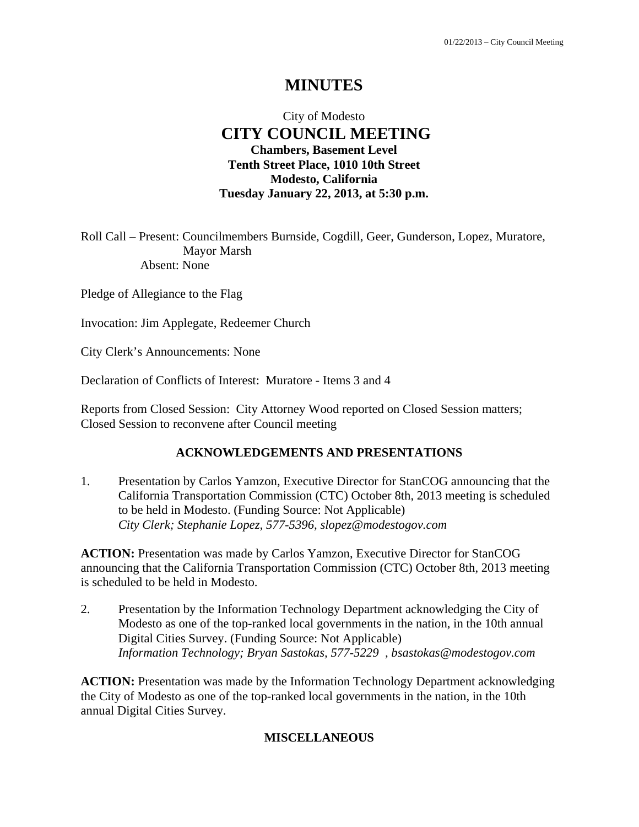# City of Modesto  **CITY COUNCIL MEETING Chambers, Basement Level Tenth Street Place, 1010 10th Street Modesto, California Tuesday January 22, 2013, at 5:30 p.m.**

Roll Call – Present: Councilmembers Burnside, Cogdill, Geer, Gunderson, Lopez, Muratore, Mayor Marsh Absent: None

Pledge of Allegiance to the Flag

Invocation: Jim Applegate, Redeemer Church

City Clerk's Announcements: None

Declaration of Conflicts of Interest: Muratore - Items 3 and 4

Reports from Closed Session: City Attorney Wood reported on Closed Session matters; Closed Session to reconvene after Council meeting

### **ACKNOWLEDGEMENTS AND PRESENTATIONS**

1. Presentation by Carlos Yamzon, Executive Director for StanCOG announcing that the California Transportation Commission (CTC) October 8th, 2013 meeting is scheduled to be held in Modesto. (Funding Source: Not Applicable)  *City Clerk; Stephanie Lopez, 577-5396, slopez@modestogov.com* 

**ACTION:** Presentation was made by Carlos Yamzon, Executive Director for StanCOG announcing that the California Transportation Commission (CTC) October 8th, 2013 meeting is scheduled to be held in Modesto.

2. Presentation by the Information Technology Department acknowledging the City of Modesto as one of the top-ranked local governments in the nation, in the 10th annual Digital Cities Survey. (Funding Source: Not Applicable)  *Information Technology; Bryan Sastokas, 577-5229 , bsastokas@modestogov.com* 

**ACTION:** Presentation was made by the Information Technology Department acknowledging the City of Modesto as one of the top-ranked local governments in the nation, in the 10th annual Digital Cities Survey.

### **MISCELLANEOUS**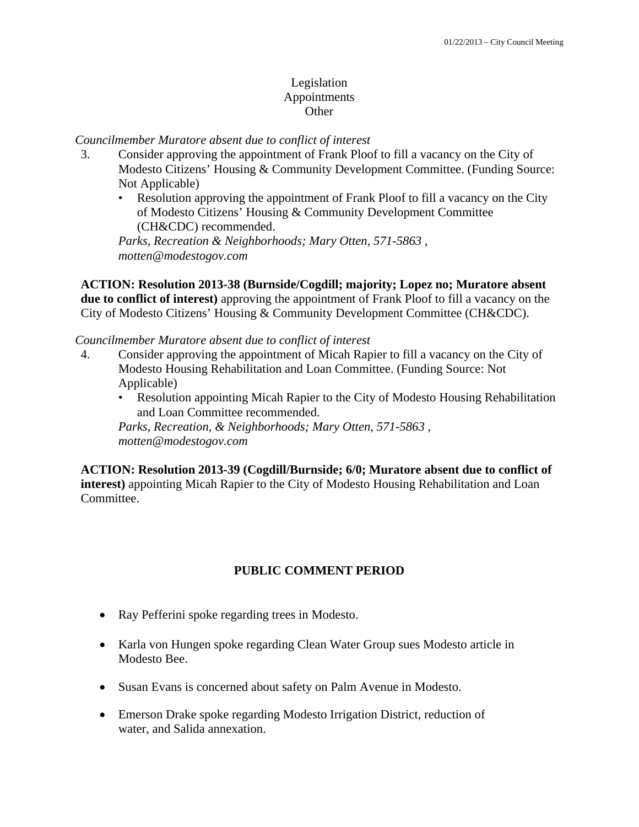### Legislation Appointments **Other**

### *Councilmember Muratore absent due to conflict of interest*

- 3. Consider approving the appointment of Frank Ploof to fill a vacancy on the City of Modesto Citizens' Housing & Community Development Committee. (Funding Source: Not Applicable)
	- Resolution approving the appointment of Frank Ploof to fill a vacancy on the City of Modesto Citizens' Housing & Community Development Committee (CH&CDC) recommended.

*Parks, Recreation & Neighborhoods; Mary Otten, 571-5863 , motten@modestogov.com* 

**ACTION: Resolution 2013-38 (Burnside/Cogdill; majority; Lopez no; Muratore absent due to conflict of interest)** approving the appointment of Frank Ploof to fill a vacancy on the City of Modesto Citizens' Housing & Community Development Committee (CH&CDC).

### *Councilmember Muratore absent due to conflict of interest*

- 4. Consider approving the appointment of Micah Rapier to fill a vacancy on the City of Modesto Housing Rehabilitation and Loan Committee. (Funding Source: Not Applicable)
	- Resolution appointing Micah Rapier to the City of Modesto Housing Rehabilitation and Loan Committee recommended.

*Parks, Recreation, & Neighborhoods; Mary Otten, 571-5863 , motten@modestogov.com* 

**ACTION: Resolution 2013-39 (Cogdill/Burnside; 6/0; Muratore absent due to conflict of interest)** appointing Micah Rapier to the City of Modesto Housing Rehabilitation and Loan Committee.

### **PUBLIC COMMENT PERIOD**

- Ray Pefferini spoke regarding trees in Modesto.
- Karla von Hungen spoke regarding Clean Water Group sues Modesto article in Modesto Bee.
- Susan Evans is concerned about safety on Palm Avenue in Modesto.
- Emerson Drake spoke regarding Modesto Irrigation District, reduction of water, and Salida annexation.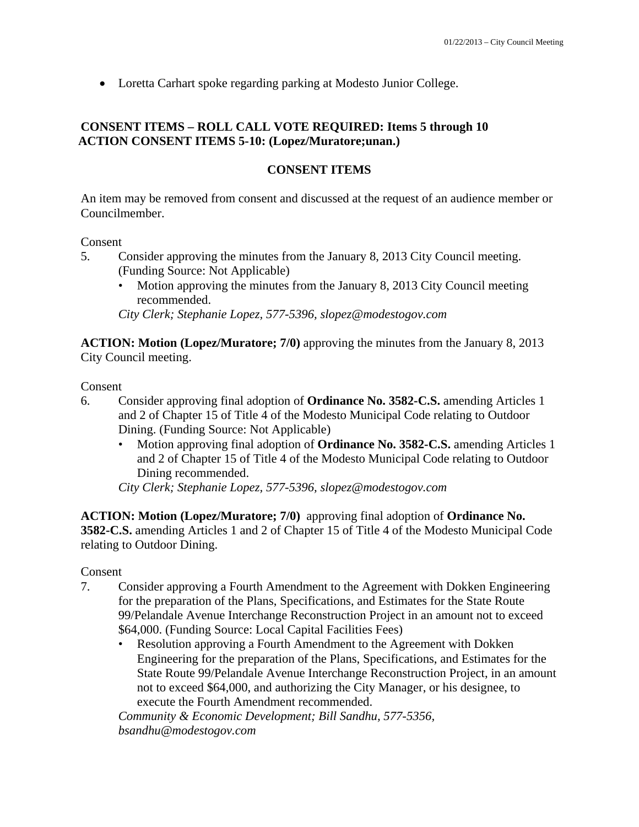Loretta Carhart spoke regarding parking at Modesto Junior College.

### **CONSENT ITEMS – ROLL CALL VOTE REQUIRED: Items 5 through 10 ACTION CONSENT ITEMS 5-10: (Lopez/Muratore;unan.)**

### **CONSENT ITEMS**

An item may be removed from consent and discussed at the request of an audience member or Councilmember.

### Consent

- 5. Consider approving the minutes from the January 8, 2013 City Council meeting. (Funding Source: Not Applicable)
	- Motion approving the minutes from the January 8, 2013 City Council meeting recommended.

*City Clerk; Stephanie Lopez, 577-5396, slopez@modestogov.com* 

**ACTION: Motion (Lopez/Muratore; 7/0)** approving the minutes from the January 8, 2013 City Council meeting.

### Consent

- 6. Consider approving final adoption of **Ordinance No. 3582-C.S.** amending Articles 1 and 2 of Chapter 15 of Title 4 of the Modesto Municipal Code relating to Outdoor Dining. (Funding Source: Not Applicable)
	- Motion approving final adoption of **Ordinance No. 3582-C.S.** amending Articles 1 and 2 of Chapter 15 of Title 4 of the Modesto Municipal Code relating to Outdoor Dining recommended.

*City Clerk; Stephanie Lopez, 577-5396, slopez@modestogov.com* 

**ACTION: Motion (Lopez/Muratore; 7/0)** approving final adoption of **Ordinance No. 3582-C.S.** amending Articles 1 and 2 of Chapter 15 of Title 4 of the Modesto Municipal Code relating to Outdoor Dining.

### Consent

- 7. Consider approving a Fourth Amendment to the Agreement with Dokken Engineering for the preparation of the Plans, Specifications, and Estimates for the State Route 99/Pelandale Avenue Interchange Reconstruction Project in an amount not to exceed \$64,000. (Funding Source: Local Capital Facilities Fees)
	- Resolution approving a Fourth Amendment to the Agreement with Dokken Engineering for the preparation of the Plans, Specifications, and Estimates for the State Route 99/Pelandale Avenue Interchange Reconstruction Project, in an amount not to exceed \$64,000, and authorizing the City Manager, or his designee, to execute the Fourth Amendment recommended.

*Community & Economic Development; Bill Sandhu, 577-5356, bsandhu@modestogov.com*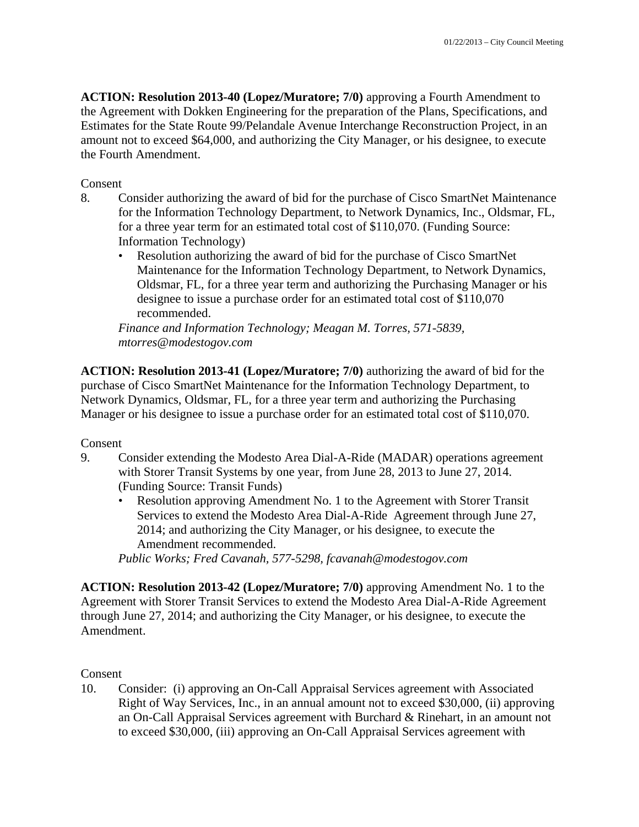**ACTION: Resolution 2013-40 (Lopez/Muratore; 7/0)** approving a Fourth Amendment to the Agreement with Dokken Engineering for the preparation of the Plans, Specifications, and Estimates for the State Route 99/Pelandale Avenue Interchange Reconstruction Project, in an amount not to exceed \$64,000, and authorizing the City Manager, or his designee, to execute the Fourth Amendment.

### Consent

- 8. Consider authorizing the award of bid for the purchase of Cisco SmartNet Maintenance for the Information Technology Department, to Network Dynamics, Inc., Oldsmar, FL, for a three year term for an estimated total cost of \$110,070. (Funding Source: Information Technology)
	- Resolution authorizing the award of bid for the purchase of Cisco SmartNet Maintenance for the Information Technology Department, to Network Dynamics, Oldsmar, FL, for a three year term and authorizing the Purchasing Manager or his designee to issue a purchase order for an estimated total cost of \$110,070 recommended.

*Finance and Information Technology; Meagan M. Torres, 571-5839, mtorres@modestogov.com* 

**ACTION: Resolution 2013-41 (Lopez/Muratore; 7/0)** authorizing the award of bid for the purchase of Cisco SmartNet Maintenance for the Information Technology Department, to Network Dynamics, Oldsmar, FL, for a three year term and authorizing the Purchasing Manager or his designee to issue a purchase order for an estimated total cost of \$110,070.

Consent

- 9. Consider extending the Modesto Area Dial-A-Ride (MADAR) operations agreement with Storer Transit Systems by one year, from June 28, 2013 to June 27, 2014. (Funding Source: Transit Funds)
	- Resolution approving Amendment No. 1 to the Agreement with Storer Transit Services to extend the Modesto Area Dial-A-Ride Agreement through June 27, 2014; and authorizing the City Manager, or his designee, to execute the Amendment recommended.

*Public Works; Fred Cavanah, 577-5298, fcavanah@modestogov.com* 

**ACTION: Resolution 2013-42 (Lopez/Muratore; 7/0)** approving Amendment No. 1 to the Agreement with Storer Transit Services to extend the Modesto Area Dial-A-Ride Agreement through June 27, 2014; and authorizing the City Manager, or his designee, to execute the Amendment.

### Consent

10. Consider: (i) approving an On-Call Appraisal Services agreement with Associated Right of Way Services, Inc., in an annual amount not to exceed \$30,000, (ii) approving an On-Call Appraisal Services agreement with Burchard & Rinehart, in an amount not to exceed \$30,000, (iii) approving an On-Call Appraisal Services agreement with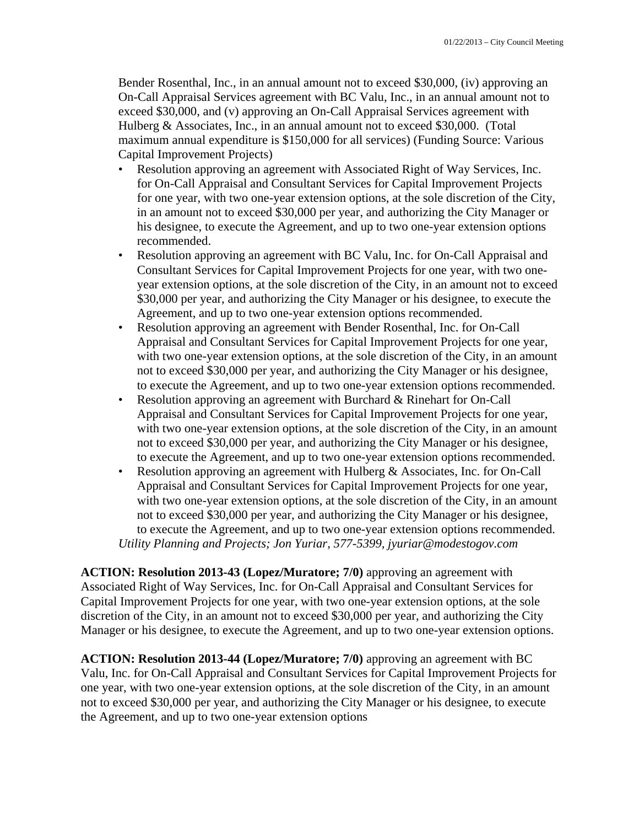Bender Rosenthal, Inc., in an annual amount not to exceed \$30,000, (iv) approving an On-Call Appraisal Services agreement with BC Valu, Inc., in an annual amount not to exceed \$30,000, and (v) approving an On-Call Appraisal Services agreement with Hulberg & Associates, Inc., in an annual amount not to exceed \$30,000. (Total maximum annual expenditure is \$150,000 for all services) (Funding Source: Various Capital Improvement Projects)

- Resolution approving an agreement with Associated Right of Way Services, Inc. for On-Call Appraisal and Consultant Services for Capital Improvement Projects for one year, with two one-year extension options, at the sole discretion of the City, in an amount not to exceed \$30,000 per year, and authorizing the City Manager or his designee, to execute the Agreement, and up to two one-year extension options recommended.
- Resolution approving an agreement with BC Valu, Inc. for On-Call Appraisal and Consultant Services for Capital Improvement Projects for one year, with two oneyear extension options, at the sole discretion of the City, in an amount not to exceed \$30,000 per year, and authorizing the City Manager or his designee, to execute the Agreement, and up to two one-year extension options recommended.
- Resolution approving an agreement with Bender Rosenthal, Inc. for On-Call Appraisal and Consultant Services for Capital Improvement Projects for one year, with two one-year extension options, at the sole discretion of the City, in an amount not to exceed \$30,000 per year, and authorizing the City Manager or his designee, to execute the Agreement, and up to two one-year extension options recommended.
- Resolution approving an agreement with Burchard & Rinehart for On-Call Appraisal and Consultant Services for Capital Improvement Projects for one year, with two one-year extension options, at the sole discretion of the City, in an amount not to exceed \$30,000 per year, and authorizing the City Manager or his designee, to execute the Agreement, and up to two one-year extension options recommended.
- Resolution approving an agreement with Hulberg & Associates, Inc. for On-Call Appraisal and Consultant Services for Capital Improvement Projects for one year, with two one-year extension options, at the sole discretion of the City, in an amount not to exceed \$30,000 per year, and authorizing the City Manager or his designee, to execute the Agreement, and up to two one-year extension options recommended. *Utility Planning and Projects; Jon Yuriar, 577-5399, jyuriar@modestogov.com*

**ACTION: Resolution 2013-43 (Lopez/Muratore; 7/0)** approving an agreement with Associated Right of Way Services, Inc. for On-Call Appraisal and Consultant Services for Capital Improvement Projects for one year, with two one-year extension options, at the sole discretion of the City, in an amount not to exceed \$30,000 per year, and authorizing the City Manager or his designee, to execute the Agreement, and up to two one-year extension options.

**ACTION: Resolution 2013-44 (Lopez/Muratore; 7/0)** approving an agreement with BC Valu, Inc. for On-Call Appraisal and Consultant Services for Capital Improvement Projects for one year, with two one-year extension options, at the sole discretion of the City, in an amount not to exceed \$30,000 per year, and authorizing the City Manager or his designee, to execute the Agreement, and up to two one-year extension options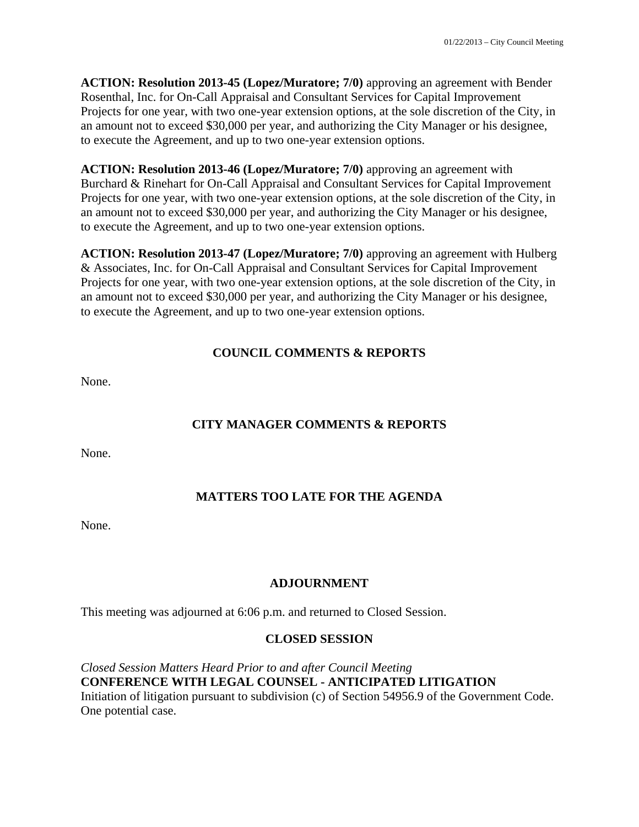**ACTION: Resolution 2013-45 (Lopez/Muratore; 7/0)** approving an agreement with Bender Rosenthal, Inc. for On-Call Appraisal and Consultant Services for Capital Improvement Projects for one year, with two one-year extension options, at the sole discretion of the City, in an amount not to exceed \$30,000 per year, and authorizing the City Manager or his designee, to execute the Agreement, and up to two one-year extension options.

**ACTION: Resolution 2013-46 (Lopez/Muratore; 7/0)** approving an agreement with Burchard & Rinehart for On-Call Appraisal and Consultant Services for Capital Improvement Projects for one year, with two one-year extension options, at the sole discretion of the City, in an amount not to exceed \$30,000 per year, and authorizing the City Manager or his designee, to execute the Agreement, and up to two one-year extension options.

**ACTION: Resolution 2013-47 (Lopez/Muratore; 7/0)** approving an agreement with Hulberg & Associates, Inc. for On-Call Appraisal and Consultant Services for Capital Improvement Projects for one year, with two one-year extension options, at the sole discretion of the City, in an amount not to exceed \$30,000 per year, and authorizing the City Manager or his designee, to execute the Agreement, and up to two one-year extension options.

# **COUNCIL COMMENTS & REPORTS**

None.

# **CITY MANAGER COMMENTS & REPORTS**

None.

# **MATTERS TOO LATE FOR THE AGENDA**

None.

# **ADJOURNMENT**

This meeting was adjourned at 6:06 p.m. and returned to Closed Session.

### **CLOSED SESSION**

*Closed Session Matters Heard Prior to and after Council Meeting*  **CONFERENCE WITH LEGAL COUNSEL - ANTICIPATED LITIGATION**  Initiation of litigation pursuant to subdivision (c) of Section 54956.9 of the Government Code. One potential case.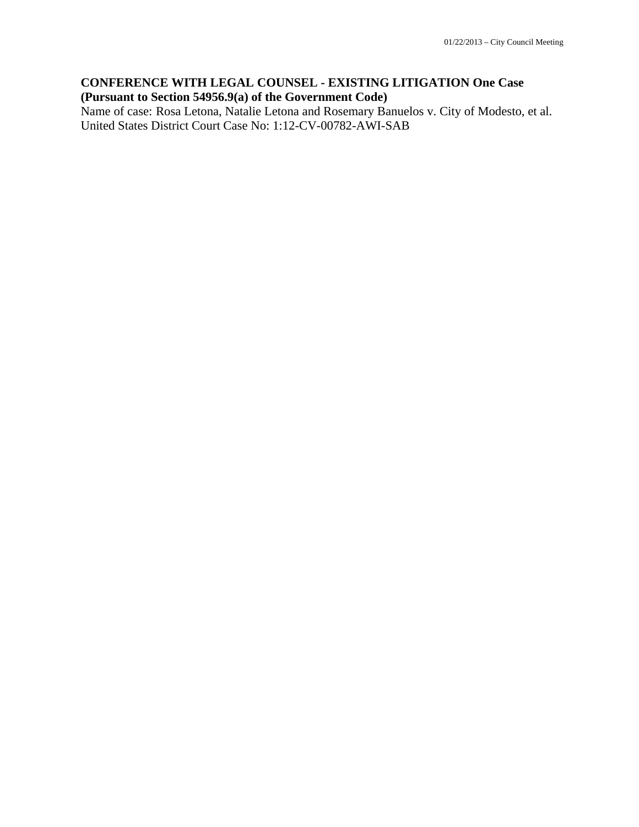# **CONFERENCE WITH LEGAL COUNSEL - EXISTING LITIGATION One Case (Pursuant to Section 54956.9(a) of the Government Code)**

Name of case: Rosa Letona, Natalie Letona and Rosemary Banuelos v. City of Modesto, et al. United States District Court Case No: 1:12-CV-00782-AWI-SAB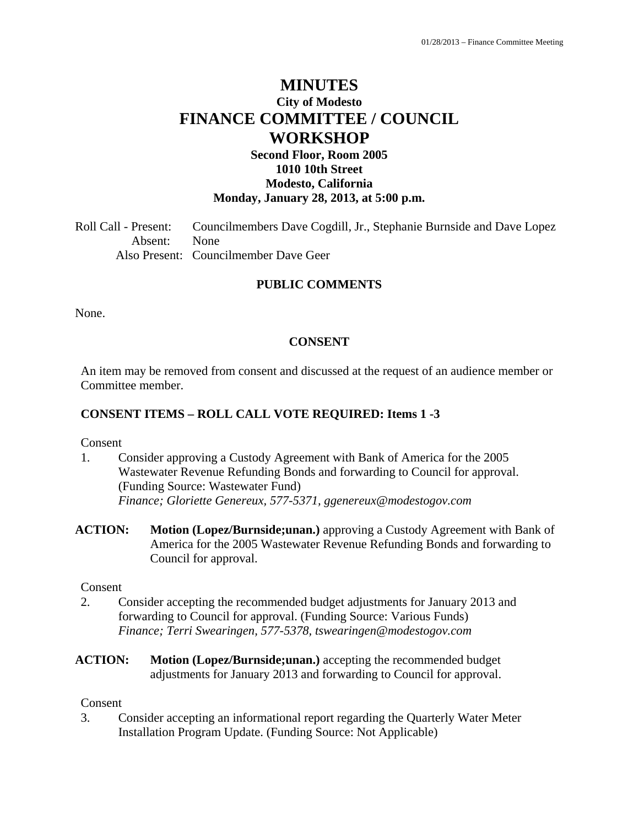# **MINUTES City of Modesto FINANCE COMMITTEE / COUNCIL WORKSHOP**

### **Second Floor, Room 2005 1010 10th Street Modesto, California Monday, January 28, 2013, at 5:00 p.m.**

Roll Call - Present: Councilmembers Dave Cogdill, Jr., Stephanie Burnside and Dave Lopez Absent: None Also Present: Councilmember Dave Geer

### **PUBLIC COMMENTS**

None.

### **CONSENT**

An item may be removed from consent and discussed at the request of an audience member or Committee member.

### **CONSENT ITEMS – ROLL CALL VOTE REQUIRED: Items 1 -3**

Consent

- 1. Consider approving a Custody Agreement with Bank of America for the 2005 Wastewater Revenue Refunding Bonds and forwarding to Council for approval. (Funding Source: Wastewater Fund)  *Finance; Gloriette Genereux, 577-5371, ggenereux@modestogov.com*
- **ACTION: Motion (Lopez/Burnside;unan.)** approving a Custody Agreement with Bank of America for the 2005 Wastewater Revenue Refunding Bonds and forwarding to Council for approval.

#### Consent

- 2. Consider accepting the recommended budget adjustments for January 2013 and forwarding to Council for approval. (Funding Source: Various Funds)  *Finance; Terri Swearingen, 577-5378, tswearingen@modestogov.com*
- **ACTION: Motion (Lopez/Burnside;unan.)** accepting the recommended budget adjustments for January 2013 and forwarding to Council for approval.

#### Consent

3. Consider accepting an informational report regarding the Quarterly Water Meter Installation Program Update. (Funding Source: Not Applicable)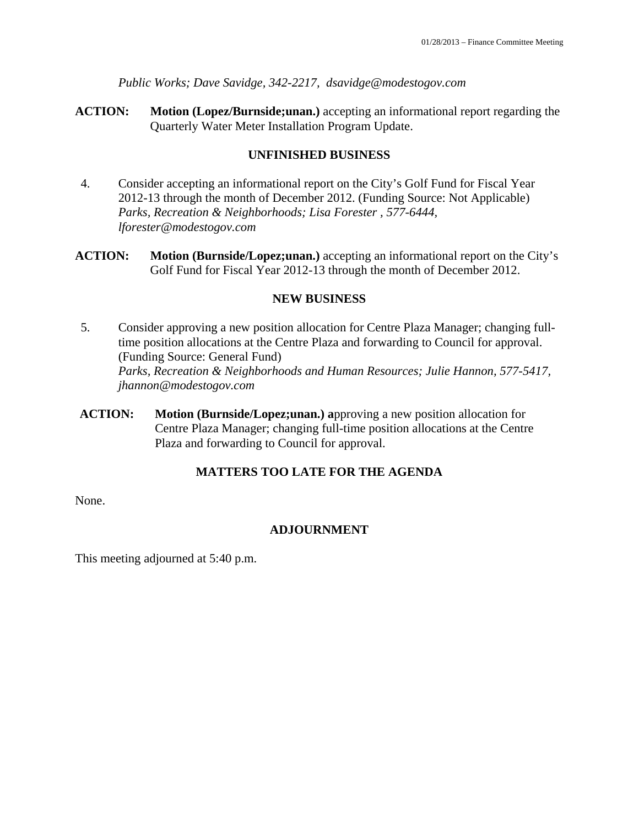*Public Works; Dave Savidge, 342-2217, dsavidge@modestogov.com* 

**ACTION: Motion (Lopez/Burnside;unan.)** accepting an informational report regarding the Quarterly Water Meter Installation Program Update.

### **UNFINISHED BUSINESS**

- 4. Consider accepting an informational report on the City's Golf Fund for Fiscal Year 2012-13 through the month of December 2012. (Funding Source: Not Applicable)  *Parks, Recreation & Neighborhoods; Lisa Forester , 577-6444, lforester@modestogov.com*
- **ACTION: Motion (Burnside/Lopez;unan.)** accepting an informational report on the City's Golf Fund for Fiscal Year 2012-13 through the month of December 2012.

### **NEW BUSINESS**

- 5. Consider approving a new position allocation for Centre Plaza Manager; changing fulltime position allocations at the Centre Plaza and forwarding to Council for approval. (Funding Source: General Fund)  *Parks, Recreation & Neighborhoods and Human Resources; Julie Hannon, 577-5417, jhannon@modestogov.com*
- **ACTION: Motion (Burnside/Lopez;unan.) a**pproving a new position allocation for Centre Plaza Manager; changing full-time position allocations at the Centre Plaza and forwarding to Council for approval.

### **MATTERS TOO LATE FOR THE AGENDA**

None.

### **ADJOURNMENT**

This meeting adjourned at 5:40 p.m.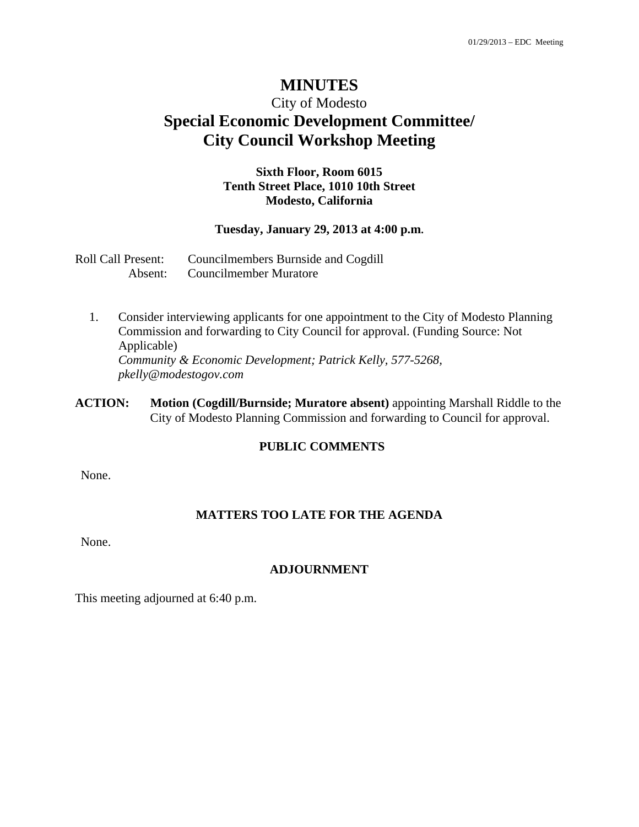# City of Modesto **Special Economic Development Committee/ City Council Workshop Meeting**

### **Sixth Floor, Room 6015 Tenth Street Place, 1010 10th Street Modesto, California**

#### **Tuesday, January 29, 2013 at 4:00 p.m.**

| Roll Call Present: | Councilmembers Burnside and Cogdill |
|--------------------|-------------------------------------|
| Absent:            | Councilmember Muratore              |

- 1. Consider interviewing applicants for one appointment to the City of Modesto Planning Commission and forwarding to City Council for approval. (Funding Source: Not Applicable)  *Community & Economic Development; Patrick Kelly, 577-5268, pkelly@modestogov.com*
- **ACTION: Motion (Cogdill/Burnside; Muratore absent)** appointing Marshall Riddle to the City of Modesto Planning Commission and forwarding to Council for approval.

### **PUBLIC COMMENTS**

None.

### **MATTERS TOO LATE FOR THE AGENDA**

None.

### **ADJOURNMENT**

This meeting adjourned at 6:40 p.m.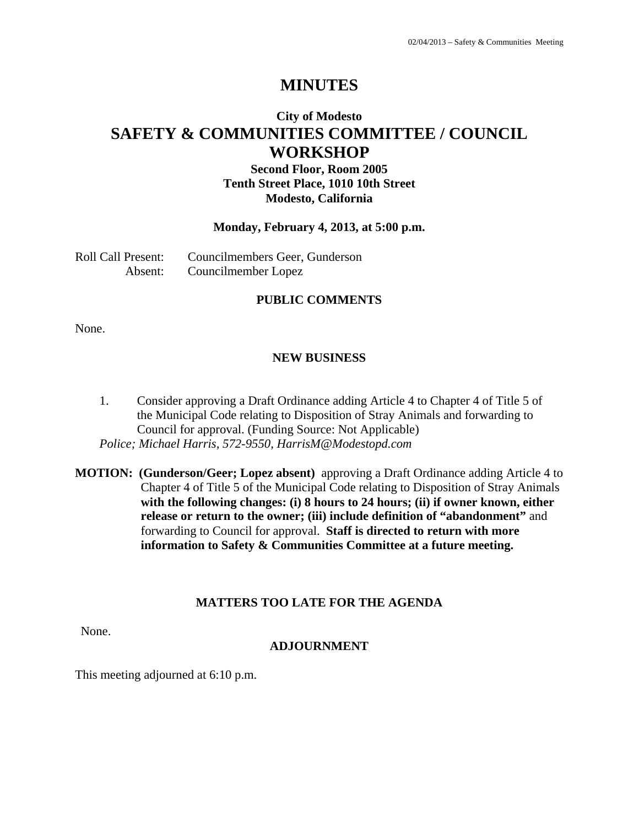# **City of Modesto SAFETY & COMMUNITIES COMMITTEE / COUNCIL WORKSHOP**

**Second Floor, Room 2005 Tenth Street Place, 1010 10th Street Modesto, California** 

### **Monday, February 4, 2013, at 5:00 p.m.**

Roll Call Present: Councilmembers Geer, Gunderson Absent: Councilmember Lopez

### **PUBLIC COMMENTS**

None.

### **NEW BUSINESS**

1. Consider approving a Draft Ordinance adding Article 4 to Chapter 4 of Title 5 of the Municipal Code relating to Disposition of Stray Animals and forwarding to Council for approval. (Funding Source: Not Applicable) *Police; Michael Harris, 572-9550, HarrisM@Modestopd.com* 

**MOTION: (Gunderson/Geer; Lopez absent)** approving a Draft Ordinance adding Article 4 to Chapter 4 of Title 5 of the Municipal Code relating to Disposition of Stray Animals with the following changes: (i) 8 hours to 24 hours; (ii) if owner known, either **release or return to the owner; (iii) include definition of "abandonment"** and forwarding to Council for approval. **Staff is directed to return with more information to Safety & Communities Committee at a future meeting.** 

### **MATTERS TOO LATE FOR THE AGENDA**

None.

### **ADJOURNMENT**

This meeting adjourned at 6:10 p.m.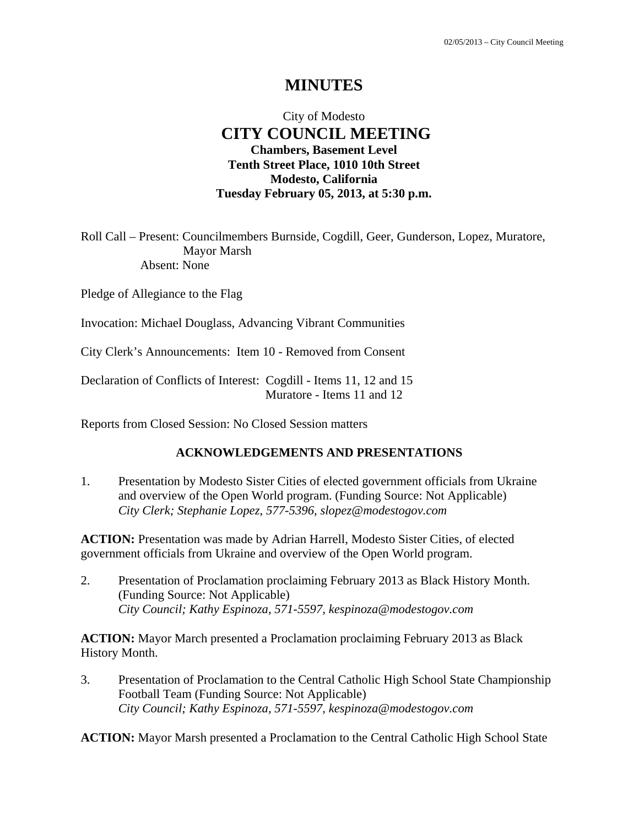# City of Modesto  **CITY COUNCIL MEETING Chambers, Basement Level Tenth Street Place, 1010 10th Street Modesto, California Tuesday February 05, 2013, at 5:30 p.m.**

Roll Call – Present: Councilmembers Burnside, Cogdill, Geer, Gunderson, Lopez, Muratore, Mayor Marsh Absent: None

Pledge of Allegiance to the Flag

Invocation: Michael Douglass, Advancing Vibrant Communities

City Clerk's Announcements: Item 10 - Removed from Consent

Declaration of Conflicts of Interest: Cogdill - Items 11, 12 and 15 Muratore - Items 11 and 12

Reports from Closed Session: No Closed Session matters

### **ACKNOWLEDGEMENTS AND PRESENTATIONS**

1. Presentation by Modesto Sister Cities of elected government officials from Ukraine and overview of the Open World program. (Funding Source: Not Applicable)  *City Clerk; Stephanie Lopez, 577-5396, slopez@modestogov.com* 

**ACTION:** Presentation was made by Adrian Harrell, Modesto Sister Cities, of elected government officials from Ukraine and overview of the Open World program.

2. Presentation of Proclamation proclaiming February 2013 as Black History Month. (Funding Source: Not Applicable)  *City Council; Kathy Espinoza, 571-5597, kespinoza@modestogov.com* 

**ACTION:** Mayor March presented a Proclamation proclaiming February 2013 as Black History Month.

3. Presentation of Proclamation to the Central Catholic High School State Championship Football Team (Funding Source: Not Applicable)  *City Council; Kathy Espinoza, 571-5597, kespinoza@modestogov.com* 

**ACTION:** Mayor Marsh presented a Proclamation to the Central Catholic High School State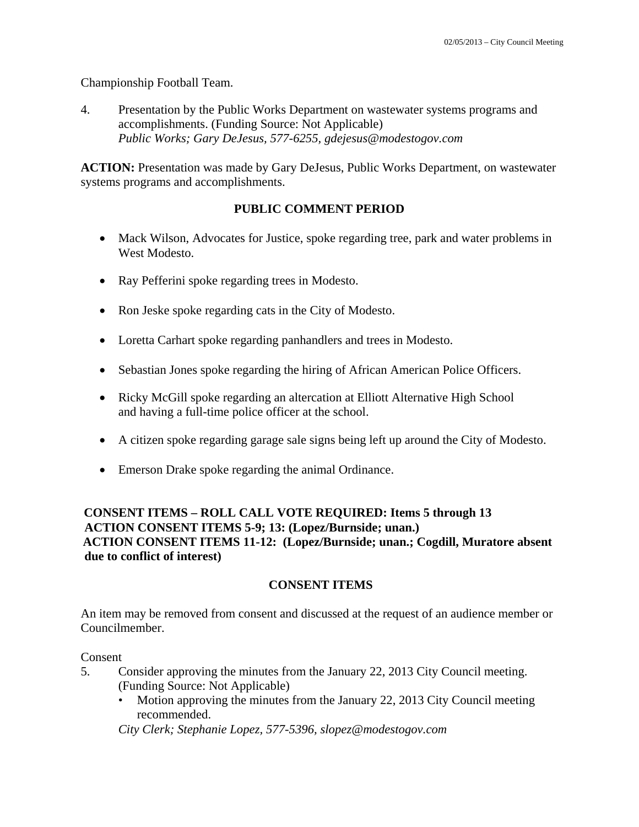Championship Football Team.

4. Presentation by the Public Works Department on wastewater systems programs and accomplishments. (Funding Source: Not Applicable)  *Public Works; Gary DeJesus, 577-6255, gdejesus@modestogov.com* 

**ACTION:** Presentation was made by Gary DeJesus, Public Works Department, on wastewater systems programs and accomplishments.

# **PUBLIC COMMENT PERIOD**

- Mack Wilson, Advocates for Justice, spoke regarding tree, park and water problems in West Modesto.
- Ray Pefferini spoke regarding trees in Modesto.
- Ron Jeske spoke regarding cats in the City of Modesto.
- Loretta Carhart spoke regarding panhandlers and trees in Modesto.
- Sebastian Jones spoke regarding the hiring of African American Police Officers.
- Ricky McGill spoke regarding an altercation at Elliott Alternative High School and having a full-time police officer at the school.
- A citizen spoke regarding garage sale signs being left up around the City of Modesto.
- Emerson Drake spoke regarding the animal Ordinance.

## **CONSENT ITEMS – ROLL CALL VOTE REQUIRED: Items 5 through 13 ACTION CONSENT ITEMS 5-9; 13: (Lopez/Burnside; unan.) ACTION CONSENT ITEMS 11-12: (Lopez/Burnside; unan.; Cogdill, Muratore absent due to conflict of interest)**

# **CONSENT ITEMS**

An item may be removed from consent and discussed at the request of an audience member or Councilmember.

### Consent

- 5. Consider approving the minutes from the January 22, 2013 City Council meeting. (Funding Source: Not Applicable)
	- Motion approving the minutes from the January 22, 2013 City Council meeting recommended.

*City Clerk; Stephanie Lopez, 577-5396, slopez@modestogov.com*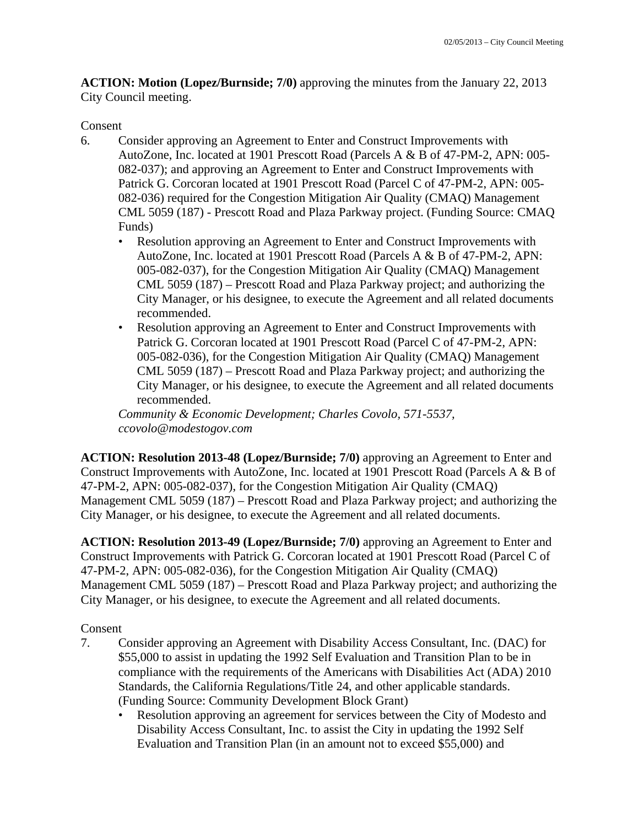**ACTION: Motion (Lopez/Burnside; 7/0)** approving the minutes from the January 22, 2013 City Council meeting.

### Consent

- 6. Consider approving an Agreement to Enter and Construct Improvements with AutoZone, Inc. located at 1901 Prescott Road (Parcels A & B of 47-PM-2, APN: 005- 082-037); and approving an Agreement to Enter and Construct Improvements with Patrick G. Corcoran located at 1901 Prescott Road (Parcel C of 47-PM-2, APN: 005- 082-036) required for the Congestion Mitigation Air Quality (CMAQ) Management CML 5059 (187) - Prescott Road and Plaza Parkway project. (Funding Source: CMAQ Funds)
	- Resolution approving an Agreement to Enter and Construct Improvements with AutoZone, Inc. located at 1901 Prescott Road (Parcels A & B of 47-PM-2, APN: 005-082-037), for the Congestion Mitigation Air Quality (CMAQ) Management CML 5059 (187) – Prescott Road and Plaza Parkway project; and authorizing the City Manager, or his designee, to execute the Agreement and all related documents recommended.
	- Resolution approving an Agreement to Enter and Construct Improvements with Patrick G. Corcoran located at 1901 Prescott Road (Parcel C of 47-PM-2, APN: 005-082-036), for the Congestion Mitigation Air Quality (CMAQ) Management CML 5059 (187) – Prescott Road and Plaza Parkway project; and authorizing the City Manager, or his designee, to execute the Agreement and all related documents recommended.

*Community & Economic Development; Charles Covolo, 571-5537, ccovolo@modestogov.com* 

**ACTION: Resolution 2013-48 (Lopez/Burnside; 7/0)** approving an Agreement to Enter and Construct Improvements with AutoZone, Inc. located at 1901 Prescott Road (Parcels A & B of 47-PM-2, APN: 005-082-037), for the Congestion Mitigation Air Quality (CMAQ) Management CML 5059 (187) – Prescott Road and Plaza Parkway project; and authorizing the City Manager, or his designee, to execute the Agreement and all related documents.

**ACTION: Resolution 2013-49 (Lopez/Burnside; 7/0)** approving an Agreement to Enter and Construct Improvements with Patrick G. Corcoran located at 1901 Prescott Road (Parcel C of 47-PM-2, APN: 005-082-036), for the Congestion Mitigation Air Quality (CMAQ) Management CML 5059 (187) – Prescott Road and Plaza Parkway project; and authorizing the City Manager, or his designee, to execute the Agreement and all related documents.

### Consent

- 7. Consider approving an Agreement with Disability Access Consultant, Inc. (DAC) for \$55,000 to assist in updating the 1992 Self Evaluation and Transition Plan to be in compliance with the requirements of the Americans with Disabilities Act (ADA) 2010 Standards, the California Regulations/Title 24, and other applicable standards. (Funding Source: Community Development Block Grant)
	- Resolution approving an agreement for services between the City of Modesto and Disability Access Consultant, Inc. to assist the City in updating the 1992 Self Evaluation and Transition Plan (in an amount not to exceed \$55,000) and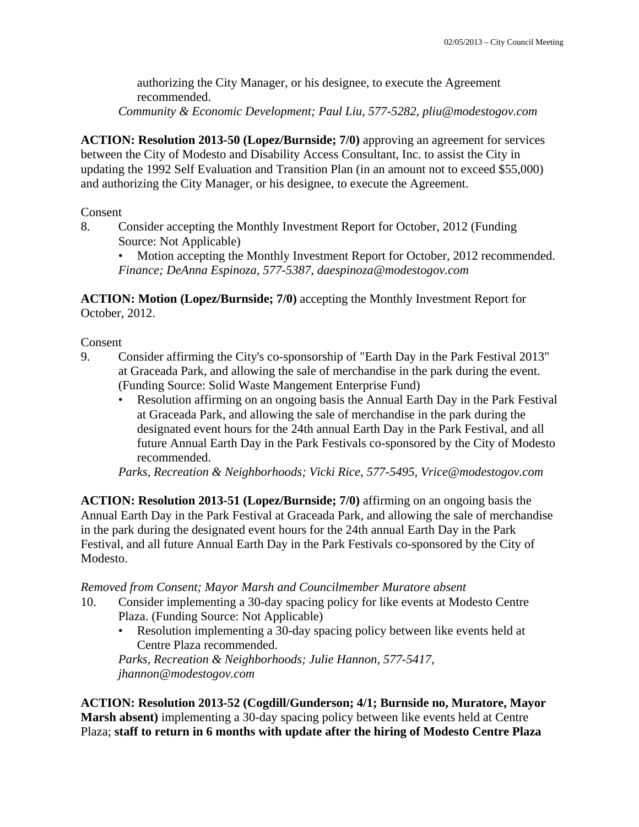authorizing the City Manager, or his designee, to execute the Agreement recommended.

*Community & Economic Development; Paul Liu, 577-5282, pliu@modestogov.com* 

**ACTION: Resolution 2013-50 (Lopez/Burnside; 7/0)** approving an agreement for services between the City of Modesto and Disability Access Consultant, Inc. to assist the City in updating the 1992 Self Evaluation and Transition Plan (in an amount not to exceed \$55,000) and authorizing the City Manager, or his designee, to execute the Agreement.

### Consent

8. Consider accepting the Monthly Investment Report for October, 2012 (Funding Source: Not Applicable)

• Motion accepting the Monthly Investment Report for October, 2012 recommended. *Finance; DeAnna Espinoza, 577-5387, daespinoza@modestogov.com* 

**ACTION: Motion (Lopez/Burnside; 7/0)** accepting the Monthly Investment Report for October, 2012.

Consent

- 9. Consider affirming the City's co-sponsorship of "Earth Day in the Park Festival 2013" at Graceada Park, and allowing the sale of merchandise in the park during the event. (Funding Source: Solid Waste Mangement Enterprise Fund)
	- Resolution affirming on an ongoing basis the Annual Earth Day in the Park Festival at Graceada Park, and allowing the sale of merchandise in the park during the designated event hours for the 24th annual Earth Day in the Park Festival, and all future Annual Earth Day in the Park Festivals co-sponsored by the City of Modesto recommended.

*Parks, Recreation & Neighborhoods; Vicki Rice, 577-5495, Vrice@modestogov.com* 

**ACTION: Resolution 2013-51 (Lopez/Burnside; 7/0)** affirming on an ongoing basis the Annual Earth Day in the Park Festival at Graceada Park, and allowing the sale of merchandise in the park during the designated event hours for the 24th annual Earth Day in the Park Festival, and all future Annual Earth Day in the Park Festivals co-sponsored by the City of Modesto.

### *Removed from Consent; Mayor Marsh and Councilmember Muratore absent*

- 10. Consider implementing a 30-day spacing policy for like events at Modesto Centre Plaza. (Funding Source: Not Applicable)
	- Resolution implementing a 30-day spacing policy between like events held at Centre Plaza recommended.

*Parks, Recreation & Neighborhoods; Julie Hannon, 577-5417, jhannon@modestogov.com* 

**ACTION: Resolution 2013-52 (Cogdill/Gunderson; 4/1; Burnside no, Muratore, Mayor Marsh absent)** implementing a 30-day spacing policy between like events held at Centre Plaza; **staff to return in 6 months with update after the hiring of Modesto Centre Plaza**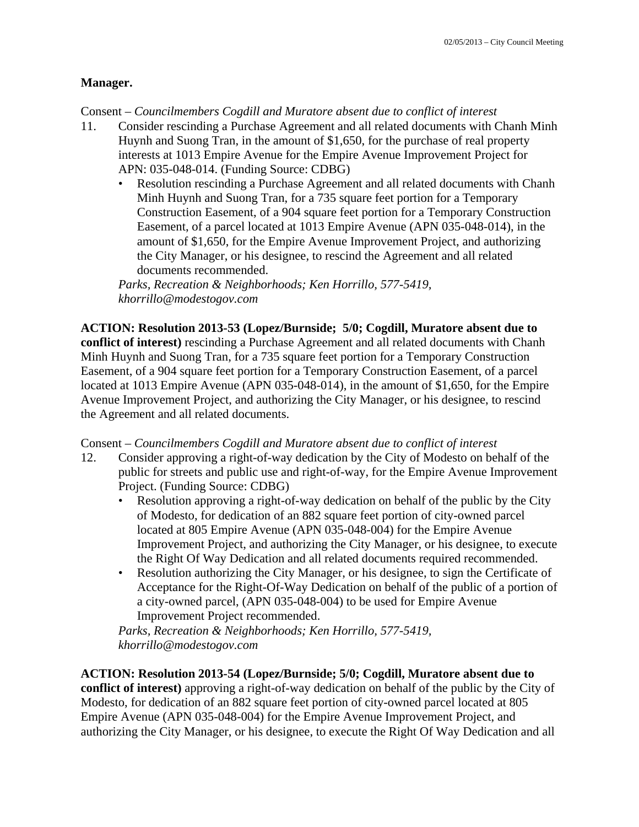## **Manager.**

Consent – *Councilmembers Cogdill and Muratore absent due to conflict of interest* 

- 11. Consider rescinding a Purchase Agreement and all related documents with Chanh Minh Huynh and Suong Tran, in the amount of \$1,650, for the purchase of real property interests at 1013 Empire Avenue for the Empire Avenue Improvement Project for APN: 035-048-014. (Funding Source: CDBG)
	- Resolution rescinding a Purchase Agreement and all related documents with Chanh Minh Huynh and Suong Tran, for a 735 square feet portion for a Temporary Construction Easement, of a 904 square feet portion for a Temporary Construction Easement, of a parcel located at 1013 Empire Avenue (APN 035-048-014), in the amount of \$1,650, for the Empire Avenue Improvement Project, and authorizing the City Manager, or his designee, to rescind the Agreement and all related documents recommended.

*Parks, Recreation & Neighborhoods; Ken Horrillo, 577-5419, khorrillo@modestogov.com* 

**ACTION: Resolution 2013-53 (Lopez/Burnside; 5/0; Cogdill, Muratore absent due to** 

**conflict of interest)** rescinding a Purchase Agreement and all related documents with Chanh Minh Huynh and Suong Tran, for a 735 square feet portion for a Temporary Construction Easement, of a 904 square feet portion for a Temporary Construction Easement, of a parcel located at 1013 Empire Avenue (APN 035-048-014), in the amount of \$1,650, for the Empire Avenue Improvement Project, and authorizing the City Manager, or his designee, to rescind the Agreement and all related documents.

Consent – *Councilmembers Cogdill and Muratore absent due to conflict of interest* 

- 12. Consider approving a right-of-way dedication by the City of Modesto on behalf of the public for streets and public use and right-of-way, for the Empire Avenue Improvement Project. (Funding Source: CDBG)
	- Resolution approving a right-of-way dedication on behalf of the public by the City of Modesto, for dedication of an 882 square feet portion of city-owned parcel located at 805 Empire Avenue (APN 035-048-004) for the Empire Avenue Improvement Project, and authorizing the City Manager, or his designee, to execute the Right Of Way Dedication and all related documents required recommended.
	- Resolution authorizing the City Manager, or his designee, to sign the Certificate of Acceptance for the Right-Of-Way Dedication on behalf of the public of a portion of a city-owned parcel, (APN 035-048-004) to be used for Empire Avenue Improvement Project recommended.

*Parks, Recreation & Neighborhoods; Ken Horrillo, 577-5419, khorrillo@modestogov.com* 

**ACTION: Resolution 2013-54 (Lopez/Burnside; 5/0; Cogdill, Muratore absent due to conflict of interest)** approving a right-of-way dedication on behalf of the public by the City of Modesto, for dedication of an 882 square feet portion of city-owned parcel located at 805 Empire Avenue (APN 035-048-004) for the Empire Avenue Improvement Project, and authorizing the City Manager, or his designee, to execute the Right Of Way Dedication and all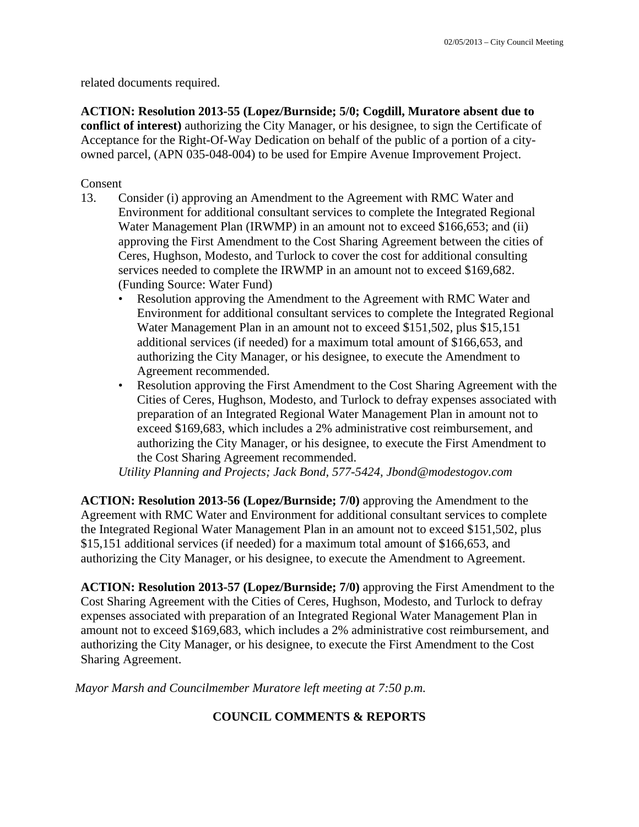related documents required.

**ACTION: Resolution 2013-55 (Lopez/Burnside; 5/0; Cogdill, Muratore absent due to conflict of interest)** authorizing the City Manager, or his designee, to sign the Certificate of Acceptance for the Right-Of-Way Dedication on behalf of the public of a portion of a cityowned parcel, (APN 035-048-004) to be used for Empire Avenue Improvement Project.

### Consent

- 13. Consider (i) approving an Amendment to the Agreement with RMC Water and Environment for additional consultant services to complete the Integrated Regional Water Management Plan (IRWMP) in an amount not to exceed \$166,653; and (ii) approving the First Amendment to the Cost Sharing Agreement between the cities of Ceres, Hughson, Modesto, and Turlock to cover the cost for additional consulting services needed to complete the IRWMP in an amount not to exceed \$169,682. (Funding Source: Water Fund)
	- Resolution approving the Amendment to the Agreement with RMC Water and Environment for additional consultant services to complete the Integrated Regional Water Management Plan in an amount not to exceed \$151,502, plus \$15,151 additional services (if needed) for a maximum total amount of \$166,653, and authorizing the City Manager, or his designee, to execute the Amendment to Agreement recommended.
	- Resolution approving the First Amendment to the Cost Sharing Agreement with the Cities of Ceres, Hughson, Modesto, and Turlock to defray expenses associated with preparation of an Integrated Regional Water Management Plan in amount not to exceed \$169,683, which includes a 2% administrative cost reimbursement, and authorizing the City Manager, or his designee, to execute the First Amendment to the Cost Sharing Agreement recommended.

*Utility Planning and Projects; Jack Bond, 577-5424, Jbond@modestogov.com* 

**ACTION: Resolution 2013-56 (Lopez/Burnside; 7/0)** approving the Amendment to the Agreement with RMC Water and Environment for additional consultant services to complete the Integrated Regional Water Management Plan in an amount not to exceed \$151,502, plus \$15,151 additional services (if needed) for a maximum total amount of \$166,653, and authorizing the City Manager, or his designee, to execute the Amendment to Agreement.

**ACTION: Resolution 2013-57 (Lopez/Burnside; 7/0)** approving the First Amendment to the Cost Sharing Agreement with the Cities of Ceres, Hughson, Modesto, and Turlock to defray expenses associated with preparation of an Integrated Regional Water Management Plan in amount not to exceed \$169,683, which includes a 2% administrative cost reimbursement, and authorizing the City Manager, or his designee, to execute the First Amendment to the Cost Sharing Agreement.

*Mayor Marsh and Councilmember Muratore left meeting at 7:50 p.m.* 

# **COUNCIL COMMENTS & REPORTS**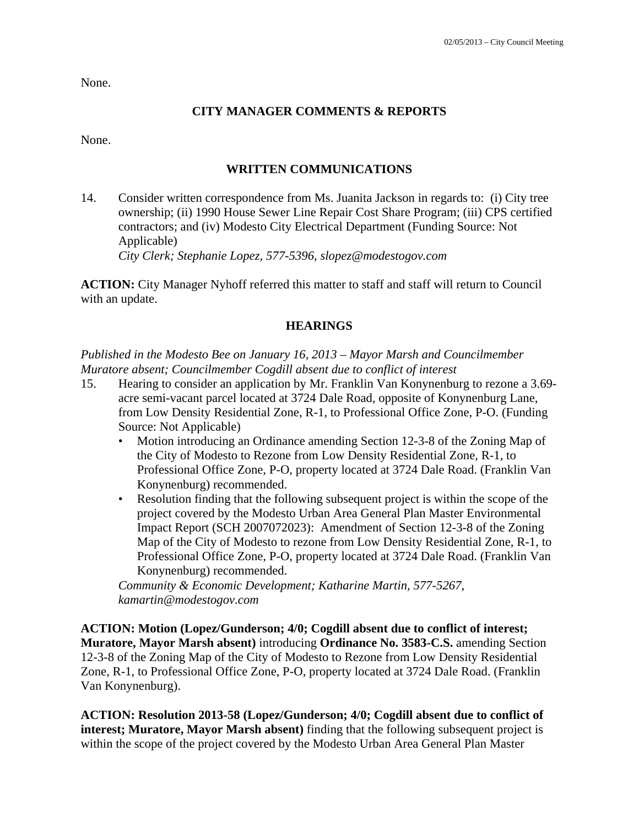None.

# **CITY MANAGER COMMENTS & REPORTS**

None.

### **WRITTEN COMMUNICATIONS**

14. Consider written correspondence from Ms. Juanita Jackson in regards to: (i) City tree ownership; (ii) 1990 House Sewer Line Repair Cost Share Program; (iii) CPS certified contractors; and (iv) Modesto City Electrical Department (Funding Source: Not Applicable)  *City Clerk; Stephanie Lopez, 577-5396, slopez@modestogov.com* 

**ACTION:** City Manager Nyhoff referred this matter to staff and staff will return to Council with an update.

### **HEARINGS**

*Published in the Modesto Bee on January 16, 2013 – Mayor Marsh and Councilmember Muratore absent; Councilmember Cogdill absent due to conflict of interest* 

- 15. Hearing to consider an application by Mr. Franklin Van Konynenburg to rezone a 3.69 acre semi-vacant parcel located at 3724 Dale Road, opposite of Konynenburg Lane, from Low Density Residential Zone, R-1, to Professional Office Zone, P-O. (Funding Source: Not Applicable)
	- Motion introducing an Ordinance amending Section 12-3-8 of the Zoning Map of the City of Modesto to Rezone from Low Density Residential Zone, R-1, to Professional Office Zone, P-O, property located at 3724 Dale Road. (Franklin Van Konynenburg) recommended.
	- Resolution finding that the following subsequent project is within the scope of the project covered by the Modesto Urban Area General Plan Master Environmental Impact Report (SCH 2007072023): Amendment of Section 12-3-8 of the Zoning Map of the City of Modesto to rezone from Low Density Residential Zone, R-1, to Professional Office Zone, P-O, property located at 3724 Dale Road. (Franklin Van Konynenburg) recommended.

*Community & Economic Development; Katharine Martin, 577-5267, kamartin@modestogov.com* 

**ACTION: Motion (Lopez/Gunderson; 4/0; Cogdill absent due to conflict of interest; Muratore, Mayor Marsh absent)** introducing **Ordinance No. 3583-C.S.** amending Section 12-3-8 of the Zoning Map of the City of Modesto to Rezone from Low Density Residential Zone, R-1, to Professional Office Zone, P-O, property located at 3724 Dale Road. (Franklin Van Konynenburg).

**ACTION: Resolution 2013-58 (Lopez/Gunderson; 4/0; Cogdill absent due to conflict of interest; Muratore, Mayor Marsh absent)** finding that the following subsequent project is within the scope of the project covered by the Modesto Urban Area General Plan Master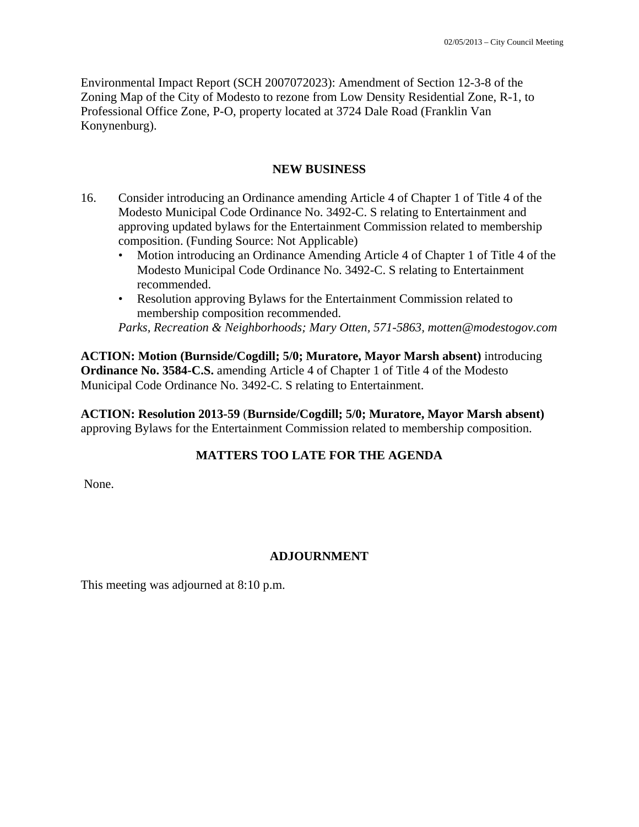Environmental Impact Report (SCH 2007072023): Amendment of Section 12-3-8 of the Zoning Map of the City of Modesto to rezone from Low Density Residential Zone, R-1, to Professional Office Zone, P-O, property located at 3724 Dale Road (Franklin Van Konynenburg).

### **NEW BUSINESS**

- 16. Consider introducing an Ordinance amending Article 4 of Chapter 1 of Title 4 of the Modesto Municipal Code Ordinance No. 3492-C. S relating to Entertainment and approving updated bylaws for the Entertainment Commission related to membership composition. (Funding Source: Not Applicable)
	- Motion introducing an Ordinance Amending Article 4 of Chapter 1 of Title 4 of the Modesto Municipal Code Ordinance No. 3492-C. S relating to Entertainment recommended.
	- Resolution approving Bylaws for the Entertainment Commission related to membership composition recommended.

*Parks, Recreation & Neighborhoods; Mary Otten, 571-5863, motten@modestogov.com* 

**ACTION: Motion (Burnside/Cogdill; 5/0; Muratore, Mayor Marsh absent)** introducing **Ordinance No. 3584-C.S.** amending Article 4 of Chapter 1 of Title 4 of the Modesto Municipal Code Ordinance No. 3492-C. S relating to Entertainment.

**ACTION: Resolution 2013-59** (**Burnside/Cogdill; 5/0; Muratore, Mayor Marsh absent)** approving Bylaws for the Entertainment Commission related to membership composition.

# **MATTERS TOO LATE FOR THE AGENDA**

None.

# **ADJOURNMENT**

This meeting was adjourned at 8:10 p.m.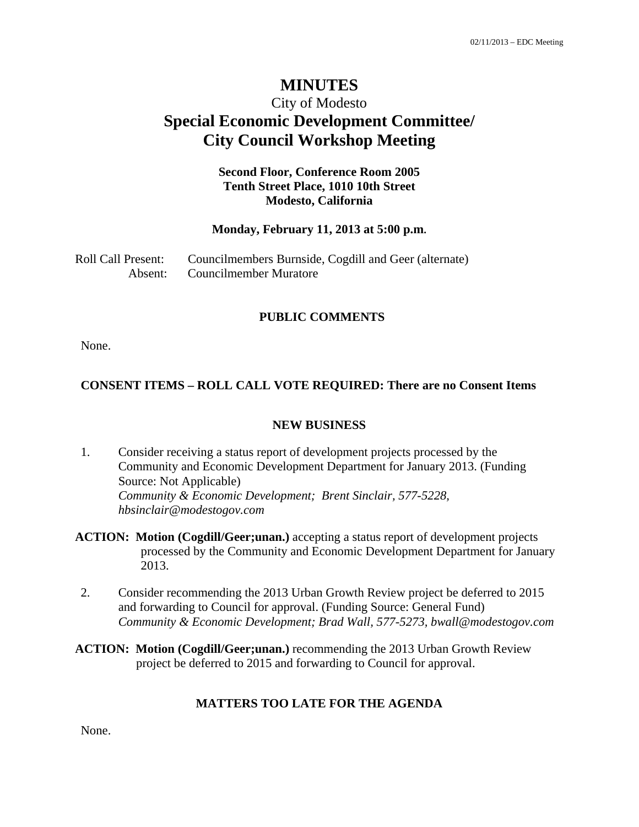# **MINUTES**

# City of Modesto **Special Economic Development Committee/ City Council Workshop Meeting**

## **Second Floor, Conference Room 2005 Tenth Street Place, 1010 10th Street Modesto, California**

#### **Monday, February 11, 2013 at 5:00 p.m.**

| Roll Call Present: | Councilmembers Burnside, Cogdill and Geer (alternate) |
|--------------------|-------------------------------------------------------|
| Absent:            | Councilmember Muratore                                |

### **PUBLIC COMMENTS**

None.

#### **CONSENT ITEMS – ROLL CALL VOTE REQUIRED: There are no Consent Items**

#### **NEW BUSINESS**

- 1. Consider receiving a status report of development projects processed by the Community and Economic Development Department for January 2013. (Funding Source: Not Applicable)  *Community & Economic Development; Brent Sinclair, 577-5228, hbsinclair@modestogov.com*
- **ACTION: Motion (Cogdill/Geer;unan.)** accepting a status report of development projects processed by the Community and Economic Development Department for January 2013.
- 2. Consider recommending the 2013 Urban Growth Review project be deferred to 2015 and forwarding to Council for approval. (Funding Source: General Fund)  *Community & Economic Development; Brad Wall, 577-5273, bwall@modestogov.com*

**ACTION: Motion (Cogdill/Geer;unan.)** recommending the 2013 Urban Growth Review project be deferred to 2015 and forwarding to Council for approval.

### **MATTERS TOO LATE FOR THE AGENDA**

None.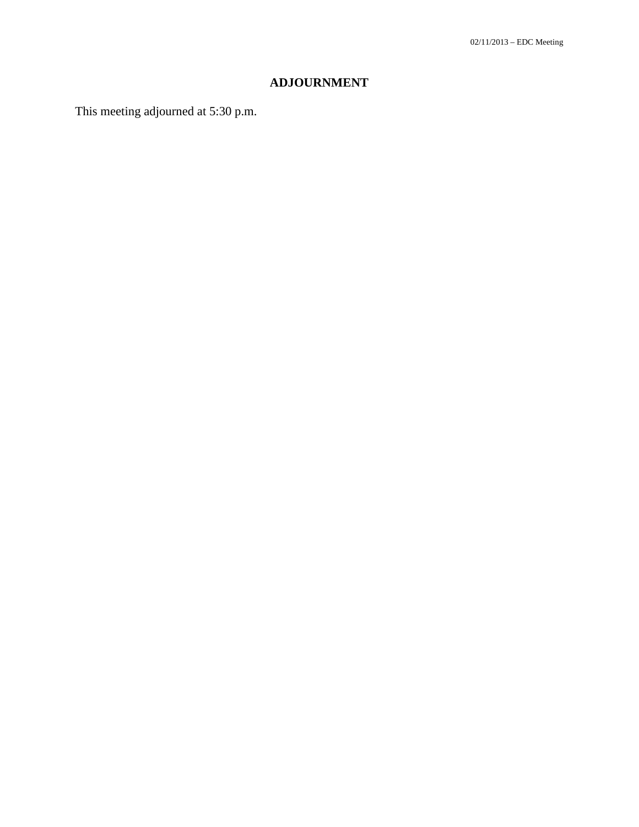# **ADJOURNMENT**

This meeting adjourned at 5:30 p.m.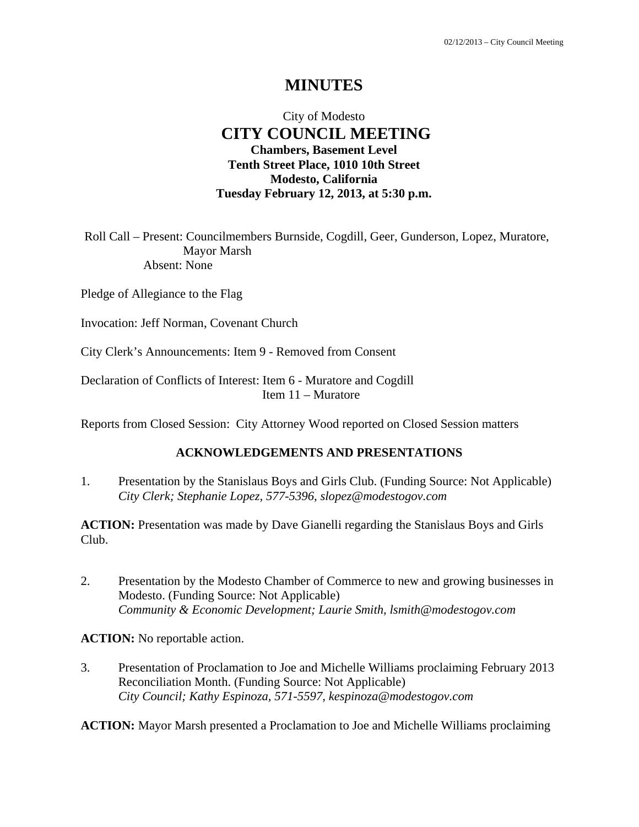# **MINUTES**

# City of Modesto  **CITY COUNCIL MEETING Chambers, Basement Level Tenth Street Place, 1010 10th Street Modesto, California Tuesday February 12, 2013, at 5:30 p.m.**

Roll Call – Present: Councilmembers Burnside, Cogdill, Geer, Gunderson, Lopez, Muratore, Mayor Marsh Absent: None

Pledge of Allegiance to the Flag

Invocation: Jeff Norman, Covenant Church

City Clerk's Announcements: Item 9 - Removed from Consent

Declaration of Conflicts of Interest: Item 6 - Muratore and Cogdill Item 11 – Muratore

Reports from Closed Session: City Attorney Wood reported on Closed Session matters

### **ACKNOWLEDGEMENTS AND PRESENTATIONS**

1. Presentation by the Stanislaus Boys and Girls Club. (Funding Source: Not Applicable)  *City Clerk; Stephanie Lopez, 577-5396, slopez@modestogov.com* 

**ACTION:** Presentation was made by Dave Gianelli regarding the Stanislaus Boys and Girls Club.

2. Presentation by the Modesto Chamber of Commerce to new and growing businesses in Modesto. (Funding Source: Not Applicable)  *Community & Economic Development; Laurie Smith, lsmith@modestogov.com* 

**ACTION:** No reportable action.

3. Presentation of Proclamation to Joe and Michelle Williams proclaiming February 2013 Reconciliation Month. (Funding Source: Not Applicable)  *City Council; Kathy Espinoza, 571-5597, kespinoza@modestogov.com* 

**ACTION:** Mayor Marsh presented a Proclamation to Joe and Michelle Williams proclaiming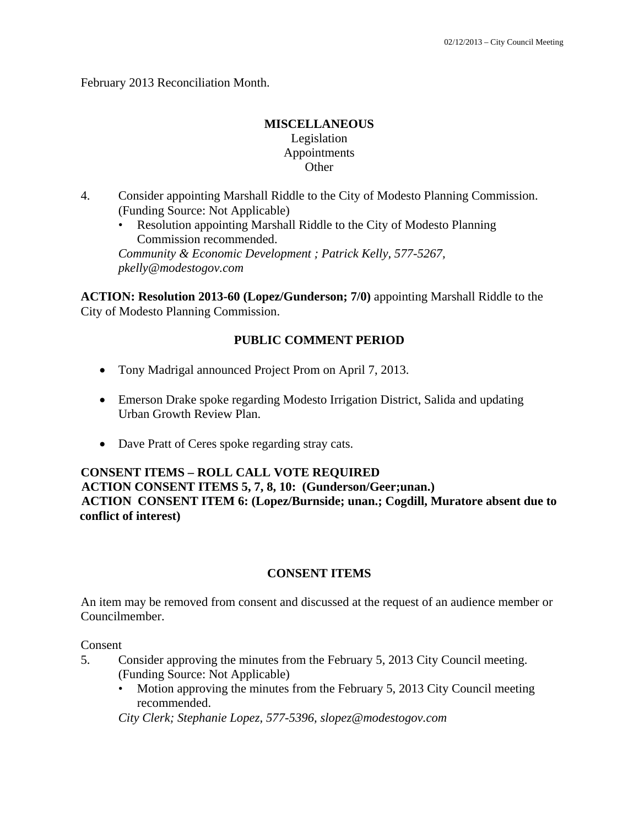February 2013 Reconciliation Month.

# **MISCELLANEOUS**  Legislation Appointments **Other**

- 4. Consider appointing Marshall Riddle to the City of Modesto Planning Commission. (Funding Source: Not Applicable)
	- Resolution appointing Marshall Riddle to the City of Modesto Planning Commission recommended.

*Community & Economic Development ; Patrick Kelly, 577-5267, pkelly@modestogov.com* 

**ACTION: Resolution 2013-60 (Lopez/Gunderson; 7/0)** appointing Marshall Riddle to the City of Modesto Planning Commission.

# **PUBLIC COMMENT PERIOD**

- Tony Madrigal announced Project Prom on April 7, 2013.
- Emerson Drake spoke regarding Modesto Irrigation District, Salida and updating Urban Growth Review Plan.
- Dave Pratt of Ceres spoke regarding stray cats.

# **CONSENT ITEMS – ROLL CALL VOTE REQUIRED ACTION CONSENT ITEMS 5, 7, 8, 10: (Gunderson/Geer;unan.) ACTION CONSENT ITEM 6: (Lopez/Burnside; unan.; Cogdill, Muratore absent due to conflict of interest)**

# **CONSENT ITEMS**

An item may be removed from consent and discussed at the request of an audience member or Councilmember.

Consent

- 5. Consider approving the minutes from the February 5, 2013 City Council meeting. (Funding Source: Not Applicable)
	- Motion approving the minutes from the February 5, 2013 City Council meeting recommended.

*City Clerk; Stephanie Lopez, 577-5396, slopez@modestogov.com*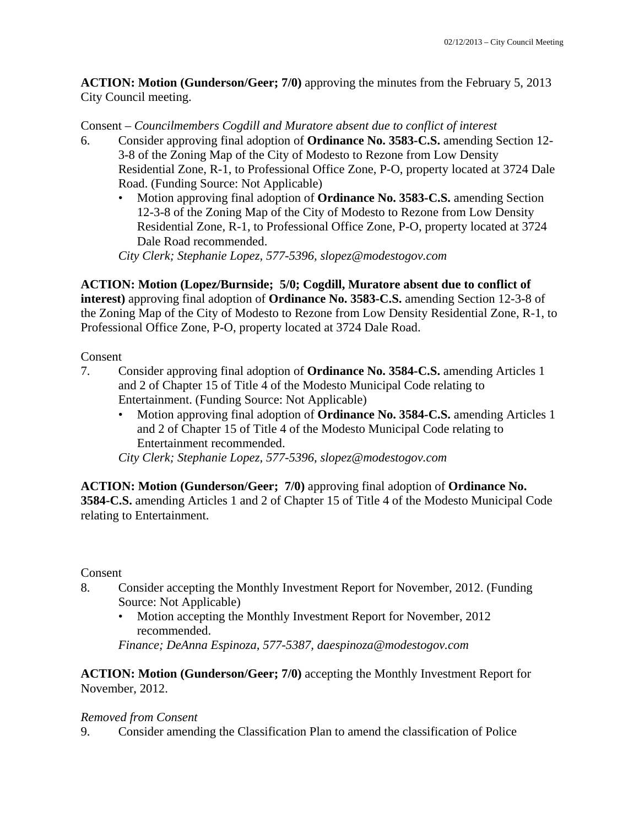**ACTION: Motion (Gunderson/Geer; 7/0)** approving the minutes from the February 5, 2013 City Council meeting.

Consent – *Councilmembers Cogdill and Muratore absent due to conflict of interest* 

- 6. Consider approving final adoption of **Ordinance No. 3583-C.S.** amending Section 12- 3-8 of the Zoning Map of the City of Modesto to Rezone from Low Density Residential Zone, R-1, to Professional Office Zone, P-O, property located at 3724 Dale Road. (Funding Source: Not Applicable)
	- Motion approving final adoption of **Ordinance No. 3583-C.S.** amending Section 12-3-8 of the Zoning Map of the City of Modesto to Rezone from Low Density Residential Zone, R-1, to Professional Office Zone, P-O, property located at 3724 Dale Road recommended.

*City Clerk; Stephanie Lopez, 577-5396, slopez@modestogov.com* 

**ACTION: Motion (Lopez/Burnside; 5/0; Cogdill, Muratore absent due to conflict of interest)** approving final adoption of **Ordinance No. 3583-C.S.** amending Section 12-3-8 of the Zoning Map of the City of Modesto to Rezone from Low Density Residential Zone, R-1, to Professional Office Zone, P-O, property located at 3724 Dale Road.

### Consent

- 7. Consider approving final adoption of **Ordinance No. 3584-C.S.** amending Articles 1 and 2 of Chapter 15 of Title 4 of the Modesto Municipal Code relating to Entertainment. (Funding Source: Not Applicable)
	- Motion approving final adoption of **Ordinance No. 3584-C.S.** amending Articles 1 and 2 of Chapter 15 of Title 4 of the Modesto Municipal Code relating to Entertainment recommended.

*City Clerk; Stephanie Lopez, 577-5396, slopez@modestogov.com* 

**ACTION: Motion (Gunderson/Geer; 7/0)** approving final adoption of **Ordinance No. 3584-C.S.** amending Articles 1 and 2 of Chapter 15 of Title 4 of the Modesto Municipal Code relating to Entertainment.

#### Consent

- 8. Consider accepting the Monthly Investment Report for November, 2012. (Funding Source: Not Applicable)
	- Motion accepting the Monthly Investment Report for November, 2012 recommended.

*Finance; DeAnna Espinoza, 577-5387, daespinoza@modestogov.com* 

**ACTION: Motion (Gunderson/Geer; 7/0)** accepting the Monthly Investment Report for November, 2012.

### *Removed from Consent*

9. Consider amending the Classification Plan to amend the classification of Police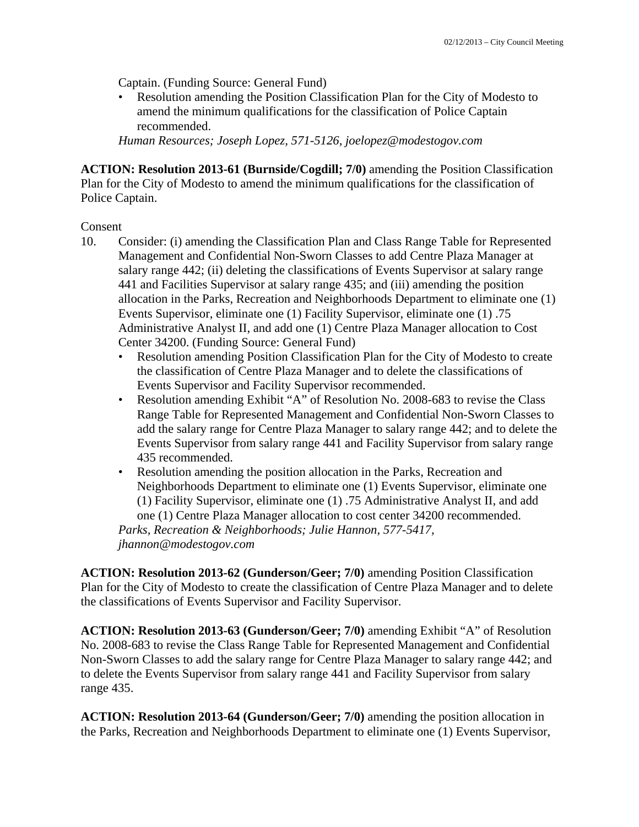Captain. (Funding Source: General Fund)

• Resolution amending the Position Classification Plan for the City of Modesto to amend the minimum qualifications for the classification of Police Captain recommended.

*Human Resources; Joseph Lopez, 571-5126, joelopez@modestogov.com* 

**ACTION: Resolution 2013-61 (Burnside/Cogdill; 7/0)** amending the Position Classification Plan for the City of Modesto to amend the minimum qualifications for the classification of Police Captain.

### **Consent**

- 10. Consider: (i) amending the Classification Plan and Class Range Table for Represented Management and Confidential Non-Sworn Classes to add Centre Plaza Manager at salary range 442; (ii) deleting the classifications of Events Supervisor at salary range 441 and Facilities Supervisor at salary range 435; and (iii) amending the position allocation in the Parks, Recreation and Neighborhoods Department to eliminate one (1) Events Supervisor, eliminate one (1) Facility Supervisor, eliminate one (1) .75 Administrative Analyst II, and add one (1) Centre Plaza Manager allocation to Cost Center 34200. (Funding Source: General Fund)
	- Resolution amending Position Classification Plan for the City of Modesto to create the classification of Centre Plaza Manager and to delete the classifications of Events Supervisor and Facility Supervisor recommended.
	- Resolution amending Exhibit "A" of Resolution No. 2008-683 to revise the Class Range Table for Represented Management and Confidential Non-Sworn Classes to add the salary range for Centre Plaza Manager to salary range 442; and to delete the Events Supervisor from salary range 441 and Facility Supervisor from salary range 435 recommended.
	- Resolution amending the position allocation in the Parks, Recreation and Neighborhoods Department to eliminate one (1) Events Supervisor, eliminate one (1) Facility Supervisor, eliminate one (1) .75 Administrative Analyst II, and add one (1) Centre Plaza Manager allocation to cost center 34200 recommended. *Parks, Recreation & Neighborhoods; Julie Hannon, 577-5417,*

*jhannon@modestogov.com* 

**ACTION: Resolution 2013-62 (Gunderson/Geer; 7/0)** amending Position Classification Plan for the City of Modesto to create the classification of Centre Plaza Manager and to delete the classifications of Events Supervisor and Facility Supervisor.

**ACTION: Resolution 2013-63 (Gunderson/Geer; 7/0)** amending Exhibit "A" of Resolution No. 2008-683 to revise the Class Range Table for Represented Management and Confidential Non-Sworn Classes to add the salary range for Centre Plaza Manager to salary range 442; and to delete the Events Supervisor from salary range 441 and Facility Supervisor from salary range 435.

**ACTION: Resolution 2013-64 (Gunderson/Geer; 7/0)** amending the position allocation in the Parks, Recreation and Neighborhoods Department to eliminate one (1) Events Supervisor,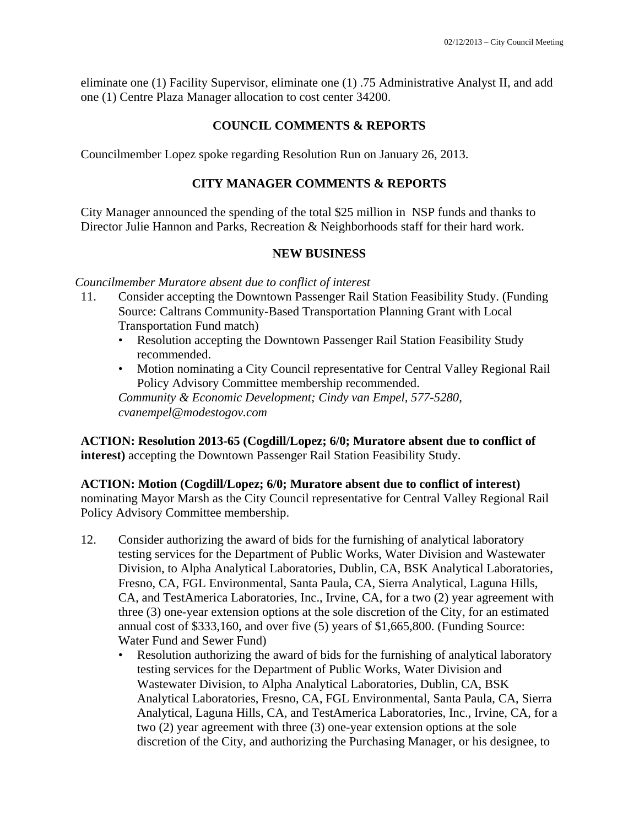eliminate one (1) Facility Supervisor, eliminate one (1) .75 Administrative Analyst II, and add one (1) Centre Plaza Manager allocation to cost center 34200.

### **COUNCIL COMMENTS & REPORTS**

Councilmember Lopez spoke regarding Resolution Run on January 26, 2013.

## **CITY MANAGER COMMENTS & REPORTS**

City Manager announced the spending of the total \$25 million in NSP funds and thanks to Director Julie Hannon and Parks, Recreation & Neighborhoods staff for their hard work.

### **NEW BUSINESS**

*Councilmember Muratore absent due to conflict of interest* 

- 11. Consider accepting the Downtown Passenger Rail Station Feasibility Study. (Funding Source: Caltrans Community-Based Transportation Planning Grant with Local Transportation Fund match)
	- Resolution accepting the Downtown Passenger Rail Station Feasibility Study recommended.
	- Motion nominating a City Council representative for Central Valley Regional Rail Policy Advisory Committee membership recommended.

*Community & Economic Development; Cindy van Empel, 577-5280, cvanempel@modestogov.com* 

**ACTION: Resolution 2013-65 (Cogdill/Lopez; 6/0; Muratore absent due to conflict of interest)** accepting the Downtown Passenger Rail Station Feasibility Study.

**ACTION: Motion (Cogdill/Lopez; 6/0; Muratore absent due to conflict of interest)** nominating Mayor Marsh as the City Council representative for Central Valley Regional Rail Policy Advisory Committee membership.

- 12. Consider authorizing the award of bids for the furnishing of analytical laboratory testing services for the Department of Public Works, Water Division and Wastewater Division, to Alpha Analytical Laboratories, Dublin, CA, BSK Analytical Laboratories, Fresno, CA, FGL Environmental, Santa Paula, CA, Sierra Analytical, Laguna Hills, CA, and TestAmerica Laboratories, Inc., Irvine, CA, for a two (2) year agreement with three (3) one-year extension options at the sole discretion of the City, for an estimated annual cost of \$333,160, and over five (5) years of \$1,665,800. (Funding Source: Water Fund and Sewer Fund)
	- Resolution authorizing the award of bids for the furnishing of analytical laboratory testing services for the Department of Public Works, Water Division and Wastewater Division, to Alpha Analytical Laboratories, Dublin, CA, BSK Analytical Laboratories, Fresno, CA, FGL Environmental, Santa Paula, CA, Sierra Analytical, Laguna Hills, CA, and TestAmerica Laboratories, Inc., Irvine, CA, for a two (2) year agreement with three (3) one-year extension options at the sole discretion of the City, and authorizing the Purchasing Manager, or his designee, to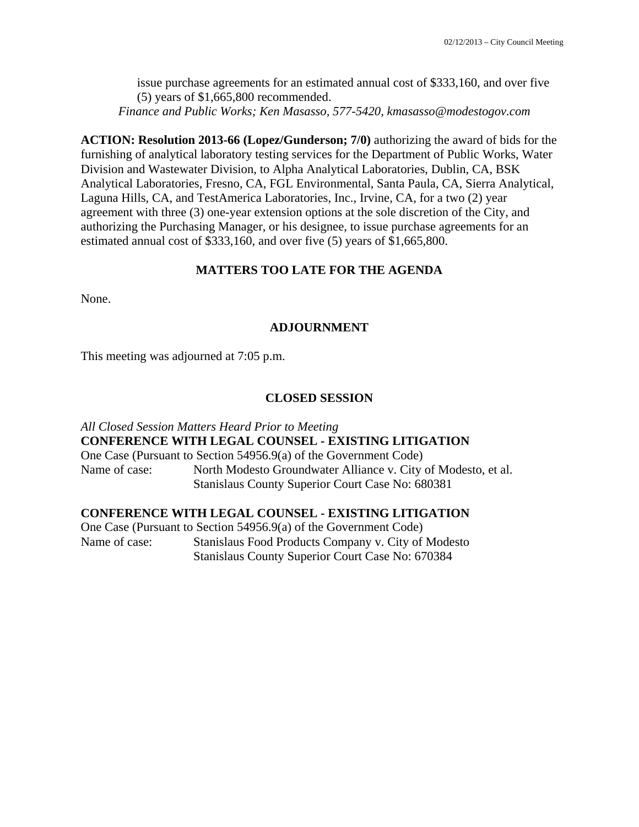issue purchase agreements for an estimated annual cost of \$333,160, and over five (5) years of \$1,665,800 recommended. *Finance and Public Works; Ken Masasso, 577-5420, kmasasso@modestogov.com* 

**ACTION: Resolution 2013-66 (Lopez/Gunderson; 7/0)** authorizing the award of bids for the furnishing of analytical laboratory testing services for the Department of Public Works, Water Division and Wastewater Division, to Alpha Analytical Laboratories, Dublin, CA, BSK Analytical Laboratories, Fresno, CA, FGL Environmental, Santa Paula, CA, Sierra Analytical, Laguna Hills, CA, and TestAmerica Laboratories, Inc., Irvine, CA, for a two (2) year agreement with three (3) one-year extension options at the sole discretion of the City, and authorizing the Purchasing Manager, or his designee, to issue purchase agreements for an estimated annual cost of \$333,160, and over five (5) years of \$1,665,800.

# **MATTERS TOO LATE FOR THE AGENDA**

None.

# **ADJOURNMENT**

This meeting was adjourned at 7:05 p.m.

# **CLOSED SESSION**

*All Closed Session Matters Heard Prior to Meeting*  **CONFERENCE WITH LEGAL COUNSEL - EXISTING LITIGATION**  One Case (Pursuant to Section 54956.9(a) of the Government Code) Name of case: North Modesto Groundwater Alliance v. City of Modesto, et al. Stanislaus County Superior Court Case No: 680381

# **CONFERENCE WITH LEGAL COUNSEL - EXISTING LITIGATION**

One Case (Pursuant to Section 54956.9(a) of the Government Code) Name of case: Stanislaus Food Products Company v. City of Modesto Stanislaus County Superior Court Case No: 670384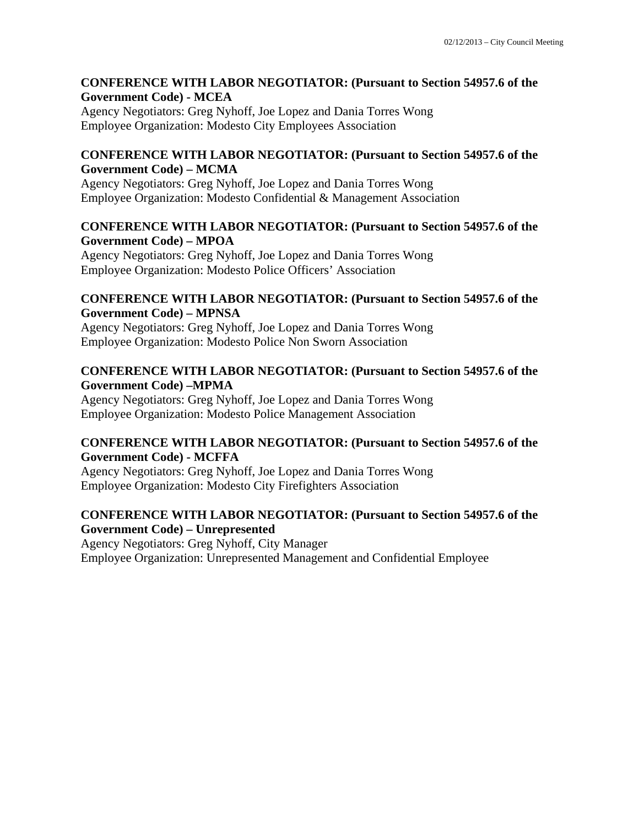### **CONFERENCE WITH LABOR NEGOTIATOR: (Pursuant to Section 54957.6 of the Government Code) - MCEA**

Agency Negotiators: Greg Nyhoff, Joe Lopez and Dania Torres Wong Employee Organization: Modesto City Employees Association

## **CONFERENCE WITH LABOR NEGOTIATOR: (Pursuant to Section 54957.6 of the Government Code) – MCMA**

Agency Negotiators: Greg Nyhoff, Joe Lopez and Dania Torres Wong Employee Organization: Modesto Confidential & Management Association

## **CONFERENCE WITH LABOR NEGOTIATOR: (Pursuant to Section 54957.6 of the Government Code) – MPOA**

Agency Negotiators: Greg Nyhoff, Joe Lopez and Dania Torres Wong Employee Organization: Modesto Police Officers' Association

## **CONFERENCE WITH LABOR NEGOTIATOR: (Pursuant to Section 54957.6 of the Government Code) – MPNSA**

Agency Negotiators: Greg Nyhoff, Joe Lopez and Dania Torres Wong Employee Organization: Modesto Police Non Sworn Association

# **CONFERENCE WITH LABOR NEGOTIATOR: (Pursuant to Section 54957.6 of the Government Code) –MPMA**

Agency Negotiators: Greg Nyhoff, Joe Lopez and Dania Torres Wong Employee Organization: Modesto Police Management Association

# **CONFERENCE WITH LABOR NEGOTIATOR: (Pursuant to Section 54957.6 of the Government Code) - MCFFA**

Agency Negotiators: Greg Nyhoff, Joe Lopez and Dania Torres Wong Employee Organization: Modesto City Firefighters Association

# **CONFERENCE WITH LABOR NEGOTIATOR: (Pursuant to Section 54957.6 of the Government Code) – Unrepresented**

Agency Negotiators: Greg Nyhoff, City Manager Employee Organization: Unrepresented Management and Confidential Employee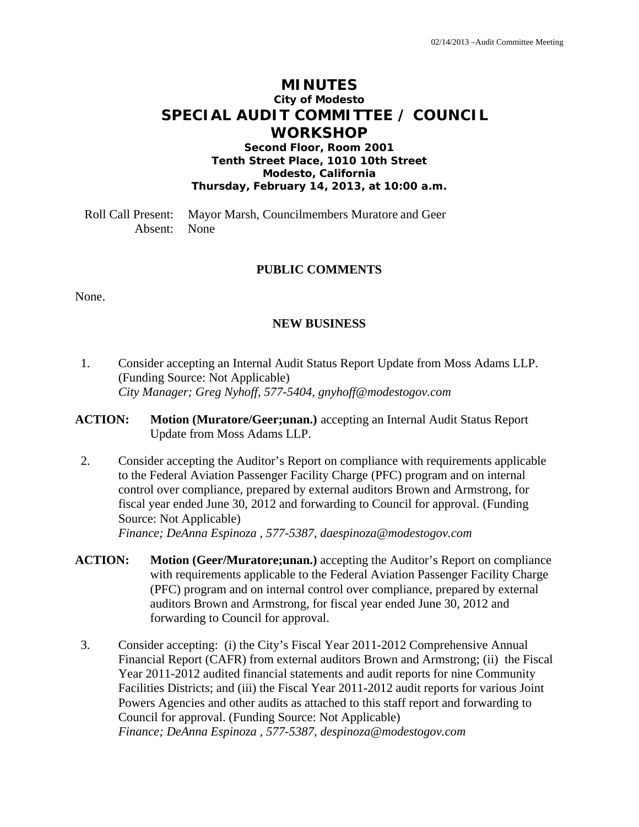# **MINUTES City of Modesto SPECIAL AUDIT COMMITTEE / COUNCIL WORKSHOP**

**Second Floor, Room 2001 Tenth Street Place, 1010 10th Street Modesto, California Thursday, February 14, 2013, at 10:00 a.m.** 

Roll Call Present: Mayor Marsh, Councilmembers Muratore and Geer Absent: None

### **PUBLIC COMMENTS**

None.

#### **NEW BUSINESS**

- 1. Consider accepting an Internal Audit Status Report Update from Moss Adams LLP. (Funding Source: Not Applicable)  *City Manager; Greg Nyhoff, 577-5404, gnyhoff@modestogov.com*
- **ACTION: Motion (Muratore/Geer;unan.)** accepting an Internal Audit Status Report Update from Moss Adams LLP.
- 2. Consider accepting the Auditor's Report on compliance with requirements applicable to the Federal Aviation Passenger Facility Charge (PFC) program and on internal control over compliance, prepared by external auditors Brown and Armstrong, for fiscal year ended June 30, 2012 and forwarding to Council for approval. (Funding Source: Not Applicable)

 *Finance; DeAnna Espinoza , 577-5387, daespinoza@modestogov.com* 

- **ACTION: Motion (Geer/Muratore;unan.)** accepting the Auditor's Report on compliance with requirements applicable to the Federal Aviation Passenger Facility Charge (PFC) program and on internal control over compliance, prepared by external auditors Brown and Armstrong, for fiscal year ended June 30, 2012 and forwarding to Council for approval.
- 3. Consider accepting: (i) the City's Fiscal Year 2011-2012 Comprehensive Annual Financial Report (CAFR) from external auditors Brown and Armstrong; (ii) the Fiscal Year 2011-2012 audited financial statements and audit reports for nine Community Facilities Districts; and (iii) the Fiscal Year 2011-2012 audit reports for various Joint Powers Agencies and other audits as attached to this staff report and forwarding to Council for approval. (Funding Source: Not Applicable)  *Finance; DeAnna Espinoza , 577-5387, despinoza@modestogov.com*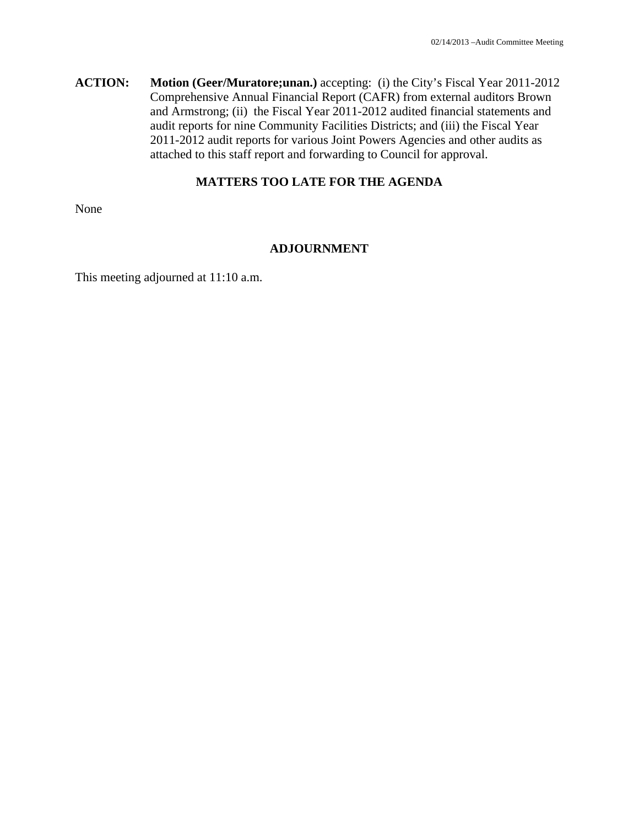**ACTION: Motion (Geer/Muratore;unan.)** accepting: (i) the City's Fiscal Year 2011-2012 Comprehensive Annual Financial Report (CAFR) from external auditors Brown and Armstrong; (ii) the Fiscal Year 2011-2012 audited financial statements and audit reports for nine Community Facilities Districts; and (iii) the Fiscal Year 2011-2012 audit reports for various Joint Powers Agencies and other audits as attached to this staff report and forwarding to Council for approval.

# **MATTERS TOO LATE FOR THE AGENDA**

None

### **ADJOURNMENT**

This meeting adjourned at 11:10 a.m.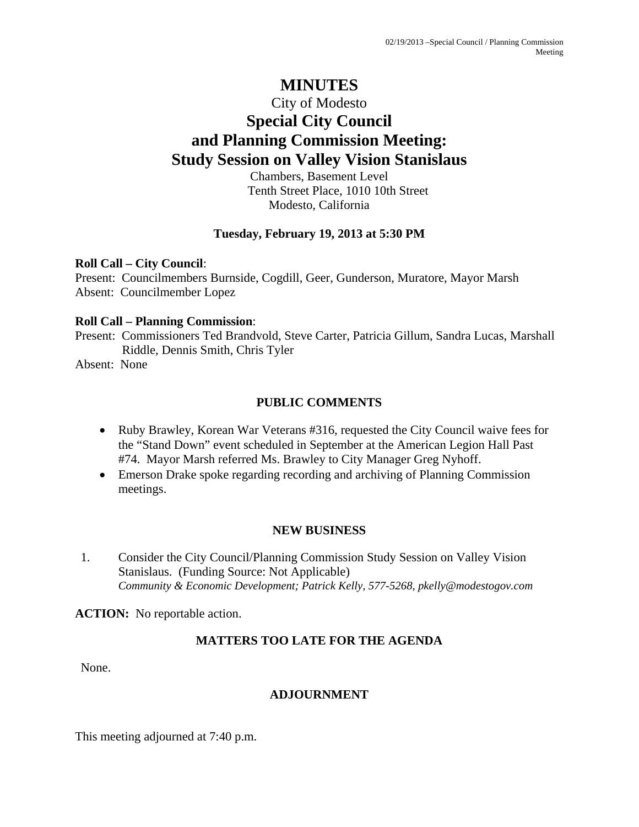# **MINUTES**

# City of Modesto **Special City Council and Planning Commission Meeting: Study Session on Valley Vision Stanislaus**

Chambers, Basement Level Tenth Street Place, 1010 10th Street Modesto, California

# **Tuesday, February 19, 2013 at 5:30 PM**

# **Roll Call – City Council**:

Present: Councilmembers Burnside, Cogdill, Geer, Gunderson, Muratore, Mayor Marsh Absent: Councilmember Lopez

# **Roll Call – Planning Commission**:

Present: Commissioners Ted Brandvold, Steve Carter, Patricia Gillum, Sandra Lucas, Marshall Riddle, Dennis Smith, Chris Tyler

Absent: None

# **PUBLIC COMMENTS**

- Ruby Brawley, Korean War Veterans #316, requested the City Council waive fees for the "Stand Down" event scheduled in September at the American Legion Hall Past #74. Mayor Marsh referred Ms. Brawley to City Manager Greg Nyhoff.
- Emerson Drake spoke regarding recording and archiving of Planning Commission meetings.

# **NEW BUSINESS**

1. Consider the City Council/Planning Commission Study Session on Valley Vision Stanislaus. (Funding Source: Not Applicable) *Community & Economic Development; Patrick Kelly, 577-5268, pkelly@modestogov.com* 

**ACTION:** No reportable action.

# **MATTERS TOO LATE FOR THE AGENDA**

None.

# **ADJOURNMENT**

This meeting adjourned at 7:40 p.m.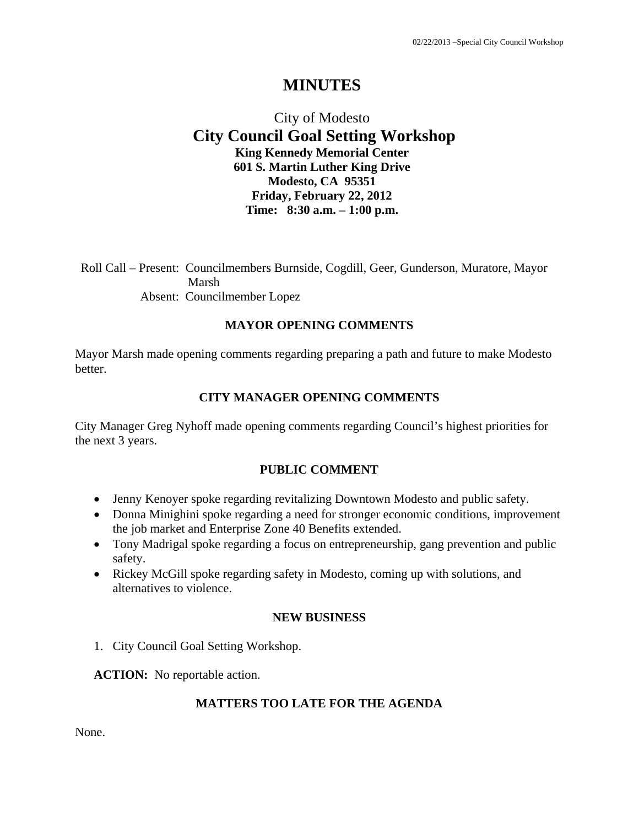# **MINUTES**

# City of Modesto  **City Council Goal Setting Workshop King Kennedy Memorial Center 601 S. Martin Luther King Drive Modesto, CA 95351 Friday, February 22, 2012 Time: 8:30 a.m. – 1:00 p.m.**

Roll Call – Present: Councilmembers Burnside, Cogdill, Geer, Gunderson, Muratore, Mayor Marsh Absent: Councilmember Lopez

# **MAYOR OPENING COMMENTS**

Mayor Marsh made opening comments regarding preparing a path and future to make Modesto better.

### **CITY MANAGER OPENING COMMENTS**

City Manager Greg Nyhoff made opening comments regarding Council's highest priorities for the next 3 years.

### **PUBLIC COMMENT**

- Jenny Kenoyer spoke regarding revitalizing Downtown Modesto and public safety.
- Donna Minighini spoke regarding a need for stronger economic conditions, improvement the job market and Enterprise Zone 40 Benefits extended.
- Tony Madrigal spoke regarding a focus on entrepreneurship, gang prevention and public safety.
- Rickey McGill spoke regarding safety in Modesto, coming up with solutions, and alternatives to violence.

### **NEW BUSINESS**

1. City Council Goal Setting Workshop.

**ACTION:** No reportable action.

### **MATTERS TOO LATE FOR THE AGENDA**

None.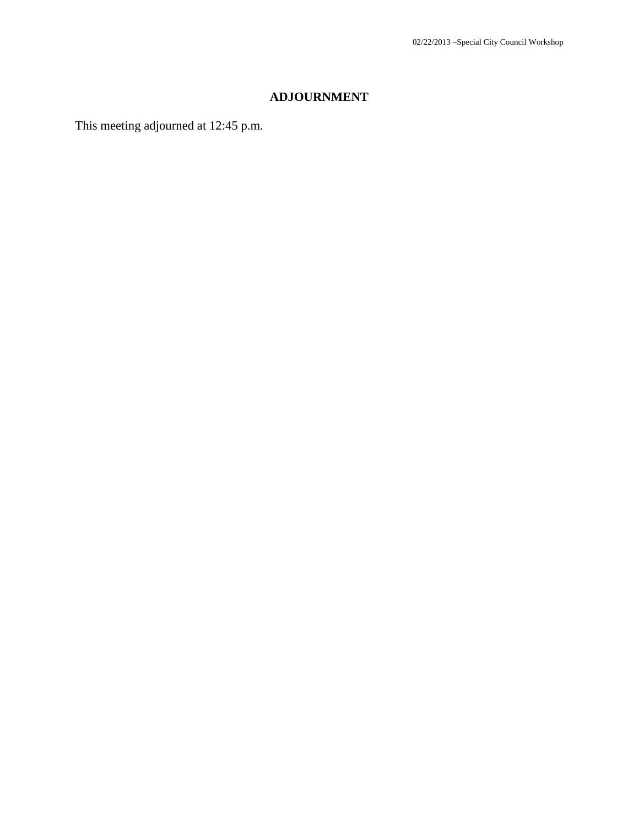# **ADJOURNMENT**

This meeting adjourned at 12:45 p.m.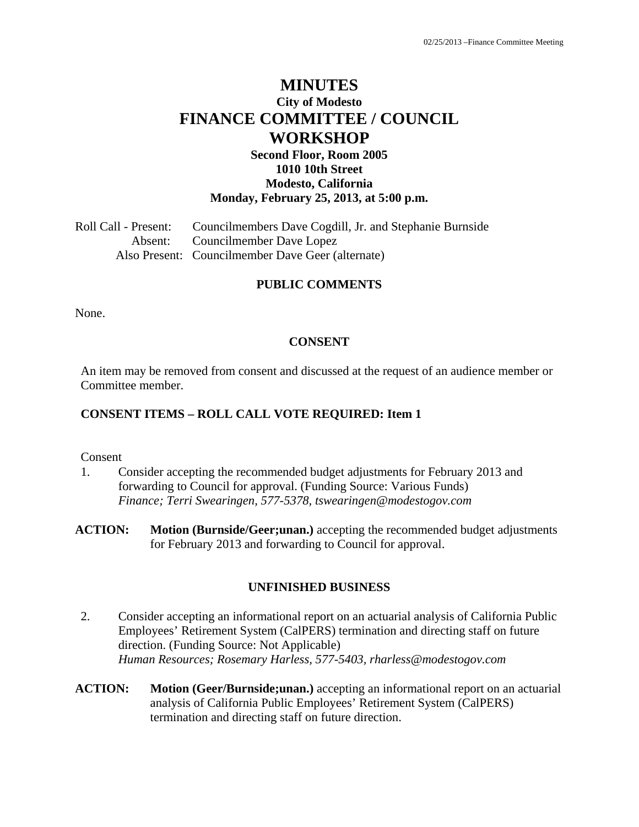# **MINUTES City of Modesto FINANCE COMMITTEE / COUNCIL WORKSHOP**

## **Second Floor, Room 2005 1010 10th Street Modesto, California Monday, February 25, 2013, at 5:00 p.m.**

Roll Call - Present: Councilmembers Dave Cogdill, Jr. and Stephanie Burnside Absent: Councilmember Dave Lopez Also Present: Councilmember Dave Geer (alternate)

### **PUBLIC COMMENTS**

None.

### **CONSENT**

An item may be removed from consent and discussed at the request of an audience member or Committee member.

### **CONSENT ITEMS – ROLL CALL VOTE REQUIRED: Item 1**

#### Consent

- 1. Consider accepting the recommended budget adjustments for February 2013 and forwarding to Council for approval. (Funding Source: Various Funds)  *Finance; Terri Swearingen, 577-5378, tswearingen@modestogov.com*
- **ACTION: Motion (Burnside/Geer;unan.)** accepting the recommended budget adjustments for February 2013 and forwarding to Council for approval.

### **UNFINISHED BUSINESS**

- 2. Consider accepting an informational report on an actuarial analysis of California Public Employees' Retirement System (CalPERS) termination and directing staff on future direction. (Funding Source: Not Applicable)  *Human Resources; Rosemary Harless, 577-5403, rharless@modestogov.com*
- **ACTION: Motion (Geer/Burnside;unan.)** accepting an informational report on an actuarial analysis of California Public Employees' Retirement System (CalPERS) termination and directing staff on future direction.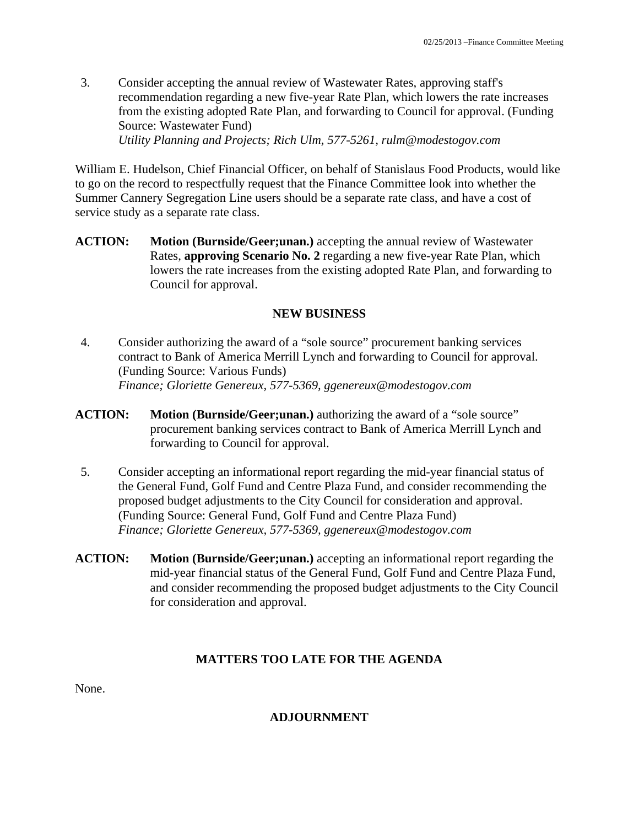3. Consider accepting the annual review of Wastewater Rates, approving staff's recommendation regarding a new five-year Rate Plan, which lowers the rate increases from the existing adopted Rate Plan, and forwarding to Council for approval. (Funding Source: Wastewater Fund)  *Utility Planning and Projects; Rich Ulm, 577-5261, rulm@modestogov.com* 

William E. Hudelson, Chief Financial Officer, on behalf of Stanislaus Food Products, would like to go on the record to respectfully request that the Finance Committee look into whether the Summer Cannery Segregation Line users should be a separate rate class, and have a cost of service study as a separate rate class.

**ACTION:** Motion (Burnside/Geer;unan.) accepting the annual review of Wastewater Rates, **approving Scenario No. 2** regarding a new five-year Rate Plan, which lowers the rate increases from the existing adopted Rate Plan, and forwarding to Council for approval.

### **NEW BUSINESS**

- 4. Consider authorizing the award of a "sole source" procurement banking services contract to Bank of America Merrill Lynch and forwarding to Council for approval. (Funding Source: Various Funds)  *Finance; Gloriette Genereux, 577-5369, ggenereux@modestogov.com*
- **ACTION: Motion (Burnside/Geer;unan.)** authorizing the award of a "sole source" procurement banking services contract to Bank of America Merrill Lynch and forwarding to Council for approval.
- 5. Consider accepting an informational report regarding the mid-year financial status of the General Fund, Golf Fund and Centre Plaza Fund, and consider recommending the proposed budget adjustments to the City Council for consideration and approval. (Funding Source: General Fund, Golf Fund and Centre Plaza Fund)  *Finance; Gloriette Genereux, 577-5369, ggenereux@modestogov.com*
- **ACTION:** Motion (Burnside/Geer; unan.) accepting an informational report regarding the mid-year financial status of the General Fund, Golf Fund and Centre Plaza Fund, and consider recommending the proposed budget adjustments to the City Council for consideration and approval.

# **MATTERS TOO LATE FOR THE AGENDA**

None.

# **ADJOURNMENT**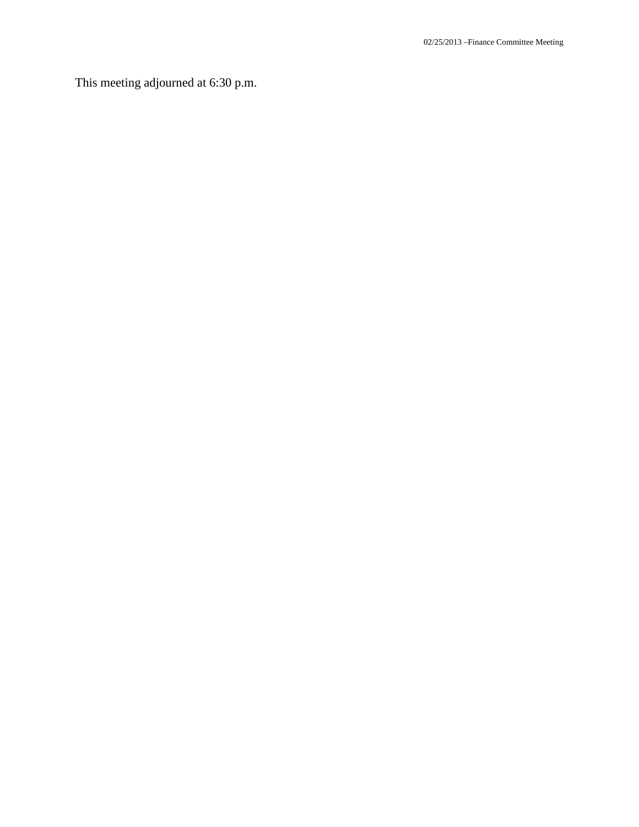This meeting adjourned at 6:30 p.m.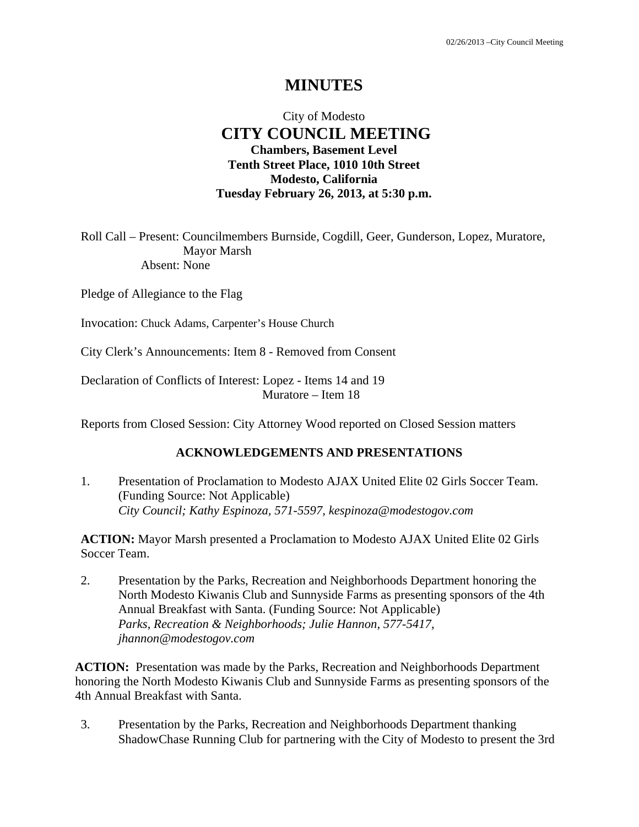# **MINUTES**

# City of Modesto  **CITY COUNCIL MEETING Chambers, Basement Level Tenth Street Place, 1010 10th Street Modesto, California Tuesday February 26, 2013, at 5:30 p.m.**

Roll Call – Present: Councilmembers Burnside, Cogdill, Geer, Gunderson, Lopez, Muratore, Mayor Marsh Absent: None

Pledge of Allegiance to the Flag

Invocation: Chuck Adams, Carpenter's House Church

City Clerk's Announcements: Item 8 - Removed from Consent

Declaration of Conflicts of Interest: Lopez - Items 14 and 19 Muratore – Item 18

Reports from Closed Session: City Attorney Wood reported on Closed Session matters

### **ACKNOWLEDGEMENTS AND PRESENTATIONS**

1. Presentation of Proclamation to Modesto AJAX United Elite 02 Girls Soccer Team. (Funding Source: Not Applicable)  *City Council; Kathy Espinoza, 571-5597, kespinoza@modestogov.com* 

**ACTION:** Mayor Marsh presented a Proclamation to Modesto AJAX United Elite 02 Girls Soccer Team.

2. Presentation by the Parks, Recreation and Neighborhoods Department honoring the North Modesto Kiwanis Club and Sunnyside Farms as presenting sponsors of the 4th Annual Breakfast with Santa. (Funding Source: Not Applicable)  *Parks, Recreation & Neighborhoods; Julie Hannon, 577-5417, jhannon@modestogov.com* 

**ACTION:** Presentation was made by the Parks, Recreation and Neighborhoods Department honoring the North Modesto Kiwanis Club and Sunnyside Farms as presenting sponsors of the 4th Annual Breakfast with Santa.

3. Presentation by the Parks, Recreation and Neighborhoods Department thanking ShadowChase Running Club for partnering with the City of Modesto to present the 3rd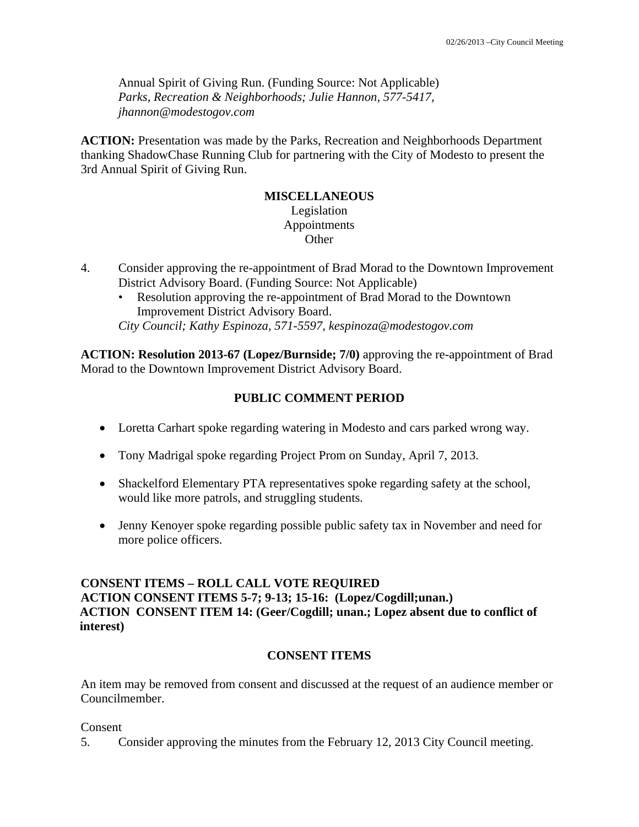Annual Spirit of Giving Run. (Funding Source: Not Applicable)  *Parks, Recreation & Neighborhoods; Julie Hannon, 577-5417, jhannon@modestogov.com* 

**ACTION:** Presentation was made by the Parks, Recreation and Neighborhoods Department thanking ShadowChase Running Club for partnering with the City of Modesto to present the 3rd Annual Spirit of Giving Run.

## **MISCELLANEOUS**  Legislation Appointments

# **Other**

- 4. Consider approving the re-appointment of Brad Morad to the Downtown Improvement District Advisory Board. (Funding Source: Not Applicable)
	- Resolution approving the re-appointment of Brad Morad to the Downtown Improvement District Advisory Board.

*City Council; Kathy Espinoza, 571-5597, kespinoza@modestogov.com* 

**ACTION: Resolution 2013-67 (Lopez/Burnside; 7/0)** approving the re-appointment of Brad Morad to the Downtown Improvement District Advisory Board.

# **PUBLIC COMMENT PERIOD**

- Loretta Carhart spoke regarding watering in Modesto and cars parked wrong way.
- Tony Madrigal spoke regarding Project Prom on Sunday, April 7, 2013.
- Shackelford Elementary PTA representatives spoke regarding safety at the school, would like more patrols, and struggling students.
- Jenny Kenoyer spoke regarding possible public safety tax in November and need for more police officers.

## **CONSENT ITEMS – ROLL CALL VOTE REQUIRED ACTION CONSENT ITEMS 5-7; 9-13; 15-16: (Lopez/Cogdill;unan.) ACTION CONSENT ITEM 14: (Geer/Cogdill; unan.; Lopez absent due to conflict of interest)**

# **CONSENT ITEMS**

An item may be removed from consent and discussed at the request of an audience member or Councilmember.

### Consent

5. Consider approving the minutes from the February 12, 2013 City Council meeting.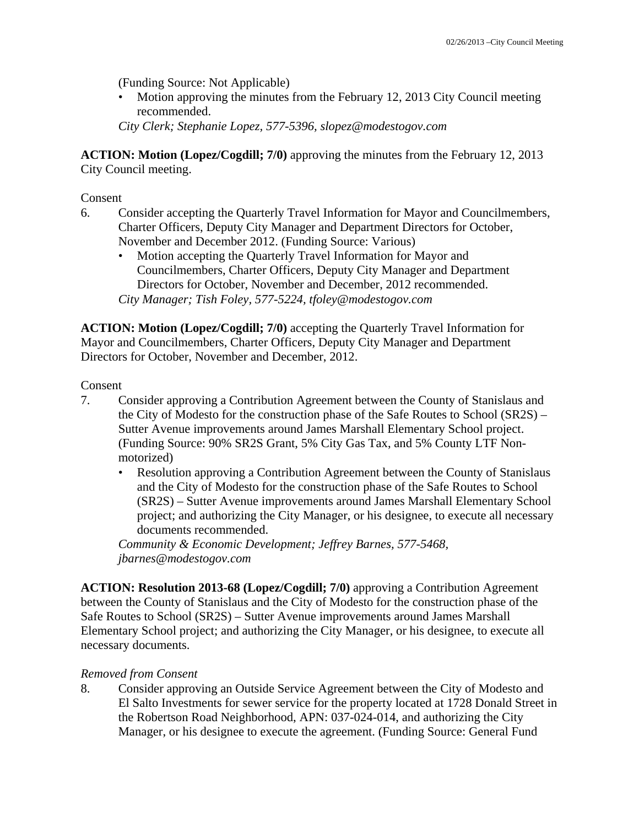(Funding Source: Not Applicable)

• Motion approving the minutes from the February 12, 2013 City Council meeting recommended.

*City Clerk; Stephanie Lopez, 577-5396, slopez@modestogov.com* 

**ACTION: Motion (Lopez/Cogdill; 7/0)** approving the minutes from the February 12, 2013 City Council meeting.

### Consent

- 6. Consider accepting the Quarterly Travel Information for Mayor and Councilmembers, Charter Officers, Deputy City Manager and Department Directors for October, November and December 2012. (Funding Source: Various)
	- Motion accepting the Quarterly Travel Information for Mayor and Councilmembers, Charter Officers, Deputy City Manager and Department Directors for October, November and December, 2012 recommended. *City Manager; Tish Foley, 577-5224, tfoley@modestogov.com*

**ACTION: Motion (Lopez/Cogdill; 7/0)** accepting the Quarterly Travel Information for Mayor and Councilmembers, Charter Officers, Deputy City Manager and Department Directors for October, November and December, 2012.

### Consent

- 7. Consider approving a Contribution Agreement between the County of Stanislaus and the City of Modesto for the construction phase of the Safe Routes to School (SR2S) – Sutter Avenue improvements around James Marshall Elementary School project. (Funding Source: 90% SR2S Grant, 5% City Gas Tax, and 5% County LTF Nonmotorized)
	- Resolution approving a Contribution Agreement between the County of Stanislaus and the City of Modesto for the construction phase of the Safe Routes to School (SR2S) – Sutter Avenue improvements around James Marshall Elementary School project; and authorizing the City Manager, or his designee, to execute all necessary documents recommended.

*Community & Economic Development; Jeffrey Barnes, 577-5468, jbarnes@modestogov.com* 

**ACTION: Resolution 2013-68 (Lopez/Cogdill; 7/0)** approving a Contribution Agreement between the County of Stanislaus and the City of Modesto for the construction phase of the Safe Routes to School (SR2S) – Sutter Avenue improvements around James Marshall Elementary School project; and authorizing the City Manager, or his designee, to execute all necessary documents.

### *Removed from Consent*

8. Consider approving an Outside Service Agreement between the City of Modesto and El Salto Investments for sewer service for the property located at 1728 Donald Street in the Robertson Road Neighborhood, APN: 037-024-014, and authorizing the City Manager, or his designee to execute the agreement. (Funding Source: General Fund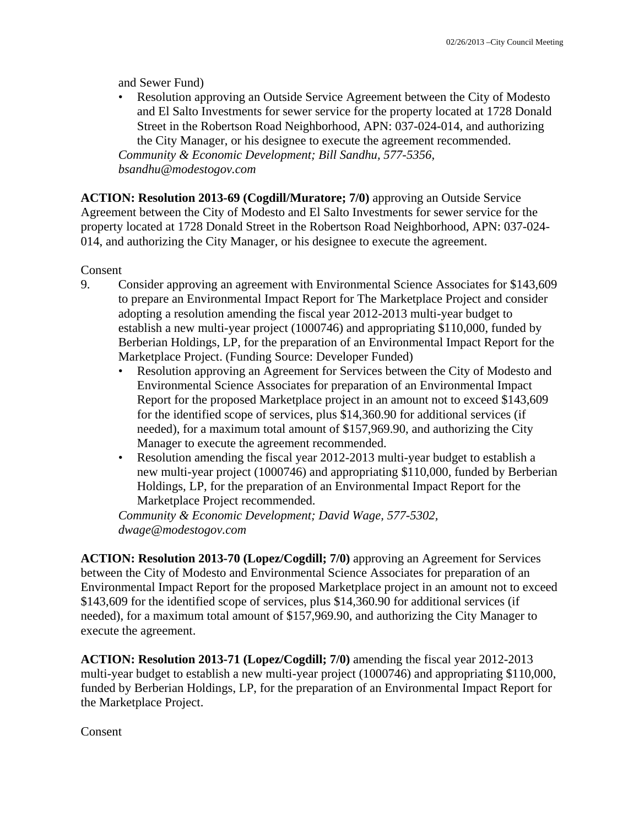and Sewer Fund)

• Resolution approving an Outside Service Agreement between the City of Modesto and El Salto Investments for sewer service for the property located at 1728 Donald Street in the Robertson Road Neighborhood, APN: 037-024-014, and authorizing the City Manager, or his designee to execute the agreement recommended. *Community & Economic Development; Bill Sandhu, 577-5356,* 

*bsandhu@modestogov.com* 

**ACTION: Resolution 2013-69 (Cogdill/Muratore; 7/0)** approving an Outside Service Agreement between the City of Modesto and El Salto Investments for sewer service for the property located at 1728 Donald Street in the Robertson Road Neighborhood, APN: 037-024- 014, and authorizing the City Manager, or his designee to execute the agreement.

Consent

- 9. Consider approving an agreement with Environmental Science Associates for \$143,609 to prepare an Environmental Impact Report for The Marketplace Project and consider adopting a resolution amending the fiscal year 2012-2013 multi-year budget to establish a new multi-year project (1000746) and appropriating \$110,000, funded by Berberian Holdings, LP, for the preparation of an Environmental Impact Report for the Marketplace Project. (Funding Source: Developer Funded)
	- Resolution approving an Agreement for Services between the City of Modesto and Environmental Science Associates for preparation of an Environmental Impact Report for the proposed Marketplace project in an amount not to exceed \$143,609 for the identified scope of services, plus \$14,360.90 for additional services (if needed), for a maximum total amount of \$157,969.90, and authorizing the City Manager to execute the agreement recommended.
	- Resolution amending the fiscal year 2012-2013 multi-year budget to establish a new multi-year project (1000746) and appropriating \$110,000, funded by Berberian Holdings, LP, for the preparation of an Environmental Impact Report for the Marketplace Project recommended.

*Community & Economic Development; David Wage, 577-5302, dwage@modestogov.com* 

**ACTION: Resolution 2013-70 (Lopez/Cogdill; 7/0)** approving an Agreement for Services between the City of Modesto and Environmental Science Associates for preparation of an Environmental Impact Report for the proposed Marketplace project in an amount not to exceed \$143,609 for the identified scope of services, plus \$14,360.90 for additional services (if needed), for a maximum total amount of \$157,969.90, and authorizing the City Manager to execute the agreement.

**ACTION: Resolution 2013-71 (Lopez/Cogdill; 7/0)** amending the fiscal year 2012-2013 multi-year budget to establish a new multi-year project (1000746) and appropriating \$110,000, funded by Berberian Holdings, LP, for the preparation of an Environmental Impact Report for the Marketplace Project.

**Consent**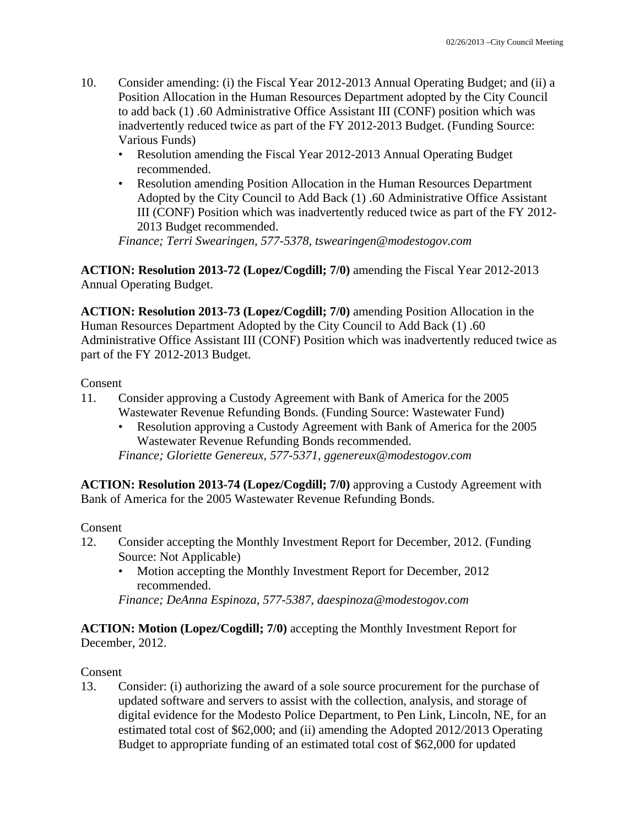- 10. Consider amending: (i) the Fiscal Year 2012-2013 Annual Operating Budget; and (ii) a Position Allocation in the Human Resources Department adopted by the City Council to add back (1) .60 Administrative Office Assistant III (CONF) position which was inadvertently reduced twice as part of the FY 2012-2013 Budget. (Funding Source: Various Funds)
	- Resolution amending the Fiscal Year 2012-2013 Annual Operating Budget recommended.
	- Resolution amending Position Allocation in the Human Resources Department Adopted by the City Council to Add Back (1) .60 Administrative Office Assistant III (CONF) Position which was inadvertently reduced twice as part of the FY 2012- 2013 Budget recommended.

*Finance; Terri Swearingen, 577-5378, tswearingen@modestogov.com* 

**ACTION: Resolution 2013-72 (Lopez/Cogdill; 7/0)** amending the Fiscal Year 2012-2013 Annual Operating Budget.

**ACTION: Resolution 2013-73 (Lopez/Cogdill; 7/0)** amending Position Allocation in the Human Resources Department Adopted by the City Council to Add Back (1) .60 Administrative Office Assistant III (CONF) Position which was inadvertently reduced twice as part of the FY 2012-2013 Budget.

### Consent

- 11. Consider approving a Custody Agreement with Bank of America for the 2005 Wastewater Revenue Refunding Bonds. (Funding Source: Wastewater Fund)
	- Resolution approving a Custody Agreement with Bank of America for the 2005 Wastewater Revenue Refunding Bonds recommended. *Finance; Gloriette Genereux, 577-5371, ggenereux@modestogov.com*

**ACTION: Resolution 2013-74 (Lopez/Cogdill; 7/0)** approving a Custody Agreement with Bank of America for the 2005 Wastewater Revenue Refunding Bonds.

#### Consent

- 12. Consider accepting the Monthly Investment Report for December, 2012. (Funding Source: Not Applicable)
	- Motion accepting the Monthly Investment Report for December, 2012 recommended.

*Finance; DeAnna Espinoza, 577-5387, daespinoza@modestogov.com* 

**ACTION: Motion (Lopez/Cogdill; 7/0)** accepting the Monthly Investment Report for December, 2012.

### Consent

13. Consider: (i) authorizing the award of a sole source procurement for the purchase of updated software and servers to assist with the collection, analysis, and storage of digital evidence for the Modesto Police Department, to Pen Link, Lincoln, NE, for an estimated total cost of \$62,000; and (ii) amending the Adopted 2012/2013 Operating Budget to appropriate funding of an estimated total cost of \$62,000 for updated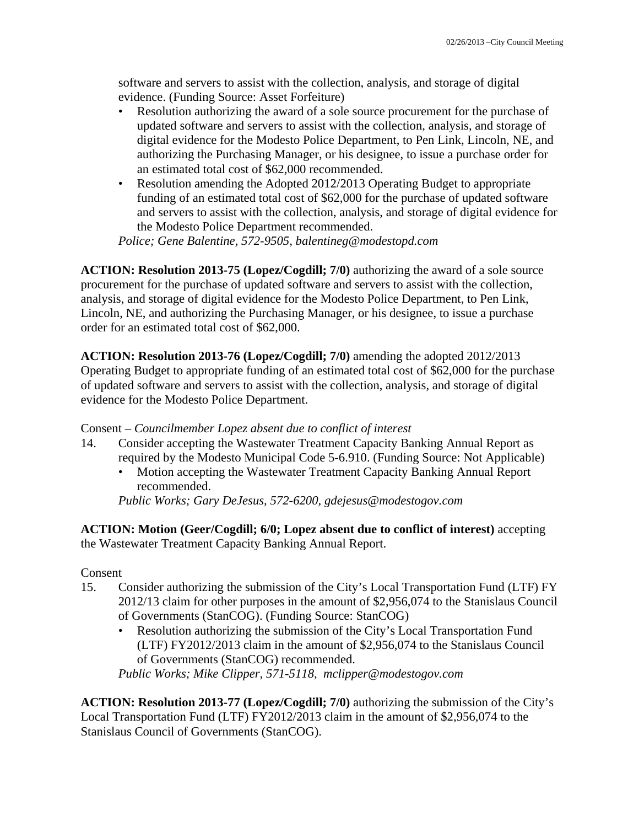software and servers to assist with the collection, analysis, and storage of digital evidence. (Funding Source: Asset Forfeiture)

- Resolution authorizing the award of a sole source procurement for the purchase of updated software and servers to assist with the collection, analysis, and storage of digital evidence for the Modesto Police Department, to Pen Link, Lincoln, NE, and authorizing the Purchasing Manager, or his designee, to issue a purchase order for an estimated total cost of \$62,000 recommended.
- Resolution amending the Adopted 2012/2013 Operating Budget to appropriate funding of an estimated total cost of \$62,000 for the purchase of updated software and servers to assist with the collection, analysis, and storage of digital evidence for the Modesto Police Department recommended.

*Police; Gene Balentine, 572-9505, balentineg@modestopd.com* 

**ACTION: Resolution 2013-75 (Lopez/Cogdill; 7/0)** authorizing the award of a sole source procurement for the purchase of updated software and servers to assist with the collection, analysis, and storage of digital evidence for the Modesto Police Department, to Pen Link, Lincoln, NE, and authorizing the Purchasing Manager, or his designee, to issue a purchase order for an estimated total cost of \$62,000.

**ACTION: Resolution 2013-76 (Lopez/Cogdill; 7/0)** amending the adopted 2012/2013 Operating Budget to appropriate funding of an estimated total cost of \$62,000 for the purchase of updated software and servers to assist with the collection, analysis, and storage of digital evidence for the Modesto Police Department.

Consent – *Councilmember Lopez absent due to conflict of interest* 

- 14. Consider accepting the Wastewater Treatment Capacity Banking Annual Report as required by the Modesto Municipal Code 5-6.910. (Funding Source: Not Applicable)
	- Motion accepting the Wastewater Treatment Capacity Banking Annual Report recommended.

*Public Works; Gary DeJesus, 572-6200, gdejesus@modestogov.com* 

**ACTION: Motion (Geer/Cogdill; 6/0; Lopez absent due to conflict of interest)** accepting the Wastewater Treatment Capacity Banking Annual Report.

### Consent

- 15. Consider authorizing the submission of the City's Local Transportation Fund (LTF) FY 2012/13 claim for other purposes in the amount of \$2,956,074 to the Stanislaus Council of Governments (StanCOG). (Funding Source: StanCOG)
	- Resolution authorizing the submission of the City's Local Transportation Fund (LTF) FY2012/2013 claim in the amount of \$2,956,074 to the Stanislaus Council of Governments (StanCOG) recommended.

*Public Works; Mike Clipper, 571-5118, mclipper@modestogov.com* 

**ACTION: Resolution 2013-77 (Lopez/Cogdill; 7/0)** authorizing the submission of the City's Local Transportation Fund (LTF) FY2012/2013 claim in the amount of \$2,956,074 to the Stanislaus Council of Governments (StanCOG).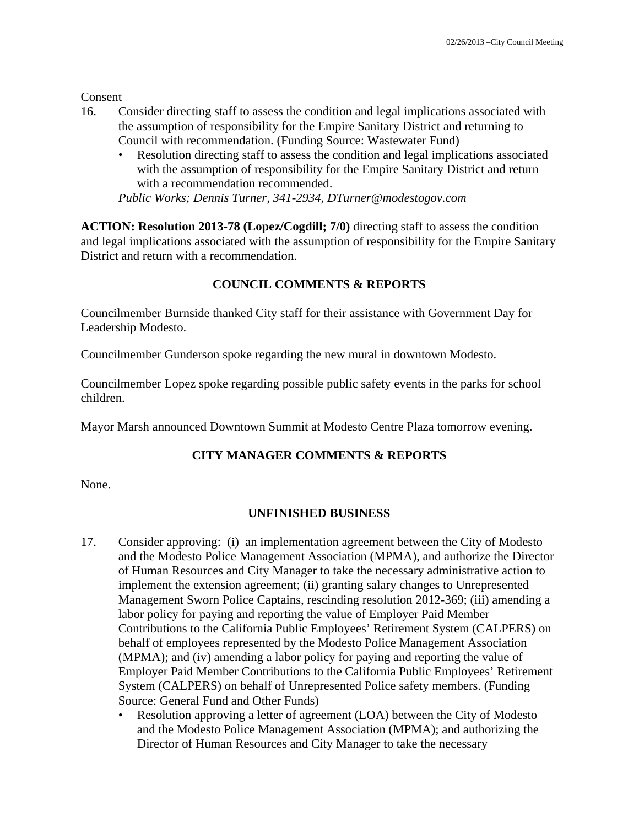Consent

- 16. Consider directing staff to assess the condition and legal implications associated with the assumption of responsibility for the Empire Sanitary District and returning to Council with recommendation. (Funding Source: Wastewater Fund)
	- Resolution directing staff to assess the condition and legal implications associated with the assumption of responsibility for the Empire Sanitary District and return with a recommendation recommended.

*Public Works; Dennis Turner, 341-2934, DTurner@modestogov.com* 

**ACTION: Resolution 2013-78 (Lopez/Cogdill; 7/0)** directing staff to assess the condition and legal implications associated with the assumption of responsibility for the Empire Sanitary District and return with a recommendation.

# **COUNCIL COMMENTS & REPORTS**

Councilmember Burnside thanked City staff for their assistance with Government Day for Leadership Modesto.

Councilmember Gunderson spoke regarding the new mural in downtown Modesto.

Councilmember Lopez spoke regarding possible public safety events in the parks for school children.

Mayor Marsh announced Downtown Summit at Modesto Centre Plaza tomorrow evening.

# **CITY MANAGER COMMENTS & REPORTS**

None.

# **UNFINISHED BUSINESS**

- 17. Consider approving: (i) an implementation agreement between the City of Modesto and the Modesto Police Management Association (MPMA), and authorize the Director of Human Resources and City Manager to take the necessary administrative action to implement the extension agreement; (ii) granting salary changes to Unrepresented Management Sworn Police Captains, rescinding resolution 2012-369; (iii) amending a labor policy for paying and reporting the value of Employer Paid Member Contributions to the California Public Employees' Retirement System (CALPERS) on behalf of employees represented by the Modesto Police Management Association (MPMA); and (iv) amending a labor policy for paying and reporting the value of Employer Paid Member Contributions to the California Public Employees' Retirement System (CALPERS) on behalf of Unrepresented Police safety members. (Funding Source: General Fund and Other Funds)
	- Resolution approving a letter of agreement (LOA) between the City of Modesto and the Modesto Police Management Association (MPMA); and authorizing the Director of Human Resources and City Manager to take the necessary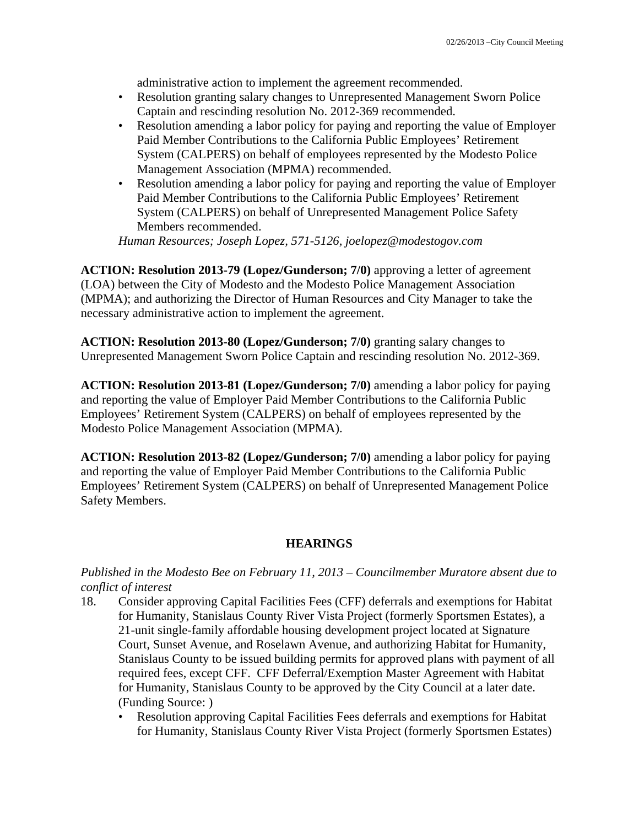administrative action to implement the agreement recommended.

- Resolution granting salary changes to Unrepresented Management Sworn Police Captain and rescinding resolution No. 2012-369 recommended.
- Resolution amending a labor policy for paying and reporting the value of Employer Paid Member Contributions to the California Public Employees' Retirement System (CALPERS) on behalf of employees represented by the Modesto Police Management Association (MPMA) recommended.
- Resolution amending a labor policy for paying and reporting the value of Employer Paid Member Contributions to the California Public Employees' Retirement System (CALPERS) on behalf of Unrepresented Management Police Safety Members recommended.

*Human Resources; Joseph Lopez, 571-5126, joelopez@modestogov.com* 

**ACTION: Resolution 2013-79 (Lopez/Gunderson; 7/0)** approving a letter of agreement (LOA) between the City of Modesto and the Modesto Police Management Association (MPMA); and authorizing the Director of Human Resources and City Manager to take the necessary administrative action to implement the agreement.

**ACTION: Resolution 2013-80 (Lopez/Gunderson; 7/0)** granting salary changes to Unrepresented Management Sworn Police Captain and rescinding resolution No. 2012-369.

**ACTION: Resolution 2013-81 (Lopez/Gunderson; 7/0)** amending a labor policy for paying and reporting the value of Employer Paid Member Contributions to the California Public Employees' Retirement System (CALPERS) on behalf of employees represented by the Modesto Police Management Association (MPMA).

**ACTION: Resolution 2013-82 (Lopez/Gunderson; 7/0)** amending a labor policy for paying and reporting the value of Employer Paid Member Contributions to the California Public Employees' Retirement System (CALPERS) on behalf of Unrepresented Management Police Safety Members.

# **HEARINGS**

*Published in the Modesto Bee on February 11, 2013 – Councilmember Muratore absent due to conflict of interest* 

- 18. Consider approving Capital Facilities Fees (CFF) deferrals and exemptions for Habitat for Humanity, Stanislaus County River Vista Project (formerly Sportsmen Estates), a 21-unit single-family affordable housing development project located at Signature Court, Sunset Avenue, and Roselawn Avenue, and authorizing Habitat for Humanity, Stanislaus County to be issued building permits for approved plans with payment of all required fees, except CFF. CFF Deferral/Exemption Master Agreement with Habitat for Humanity, Stanislaus County to be approved by the City Council at a later date. (Funding Source: )
	- Resolution approving Capital Facilities Fees deferrals and exemptions for Habitat for Humanity, Stanislaus County River Vista Project (formerly Sportsmen Estates)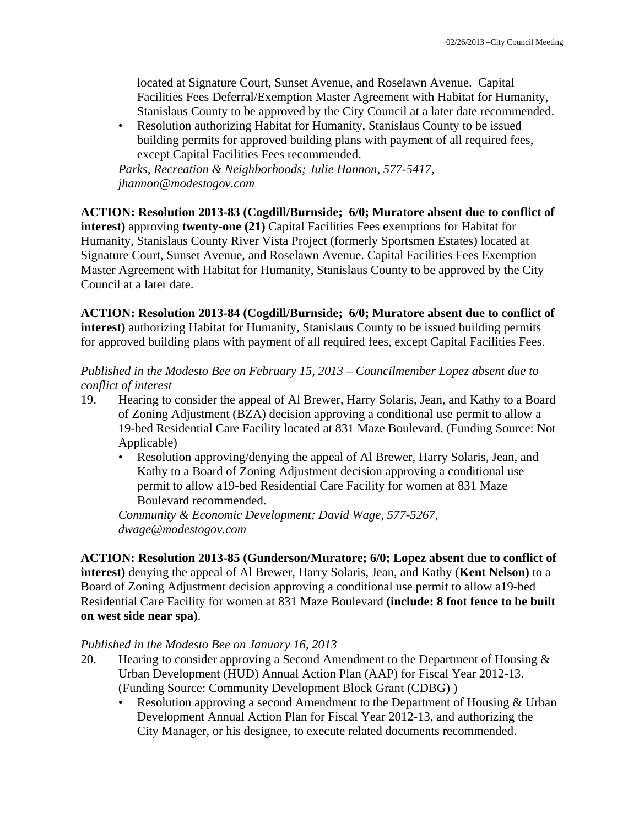located at Signature Court, Sunset Avenue, and Roselawn Avenue. Capital Facilities Fees Deferral/Exemption Master Agreement with Habitat for Humanity, Stanislaus County to be approved by the City Council at a later date recommended.

• Resolution authorizing Habitat for Humanity, Stanislaus County to be issued building permits for approved building plans with payment of all required fees, except Capital Facilities Fees recommended.

*Parks, Recreation & Neighborhoods; Julie Hannon, 577-5417, jhannon@modestogov.com* 

**ACTION: Resolution 2013-83 (Cogdill/Burnside; 6/0; Muratore absent due to conflict of interest)** approving **twenty-one (21)** Capital Facilities Fees exemptions for Habitat for Humanity, Stanislaus County River Vista Project (formerly Sportsmen Estates) located at Signature Court, Sunset Avenue, and Roselawn Avenue. Capital Facilities Fees Exemption Master Agreement with Habitat for Humanity, Stanislaus County to be approved by the City Council at a later date.

### **ACTION: Resolution 2013-84 (Cogdill/Burnside; 6/0; Muratore absent due to conflict of**

**interest)** authorizing Habitat for Humanity, Stanislaus County to be issued building permits for approved building plans with payment of all required fees, except Capital Facilities Fees.

### *Published in the Modesto Bee on February 15, 2013 – Councilmember Lopez absent due to conflict of interest*

- 19. Hearing to consider the appeal of Al Brewer, Harry Solaris, Jean, and Kathy to a Board of Zoning Adjustment (BZA) decision approving a conditional use permit to allow a 19-bed Residential Care Facility located at 831 Maze Boulevard. (Funding Source: Not Applicable)
	- Resolution approving/denying the appeal of Al Brewer, Harry Solaris, Jean, and Kathy to a Board of Zoning Adjustment decision approving a conditional use permit to allow a19-bed Residential Care Facility for women at 831 Maze Boulevard recommended.

*Community & Economic Development; David Wage, 577-5267, dwage@modestogov.com* 

**ACTION: Resolution 2013-85 (Gunderson/Muratore; 6/0; Lopez absent due to conflict of interest)** denying the appeal of Al Brewer, Harry Solaris, Jean, and Kathy (**Kent Nelson)** to a Board of Zoning Adjustment decision approving a conditional use permit to allow a19-bed Residential Care Facility for women at 831 Maze Boulevard **(include: 8 foot fence to be built on west side near spa)**.

# *Published in the Modesto Bee on January 16, 2013*

- 20. Hearing to consider approving a Second Amendment to the Department of Housing  $\&$ Urban Development (HUD) Annual Action Plan (AAP) for Fiscal Year 2012-13. (Funding Source: Community Development Block Grant (CDBG) )
	- Resolution approving a second Amendment to the Department of Housing & Urban Development Annual Action Plan for Fiscal Year 2012-13, and authorizing the City Manager, or his designee, to execute related documents recommended.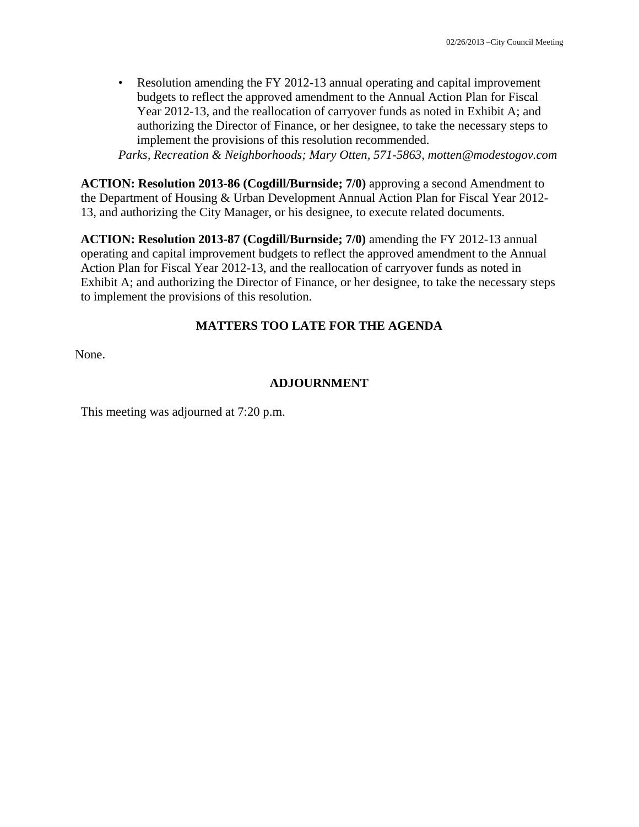• Resolution amending the FY 2012-13 annual operating and capital improvement budgets to reflect the approved amendment to the Annual Action Plan for Fiscal Year 2012-13, and the reallocation of carryover funds as noted in Exhibit A; and authorizing the Director of Finance, or her designee, to take the necessary steps to implement the provisions of this resolution recommended.

*Parks, Recreation & Neighborhoods; Mary Otten, 571-5863, motten@modestogov.com* 

**ACTION: Resolution 2013-86 (Cogdill/Burnside; 7/0)** approving a second Amendment to the Department of Housing & Urban Development Annual Action Plan for Fiscal Year 2012- 13, and authorizing the City Manager, or his designee, to execute related documents.

**ACTION: Resolution 2013-87 (Cogdill/Burnside; 7/0)** amending the FY 2012-13 annual operating and capital improvement budgets to reflect the approved amendment to the Annual Action Plan for Fiscal Year 2012-13, and the reallocation of carryover funds as noted in Exhibit A; and authorizing the Director of Finance, or her designee, to take the necessary steps to implement the provisions of this resolution.

# **MATTERS TOO LATE FOR THE AGENDA**

None.

# **ADJOURNMENT**

This meeting was adjourned at 7:20 p.m.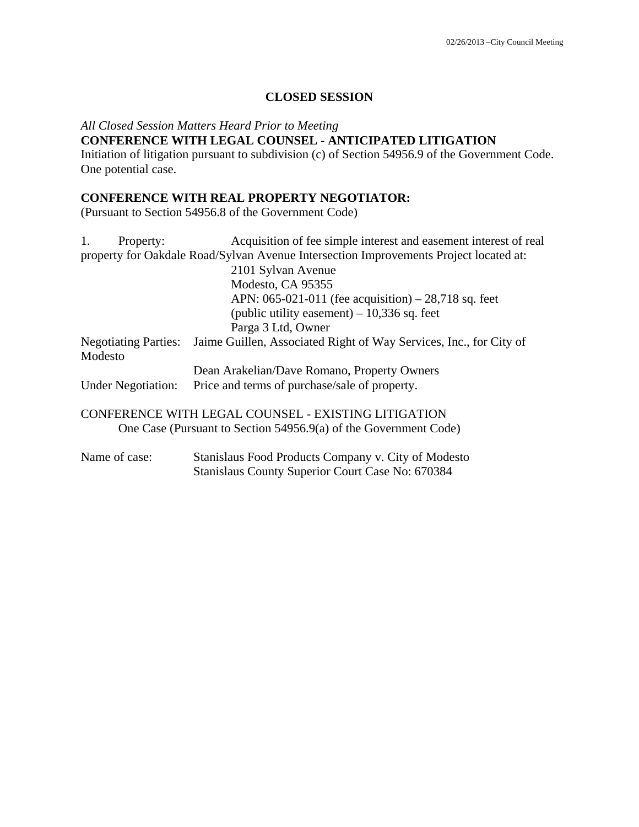### **CLOSED SESSION**

# *All Closed Session Matters Heard Prior to Meeting* **CONFERENCE WITH LEGAL COUNSEL - ANTICIPATED LITIGATION**

Initiation of litigation pursuant to subdivision (c) of Section 54956.9 of the Government Code. One potential case.

### **CONFERENCE WITH REAL PROPERTY NEGOTIATOR:**

(Pursuant to Section 54956.8 of the Government Code)

| 1.<br>Property:                        | Acquisition of fee simple interest and easement interest of real                      |
|----------------------------------------|---------------------------------------------------------------------------------------|
|                                        | property for Oakdale Road/Sylvan Avenue Intersection Improvements Project located at: |
|                                        | 2101 Sylvan Avenue                                                                    |
|                                        | Modesto, CA 95355                                                                     |
|                                        | APN: 065-021-011 (fee acquisition) $-28,718$ sq. feet                                 |
|                                        | (public utility easement) $-10,336$ sq. feet                                          |
|                                        | Parga 3 Ltd, Owner                                                                    |
| <b>Negotiating Parties:</b><br>Modesto | Jaime Guillen, Associated Right of Way Services, Inc., for City of                    |
|                                        | Dean Arakelian/Dave Romano, Property Owners                                           |
|                                        |                                                                                       |
| <b>Under Negotiation:</b>              | Price and terms of purchase/sale of property.                                         |
|                                        | CONFERENCE WITH LEGAL COUNSEL - EXISTING LITIGATION                                   |
|                                        | One Case (Pursuant to Section 54956.9(a) of the Government Code)                      |
| Name of case:                          | Stanislaus Food Products Company v. City of Modesto                                   |
|                                        | Stanislaus County Superior Court Case No: 670384                                      |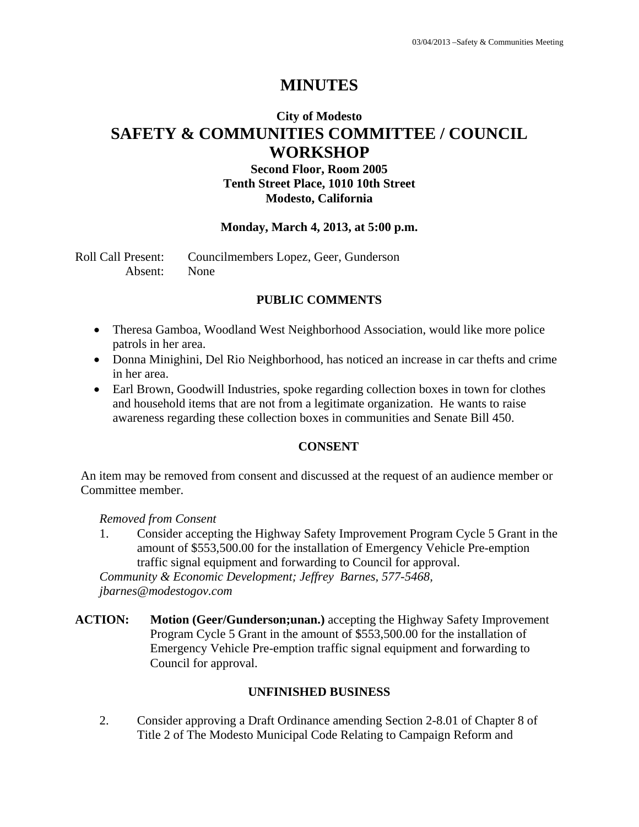# **MINUTES**

# **City of Modesto SAFETY & COMMUNITIES COMMITTEE / COUNCIL WORKSHOP**

# **Second Floor, Room 2005 Tenth Street Place, 1010 10th Street Modesto, California**

### **Monday, March 4, 2013, at 5:00 p.m.**

Roll Call Present: Councilmembers Lopez, Geer, Gunderson Absent: None

### **PUBLIC COMMENTS**

- Theresa Gamboa, Woodland West Neighborhood Association, would like more police patrols in her area.
- Donna Minighini, Del Rio Neighborhood, has noticed an increase in car thefts and crime in her area.
- Earl Brown, Goodwill Industries, spoke regarding collection boxes in town for clothes and household items that are not from a legitimate organization. He wants to raise awareness regarding these collection boxes in communities and Senate Bill 450.

### **CONSENT**

An item may be removed from consent and discussed at the request of an audience member or Committee member.

### *Removed from Consent*

1. Consider accepting the Highway Safety Improvement Program Cycle 5 Grant in the amount of \$553,500.00 for the installation of Emergency Vehicle Pre-emption traffic signal equipment and forwarding to Council for approval. *Community & Economic Development; Jeffrey Barnes, 577-5468, jbarnes@modestogov.com* 

**ACTION: Motion (Geer/Gunderson;unan.)** accepting the Highway Safety Improvement Program Cycle 5 Grant in the amount of \$553,500.00 for the installation of Emergency Vehicle Pre-emption traffic signal equipment and forwarding to Council for approval.

### **UNFINISHED BUSINESS**

2. Consider approving a Draft Ordinance amending Section 2-8.01 of Chapter 8 of Title 2 of The Modesto Municipal Code Relating to Campaign Reform and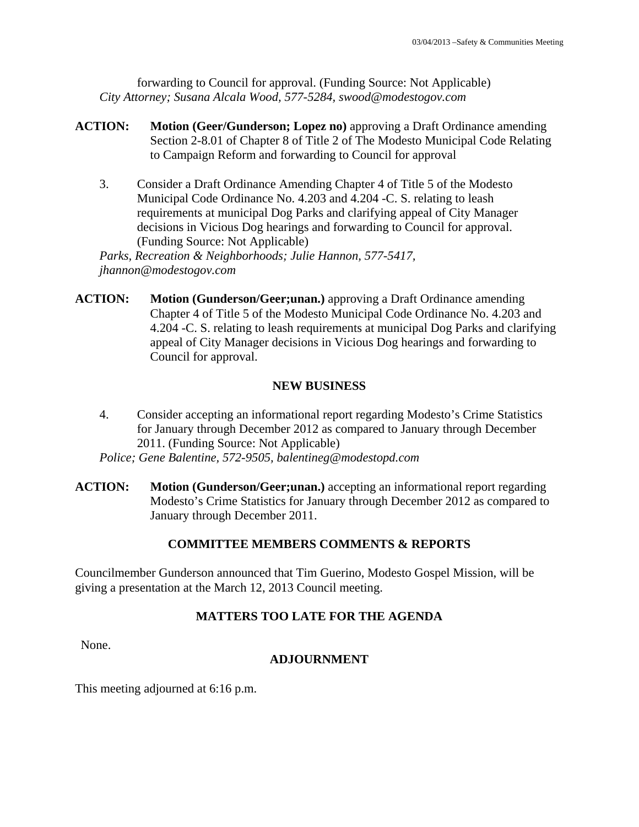forwarding to Council for approval. (Funding Source: Not Applicable) *City Attorney; Susana Alcala Wood, 577-5284, swood@modestogov.com* 

- **ACTION: Motion (Geer/Gunderson; Lopez no)** approving a Draft Ordinance amending Section 2-8.01 of Chapter 8 of Title 2 of The Modesto Municipal Code Relating to Campaign Reform and forwarding to Council for approval
	- 3. Consider a Draft Ordinance Amending Chapter 4 of Title 5 of the Modesto Municipal Code Ordinance No. 4.203 and 4.204 -C. S. relating to leash requirements at municipal Dog Parks and clarifying appeal of City Manager decisions in Vicious Dog hearings and forwarding to Council for approval. (Funding Source: Not Applicable)

*Parks, Recreation & Neighborhoods; Julie Hannon, 577-5417, jhannon@modestogov.com* 

**ACTION: Motion (Gunderson/Geer;unan.)** approving a Draft Ordinance amending Chapter 4 of Title 5 of the Modesto Municipal Code Ordinance No. 4.203 and 4.204 -C. S. relating to leash requirements at municipal Dog Parks and clarifying appeal of City Manager decisions in Vicious Dog hearings and forwarding to Council for approval.

## **NEW BUSINESS**

- 4. Consider accepting an informational report regarding Modesto's Crime Statistics for January through December 2012 as compared to January through December 2011. (Funding Source: Not Applicable) *Police; Gene Balentine, 572-9505, balentineg@modestopd.com*
- **ACTION: Motion (Gunderson/Geer;unan.)** accepting an informational report regarding Modesto's Crime Statistics for January through December 2012 as compared to January through December 2011.

## **COMMITTEE MEMBERS COMMENTS & REPORTS**

Councilmember Gunderson announced that Tim Guerino, Modesto Gospel Mission, will be giving a presentation at the March 12, 2013 Council meeting.

## **MATTERS TOO LATE FOR THE AGENDA**

None.

## **ADJOURNMENT**

This meeting adjourned at 6:16 p.m.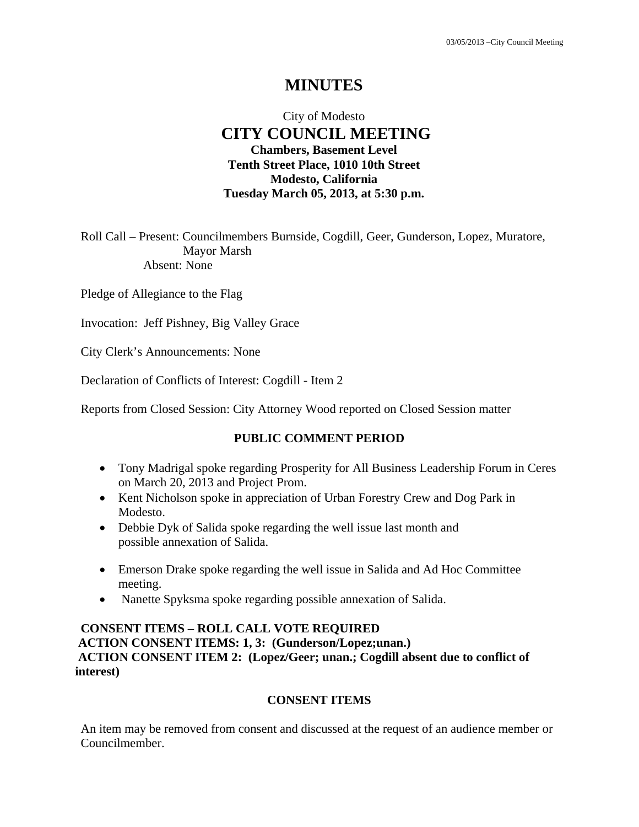# **MINUTES**

## City of Modesto  **CITY COUNCIL MEETING Chambers, Basement Level Tenth Street Place, 1010 10th Street Modesto, California Tuesday March 05, 2013, at 5:30 p.m.**

Roll Call – Present: Councilmembers Burnside, Cogdill, Geer, Gunderson, Lopez, Muratore, Mayor Marsh Absent: None

Pledge of Allegiance to the Flag

Invocation: Jeff Pishney, Big Valley Grace

City Clerk's Announcements: None

Declaration of Conflicts of Interest: Cogdill - Item 2

Reports from Closed Session: City Attorney Wood reported on Closed Session matter

#### **PUBLIC COMMENT PERIOD**

- Tony Madrigal spoke regarding Prosperity for All Business Leadership Forum in Ceres on March 20, 2013 and Project Prom.
- Kent Nicholson spoke in appreciation of Urban Forestry Crew and Dog Park in Modesto.
- Debbie Dyk of Salida spoke regarding the well issue last month and possible annexation of Salida.
- Emerson Drake spoke regarding the well issue in Salida and Ad Hoc Committee meeting.
- Nanette Spyksma spoke regarding possible annexation of Salida.

## **CONSENT ITEMS – ROLL CALL VOTE REQUIRED ACTION CONSENT ITEMS: 1, 3: (Gunderson/Lopez;unan.) ACTION CONSENT ITEM 2: (Lopez/Geer; unan.; Cogdill absent due to conflict of interest)**

## **CONSENT ITEMS**

An item may be removed from consent and discussed at the request of an audience member or Councilmember.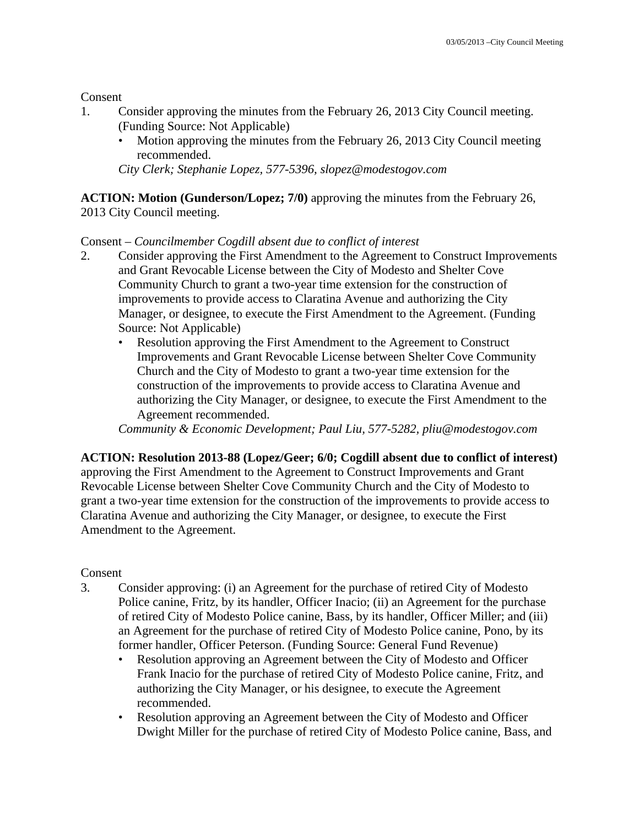Consent

- 1. Consider approving the minutes from the February 26, 2013 City Council meeting. (Funding Source: Not Applicable)
	- Motion approving the minutes from the February 26, 2013 City Council meeting recommended.

*City Clerk; Stephanie Lopez, 577-5396, slopez@modestogov.com* 

**ACTION: Motion (Gunderson/Lopez; 7/0)** approving the minutes from the February 26, 2013 City Council meeting.

Consent – *Councilmember Cogdill absent due to conflict of interest* 

- 2. Consider approving the First Amendment to the Agreement to Construct Improvements and Grant Revocable License between the City of Modesto and Shelter Cove Community Church to grant a two-year time extension for the construction of improvements to provide access to Claratina Avenue and authorizing the City Manager, or designee, to execute the First Amendment to the Agreement. (Funding Source: Not Applicable)
	- Resolution approving the First Amendment to the Agreement to Construct Improvements and Grant Revocable License between Shelter Cove Community Church and the City of Modesto to grant a two-year time extension for the construction of the improvements to provide access to Claratina Avenue and authorizing the City Manager, or designee, to execute the First Amendment to the Agreement recommended.

*Community & Economic Development; Paul Liu, 577-5282, pliu@modestogov.com* 

#### **ACTION: Resolution 2013-88 (Lopez/Geer; 6/0; Cogdill absent due to conflict of interest)**

approving the First Amendment to the Agreement to Construct Improvements and Grant Revocable License between Shelter Cove Community Church and the City of Modesto to grant a two-year time extension for the construction of the improvements to provide access to Claratina Avenue and authorizing the City Manager, or designee, to execute the First Amendment to the Agreement.

#### Consent

- 3. Consider approving: (i) an Agreement for the purchase of retired City of Modesto Police canine, Fritz, by its handler, Officer Inacio; (ii) an Agreement for the purchase of retired City of Modesto Police canine, Bass, by its handler, Officer Miller; and (iii) an Agreement for the purchase of retired City of Modesto Police canine, Pono, by its former handler, Officer Peterson. (Funding Source: General Fund Revenue)
	- Resolution approving an Agreement between the City of Modesto and Officer Frank Inacio for the purchase of retired City of Modesto Police canine, Fritz, and authorizing the City Manager, or his designee, to execute the Agreement recommended.
	- Resolution approving an Agreement between the City of Modesto and Officer Dwight Miller for the purchase of retired City of Modesto Police canine, Bass, and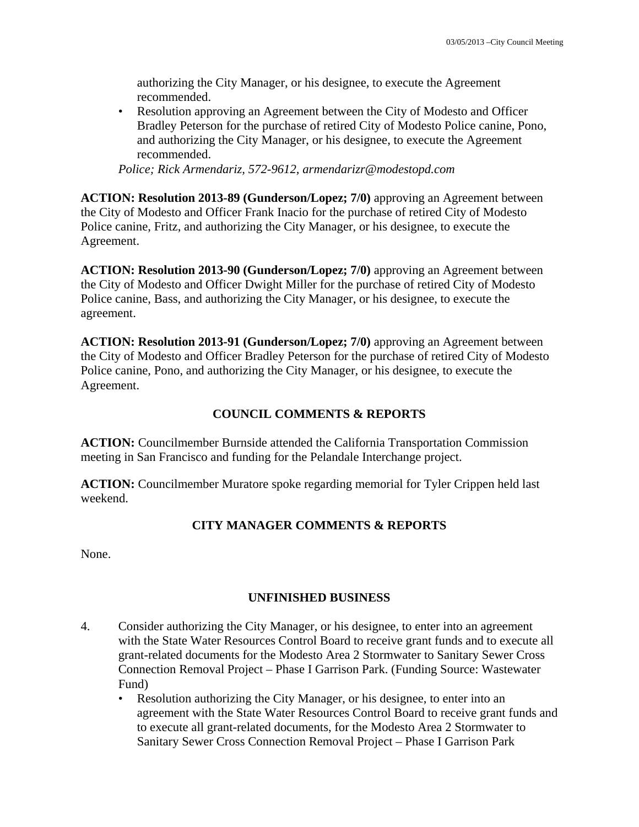authorizing the City Manager, or his designee, to execute the Agreement recommended.

• Resolution approving an Agreement between the City of Modesto and Officer Bradley Peterson for the purchase of retired City of Modesto Police canine, Pono, and authorizing the City Manager, or his designee, to execute the Agreement recommended.

*Police; Rick Armendariz, 572-9612, armendarizr@modestopd.com* 

**ACTION: Resolution 2013-89 (Gunderson/Lopez; 7/0)** approving an Agreement between the City of Modesto and Officer Frank Inacio for the purchase of retired City of Modesto Police canine, Fritz, and authorizing the City Manager, or his designee, to execute the Agreement.

**ACTION: Resolution 2013-90 (Gunderson/Lopez; 7/0)** approving an Agreement between the City of Modesto and Officer Dwight Miller for the purchase of retired City of Modesto Police canine, Bass, and authorizing the City Manager, or his designee, to execute the agreement.

**ACTION: Resolution 2013-91 (Gunderson/Lopez; 7/0)** approving an Agreement between the City of Modesto and Officer Bradley Peterson for the purchase of retired City of Modesto Police canine, Pono, and authorizing the City Manager, or his designee, to execute the Agreement.

## **COUNCIL COMMENTS & REPORTS**

**ACTION:** Councilmember Burnside attended the California Transportation Commission meeting in San Francisco and funding for the Pelandale Interchange project.

**ACTION:** Councilmember Muratore spoke regarding memorial for Tyler Crippen held last weekend.

## **CITY MANAGER COMMENTS & REPORTS**

None.

#### **UNFINISHED BUSINESS**

- 4. Consider authorizing the City Manager, or his designee, to enter into an agreement with the State Water Resources Control Board to receive grant funds and to execute all grant-related documents for the Modesto Area 2 Stormwater to Sanitary Sewer Cross Connection Removal Project – Phase I Garrison Park. (Funding Source: Wastewater Fund)
	- Resolution authorizing the City Manager, or his designee, to enter into an agreement with the State Water Resources Control Board to receive grant funds and to execute all grant-related documents, for the Modesto Area 2 Stormwater to Sanitary Sewer Cross Connection Removal Project – Phase I Garrison Park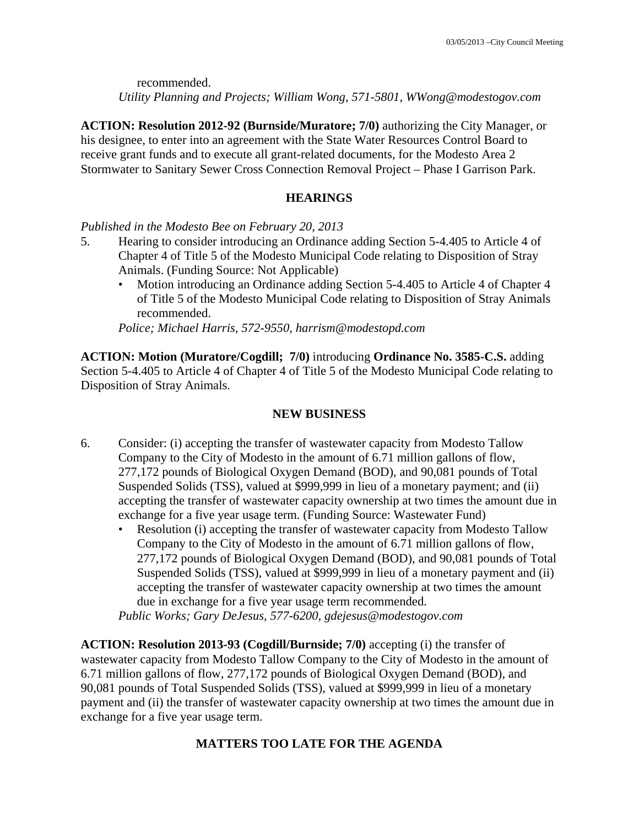recommended.

*Utility Planning and Projects; William Wong, 571-5801, WWong@modestogov.com* 

**ACTION: Resolution 2012-92 (Burnside/Muratore; 7/0)** authorizing the City Manager, or his designee, to enter into an agreement with the State Water Resources Control Board to receive grant funds and to execute all grant-related documents, for the Modesto Area 2 Stormwater to Sanitary Sewer Cross Connection Removal Project – Phase I Garrison Park.

#### **HEARINGS**

*Published in the Modesto Bee on February 20, 2013* 

- 5. Hearing to consider introducing an Ordinance adding Section 5-4.405 to Article 4 of Chapter 4 of Title 5 of the Modesto Municipal Code relating to Disposition of Stray Animals. (Funding Source: Not Applicable)
	- Motion introducing an Ordinance adding Section 5-4.405 to Article 4 of Chapter 4 of Title 5 of the Modesto Municipal Code relating to Disposition of Stray Animals recommended.

*Police; Michael Harris, 572-9550, harrism@modestopd.com* 

**ACTION: Motion (Muratore/Cogdill; 7/0)** introducing **Ordinance No. 3585-C.S.** adding Section 5-4.405 to Article 4 of Chapter 4 of Title 5 of the Modesto Municipal Code relating to Disposition of Stray Animals.

#### **NEW BUSINESS**

- 6. Consider: (i) accepting the transfer of wastewater capacity from Modesto Tallow Company to the City of Modesto in the amount of 6.71 million gallons of flow, 277,172 pounds of Biological Oxygen Demand (BOD), and 90,081 pounds of Total Suspended Solids (TSS), valued at \$999,999 in lieu of a monetary payment; and (ii) accepting the transfer of wastewater capacity ownership at two times the amount due in exchange for a five year usage term. (Funding Source: Wastewater Fund)
	- Resolution (i) accepting the transfer of wastewater capacity from Modesto Tallow Company to the City of Modesto in the amount of 6.71 million gallons of flow, 277,172 pounds of Biological Oxygen Demand (BOD), and 90,081 pounds of Total Suspended Solids (TSS), valued at \$999,999 in lieu of a monetary payment and (ii) accepting the transfer of wastewater capacity ownership at two times the amount due in exchange for a five year usage term recommended.

*Public Works; Gary DeJesus, 577-6200, gdejesus@modestogov.com* 

**ACTION: Resolution 2013-93 (Cogdill/Burnside; 7/0)** accepting (i) the transfer of wastewater capacity from Modesto Tallow Company to the City of Modesto in the amount of 6.71 million gallons of flow, 277,172 pounds of Biological Oxygen Demand (BOD), and 90,081 pounds of Total Suspended Solids (TSS), valued at \$999,999 in lieu of a monetary payment and (ii) the transfer of wastewater capacity ownership at two times the amount due in exchange for a five year usage term.

## **MATTERS TOO LATE FOR THE AGENDA**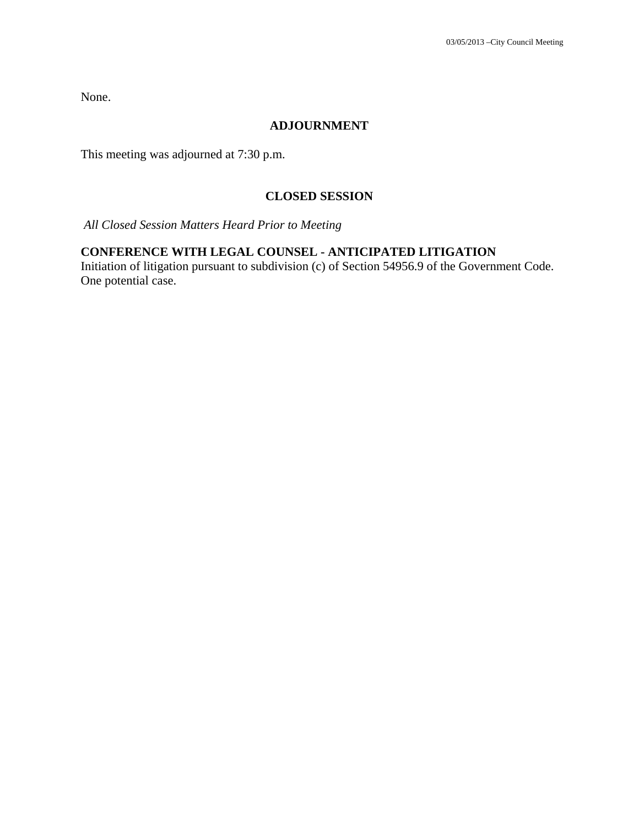None.

#### **ADJOURNMENT**

This meeting was adjourned at 7:30 p.m.

#### **CLOSED SESSION**

*All Closed Session Matters Heard Prior to Meeting*

# **CONFERENCE WITH LEGAL COUNSEL - ANTICIPATED LITIGATION**

Initiation of litigation pursuant to subdivision (c) of Section 54956.9 of the Government Code. One potential case.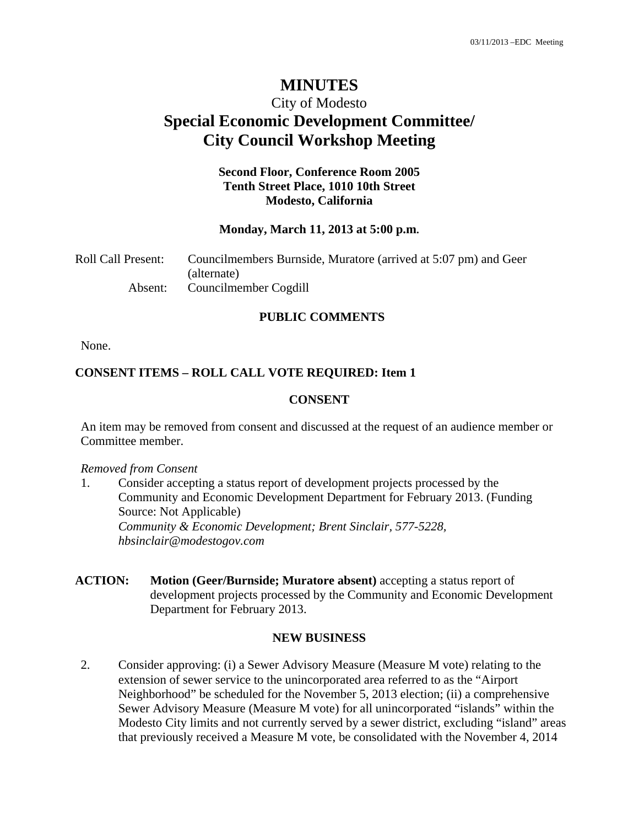## **MINUTES**

# City of Modesto **Special Economic Development Committee/ City Council Workshop Meeting**

## **Second Floor, Conference Room 2005 Tenth Street Place, 1010 10th Street Modesto, California**

#### **Monday, March 11, 2013 at 5:00 p.m.**

| Roll Call Present: | Councilmembers Burnside, Muratore (arrived at 5:07 pm) and Geer |
|--------------------|-----------------------------------------------------------------|
|                    | (alternate)                                                     |
| Absent:            | Councilmember Cogdill                                           |

#### **PUBLIC COMMENTS**

None.

#### **CONSENT ITEMS – ROLL CALL VOTE REQUIRED: Item 1**

#### **CONSENT**

An item may be removed from consent and discussed at the request of an audience member or Committee member.

#### *Removed from Consent*

- 1. Consider accepting a status report of development projects processed by the Community and Economic Development Department for February 2013. (Funding Source: Not Applicable)  *Community & Economic Development; Brent Sinclair, 577-5228, hbsinclair@modestogov.com*
- **ACTION:** Motion (Geer/Burnside; Muratore absent) accepting a status report of development projects processed by the Community and Economic Development Department for February 2013.

#### **NEW BUSINESS**

2. Consider approving: (i) a Sewer Advisory Measure (Measure M vote) relating to the extension of sewer service to the unincorporated area referred to as the "Airport Neighborhood" be scheduled for the November 5, 2013 election; (ii) a comprehensive Sewer Advisory Measure (Measure M vote) for all unincorporated "islands" within the Modesto City limits and not currently served by a sewer district, excluding "island" areas that previously received a Measure M vote, be consolidated with the November 4, 2014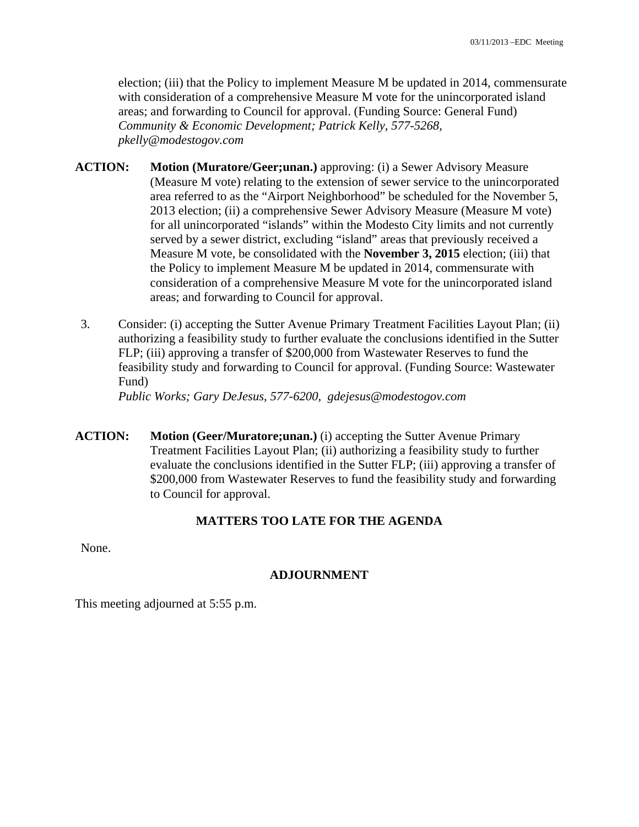election; (iii) that the Policy to implement Measure M be updated in 2014, commensurate with consideration of a comprehensive Measure M vote for the unincorporated island areas; and forwarding to Council for approval. (Funding Source: General Fund)  *Community & Economic Development; Patrick Kelly, 577-5268, pkelly@modestogov.com* 

- **ACTION: Motion (Muratore/Geer;unan.)** approving: (i) a Sewer Advisory Measure (Measure M vote) relating to the extension of sewer service to the unincorporated area referred to as the "Airport Neighborhood" be scheduled for the November 5, 2013 election; (ii) a comprehensive Sewer Advisory Measure (Measure M vote) for all unincorporated "islands" within the Modesto City limits and not currently served by a sewer district, excluding "island" areas that previously received a Measure M vote, be consolidated with the **November 3, 2015** election; (iii) that the Policy to implement Measure M be updated in 2014, commensurate with consideration of a comprehensive Measure M vote for the unincorporated island areas; and forwarding to Council for approval.
- 3. Consider: (i) accepting the Sutter Avenue Primary Treatment Facilities Layout Plan; (ii) authorizing a feasibility study to further evaluate the conclusions identified in the Sutter FLP; (iii) approving a transfer of \$200,000 from Wastewater Reserves to fund the feasibility study and forwarding to Council for approval. (Funding Source: Wastewater Fund)

 *Public Works; Gary DeJesus, 577-6200, gdejesus@modestogov.com* 

**ACTION: Motion (Geer/Muratore;unan.)** (i) accepting the Sutter Avenue Primary Treatment Facilities Layout Plan; (ii) authorizing a feasibility study to further evaluate the conclusions identified in the Sutter FLP; (iii) approving a transfer of \$200,000 from Wastewater Reserves to fund the feasibility study and forwarding to Council for approval.

#### **MATTERS TOO LATE FOR THE AGENDA**

None.

## **ADJOURNMENT**

This meeting adjourned at 5:55 p.m.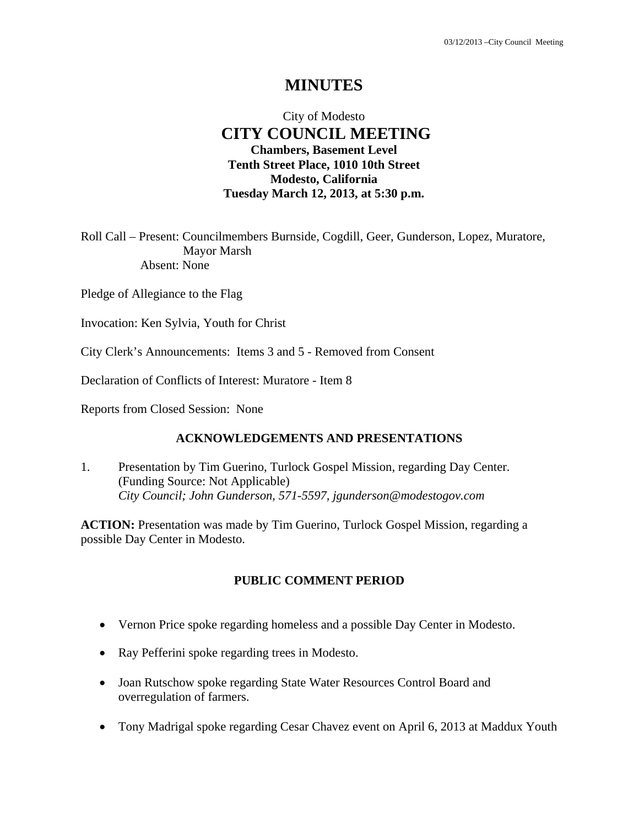# **MINUTES**

## City of Modesto  **CITY COUNCIL MEETING Chambers, Basement Level Tenth Street Place, 1010 10th Street Modesto, California Tuesday March 12, 2013, at 5:30 p.m.**

Roll Call – Present: Councilmembers Burnside, Cogdill, Geer, Gunderson, Lopez, Muratore, Mayor Marsh Absent: None

Pledge of Allegiance to the Flag

Invocation: Ken Sylvia, Youth for Christ

City Clerk's Announcements: Items 3 and 5 - Removed from Consent

Declaration of Conflicts of Interest: Muratore - Item 8

Reports from Closed Session: None

#### **ACKNOWLEDGEMENTS AND PRESENTATIONS**

1. Presentation by Tim Guerino, Turlock Gospel Mission, regarding Day Center. (Funding Source: Not Applicable)  *City Council; John Gunderson, 571-5597, jgunderson@modestogov.com* 

**ACTION:** Presentation was made by Tim Guerino, Turlock Gospel Mission, regarding a possible Day Center in Modesto.

## **PUBLIC COMMENT PERIOD**

- Vernon Price spoke regarding homeless and a possible Day Center in Modesto.
- Ray Pefferini spoke regarding trees in Modesto.
- Joan Rutschow spoke regarding State Water Resources Control Board and overregulation of farmers.
- Tony Madrigal spoke regarding Cesar Chavez event on April 6, 2013 at Maddux Youth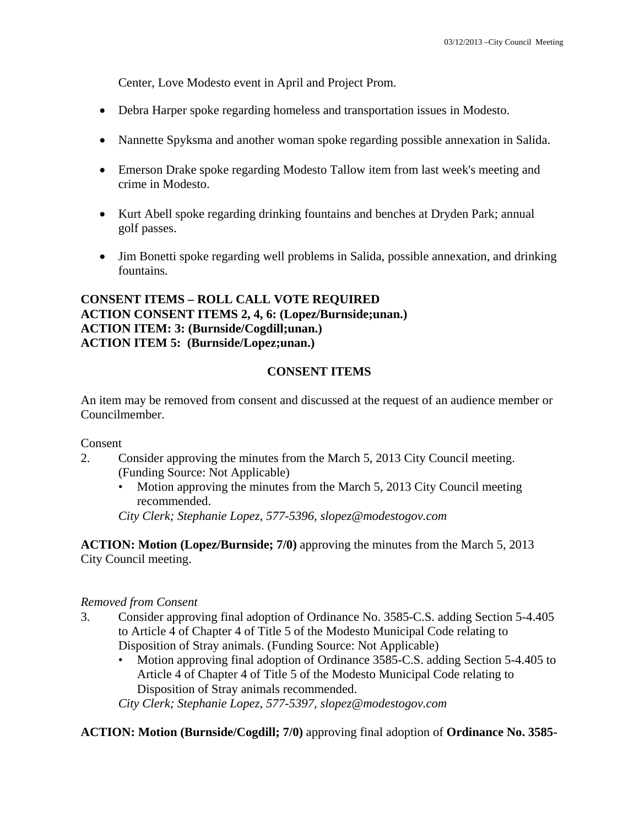Center, Love Modesto event in April and Project Prom.

- Debra Harper spoke regarding homeless and transportation issues in Modesto.
- Nannette Spyksma and another woman spoke regarding possible annexation in Salida.
- Emerson Drake spoke regarding Modesto Tallow item from last week's meeting and crime in Modesto.
- Kurt Abell spoke regarding drinking fountains and benches at Dryden Park; annual golf passes.
- Jim Bonetti spoke regarding well problems in Salida, possible annexation, and drinking fountains.

## **CONSENT ITEMS – ROLL CALL VOTE REQUIRED ACTION CONSENT ITEMS 2, 4, 6: (Lopez/Burnside;unan.) ACTION ITEM: 3: (Burnside/Cogdill;unan.) ACTION ITEM 5: (Burnside/Lopez;unan.)**

## **CONSENT ITEMS**

An item may be removed from consent and discussed at the request of an audience member or Councilmember.

Consent

- 2. Consider approving the minutes from the March 5, 2013 City Council meeting. (Funding Source: Not Applicable)
	- Motion approving the minutes from the March 5, 2013 City Council meeting recommended.

*City Clerk; Stephanie Lopez, 577-5396, slopez@modestogov.com* 

**ACTION: Motion (Lopez/Burnside; 7/0)** approving the minutes from the March 5, 2013 City Council meeting.

## *Removed from Consent*

- 3. Consider approving final adoption of Ordinance No. 3585-C.S. adding Section 5-4.405 to Article 4 of Chapter 4 of Title 5 of the Modesto Municipal Code relating to Disposition of Stray animals. (Funding Source: Not Applicable)
	- Motion approving final adoption of Ordinance 3585-C.S. adding Section 5-4.405 to Article 4 of Chapter 4 of Title 5 of the Modesto Municipal Code relating to Disposition of Stray animals recommended.

*City Clerk; Stephanie Lopez, 577-5397, slopez@modestogov.com* 

**ACTION: Motion (Burnside/Cogdill; 7/0)** approving final adoption of **Ordinance No. 3585-**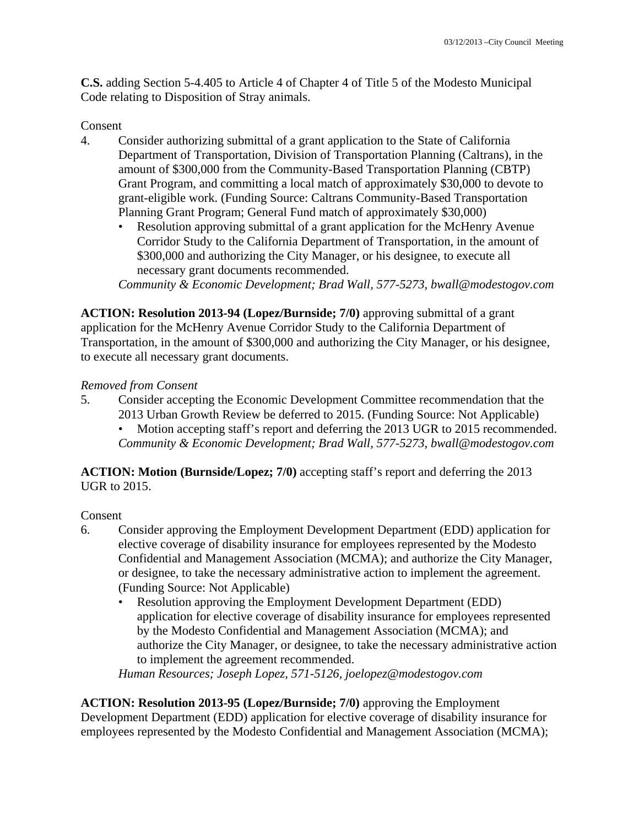**C.S.** adding Section 5-4.405 to Article 4 of Chapter 4 of Title 5 of the Modesto Municipal Code relating to Disposition of Stray animals.

## Consent

- 4. Consider authorizing submittal of a grant application to the State of California Department of Transportation, Division of Transportation Planning (Caltrans), in the amount of \$300,000 from the Community-Based Transportation Planning (CBTP) Grant Program, and committing a local match of approximately \$30,000 to devote to grant-eligible work. (Funding Source: Caltrans Community-Based Transportation Planning Grant Program; General Fund match of approximately \$30,000)
	- Resolution approving submittal of a grant application for the McHenry Avenue Corridor Study to the California Department of Transportation, in the amount of \$300,000 and authorizing the City Manager, or his designee, to execute all necessary grant documents recommended.

*Community & Economic Development; Brad Wall, 577-5273, bwall@modestogov.com* 

**ACTION: Resolution 2013-94 (Lopez/Burnside; 7/0)** approving submittal of a grant application for the McHenry Avenue Corridor Study to the California Department of Transportation, in the amount of \$300,000 and authorizing the City Manager, or his designee, to execute all necessary grant documents.

## *Removed from Consent*

5. Consider accepting the Economic Development Committee recommendation that the 2013 Urban Growth Review be deferred to 2015. (Funding Source: Not Applicable) Motion accepting staff's report and deferring the 2013 UGR to 2015 recommended. *Community & Economic Development; Brad Wall, 577-5273, bwall@modestogov.com* 

**ACTION: Motion (Burnside/Lopez; 7/0)** accepting staff's report and deferring the 2013 UGR to 2015.

#### Consent

- 6. Consider approving the Employment Development Department (EDD) application for elective coverage of disability insurance for employees represented by the Modesto Confidential and Management Association (MCMA); and authorize the City Manager, or designee, to take the necessary administrative action to implement the agreement. (Funding Source: Not Applicable)
	- Resolution approving the Employment Development Department (EDD) application for elective coverage of disability insurance for employees represented by the Modesto Confidential and Management Association (MCMA); and authorize the City Manager, or designee, to take the necessary administrative action to implement the agreement recommended.

*Human Resources; Joseph Lopez, 571-5126, joelopez@modestogov.com* 

**ACTION: Resolution 2013-95 (Lopez/Burnside; 7/0)** approving the Employment Development Department (EDD) application for elective coverage of disability insurance for employees represented by the Modesto Confidential and Management Association (MCMA);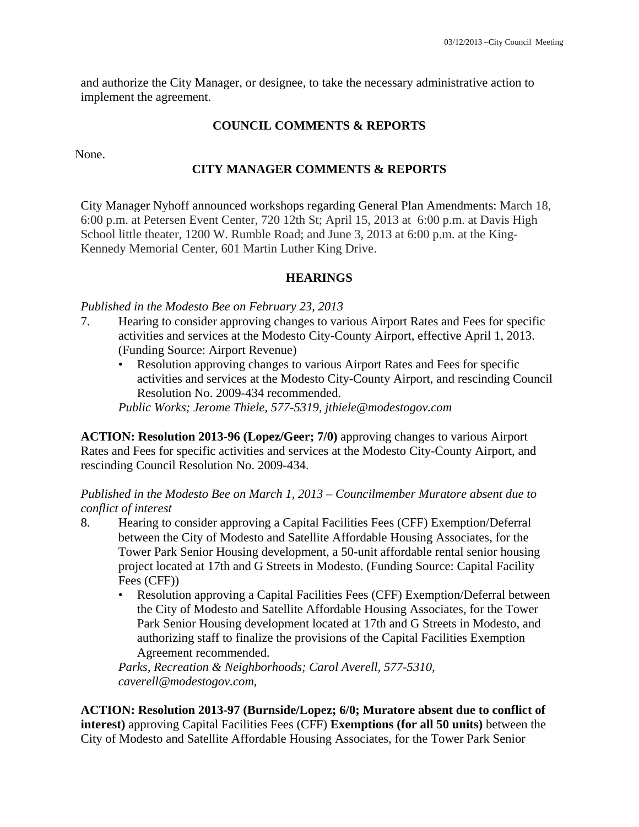and authorize the City Manager, or designee, to take the necessary administrative action to implement the agreement.

## **COUNCIL COMMENTS & REPORTS**

None.

## **CITY MANAGER COMMENTS & REPORTS**

City Manager Nyhoff announced workshops regarding General Plan Amendments: March 18, 6:00 p.m. at Petersen Event Center, 720 12th St; April 15, 2013 at 6:00 p.m. at Davis High School little theater, 1200 W. Rumble Road; and June 3, 2013 at 6:00 p.m. at the King-Kennedy Memorial Center, 601 Martin Luther King Drive.

## **HEARINGS**

## *Published in the Modesto Bee on February 23, 2013*

- 7. Hearing to consider approving changes to various Airport Rates and Fees for specific activities and services at the Modesto City-County Airport, effective April 1, 2013. (Funding Source: Airport Revenue)
	- Resolution approving changes to various Airport Rates and Fees for specific activities and services at the Modesto City-County Airport, and rescinding Council Resolution No. 2009-434 recommended.

*Public Works; Jerome Thiele, 577-5319, jthiele@modestogov.com* 

**ACTION: Resolution 2013-96 (Lopez/Geer; 7/0)** approving changes to various Airport Rates and Fees for specific activities and services at the Modesto City-County Airport, and rescinding Council Resolution No. 2009-434.

*Published in the Modesto Bee on March 1, 2013 – Councilmember Muratore absent due to conflict of interest* 

- 8. Hearing to consider approving a Capital Facilities Fees (CFF) Exemption/Deferral between the City of Modesto and Satellite Affordable Housing Associates, for the Tower Park Senior Housing development, a 50-unit affordable rental senior housing project located at 17th and G Streets in Modesto. (Funding Source: Capital Facility Fees (CFF))
	- Resolution approving a Capital Facilities Fees (CFF) Exemption/Deferral between the City of Modesto and Satellite Affordable Housing Associates, for the Tower Park Senior Housing development located at 17th and G Streets in Modesto, and authorizing staff to finalize the provisions of the Capital Facilities Exemption Agreement recommended.

*Parks, Recreation & Neighborhoods; Carol Averell, 577-5310, caverell@modestogov.com,* 

**ACTION: Resolution 2013-97 (Burnside/Lopez; 6/0; Muratore absent due to conflict of interest)** approving Capital Facilities Fees (CFF) **Exemptions (for all 50 units)** between the City of Modesto and Satellite Affordable Housing Associates, for the Tower Park Senior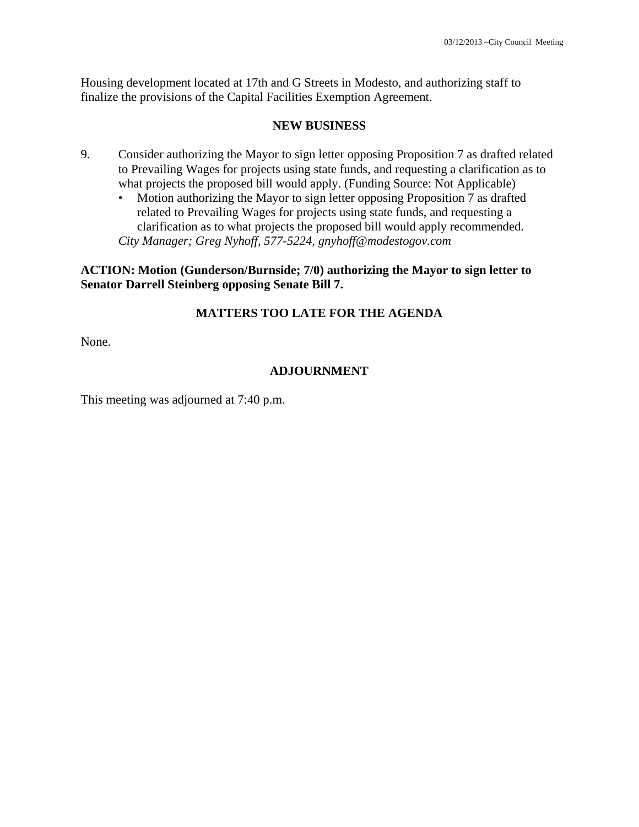Housing development located at 17th and G Streets in Modesto, and authorizing staff to finalize the provisions of the Capital Facilities Exemption Agreement.

## **NEW BUSINESS**

- 9. Consider authorizing the Mayor to sign letter opposing Proposition 7 as drafted related to Prevailing Wages for projects using state funds, and requesting a clarification as to what projects the proposed bill would apply. (Funding Source: Not Applicable)
	- Motion authorizing the Mayor to sign letter opposing Proposition 7 as drafted related to Prevailing Wages for projects using state funds, and requesting a clarification as to what projects the proposed bill would apply recommended. *City Manager; Greg Nyhoff, 577-5224, gnyhoff@modestogov.com*

**ACTION: Motion (Gunderson/Burnside; 7/0) authorizing the Mayor to sign letter to Senator Darrell Steinberg opposing Senate Bill 7.** 

## **MATTERS TOO LATE FOR THE AGENDA**

None.

## **ADJOURNMENT**

This meeting was adjourned at 7:40 p.m.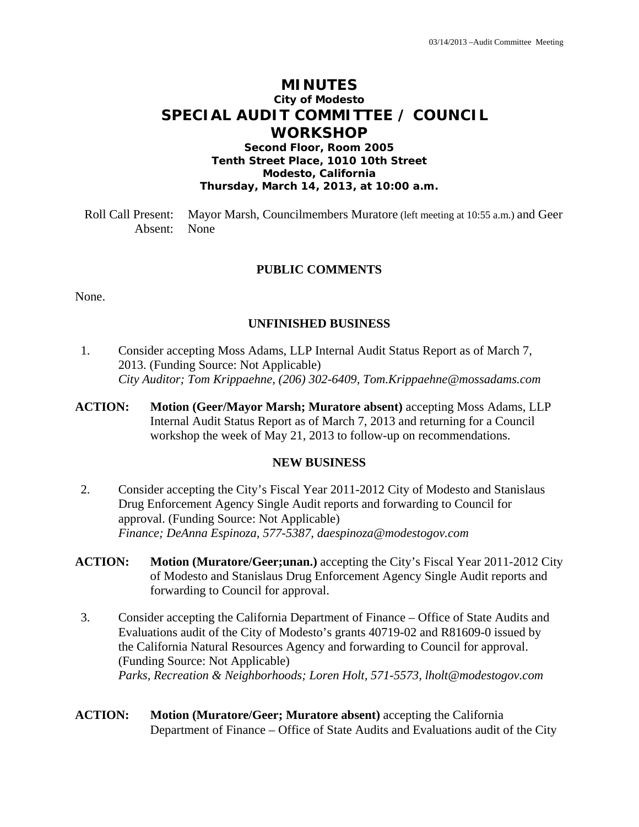# **MINUTES City of Modesto SPECIAL AUDIT COMMITTEE / COUNCIL WORKSHOP**

#### **Second Floor, Room 2005 Tenth Street Place, 1010 10th Street Modesto, California Thursday, March 14, 2013, at 10:00 a.m.**

Roll Call Present: Mayor Marsh, Councilmembers Muratore (left meeting at 10:55 a.m.) and Geer Absent: None

#### **PUBLIC COMMENTS**

None.

#### **UNFINISHED BUSINESS**

- 1. Consider accepting Moss Adams, LLP Internal Audit Status Report as of March 7, 2013. (Funding Source: Not Applicable)  *City Auditor; Tom Krippaehne, (206) 302-6409, Tom.Krippaehne@mossadams.com*
- **ACTION: Motion (Geer/Mayor Marsh; Muratore absent)** accepting Moss Adams, LLP Internal Audit Status Report as of March 7, 2013 and returning for a Council workshop the week of May 21, 2013 to follow-up on recommendations.

#### **NEW BUSINESS**

- 2. Consider accepting the City's Fiscal Year 2011-2012 City of Modesto and Stanislaus Drug Enforcement Agency Single Audit reports and forwarding to Council for approval. (Funding Source: Not Applicable)  *Finance; DeAnna Espinoza, 577-5387, daespinoza@modestogov.com*
- **ACTION: Motion (Muratore/Geer;unan.)** accepting the City's Fiscal Year 2011-2012 City of Modesto and Stanislaus Drug Enforcement Agency Single Audit reports and forwarding to Council for approval.
- 3. Consider accepting the California Department of Finance Office of State Audits and Evaluations audit of the City of Modesto's grants 40719-02 and R81609-0 issued by the California Natural Resources Agency and forwarding to Council for approval. (Funding Source: Not Applicable)  *Parks, Recreation & Neighborhoods; Loren Holt, 571-5573, lholt@modestogov.com*
- **ACTION:** Motion (Muratore/Geer; Muratore absent) accepting the California Department of Finance – Office of State Audits and Evaluations audit of the City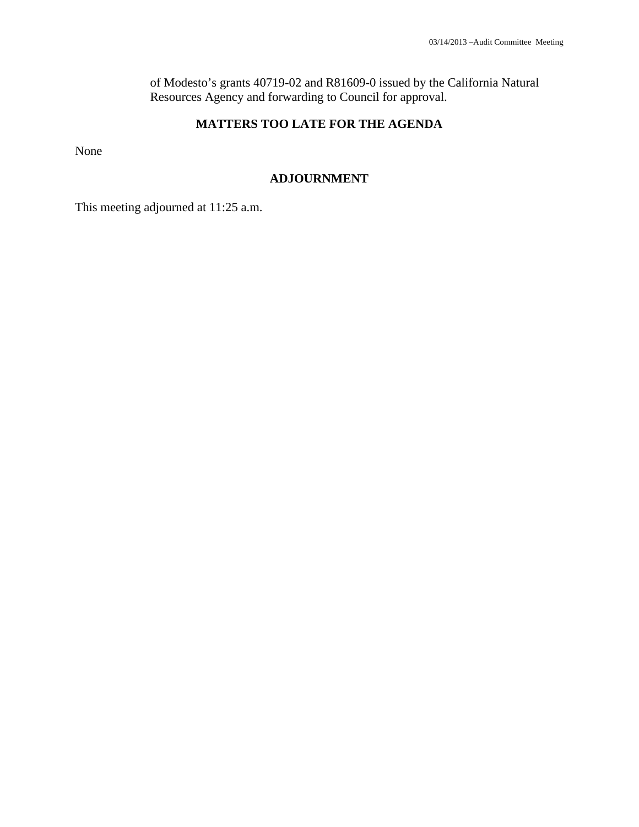of Modesto's grants 40719-02 and R81609-0 issued by the California Natural Resources Agency and forwarding to Council for approval.

# **MATTERS TOO LATE FOR THE AGENDA**

None

## **ADJOURNMENT**

This meeting adjourned at 11:25 a.m.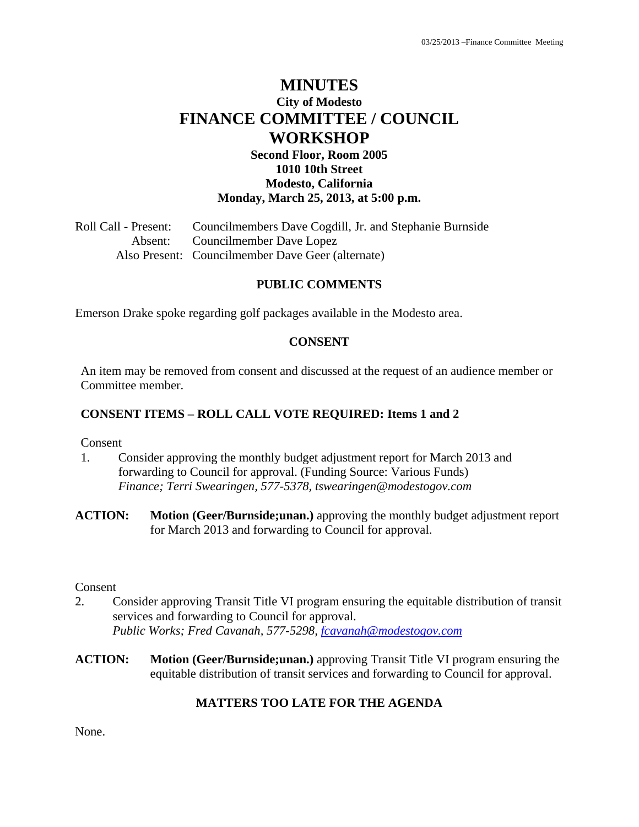# **MINUTES City of Modesto FINANCE COMMITTEE / COUNCIL WORKSHOP**

## **Second Floor, Room 2005 1010 10th Street Modesto, California Monday, March 25, 2013, at 5:00 p.m.**

Roll Call - Present: Councilmembers Dave Cogdill, Jr. and Stephanie Burnside Absent: Councilmember Dave Lopez Also Present: Councilmember Dave Geer (alternate)

#### **PUBLIC COMMENTS**

Emerson Drake spoke regarding golf packages available in the Modesto area.

#### **CONSENT**

An item may be removed from consent and discussed at the request of an audience member or Committee member.

#### **CONSENT ITEMS – ROLL CALL VOTE REQUIRED: Items 1 and 2**

Consent

- 1. Consider approving the monthly budget adjustment report for March 2013 and forwarding to Council for approval. (Funding Source: Various Funds)  *Finance; Terri Swearingen, 577-5378, tswearingen@modestogov.com*
- **ACTION: Motion (Geer/Burnside;unan.)** approving the monthly budget adjustment report for March 2013 and forwarding to Council for approval.

#### Consent

- 2. Consider approving Transit Title VI program ensuring the equitable distribution of transit services and forwarding to Council for approval. *Public Works; Fred Cavanah, 577-5298, fcavanah@modestogov.com*
- **ACTION: Motion (Geer/Burnside;unan.)** approving Transit Title VI program ensuring the equitable distribution of transit services and forwarding to Council for approval.

#### **MATTERS TOO LATE FOR THE AGENDA**

None.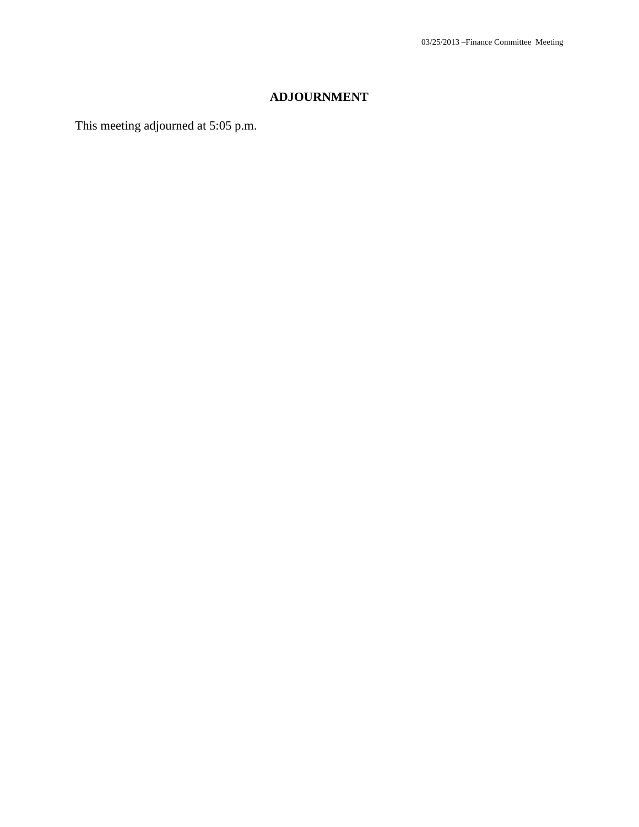## **ADJOURNMENT**

This meeting adjourned at 5:05 p.m.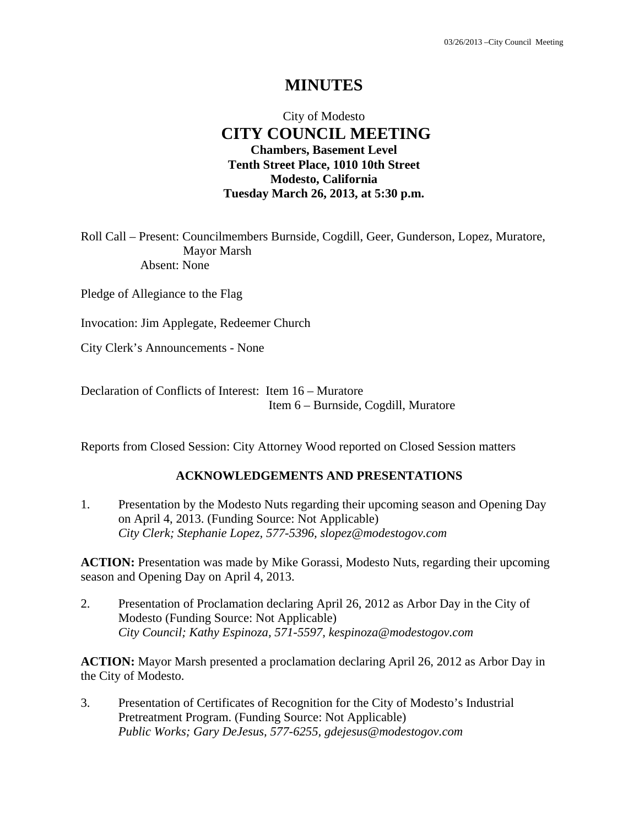# **MINUTES**

## City of Modesto  **CITY COUNCIL MEETING Chambers, Basement Level Tenth Street Place, 1010 10th Street Modesto, California Tuesday March 26, 2013, at 5:30 p.m.**

Roll Call – Present: Councilmembers Burnside, Cogdill, Geer, Gunderson, Lopez, Muratore, Mayor Marsh Absent: None

Pledge of Allegiance to the Flag

Invocation: Jim Applegate, Redeemer Church

City Clerk's Announcements - None

Declaration of Conflicts of Interest: Item 16 – Muratore Item 6 – Burnside, Cogdill, Muratore

Reports from Closed Session: City Attorney Wood reported on Closed Session matters

#### **ACKNOWLEDGEMENTS AND PRESENTATIONS**

1. Presentation by the Modesto Nuts regarding their upcoming season and Opening Day on April 4, 2013. (Funding Source: Not Applicable)  *City Clerk; Stephanie Lopez, 577-5396, slopez@modestogov.com* 

**ACTION:** Presentation was made by Mike Gorassi, Modesto Nuts, regarding their upcoming season and Opening Day on April 4, 2013.

2. Presentation of Proclamation declaring April 26, 2012 as Arbor Day in the City of Modesto (Funding Source: Not Applicable)  *City Council; Kathy Espinoza, 571-5597, kespinoza@modestogov.com* 

**ACTION:** Mayor Marsh presented a proclamation declaring April 26, 2012 as Arbor Day in the City of Modesto.

3. Presentation of Certificates of Recognition for the City of Modesto's Industrial Pretreatment Program. (Funding Source: Not Applicable)  *Public Works; Gary DeJesus, 577-6255, gdejesus@modestogov.com*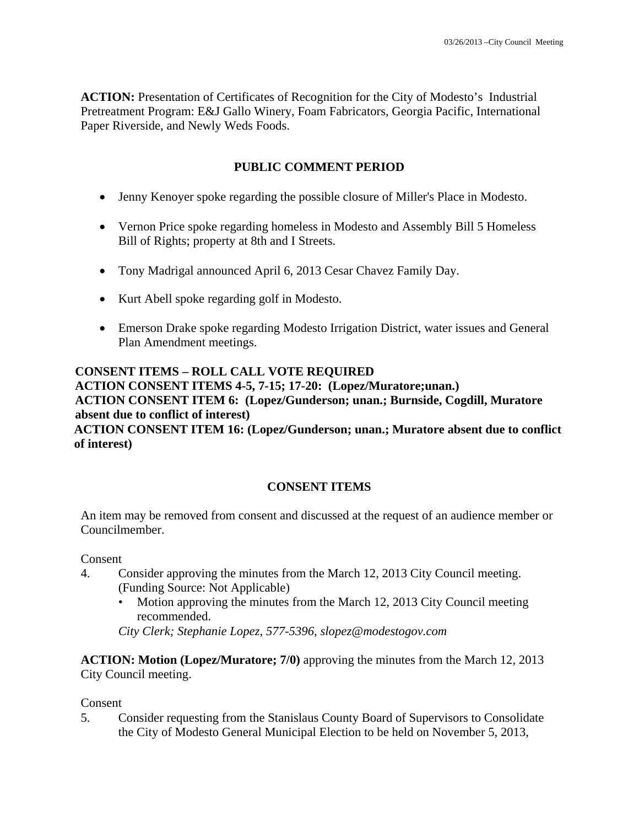**ACTION:** Presentation of Certificates of Recognition for the City of Modesto's Industrial Pretreatment Program: E&J Gallo Winery, Foam Fabricators, Georgia Pacific, International Paper Riverside, and Newly Weds Foods.

## **PUBLIC COMMENT PERIOD**

- Jenny Kenoyer spoke regarding the possible closure of Miller's Place in Modesto.
- Vernon Price spoke regarding homeless in Modesto and Assembly Bill 5 Homeless Bill of Rights; property at 8th and I Streets.
- Tony Madrigal announced April 6, 2013 Cesar Chavez Family Day.
- Kurt Abell spoke regarding golf in Modesto.
- Emerson Drake spoke regarding Modesto Irrigation District, water issues and General Plan Amendment meetings.

## **CONSENT ITEMS – ROLL CALL VOTE REQUIRED**

**ACTION CONSENT ITEMS 4-5, 7-15; 17-20: (Lopez/Muratore;unan.) ACTION CONSENT ITEM 6: (Lopez/Gunderson; unan.; Burnside, Cogdill, Muratore absent due to conflict of interest)** 

**ACTION CONSENT ITEM 16: (Lopez/Gunderson; unan.; Muratore absent due to conflict of interest)** 

## **CONSENT ITEMS**

An item may be removed from consent and discussed at the request of an audience member or Councilmember.

Consent

- 4. Consider approving the minutes from the March 12, 2013 City Council meeting. (Funding Source: Not Applicable)
	- Motion approving the minutes from the March 12, 2013 City Council meeting recommended.

*City Clerk; Stephanie Lopez, 577-5396, slopez@modestogov.com* 

**ACTION: Motion (Lopez/Muratore; 7/0)** approving the minutes from the March 12, 2013 City Council meeting.

Consent

5. Consider requesting from the Stanislaus County Board of Supervisors to Consolidate the City of Modesto General Municipal Election to be held on November 5, 2013,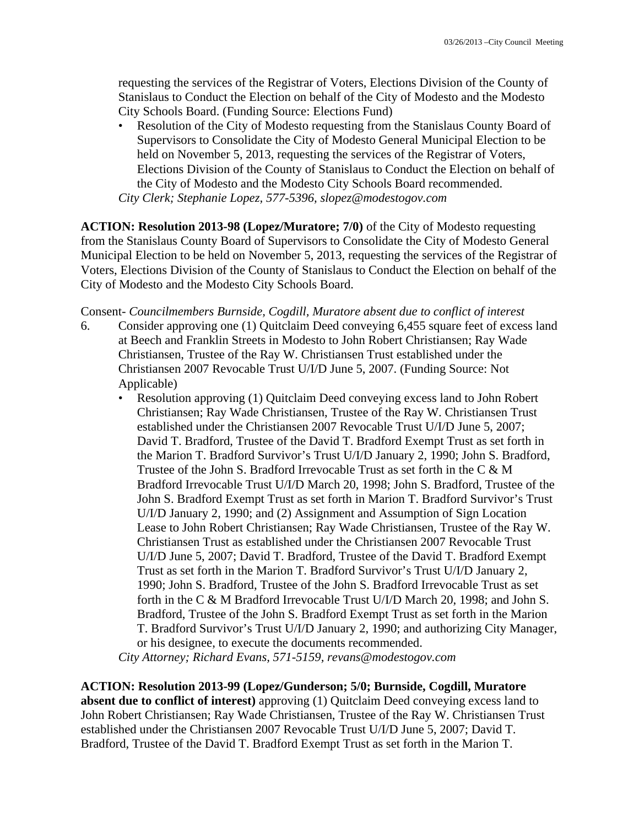requesting the services of the Registrar of Voters, Elections Division of the County of Stanislaus to Conduct the Election on behalf of the City of Modesto and the Modesto City Schools Board. (Funding Source: Elections Fund)

• Resolution of the City of Modesto requesting from the Stanislaus County Board of Supervisors to Consolidate the City of Modesto General Municipal Election to be held on November 5, 2013, requesting the services of the Registrar of Voters, Elections Division of the County of Stanislaus to Conduct the Election on behalf of the City of Modesto and the Modesto City Schools Board recommended. *City Clerk; Stephanie Lopez, 577-5396, slopez@modestogov.com* 

**ACTION: Resolution 2013-98 (Lopez/Muratore; 7/0)** of the City of Modesto requesting from the Stanislaus County Board of Supervisors to Consolidate the City of Modesto General Municipal Election to be held on November 5, 2013, requesting the services of the Registrar of Voters, Elections Division of the County of Stanislaus to Conduct the Election on behalf of the City of Modesto and the Modesto City Schools Board.

Consent- *Councilmembers Burnside, Cogdill, Muratore absent due to conflict of interest* 

- 6. Consider approving one (1) Quitclaim Deed conveying 6,455 square feet of excess land at Beech and Franklin Streets in Modesto to John Robert Christiansen; Ray Wade Christiansen, Trustee of the Ray W. Christiansen Trust established under the Christiansen 2007 Revocable Trust U/I/D June 5, 2007. (Funding Source: Not Applicable)
	- Resolution approving (1) Quitclaim Deed conveying excess land to John Robert Christiansen; Ray Wade Christiansen, Trustee of the Ray W. Christiansen Trust established under the Christiansen 2007 Revocable Trust U/I/D June 5, 2007; David T. Bradford, Trustee of the David T. Bradford Exempt Trust as set forth in the Marion T. Bradford Survivor's Trust U/I/D January 2, 1990; John S. Bradford, Trustee of the John S. Bradford Irrevocable Trust as set forth in the C & M Bradford Irrevocable Trust U/I/D March 20, 1998; John S. Bradford, Trustee of the John S. Bradford Exempt Trust as set forth in Marion T. Bradford Survivor's Trust U/I/D January 2, 1990; and (2) Assignment and Assumption of Sign Location Lease to John Robert Christiansen; Ray Wade Christiansen, Trustee of the Ray W. Christiansen Trust as established under the Christiansen 2007 Revocable Trust U/I/D June 5, 2007; David T. Bradford, Trustee of the David T. Bradford Exempt Trust as set forth in the Marion T. Bradford Survivor's Trust U/I/D January 2, 1990; John S. Bradford, Trustee of the John S. Bradford Irrevocable Trust as set forth in the C & M Bradford Irrevocable Trust U/I/D March 20, 1998; and John S. Bradford, Trustee of the John S. Bradford Exempt Trust as set forth in the Marion T. Bradford Survivor's Trust U/I/D January 2, 1990; and authorizing City Manager, or his designee, to execute the documents recommended.

*City Attorney; Richard Evans, 571-5159, revans@modestogov.com* 

**ACTION: Resolution 2013-99 (Lopez/Gunderson; 5/0; Burnside, Cogdill, Muratore** 

**absent due to conflict of interest)** approving (1) Quitclaim Deed conveying excess land to John Robert Christiansen; Ray Wade Christiansen, Trustee of the Ray W. Christiansen Trust established under the Christiansen 2007 Revocable Trust U/I/D June 5, 2007; David T. Bradford, Trustee of the David T. Bradford Exempt Trust as set forth in the Marion T.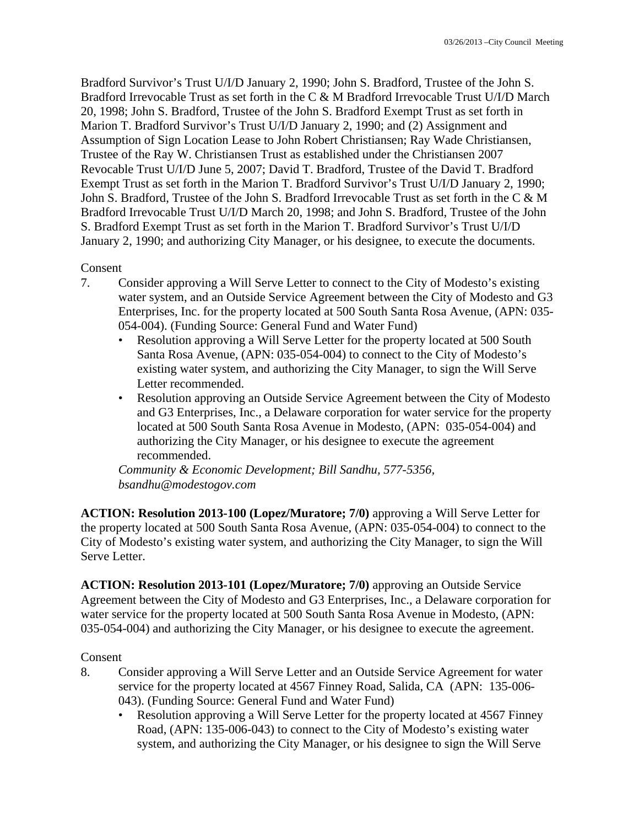Bradford Survivor's Trust U/I/D January 2, 1990; John S. Bradford, Trustee of the John S. Bradford Irrevocable Trust as set forth in the C & M Bradford Irrevocable Trust U/I/D March 20, 1998; John S. Bradford, Trustee of the John S. Bradford Exempt Trust as set forth in Marion T. Bradford Survivor's Trust U/I/D January 2, 1990; and (2) Assignment and Assumption of Sign Location Lease to John Robert Christiansen; Ray Wade Christiansen, Trustee of the Ray W. Christiansen Trust as established under the Christiansen 2007 Revocable Trust U/I/D June 5, 2007; David T. Bradford, Trustee of the David T. Bradford Exempt Trust as set forth in the Marion T. Bradford Survivor's Trust U/I/D January 2, 1990; John S. Bradford, Trustee of the John S. Bradford Irrevocable Trust as set forth in the C & M Bradford Irrevocable Trust U/I/D March 20, 1998; and John S. Bradford, Trustee of the John S. Bradford Exempt Trust as set forth in the Marion T. Bradford Survivor's Trust U/I/D January 2, 1990; and authorizing City Manager, or his designee, to execute the documents.

#### Consent

- 7. Consider approving a Will Serve Letter to connect to the City of Modesto's existing water system, and an Outside Service Agreement between the City of Modesto and G3 Enterprises, Inc. for the property located at 500 South Santa Rosa Avenue, (APN: 035- 054-004). (Funding Source: General Fund and Water Fund)
	- Resolution approving a Will Serve Letter for the property located at 500 South Santa Rosa Avenue, (APN: 035-054-004) to connect to the City of Modesto's existing water system, and authorizing the City Manager, to sign the Will Serve Letter recommended.
	- Resolution approving an Outside Service Agreement between the City of Modesto and G3 Enterprises, Inc., a Delaware corporation for water service for the property located at 500 South Santa Rosa Avenue in Modesto, (APN: 035-054-004) and authorizing the City Manager, or his designee to execute the agreement recommended.

*Community & Economic Development; Bill Sandhu, 577-5356, bsandhu@modestogov.com* 

**ACTION: Resolution 2013-100 (Lopez/Muratore; 7/0)** approving a Will Serve Letter for the property located at 500 South Santa Rosa Avenue, (APN: 035-054-004) to connect to the City of Modesto's existing water system, and authorizing the City Manager, to sign the Will Serve Letter.

**ACTION: Resolution 2013-101 (Lopez/Muratore; 7/0)** approving an Outside Service Agreement between the City of Modesto and G3 Enterprises, Inc., a Delaware corporation for water service for the property located at 500 South Santa Rosa Avenue in Modesto, (APN: 035-054-004) and authorizing the City Manager, or his designee to execute the agreement.

#### Consent

- 8. Consider approving a Will Serve Letter and an Outside Service Agreement for water service for the property located at 4567 Finney Road, Salida, CA (APN: 135-006- 043). (Funding Source: General Fund and Water Fund)
	- Resolution approving a Will Serve Letter for the property located at 4567 Finney Road, (APN: 135-006-043) to connect to the City of Modesto's existing water system, and authorizing the City Manager, or his designee to sign the Will Serve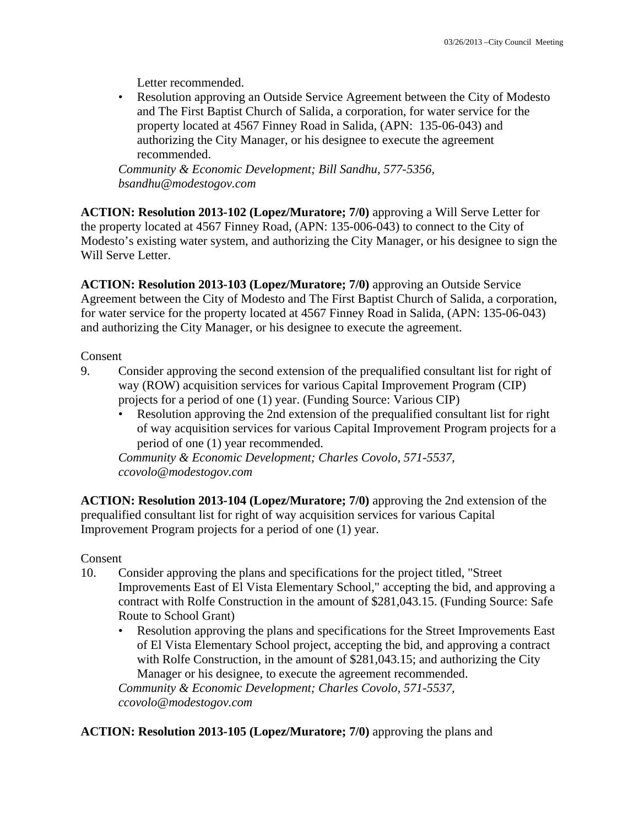Letter recommended.

• Resolution approving an Outside Service Agreement between the City of Modesto and The First Baptist Church of Salida, a corporation, for water service for the property located at 4567 Finney Road in Salida, (APN: 135-06-043) and authorizing the City Manager, or his designee to execute the agreement recommended.

*Community & Economic Development; Bill Sandhu, 577-5356, bsandhu@modestogov.com* 

**ACTION: Resolution 2013-102 (Lopez/Muratore; 7/0)** approving a Will Serve Letter for the property located at 4567 Finney Road, (APN: 135-006-043) to connect to the City of Modesto's existing water system, and authorizing the City Manager, or his designee to sign the Will Serve Letter.

**ACTION: Resolution 2013-103 (Lopez/Muratore; 7/0)** approving an Outside Service Agreement between the City of Modesto and The First Baptist Church of Salida, a corporation, for water service for the property located at 4567 Finney Road in Salida, (APN: 135-06-043) and authorizing the City Manager, or his designee to execute the agreement.

**Consent** 

- 9. Consider approving the second extension of the prequalified consultant list for right of way (ROW) acquisition services for various Capital Improvement Program (CIP) projects for a period of one (1) year. (Funding Source: Various CIP)
	- Resolution approving the 2nd extension of the prequalified consultant list for right of way acquisition services for various Capital Improvement Program projects for a period of one (1) year recommended.

*Community & Economic Development; Charles Covolo, 571-5537, ccovolo@modestogov.com* 

**ACTION: Resolution 2013-104 (Lopez/Muratore; 7/0)** approving the 2nd extension of the prequalified consultant list for right of way acquisition services for various Capital Improvement Program projects for a period of one (1) year.

Consent

- 10. Consider approving the plans and specifications for the project titled, "Street Improvements East of El Vista Elementary School," accepting the bid, and approving a contract with Rolfe Construction in the amount of \$281,043.15. (Funding Source: Safe Route to School Grant)
	- Resolution approving the plans and specifications for the Street Improvements East of El Vista Elementary School project, accepting the bid, and approving a contract with Rolfe Construction, in the amount of \$281,043.15; and authorizing the City Manager or his designee, to execute the agreement recommended.

*Community & Economic Development; Charles Covolo, 571-5537, ccovolo@modestogov.com* 

**ACTION: Resolution 2013-105 (Lopez/Muratore; 7/0)** approving the plans and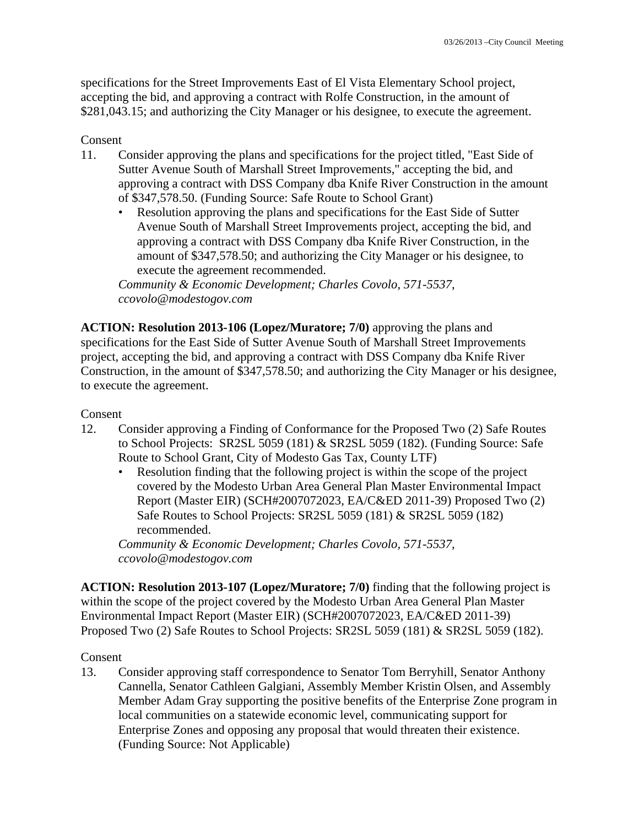specifications for the Street Improvements East of El Vista Elementary School project, accepting the bid, and approving a contract with Rolfe Construction, in the amount of \$281,043.15; and authorizing the City Manager or his designee, to execute the agreement.

#### Consent

- 11. Consider approving the plans and specifications for the project titled, "East Side of Sutter Avenue South of Marshall Street Improvements," accepting the bid, and approving a contract with DSS Company dba Knife River Construction in the amount of \$347,578.50. (Funding Source: Safe Route to School Grant)
	- Resolution approving the plans and specifications for the East Side of Sutter Avenue South of Marshall Street Improvements project, accepting the bid, and approving a contract with DSS Company dba Knife River Construction, in the amount of \$347,578.50; and authorizing the City Manager or his designee, to execute the agreement recommended.

*Community & Economic Development; Charles Covolo, 571-5537, ccovolo@modestogov.com* 

**ACTION: Resolution 2013-106 (Lopez/Muratore; 7/0)** approving the plans and specifications for the East Side of Sutter Avenue South of Marshall Street Improvements project, accepting the bid, and approving a contract with DSS Company dba Knife River Construction, in the amount of \$347,578.50; and authorizing the City Manager or his designee, to execute the agreement.

#### Consent

- 12. Consider approving a Finding of Conformance for the Proposed Two (2) Safe Routes to School Projects: SR2SL 5059 (181) & SR2SL 5059 (182). (Funding Source: Safe Route to School Grant, City of Modesto Gas Tax, County LTF)
	- Resolution finding that the following project is within the scope of the project covered by the Modesto Urban Area General Plan Master Environmental Impact Report (Master EIR) (SCH#2007072023, EA/C&ED 2011-39) Proposed Two (2) Safe Routes to School Projects: SR2SL 5059 (181) & SR2SL 5059 (182) recommended.

*Community & Economic Development; Charles Covolo, 571-5537, ccovolo@modestogov.com* 

**ACTION: Resolution 2013-107 (Lopez/Muratore; 7/0)** finding that the following project is within the scope of the project covered by the Modesto Urban Area General Plan Master Environmental Impact Report (Master EIR) (SCH#2007072023, EA/C&ED 2011-39) Proposed Two (2) Safe Routes to School Projects: SR2SL 5059 (181) & SR2SL 5059 (182).

#### Consent

13. Consider approving staff correspondence to Senator Tom Berryhill, Senator Anthony Cannella, Senator Cathleen Galgiani, Assembly Member Kristin Olsen, and Assembly Member Adam Gray supporting the positive benefits of the Enterprise Zone program in local communities on a statewide economic level, communicating support for Enterprise Zones and opposing any proposal that would threaten their existence. (Funding Source: Not Applicable)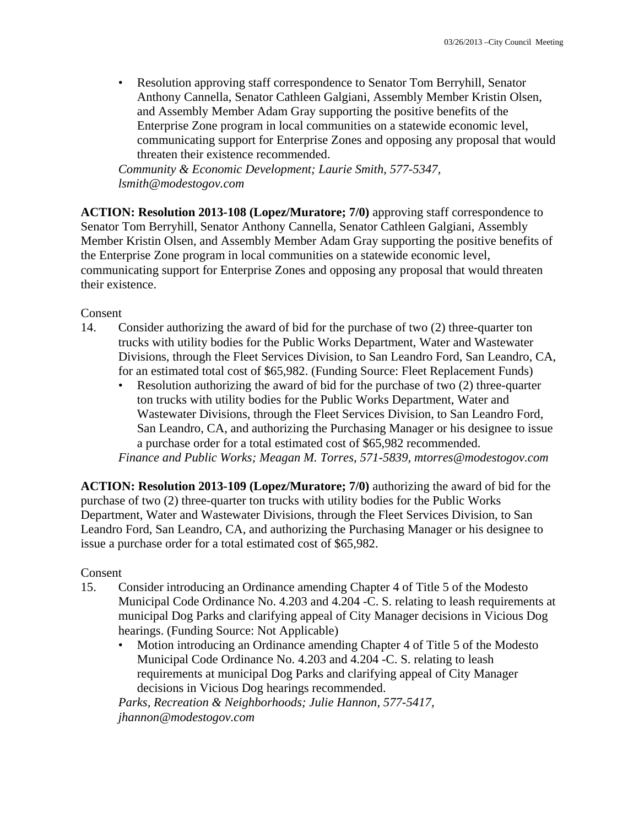• Resolution approving staff correspondence to Senator Tom Berryhill, Senator Anthony Cannella, Senator Cathleen Galgiani, Assembly Member Kristin Olsen, and Assembly Member Adam Gray supporting the positive benefits of the Enterprise Zone program in local communities on a statewide economic level, communicating support for Enterprise Zones and opposing any proposal that would threaten their existence recommended.

*Community & Economic Development; Laurie Smith, 577-5347, lsmith@modestogov.com* 

**ACTION: Resolution 2013-108 (Lopez/Muratore; 7/0)** approving staff correspondence to Senator Tom Berryhill, Senator Anthony Cannella, Senator Cathleen Galgiani, Assembly Member Kristin Olsen, and Assembly Member Adam Gray supporting the positive benefits of the Enterprise Zone program in local communities on a statewide economic level, communicating support for Enterprise Zones and opposing any proposal that would threaten their existence.

## Consent

- 14. Consider authorizing the award of bid for the purchase of two (2) three-quarter ton trucks with utility bodies for the Public Works Department, Water and Wastewater Divisions, through the Fleet Services Division, to San Leandro Ford, San Leandro, CA, for an estimated total cost of \$65,982. (Funding Source: Fleet Replacement Funds)
	- Resolution authorizing the award of bid for the purchase of two (2) three-quarter ton trucks with utility bodies for the Public Works Department, Water and Wastewater Divisions, through the Fleet Services Division, to San Leandro Ford, San Leandro, CA, and authorizing the Purchasing Manager or his designee to issue a purchase order for a total estimated cost of \$65,982 recommended. *Finance and Public Works; Meagan M. Torres, 571-5839, mtorres@modestogov.com*

**ACTION: Resolution 2013-109 (Lopez/Muratore; 7/0)** authorizing the award of bid for the purchase of two (2) three-quarter ton trucks with utility bodies for the Public Works Department, Water and Wastewater Divisions, through the Fleet Services Division, to San Leandro Ford, San Leandro, CA, and authorizing the Purchasing Manager or his designee to issue a purchase order for a total estimated cost of \$65,982.

#### Consent

- 15. Consider introducing an Ordinance amending Chapter 4 of Title 5 of the Modesto Municipal Code Ordinance No. 4.203 and 4.204 -C. S. relating to leash requirements at municipal Dog Parks and clarifying appeal of City Manager decisions in Vicious Dog hearings. (Funding Source: Not Applicable)
	- Motion introducing an Ordinance amending Chapter 4 of Title 5 of the Modesto Municipal Code Ordinance No. 4.203 and 4.204 -C. S. relating to leash requirements at municipal Dog Parks and clarifying appeal of City Manager decisions in Vicious Dog hearings recommended.

*Parks, Recreation & Neighborhoods; Julie Hannon, 577-5417, jhannon@modestogov.com*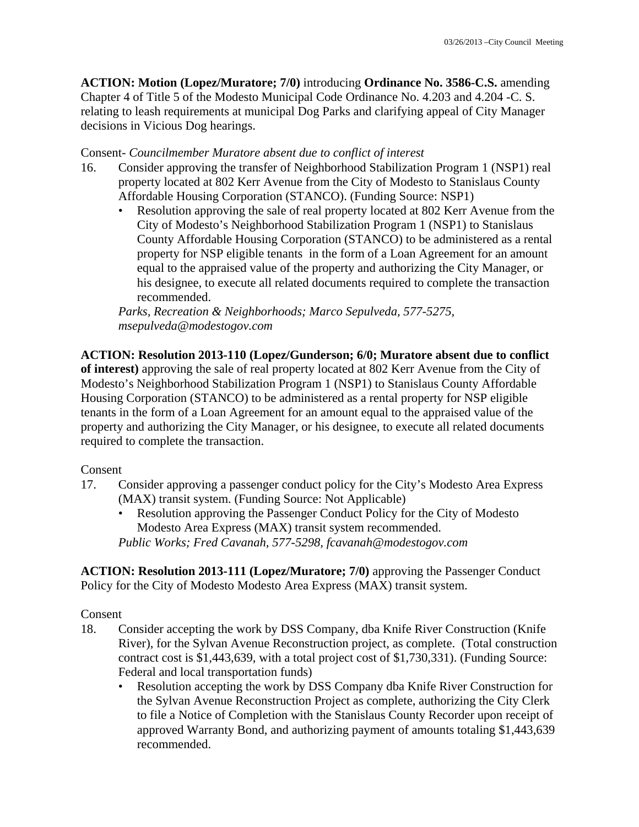**ACTION: Motion (Lopez/Muratore; 7/0)** introducing **Ordinance No. 3586-C.S.** amending Chapter 4 of Title 5 of the Modesto Municipal Code Ordinance No. 4.203 and 4.204 -C. S. relating to leash requirements at municipal Dog Parks and clarifying appeal of City Manager decisions in Vicious Dog hearings.

Consent- *Councilmember Muratore absent due to conflict of interest* 

- 16. Consider approving the transfer of Neighborhood Stabilization Program 1 (NSP1) real property located at 802 Kerr Avenue from the City of Modesto to Stanislaus County Affordable Housing Corporation (STANCO). (Funding Source: NSP1)
	- Resolution approving the sale of real property located at 802 Kerr Avenue from the City of Modesto's Neighborhood Stabilization Program 1 (NSP1) to Stanislaus County Affordable Housing Corporation (STANCO) to be administered as a rental property for NSP eligible tenants in the form of a Loan Agreement for an amount equal to the appraised value of the property and authorizing the City Manager, or his designee, to execute all related documents required to complete the transaction recommended.

*Parks, Recreation & Neighborhoods; Marco Sepulveda, 577-5275, msepulveda@modestogov.com* 

**ACTION: Resolution 2013-110 (Lopez/Gunderson; 6/0; Muratore absent due to conflict of interest)** approving the sale of real property located at 802 Kerr Avenue from the City of Modesto's Neighborhood Stabilization Program 1 (NSP1) to Stanislaus County Affordable Housing Corporation (STANCO) to be administered as a rental property for NSP eligible tenants in the form of a Loan Agreement for an amount equal to the appraised value of the property and authorizing the City Manager, or his designee, to execute all related documents required to complete the transaction.

#### Consent

- 17. Consider approving a passenger conduct policy for the City's Modesto Area Express (MAX) transit system. (Funding Source: Not Applicable)
	- Resolution approving the Passenger Conduct Policy for the City of Modesto Modesto Area Express (MAX) transit system recommended. *Public Works; Fred Cavanah, 577-5298, fcavanah@modestogov.com*

**ACTION: Resolution 2013-111 (Lopez/Muratore; 7/0)** approving the Passenger Conduct Policy for the City of Modesto Modesto Area Express (MAX) transit system.

Consent

- 18. Consider accepting the work by DSS Company, dba Knife River Construction (Knife River), for the Sylvan Avenue Reconstruction project, as complete. (Total construction contract cost is \$1,443,639, with a total project cost of \$1,730,331). (Funding Source: Federal and local transportation funds)
	- Resolution accepting the work by DSS Company dba Knife River Construction for the Sylvan Avenue Reconstruction Project as complete, authorizing the City Clerk to file a Notice of Completion with the Stanislaus County Recorder upon receipt of approved Warranty Bond, and authorizing payment of amounts totaling \$1,443,639 recommended.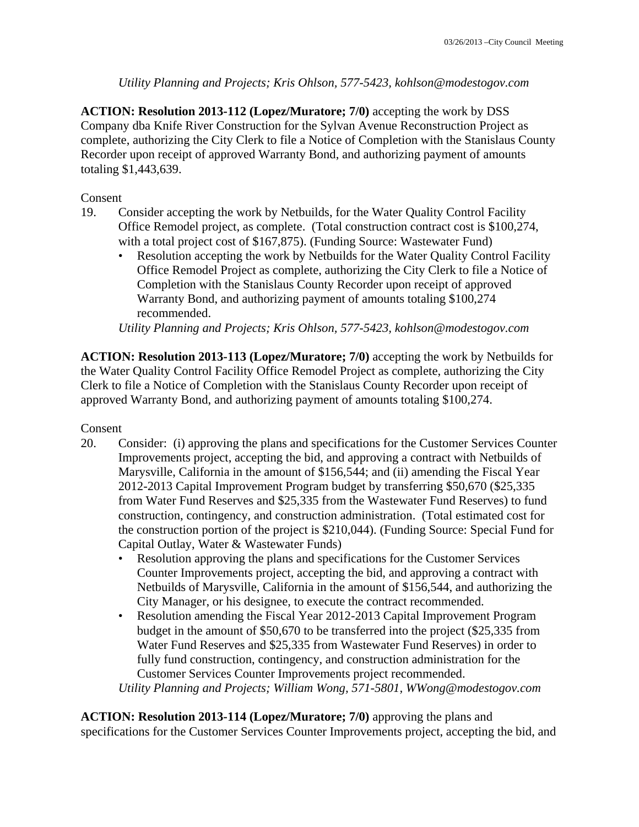*Utility Planning and Projects; Kris Ohlson, 577-5423, kohlson@modestogov.com* 

**ACTION: Resolution 2013-112 (Lopez/Muratore; 7/0)** accepting the work by DSS Company dba Knife River Construction for the Sylvan Avenue Reconstruction Project as complete, authorizing the City Clerk to file a Notice of Completion with the Stanislaus County Recorder upon receipt of approved Warranty Bond, and authorizing payment of amounts totaling \$1,443,639.

## Consent

- 19. Consider accepting the work by Netbuilds, for the Water Quality Control Facility Office Remodel project, as complete. (Total construction contract cost is \$100,274, with a total project cost of \$167,875). (Funding Source: Wastewater Fund)
	- Resolution accepting the work by Netbuilds for the Water Quality Control Facility Office Remodel Project as complete, authorizing the City Clerk to file a Notice of Completion with the Stanislaus County Recorder upon receipt of approved Warranty Bond, and authorizing payment of amounts totaling \$100,274 recommended.

*Utility Planning and Projects; Kris Ohlson, 577-5423, kohlson@modestogov.com* 

**ACTION: Resolution 2013-113 (Lopez/Muratore; 7/0)** accepting the work by Netbuilds for the Water Quality Control Facility Office Remodel Project as complete, authorizing the City Clerk to file a Notice of Completion with the Stanislaus County Recorder upon receipt of approved Warranty Bond, and authorizing payment of amounts totaling \$100,274.

Consent

- 20. Consider: (i) approving the plans and specifications for the Customer Services Counter Improvements project, accepting the bid, and approving a contract with Netbuilds of Marysville, California in the amount of \$156,544; and (ii) amending the Fiscal Year 2012-2013 Capital Improvement Program budget by transferring \$50,670 (\$25,335 from Water Fund Reserves and \$25,335 from the Wastewater Fund Reserves) to fund construction, contingency, and construction administration. (Total estimated cost for the construction portion of the project is \$210,044). (Funding Source: Special Fund for Capital Outlay, Water & Wastewater Funds)
	- Resolution approving the plans and specifications for the Customer Services Counter Improvements project, accepting the bid, and approving a contract with Netbuilds of Marysville, California in the amount of \$156,544, and authorizing the City Manager, or his designee, to execute the contract recommended.
	- Resolution amending the Fiscal Year 2012-2013 Capital Improvement Program budget in the amount of \$50,670 to be transferred into the project (\$25,335 from Water Fund Reserves and \$25,335 from Wastewater Fund Reserves) in order to fully fund construction, contingency, and construction administration for the Customer Services Counter Improvements project recommended.

*Utility Planning and Projects; William Wong, 571-5801, WWong@modestogov.com* 

**ACTION: Resolution 2013-114 (Lopez/Muratore; 7/0)** approving the plans and specifications for the Customer Services Counter Improvements project, accepting the bid, and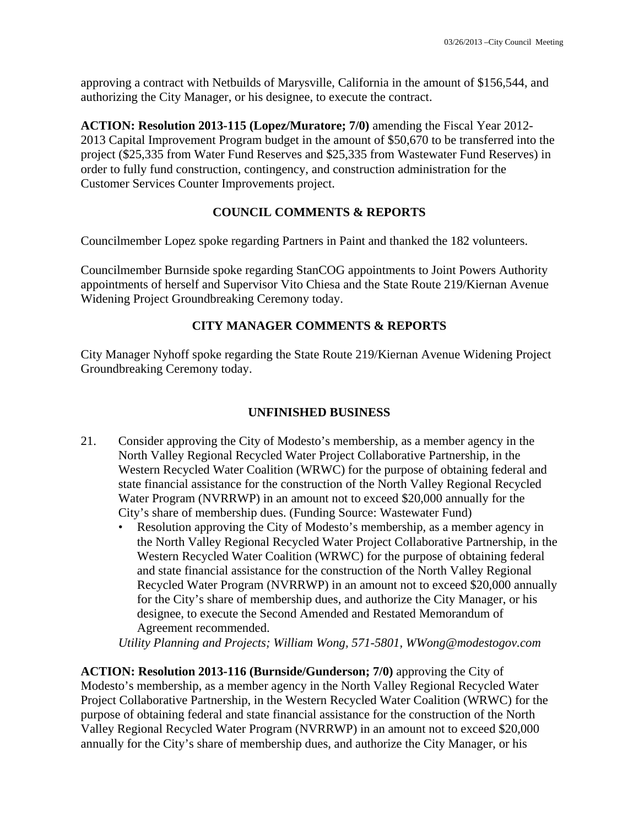approving a contract with Netbuilds of Marysville, California in the amount of \$156,544, and authorizing the City Manager, or his designee, to execute the contract.

**ACTION: Resolution 2013-115 (Lopez/Muratore; 7/0)** amending the Fiscal Year 2012- 2013 Capital Improvement Program budget in the amount of \$50,670 to be transferred into the project (\$25,335 from Water Fund Reserves and \$25,335 from Wastewater Fund Reserves) in order to fully fund construction, contingency, and construction administration for the Customer Services Counter Improvements project.

## **COUNCIL COMMENTS & REPORTS**

Councilmember Lopez spoke regarding Partners in Paint and thanked the 182 volunteers.

Councilmember Burnside spoke regarding StanCOG appointments to Joint Powers Authority appointments of herself and Supervisor Vito Chiesa and the State Route 219/Kiernan Avenue Widening Project Groundbreaking Ceremony today.

## **CITY MANAGER COMMENTS & REPORTS**

City Manager Nyhoff spoke regarding the State Route 219/Kiernan Avenue Widening Project Groundbreaking Ceremony today.

## **UNFINISHED BUSINESS**

- 21. Consider approving the City of Modesto's membership, as a member agency in the North Valley Regional Recycled Water Project Collaborative Partnership, in the Western Recycled Water Coalition (WRWC) for the purpose of obtaining federal and state financial assistance for the construction of the North Valley Regional Recycled Water Program (NVRRWP) in an amount not to exceed \$20,000 annually for the City's share of membership dues. (Funding Source: Wastewater Fund)
	- Resolution approving the City of Modesto's membership, as a member agency in the North Valley Regional Recycled Water Project Collaborative Partnership, in the Western Recycled Water Coalition (WRWC) for the purpose of obtaining federal and state financial assistance for the construction of the North Valley Regional Recycled Water Program (NVRRWP) in an amount not to exceed \$20,000 annually for the City's share of membership dues, and authorize the City Manager, or his designee, to execute the Second Amended and Restated Memorandum of Agreement recommended.

*Utility Planning and Projects; William Wong, 571-5801, WWong@modestogov.com* 

**ACTION: Resolution 2013-116 (Burnside/Gunderson; 7/0)** approving the City of Modesto's membership, as a member agency in the North Valley Regional Recycled Water Project Collaborative Partnership, in the Western Recycled Water Coalition (WRWC) for the purpose of obtaining federal and state financial assistance for the construction of the North Valley Regional Recycled Water Program (NVRRWP) in an amount not to exceed \$20,000 annually for the City's share of membership dues, and authorize the City Manager, or his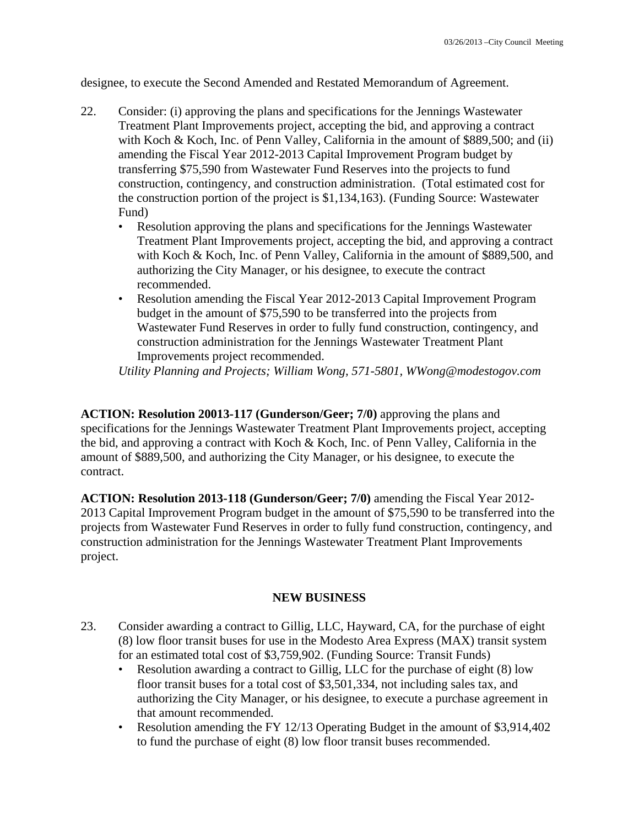designee, to execute the Second Amended and Restated Memorandum of Agreement.

- 22. Consider: (i) approving the plans and specifications for the Jennings Wastewater Treatment Plant Improvements project, accepting the bid, and approving a contract with Koch & Koch, Inc. of Penn Valley, California in the amount of \$889,500; and (ii) amending the Fiscal Year 2012-2013 Capital Improvement Program budget by transferring \$75,590 from Wastewater Fund Reserves into the projects to fund construction, contingency, and construction administration. (Total estimated cost for the construction portion of the project is \$1,134,163). (Funding Source: Wastewater Fund)
	- Resolution approving the plans and specifications for the Jennings Wastewater Treatment Plant Improvements project, accepting the bid, and approving a contract with Koch & Koch, Inc. of Penn Valley, California in the amount of \$889,500, and authorizing the City Manager, or his designee, to execute the contract recommended.
	- Resolution amending the Fiscal Year 2012-2013 Capital Improvement Program budget in the amount of \$75,590 to be transferred into the projects from Wastewater Fund Reserves in order to fully fund construction, contingency, and construction administration for the Jennings Wastewater Treatment Plant Improvements project recommended.

*Utility Planning and Projects; William Wong, 571-5801, WWong@modestogov.com* 

**ACTION: Resolution 20013-117 (Gunderson/Geer; 7/0)** approving the plans and specifications for the Jennings Wastewater Treatment Plant Improvements project, accepting the bid, and approving a contract with Koch & Koch, Inc. of Penn Valley, California in the amount of \$889,500, and authorizing the City Manager, or his designee, to execute the contract.

**ACTION: Resolution 2013-118 (Gunderson/Geer; 7/0)** amending the Fiscal Year 2012- 2013 Capital Improvement Program budget in the amount of \$75,590 to be transferred into the projects from Wastewater Fund Reserves in order to fully fund construction, contingency, and construction administration for the Jennings Wastewater Treatment Plant Improvements project.

#### **NEW BUSINESS**

- 23. Consider awarding a contract to Gillig, LLC, Hayward, CA, for the purchase of eight (8) low floor transit buses for use in the Modesto Area Express (MAX) transit system for an estimated total cost of \$3,759,902. (Funding Source: Transit Funds)
	- Resolution awarding a contract to Gillig, LLC for the purchase of eight (8) low floor transit buses for a total cost of \$3,501,334, not including sales tax, and authorizing the City Manager, or his designee, to execute a purchase agreement in that amount recommended.
	- Resolution amending the FY 12/13 Operating Budget in the amount of \$3,914,402 to fund the purchase of eight (8) low floor transit buses recommended.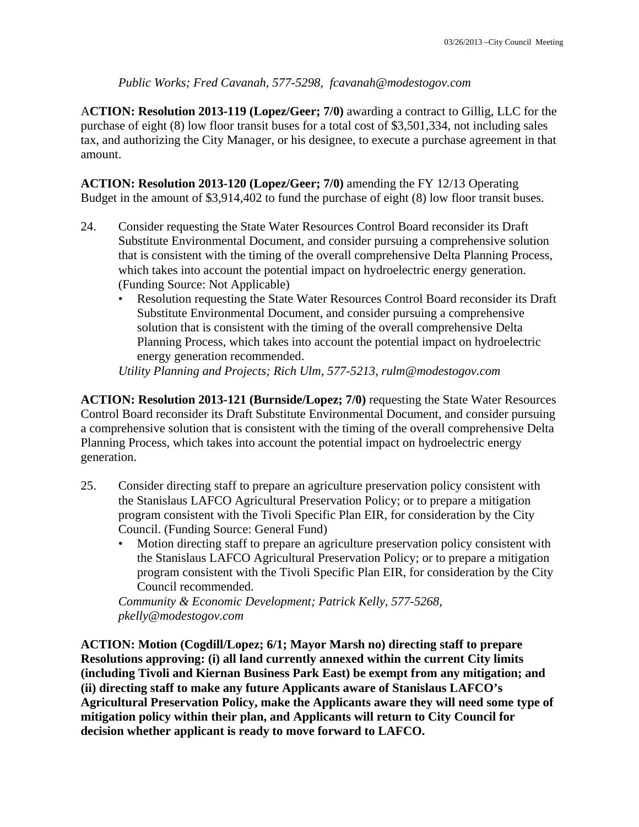## *Public Works; Fred Cavanah, 577-5298, fcavanah@modestogov.com*

A**CTION: Resolution 2013-119 (Lopez/Geer; 7/0)** awarding a contract to Gillig, LLC for the purchase of eight (8) low floor transit buses for a total cost of \$3,501,334, not including sales tax, and authorizing the City Manager, or his designee, to execute a purchase agreement in that amount.

**ACTION: Resolution 2013-120 (Lopez/Geer; 7/0)** amending the FY 12/13 Operating Budget in the amount of \$3,914,402 to fund the purchase of eight (8) low floor transit buses.

- 24. Consider requesting the State Water Resources Control Board reconsider its Draft Substitute Environmental Document, and consider pursuing a comprehensive solution that is consistent with the timing of the overall comprehensive Delta Planning Process, which takes into account the potential impact on hydroelectric energy generation. (Funding Source: Not Applicable)
	- Resolution requesting the State Water Resources Control Board reconsider its Draft Substitute Environmental Document, and consider pursuing a comprehensive solution that is consistent with the timing of the overall comprehensive Delta Planning Process, which takes into account the potential impact on hydroelectric energy generation recommended.

*Utility Planning and Projects; Rich Ulm, 577-5213, rulm@modestogov.com* 

**ACTION: Resolution 2013-121 (Burnside/Lopez; 7/0)** requesting the State Water Resources Control Board reconsider its Draft Substitute Environmental Document, and consider pursuing a comprehensive solution that is consistent with the timing of the overall comprehensive Delta Planning Process, which takes into account the potential impact on hydroelectric energy generation.

- 25. Consider directing staff to prepare an agriculture preservation policy consistent with the Stanislaus LAFCO Agricultural Preservation Policy; or to prepare a mitigation program consistent with the Tivoli Specific Plan EIR, for consideration by the City Council. (Funding Source: General Fund)
	- Motion directing staff to prepare an agriculture preservation policy consistent with the Stanislaus LAFCO Agricultural Preservation Policy; or to prepare a mitigation program consistent with the Tivoli Specific Plan EIR, for consideration by the City Council recommended.

*Community & Economic Development; Patrick Kelly, 577-5268, pkelly@modestogov.com* 

**ACTION: Motion (Cogdill/Lopez; 6/1; Mayor Marsh no) directing staff to prepare Resolutions approving: (i) all land currently annexed within the current City limits (including Tivoli and Kiernan Business Park East) be exempt from any mitigation; and (ii) directing staff to make any future Applicants aware of Stanislaus LAFCO's Agricultural Preservation Policy, make the Applicants aware they will need some type of mitigation policy within their plan, and Applicants will return to City Council for decision whether applicant is ready to move forward to LAFCO.**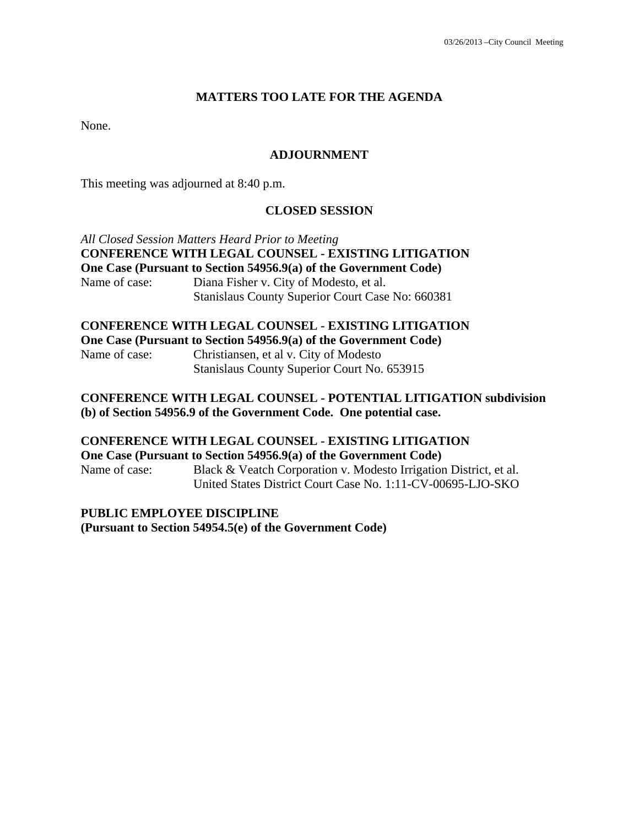#### **MATTERS TOO LATE FOR THE AGENDA**

None.

#### **ADJOURNMENT**

This meeting was adjourned at 8:40 p.m.

#### **CLOSED SESSION**

*All Closed Session Matters Heard Prior to Meeting*  **CONFERENCE WITH LEGAL COUNSEL - EXISTING LITIGATION One Case (Pursuant to Section 54956.9(a) of the Government Code)**  Name of case: Diana Fisher v. City of Modesto, et al. Stanislaus County Superior Court Case No: 660381

#### **CONFERENCE WITH LEGAL COUNSEL - EXISTING LITIGATION**

**One Case (Pursuant to Section 54956.9(a) of the Government Code)**  Name of case: Christiansen, et al v. City of Modesto Stanislaus County Superior Court No. 653915

#### **CONFERENCE WITH LEGAL COUNSEL - POTENTIAL LITIGATION subdivision (b) of Section 54956.9 of the Government Code. One potential case.**

**CONFERENCE WITH LEGAL COUNSEL - EXISTING LITIGATION One Case (Pursuant to Section 54956.9(a) of the Government Code)**  Name of case: Black & Veatch Corporation v. Modesto Irrigation District, et al. United States District Court Case No. 1:11-CV-00695-LJO-SKO

#### **PUBLIC EMPLOYEE DISCIPLINE**

**(Pursuant to Section 54954.5(e) of the Government Code)**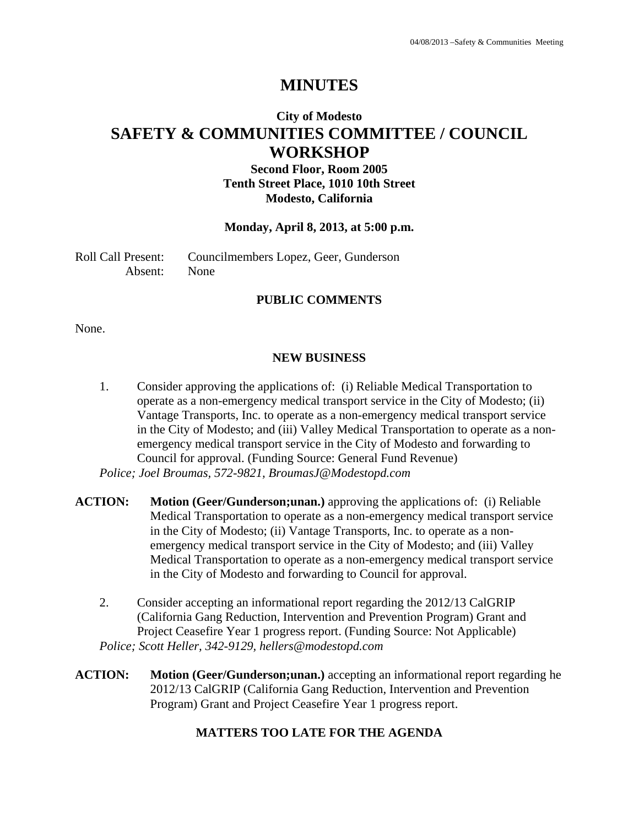# **MINUTES**

# **City of Modesto SAFETY & COMMUNITIES COMMITTEE / COUNCIL WORKSHOP**

**Second Floor, Room 2005 Tenth Street Place, 1010 10th Street Modesto, California** 

#### **Monday, April 8, 2013, at 5:00 p.m.**

Roll Call Present: Councilmembers Lopez, Geer, Gunderson Absent: None

#### **PUBLIC COMMENTS**

None.

#### **NEW BUSINESS**

- 1. Consider approving the applications of: (i) Reliable Medical Transportation to operate as a non-emergency medical transport service in the City of Modesto; (ii) Vantage Transports, Inc. to operate as a non-emergency medical transport service in the City of Modesto; and (iii) Valley Medical Transportation to operate as a nonemergency medical transport service in the City of Modesto and forwarding to Council for approval. (Funding Source: General Fund Revenue) *Police; Joel Broumas, 572-9821, BroumasJ@Modestopd.com*
- **ACTION: Motion (Geer/Gunderson;unan.)** approving the applications of: (i) Reliable Medical Transportation to operate as a non-emergency medical transport service in the City of Modesto; (ii) Vantage Transports, Inc. to operate as a nonemergency medical transport service in the City of Modesto; and (iii) Valley Medical Transportation to operate as a non-emergency medical transport service in the City of Modesto and forwarding to Council for approval.
	- 2. Consider accepting an informational report regarding the 2012/13 CalGRIP (California Gang Reduction, Intervention and Prevention Program) Grant and Project Ceasefire Year 1 progress report. (Funding Source: Not Applicable) *Police; Scott Heller, 342-9129, hellers@modestopd.com*
- **ACTION: Motion (Geer/Gunderson;unan.)** accepting an informational report regarding he 2012/13 CalGRIP (California Gang Reduction, Intervention and Prevention Program) Grant and Project Ceasefire Year 1 progress report.

#### **MATTERS TOO LATE FOR THE AGENDA**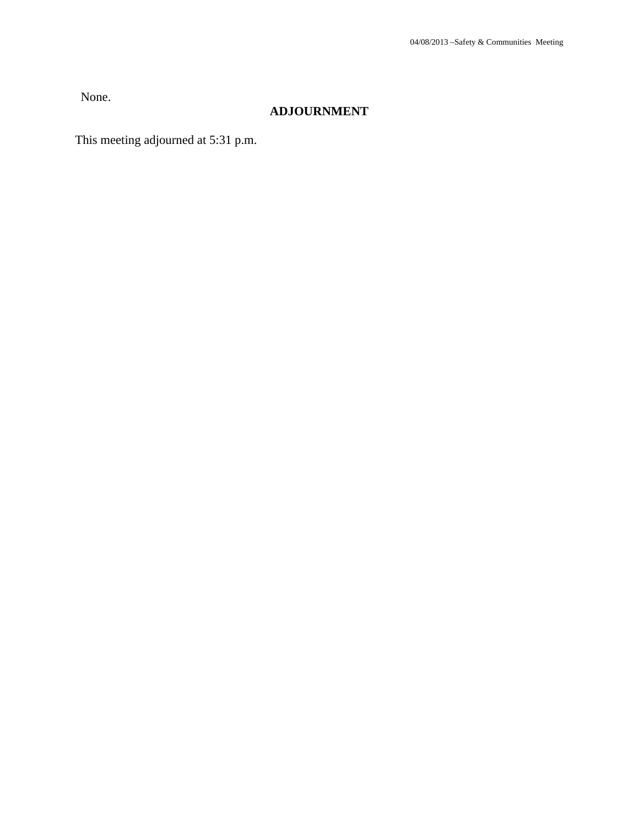None.

# **ADJOURNMENT**

This meeting adjourned at 5:31 p.m.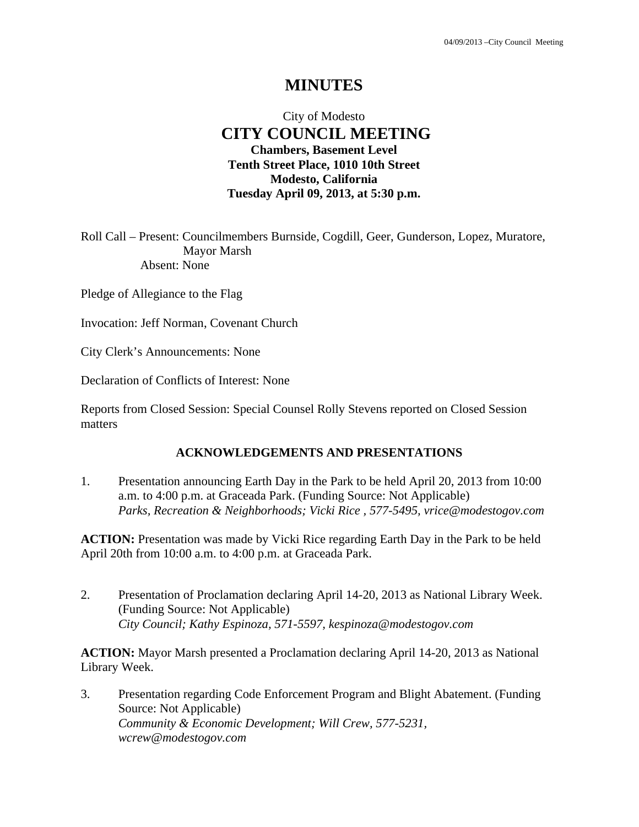# **MINUTES**

## City of Modesto  **CITY COUNCIL MEETING Chambers, Basement Level Tenth Street Place, 1010 10th Street Modesto, California Tuesday April 09, 2013, at 5:30 p.m.**

Roll Call – Present: Councilmembers Burnside, Cogdill, Geer, Gunderson, Lopez, Muratore, Mayor Marsh Absent: None

Pledge of Allegiance to the Flag

Invocation: Jeff Norman, Covenant Church

City Clerk's Announcements: None

Declaration of Conflicts of Interest: None

Reports from Closed Session: Special Counsel Rolly Stevens reported on Closed Session matters

#### **ACKNOWLEDGEMENTS AND PRESENTATIONS**

1. Presentation announcing Earth Day in the Park to be held April 20, 2013 from 10:00 a.m. to 4:00 p.m. at Graceada Park. (Funding Source: Not Applicable)  *Parks, Recreation & Neighborhoods; Vicki Rice , 577-5495, vrice@modestogov.com* 

**ACTION:** Presentation was made by Vicki Rice regarding Earth Day in the Park to be held April 20th from 10:00 a.m. to 4:00 p.m. at Graceada Park.

2. Presentation of Proclamation declaring April 14-20, 2013 as National Library Week. (Funding Source: Not Applicable)  *City Council; Kathy Espinoza, 571-5597, kespinoza@modestogov.com* 

**ACTION:** Mayor Marsh presented a Proclamation declaring April 14-20, 2013 as National Library Week.

3. Presentation regarding Code Enforcement Program and Blight Abatement. (Funding Source: Not Applicable)  *Community & Economic Development; Will Crew, 577-5231, wcrew@modestogov.com*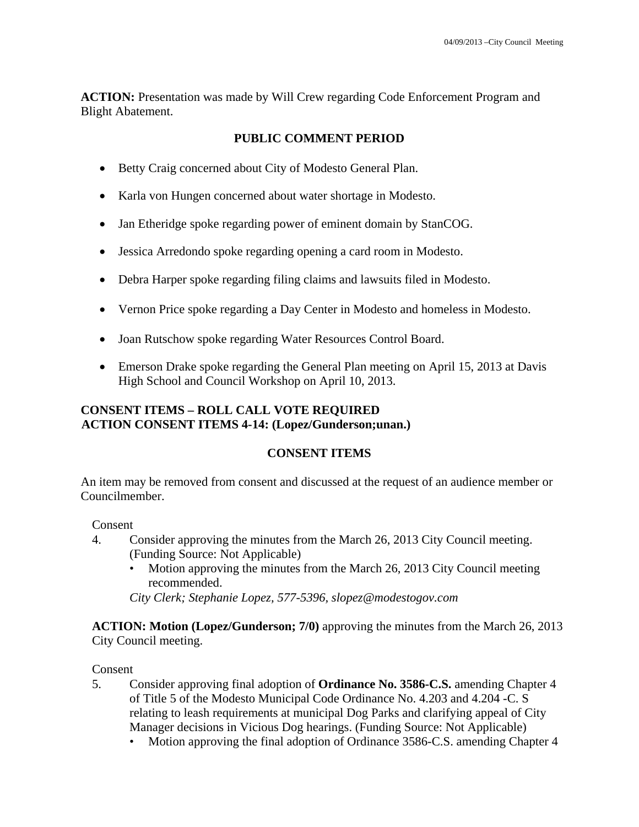ACTION: Presentation was made by Will Crew regarding Code Enforcement Program and Blight Abatement.

## **PUBLIC COMMENT PERIOD**

- Betty Craig concerned about City of Modesto General Plan.
- Karla von Hungen concerned about water shortage in Modesto.
- Jan Etheridge spoke regarding power of eminent domain by StanCOG.
- Jessica Arredondo spoke regarding opening a card room in Modesto.
- Debra Harper spoke regarding filing claims and lawsuits filed in Modesto.
- Vernon Price spoke regarding a Day Center in Modesto and homeless in Modesto.
- Joan Rutschow spoke regarding Water Resources Control Board.
- Emerson Drake spoke regarding the General Plan meeting on April 15, 2013 at Davis High School and Council Workshop on April 10, 2013.

## **CONSENT ITEMS – ROLL CALL VOTE REQUIRED ACTION CONSENT ITEMS 4-14: (Lopez/Gunderson;unan.)**

## **CONSENT ITEMS**

An item may be removed from consent and discussed at the request of an audience member or Councilmember.

## Consent

- 4. Consider approving the minutes from the March 26, 2013 City Council meeting. (Funding Source: Not Applicable)
	- Motion approving the minutes from the March 26, 2013 City Council meeting recommended.

*City Clerk; Stephanie Lopez, 577-5396, slopez@modestogov.com* 

**ACTION: Motion (Lopez/Gunderson; 7/0)** approving the minutes from the March 26, 2013 City Council meeting.

Consent

- 5. Consider approving final adoption of **Ordinance No. 3586-C.S.** amending Chapter 4 of Title 5 of the Modesto Municipal Code Ordinance No. 4.203 and 4.204 -C. S relating to leash requirements at municipal Dog Parks and clarifying appeal of City Manager decisions in Vicious Dog hearings. (Funding Source: Not Applicable)
	- Motion approving the final adoption of Ordinance 3586-C.S. amending Chapter 4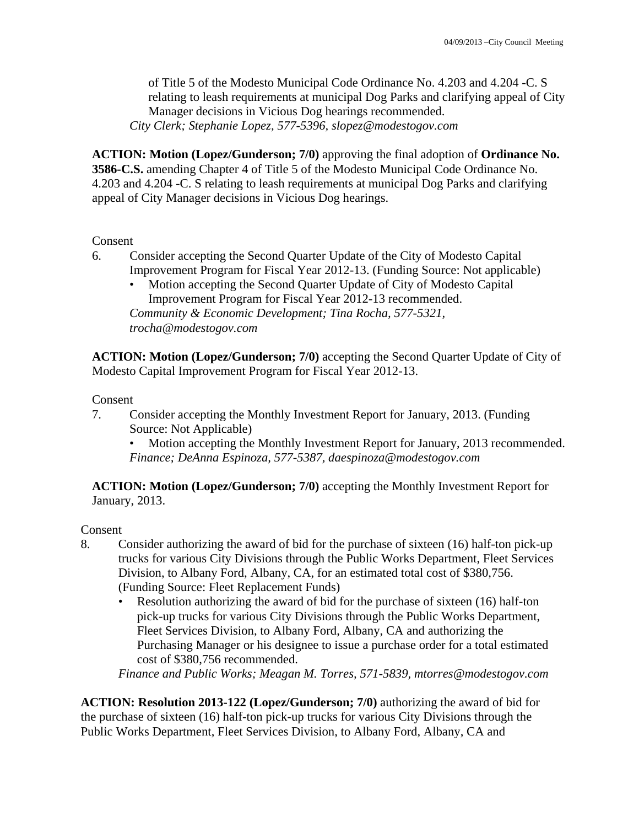of Title 5 of the Modesto Municipal Code Ordinance No. 4.203 and 4.204 -C. S relating to leash requirements at municipal Dog Parks and clarifying appeal of City Manager decisions in Vicious Dog hearings recommended. *City Clerk; Stephanie Lopez, 577-5396, slopez@modestogov.com* 

**ACTION: Motion (Lopez/Gunderson; 7/0)** approving the final adoption of **Ordinance No. 3586-C.S.** amending Chapter 4 of Title 5 of the Modesto Municipal Code Ordinance No. 4.203 and 4.204 -C. S relating to leash requirements at municipal Dog Parks and clarifying appeal of City Manager decisions in Vicious Dog hearings.

#### Consent

- 6. Consider accepting the Second Quarter Update of the City of Modesto Capital Improvement Program for Fiscal Year 2012-13. (Funding Source: Not applicable)
	- Motion accepting the Second Quarter Update of City of Modesto Capital Improvement Program for Fiscal Year 2012-13 recommended. *Community & Economic Development; Tina Rocha, 577-5321, trocha@modestogov.com*

**ACTION: Motion (Lopez/Gunderson; 7/0)** accepting the Second Quarter Update of City of Modesto Capital Improvement Program for Fiscal Year 2012-13.

#### Consent

7. Consider accepting the Monthly Investment Report for January, 2013. (Funding Source: Not Applicable)

• Motion accepting the Monthly Investment Report for January, 2013 recommended. *Finance; DeAnna Espinoza, 577-5387, daespinoza@modestogov.com* 

**ACTION: Motion (Lopez/Gunderson; 7/0)** accepting the Monthly Investment Report for January, 2013.

#### Consent

- 8. Consider authorizing the award of bid for the purchase of sixteen (16) half-ton pick-up trucks for various City Divisions through the Public Works Department, Fleet Services Division, to Albany Ford, Albany, CA, for an estimated total cost of \$380,756. (Funding Source: Fleet Replacement Funds)
	- Resolution authorizing the award of bid for the purchase of sixteen (16) half-ton pick-up trucks for various City Divisions through the Public Works Department, Fleet Services Division, to Albany Ford, Albany, CA and authorizing the Purchasing Manager or his designee to issue a purchase order for a total estimated cost of \$380,756 recommended.

*Finance and Public Works; Meagan M. Torres, 571-5839, mtorres@modestogov.com* 

**ACTION: Resolution 2013-122 (Lopez/Gunderson; 7/0)** authorizing the award of bid for the purchase of sixteen (16) half-ton pick-up trucks for various City Divisions through the Public Works Department, Fleet Services Division, to Albany Ford, Albany, CA and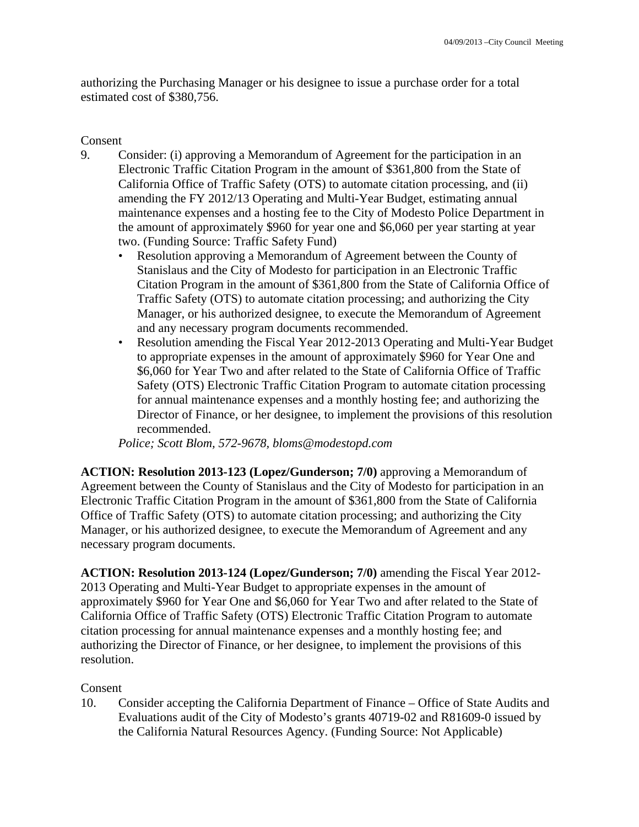authorizing the Purchasing Manager or his designee to issue a purchase order for a total estimated cost of \$380,756.

#### Consent

- 9. Consider: (i) approving a Memorandum of Agreement for the participation in an Electronic Traffic Citation Program in the amount of \$361,800 from the State of California Office of Traffic Safety (OTS) to automate citation processing, and (ii) amending the FY 2012/13 Operating and Multi-Year Budget, estimating annual maintenance expenses and a hosting fee to the City of Modesto Police Department in the amount of approximately \$960 for year one and \$6,060 per year starting at year two. (Funding Source: Traffic Safety Fund)
	- Resolution approving a Memorandum of Agreement between the County of Stanislaus and the City of Modesto for participation in an Electronic Traffic Citation Program in the amount of \$361,800 from the State of California Office of Traffic Safety (OTS) to automate citation processing; and authorizing the City Manager, or his authorized designee, to execute the Memorandum of Agreement and any necessary program documents recommended.
	- Resolution amending the Fiscal Year 2012-2013 Operating and Multi-Year Budget to appropriate expenses in the amount of approximately \$960 for Year One and \$6,060 for Year Two and after related to the State of California Office of Traffic Safety (OTS) Electronic Traffic Citation Program to automate citation processing for annual maintenance expenses and a monthly hosting fee; and authorizing the Director of Finance, or her designee, to implement the provisions of this resolution recommended.

*Police; Scott Blom, 572-9678, bloms@modestopd.com* 

**ACTION: Resolution 2013-123 (Lopez/Gunderson; 7/0)** approving a Memorandum of Agreement between the County of Stanislaus and the City of Modesto for participation in an Electronic Traffic Citation Program in the amount of \$361,800 from the State of California Office of Traffic Safety (OTS) to automate citation processing; and authorizing the City Manager, or his authorized designee, to execute the Memorandum of Agreement and any necessary program documents.

**ACTION: Resolution 2013-124 (Lopez/Gunderson; 7/0)** amending the Fiscal Year 2012- 2013 Operating and Multi-Year Budget to appropriate expenses in the amount of approximately \$960 for Year One and \$6,060 for Year Two and after related to the State of California Office of Traffic Safety (OTS) Electronic Traffic Citation Program to automate citation processing for annual maintenance expenses and a monthly hosting fee; and authorizing the Director of Finance, or her designee, to implement the provisions of this resolution.

#### Consent

10. Consider accepting the California Department of Finance – Office of State Audits and Evaluations audit of the City of Modesto's grants 40719-02 and R81609-0 issued by the California Natural Resources Agency. (Funding Source: Not Applicable)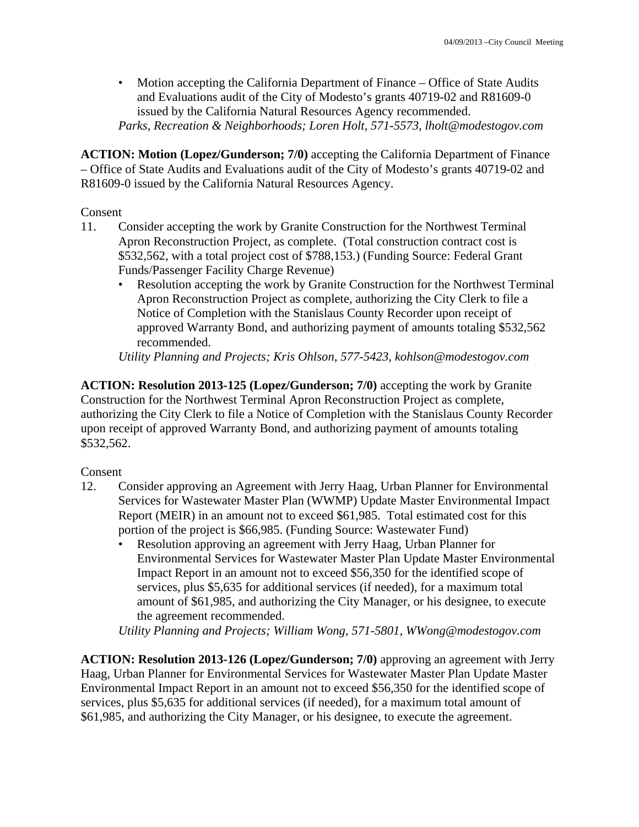• Motion accepting the California Department of Finance – Office of State Audits and Evaluations audit of the City of Modesto's grants 40719-02 and R81609-0 issued by the California Natural Resources Agency recommended. *Parks, Recreation & Neighborhoods; Loren Holt, 571-5573, lholt@modestogov.com* 

**ACTION: Motion (Lopez/Gunderson; 7/0)** accepting the California Department of Finance – Office of State Audits and Evaluations audit of the City of Modesto's grants 40719-02 and R81609-0 issued by the California Natural Resources Agency.

### Consent

- 11. Consider accepting the work by Granite Construction for the Northwest Terminal Apron Reconstruction Project, as complete. (Total construction contract cost is \$532,562, with a total project cost of \$788,153.) (Funding Source: Federal Grant Funds/Passenger Facility Charge Revenue)
	- Resolution accepting the work by Granite Construction for the Northwest Terminal Apron Reconstruction Project as complete, authorizing the City Clerk to file a Notice of Completion with the Stanislaus County Recorder upon receipt of approved Warranty Bond, and authorizing payment of amounts totaling \$532,562 recommended.

*Utility Planning and Projects; Kris Ohlson, 577-5423, kohlson@modestogov.com* 

**ACTION: Resolution 2013-125 (Lopez/Gunderson; 7/0)** accepting the work by Granite Construction for the Northwest Terminal Apron Reconstruction Project as complete, authorizing the City Clerk to file a Notice of Completion with the Stanislaus County Recorder upon receipt of approved Warranty Bond, and authorizing payment of amounts totaling \$532,562.

## Consent

- 12. Consider approving an Agreement with Jerry Haag, Urban Planner for Environmental Services for Wastewater Master Plan (WWMP) Update Master Environmental Impact Report (MEIR) in an amount not to exceed \$61,985. Total estimated cost for this portion of the project is \$66,985. (Funding Source: Wastewater Fund)
	- Resolution approving an agreement with Jerry Haag, Urban Planner for Environmental Services for Wastewater Master Plan Update Master Environmental Impact Report in an amount not to exceed \$56,350 for the identified scope of services, plus \$5,635 for additional services (if needed), for a maximum total amount of \$61,985, and authorizing the City Manager, or his designee, to execute the agreement recommended.

*Utility Planning and Projects; William Wong, 571-5801, WWong@modestogov.com* 

**ACTION: Resolution 2013-126 (Lopez/Gunderson; 7/0)** approving an agreement with Jerry Haag, Urban Planner for Environmental Services for Wastewater Master Plan Update Master Environmental Impact Report in an amount not to exceed \$56,350 for the identified scope of services, plus \$5,635 for additional services (if needed), for a maximum total amount of \$61,985, and authorizing the City Manager, or his designee, to execute the agreement.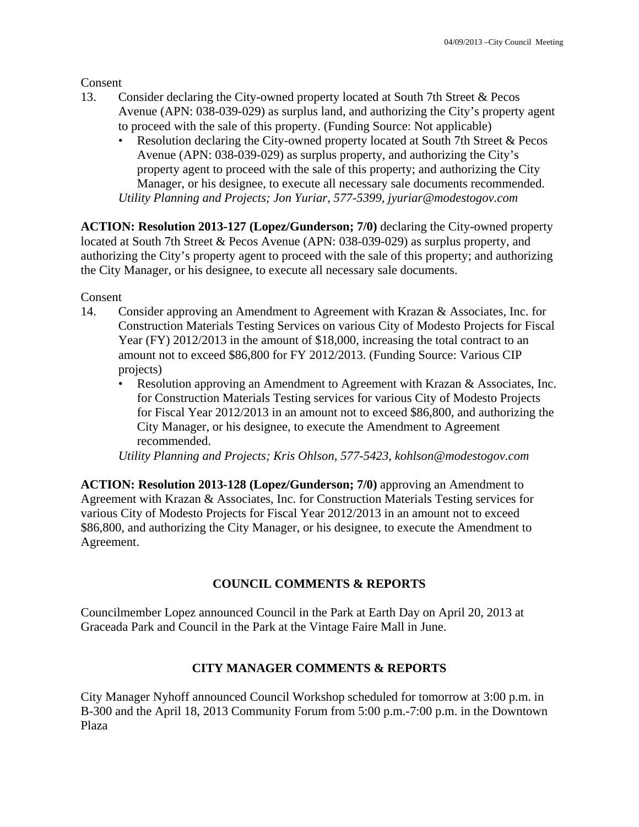Consent

- 13. Consider declaring the City-owned property located at South 7th Street & Pecos Avenue (APN: 038-039-029) as surplus land, and authorizing the City's property agent to proceed with the sale of this property. (Funding Source: Not applicable)
	- Resolution declaring the City-owned property located at South 7th Street & Pecos Avenue (APN: 038-039-029) as surplus property, and authorizing the City's property agent to proceed with the sale of this property; and authorizing the City Manager, or his designee, to execute all necessary sale documents recommended. *Utility Planning and Projects; Jon Yuriar, 577-5399, jyuriar@modestogov.com*

**ACTION: Resolution 2013-127 (Lopez/Gunderson; 7/0)** declaring the City-owned property located at South 7th Street & Pecos Avenue (APN: 038-039-029) as surplus property, and authorizing the City's property agent to proceed with the sale of this property; and authorizing the City Manager, or his designee, to execute all necessary sale documents.

Consent

- 14. Consider approving an Amendment to Agreement with Krazan & Associates, Inc. for Construction Materials Testing Services on various City of Modesto Projects for Fiscal Year (FY) 2012/2013 in the amount of \$18,000, increasing the total contract to an amount not to exceed \$86,800 for FY 2012/2013. (Funding Source: Various CIP projects)
	- Resolution approving an Amendment to Agreement with Krazan & Associates, Inc. for Construction Materials Testing services for various City of Modesto Projects for Fiscal Year 2012/2013 in an amount not to exceed \$86,800, and authorizing the City Manager, or his designee, to execute the Amendment to Agreement recommended.

*Utility Planning and Projects; Kris Ohlson, 577-5423, kohlson@modestogov.com* 

**ACTION: Resolution 2013-128 (Lopez/Gunderson; 7/0)** approving an Amendment to Agreement with Krazan & Associates, Inc. for Construction Materials Testing services for various City of Modesto Projects for Fiscal Year 2012/2013 in an amount not to exceed \$86,800, and authorizing the City Manager, or his designee, to execute the Amendment to Agreement.

## **COUNCIL COMMENTS & REPORTS**

Councilmember Lopez announced Council in the Park at Earth Day on April 20, 2013 at Graceada Park and Council in the Park at the Vintage Faire Mall in June.

## **CITY MANAGER COMMENTS & REPORTS**

City Manager Nyhoff announced Council Workshop scheduled for tomorrow at 3:00 p.m. in B-300 and the April 18, 2013 Community Forum from 5:00 p.m.-7:00 p.m. in the Downtown Plaza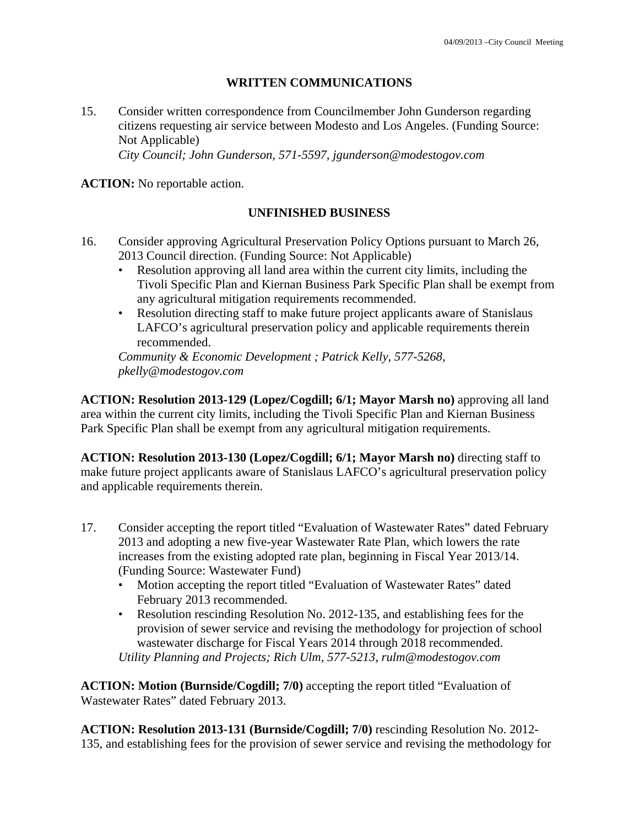## **WRITTEN COMMUNICATIONS**

15. Consider written correspondence from Councilmember John Gunderson regarding citizens requesting air service between Modesto and Los Angeles. (Funding Source: Not Applicable)  *City Council; John Gunderson, 571-5597, jgunderson@modestogov.com* 

**ACTION:** No reportable action.

## **UNFINISHED BUSINESS**

- 16. Consider approving Agricultural Preservation Policy Options pursuant to March 26, 2013 Council direction. (Funding Source: Not Applicable)
	- Resolution approving all land area within the current city limits, including the Tivoli Specific Plan and Kiernan Business Park Specific Plan shall be exempt from any agricultural mitigation requirements recommended.
	- Resolution directing staff to make future project applicants aware of Stanislaus LAFCO's agricultural preservation policy and applicable requirements therein recommended.

*Community & Economic Development ; Patrick Kelly, 577-5268, pkelly@modestogov.com* 

**ACTION: Resolution 2013-129 (Lopez/Cogdill; 6/1; Mayor Marsh no)** approving all land area within the current city limits, including the Tivoli Specific Plan and Kiernan Business Park Specific Plan shall be exempt from any agricultural mitigation requirements.

**ACTION: Resolution 2013-130 (Lopez/Cogdill; 6/1; Mayor Marsh no)** directing staff to make future project applicants aware of Stanislaus LAFCO's agricultural preservation policy and applicable requirements therein.

- 17. Consider accepting the report titled "Evaluation of Wastewater Rates" dated February 2013 and adopting a new five-year Wastewater Rate Plan, which lowers the rate increases from the existing adopted rate plan, beginning in Fiscal Year 2013/14. (Funding Source: Wastewater Fund)
	- Motion accepting the report titled "Evaluation of Wastewater Rates" dated February 2013 recommended.
	- Resolution rescinding Resolution No. 2012-135, and establishing fees for the provision of sewer service and revising the methodology for projection of school wastewater discharge for Fiscal Years 2014 through 2018 recommended. *Utility Planning and Projects; Rich Ulm, 577-5213, rulm@modestogov.com*

**ACTION: Motion (Burnside/Cogdill; 7/0)** accepting the report titled "Evaluation of Wastewater Rates" dated February 2013.

**ACTION: Resolution 2013-131 (Burnside/Cogdill; 7/0)** rescinding Resolution No. 2012- 135, and establishing fees for the provision of sewer service and revising the methodology for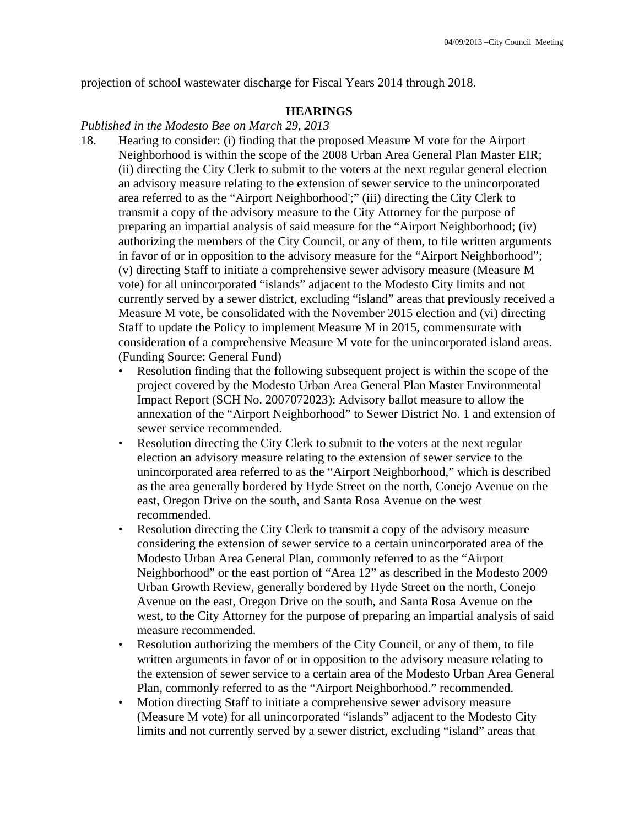projection of school wastewater discharge for Fiscal Years 2014 through 2018.

## **HEARINGS**

#### *Published in the Modesto Bee on March 29, 2013*

- 18. Hearing to consider: (i) finding that the proposed Measure M vote for the Airport Neighborhood is within the scope of the 2008 Urban Area General Plan Master EIR; (ii) directing the City Clerk to submit to the voters at the next regular general election an advisory measure relating to the extension of sewer service to the unincorporated area referred to as the "Airport Neighborhood';" (iii) directing the City Clerk to transmit a copy of the advisory measure to the City Attorney for the purpose of preparing an impartial analysis of said measure for the "Airport Neighborhood; (iv) authorizing the members of the City Council, or any of them, to file written arguments in favor of or in opposition to the advisory measure for the "Airport Neighborhood"; (v) directing Staff to initiate a comprehensive sewer advisory measure (Measure M vote) for all unincorporated "islands" adjacent to the Modesto City limits and not currently served by a sewer district, excluding "island" areas that previously received a Measure M vote, be consolidated with the November 2015 election and (vi) directing Staff to update the Policy to implement Measure M in 2015, commensurate with consideration of a comprehensive Measure M vote for the unincorporated island areas. (Funding Source: General Fund)
	- Resolution finding that the following subsequent project is within the scope of the project covered by the Modesto Urban Area General Plan Master Environmental Impact Report (SCH No. 2007072023): Advisory ballot measure to allow the annexation of the "Airport Neighborhood" to Sewer District No. 1 and extension of sewer service recommended.
	- Resolution directing the City Clerk to submit to the voters at the next regular election an advisory measure relating to the extension of sewer service to the unincorporated area referred to as the "Airport Neighborhood," which is described as the area generally bordered by Hyde Street on the north, Conejo Avenue on the east, Oregon Drive on the south, and Santa Rosa Avenue on the west recommended.
	- Resolution directing the City Clerk to transmit a copy of the advisory measure considering the extension of sewer service to a certain unincorporated area of the Modesto Urban Area General Plan, commonly referred to as the "Airport Neighborhood" or the east portion of "Area 12" as described in the Modesto 2009 Urban Growth Review, generally bordered by Hyde Street on the north, Conejo Avenue on the east, Oregon Drive on the south, and Santa Rosa Avenue on the west, to the City Attorney for the purpose of preparing an impartial analysis of said measure recommended.
	- Resolution authorizing the members of the City Council, or any of them, to file written arguments in favor of or in opposition to the advisory measure relating to the extension of sewer service to a certain area of the Modesto Urban Area General Plan, commonly referred to as the "Airport Neighborhood." recommended.
	- Motion directing Staff to initiate a comprehensive sewer advisory measure (Measure M vote) for all unincorporated "islands" adjacent to the Modesto City limits and not currently served by a sewer district, excluding "island" areas that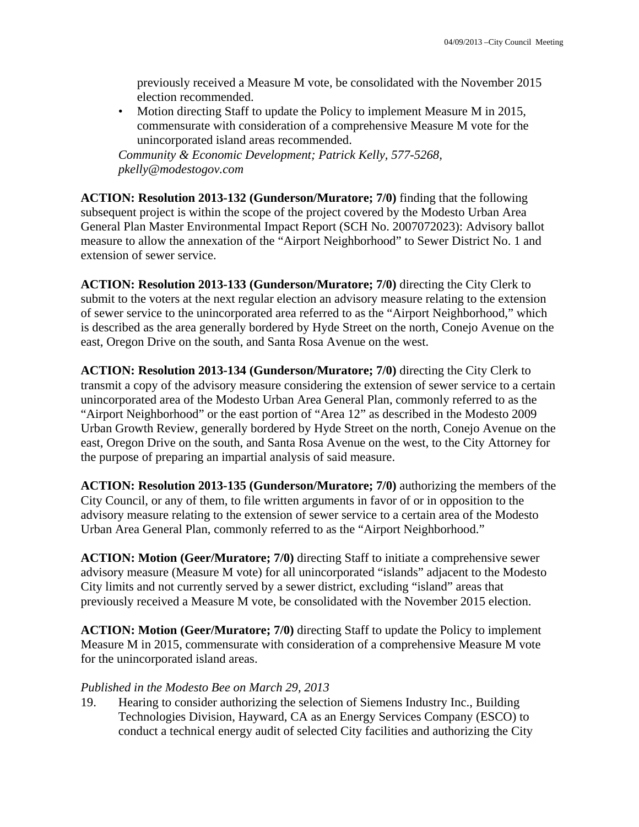previously received a Measure M vote, be consolidated with the November 2015 election recommended.

• Motion directing Staff to update the Policy to implement Measure M in 2015, commensurate with consideration of a comprehensive Measure M vote for the unincorporated island areas recommended.

*Community & Economic Development; Patrick Kelly, 577-5268, pkelly@modestogov.com* 

**ACTION: Resolution 2013-132 (Gunderson/Muratore; 7/0)** finding that the following subsequent project is within the scope of the project covered by the Modesto Urban Area General Plan Master Environmental Impact Report (SCH No. 2007072023): Advisory ballot measure to allow the annexation of the "Airport Neighborhood" to Sewer District No. 1 and extension of sewer service.

**ACTION: Resolution 2013-133 (Gunderson/Muratore; 7/0)** directing the City Clerk to submit to the voters at the next regular election an advisory measure relating to the extension of sewer service to the unincorporated area referred to as the "Airport Neighborhood," which is described as the area generally bordered by Hyde Street on the north, Conejo Avenue on the east, Oregon Drive on the south, and Santa Rosa Avenue on the west.

**ACTION: Resolution 2013-134 (Gunderson/Muratore; 7/0)** directing the City Clerk to transmit a copy of the advisory measure considering the extension of sewer service to a certain unincorporated area of the Modesto Urban Area General Plan, commonly referred to as the "Airport Neighborhood" or the east portion of "Area 12" as described in the Modesto 2009 Urban Growth Review, generally bordered by Hyde Street on the north, Conejo Avenue on the east, Oregon Drive on the south, and Santa Rosa Avenue on the west, to the City Attorney for the purpose of preparing an impartial analysis of said measure.

**ACTION: Resolution 2013-135 (Gunderson/Muratore; 7/0)** authorizing the members of the City Council, or any of them, to file written arguments in favor of or in opposition to the advisory measure relating to the extension of sewer service to a certain area of the Modesto Urban Area General Plan, commonly referred to as the "Airport Neighborhood."

**ACTION: Motion (Geer/Muratore; 7/0)** directing Staff to initiate a comprehensive sewer advisory measure (Measure M vote) for all unincorporated "islands" adjacent to the Modesto City limits and not currently served by a sewer district, excluding "island" areas that previously received a Measure M vote, be consolidated with the November 2015 election.

**ACTION: Motion (Geer/Muratore; 7/0)** directing Staff to update the Policy to implement Measure M in 2015, commensurate with consideration of a comprehensive Measure M vote for the unincorporated island areas.

## *Published in the Modesto Bee on March 29, 2013*

19. Hearing to consider authorizing the selection of Siemens Industry Inc., Building Technologies Division, Hayward, CA as an Energy Services Company (ESCO) to conduct a technical energy audit of selected City facilities and authorizing the City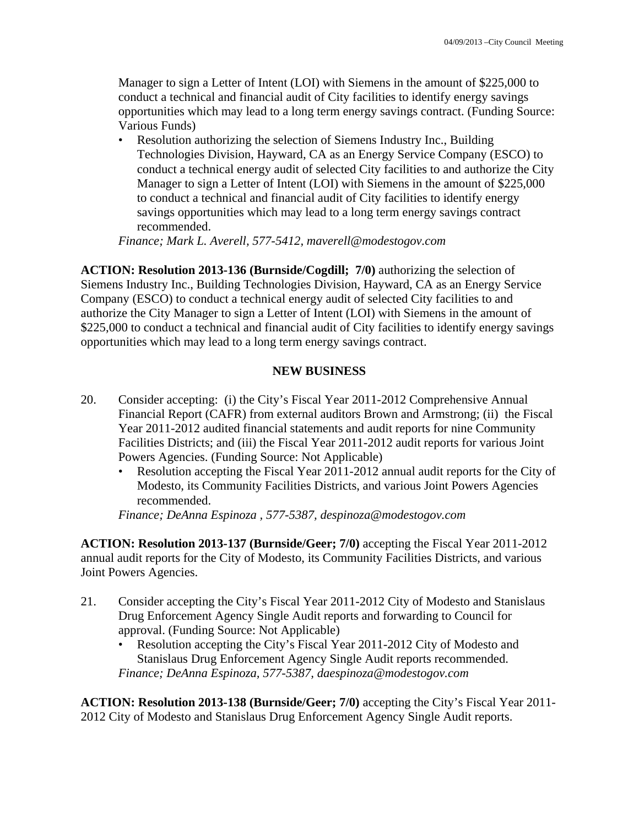Manager to sign a Letter of Intent (LOI) with Siemens in the amount of \$225,000 to conduct a technical and financial audit of City facilities to identify energy savings opportunities which may lead to a long term energy savings contract. (Funding Source: Various Funds)

• Resolution authorizing the selection of Siemens Industry Inc., Building Technologies Division, Hayward, CA as an Energy Service Company (ESCO) to conduct a technical energy audit of selected City facilities to and authorize the City Manager to sign a Letter of Intent (LOI) with Siemens in the amount of \$225,000 to conduct a technical and financial audit of City facilities to identify energy savings opportunities which may lead to a long term energy savings contract recommended.

*Finance; Mark L. Averell, 577-5412, maverell@modestogov.com* 

**ACTION: Resolution 2013-136 (Burnside/Cogdill; 7/0)** authorizing the selection of Siemens Industry Inc., Building Technologies Division, Hayward, CA as an Energy Service Company (ESCO) to conduct a technical energy audit of selected City facilities to and authorize the City Manager to sign a Letter of Intent (LOI) with Siemens in the amount of \$225,000 to conduct a technical and financial audit of City facilities to identify energy savings opportunities which may lead to a long term energy savings contract.

## **NEW BUSINESS**

- 20. Consider accepting: (i) the City's Fiscal Year 2011-2012 Comprehensive Annual Financial Report (CAFR) from external auditors Brown and Armstrong; (ii) the Fiscal Year 2011-2012 audited financial statements and audit reports for nine Community Facilities Districts; and (iii) the Fiscal Year 2011-2012 audit reports for various Joint Powers Agencies. (Funding Source: Not Applicable)
	- Resolution accepting the Fiscal Year 2011-2012 annual audit reports for the City of Modesto, its Community Facilities Districts, and various Joint Powers Agencies recommended.

*Finance; DeAnna Espinoza , 577-5387, despinoza@modestogov.com* 

**ACTION: Resolution 2013-137 (Burnside/Geer; 7/0)** accepting the Fiscal Year 2011-2012 annual audit reports for the City of Modesto, its Community Facilities Districts, and various Joint Powers Agencies.

- 21. Consider accepting the City's Fiscal Year 2011-2012 City of Modesto and Stanislaus Drug Enforcement Agency Single Audit reports and forwarding to Council for approval. (Funding Source: Not Applicable)
	- Resolution accepting the City's Fiscal Year 2011-2012 City of Modesto and Stanislaus Drug Enforcement Agency Single Audit reports recommended. *Finance; DeAnna Espinoza, 577-5387, daespinoza@modestogov.com*

**ACTION: Resolution 2013-138 (Burnside/Geer; 7/0)** accepting the City's Fiscal Year 2011- 2012 City of Modesto and Stanislaus Drug Enforcement Agency Single Audit reports.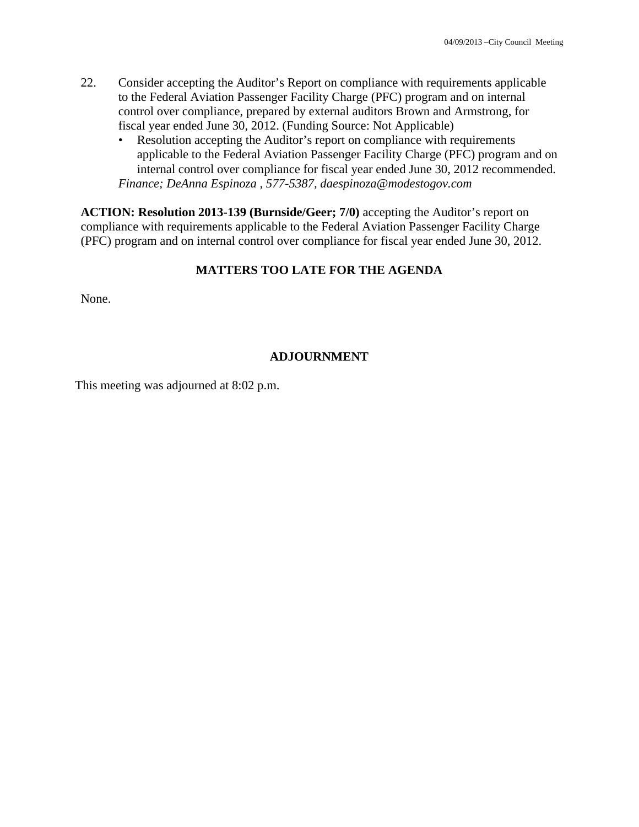- 22. Consider accepting the Auditor's Report on compliance with requirements applicable to the Federal Aviation Passenger Facility Charge (PFC) program and on internal control over compliance, prepared by external auditors Brown and Armstrong, for fiscal year ended June 30, 2012. (Funding Source: Not Applicable)
	- Resolution accepting the Auditor's report on compliance with requirements applicable to the Federal Aviation Passenger Facility Charge (PFC) program and on internal control over compliance for fiscal year ended June 30, 2012 recommended. *Finance; DeAnna Espinoza , 577-5387, daespinoza@modestogov.com*

**ACTION: Resolution 2013-139 (Burnside/Geer; 7/0)** accepting the Auditor's report on compliance with requirements applicable to the Federal Aviation Passenger Facility Charge (PFC) program and on internal control over compliance for fiscal year ended June 30, 2012.

## **MATTERS TOO LATE FOR THE AGENDA**

None.

## **ADJOURNMENT**

This meeting was adjourned at 8:02 p.m.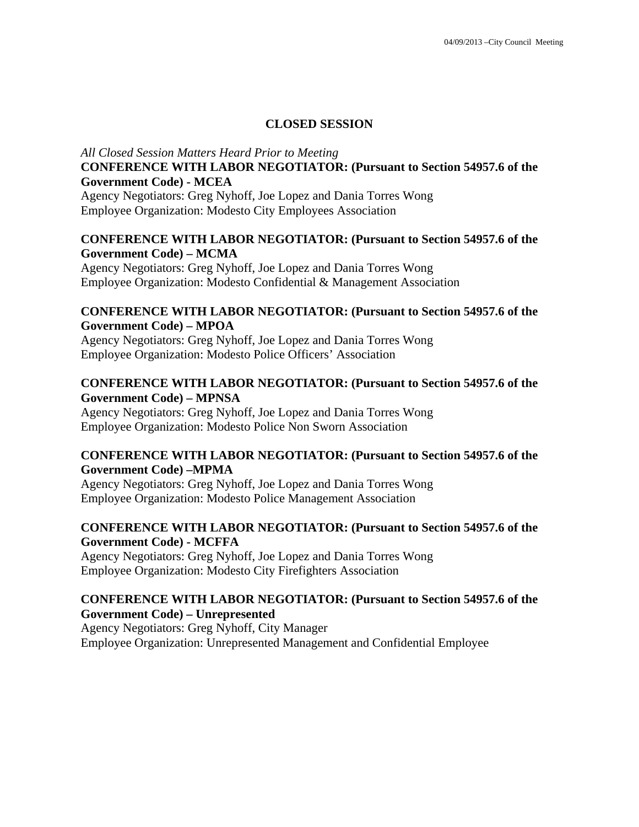## **CLOSED SESSION**

*All Closed Session Matters Heard Prior to Meeting* **CONFERENCE WITH LABOR NEGOTIATOR: (Pursuant to Section 54957.6 of the Government Code) - MCEA** 

Agency Negotiators: Greg Nyhoff, Joe Lopez and Dania Torres Wong Employee Organization: Modesto City Employees Association

## **CONFERENCE WITH LABOR NEGOTIATOR: (Pursuant to Section 54957.6 of the Government Code) – MCMA**

Agency Negotiators: Greg Nyhoff, Joe Lopez and Dania Torres Wong Employee Organization: Modesto Confidential & Management Association

### **CONFERENCE WITH LABOR NEGOTIATOR: (Pursuant to Section 54957.6 of the Government Code) – MPOA**

Agency Negotiators: Greg Nyhoff, Joe Lopez and Dania Torres Wong Employee Organization: Modesto Police Officers' Association

### **CONFERENCE WITH LABOR NEGOTIATOR: (Pursuant to Section 54957.6 of the Government Code) – MPNSA**

Agency Negotiators: Greg Nyhoff, Joe Lopez and Dania Torres Wong Employee Organization: Modesto Police Non Sworn Association

#### **CONFERENCE WITH LABOR NEGOTIATOR: (Pursuant to Section 54957.6 of the Government Code) –MPMA**

Agency Negotiators: Greg Nyhoff, Joe Lopez and Dania Torres Wong Employee Organization: Modesto Police Management Association

## **CONFERENCE WITH LABOR NEGOTIATOR: (Pursuant to Section 54957.6 of the Government Code) - MCFFA**

Agency Negotiators: Greg Nyhoff, Joe Lopez and Dania Torres Wong Employee Organization: Modesto City Firefighters Association

## **CONFERENCE WITH LABOR NEGOTIATOR: (Pursuant to Section 54957.6 of the Government Code) – Unrepresented**

Agency Negotiators: Greg Nyhoff, City Manager Employee Organization: Unrepresented Management and Confidential Employee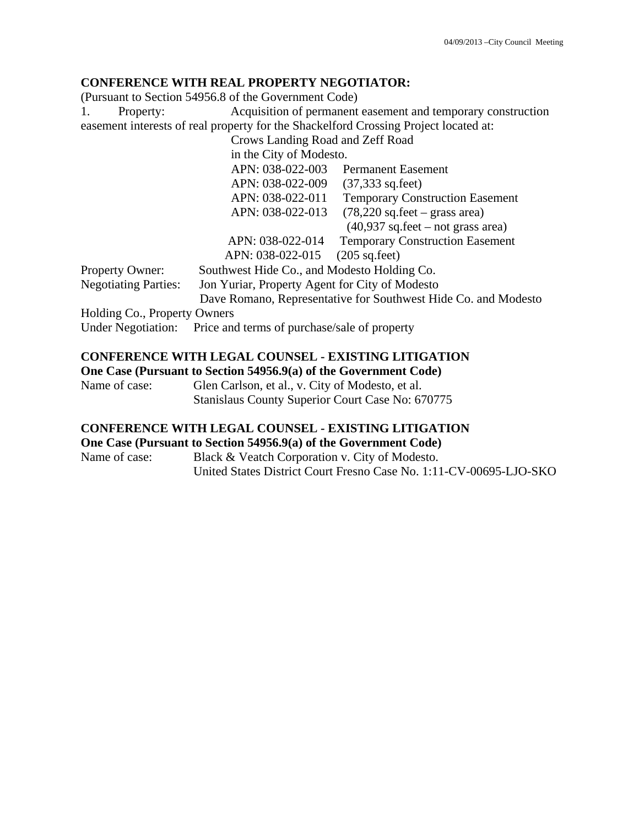## **CONFERENCE WITH REAL PROPERTY NEGOTIATOR:**

(Pursuant to Section 54956.8 of the Government Code)

1. Property: Acquisition of permanent easement and temporary construction easement interests of real property for the Shackelford Crossing Project located at:

Crows Landing Road and Zeff Road

in the City of Modesto.

|                              | APN: 038-022-003                                                | <b>Permanent Easement</b>                                      |
|------------------------------|-----------------------------------------------------------------|----------------------------------------------------------------|
|                              | APN: 038-022-009                                                | $(37,333 \text{ sq. feet})$                                    |
|                              | APN: 038-022-011                                                | <b>Temporary Construction Easement</b>                         |
|                              | APN: 038-022-013                                                | $(78,220 \text{ sq.feet} - \text{grass area})$                 |
|                              |                                                                 | $(40,937 \text{ sq.fect} - \text{not grass area})$             |
|                              | APN: 038-022-014                                                | <b>Temporary Construction Easement</b>                         |
|                              | APN: 038-022-015                                                | $(205 \text{ sq.fect})$                                        |
| <b>Property Owner:</b>       | Southwest Hide Co., and Modesto Holding Co.                     |                                                                |
| <b>Negotiating Parties:</b>  | Jon Yuriar, Property Agent for City of Modesto                  |                                                                |
|                              |                                                                 | Dave Romano, Representative for Southwest Hide Co. and Modesto |
| Holding Co., Property Owners |                                                                 |                                                                |
|                              | Under Negotiation: Price and terms of purchase/sale of property |                                                                |
|                              |                                                                 |                                                                |
|                              |                                                                 |                                                                |

## **CONFERENCE WITH LEGAL COUNSEL - EXISTING LITIGATION**

**One Case (Pursuant to Section 54956.9(a) of the Government Code)** 

Name of case: Glen Carlson, et al., v. City of Modesto, et al. Stanislaus County Superior Court Case No: 670775

## **CONFERENCE WITH LEGAL COUNSEL - EXISTING LITIGATION**

**One Case (Pursuant to Section 54956.9(a) of the Government Code)** 

Name of case: Black & Veatch Corporation v. City of Modesto. United States District Court Fresno Case No. 1:11-CV-00695-LJO-SKO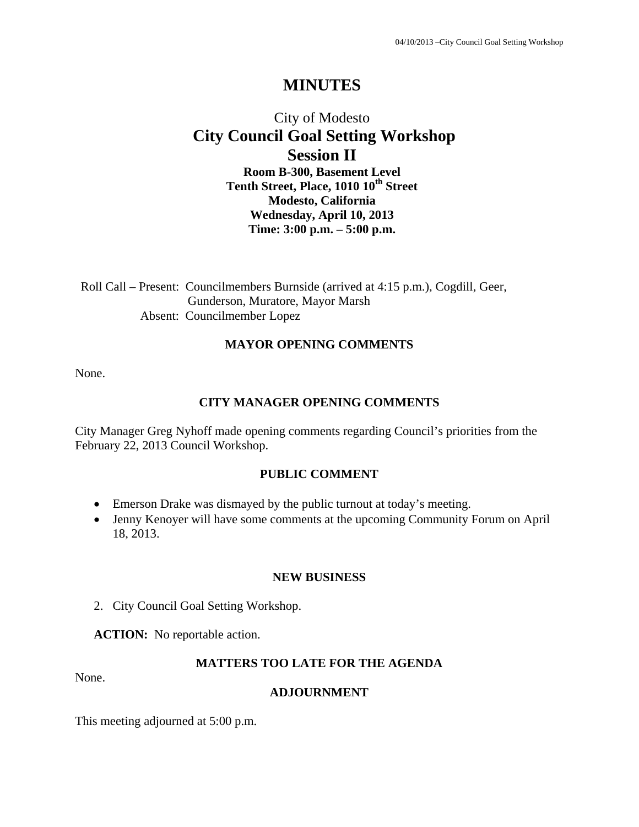# **MINUTES**

## City of Modesto  **City Council Goal Setting Workshop Session II Room B-300, Basement Level Tenth Street, Place, 1010 10th Street Modesto, California Wednesday, April 10, 2013 Time: 3:00 p.m. – 5:00 p.m.**

Roll Call – Present: Councilmembers Burnside (arrived at 4:15 p.m.), Cogdill, Geer, Gunderson, Muratore, Mayor Marsh Absent: Councilmember Lopez

## **MAYOR OPENING COMMENTS**

None.

#### **CITY MANAGER OPENING COMMENTS**

City Manager Greg Nyhoff made opening comments regarding Council's priorities from the February 22, 2013 Council Workshop.

#### **PUBLIC COMMENT**

- Emerson Drake was dismayed by the public turnout at today's meeting.
- Jenny Kenoyer will have some comments at the upcoming Community Forum on April 18, 2013.

#### **NEW BUSINESS**

2. City Council Goal Setting Workshop.

**ACTION:** No reportable action.

## **MATTERS TOO LATE FOR THE AGENDA**

None.

#### **ADJOURNMENT**

This meeting adjourned at 5:00 p.m.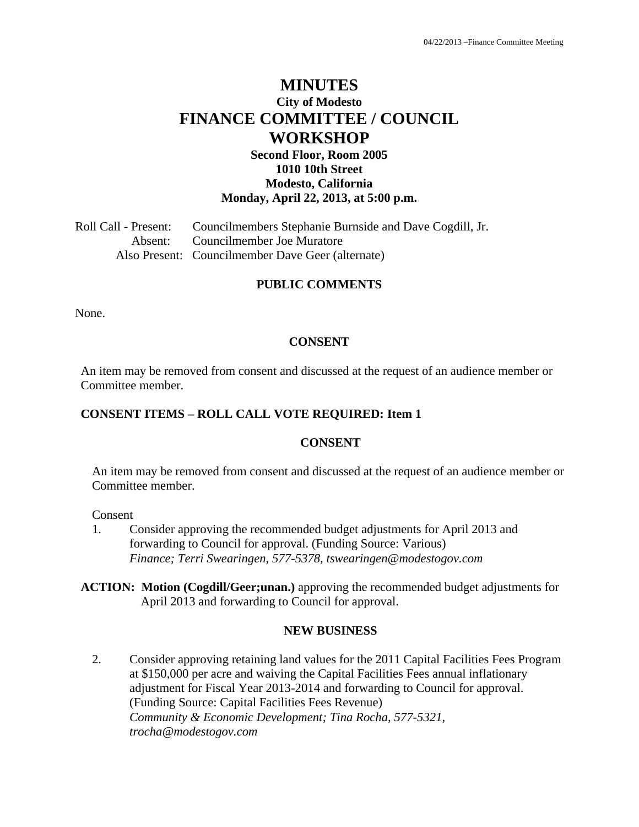# **MINUTES City of Modesto FINANCE COMMITTEE / COUNCIL WORKSHOP**

## **Second Floor, Room 2005 1010 10th Street Modesto, California Monday, April 22, 2013, at 5:00 p.m.**

Roll Call - Present: Councilmembers Stephanie Burnside and Dave Cogdill, Jr. Absent: Councilmember Joe Muratore Also Present: Councilmember Dave Geer (alternate)

#### **PUBLIC COMMENTS**

None.

#### **CONSENT**

An item may be removed from consent and discussed at the request of an audience member or Committee member.

### **CONSENT ITEMS – ROLL CALL VOTE REQUIRED: Item 1**

#### **CONSENT**

An item may be removed from consent and discussed at the request of an audience member or Committee member.

Consent

1. Consider approving the recommended budget adjustments for April 2013 and forwarding to Council for approval. (Funding Source: Various)  *Finance; Terri Swearingen, 577-5378, tswearingen@modestogov.com* 

**ACTION: Motion (Cogdill/Geer;unan.)** approving the recommended budget adjustments for April 2013 and forwarding to Council for approval.

#### **NEW BUSINESS**

2. Consider approving retaining land values for the 2011 Capital Facilities Fees Program at \$150,000 per acre and waiving the Capital Facilities Fees annual inflationary adjustment for Fiscal Year 2013-2014 and forwarding to Council for approval. (Funding Source: Capital Facilities Fees Revenue)  *Community & Economic Development; Tina Rocha, 577-5321, trocha@modestogov.com*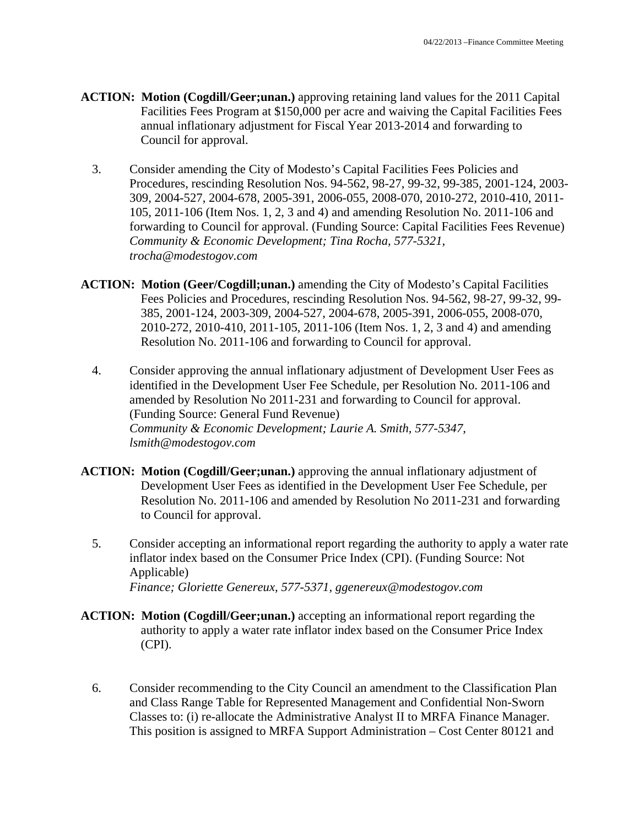- **ACTION: Motion (Cogdill/Geer;unan.)** approving retaining land values for the 2011 Capital Facilities Fees Program at \$150,000 per acre and waiving the Capital Facilities Fees annual inflationary adjustment for Fiscal Year 2013-2014 and forwarding to Council for approval.
	- 3. Consider amending the City of Modesto's Capital Facilities Fees Policies and Procedures, rescinding Resolution Nos. 94-562, 98-27, 99-32, 99-385, 2001-124, 2003- 309, 2004-527, 2004-678, 2005-391, 2006-055, 2008-070, 2010-272, 2010-410, 2011- 105, 2011-106 (Item Nos. 1, 2, 3 and 4) and amending Resolution No. 2011-106 and forwarding to Council for approval. (Funding Source: Capital Facilities Fees Revenue)  *Community & Economic Development; Tina Rocha, 577-5321, trocha@modestogov.com*
- **ACTION: Motion (Geer/Cogdill;unan.)** amending the City of Modesto's Capital Facilities Fees Policies and Procedures, rescinding Resolution Nos. 94-562, 98-27, 99-32, 99- 385, 2001-124, 2003-309, 2004-527, 2004-678, 2005-391, 2006-055, 2008-070, 2010-272, 2010-410, 2011-105, 2011-106 (Item Nos. 1, 2, 3 and 4) and amending Resolution No. 2011-106 and forwarding to Council for approval.
	- 4. Consider approving the annual inflationary adjustment of Development User Fees as identified in the Development User Fee Schedule, per Resolution No. 2011-106 and amended by Resolution No 2011-231 and forwarding to Council for approval. (Funding Source: General Fund Revenue)  *Community & Economic Development; Laurie A. Smith, 577-5347, lsmith@modestogov.com*
- **ACTION: Motion (Cogdill/Geer;unan.)** approving the annual inflationary adjustment of Development User Fees as identified in the Development User Fee Schedule, per Resolution No. 2011-106 and amended by Resolution No 2011-231 and forwarding to Council for approval.
	- 5. Consider accepting an informational report regarding the authority to apply a water rate inflator index based on the Consumer Price Index (CPI). (Funding Source: Not Applicable)  *Finance; Gloriette Genereux, 577-5371, ggenereux@modestogov.com*
- **ACTION: Motion (Cogdill/Geer;unan.)** accepting an informational report regarding the authority to apply a water rate inflator index based on the Consumer Price Index (CPI).
	- 6. Consider recommending to the City Council an amendment to the Classification Plan and Class Range Table for Represented Management and Confidential Non-Sworn Classes to: (i) re-allocate the Administrative Analyst II to MRFA Finance Manager. This position is assigned to MRFA Support Administration – Cost Center 80121 and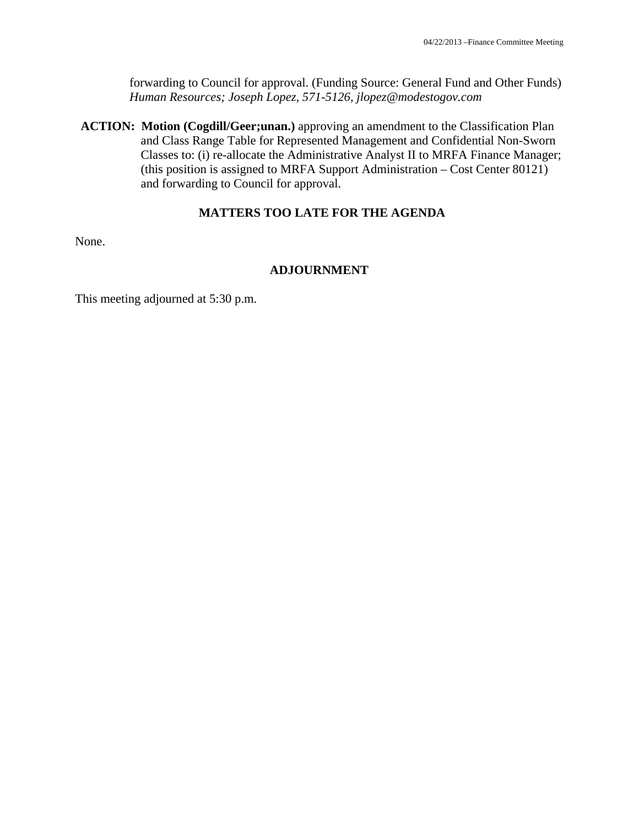forwarding to Council for approval. (Funding Source: General Fund and Other Funds)  *Human Resources; Joseph Lopez, 571-5126, jlopez@modestogov.com* 

**ACTION: Motion (Cogdill/Geer;unan.)** approving an amendment to the Classification Plan and Class Range Table for Represented Management and Confidential Non-Sworn Classes to: (i) re-allocate the Administrative Analyst II to MRFA Finance Manager; (this position is assigned to MRFA Support Administration – Cost Center 80121) and forwarding to Council for approval.

#### **MATTERS TOO LATE FOR THE AGENDA**

None.

#### **ADJOURNMENT**

This meeting adjourned at 5:30 p.m.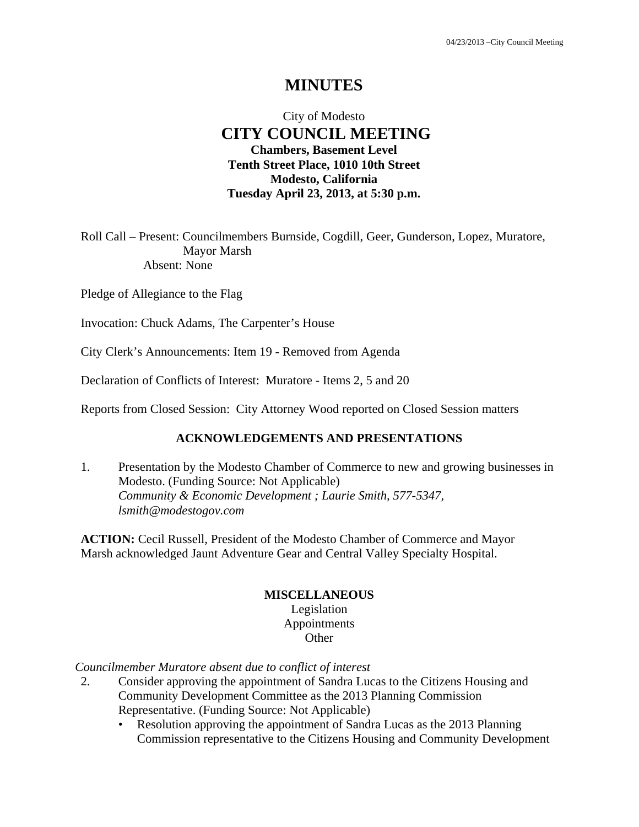# **MINUTES**

## City of Modesto  **CITY COUNCIL MEETING Chambers, Basement Level Tenth Street Place, 1010 10th Street Modesto, California Tuesday April 23, 2013, at 5:30 p.m.**

Roll Call – Present: Councilmembers Burnside, Cogdill, Geer, Gunderson, Lopez, Muratore, Mayor Marsh Absent: None

Pledge of Allegiance to the Flag

Invocation: Chuck Adams, The Carpenter's House

City Clerk's Announcements: Item 19 - Removed from Agenda

Declaration of Conflicts of Interest: Muratore - Items 2, 5 and 20

Reports from Closed Session: City Attorney Wood reported on Closed Session matters

### **ACKNOWLEDGEMENTS AND PRESENTATIONS**

1. Presentation by the Modesto Chamber of Commerce to new and growing businesses in Modesto. (Funding Source: Not Applicable)  *Community & Economic Development ; Laurie Smith, 577-5347, lsmith@modestogov.com* 

**ACTION:** Cecil Russell, President of the Modesto Chamber of Commerce and Mayor Marsh acknowledged Jaunt Adventure Gear and Central Valley Specialty Hospital.

#### **MISCELLANEOUS**

Legislation Appointments **Other** 

*Councilmember Muratore absent due to conflict of interest* 

- 2. Consider approving the appointment of Sandra Lucas to the Citizens Housing and Community Development Committee as the 2013 Planning Commission Representative. (Funding Source: Not Applicable)
	- Resolution approving the appointment of Sandra Lucas as the 2013 Planning Commission representative to the Citizens Housing and Community Development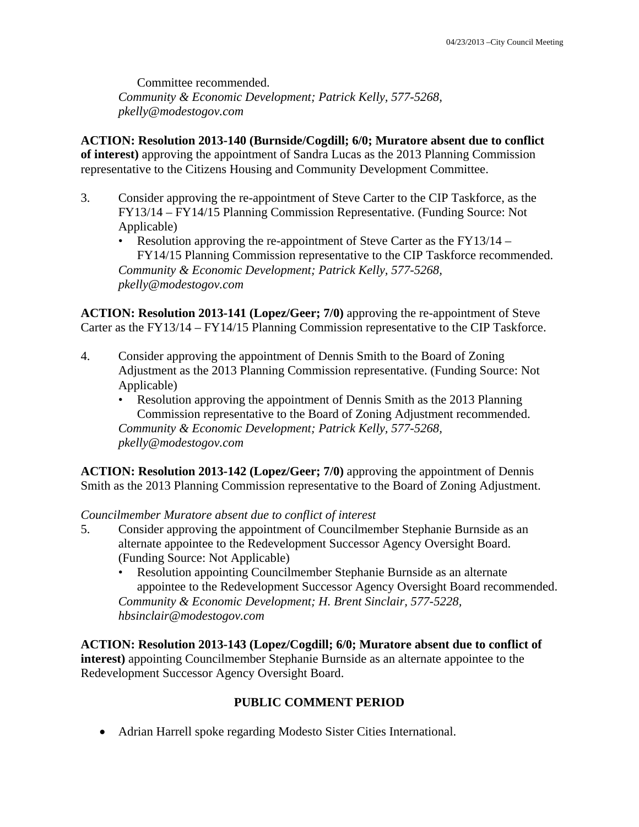Committee recommended. *Community & Economic Development; Patrick Kelly, 577-5268, pkelly@modestogov.com* 

**ACTION: Resolution 2013-140 (Burnside/Cogdill; 6/0; Muratore absent due to conflict of interest)** approving the appointment of Sandra Lucas as the 2013 Planning Commission representative to the Citizens Housing and Community Development Committee.

- 3. Consider approving the re-appointment of Steve Carter to the CIP Taskforce, as the FY13/14 – FY14/15 Planning Commission Representative. (Funding Source: Not Applicable)
	- Resolution approving the re-appointment of Steve Carter as the FY13/14 FY14/15 Planning Commission representative to the CIP Taskforce recommended. *Community & Economic Development; Patrick Kelly, 577-5268, pkelly@modestogov.com*

**ACTION: Resolution 2013-141 (Lopez/Geer; 7/0)** approving the re-appointment of Steve Carter as the FY13/14 – FY14/15 Planning Commission representative to the CIP Taskforce.

- 4. Consider approving the appointment of Dennis Smith to the Board of Zoning Adjustment as the 2013 Planning Commission representative. (Funding Source: Not Applicable)
	- Resolution approving the appointment of Dennis Smith as the 2013 Planning Commission representative to the Board of Zoning Adjustment recommended. *Community & Economic Development; Patrick Kelly, 577-5268, pkelly@modestogov.com*

**ACTION: Resolution 2013-142 (Lopez/Geer; 7/0)** approving the appointment of Dennis Smith as the 2013 Planning Commission representative to the Board of Zoning Adjustment.

*Councilmember Muratore absent due to conflict of interest* 

- 5. Consider approving the appointment of Councilmember Stephanie Burnside as an alternate appointee to the Redevelopment Successor Agency Oversight Board. (Funding Source: Not Applicable)
	- Resolution appointing Councilmember Stephanie Burnside as an alternate appointee to the Redevelopment Successor Agency Oversight Board recommended. *Community & Economic Development; H. Brent Sinclair, 577-5228, hbsinclair@modestogov.com*

**ACTION: Resolution 2013-143 (Lopez/Cogdill; 6/0; Muratore absent due to conflict of interest)** appointing Councilmember Stephanie Burnside as an alternate appointee to the Redevelopment Successor Agency Oversight Board.

## **PUBLIC COMMENT PERIOD**

Adrian Harrell spoke regarding Modesto Sister Cities International.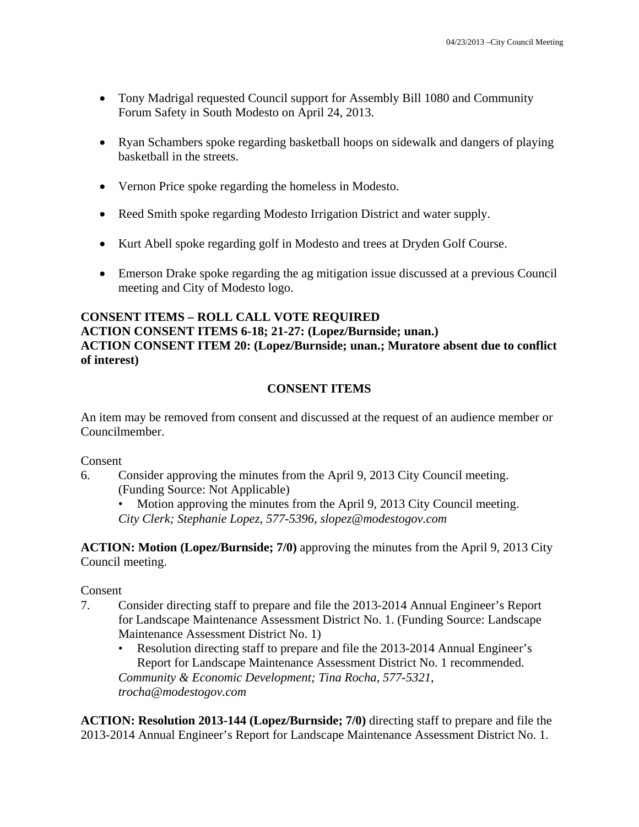- Tony Madrigal requested Council support for Assembly Bill 1080 and Community Forum Safety in South Modesto on April 24, 2013.
- Ryan Schambers spoke regarding basketball hoops on sidewalk and dangers of playing basketball in the streets.
- Vernon Price spoke regarding the homeless in Modesto.
- Reed Smith spoke regarding Modesto Irrigation District and water supply.
- Kurt Abell spoke regarding golf in Modesto and trees at Dryden Golf Course.
- Emerson Drake spoke regarding the ag mitigation issue discussed at a previous Council meeting and City of Modesto logo.

## **CONSENT ITEMS – ROLL CALL VOTE REQUIRED ACTION CONSENT ITEMS 6-18; 21-27: (Lopez/Burnside; unan.) ACTION CONSENT ITEM 20: (Lopez/Burnside; unan.; Muratore absent due to conflict of interest)**

## **CONSENT ITEMS**

An item may be removed from consent and discussed at the request of an audience member or Councilmember.

Consent

- 6. Consider approving the minutes from the April 9, 2013 City Council meeting. (Funding Source: Not Applicable)
	- Motion approving the minutes from the April 9, 2013 City Council meeting.

*City Clerk; Stephanie Lopez, 577-5396, slopez@modestogov.com* 

**ACTION: Motion (Lopez/Burnside; 7/0)** approving the minutes from the April 9, 2013 City Council meeting.

## Consent

- 7. Consider directing staff to prepare and file the 2013-2014 Annual Engineer's Report for Landscape Maintenance Assessment District No. 1. (Funding Source: Landscape Maintenance Assessment District No. 1)
	- Resolution directing staff to prepare and file the 2013-2014 Annual Engineer's Report for Landscape Maintenance Assessment District No. 1 recommended. *Community & Economic Development; Tina Rocha, 577-5321, trocha@modestogov.com*

**ACTION: Resolution 2013-144 (Lopez/Burnside; 7/0)** directing staff to prepare and file the 2013-2014 Annual Engineer's Report for Landscape Maintenance Assessment District No. 1.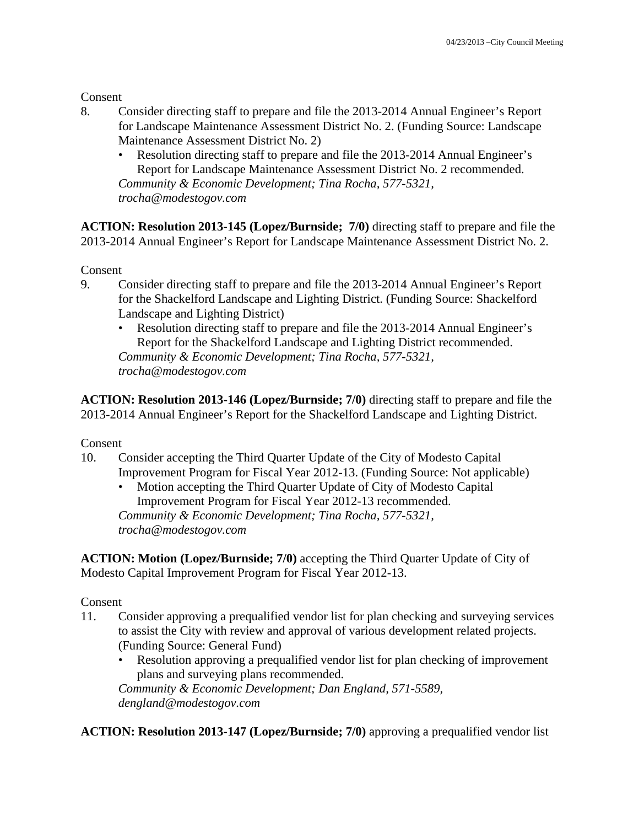**Consent** 

- 8. Consider directing staff to prepare and file the 2013-2014 Annual Engineer's Report for Landscape Maintenance Assessment District No. 2. (Funding Source: Landscape Maintenance Assessment District No. 2)
	- Resolution directing staff to prepare and file the 2013-2014 Annual Engineer's Report for Landscape Maintenance Assessment District No. 2 recommended. *Community & Economic Development; Tina Rocha, 577-5321, trocha@modestogov.com*

**ACTION: Resolution 2013-145 (Lopez/Burnside; 7/0)** directing staff to prepare and file the 2013-2014 Annual Engineer's Report for Landscape Maintenance Assessment District No. 2.

Consent

- 9. Consider directing staff to prepare and file the 2013-2014 Annual Engineer's Report for the Shackelford Landscape and Lighting District. (Funding Source: Shackelford Landscape and Lighting District)
	- Resolution directing staff to prepare and file the 2013-2014 Annual Engineer's Report for the Shackelford Landscape and Lighting District recommended. *Community & Economic Development; Tina Rocha, 577-5321, trocha@modestogov.com*

**ACTION: Resolution 2013-146 (Lopez/Burnside; 7/0)** directing staff to prepare and file the 2013-2014 Annual Engineer's Report for the Shackelford Landscape and Lighting District.

Consent

- 10. Consider accepting the Third Quarter Update of the City of Modesto Capital Improvement Program for Fiscal Year 2012-13. (Funding Source: Not applicable)
	- Motion accepting the Third Quarter Update of City of Modesto Capital Improvement Program for Fiscal Year 2012-13 recommended.

*Community & Economic Development; Tina Rocha, 577-5321, trocha@modestogov.com* 

**ACTION: Motion (Lopez/Burnside; 7/0)** accepting the Third Quarter Update of City of Modesto Capital Improvement Program for Fiscal Year 2012-13.

Consent

- 11. Consider approving a prequalified vendor list for plan checking and surveying services to assist the City with review and approval of various development related projects. (Funding Source: General Fund)
	- Resolution approving a prequalified vendor list for plan checking of improvement plans and surveying plans recommended.

*Community & Economic Development; Dan England, 571-5589, dengland@modestogov.com* 

**ACTION: Resolution 2013-147 (Lopez/Burnside; 7/0)** approving a prequalified vendor list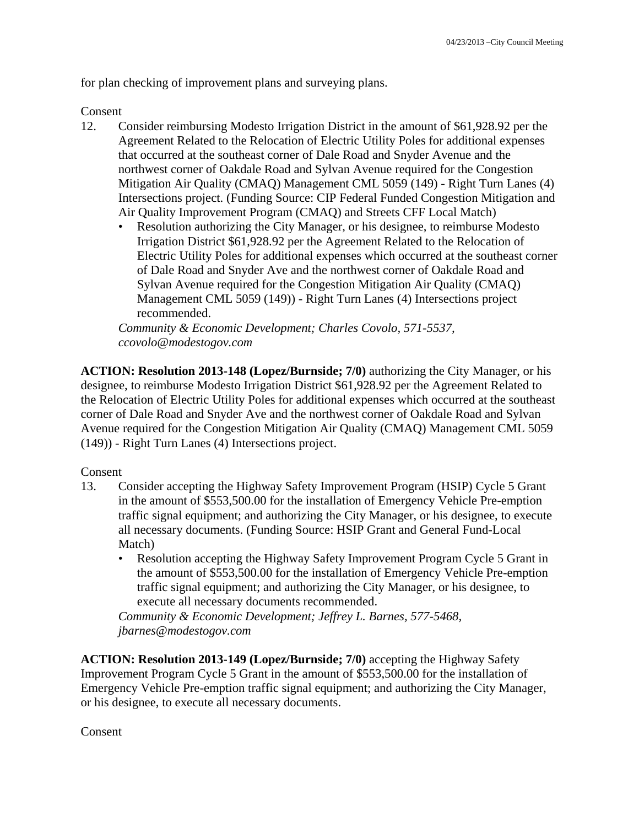for plan checking of improvement plans and surveying plans.

### Consent

- 12. Consider reimbursing Modesto Irrigation District in the amount of \$61,928.92 per the Agreement Related to the Relocation of Electric Utility Poles for additional expenses that occurred at the southeast corner of Dale Road and Snyder Avenue and the northwest corner of Oakdale Road and Sylvan Avenue required for the Congestion Mitigation Air Quality (CMAQ) Management CML 5059 (149) - Right Turn Lanes (4) Intersections project. (Funding Source: CIP Federal Funded Congestion Mitigation and Air Quality Improvement Program (CMAQ) and Streets CFF Local Match)
	- Resolution authorizing the City Manager, or his designee, to reimburse Modesto Irrigation District \$61,928.92 per the Agreement Related to the Relocation of Electric Utility Poles for additional expenses which occurred at the southeast corner of Dale Road and Snyder Ave and the northwest corner of Oakdale Road and Sylvan Avenue required for the Congestion Mitigation Air Quality (CMAQ) Management CML 5059 (149)) - Right Turn Lanes (4) Intersections project recommended.

*Community & Economic Development; Charles Covolo, 571-5537, ccovolo@modestogov.com* 

**ACTION: Resolution 2013-148 (Lopez/Burnside; 7/0)** authorizing the City Manager, or his designee, to reimburse Modesto Irrigation District \$61,928.92 per the Agreement Related to the Relocation of Electric Utility Poles for additional expenses which occurred at the southeast corner of Dale Road and Snyder Ave and the northwest corner of Oakdale Road and Sylvan Avenue required for the Congestion Mitigation Air Quality (CMAQ) Management CML 5059 (149)) - Right Turn Lanes (4) Intersections project.

## Consent

- 13. Consider accepting the Highway Safety Improvement Program (HSIP) Cycle 5 Grant in the amount of \$553,500.00 for the installation of Emergency Vehicle Pre-emption traffic signal equipment; and authorizing the City Manager, or his designee, to execute all necessary documents. (Funding Source: HSIP Grant and General Fund-Local Match)
	- Resolution accepting the Highway Safety Improvement Program Cycle 5 Grant in the amount of \$553,500.00 for the installation of Emergency Vehicle Pre-emption traffic signal equipment; and authorizing the City Manager, or his designee, to execute all necessary documents recommended.

*Community & Economic Development; Jeffrey L. Barnes, 577-5468, jbarnes@modestogov.com* 

**ACTION: Resolution 2013-149 (Lopez/Burnside; 7/0)** accepting the Highway Safety Improvement Program Cycle 5 Grant in the amount of \$553,500.00 for the installation of Emergency Vehicle Pre-emption traffic signal equipment; and authorizing the City Manager, or his designee, to execute all necessary documents.

**Consent**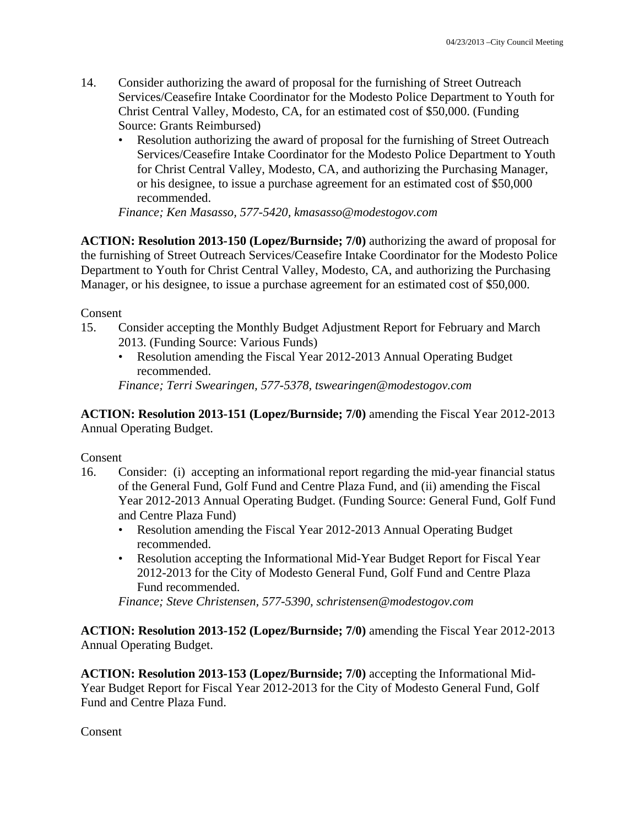- 14. Consider authorizing the award of proposal for the furnishing of Street Outreach Services/Ceasefire Intake Coordinator for the Modesto Police Department to Youth for Christ Central Valley, Modesto, CA, for an estimated cost of \$50,000. (Funding Source: Grants Reimbursed)
	- Resolution authorizing the award of proposal for the furnishing of Street Outreach Services/Ceasefire Intake Coordinator for the Modesto Police Department to Youth for Christ Central Valley, Modesto, CA, and authorizing the Purchasing Manager, or his designee, to issue a purchase agreement for an estimated cost of \$50,000 recommended.

*Finance; Ken Masasso, 577-5420, kmasasso@modestogov.com* 

**ACTION: Resolution 2013-150 (Lopez/Burnside; 7/0)** authorizing the award of proposal for the furnishing of Street Outreach Services/Ceasefire Intake Coordinator for the Modesto Police Department to Youth for Christ Central Valley, Modesto, CA, and authorizing the Purchasing Manager, or his designee, to issue a purchase agreement for an estimated cost of \$50,000.

#### Consent

- 15. Consider accepting the Monthly Budget Adjustment Report for February and March 2013. (Funding Source: Various Funds)
	- Resolution amending the Fiscal Year 2012-2013 Annual Operating Budget recommended.

*Finance; Terri Swearingen, 577-5378, tswearingen@modestogov.com* 

**ACTION: Resolution 2013-151 (Lopez/Burnside; 7/0)** amending the Fiscal Year 2012-2013 Annual Operating Budget.

Consent

- 16. Consider: (i) accepting an informational report regarding the mid-year financial status of the General Fund, Golf Fund and Centre Plaza Fund, and (ii) amending the Fiscal Year 2012-2013 Annual Operating Budget. (Funding Source: General Fund, Golf Fund and Centre Plaza Fund)
	- Resolution amending the Fiscal Year 2012-2013 Annual Operating Budget recommended.
	- Resolution accepting the Informational Mid-Year Budget Report for Fiscal Year 2012-2013 for the City of Modesto General Fund, Golf Fund and Centre Plaza Fund recommended.

*Finance; Steve Christensen, 577-5390, schristensen@modestogov.com* 

**ACTION: Resolution 2013-152 (Lopez/Burnside; 7/0)** amending the Fiscal Year 2012-2013 Annual Operating Budget.

**ACTION: Resolution 2013-153 (Lopez/Burnside; 7/0)** accepting the Informational Mid-Year Budget Report for Fiscal Year 2012-2013 for the City of Modesto General Fund, Golf Fund and Centre Plaza Fund.

**Consent**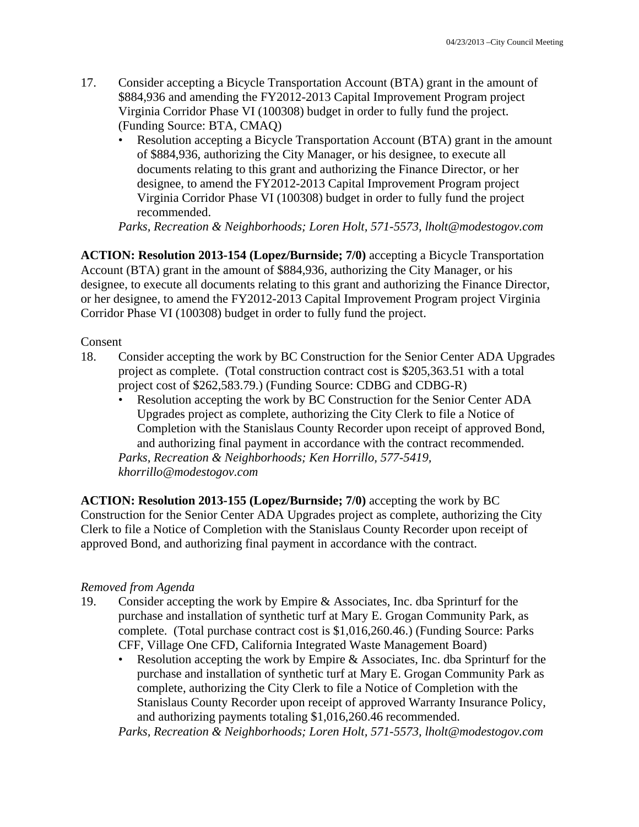- 17. Consider accepting a Bicycle Transportation Account (BTA) grant in the amount of \$884,936 and amending the FY2012-2013 Capital Improvement Program project Virginia Corridor Phase VI (100308) budget in order to fully fund the project. (Funding Source: BTA, CMAQ)
	- Resolution accepting a Bicycle Transportation Account (BTA) grant in the amount of \$884,936, authorizing the City Manager, or his designee, to execute all documents relating to this grant and authorizing the Finance Director, or her designee, to amend the FY2012-2013 Capital Improvement Program project Virginia Corridor Phase VI (100308) budget in order to fully fund the project recommended.

*Parks, Recreation & Neighborhoods; Loren Holt, 571-5573, lholt@modestogov.com* 

**ACTION: Resolution 2013-154 (Lopez/Burnside; 7/0)** accepting a Bicycle Transportation Account (BTA) grant in the amount of \$884,936, authorizing the City Manager, or his designee, to execute all documents relating to this grant and authorizing the Finance Director, or her designee, to amend the FY2012-2013 Capital Improvement Program project Virginia Corridor Phase VI (100308) budget in order to fully fund the project.

## Consent

- 18. Consider accepting the work by BC Construction for the Senior Center ADA Upgrades project as complete. (Total construction contract cost is \$205,363.51 with a total project cost of \$262,583.79.) (Funding Source: CDBG and CDBG-R)
	- Resolution accepting the work by BC Construction for the Senior Center ADA Upgrades project as complete, authorizing the City Clerk to file a Notice of Completion with the Stanislaus County Recorder upon receipt of approved Bond, and authorizing final payment in accordance with the contract recommended. *Parks, Recreation & Neighborhoods; Ken Horrillo, 577-5419, khorrillo@modestogov.com*

**ACTION: Resolution 2013-155 (Lopez/Burnside; 7/0)** accepting the work by BC Construction for the Senior Center ADA Upgrades project as complete, authorizing the City Clerk to file a Notice of Completion with the Stanislaus County Recorder upon receipt of approved Bond, and authorizing final payment in accordance with the contract.

#### *Removed from Agenda*

- 19. Consider accepting the work by Empire & Associates, Inc. dba Sprinturf for the purchase and installation of synthetic turf at Mary E. Grogan Community Park, as complete. (Total purchase contract cost is \$1,016,260.46.) (Funding Source: Parks CFF, Village One CFD, California Integrated Waste Management Board)
	- Resolution accepting the work by Empire  $\&$  Associates, Inc. dba Sprinturf for the purchase and installation of synthetic turf at Mary E. Grogan Community Park as complete, authorizing the City Clerk to file a Notice of Completion with the Stanislaus County Recorder upon receipt of approved Warranty Insurance Policy, and authorizing payments totaling \$1,016,260.46 recommended.

*Parks, Recreation & Neighborhoods; Loren Holt, 571-5573, lholt@modestogov.com*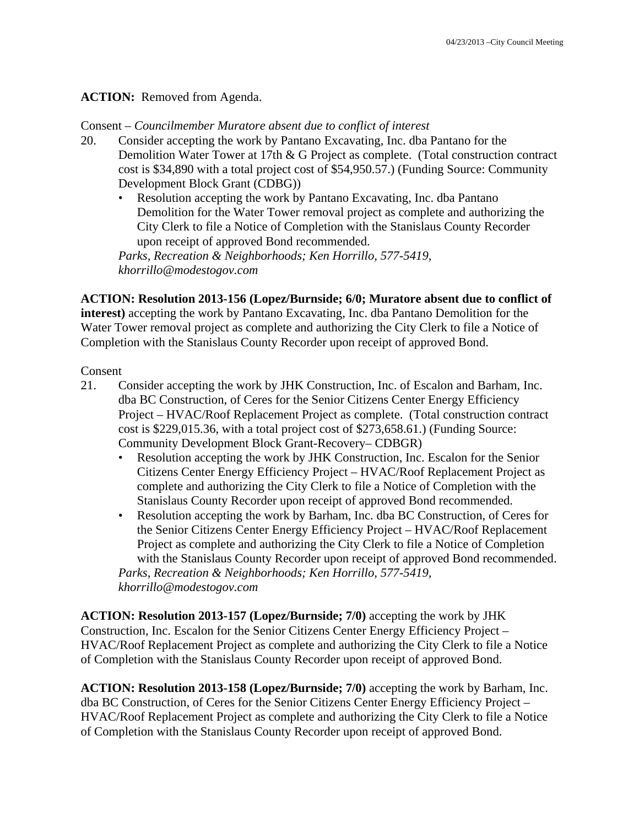### ACTION: Removed from Agenda.

Consent – *Councilmember Muratore absent due to conflict of interest* 

- 20. Consider accepting the work by Pantano Excavating, Inc. dba Pantano for the Demolition Water Tower at 17th & G Project as complete. (Total construction contract cost is \$34,890 with a total project cost of \$54,950.57.) (Funding Source: Community Development Block Grant (CDBG))
	- Resolution accepting the work by Pantano Excavating, Inc. dba Pantano Demolition for the Water Tower removal project as complete and authorizing the City Clerk to file a Notice of Completion with the Stanislaus County Recorder upon receipt of approved Bond recommended.

*Parks, Recreation & Neighborhoods; Ken Horrillo, 577-5419, khorrillo@modestogov.com* 

## **ACTION: Resolution 2013-156 (Lopez/Burnside; 6/0; Muratore absent due to conflict of**

**interest)** accepting the work by Pantano Excavating, Inc. dba Pantano Demolition for the Water Tower removal project as complete and authorizing the City Clerk to file a Notice of Completion with the Stanislaus County Recorder upon receipt of approved Bond.

#### Consent

- 21. Consider accepting the work by JHK Construction, Inc. of Escalon and Barham, Inc. dba BC Construction, of Ceres for the Senior Citizens Center Energy Efficiency Project – HVAC/Roof Replacement Project as complete. (Total construction contract cost is \$229,015.36, with a total project cost of \$273,658.61.) (Funding Source: Community Development Block Grant-Recovery– CDBGR)
	- Resolution accepting the work by JHK Construction, Inc. Escalon for the Senior Citizens Center Energy Efficiency Project – HVAC/Roof Replacement Project as complete and authorizing the City Clerk to file a Notice of Completion with the Stanislaus County Recorder upon receipt of approved Bond recommended.
	- Resolution accepting the work by Barham, Inc. dba BC Construction, of Ceres for the Senior Citizens Center Energy Efficiency Project – HVAC/Roof Replacement Project as complete and authorizing the City Clerk to file a Notice of Completion with the Stanislaus County Recorder upon receipt of approved Bond recommended. *Parks, Recreation & Neighborhoods; Ken Horrillo, 577-5419,*

*khorrillo@modestogov.com* 

**ACTION: Resolution 2013-157 (Lopez/Burnside; 7/0)** accepting the work by JHK Construction, Inc. Escalon for the Senior Citizens Center Energy Efficiency Project – HVAC/Roof Replacement Project as complete and authorizing the City Clerk to file a Notice of Completion with the Stanislaus County Recorder upon receipt of approved Bond.

**ACTION: Resolution 2013-158 (Lopez/Burnside; 7/0)** accepting the work by Barham, Inc. dba BC Construction, of Ceres for the Senior Citizens Center Energy Efficiency Project – HVAC/Roof Replacement Project as complete and authorizing the City Clerk to file a Notice of Completion with the Stanislaus County Recorder upon receipt of approved Bond.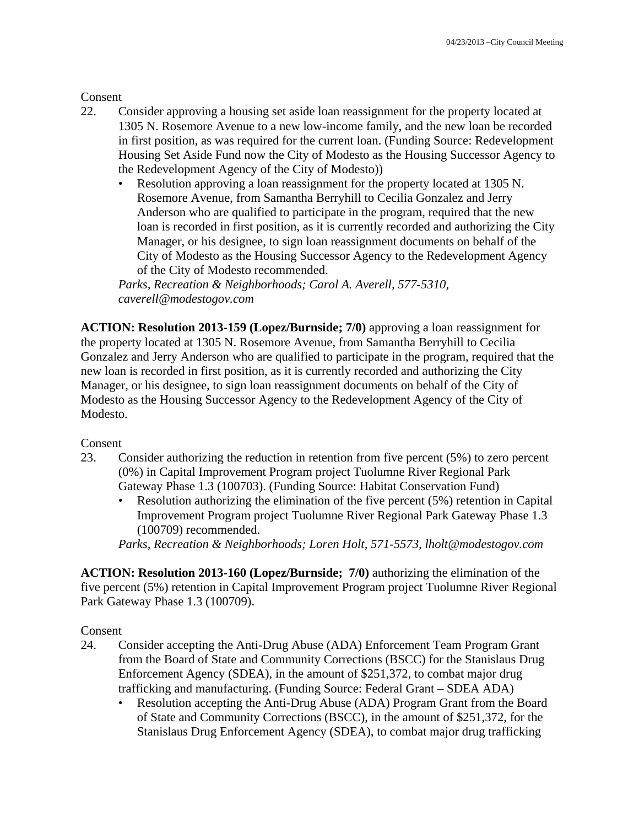**Consent** 

- 22. Consider approving a housing set aside loan reassignment for the property located at 1305 N. Rosemore Avenue to a new low-income family, and the new loan be recorded in first position, as was required for the current loan. (Funding Source: Redevelopment Housing Set Aside Fund now the City of Modesto as the Housing Successor Agency to the Redevelopment Agency of the City of Modesto))
	- Resolution approving a loan reassignment for the property located at 1305 N. Rosemore Avenue, from Samantha Berryhill to Cecilia Gonzalez and Jerry Anderson who are qualified to participate in the program, required that the new loan is recorded in first position, as it is currently recorded and authorizing the City Manager, or his designee, to sign loan reassignment documents on behalf of the City of Modesto as the Housing Successor Agency to the Redevelopment Agency of the City of Modesto recommended.

*Parks, Recreation & Neighborhoods; Carol A. Averell, 577-5310, caverell@modestogov.com* 

**ACTION: Resolution 2013-159 (Lopez/Burnside; 7/0)** approving a loan reassignment for the property located at 1305 N. Rosemore Avenue, from Samantha Berryhill to Cecilia Gonzalez and Jerry Anderson who are qualified to participate in the program, required that the new loan is recorded in first position, as it is currently recorded and authorizing the City Manager, or his designee, to sign loan reassignment documents on behalf of the City of Modesto as the Housing Successor Agency to the Redevelopment Agency of the City of Modesto.

Consent

- 23. Consider authorizing the reduction in retention from five percent (5%) to zero percent (0%) in Capital Improvement Program project Tuolumne River Regional Park Gateway Phase 1.3 (100703). (Funding Source: Habitat Conservation Fund)
	- Resolution authorizing the elimination of the five percent (5%) retention in Capital Improvement Program project Tuolumne River Regional Park Gateway Phase 1.3 (100709) recommended.

*Parks, Recreation & Neighborhoods; Loren Holt, 571-5573, lholt@modestogov.com* 

**ACTION: Resolution 2013-160 (Lopez/Burnside; 7/0)** authorizing the elimination of the five percent (5%) retention in Capital Improvement Program project Tuolumne River Regional Park Gateway Phase 1.3 (100709).

Consent

- 24. Consider accepting the Anti-Drug Abuse (ADA) Enforcement Team Program Grant from the Board of State and Community Corrections (BSCC) for the Stanislaus Drug Enforcement Agency (SDEA), in the amount of \$251,372, to combat major drug trafficking and manufacturing. (Funding Source: Federal Grant – SDEA ADA)
	- Resolution accepting the Anti-Drug Abuse (ADA) Program Grant from the Board of State and Community Corrections (BSCC), in the amount of \$251,372, for the Stanislaus Drug Enforcement Agency (SDEA), to combat major drug trafficking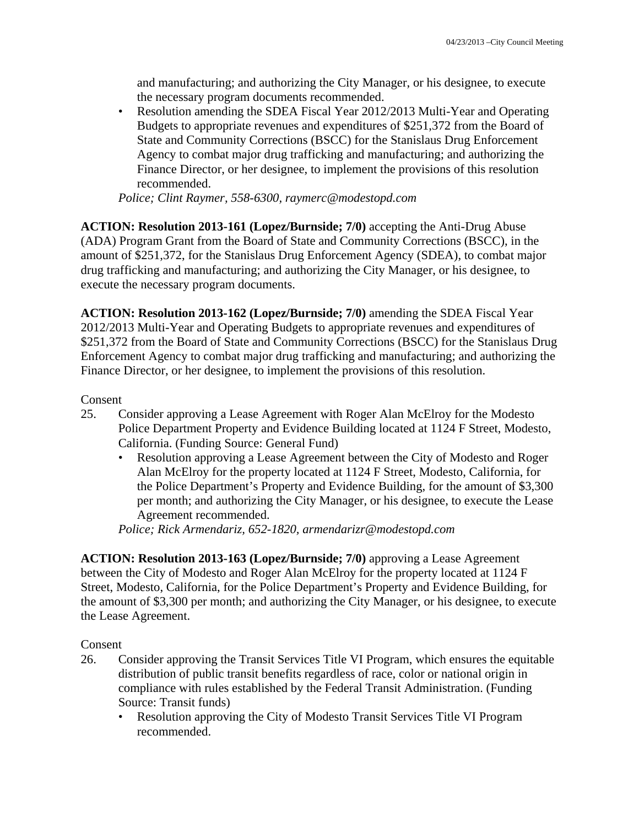and manufacturing; and authorizing the City Manager, or his designee, to execute the necessary program documents recommended.

• Resolution amending the SDEA Fiscal Year 2012/2013 Multi-Year and Operating Budgets to appropriate revenues and expenditures of \$251,372 from the Board of State and Community Corrections (BSCC) for the Stanislaus Drug Enforcement Agency to combat major drug trafficking and manufacturing; and authorizing the Finance Director, or her designee, to implement the provisions of this resolution recommended.

*Police; Clint Raymer, 558-6300, raymerc@modestopd.com* 

**ACTION: Resolution 2013-161 (Lopez/Burnside; 7/0)** accepting the Anti-Drug Abuse (ADA) Program Grant from the Board of State and Community Corrections (BSCC), in the amount of \$251,372, for the Stanislaus Drug Enforcement Agency (SDEA), to combat major drug trafficking and manufacturing; and authorizing the City Manager, or his designee, to execute the necessary program documents.

**ACTION: Resolution 2013-162 (Lopez/Burnside; 7/0)** amending the SDEA Fiscal Year 2012/2013 Multi-Year and Operating Budgets to appropriate revenues and expenditures of \$251,372 from the Board of State and Community Corrections (BSCC) for the Stanislaus Drug Enforcement Agency to combat major drug trafficking and manufacturing; and authorizing the Finance Director, or her designee, to implement the provisions of this resolution.

#### Consent

- 25. Consider approving a Lease Agreement with Roger Alan McElroy for the Modesto Police Department Property and Evidence Building located at 1124 F Street, Modesto, California. (Funding Source: General Fund)
	- Resolution approving a Lease Agreement between the City of Modesto and Roger Alan McElroy for the property located at 1124 F Street, Modesto, California, for the Police Department's Property and Evidence Building, for the amount of \$3,300 per month; and authorizing the City Manager, or his designee, to execute the Lease Agreement recommended.

*Police; Rick Armendariz, 652-1820, armendarizr@modestopd.com* 

**ACTION: Resolution 2013-163 (Lopez/Burnside; 7/0)** approving a Lease Agreement between the City of Modesto and Roger Alan McElroy for the property located at 1124 F Street, Modesto, California, for the Police Department's Property and Evidence Building, for the amount of \$3,300 per month; and authorizing the City Manager, or his designee, to execute the Lease Agreement.

#### Consent

- 26. Consider approving the Transit Services Title VI Program, which ensures the equitable distribution of public transit benefits regardless of race, color or national origin in compliance with rules established by the Federal Transit Administration. (Funding Source: Transit funds)
	- Resolution approving the City of Modesto Transit Services Title VI Program recommended.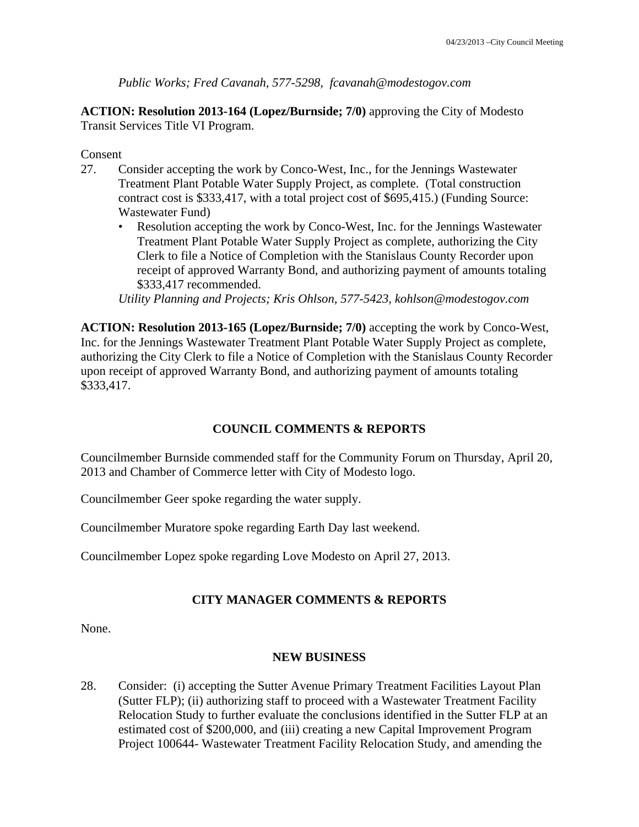*Public Works; Fred Cavanah, 577-5298, fcavanah@modestogov.com* 

**ACTION: Resolution 2013-164 (Lopez/Burnside; 7/0)** approving the City of Modesto Transit Services Title VI Program.

Consent

- 27. Consider accepting the work by Conco-West, Inc., for the Jennings Wastewater Treatment Plant Potable Water Supply Project, as complete. (Total construction contract cost is \$333,417, with a total project cost of \$695,415.) (Funding Source: Wastewater Fund)
	- Resolution accepting the work by Conco-West, Inc. for the Jennings Wastewater Treatment Plant Potable Water Supply Project as complete, authorizing the City Clerk to file a Notice of Completion with the Stanislaus County Recorder upon receipt of approved Warranty Bond, and authorizing payment of amounts totaling \$333,417 recommended.

*Utility Planning and Projects; Kris Ohlson, 577-5423, kohlson@modestogov.com* 

**ACTION: Resolution 2013-165 (Lopez/Burnside; 7/0)** accepting the work by Conco-West, Inc. for the Jennings Wastewater Treatment Plant Potable Water Supply Project as complete, authorizing the City Clerk to file a Notice of Completion with the Stanislaus County Recorder upon receipt of approved Warranty Bond, and authorizing payment of amounts totaling \$333,417.

## **COUNCIL COMMENTS & REPORTS**

Councilmember Burnside commended staff for the Community Forum on Thursday, April 20, 2013 and Chamber of Commerce letter with City of Modesto logo.

Councilmember Geer spoke regarding the water supply.

Councilmember Muratore spoke regarding Earth Day last weekend.

Councilmember Lopez spoke regarding Love Modesto on April 27, 2013.

## **CITY MANAGER COMMENTS & REPORTS**

None.

#### **NEW BUSINESS**

28. Consider: (i) accepting the Sutter Avenue Primary Treatment Facilities Layout Plan (Sutter FLP); (ii) authorizing staff to proceed with a Wastewater Treatment Facility Relocation Study to further evaluate the conclusions identified in the Sutter FLP at an estimated cost of \$200,000, and (iii) creating a new Capital Improvement Program Project 100644- Wastewater Treatment Facility Relocation Study, and amending the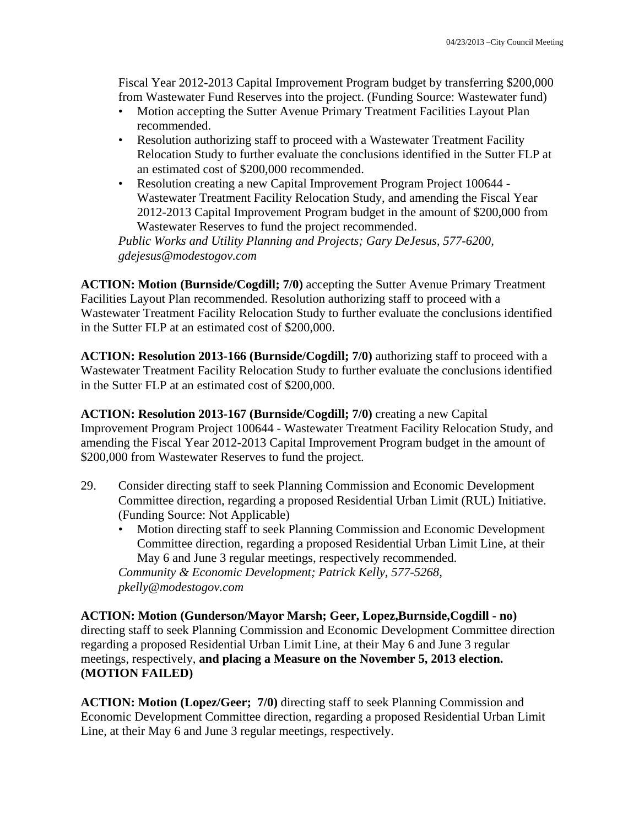Fiscal Year 2012-2013 Capital Improvement Program budget by transferring \$200,000 from Wastewater Fund Reserves into the project. (Funding Source: Wastewater fund)

- Motion accepting the Sutter Avenue Primary Treatment Facilities Layout Plan recommended.
- Resolution authorizing staff to proceed with a Wastewater Treatment Facility Relocation Study to further evaluate the conclusions identified in the Sutter FLP at an estimated cost of \$200,000 recommended.
- Resolution creating a new Capital Improvement Program Project 100644 Wastewater Treatment Facility Relocation Study, and amending the Fiscal Year 2012-2013 Capital Improvement Program budget in the amount of \$200,000 from Wastewater Reserves to fund the project recommended.

*Public Works and Utility Planning and Projects; Gary DeJesus, 577-6200, gdejesus@modestogov.com* 

**ACTION: Motion (Burnside/Cogdill; 7/0)** accepting the Sutter Avenue Primary Treatment Facilities Layout Plan recommended. Resolution authorizing staff to proceed with a Wastewater Treatment Facility Relocation Study to further evaluate the conclusions identified in the Sutter FLP at an estimated cost of \$200,000.

**ACTION: Resolution 2013-166 (Burnside/Cogdill; 7/0)** authorizing staff to proceed with a Wastewater Treatment Facility Relocation Study to further evaluate the conclusions identified in the Sutter FLP at an estimated cost of \$200,000.

**ACTION: Resolution 2013-167 (Burnside/Cogdill; 7/0)** creating a new Capital Improvement Program Project 100644 - Wastewater Treatment Facility Relocation Study, and amending the Fiscal Year 2012-2013 Capital Improvement Program budget in the amount of \$200,000 from Wastewater Reserves to fund the project.

- 29. Consider directing staff to seek Planning Commission and Economic Development Committee direction, regarding a proposed Residential Urban Limit (RUL) Initiative. (Funding Source: Not Applicable)
	- Motion directing staff to seek Planning Commission and Economic Development Committee direction, regarding a proposed Residential Urban Limit Line, at their May 6 and June 3 regular meetings, respectively recommended. *Community & Economic Development; Patrick Kelly, 577-5268, pkelly@modestogov.com*

**ACTION: Motion (Gunderson/Mayor Marsh; Geer, Lopez,Burnside,Cogdill - no)** directing staff to seek Planning Commission and Economic Development Committee direction regarding a proposed Residential Urban Limit Line, at their May 6 and June 3 regular meetings, respectively, **and placing a Measure on the November 5, 2013 election. (MOTION FAILED)** 

**ACTION: Motion (Lopez/Geer; 7/0)** directing staff to seek Planning Commission and Economic Development Committee direction, regarding a proposed Residential Urban Limit Line, at their May 6 and June 3 regular meetings, respectively.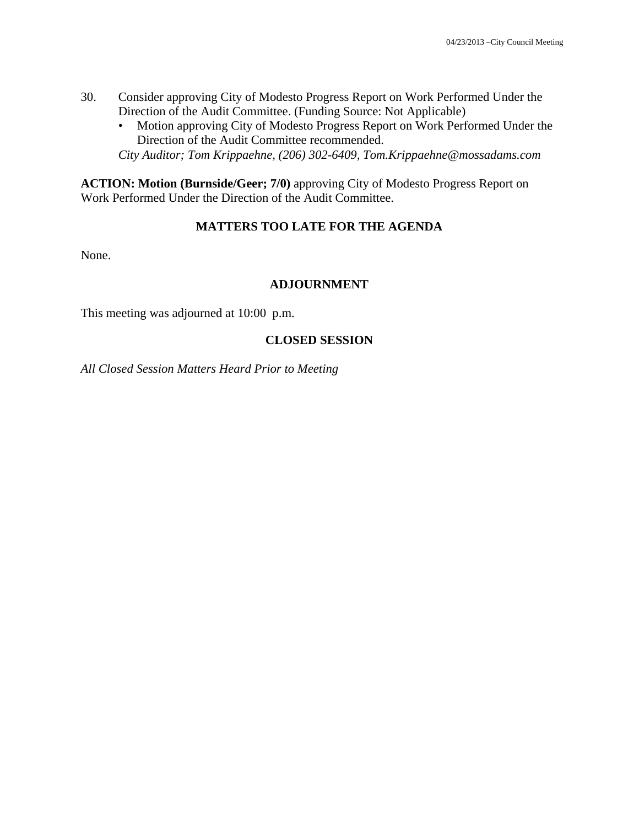- 30. Consider approving City of Modesto Progress Report on Work Performed Under the Direction of the Audit Committee. (Funding Source: Not Applicable)
	- Motion approving City of Modesto Progress Report on Work Performed Under the Direction of the Audit Committee recommended.

*City Auditor; Tom Krippaehne, (206) 302-6409, Tom.Krippaehne@mossadams.com* 

**ACTION: Motion (Burnside/Geer; 7/0)** approving City of Modesto Progress Report on Work Performed Under the Direction of the Audit Committee.

## **MATTERS TOO LATE FOR THE AGENDA**

None.

#### **ADJOURNMENT**

This meeting was adjourned at 10:00 p.m.

#### **CLOSED SESSION**

*All Closed Session Matters Heard Prior to Meeting*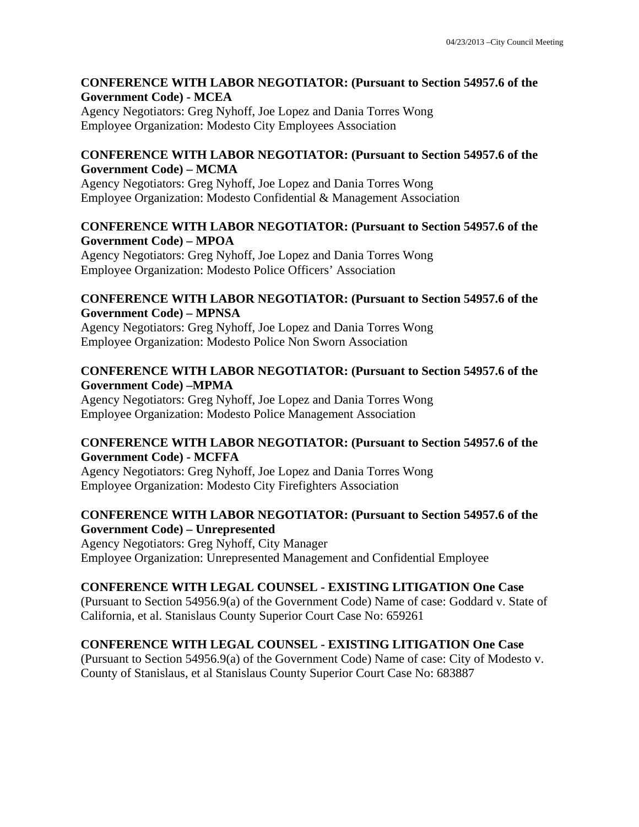## **CONFERENCE WITH LABOR NEGOTIATOR: (Pursuant to Section 54957.6 of the Government Code) - MCEA**

Agency Negotiators: Greg Nyhoff, Joe Lopez and Dania Torres Wong Employee Organization: Modesto City Employees Association

## **CONFERENCE WITH LABOR NEGOTIATOR: (Pursuant to Section 54957.6 of the Government Code) – MCMA**

Agency Negotiators: Greg Nyhoff, Joe Lopez and Dania Torres Wong Employee Organization: Modesto Confidential & Management Association

## **CONFERENCE WITH LABOR NEGOTIATOR: (Pursuant to Section 54957.6 of the Government Code) – MPOA**

Agency Negotiators: Greg Nyhoff, Joe Lopez and Dania Torres Wong Employee Organization: Modesto Police Officers' Association

## **CONFERENCE WITH LABOR NEGOTIATOR: (Pursuant to Section 54957.6 of the Government Code) – MPNSA**

Agency Negotiators: Greg Nyhoff, Joe Lopez and Dania Torres Wong Employee Organization: Modesto Police Non Sworn Association

## **CONFERENCE WITH LABOR NEGOTIATOR: (Pursuant to Section 54957.6 of the Government Code) –MPMA**

Agency Negotiators: Greg Nyhoff, Joe Lopez and Dania Torres Wong Employee Organization: Modesto Police Management Association

## **CONFERENCE WITH LABOR NEGOTIATOR: (Pursuant to Section 54957.6 of the Government Code) - MCFFA**

Agency Negotiators: Greg Nyhoff, Joe Lopez and Dania Torres Wong Employee Organization: Modesto City Firefighters Association

## **CONFERENCE WITH LABOR NEGOTIATOR: (Pursuant to Section 54957.6 of the Government Code) – Unrepresented**

Agency Negotiators: Greg Nyhoff, City Manager Employee Organization: Unrepresented Management and Confidential Employee

## **CONFERENCE WITH LEGAL COUNSEL - EXISTING LITIGATION One Case**

(Pursuant to Section 54956.9(a) of the Government Code) Name of case: Goddard v. State of California, et al. Stanislaus County Superior Court Case No: 659261

## **CONFERENCE WITH LEGAL COUNSEL - EXISTING LITIGATION One Case**

(Pursuant to Section 54956.9(a) of the Government Code) Name of case: City of Modesto v. County of Stanislaus, et al Stanislaus County Superior Court Case No: 683887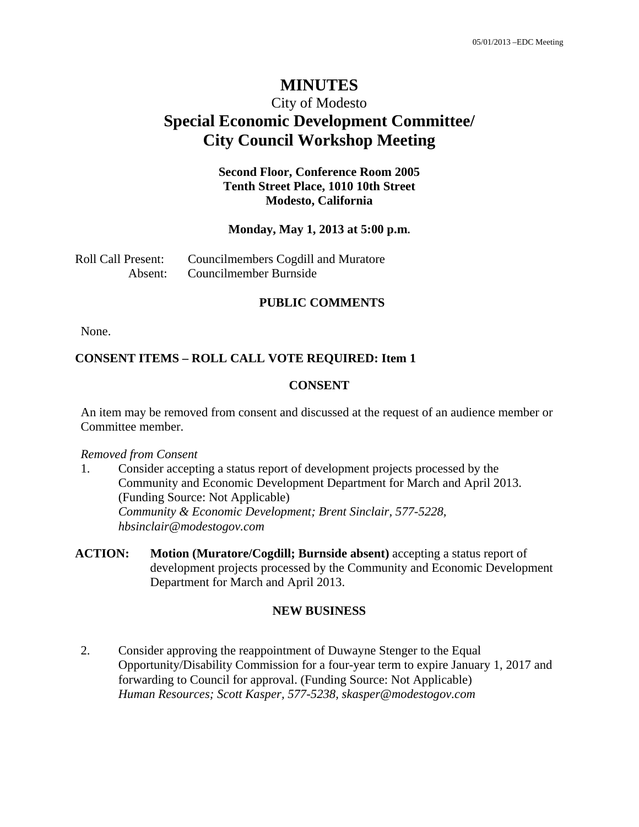## **MINUTES**

# City of Modesto **Special Economic Development Committee/ City Council Workshop Meeting**

## **Second Floor, Conference Room 2005 Tenth Street Place, 1010 10th Street Modesto, California**

#### **Monday, May 1, 2013 at 5:00 p.m.**

| <b>Roll Call Present:</b> | Councilmembers Cogdill and Muratore |
|---------------------------|-------------------------------------|
| Absent:                   | Councilmember Burnside              |

#### **PUBLIC COMMENTS**

None.

#### **CONSENT ITEMS – ROLL CALL VOTE REQUIRED: Item 1**

#### **CONSENT**

An item may be removed from consent and discussed at the request of an audience member or Committee member.

#### *Removed from Consent*

- 1. Consider accepting a status report of development projects processed by the Community and Economic Development Department for March and April 2013. (Funding Source: Not Applicable)  *Community & Economic Development; Brent Sinclair, 577-5228, hbsinclair@modestogov.com*
- **ACTION: Motion (Muratore/Cogdill; Burnside absent)** accepting a status report of development projects processed by the Community and Economic Development Department for March and April 2013.

## **NEW BUSINESS**

2. Consider approving the reappointment of Duwayne Stenger to the Equal Opportunity/Disability Commission for a four-year term to expire January 1, 2017 and forwarding to Council for approval. (Funding Source: Not Applicable)  *Human Resources; Scott Kasper, 577-5238, skasper@modestogov.com*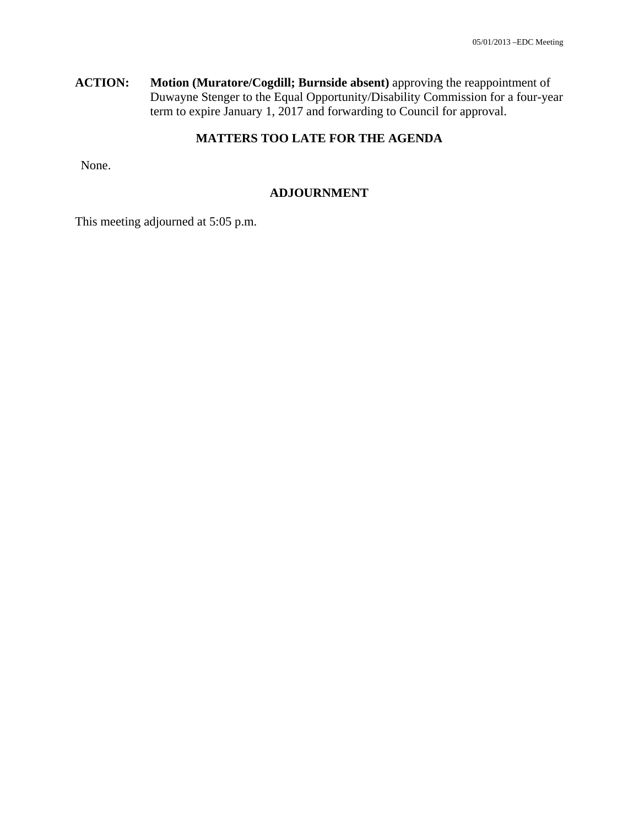**ACTION: Motion (Muratore/Cogdill; Burnside absent)** approving the reappointment of Duwayne Stenger to the Equal Opportunity/Disability Commission for a four-year term to expire January 1, 2017 and forwarding to Council for approval.

## **MATTERS TOO LATE FOR THE AGENDA**

None.

## **ADJOURNMENT**

This meeting adjourned at 5:05 p.m.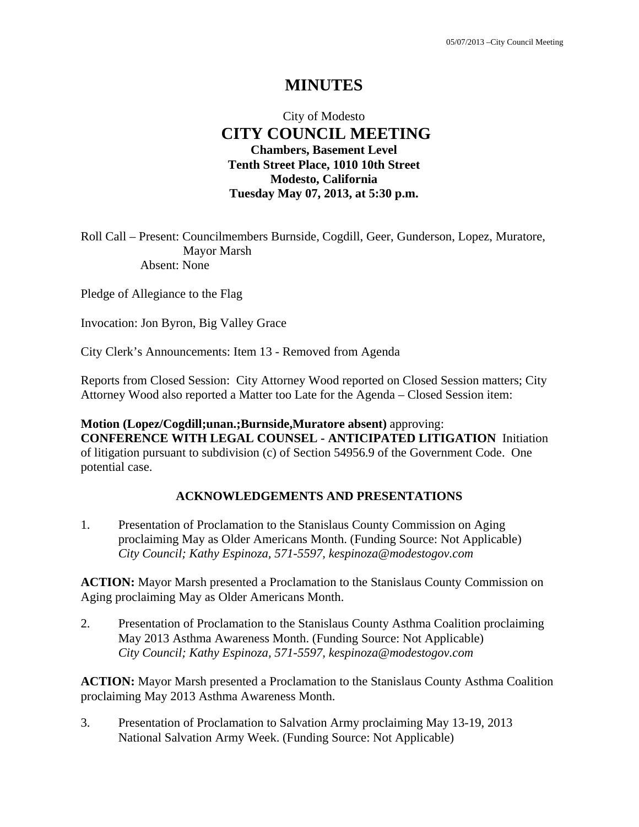# **MINUTES**

## City of Modesto  **CITY COUNCIL MEETING Chambers, Basement Level Tenth Street Place, 1010 10th Street Modesto, California Tuesday May 07, 2013, at 5:30 p.m.**

Roll Call – Present: Councilmembers Burnside, Cogdill, Geer, Gunderson, Lopez, Muratore, Mayor Marsh Absent: None

Pledge of Allegiance to the Flag

Invocation: Jon Byron, Big Valley Grace

City Clerk's Announcements: Item 13 - Removed from Agenda

Reports from Closed Session: City Attorney Wood reported on Closed Session matters; City Attorney Wood also reported a Matter too Late for the Agenda – Closed Session item:

**Motion (Lopez/Cogdill;unan.;Burnside,Muratore absent)** approving: **CONFERENCE WITH LEGAL COUNSEL - ANTICIPATED LITIGATION** Initiation of litigation pursuant to subdivision (c) of Section 54956.9 of the Government Code. One potential case.

## **ACKNOWLEDGEMENTS AND PRESENTATIONS**

1. Presentation of Proclamation to the Stanislaus County Commission on Aging proclaiming May as Older Americans Month. (Funding Source: Not Applicable)  *City Council; Kathy Espinoza, 571-5597, kespinoza@modestogov.com* 

**ACTION:** Mayor Marsh presented a Proclamation to the Stanislaus County Commission on Aging proclaiming May as Older Americans Month.

2. Presentation of Proclamation to the Stanislaus County Asthma Coalition proclaiming May 2013 Asthma Awareness Month. (Funding Source: Not Applicable)  *City Council; Kathy Espinoza, 571-5597, kespinoza@modestogov.com* 

**ACTION:** Mayor Marsh presented a Proclamation to the Stanislaus County Asthma Coalition proclaiming May 2013 Asthma Awareness Month.

3. Presentation of Proclamation to Salvation Army proclaiming May 13-19, 2013 National Salvation Army Week. (Funding Source: Not Applicable)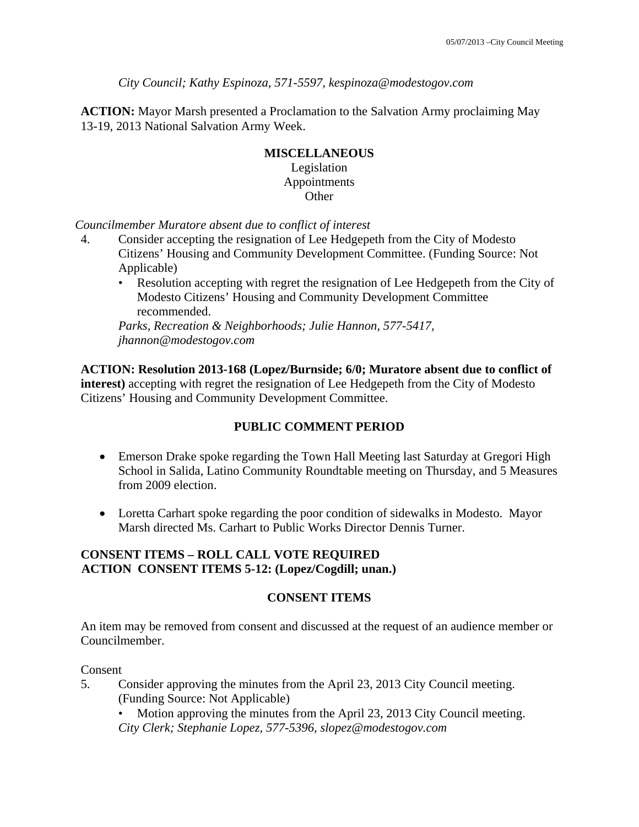*City Council; Kathy Espinoza, 571-5597, kespinoza@modestogov.com* 

**ACTION:** Mayor Marsh presented a Proclamation to the Salvation Army proclaiming May 13-19, 2013 National Salvation Army Week.

## **MISCELLANEOUS**  Legislation Appointments **Other**

*Councilmember Muratore absent due to conflict of interest* 

- 4. Consider accepting the resignation of Lee Hedgepeth from the City of Modesto Citizens' Housing and Community Development Committee. (Funding Source: Not Applicable)
	- Resolution accepting with regret the resignation of Lee Hedgepeth from the City of Modesto Citizens' Housing and Community Development Committee recommended.

*Parks, Recreation & Neighborhoods; Julie Hannon, 577-5417, jhannon@modestogov.com* 

**ACTION: Resolution 2013-168 (Lopez/Burnside; 6/0; Muratore absent due to conflict of interest)** accepting with regret the resignation of Lee Hedgepeth from the City of Modesto Citizens' Housing and Community Development Committee.

## **PUBLIC COMMENT PERIOD**

- Emerson Drake spoke regarding the Town Hall Meeting last Saturday at Gregori High School in Salida, Latino Community Roundtable meeting on Thursday, and 5 Measures from 2009 election.
- Loretta Carhart spoke regarding the poor condition of sidewalks in Modesto. Mayor Marsh directed Ms. Carhart to Public Works Director Dennis Turner.

## **CONSENT ITEMS – ROLL CALL VOTE REQUIRED ACTION CONSENT ITEMS 5-12: (Lopez/Cogdill; unan.)**

#### **CONSENT ITEMS**

An item may be removed from consent and discussed at the request of an audience member or Councilmember.

Consent

- 5. Consider approving the minutes from the April 23, 2013 City Council meeting. (Funding Source: Not Applicable)
	- Motion approving the minutes from the April 23, 2013 City Council meeting. *City Clerk; Stephanie Lopez, 577-5396, slopez@modestogov.com*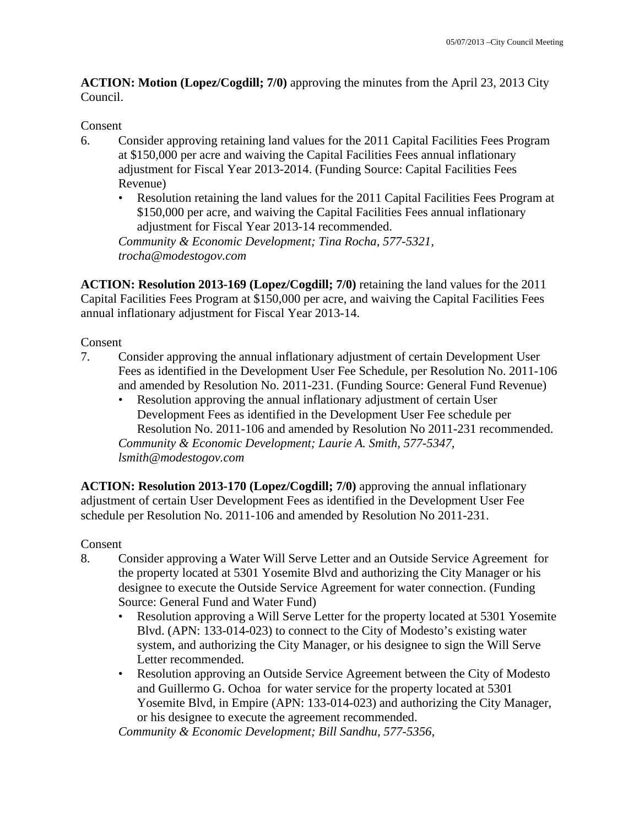**ACTION: Motion (Lopez/Cogdill; 7/0)** approving the minutes from the April 23, 2013 City Council.

## Consent

- 6. Consider approving retaining land values for the 2011 Capital Facilities Fees Program at \$150,000 per acre and waiving the Capital Facilities Fees annual inflationary adjustment for Fiscal Year 2013-2014. (Funding Source: Capital Facilities Fees Revenue)
	- Resolution retaining the land values for the 2011 Capital Facilities Fees Program at \$150,000 per acre, and waiving the Capital Facilities Fees annual inflationary adjustment for Fiscal Year 2013-14 recommended.

*Community & Economic Development; Tina Rocha, 577-5321, trocha@modestogov.com* 

**ACTION: Resolution 2013-169 (Lopez/Cogdill; 7/0)** retaining the land values for the 2011 Capital Facilities Fees Program at \$150,000 per acre, and waiving the Capital Facilities Fees annual inflationary adjustment for Fiscal Year 2013-14.

Consent

- 7. Consider approving the annual inflationary adjustment of certain Development User Fees as identified in the Development User Fee Schedule, per Resolution No. 2011-106 and amended by Resolution No. 2011-231. (Funding Source: General Fund Revenue)
	- Resolution approving the annual inflationary adjustment of certain User Development Fees as identified in the Development User Fee schedule per Resolution No. 2011-106 and amended by Resolution No 2011-231 recommended. *Community & Economic Development; Laurie A. Smith, 577-5347, lsmith@modestogov.com*

**ACTION: Resolution 2013-170 (Lopez/Cogdill; 7/0)** approving the annual inflationary adjustment of certain User Development Fees as identified in the Development User Fee schedule per Resolution No. 2011-106 and amended by Resolution No 2011-231.

Consent

- 8. Consider approving a Water Will Serve Letter and an Outside Service Agreement for the property located at 5301 Yosemite Blvd and authorizing the City Manager or his designee to execute the Outside Service Agreement for water connection. (Funding Source: General Fund and Water Fund)
	- Resolution approving a Will Serve Letter for the property located at 5301 Yosemite Blvd. (APN: 133-014-023) to connect to the City of Modesto's existing water system, and authorizing the City Manager, or his designee to sign the Will Serve Letter recommended.
	- Resolution approving an Outside Service Agreement between the City of Modesto and Guillermo G. Ochoa for water service for the property located at 5301 Yosemite Blvd, in Empire (APN: 133-014-023) and authorizing the City Manager, or his designee to execute the agreement recommended.

*Community & Economic Development; Bill Sandhu, 577-5356,*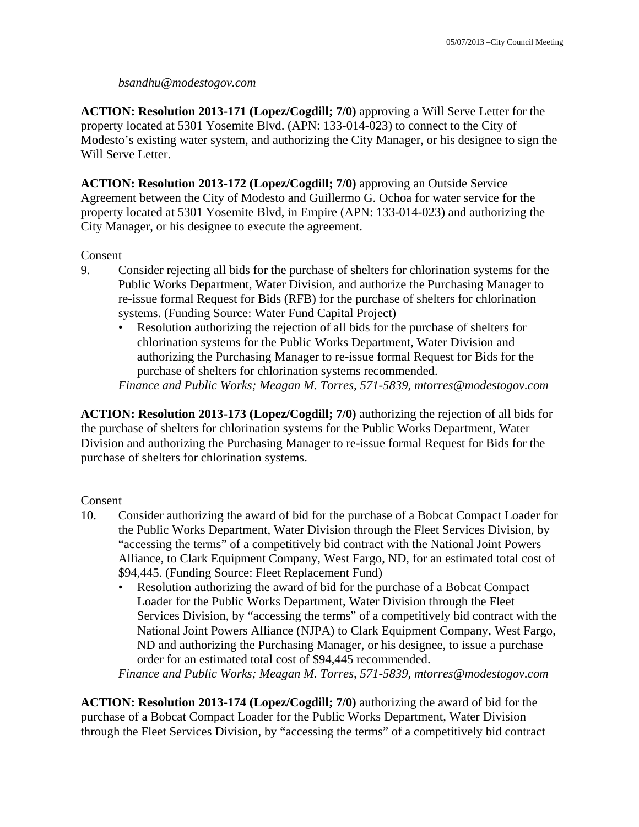### *bsandhu@modestogov.com*

**ACTION: Resolution 2013-171 (Lopez/Cogdill; 7/0)** approving a Will Serve Letter for the property located at 5301 Yosemite Blvd. (APN: 133-014-023) to connect to the City of Modesto's existing water system, and authorizing the City Manager, or his designee to sign the Will Serve Letter.

**ACTION: Resolution 2013-172 (Lopez/Cogdill; 7/0)** approving an Outside Service Agreement between the City of Modesto and Guillermo G. Ochoa for water service for the property located at 5301 Yosemite Blvd, in Empire (APN: 133-014-023) and authorizing the City Manager, or his designee to execute the agreement.

Consent

- 9. Consider rejecting all bids for the purchase of shelters for chlorination systems for the Public Works Department, Water Division, and authorize the Purchasing Manager to re-issue formal Request for Bids (RFB) for the purchase of shelters for chlorination systems. (Funding Source: Water Fund Capital Project)
	- Resolution authorizing the rejection of all bids for the purchase of shelters for chlorination systems for the Public Works Department, Water Division and authorizing the Purchasing Manager to re-issue formal Request for Bids for the purchase of shelters for chlorination systems recommended.

*Finance and Public Works; Meagan M. Torres, 571-5839, mtorres@modestogov.com* 

**ACTION: Resolution 2013-173 (Lopez/Cogdill; 7/0)** authorizing the rejection of all bids for the purchase of shelters for chlorination systems for the Public Works Department, Water Division and authorizing the Purchasing Manager to re-issue formal Request for Bids for the purchase of shelters for chlorination systems.

#### Consent

- 10. Consider authorizing the award of bid for the purchase of a Bobcat Compact Loader for the Public Works Department, Water Division through the Fleet Services Division, by "accessing the terms" of a competitively bid contract with the National Joint Powers Alliance, to Clark Equipment Company, West Fargo, ND, for an estimated total cost of \$94,445. (Funding Source: Fleet Replacement Fund)
	- Resolution authorizing the award of bid for the purchase of a Bobcat Compact Loader for the Public Works Department, Water Division through the Fleet Services Division, by "accessing the terms" of a competitively bid contract with the National Joint Powers Alliance (NJPA) to Clark Equipment Company, West Fargo, ND and authorizing the Purchasing Manager, or his designee, to issue a purchase order for an estimated total cost of \$94,445 recommended.

*Finance and Public Works; Meagan M. Torres, 571-5839, mtorres@modestogov.com* 

**ACTION: Resolution 2013-174 (Lopez/Cogdill; 7/0)** authorizing the award of bid for the purchase of a Bobcat Compact Loader for the Public Works Department, Water Division through the Fleet Services Division, by "accessing the terms" of a competitively bid contract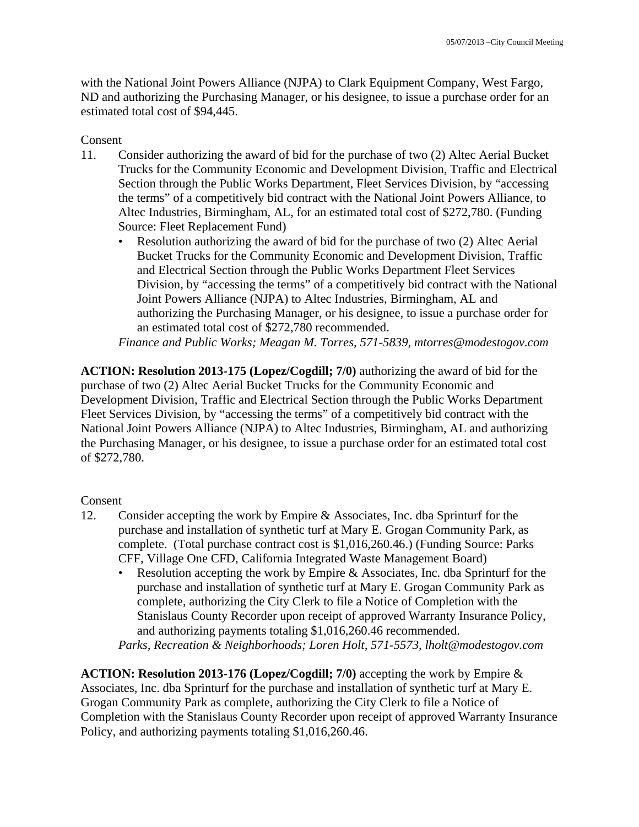with the National Joint Powers Alliance (NJPA) to Clark Equipment Company, West Fargo, ND and authorizing the Purchasing Manager, or his designee, to issue a purchase order for an estimated total cost of \$94,445.

## Consent

- 11. Consider authorizing the award of bid for the purchase of two (2) Altec Aerial Bucket Trucks for the Community Economic and Development Division, Traffic and Electrical Section through the Public Works Department, Fleet Services Division, by "accessing the terms" of a competitively bid contract with the National Joint Powers Alliance, to Altec Industries, Birmingham, AL, for an estimated total cost of \$272,780. (Funding Source: Fleet Replacement Fund)
	- Resolution authorizing the award of bid for the purchase of two (2) Altec Aerial Bucket Trucks for the Community Economic and Development Division, Traffic and Electrical Section through the Public Works Department Fleet Services Division, by "accessing the terms" of a competitively bid contract with the National Joint Powers Alliance (NJPA) to Altec Industries, Birmingham, AL and authorizing the Purchasing Manager, or his designee, to issue a purchase order for an estimated total cost of \$272,780 recommended.

*Finance and Public Works; Meagan M. Torres, 571-5839, mtorres@modestogov.com* 

**ACTION: Resolution 2013-175 (Lopez/Cogdill; 7/0)** authorizing the award of bid for the purchase of two (2) Altec Aerial Bucket Trucks for the Community Economic and Development Division, Traffic and Electrical Section through the Public Works Department Fleet Services Division, by "accessing the terms" of a competitively bid contract with the National Joint Powers Alliance (NJPA) to Altec Industries, Birmingham, AL and authorizing the Purchasing Manager, or his designee, to issue a purchase order for an estimated total cost of \$272,780.

#### Consent

- 12. Consider accepting the work by Empire & Associates, Inc. dba Sprinturf for the purchase and installation of synthetic turf at Mary E. Grogan Community Park, as complete. (Total purchase contract cost is \$1,016,260.46.) (Funding Source: Parks CFF, Village One CFD, California Integrated Waste Management Board)
	- Resolution accepting the work by Empire & Associates, Inc. dba Sprinturf for the purchase and installation of synthetic turf at Mary E. Grogan Community Park as complete, authorizing the City Clerk to file a Notice of Completion with the Stanislaus County Recorder upon receipt of approved Warranty Insurance Policy, and authorizing payments totaling \$1,016,260.46 recommended.

*Parks, Recreation & Neighborhoods; Loren Holt, 571-5573, lholt@modestogov.com* 

**ACTION: Resolution 2013-176 (Lopez/Cogdill; 7/0)** accepting the work by Empire & Associates, Inc. dba Sprinturf for the purchase and installation of synthetic turf at Mary E. Grogan Community Park as complete, authorizing the City Clerk to file a Notice of Completion with the Stanislaus County Recorder upon receipt of approved Warranty Insurance Policy, and authorizing payments totaling \$1,016,260.46.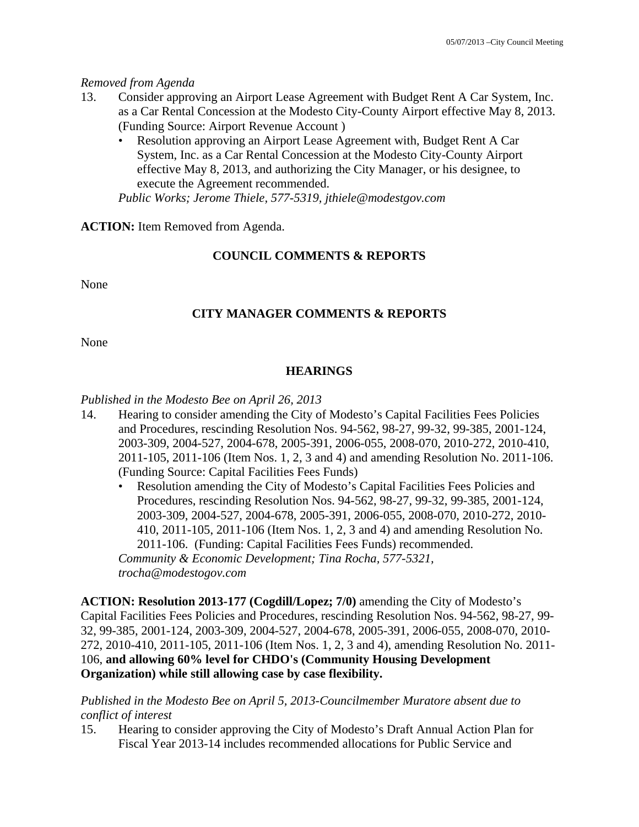#### *Removed from Agenda*

- 13. Consider approving an Airport Lease Agreement with Budget Rent A Car System, Inc. as a Car Rental Concession at the Modesto City-County Airport effective May 8, 2013. (Funding Source: Airport Revenue Account )
	- Resolution approving an Airport Lease Agreement with, Budget Rent A Car System, Inc. as a Car Rental Concession at the Modesto City-County Airport effective May 8, 2013, and authorizing the City Manager, or his designee, to execute the Agreement recommended.

*Public Works; Jerome Thiele, 577-5319, jthiele@modestgov.com* 

ACTION: Item Removed from Agenda.

## **COUNCIL COMMENTS & REPORTS**

None

## **CITY MANAGER COMMENTS & REPORTS**

None

## **HEARINGS**

#### *Published in the Modesto Bee on April 26, 2013*

- 14. Hearing to consider amending the City of Modesto's Capital Facilities Fees Policies and Procedures, rescinding Resolution Nos. 94-562, 98-27, 99-32, 99-385, 2001-124, 2003-309, 2004-527, 2004-678, 2005-391, 2006-055, 2008-070, 2010-272, 2010-410, 2011-105, 2011-106 (Item Nos. 1, 2, 3 and 4) and amending Resolution No. 2011-106. (Funding Source: Capital Facilities Fees Funds)
	- Resolution amending the City of Modesto's Capital Facilities Fees Policies and Procedures, rescinding Resolution Nos. 94-562, 98-27, 99-32, 99-385, 2001-124, 2003-309, 2004-527, 2004-678, 2005-391, 2006-055, 2008-070, 2010-272, 2010- 410, 2011-105, 2011-106 (Item Nos. 1, 2, 3 and 4) and amending Resolution No. 2011-106. (Funding: Capital Facilities Fees Funds) recommended. *Community & Economic Development; Tina Rocha, 577-5321, trocha@modestogov.com*

**ACTION: Resolution 2013-177 (Cogdill/Lopez; 7/0)** amending the City of Modesto's Capital Facilities Fees Policies and Procedures, rescinding Resolution Nos. 94-562, 98-27, 99- 32, 99-385, 2001-124, 2003-309, 2004-527, 2004-678, 2005-391, 2006-055, 2008-070, 2010- 272, 2010-410, 2011-105, 2011-106 (Item Nos. 1, 2, 3 and 4), amending Resolution No. 2011- 106, **and allowing 60% level for CHDO's (Community Housing Development Organization) while still allowing case by case flexibility.**

## *Published in the Modesto Bee on April 5, 2013-Councilmember Muratore absent due to conflict of interest*

15. Hearing to consider approving the City of Modesto's Draft Annual Action Plan for Fiscal Year 2013-14 includes recommended allocations for Public Service and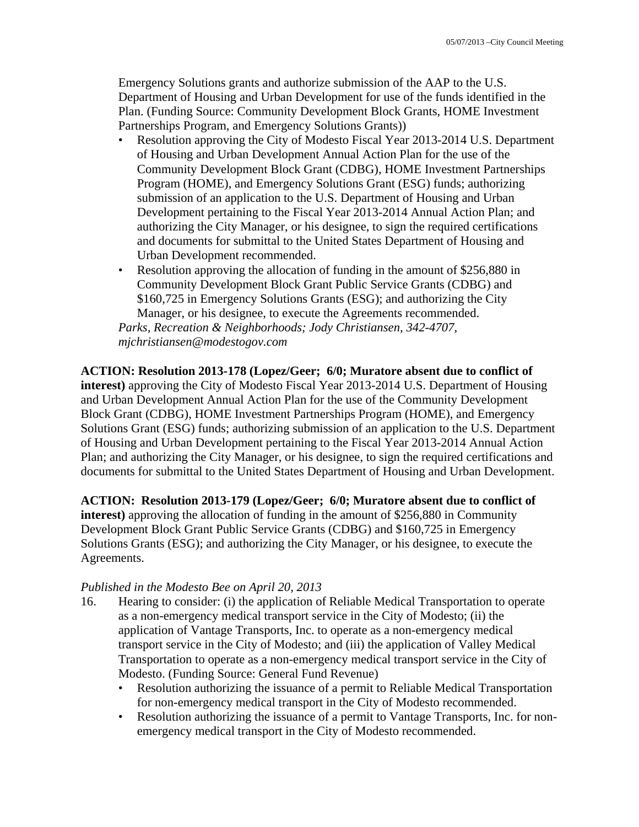Emergency Solutions grants and authorize submission of the AAP to the U.S. Department of Housing and Urban Development for use of the funds identified in the Plan. (Funding Source: Community Development Block Grants, HOME Investment Partnerships Program, and Emergency Solutions Grants))

- Resolution approving the City of Modesto Fiscal Year 2013-2014 U.S. Department of Housing and Urban Development Annual Action Plan for the use of the Community Development Block Grant (CDBG), HOME Investment Partnerships Program (HOME), and Emergency Solutions Grant (ESG) funds; authorizing submission of an application to the U.S. Department of Housing and Urban Development pertaining to the Fiscal Year 2013-2014 Annual Action Plan; and authorizing the City Manager, or his designee, to sign the required certifications and documents for submittal to the United States Department of Housing and Urban Development recommended.
- Resolution approving the allocation of funding in the amount of \$256,880 in Community Development Block Grant Public Service Grants (CDBG) and \$160,725 in Emergency Solutions Grants (ESG); and authorizing the City Manager, or his designee, to execute the Agreements recommended.

*Parks, Recreation & Neighborhoods; Jody Christiansen, 342-4707, mjchristiansen@modestogov.com* 

## **ACTION: Resolution 2013-178 (Lopez/Geer; 6/0; Muratore absent due to conflict of**

**interest)** approving the City of Modesto Fiscal Year 2013-2014 U.S. Department of Housing and Urban Development Annual Action Plan for the use of the Community Development Block Grant (CDBG), HOME Investment Partnerships Program (HOME), and Emergency Solutions Grant (ESG) funds; authorizing submission of an application to the U.S. Department of Housing and Urban Development pertaining to the Fiscal Year 2013-2014 Annual Action Plan; and authorizing the City Manager, or his designee, to sign the required certifications and documents for submittal to the United States Department of Housing and Urban Development.

**ACTION: Resolution 2013-179 (Lopez/Geer; 6/0; Muratore absent due to conflict of interest)** approving the allocation of funding in the amount of \$256,880 in Community Development Block Grant Public Service Grants (CDBG) and \$160,725 in Emergency Solutions Grants (ESG); and authorizing the City Manager, or his designee, to execute the Agreements.

#### *Published in the Modesto Bee on April 20, 2013*

- 16. Hearing to consider: (i) the application of Reliable Medical Transportation to operate as a non-emergency medical transport service in the City of Modesto; (ii) the application of Vantage Transports, Inc. to operate as a non-emergency medical transport service in the City of Modesto; and (iii) the application of Valley Medical Transportation to operate as a non-emergency medical transport service in the City of Modesto. (Funding Source: General Fund Revenue)
	- Resolution authorizing the issuance of a permit to Reliable Medical Transportation for non-emergency medical transport in the City of Modesto recommended.
	- Resolution authorizing the issuance of a permit to Vantage Transports, Inc. for nonemergency medical transport in the City of Modesto recommended.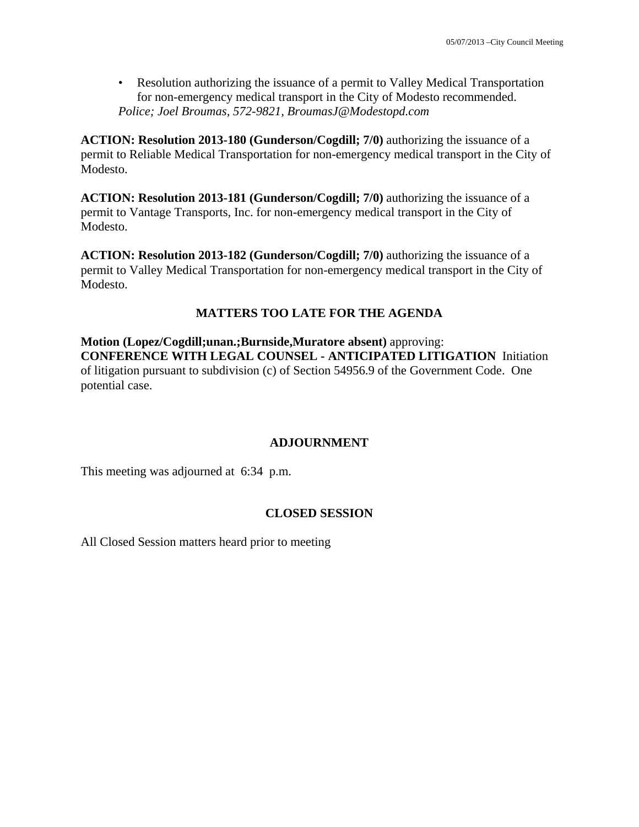• Resolution authorizing the issuance of a permit to Valley Medical Transportation for non-emergency medical transport in the City of Modesto recommended. *Police; Joel Broumas, 572-9821, BroumasJ@Modestopd.com* 

**ACTION: Resolution 2013-180 (Gunderson/Cogdill; 7/0)** authorizing the issuance of a permit to Reliable Medical Transportation for non-emergency medical transport in the City of Modesto.

**ACTION: Resolution 2013-181 (Gunderson/Cogdill; 7/0)** authorizing the issuance of a permit to Vantage Transports, Inc. for non-emergency medical transport in the City of Modesto.

**ACTION: Resolution 2013-182 (Gunderson/Cogdill; 7/0)** authorizing the issuance of a permit to Valley Medical Transportation for non-emergency medical transport in the City of Modesto.

## **MATTERS TOO LATE FOR THE AGENDA**

**Motion (Lopez/Cogdill;unan.;Burnside,Muratore absent)** approving: **CONFERENCE WITH LEGAL COUNSEL - ANTICIPATED LITIGATION** Initiation of litigation pursuant to subdivision (c) of Section 54956.9 of the Government Code. One potential case.

## **ADJOURNMENT**

This meeting was adjourned at 6:34 p.m.

## **CLOSED SESSION**

All Closed Session matters heard prior to meeting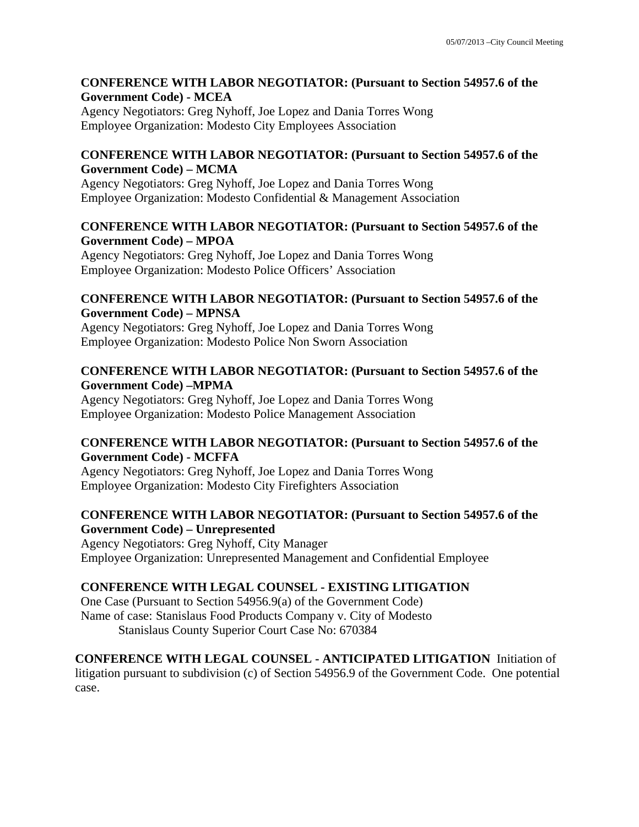### **CONFERENCE WITH LABOR NEGOTIATOR: (Pursuant to Section 54957.6 of the Government Code) - MCEA**

Agency Negotiators: Greg Nyhoff, Joe Lopez and Dania Torres Wong Employee Organization: Modesto City Employees Association

## **CONFERENCE WITH LABOR NEGOTIATOR: (Pursuant to Section 54957.6 of the Government Code) – MCMA**

Agency Negotiators: Greg Nyhoff, Joe Lopez and Dania Torres Wong Employee Organization: Modesto Confidential & Management Association

## **CONFERENCE WITH LABOR NEGOTIATOR: (Pursuant to Section 54957.6 of the Government Code) – MPOA**

Agency Negotiators: Greg Nyhoff, Joe Lopez and Dania Torres Wong Employee Organization: Modesto Police Officers' Association

## **CONFERENCE WITH LABOR NEGOTIATOR: (Pursuant to Section 54957.6 of the Government Code) – MPNSA**

Agency Negotiators: Greg Nyhoff, Joe Lopez and Dania Torres Wong Employee Organization: Modesto Police Non Sworn Association

## **CONFERENCE WITH LABOR NEGOTIATOR: (Pursuant to Section 54957.6 of the Government Code) –MPMA**

Agency Negotiators: Greg Nyhoff, Joe Lopez and Dania Torres Wong Employee Organization: Modesto Police Management Association

## **CONFERENCE WITH LABOR NEGOTIATOR: (Pursuant to Section 54957.6 of the Government Code) - MCFFA**

Agency Negotiators: Greg Nyhoff, Joe Lopez and Dania Torres Wong Employee Organization: Modesto City Firefighters Association

## **CONFERENCE WITH LABOR NEGOTIATOR: (Pursuant to Section 54957.6 of the Government Code) – Unrepresented**

Agency Negotiators: Greg Nyhoff, City Manager Employee Organization: Unrepresented Management and Confidential Employee

## **CONFERENCE WITH LEGAL COUNSEL - EXISTING LITIGATION**

One Case (Pursuant to Section 54956.9(a) of the Government Code) Name of case: Stanislaus Food Products Company v. City of Modesto Stanislaus County Superior Court Case No: 670384

**CONFERENCE WITH LEGAL COUNSEL - ANTICIPATED LITIGATION** Initiation of litigation pursuant to subdivision (c) of Section 54956.9 of the Government Code. One potential case.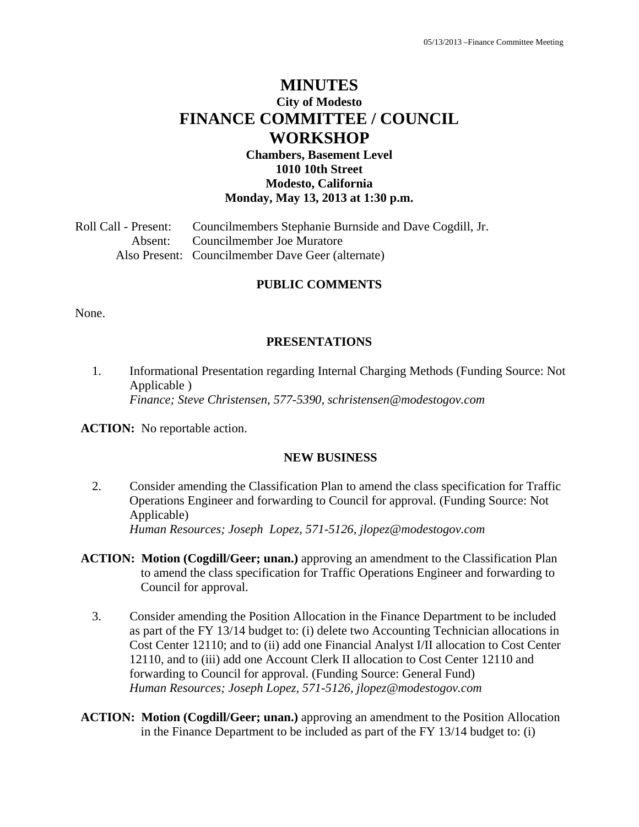## **MINUTES City of Modesto FINANCE COMMITTEE / COUNCIL WORKSHOP**

## **Chambers, Basement Level 1010 10th Street Modesto, California Monday, May 13, 2013 at 1:30 p.m.**

Roll Call - Present: Councilmembers Stephanie Burnside and Dave Cogdill, Jr. Absent: Councilmember Joe Muratore Also Present: Councilmember Dave Geer (alternate)

#### **PUBLIC COMMENTS**

None.

#### **PRESENTATIONS**

1. Informational Presentation regarding Internal Charging Methods (Funding Source: Not Applicable )  *Finance; Steve Christensen, 577-5390, schristensen@modestogov.com* 

**ACTION:** No reportable action.

#### **NEW BUSINESS**

- 2. Consider amending the Classification Plan to amend the class specification for Traffic Operations Engineer and forwarding to Council for approval. (Funding Source: Not Applicable)  *Human Resources; Joseph Lopez, 571-5126, jlopez@modestogov.com*
- **ACTION: Motion (Cogdill/Geer; unan.)** approving an amendment to the Classification Plan to amend the class specification for Traffic Operations Engineer and forwarding to Council for approval.
	- 3. Consider amending the Position Allocation in the Finance Department to be included as part of the FY 13/14 budget to: (i) delete two Accounting Technician allocations in Cost Center 12110; and to (ii) add one Financial Analyst I/II allocation to Cost Center 12110, and to (iii) add one Account Clerk II allocation to Cost Center 12110 and forwarding to Council for approval. (Funding Source: General Fund)  *Human Resources; Joseph Lopez, 571-5126, jlopez@modestogov.com*
- **ACTION: Motion (Cogdill/Geer; unan.)** approving an amendment to the Position Allocation in the Finance Department to be included as part of the FY 13/14 budget to: (i)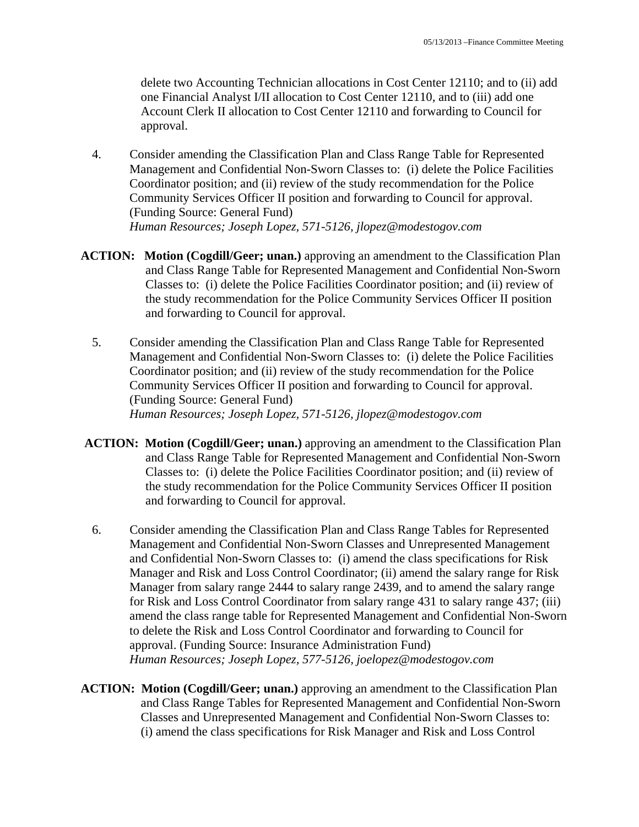delete two Accounting Technician allocations in Cost Center 12110; and to (ii) add one Financial Analyst I/II allocation to Cost Center 12110, and to (iii) add one Account Clerk II allocation to Cost Center 12110 and forwarding to Council for approval.

- 4. Consider amending the Classification Plan and Class Range Table for Represented Management and Confidential Non-Sworn Classes to: (i) delete the Police Facilities Coordinator position; and (ii) review of the study recommendation for the Police Community Services Officer II position and forwarding to Council for approval. (Funding Source: General Fund)  *Human Resources; Joseph Lopez, 571-5126, jlopez@modestogov.com*
- **ACTION: Motion (Cogdill/Geer; unan.)** approving an amendment to the Classification Plan and Class Range Table for Represented Management and Confidential Non-Sworn Classes to: (i) delete the Police Facilities Coordinator position; and (ii) review of the study recommendation for the Police Community Services Officer II position and forwarding to Council for approval.
	- 5. Consider amending the Classification Plan and Class Range Table for Represented Management and Confidential Non-Sworn Classes to: (i) delete the Police Facilities Coordinator position; and (ii) review of the study recommendation for the Police Community Services Officer II position and forwarding to Council for approval. (Funding Source: General Fund)  *Human Resources; Joseph Lopez, 571-5126, jlopez@modestogov.com*
- **ACTION: Motion (Cogdill/Geer; unan.)** approving an amendment to the Classification Plan and Class Range Table for Represented Management and Confidential Non-Sworn Classes to: (i) delete the Police Facilities Coordinator position; and (ii) review of the study recommendation for the Police Community Services Officer II position and forwarding to Council for approval.
	- 6. Consider amending the Classification Plan and Class Range Tables for Represented Management and Confidential Non-Sworn Classes and Unrepresented Management and Confidential Non-Sworn Classes to: (i) amend the class specifications for Risk Manager and Risk and Loss Control Coordinator; (ii) amend the salary range for Risk Manager from salary range 2444 to salary range 2439, and to amend the salary range for Risk and Loss Control Coordinator from salary range 431 to salary range 437; (iii) amend the class range table for Represented Management and Confidential Non-Sworn to delete the Risk and Loss Control Coordinator and forwarding to Council for approval. (Funding Source: Insurance Administration Fund)  *Human Resources; Joseph Lopez, 577-5126, joelopez@modestogov.com*
- **ACTION: Motion (Cogdill/Geer; unan.)** approving an amendment to the Classification Plan and Class Range Tables for Represented Management and Confidential Non-Sworn Classes and Unrepresented Management and Confidential Non-Sworn Classes to: (i) amend the class specifications for Risk Manager and Risk and Loss Control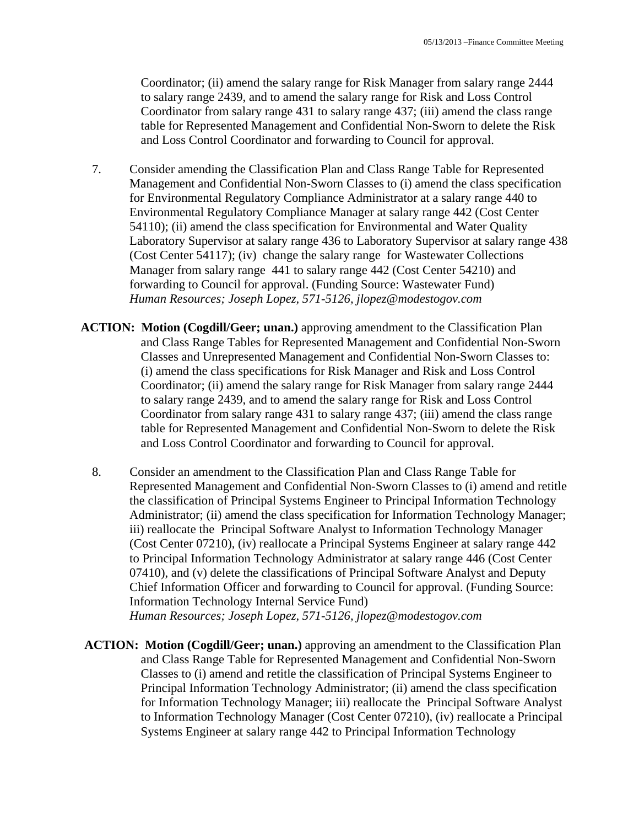Coordinator; (ii) amend the salary range for Risk Manager from salary range 2444 to salary range 2439, and to amend the salary range for Risk and Loss Control Coordinator from salary range 431 to salary range 437; (iii) amend the class range table for Represented Management and Confidential Non-Sworn to delete the Risk and Loss Control Coordinator and forwarding to Council for approval.

- 7. Consider amending the Classification Plan and Class Range Table for Represented Management and Confidential Non-Sworn Classes to (i) amend the class specification for Environmental Regulatory Compliance Administrator at a salary range 440 to Environmental Regulatory Compliance Manager at salary range 442 (Cost Center 54110); (ii) amend the class specification for Environmental and Water Quality Laboratory Supervisor at salary range 436 to Laboratory Supervisor at salary range 438 (Cost Center 54117); (iv) change the salary range for Wastewater Collections Manager from salary range 441 to salary range 442 (Cost Center 54210) and forwarding to Council for approval. (Funding Source: Wastewater Fund)  *Human Resources; Joseph Lopez, 571-5126, jlopez@modestogov.com*
- **ACTION: Motion (Cogdill/Geer; unan.)** approving amendment to the Classification Plan and Class Range Tables for Represented Management and Confidential Non-Sworn Classes and Unrepresented Management and Confidential Non-Sworn Classes to: (i) amend the class specifications for Risk Manager and Risk and Loss Control Coordinator; (ii) amend the salary range for Risk Manager from salary range 2444 to salary range 2439, and to amend the salary range for Risk and Loss Control Coordinator from salary range 431 to salary range 437; (iii) amend the class range table for Represented Management and Confidential Non-Sworn to delete the Risk and Loss Control Coordinator and forwarding to Council for approval.
	- 8. Consider an amendment to the Classification Plan and Class Range Table for Represented Management and Confidential Non-Sworn Classes to (i) amend and retitle the classification of Principal Systems Engineer to Principal Information Technology Administrator; (ii) amend the class specification for Information Technology Manager; iii) reallocate the Principal Software Analyst to Information Technology Manager (Cost Center 07210), (iv) reallocate a Principal Systems Engineer at salary range 442 to Principal Information Technology Administrator at salary range 446 (Cost Center 07410), and (v) delete the classifications of Principal Software Analyst and Deputy Chief Information Officer and forwarding to Council for approval. (Funding Source: Information Technology Internal Service Fund)  *Human Resources; Joseph Lopez, 571-5126, jlopez@modestogov.com*
- **ACTION: Motion (Cogdill/Geer; unan.)** approving an amendment to the Classification Plan and Class Range Table for Represented Management and Confidential Non-Sworn Classes to (i) amend and retitle the classification of Principal Systems Engineer to Principal Information Technology Administrator; (ii) amend the class specification for Information Technology Manager; iii) reallocate the Principal Software Analyst to Information Technology Manager (Cost Center 07210), (iv) reallocate a Principal Systems Engineer at salary range 442 to Principal Information Technology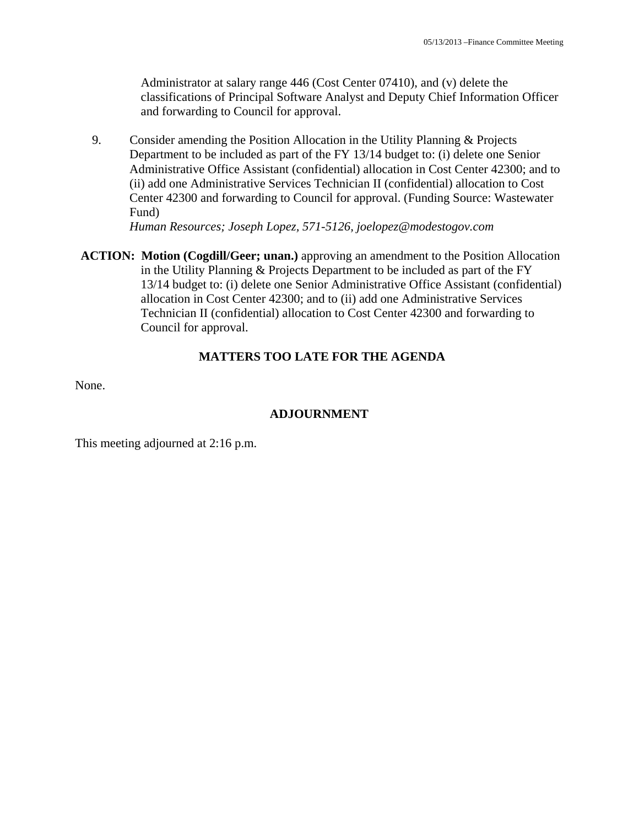Administrator at salary range 446 (Cost Center 07410), and (v) delete the classifications of Principal Software Analyst and Deputy Chief Information Officer and forwarding to Council for approval.

9. Consider amending the Position Allocation in the Utility Planning & Projects Department to be included as part of the FY 13/14 budget to: (i) delete one Senior Administrative Office Assistant (confidential) allocation in Cost Center 42300; and to (ii) add one Administrative Services Technician II (confidential) allocation to Cost Center 42300 and forwarding to Council for approval. (Funding Source: Wastewater Fund)

 *Human Resources; Joseph Lopez, 571-5126, joelopez@modestogov.com* 

**ACTION: Motion (Cogdill/Geer; unan.)** approving an amendment to the Position Allocation in the Utility Planning & Projects Department to be included as part of the FY 13/14 budget to: (i) delete one Senior Administrative Office Assistant (confidential) allocation in Cost Center 42300; and to (ii) add one Administrative Services Technician II (confidential) allocation to Cost Center 42300 and forwarding to Council for approval.

### **MATTERS TOO LATE FOR THE AGENDA**

None.

#### **ADJOURNMENT**

This meeting adjourned at 2:16 p.m.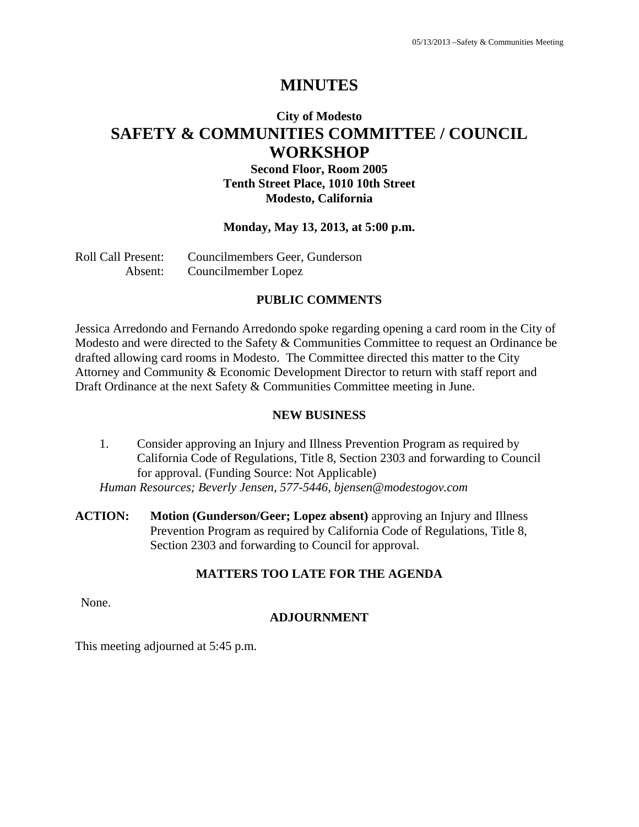## **MINUTES**

## **City of Modesto SAFETY & COMMUNITIES COMMITTEE / COUNCIL WORKSHOP**

## **Second Floor, Room 2005 Tenth Street Place, 1010 10th Street Modesto, California**

#### **Monday, May 13, 2013, at 5:00 p.m.**

Roll Call Present: Councilmembers Geer, Gunderson Absent: Councilmember Lopez

### **PUBLIC COMMENTS**

Jessica Arredondo and Fernando Arredondo spoke regarding opening a card room in the City of Modesto and were directed to the Safety & Communities Committee to request an Ordinance be drafted allowing card rooms in Modesto. The Committee directed this matter to the City Attorney and Community & Economic Development Director to return with staff report and Draft Ordinance at the next Safety & Communities Committee meeting in June.

#### **NEW BUSINESS**

- 1. Consider approving an Injury and Illness Prevention Program as required by California Code of Regulations, Title 8, Section 2303 and forwarding to Council for approval. (Funding Source: Not Applicable) *Human Resources; Beverly Jensen, 577-5446, bjensen@modestogov.com*
- **ACTION: Motion (Gunderson/Geer; Lopez absent)** approving an Injury and Illness Prevention Program as required by California Code of Regulations, Title 8, Section 2303 and forwarding to Council for approval.

## **MATTERS TOO LATE FOR THE AGENDA**

None.

## **ADJOURNMENT**

This meeting adjourned at 5:45 p.m.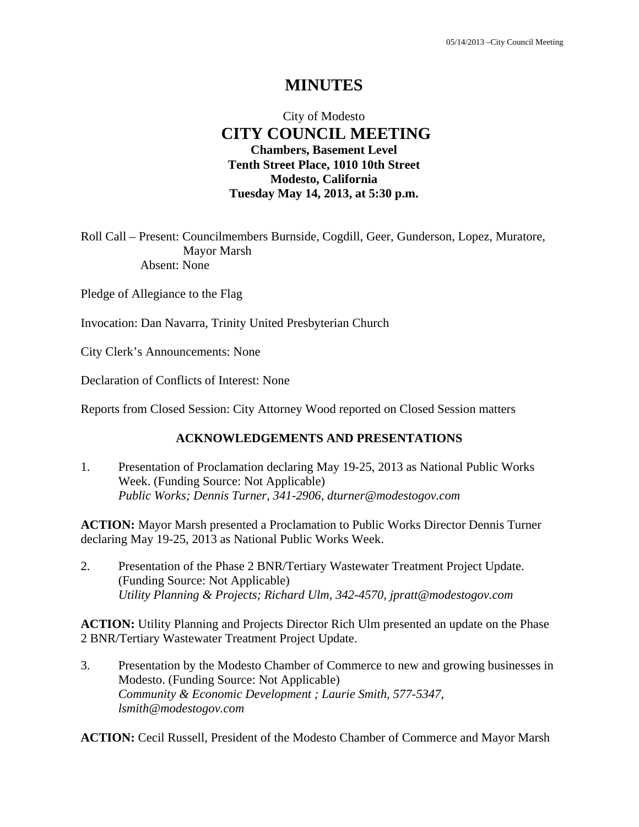## **MINUTES**

## City of Modesto  **CITY COUNCIL MEETING Chambers, Basement Level Tenth Street Place, 1010 10th Street Modesto, California Tuesday May 14, 2013, at 5:30 p.m.**

Roll Call – Present: Councilmembers Burnside, Cogdill, Geer, Gunderson, Lopez, Muratore, Mayor Marsh Absent: None

Pledge of Allegiance to the Flag

Invocation: Dan Navarra, Trinity United Presbyterian Church

City Clerk's Announcements: None

Declaration of Conflicts of Interest: None

Reports from Closed Session: City Attorney Wood reported on Closed Session matters

#### **ACKNOWLEDGEMENTS AND PRESENTATIONS**

1. Presentation of Proclamation declaring May 19-25, 2013 as National Public Works Week. (Funding Source: Not Applicable)  *Public Works; Dennis Turner, 341-2906, dturner@modestogov.com* 

**ACTION:** Mayor Marsh presented a Proclamation to Public Works Director Dennis Turner declaring May 19-25, 2013 as National Public Works Week.

2. Presentation of the Phase 2 BNR/Tertiary Wastewater Treatment Project Update. (Funding Source: Not Applicable)  *Utility Planning & Projects; Richard Ulm, 342-4570, jpratt@modestogov.com* 

**ACTION:** Utility Planning and Projects Director Rich Ulm presented an update on the Phase 2 BNR/Tertiary Wastewater Treatment Project Update.

3. Presentation by the Modesto Chamber of Commerce to new and growing businesses in Modesto. (Funding Source: Not Applicable)  *Community & Economic Development ; Laurie Smith, 577-5347, lsmith@modestogov.com* 

**ACTION:** Cecil Russell, President of the Modesto Chamber of Commerce and Mayor Marsh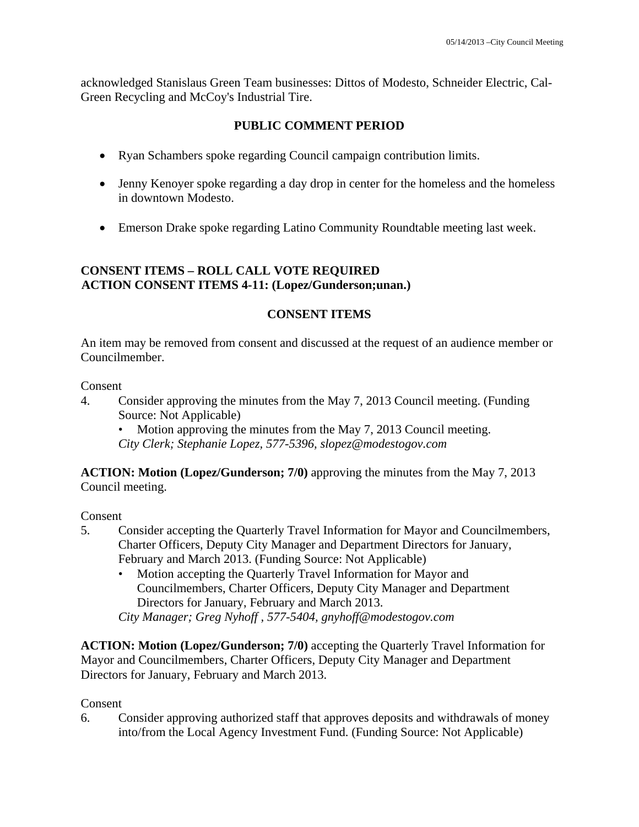acknowledged Stanislaus Green Team businesses: Dittos of Modesto, Schneider Electric, Cal-Green Recycling and McCoy's Industrial Tire.

## **PUBLIC COMMENT PERIOD**

- Ryan Schambers spoke regarding Council campaign contribution limits.
- Jenny Kenoyer spoke regarding a day drop in center for the homeless and the homeless in downtown Modesto.
- Emerson Drake spoke regarding Latino Community Roundtable meeting last week.

## **CONSENT ITEMS – ROLL CALL VOTE REQUIRED ACTION CONSENT ITEMS 4-11: (Lopez/Gunderson;unan.)**

## **CONSENT ITEMS**

An item may be removed from consent and discussed at the request of an audience member or Councilmember.

#### Consent

- 4. Consider approving the minutes from the May 7, 2013 Council meeting. (Funding Source: Not Applicable)
	- Motion approving the minutes from the May 7, 2013 Council meeting. *City Clerk; Stephanie Lopez, 577-5396, slopez@modestogov.com*

**ACTION: Motion (Lopez/Gunderson; 7/0)** approving the minutes from the May 7, 2013 Council meeting.

#### Consent

- 5. Consider accepting the Quarterly Travel Information for Mayor and Councilmembers, Charter Officers, Deputy City Manager and Department Directors for January, February and March 2013. (Funding Source: Not Applicable)
	- Motion accepting the Quarterly Travel Information for Mayor and Councilmembers, Charter Officers, Deputy City Manager and Department Directors for January, February and March 2013.

*City Manager; Greg Nyhoff , 577-5404, gnyhoff@modestogov.com* 

**ACTION: Motion (Lopez/Gunderson; 7/0)** accepting the Quarterly Travel Information for Mayor and Councilmembers, Charter Officers, Deputy City Manager and Department Directors for January, February and March 2013.

## **Consent**

6. Consider approving authorized staff that approves deposits and withdrawals of money into/from the Local Agency Investment Fund. (Funding Source: Not Applicable)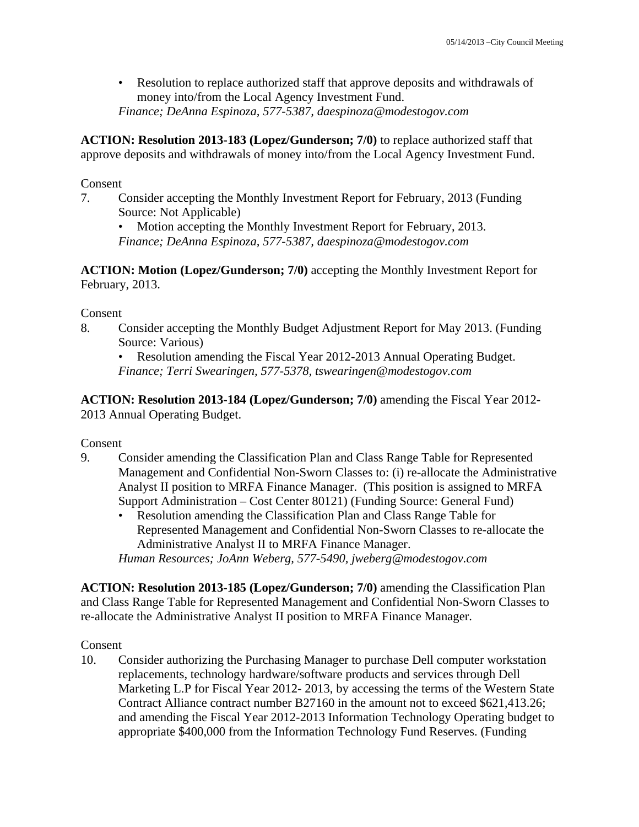• Resolution to replace authorized staff that approve deposits and withdrawals of money into/from the Local Agency Investment Fund. *Finance; DeAnna Espinoza, 577-5387, daespinoza@modestogov.com* 

**ACTION: Resolution 2013-183 (Lopez/Gunderson; 7/0)** to replace authorized staff that approve deposits and withdrawals of money into/from the Local Agency Investment Fund.

Consent

7. Consider accepting the Monthly Investment Report for February, 2013 (Funding Source: Not Applicable)

• Motion accepting the Monthly Investment Report for February, 2013.

*Finance; DeAnna Espinoza, 577-5387, daespinoza@modestogov.com* 

**ACTION: Motion (Lopez/Gunderson; 7/0)** accepting the Monthly Investment Report for February, 2013.

#### Consent

8. Consider accepting the Monthly Budget Adjustment Report for May 2013. (Funding Source: Various)

• Resolution amending the Fiscal Year 2012-2013 Annual Operating Budget. *Finance; Terri Swearingen, 577-5378, tswearingen@modestogov.com* 

**ACTION: Resolution 2013-184 (Lopez/Gunderson; 7/0)** amending the Fiscal Year 2012- 2013 Annual Operating Budget.

Consent

- 9. Consider amending the Classification Plan and Class Range Table for Represented Management and Confidential Non-Sworn Classes to: (i) re-allocate the Administrative Analyst II position to MRFA Finance Manager. (This position is assigned to MRFA Support Administration – Cost Center 80121) (Funding Source: General Fund)
	- Resolution amending the Classification Plan and Class Range Table for Represented Management and Confidential Non-Sworn Classes to re-allocate the Administrative Analyst II to MRFA Finance Manager. *Human Resources; JoAnn Weberg, 577-5490, jweberg@modestogov.com*

**ACTION: Resolution 2013-185 (Lopez/Gunderson; 7/0)** amending the Classification Plan and Class Range Table for Represented Management and Confidential Non-Sworn Classes to re-allocate the Administrative Analyst II position to MRFA Finance Manager.

Consent

10. Consider authorizing the Purchasing Manager to purchase Dell computer workstation replacements, technology hardware/software products and services through Dell Marketing L.P for Fiscal Year 2012- 2013, by accessing the terms of the Western State Contract Alliance contract number B27160 in the amount not to exceed \$621,413.26; and amending the Fiscal Year 2012-2013 Information Technology Operating budget to appropriate \$400,000 from the Information Technology Fund Reserves. (Funding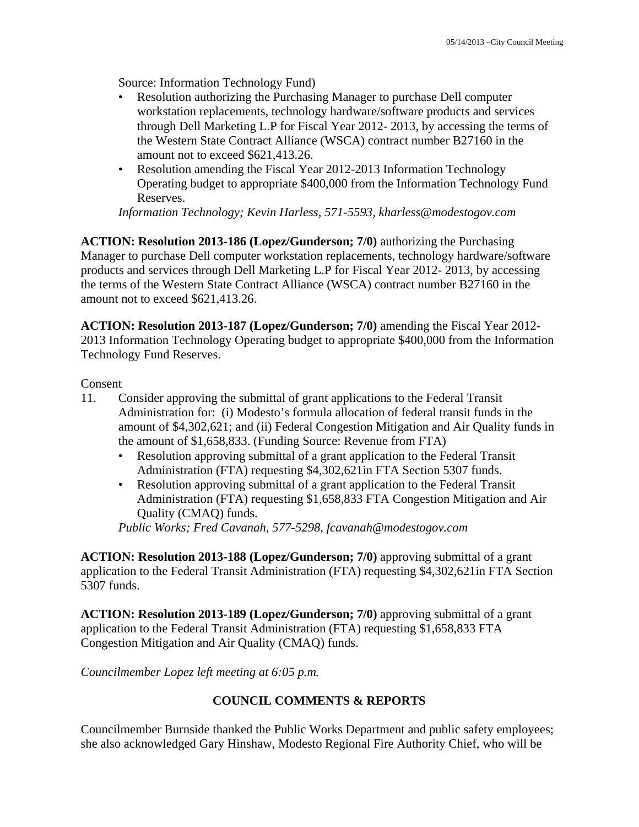Source: Information Technology Fund)

- Resolution authorizing the Purchasing Manager to purchase Dell computer workstation replacements, technology hardware/software products and services through Dell Marketing L.P for Fiscal Year 2012- 2013, by accessing the terms of the Western State Contract Alliance (WSCA) contract number B27160 in the amount not to exceed \$621,413.26.
- Resolution amending the Fiscal Year 2012-2013 Information Technology Operating budget to appropriate \$400,000 from the Information Technology Fund Reserves.

*Information Technology; Kevin Harless, 571-5593, kharless@modestogov.com* 

**ACTION: Resolution 2013-186 (Lopez/Gunderson; 7/0)** authorizing the Purchasing Manager to purchase Dell computer workstation replacements, technology hardware/software products and services through Dell Marketing L.P for Fiscal Year 2012- 2013, by accessing the terms of the Western State Contract Alliance (WSCA) contract number B27160 in the amount not to exceed \$621,413.26.

**ACTION: Resolution 2013-187 (Lopez/Gunderson; 7/0)** amending the Fiscal Year 2012- 2013 Information Technology Operating budget to appropriate \$400,000 from the Information Technology Fund Reserves.

#### Consent

- 11. Consider approving the submittal of grant applications to the Federal Transit Administration for: (i) Modesto's formula allocation of federal transit funds in the amount of \$4,302,621; and (ii) Federal Congestion Mitigation and Air Quality funds in the amount of \$1,658,833. (Funding Source: Revenue from FTA)
	- Resolution approving submittal of a grant application to the Federal Transit Administration (FTA) requesting \$4,302,621in FTA Section 5307 funds.
	- Resolution approving submittal of a grant application to the Federal Transit Administration (FTA) requesting \$1,658,833 FTA Congestion Mitigation and Air Quality (CMAQ) funds.

*Public Works; Fred Cavanah, 577-5298, fcavanah@modestogov.com* 

**ACTION: Resolution 2013-188 (Lopez/Gunderson; 7/0)** approving submittal of a grant application to the Federal Transit Administration (FTA) requesting \$4,302,621in FTA Section 5307 funds.

**ACTION: Resolution 2013-189 (Lopez/Gunderson; 7/0)** approving submittal of a grant application to the Federal Transit Administration (FTA) requesting \$1,658,833 FTA Congestion Mitigation and Air Quality (CMAQ) funds.

*Councilmember Lopez left meeting at 6:05 p.m.* 

## **COUNCIL COMMENTS & REPORTS**

Councilmember Burnside thanked the Public Works Department and public safety employees; she also acknowledged Gary Hinshaw, Modesto Regional Fire Authority Chief, who will be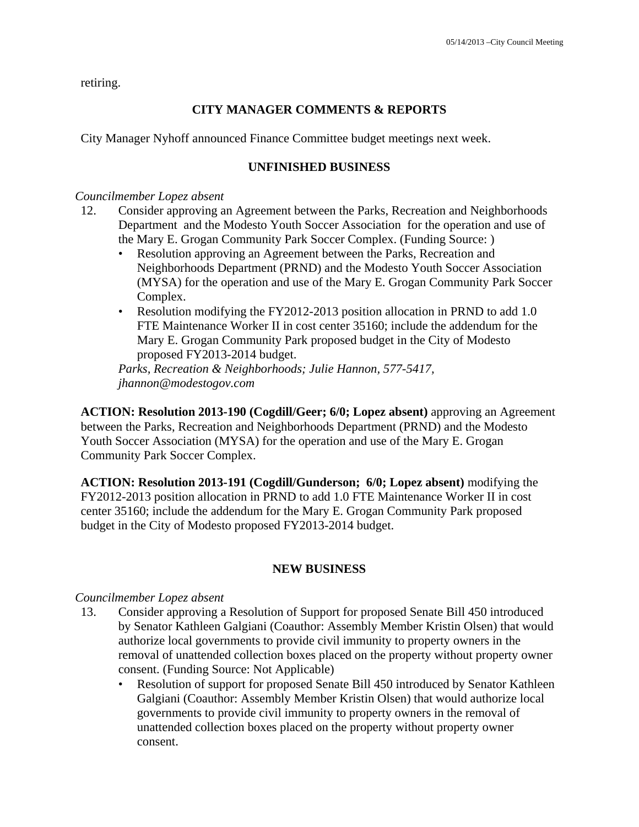retiring.

## **CITY MANAGER COMMENTS & REPORTS**

City Manager Nyhoff announced Finance Committee budget meetings next week.

## **UNFINISHED BUSINESS**

#### *Councilmember Lopez absent*

- 12. Consider approving an Agreement between the Parks, Recreation and Neighborhoods Department and the Modesto Youth Soccer Association for the operation and use of the Mary E. Grogan Community Park Soccer Complex. (Funding Source: )
	- Resolution approving an Agreement between the Parks, Recreation and Neighborhoods Department (PRND) and the Modesto Youth Soccer Association (MYSA) for the operation and use of the Mary E. Grogan Community Park Soccer Complex.
	- Resolution modifying the FY2012-2013 position allocation in PRND to add 1.0 FTE Maintenance Worker II in cost center 35160; include the addendum for the Mary E. Grogan Community Park proposed budget in the City of Modesto proposed FY2013-2014 budget.

*Parks, Recreation & Neighborhoods; Julie Hannon, 577-5417, jhannon@modestogov.com* 

**ACTION: Resolution 2013-190 (Cogdill/Geer; 6/0; Lopez absent)** approving an Agreement between the Parks, Recreation and Neighborhoods Department (PRND) and the Modesto Youth Soccer Association (MYSA) for the operation and use of the Mary E. Grogan Community Park Soccer Complex.

**ACTION: Resolution 2013-191 (Cogdill/Gunderson; 6/0; Lopez absent)** modifying the FY2012-2013 position allocation in PRND to add 1.0 FTE Maintenance Worker II in cost center 35160; include the addendum for the Mary E. Grogan Community Park proposed budget in the City of Modesto proposed FY2013-2014 budget.

## **NEW BUSINESS**

## *Councilmember Lopez absent*

- 13. Consider approving a Resolution of Support for proposed Senate Bill 450 introduced by Senator Kathleen Galgiani (Coauthor: Assembly Member Kristin Olsen) that would authorize local governments to provide civil immunity to property owners in the removal of unattended collection boxes placed on the property without property owner consent. (Funding Source: Not Applicable)
	- Resolution of support for proposed Senate Bill 450 introduced by Senator Kathleen Galgiani (Coauthor: Assembly Member Kristin Olsen) that would authorize local governments to provide civil immunity to property owners in the removal of unattended collection boxes placed on the property without property owner consent.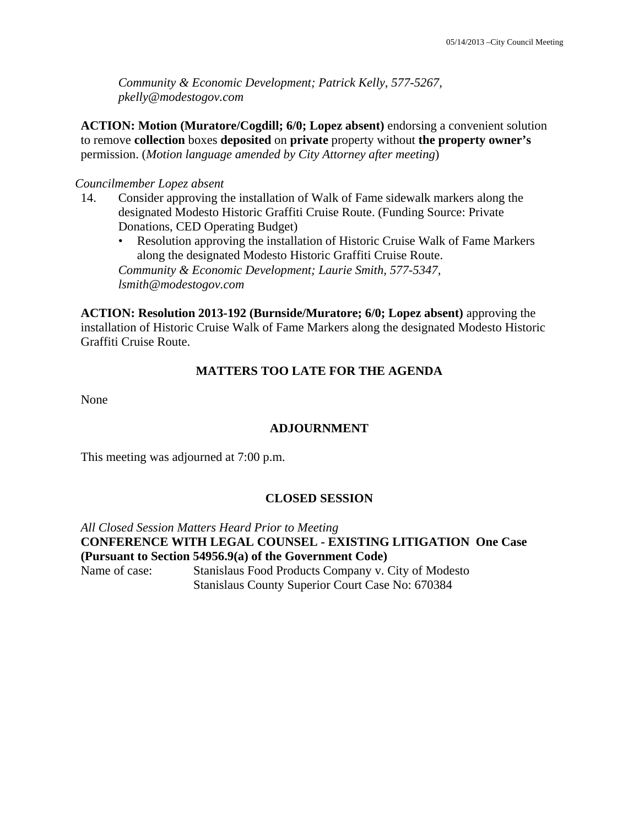*Community & Economic Development; Patrick Kelly, 577-5267, pkelly@modestogov.com* 

**ACTION: Motion (Muratore/Cogdill; 6/0; Lopez absent)** endorsing a convenient solution to remove **collection** boxes **deposited** on **private** property without **the property owner's** permission. (*Motion language amended by City Attorney after meeting*)

#### *Councilmember Lopez absent*

- 14. Consider approving the installation of Walk of Fame sidewalk markers along the designated Modesto Historic Graffiti Cruise Route. (Funding Source: Private Donations, CED Operating Budget)
	- Resolution approving the installation of Historic Cruise Walk of Fame Markers along the designated Modesto Historic Graffiti Cruise Route. *Community & Economic Development; Laurie Smith, 577-5347, lsmith@modestogov.com*

**ACTION: Resolution 2013-192 (Burnside/Muratore; 6/0; Lopez absent)** approving the installation of Historic Cruise Walk of Fame Markers along the designated Modesto Historic Graffiti Cruise Route.

## **MATTERS TOO LATE FOR THE AGENDA**

None

#### **ADJOURNMENT**

This meeting was adjourned at 7:00 p.m.

#### **CLOSED SESSION**

*All Closed Session Matters Heard Prior to Meeting* **CONFERENCE WITH LEGAL COUNSEL - EXISTING LITIGATION One Case (Pursuant to Section 54956.9(a) of the Government Code)**  Name of case: Stanislaus Food Products Company v. City of Modesto Stanislaus County Superior Court Case No: 670384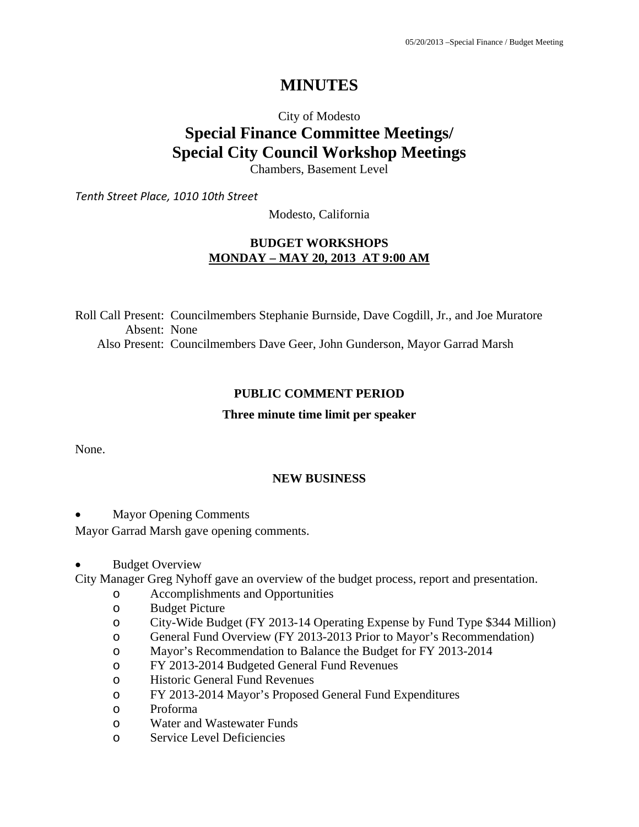## **MINUTES**

# City of Modesto **Special Finance Committee Meetings/ Special City Council Workshop Meetings**

Chambers, Basement Level

*Tenth Street Place, 1010 10th Street*

Modesto, California

### **BUDGET WORKSHOPS MONDAY – MAY 20, 2013 AT 9:00 AM**

Roll Call Present: Councilmembers Stephanie Burnside, Dave Cogdill, Jr., and Joe Muratore Absent: None Also Present: Councilmembers Dave Geer, John Gunderson, Mayor Garrad Marsh

#### **PUBLIC COMMENT PERIOD**

#### **Three minute time limit per speaker**

None.

#### **NEW BUSINESS**

Mayor Opening Comments

Mayor Garrad Marsh gave opening comments.

Budget Overview

City Manager Greg Nyhoff gave an overview of the budget process, report and presentation.

- o Accomplishments and Opportunities
- o Budget Picture
- o City-Wide Budget (FY 2013-14 Operating Expense by Fund Type \$344 Million)
- o General Fund Overview (FY 2013-2013 Prior to Mayor's Recommendation)
- o Mayor's Recommendation to Balance the Budget for FY 2013-2014
- o FY 2013-2014 Budgeted General Fund Revenues
- o Historic General Fund Revenues
- o FY 2013-2014 Mayor's Proposed General Fund Expenditures
- o Proforma
- o Water and Wastewater Funds
- o Service Level Deficiencies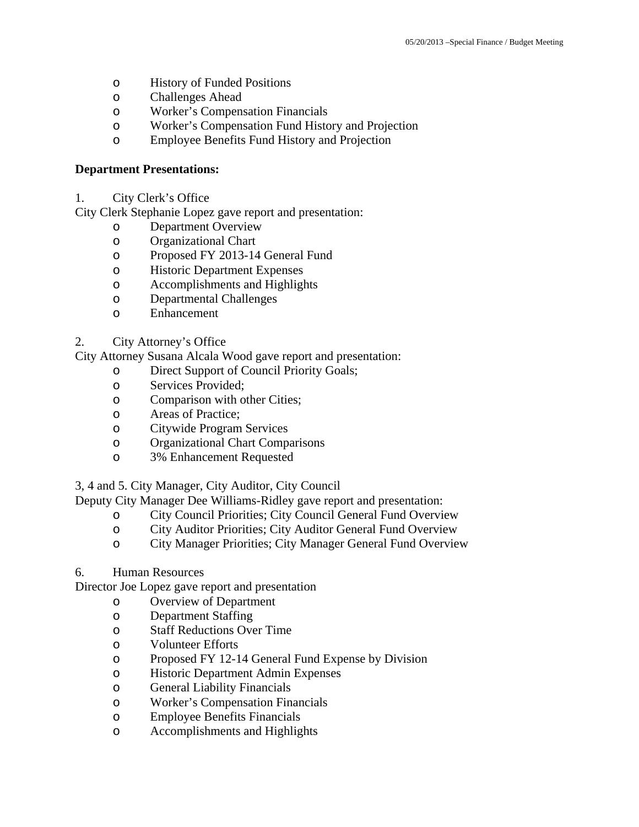- o History of Funded Positions
- o Challenges Ahead
- o Worker's Compensation Financials
- o Worker's Compensation Fund History and Projection
- o Employee Benefits Fund History and Projection

#### **Department Presentations:**

1. City Clerk's Office

City Clerk Stephanie Lopez gave report and presentation:

- o Department Overview
- o Organizational Chart
- o Proposed FY 2013-14 General Fund
- o Historic Department Expenses
- o Accomplishments and Highlights
- o Departmental Challenges
- o Enhancement
- 2. City Attorney's Office

City Attorney Susana Alcala Wood gave report and presentation:

- o Direct Support of Council Priority Goals;
- o Services Provided;
- o Comparison with other Cities;
- o Areas of Practice;
- o Citywide Program Services
- o Organizational Chart Comparisons
- o 3% Enhancement Requested
- 3, 4 and 5. City Manager, City Auditor, City Council

Deputy City Manager Dee Williams-Ridley gave report and presentation:

- o City Council Priorities; City Council General Fund Overview
- o City Auditor Priorities; City Auditor General Fund Overview
- o City Manager Priorities; City Manager General Fund Overview
- 6. Human Resources

Director Joe Lopez gave report and presentation

- o Overview of Department
- o Department Staffing
- o Staff Reductions Over Time
- o Volunteer Efforts
- o Proposed FY 12-14 General Fund Expense by Division
- o Historic Department Admin Expenses
- o General Liability Financials
- o Worker's Compensation Financials
- o Employee Benefits Financials
- o Accomplishments and Highlights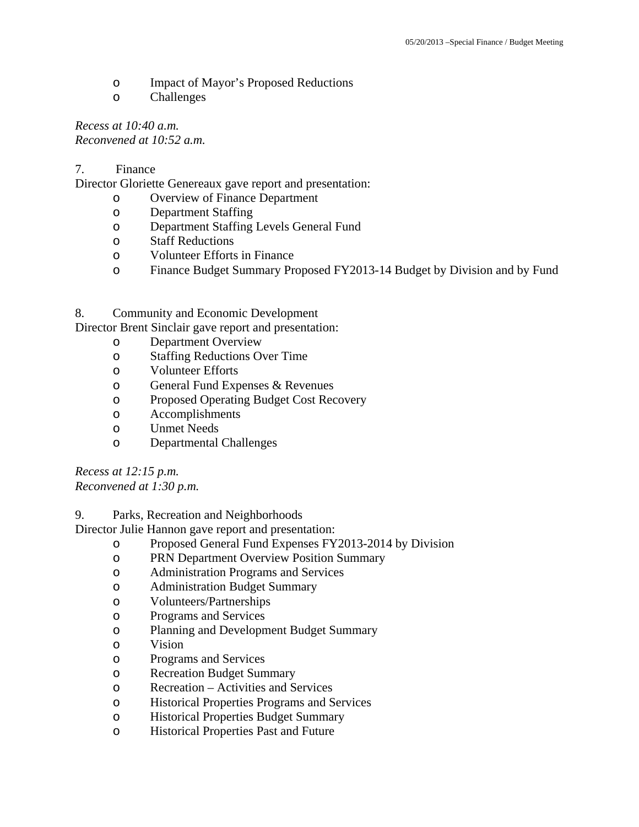- o Impact of Mayor's Proposed Reductions
- o Challenges

*Recess at 10:40 a.m. Reconvened at 10:52 a.m.* 

7. Finance

Director Gloriette Genereaux gave report and presentation:

- o Overview of Finance Department
- o Department Staffing
- o Department Staffing Levels General Fund
- o Staff Reductions
- o Volunteer Efforts in Finance
- o Finance Budget Summary Proposed FY2013-14 Budget by Division and by Fund
- 8. Community and Economic Development

Director Brent Sinclair gave report and presentation:

- o Department Overview
- o Staffing Reductions Over Time
- o Volunteer Efforts
- o General Fund Expenses & Revenues
- o Proposed Operating Budget Cost Recovery
- o Accomplishments
- o Unmet Needs
- o Departmental Challenges

*Recess at 12:15 p.m. Reconvened at 1:30 p.m.* 

9. Parks, Recreation and Neighborhoods

Director Julie Hannon gave report and presentation:

- o Proposed General Fund Expenses FY2013-2014 by Division
- o PRN Department Overview Position Summary
- o Administration Programs and Services
- o Administration Budget Summary
- o Volunteers/Partnerships
- o Programs and Services
- o Planning and Development Budget Summary
- o Vision
- o Programs and Services
- o Recreation Budget Summary
- o Recreation Activities and Services
- o Historical Properties Programs and Services
- o Historical Properties Budget Summary
- o Historical Properties Past and Future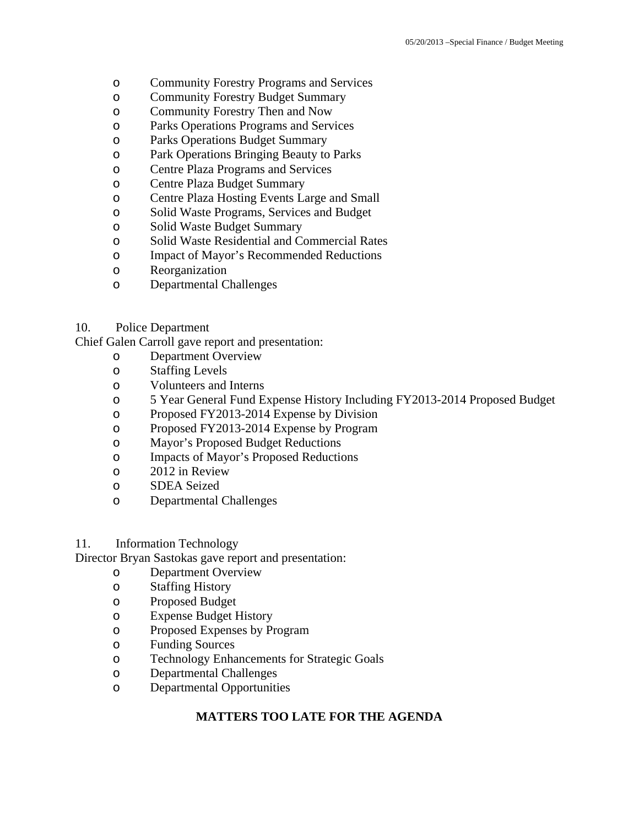- o Community Forestry Programs and Services
- o Community Forestry Budget Summary
- o Community Forestry Then and Now
- o Parks Operations Programs and Services
- o Parks Operations Budget Summary
- o Park Operations Bringing Beauty to Parks
- o Centre Plaza Programs and Services
- o Centre Plaza Budget Summary
- o Centre Plaza Hosting Events Large and Small
- o Solid Waste Programs, Services and Budget
- o Solid Waste Budget Summary
- o Solid Waste Residential and Commercial Rates
- o Impact of Mayor's Recommended Reductions
- o Reorganization
- o Departmental Challenges
- 10. Police Department
- Chief Galen Carroll gave report and presentation:
	- o Department Overview
	- o Staffing Levels
	- o Volunteers and Interns
	- o 5 Year General Fund Expense History Including FY2013-2014 Proposed Budget
	- o Proposed FY2013-2014 Expense by Division
	- o Proposed FY2013-2014 Expense by Program
	- o Mayor's Proposed Budget Reductions
	- o Impacts of Mayor's Proposed Reductions
	- o 2012 in Review
	- o SDEA Seized
	- o Departmental Challenges

#### 11. Information Technology

Director Bryan Sastokas gave report and presentation:

- o Department Overview
- o Staffing History
- o Proposed Budget
- o Expense Budget History
- o Proposed Expenses by Program
- o Funding Sources
- o Technology Enhancements for Strategic Goals
- o Departmental Challenges
- o Departmental Opportunities

## **MATTERS TOO LATE FOR THE AGENDA**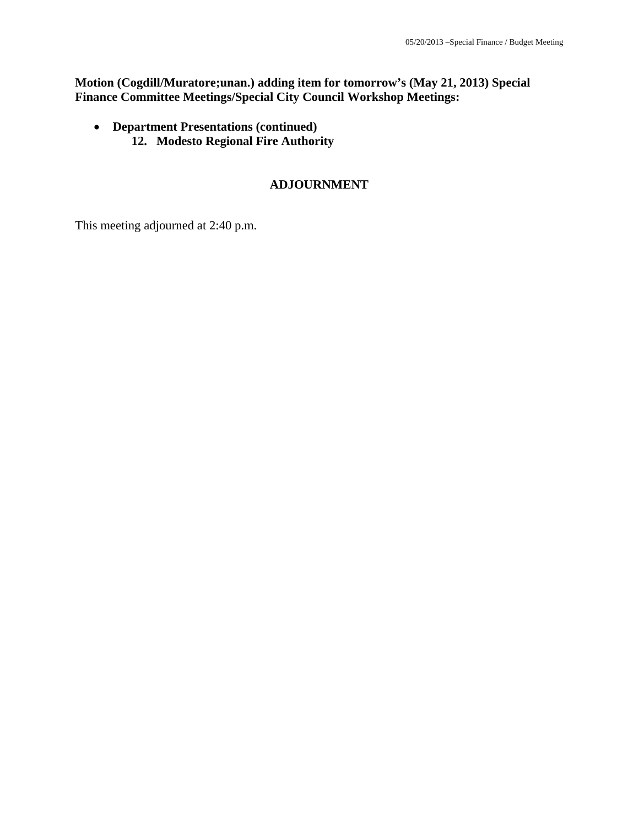## **Motion (Cogdill/Muratore;unan.) adding item for tomorrow's (May 21, 2013) Special Finance Committee Meetings/Special City Council Workshop Meetings:**

 **Department Presentations (continued) 12. Modesto Regional Fire Authority** 

## **ADJOURNMENT**

This meeting adjourned at 2:40 p.m.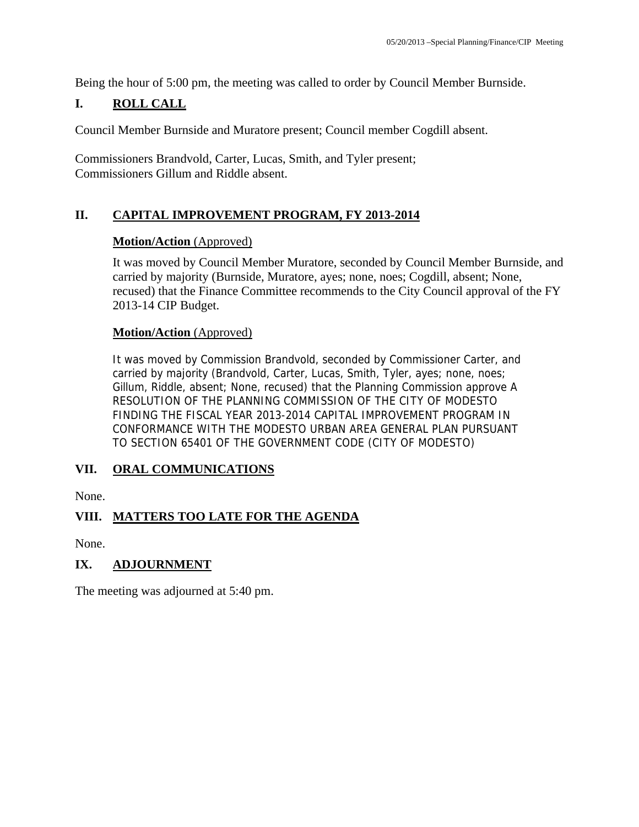Being the hour of 5:00 pm, the meeting was called to order by Council Member Burnside.

## **I. ROLL CALL**

Council Member Burnside and Muratore present; Council member Cogdill absent.

Commissioners Brandvold, Carter, Lucas, Smith, and Tyler present; Commissioners Gillum and Riddle absent.

## **II. CAPITAL IMPROVEMENT PROGRAM, FY 2013-2014**

### **Motion/Action** (Approved)

It was moved by Council Member Muratore, seconded by Council Member Burnside, and carried by majority (Burnside, Muratore, ayes; none, noes; Cogdill, absent; None, recused) that the Finance Committee recommends to the City Council approval of the FY 2013-14 CIP Budget.

### **Motion/Action** (Approved)

It was moved by Commission Brandvold, seconded by Commissioner Carter, and carried by majority (Brandvold, Carter, Lucas, Smith, Tyler, ayes; none, noes; Gillum, Riddle, absent; None, recused) that the Planning Commission approve A RESOLUTION OF THE PLANNING COMMISSION OF THE CITY OF MODESTO FINDING THE FISCAL YEAR 2013-2014 CAPITAL IMPROVEMENT PROGRAM IN CONFORMANCE WITH THE MODESTO URBAN AREA GENERAL PLAN PURSUANT TO SECTION 65401 OF THE GOVERNMENT CODE (CITY OF MODESTO)

## **VII. ORAL COMMUNICATIONS**

None.

## **VIII. MATTERS TOO LATE FOR THE AGENDA**

None.

## IX. **ADJOURNMENT**

The meeting was adjourned at 5:40 pm.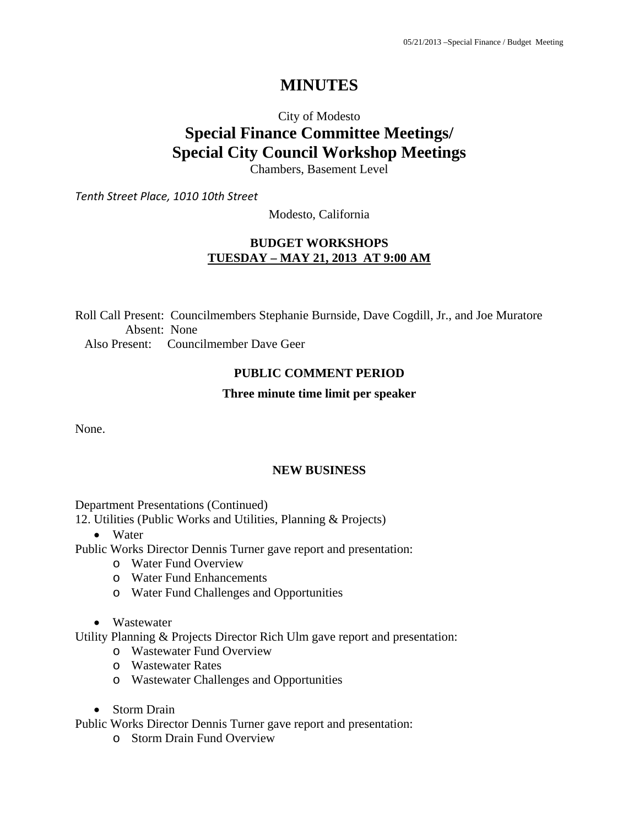## **MINUTES**

# City of Modesto **Special Finance Committee Meetings/ Special City Council Workshop Meetings**

Chambers, Basement Level

*Tenth Street Place, 1010 10th Street*

Modesto, California

### **BUDGET WORKSHOPS TUESDAY – MAY 21, 2013 AT 9:00 AM**

Roll Call Present: Councilmembers Stephanie Burnside, Dave Cogdill, Jr., and Joe Muratore Absent: None

Also Present: Councilmember Dave Geer

#### **PUBLIC COMMENT PERIOD**

#### **Three minute time limit per speaker**

None.

#### **NEW BUSINESS**

Department Presentations (Continued)

12. Utilities (Public Works and Utilities, Planning & Projects)

• Water

Public Works Director Dennis Turner gave report and presentation:

- o Water Fund Overview
- o Water Fund Enhancements
- o Water Fund Challenges and Opportunities
- Wastewater

Utility Planning & Projects Director Rich Ulm gave report and presentation:

- o Wastewater Fund Overview
- o Wastewater Rates
- o Wastewater Challenges and Opportunities
- Storm Drain

Public Works Director Dennis Turner gave report and presentation:

o Storm Drain Fund Overview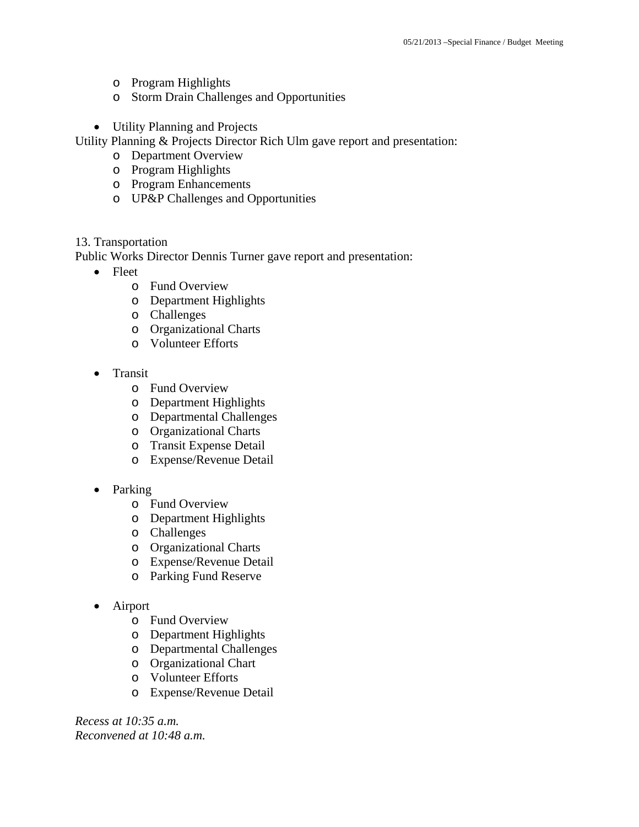- o Program Highlights
- o Storm Drain Challenges and Opportunities
- Utility Planning and Projects

Utility Planning & Projects Director Rich Ulm gave report and presentation:

- o Department Overview
- o Program Highlights
- o Program Enhancements
- o UP&P Challenges and Opportunities

#### 13. Transportation

Public Works Director Dennis Turner gave report and presentation:

- Fleet
	- o Fund Overview
	- o Department Highlights
	- o Challenges
	- o Organizational Charts
	- o Volunteer Efforts
- Transit
	- o Fund Overview
	- o Department Highlights
	- o Departmental Challenges
	- o Organizational Charts
	- o Transit Expense Detail
	- o Expense/Revenue Detail
- Parking
	- o Fund Overview
	- o Department Highlights
	- o Challenges
	- o Organizational Charts
	- o Expense/Revenue Detail
	- o Parking Fund Reserve
- Airport
	- o Fund Overview
	- o Department Highlights
	- o Departmental Challenges
	- o Organizational Chart
	- o Volunteer Efforts
	- o Expense/Revenue Detail

*Recess at 10:35 a.m. Reconvened at 10:48 a.m.*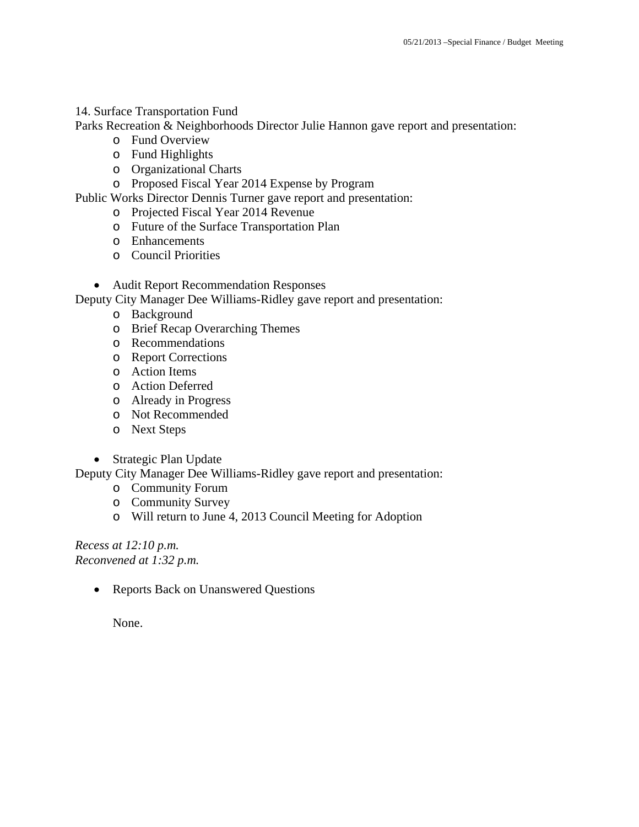14. Surface Transportation Fund

Parks Recreation & Neighborhoods Director Julie Hannon gave report and presentation:

- o Fund Overview
- o Fund Highlights
- o Organizational Charts
- o Proposed Fiscal Year 2014 Expense by Program

Public Works Director Dennis Turner gave report and presentation:

- o Projected Fiscal Year 2014 Revenue
- o Future of the Surface Transportation Plan
- o Enhancements
- o Council Priorities
- Audit Report Recommendation Responses

Deputy City Manager Dee Williams-Ridley gave report and presentation:

- o Background
- o Brief Recap Overarching Themes
- o Recommendations
- o Report Corrections
- o Action Items
- o Action Deferred
- o Already in Progress
- o Not Recommended
- o Next Steps
- Strategic Plan Update

Deputy City Manager Dee Williams-Ridley gave report and presentation:

- o Community Forum
- o Community Survey
- o Will return to June 4, 2013 Council Meeting for Adoption

*Recess at 12:10 p.m. Reconvened at 1:32 p.m.* 

• Reports Back on Unanswered Questions

None.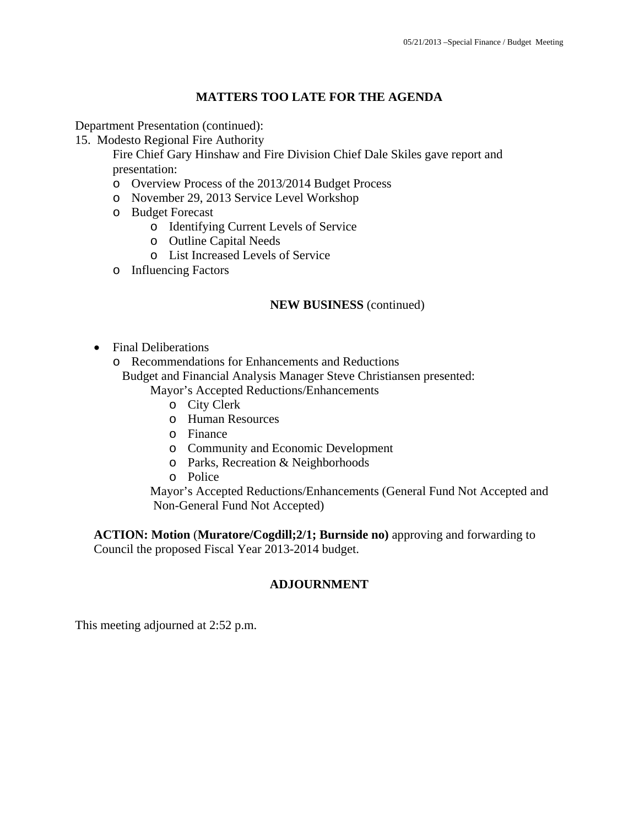## **MATTERS TOO LATE FOR THE AGENDA**

Department Presentation (continued):

15. Modesto Regional Fire Authority

Fire Chief Gary Hinshaw and Fire Division Chief Dale Skiles gave report and presentation:

- o Overview Process of the 2013/2014 Budget Process
- o November 29, 2013 Service Level Workshop
- o Budget Forecast
	- o Identifying Current Levels of Service
	- o Outline Capital Needs
	- o List Increased Levels of Service
- o Influencing Factors

### **NEW BUSINESS** (continued)

- Final Deliberations
	- o Recommendations for Enhancements and Reductions
		- Budget and Financial Analysis Manager Steve Christiansen presented:
			- Mayor's Accepted Reductions/Enhancements
				- o City Clerk
				- o Human Resources
				- o Finance
				- o Community and Economic Development
				- o Parks, Recreation & Neighborhoods
				- o Police

Mayor's Accepted Reductions/Enhancements (General Fund Not Accepted and Non-General Fund Not Accepted)

**ACTION: Motion** (**Muratore/Cogdill;2/1; Burnside no)** approving and forwarding to Council the proposed Fiscal Year 2013-2014 budget.

## **ADJOURNMENT**

This meeting adjourned at 2:52 p.m.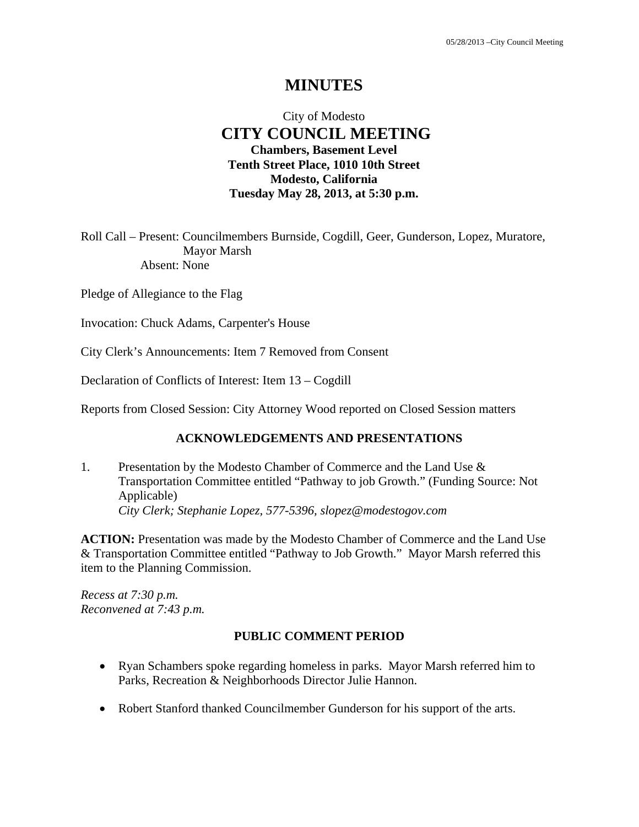## **MINUTES**

## City of Modesto  **CITY COUNCIL MEETING Chambers, Basement Level Tenth Street Place, 1010 10th Street Modesto, California Tuesday May 28, 2013, at 5:30 p.m.**

Roll Call – Present: Councilmembers Burnside, Cogdill, Geer, Gunderson, Lopez, Muratore, Mayor Marsh Absent: None

Pledge of Allegiance to the Flag

Invocation: Chuck Adams, Carpenter's House

City Clerk's Announcements: Item 7 Removed from Consent

Declaration of Conflicts of Interest: Item 13 – Cogdill

Reports from Closed Session: City Attorney Wood reported on Closed Session matters

#### **ACKNOWLEDGEMENTS AND PRESENTATIONS**

1. Presentation by the Modesto Chamber of Commerce and the Land Use & Transportation Committee entitled "Pathway to job Growth." (Funding Source: Not Applicable)  *City Clerk; Stephanie Lopez, 577-5396, slopez@modestogov.com* 

**ACTION:** Presentation was made by the Modesto Chamber of Commerce and the Land Use & Transportation Committee entitled "Pathway to Job Growth." Mayor Marsh referred this item to the Planning Commission.

*Recess at 7:30 p.m. Reconvened at 7:43 p.m.* 

#### **PUBLIC COMMENT PERIOD**

- Ryan Schambers spoke regarding homeless in parks. Mayor Marsh referred him to Parks, Recreation & Neighborhoods Director Julie Hannon.
- Robert Stanford thanked Councilmember Gunderson for his support of the arts.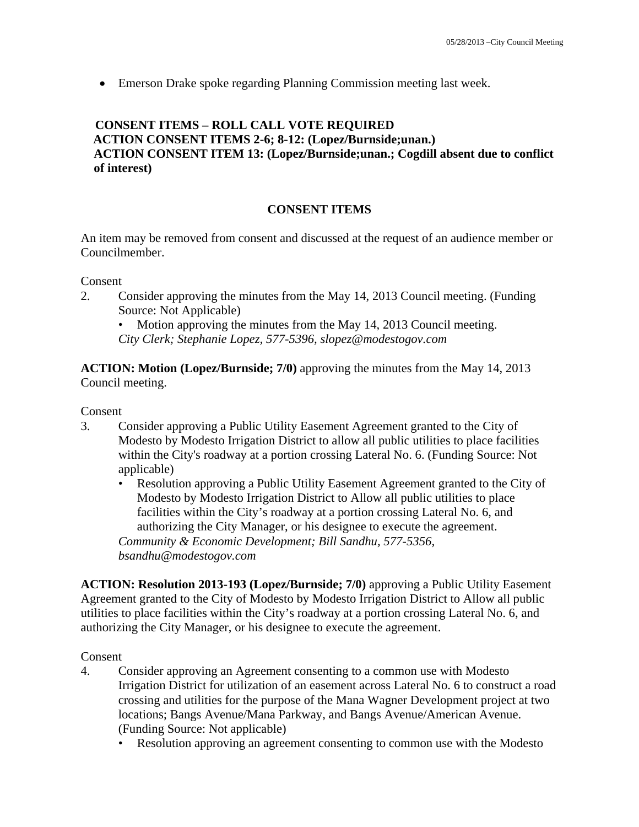Emerson Drake spoke regarding Planning Commission meeting last week.

## **CONSENT ITEMS – ROLL CALL VOTE REQUIRED ACTION CONSENT ITEMS 2-6; 8-12: (Lopez/Burnside;unan.) ACTION CONSENT ITEM 13: (Lopez/Burnside;unan.; Cogdill absent due to conflict of interest)**

### **CONSENT ITEMS**

An item may be removed from consent and discussed at the request of an audience member or Councilmember.

Consent

2. Consider approving the minutes from the May 14, 2013 Council meeting. (Funding Source: Not Applicable)

• Motion approving the minutes from the May 14, 2013 Council meeting. *City Clerk; Stephanie Lopez, 577-5396, slopez@modestogov.com* 

**ACTION: Motion (Lopez/Burnside; 7/0)** approving the minutes from the May 14, 2013 Council meeting.

**Consent** 

- 3. Consider approving a Public Utility Easement Agreement granted to the City of Modesto by Modesto Irrigation District to allow all public utilities to place facilities within the City's roadway at a portion crossing Lateral No. 6. (Funding Source: Not applicable)
	- Resolution approving a Public Utility Easement Agreement granted to the City of Modesto by Modesto Irrigation District to Allow all public utilities to place facilities within the City's roadway at a portion crossing Lateral No. 6, and authorizing the City Manager, or his designee to execute the agreement. *Community & Economic Development; Bill Sandhu, 577-5356,*

*bsandhu@modestogov.com* 

**ACTION: Resolution 2013-193 (Lopez/Burnside; 7/0)** approving a Public Utility Easement Agreement granted to the City of Modesto by Modesto Irrigation District to Allow all public utilities to place facilities within the City's roadway at a portion crossing Lateral No. 6, and authorizing the City Manager, or his designee to execute the agreement.

#### Consent

- 4. Consider approving an Agreement consenting to a common use with Modesto Irrigation District for utilization of an easement across Lateral No. 6 to construct a road crossing and utilities for the purpose of the Mana Wagner Development project at two locations; Bangs Avenue/Mana Parkway, and Bangs Avenue/American Avenue. (Funding Source: Not applicable)
	- Resolution approving an agreement consenting to common use with the Modesto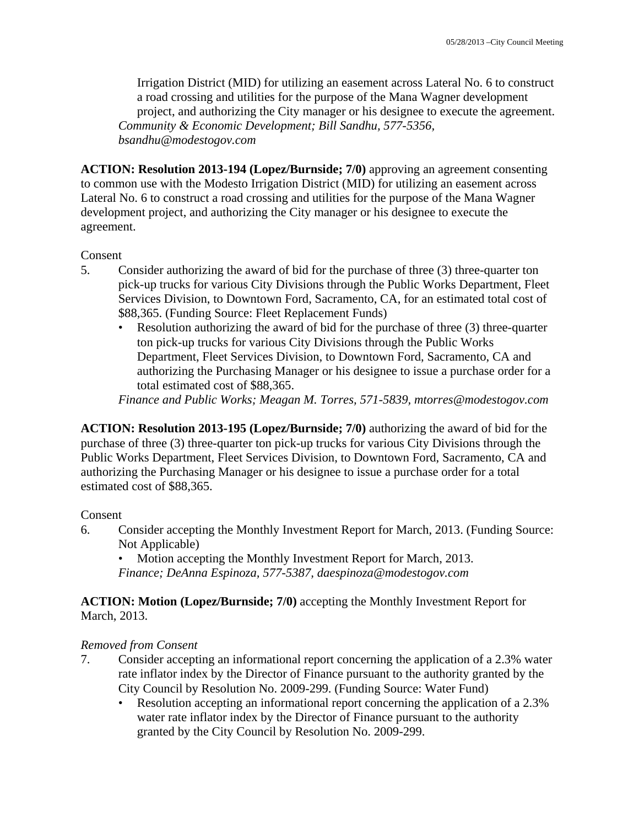Irrigation District (MID) for utilizing an easement across Lateral No. 6 to construct a road crossing and utilities for the purpose of the Mana Wagner development project, and authorizing the City manager or his designee to execute the agreement. *Community & Economic Development; Bill Sandhu, 577-5356, bsandhu@modestogov.com* 

**ACTION: Resolution 2013-194 (Lopez/Burnside; 7/0)** approving an agreement consenting to common use with the Modesto Irrigation District (MID) for utilizing an easement across Lateral No. 6 to construct a road crossing and utilities for the purpose of the Mana Wagner development project, and authorizing the City manager or his designee to execute the agreement.

#### Consent

- 5. Consider authorizing the award of bid for the purchase of three (3) three-quarter ton pick-up trucks for various City Divisions through the Public Works Department, Fleet Services Division, to Downtown Ford, Sacramento, CA, for an estimated total cost of \$88,365. (Funding Source: Fleet Replacement Funds)
	- Resolution authorizing the award of bid for the purchase of three (3) three-quarter ton pick-up trucks for various City Divisions through the Public Works Department, Fleet Services Division, to Downtown Ford, Sacramento, CA and authorizing the Purchasing Manager or his designee to issue a purchase order for a total estimated cost of \$88,365.

*Finance and Public Works; Meagan M. Torres, 571-5839, mtorres@modestogov.com* 

**ACTION: Resolution 2013-195 (Lopez/Burnside; 7/0)** authorizing the award of bid for the purchase of three (3) three-quarter ton pick-up trucks for various City Divisions through the Public Works Department, Fleet Services Division, to Downtown Ford, Sacramento, CA and authorizing the Purchasing Manager or his designee to issue a purchase order for a total estimated cost of \$88,365.

#### Consent

- 6. Consider accepting the Monthly Investment Report for March, 2013. (Funding Source: Not Applicable)
	- Motion accepting the Monthly Investment Report for March, 2013. *Finance; DeAnna Espinoza, 577-5387, daespinoza@modestogov.com*

### **ACTION: Motion (Lopez/Burnside; 7/0)** accepting the Monthly Investment Report for March, 2013.

#### *Removed from Consent*

- 7. Consider accepting an informational report concerning the application of a 2.3% water rate inflator index by the Director of Finance pursuant to the authority granted by the City Council by Resolution No. 2009-299. (Funding Source: Water Fund)
	- Resolution accepting an informational report concerning the application of a 2.3% water rate inflator index by the Director of Finance pursuant to the authority granted by the City Council by Resolution No. 2009-299.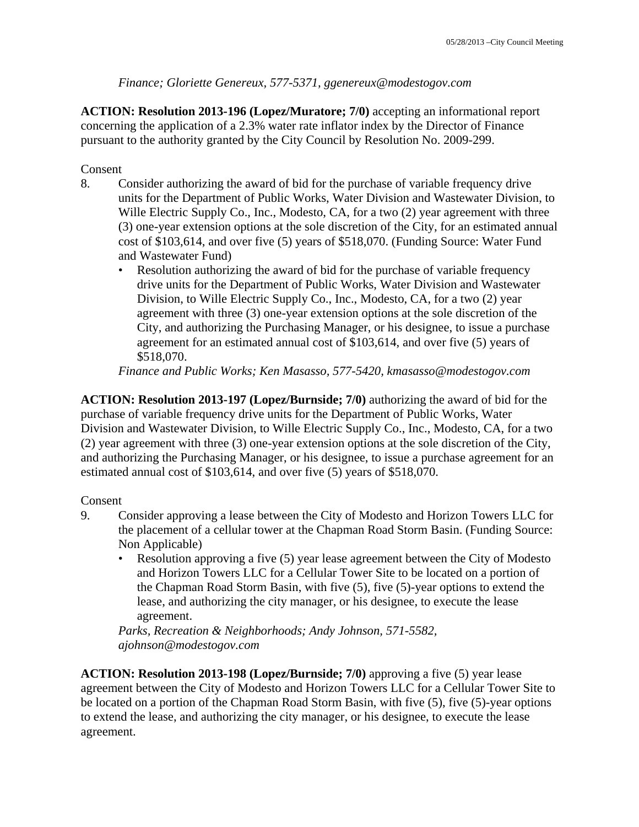### *Finance; Gloriette Genereux, 577-5371, ggenereux@modestogov.com*

**ACTION: Resolution 2013-196 (Lopez/Muratore; 7/0)** accepting an informational report concerning the application of a 2.3% water rate inflator index by the Director of Finance pursuant to the authority granted by the City Council by Resolution No. 2009-299.

### Consent

- 8. Consider authorizing the award of bid for the purchase of variable frequency drive units for the Department of Public Works, Water Division and Wastewater Division, to Wille Electric Supply Co., Inc., Modesto, CA, for a two (2) year agreement with three (3) one-year extension options at the sole discretion of the City, for an estimated annual cost of \$103,614, and over five (5) years of \$518,070. (Funding Source: Water Fund and Wastewater Fund)
	- Resolution authorizing the award of bid for the purchase of variable frequency drive units for the Department of Public Works, Water Division and Wastewater Division, to Wille Electric Supply Co., Inc., Modesto, CA, for a two (2) year agreement with three (3) one-year extension options at the sole discretion of the City, and authorizing the Purchasing Manager, or his designee, to issue a purchase agreement for an estimated annual cost of \$103,614, and over five (5) years of \$518,070.

*Finance and Public Works; Ken Masasso, 577-5420, kmasasso@modestogov.com* 

**ACTION: Resolution 2013-197 (Lopez/Burnside; 7/0)** authorizing the award of bid for the purchase of variable frequency drive units for the Department of Public Works, Water Division and Wastewater Division, to Wille Electric Supply Co., Inc., Modesto, CA, for a two (2) year agreement with three (3) one-year extension options at the sole discretion of the City, and authorizing the Purchasing Manager, or his designee, to issue a purchase agreement for an estimated annual cost of \$103,614, and over five (5) years of \$518,070.

#### Consent

- 9. Consider approving a lease between the City of Modesto and Horizon Towers LLC for the placement of a cellular tower at the Chapman Road Storm Basin. (Funding Source: Non Applicable)
	- Resolution approving a five (5) year lease agreement between the City of Modesto and Horizon Towers LLC for a Cellular Tower Site to be located on a portion of the Chapman Road Storm Basin, with five (5), five (5)-year options to extend the lease, and authorizing the city manager, or his designee, to execute the lease agreement.

*Parks, Recreation & Neighborhoods; Andy Johnson, 571-5582, ajohnson@modestogov.com* 

**ACTION: Resolution 2013-198 (Lopez/Burnside; 7/0)** approving a five (5) year lease agreement between the City of Modesto and Horizon Towers LLC for a Cellular Tower Site to be located on a portion of the Chapman Road Storm Basin, with five (5), five (5)-year options to extend the lease, and authorizing the city manager, or his designee, to execute the lease agreement.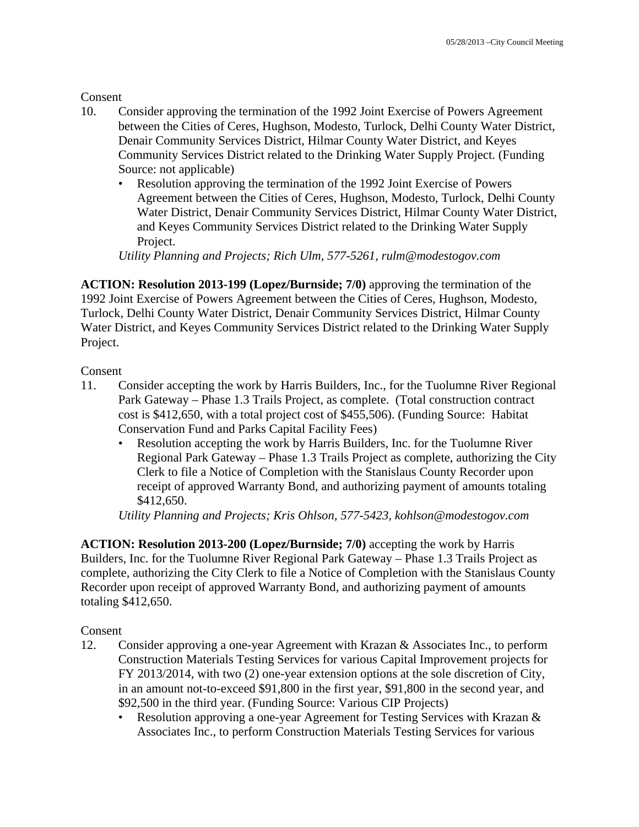**Consent** 

- 10. Consider approving the termination of the 1992 Joint Exercise of Powers Agreement between the Cities of Ceres, Hughson, Modesto, Turlock, Delhi County Water District, Denair Community Services District, Hilmar County Water District, and Keyes Community Services District related to the Drinking Water Supply Project. (Funding Source: not applicable)
	- Resolution approving the termination of the 1992 Joint Exercise of Powers Agreement between the Cities of Ceres, Hughson, Modesto, Turlock, Delhi County Water District, Denair Community Services District, Hilmar County Water District, and Keyes Community Services District related to the Drinking Water Supply Project.

*Utility Planning and Projects; Rich Ulm, 577-5261, rulm@modestogov.com* 

**ACTION: Resolution 2013-199 (Lopez/Burnside; 7/0)** approving the termination of the 1992 Joint Exercise of Powers Agreement between the Cities of Ceres, Hughson, Modesto, Turlock, Delhi County Water District, Denair Community Services District, Hilmar County Water District, and Keyes Community Services District related to the Drinking Water Supply Project.

### Consent

- 11. Consider accepting the work by Harris Builders, Inc., for the Tuolumne River Regional Park Gateway – Phase 1.3 Trails Project, as complete. (Total construction contract cost is \$412,650, with a total project cost of \$455,506). (Funding Source: Habitat Conservation Fund and Parks Capital Facility Fees)
	- Resolution accepting the work by Harris Builders, Inc. for the Tuolumne River Regional Park Gateway – Phase 1.3 Trails Project as complete, authorizing the City Clerk to file a Notice of Completion with the Stanislaus County Recorder upon receipt of approved Warranty Bond, and authorizing payment of amounts totaling \$412,650.

*Utility Planning and Projects; Kris Ohlson, 577-5423, kohlson@modestogov.com* 

**ACTION: Resolution 2013-200 (Lopez/Burnside; 7/0)** accepting the work by Harris Builders, Inc. for the Tuolumne River Regional Park Gateway – Phase 1.3 Trails Project as complete, authorizing the City Clerk to file a Notice of Completion with the Stanislaus County Recorder upon receipt of approved Warranty Bond, and authorizing payment of amounts totaling \$412,650.

Consent

- 12. Consider approving a one-year Agreement with Krazan & Associates Inc., to perform Construction Materials Testing Services for various Capital Improvement projects for FY 2013/2014, with two (2) one-year extension options at the sole discretion of City, in an amount not-to-exceed \$91,800 in the first year, \$91,800 in the second year, and \$92,500 in the third year. (Funding Source: Various CIP Projects)
	- Resolution approving a one-year Agreement for Testing Services with Krazan & Associates Inc., to perform Construction Materials Testing Services for various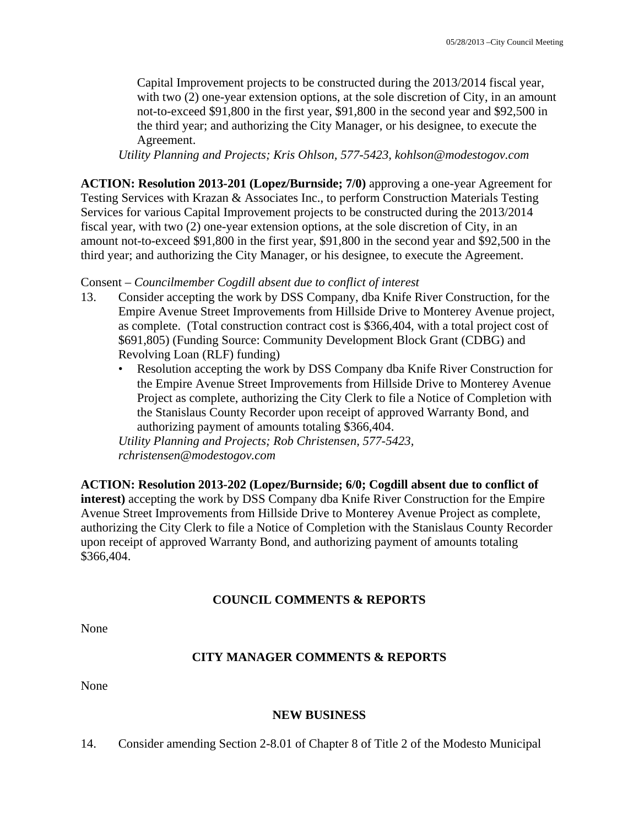Capital Improvement projects to be constructed during the 2013/2014 fiscal year, with two  $(2)$  one-year extension options, at the sole discretion of City, in an amount not-to-exceed \$91,800 in the first year, \$91,800 in the second year and \$92,500 in the third year; and authorizing the City Manager, or his designee, to execute the Agreement.

*Utility Planning and Projects; Kris Ohlson, 577-5423, kohlson@modestogov.com* 

**ACTION: Resolution 2013-201 (Lopez/Burnside; 7/0)** approving a one-year Agreement for Testing Services with Krazan & Associates Inc., to perform Construction Materials Testing Services for various Capital Improvement projects to be constructed during the 2013/2014 fiscal year, with two (2) one-year extension options, at the sole discretion of City, in an amount not-to-exceed \$91,800 in the first year, \$91,800 in the second year and \$92,500 in the third year; and authorizing the City Manager, or his designee, to execute the Agreement.

#### Consent – *Councilmember Cogdill absent due to conflict of interest*

- 13. Consider accepting the work by DSS Company, dba Knife River Construction, for the Empire Avenue Street Improvements from Hillside Drive to Monterey Avenue project, as complete. (Total construction contract cost is \$366,404, with a total project cost of \$691,805) (Funding Source: Community Development Block Grant (CDBG) and Revolving Loan (RLF) funding)
	- Resolution accepting the work by DSS Company dba Knife River Construction for the Empire Avenue Street Improvements from Hillside Drive to Monterey Avenue Project as complete, authorizing the City Clerk to file a Notice of Completion with the Stanislaus County Recorder upon receipt of approved Warranty Bond, and authorizing payment of amounts totaling \$366,404.

*Utility Planning and Projects; Rob Christensen, 577-5423, rchristensen@modestogov.com* 

**ACTION: Resolution 2013-202 (Lopez/Burnside; 6/0; Cogdill absent due to conflict of interest)** accepting the work by DSS Company dba Knife River Construction for the Empire Avenue Street Improvements from Hillside Drive to Monterey Avenue Project as complete, authorizing the City Clerk to file a Notice of Completion with the Stanislaus County Recorder upon receipt of approved Warranty Bond, and authorizing payment of amounts totaling \$366,404.

#### **COUNCIL COMMENTS & REPORTS**

None

#### **CITY MANAGER COMMENTS & REPORTS**

None

#### **NEW BUSINESS**

14. Consider amending Section 2-8.01 of Chapter 8 of Title 2 of the Modesto Municipal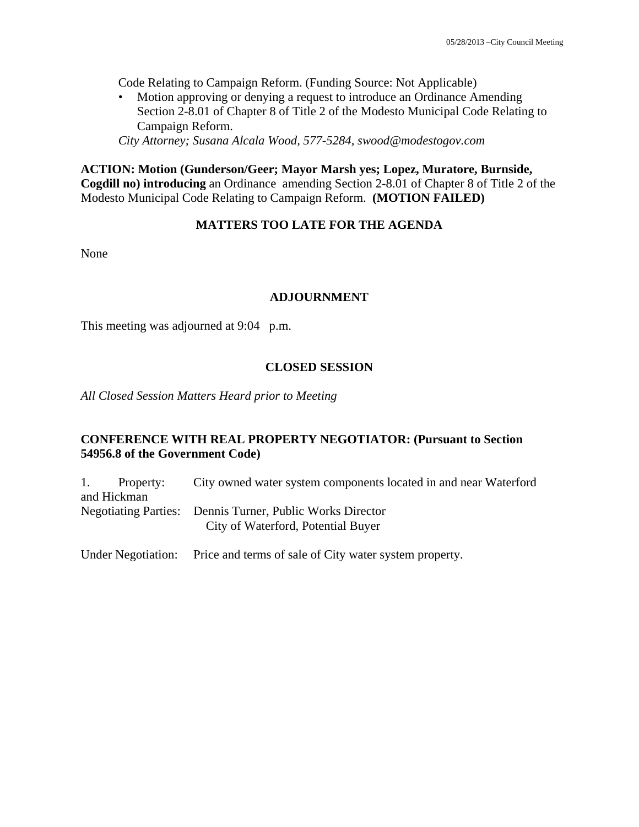Code Relating to Campaign Reform. (Funding Source: Not Applicable)

• Motion approving or denying a request to introduce an Ordinance Amending Section 2-8.01 of Chapter 8 of Title 2 of the Modesto Municipal Code Relating to Campaign Reform.

*City Attorney; Susana Alcala Wood, 577-5284, swood@modestogov.com* 

**ACTION: Motion (Gunderson/Geer; Mayor Marsh yes; Lopez, Muratore, Burnside, Cogdill no) introducing** an Ordinance amending Section 2-8.01 of Chapter 8 of Title 2 of the Modesto Municipal Code Relating to Campaign Reform. **(MOTION FAILED)** 

#### **MATTERS TOO LATE FOR THE AGENDA**

None

#### **ADJOURNMENT**

This meeting was adjourned at 9:04 p.m.

#### **CLOSED SESSION**

*All Closed Session Matters Heard prior to Meeting* 

#### **CONFERENCE WITH REAL PROPERTY NEGOTIATOR: (Pursuant to Section 54956.8 of the Government Code)**

1. Property: City owned water system components located in and near Waterford and Hickman Negotiating Parties: Dennis Turner, Public Works Director City of Waterford, Potential Buyer

Under Negotiation: Price and terms of sale of City water system property.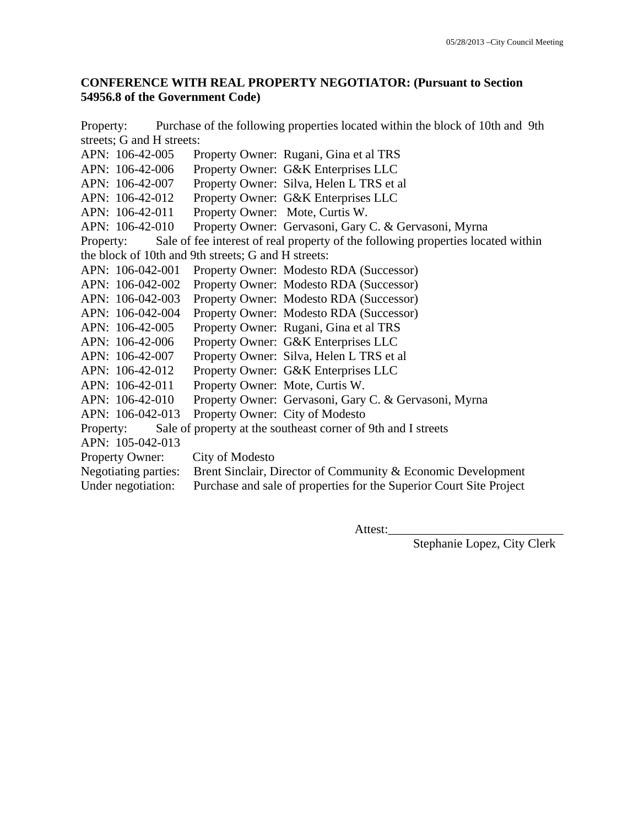## **CONFERENCE WITH REAL PROPERTY NEGOTIATOR: (Pursuant to Section 54956.8 of the Government Code)**

Property: Purchase of the following properties located within the block of 10th and 9th streets; G and H streets: APN: 106-42-005 Property Owner: Rugani, Gina et al TRS APN: 106-42-006 Property Owner: G&K Enterprises LLC APN: 106-42-007 Property Owner: Silva, Helen L TRS et al APN: 106-42-012 Property Owner: G&K Enterprises LLC APN: 106-42-011 Property Owner: Mote, Curtis W. APN: 106-42-010 Property Owner: Gervasoni, Gary C. & Gervasoni, Myrna Property: Sale of fee interest of real property of the following properties located within the block of 10th and 9th streets; G and H streets: APN: 106-042-001 Property Owner: Modesto RDA (Successor) APN: 106-042-002 Property Owner: Modesto RDA (Successor) APN: 106-042-003 Property Owner: Modesto RDA (Successor) APN: 106-042-004 Property Owner: Modesto RDA (Successor) APN: 106-42-005 Property Owner: Rugani, Gina et al TRS APN: 106-42-006 Property Owner: G&K Enterprises LLC APN: 106-42-007 Property Owner: Silva, Helen L TRS et al APN: 106-42-012 Property Owner: G&K Enterprises LLC APN: 106-42-011 Property Owner: Mote, Curtis W. APN: 106-42-010 Property Owner: Gervasoni, Gary C. & Gervasoni, Myrna APN: 106-042-013 Property Owner: City of Modesto Property: Sale of property at the southeast corner of 9th and I streets APN: 105-042-013 Property Owner: City of Modesto Negotiating parties: Brent Sinclair, Director of Community & Economic Development Under negotiation: Purchase and sale of properties for the Superior Court Site Project

Attest:

Stephanie Lopez, City Clerk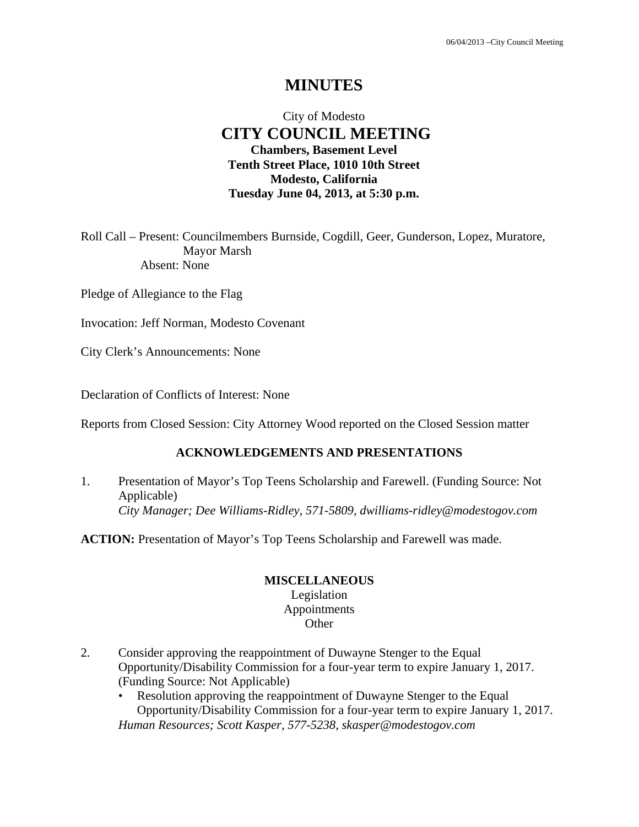## **MINUTES**

## City of Modesto  **CITY COUNCIL MEETING Chambers, Basement Level Tenth Street Place, 1010 10th Street Modesto, California Tuesday June 04, 2013, at 5:30 p.m.**

Roll Call – Present: Councilmembers Burnside, Cogdill, Geer, Gunderson, Lopez, Muratore, Mayor Marsh Absent: None

Pledge of Allegiance to the Flag

Invocation: Jeff Norman, Modesto Covenant

City Clerk's Announcements: None

Declaration of Conflicts of Interest: None

Reports from Closed Session: City Attorney Wood reported on the Closed Session matter

#### **ACKNOWLEDGEMENTS AND PRESENTATIONS**

1. Presentation of Mayor's Top Teens Scholarship and Farewell. (Funding Source: Not Applicable)  *City Manager; Dee Williams-Ridley, 571-5809, dwilliams-ridley@modestogov.com* 

**ACTION:** Presentation of Mayor's Top Teens Scholarship and Farewell was made.

#### **MISCELLANEOUS**

Legislation Appointments **Other** 

- 2. Consider approving the reappointment of Duwayne Stenger to the Equal Opportunity/Disability Commission for a four-year term to expire January 1, 2017. (Funding Source: Not Applicable)
	- Resolution approving the reappointment of Duwayne Stenger to the Equal Opportunity/Disability Commission for a four-year term to expire January 1, 2017. *Human Resources; Scott Kasper, 577-5238, skasper@modestogov.com*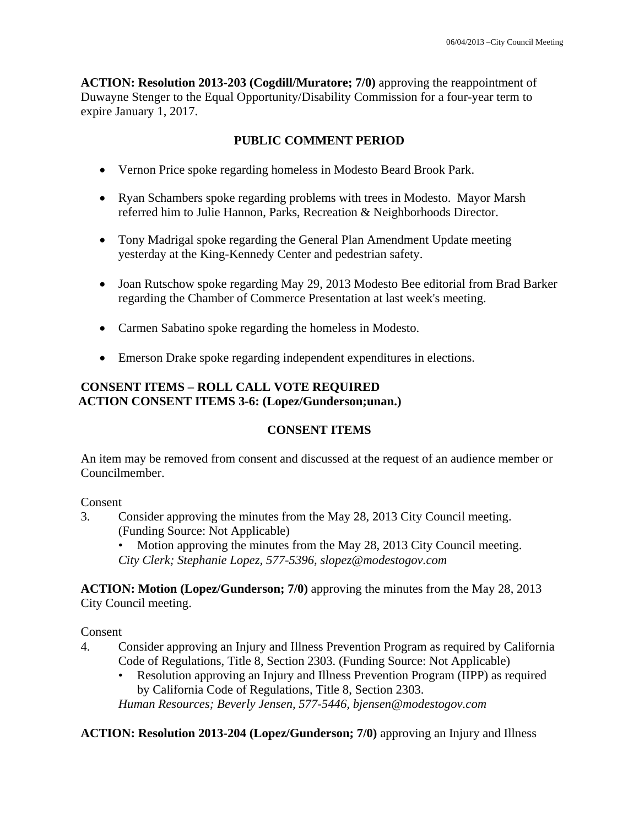**ACTION: Resolution 2013-203 (Cogdill/Muratore; 7/0)** approving the reappointment of Duwayne Stenger to the Equal Opportunity/Disability Commission for a four-year term to expire January 1, 2017.

## **PUBLIC COMMENT PERIOD**

- Vernon Price spoke regarding homeless in Modesto Beard Brook Park.
- Ryan Schambers spoke regarding problems with trees in Modesto. Mayor Marsh referred him to Julie Hannon, Parks, Recreation & Neighborhoods Director.
- Tony Madrigal spoke regarding the General Plan Amendment Update meeting yesterday at the King-Kennedy Center and pedestrian safety.
- Joan Rutschow spoke regarding May 29, 2013 Modesto Bee editorial from Brad Barker regarding the Chamber of Commerce Presentation at last week's meeting.
- Carmen Sabatino spoke regarding the homeless in Modesto.
- Emerson Drake spoke regarding independent expenditures in elections.

## **CONSENT ITEMS – ROLL CALL VOTE REQUIRED ACTION CONSENT ITEMS 3-6: (Lopez/Gunderson;unan.)**

## **CONSENT ITEMS**

An item may be removed from consent and discussed at the request of an audience member or Councilmember.

#### Consent

3. Consider approving the minutes from the May 28, 2013 City Council meeting. (Funding Source: Not Applicable)

Motion approving the minutes from the May 28, 2013 City Council meeting. *City Clerk; Stephanie Lopez, 577-5396, slopez@modestogov.com* 

**ACTION: Motion (Lopez/Gunderson; 7/0)** approving the minutes from the May 28, 2013 City Council meeting.

Consent

- 4. Consider approving an Injury and Illness Prevention Program as required by California Code of Regulations, Title 8, Section 2303. (Funding Source: Not Applicable)
	- Resolution approving an Injury and Illness Prevention Program (IIPP) as required by California Code of Regulations, Title 8, Section 2303.

*Human Resources; Beverly Jensen, 577-5446, bjensen@modestogov.com* 

**ACTION: Resolution 2013-204 (Lopez/Gunderson; 7/0)** approving an Injury and Illness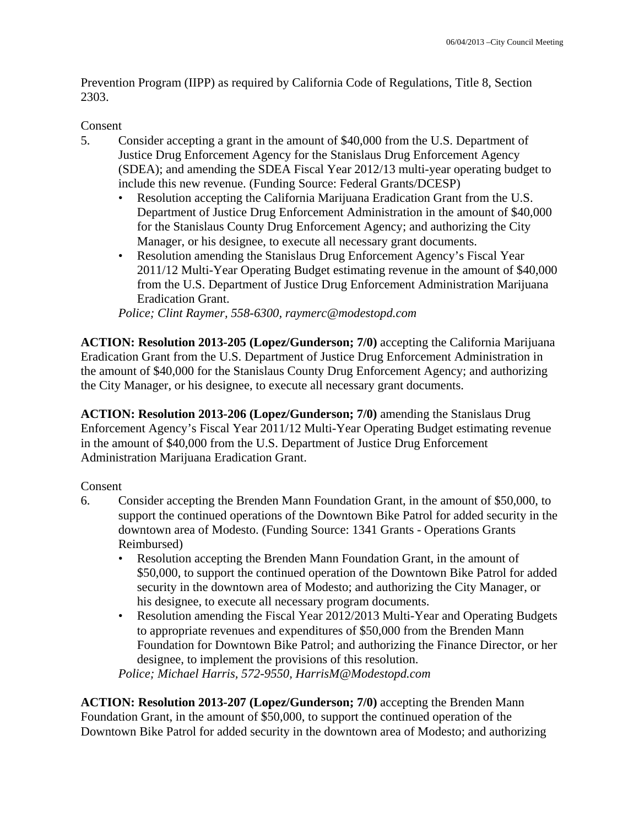Prevention Program (IIPP) as required by California Code of Regulations, Title 8, Section 2303.

### Consent

- 5. Consider accepting a grant in the amount of \$40,000 from the U.S. Department of Justice Drug Enforcement Agency for the Stanislaus Drug Enforcement Agency (SDEA); and amending the SDEA Fiscal Year 2012/13 multi-year operating budget to include this new revenue. (Funding Source: Federal Grants/DCESP)
	- Resolution accepting the California Marijuana Eradication Grant from the U.S. Department of Justice Drug Enforcement Administration in the amount of \$40,000 for the Stanislaus County Drug Enforcement Agency; and authorizing the City Manager, or his designee, to execute all necessary grant documents.
	- Resolution amending the Stanislaus Drug Enforcement Agency's Fiscal Year 2011/12 Multi-Year Operating Budget estimating revenue in the amount of \$40,000 from the U.S. Department of Justice Drug Enforcement Administration Marijuana Eradication Grant.

*Police; Clint Raymer, 558-6300, raymerc@modestopd.com* 

**ACTION: Resolution 2013-205 (Lopez/Gunderson; 7/0)** accepting the California Marijuana Eradication Grant from the U.S. Department of Justice Drug Enforcement Administration in the amount of \$40,000 for the Stanislaus County Drug Enforcement Agency; and authorizing the City Manager, or his designee, to execute all necessary grant documents.

**ACTION: Resolution 2013-206 (Lopez/Gunderson; 7/0)** amending the Stanislaus Drug Enforcement Agency's Fiscal Year 2011/12 Multi-Year Operating Budget estimating revenue in the amount of \$40,000 from the U.S. Department of Justice Drug Enforcement Administration Marijuana Eradication Grant.

#### Consent

- 6. Consider accepting the Brenden Mann Foundation Grant, in the amount of \$50,000, to support the continued operations of the Downtown Bike Patrol for added security in the downtown area of Modesto. (Funding Source: 1341 Grants - Operations Grants Reimbursed)
	- Resolution accepting the Brenden Mann Foundation Grant, in the amount of \$50,000, to support the continued operation of the Downtown Bike Patrol for added security in the downtown area of Modesto; and authorizing the City Manager, or his designee, to execute all necessary program documents.
	- Resolution amending the Fiscal Year 2012/2013 Multi-Year and Operating Budgets to appropriate revenues and expenditures of \$50,000 from the Brenden Mann Foundation for Downtown Bike Patrol; and authorizing the Finance Director, or her designee, to implement the provisions of this resolution.

*Police; Michael Harris, 572-9550, HarrisM@Modestopd.com* 

**ACTION: Resolution 2013-207 (Lopez/Gunderson; 7/0)** accepting the Brenden Mann Foundation Grant, in the amount of \$50,000, to support the continued operation of the Downtown Bike Patrol for added security in the downtown area of Modesto; and authorizing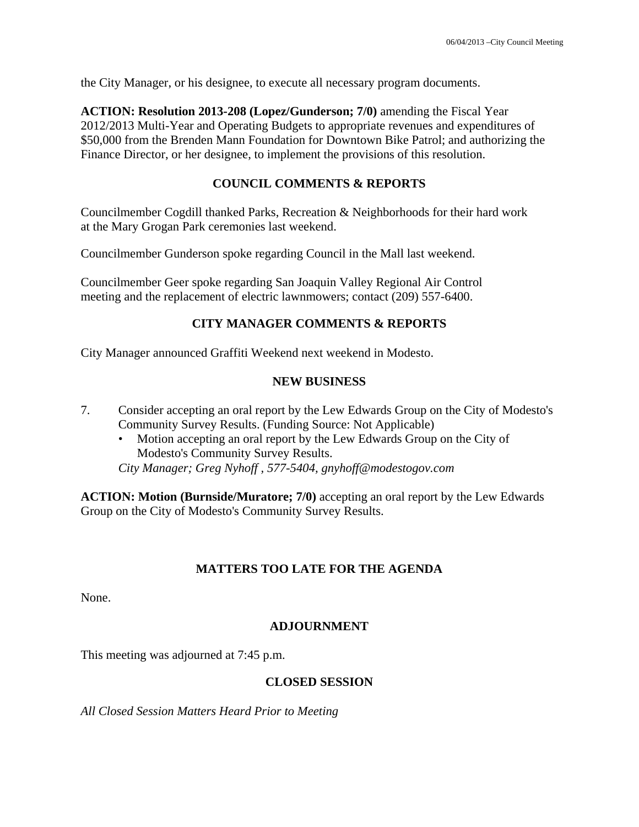the City Manager, or his designee, to execute all necessary program documents.

**ACTION: Resolution 2013-208 (Lopez/Gunderson; 7/0)** amending the Fiscal Year 2012/2013 Multi-Year and Operating Budgets to appropriate revenues and expenditures of \$50,000 from the Brenden Mann Foundation for Downtown Bike Patrol; and authorizing the Finance Director, or her designee, to implement the provisions of this resolution.

## **COUNCIL COMMENTS & REPORTS**

Councilmember Cogdill thanked Parks, Recreation & Neighborhoods for their hard work at the Mary Grogan Park ceremonies last weekend.

Councilmember Gunderson spoke regarding Council in the Mall last weekend.

Councilmember Geer spoke regarding San Joaquin Valley Regional Air Control meeting and the replacement of electric lawnmowers; contact (209) 557-6400.

## **CITY MANAGER COMMENTS & REPORTS**

City Manager announced Graffiti Weekend next weekend in Modesto.

#### **NEW BUSINESS**

- 7. Consider accepting an oral report by the Lew Edwards Group on the City of Modesto's Community Survey Results. (Funding Source: Not Applicable)
	- Motion accepting an oral report by the Lew Edwards Group on the City of Modesto's Community Survey Results. *City Manager; Greg Nyhoff , 577-5404, gnyhoff@modestogov.com*

**ACTION: Motion (Burnside/Muratore; 7/0)** accepting an oral report by the Lew Edwards Group on the City of Modesto's Community Survey Results.

#### **MATTERS TOO LATE FOR THE AGENDA**

None.

#### **ADJOURNMENT**

This meeting was adjourned at 7:45 p.m.

#### **CLOSED SESSION**

*All Closed Session Matters Heard Prior to Meeting*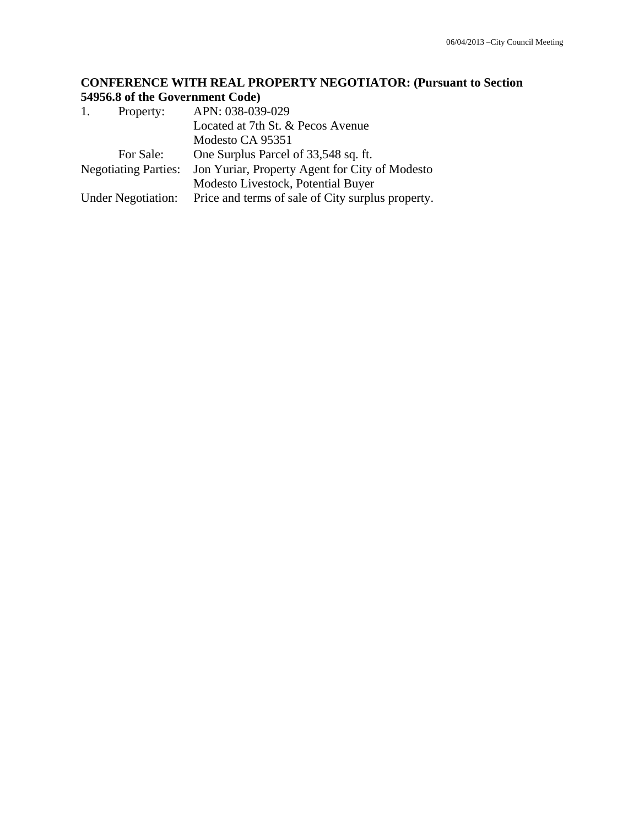## **CONFERENCE WITH REAL PROPERTY NEGOTIATOR: (Pursuant to Section 54956.8 of the Government Code)**

| 1.                          | Property:                 | APN: 038-039-029                                  |
|-----------------------------|---------------------------|---------------------------------------------------|
|                             |                           | Located at 7th St. & Pecos Avenue                 |
|                             |                           | Modesto CA 95351                                  |
|                             | For Sale:                 | One Surplus Parcel of 33,548 sq. ft.              |
| <b>Negotiating Parties:</b> |                           | Jon Yuriar, Property Agent for City of Modesto    |
|                             |                           | Modesto Livestock, Potential Buyer                |
|                             | <b>Under Negotiation:</b> | Price and terms of sale of City surplus property. |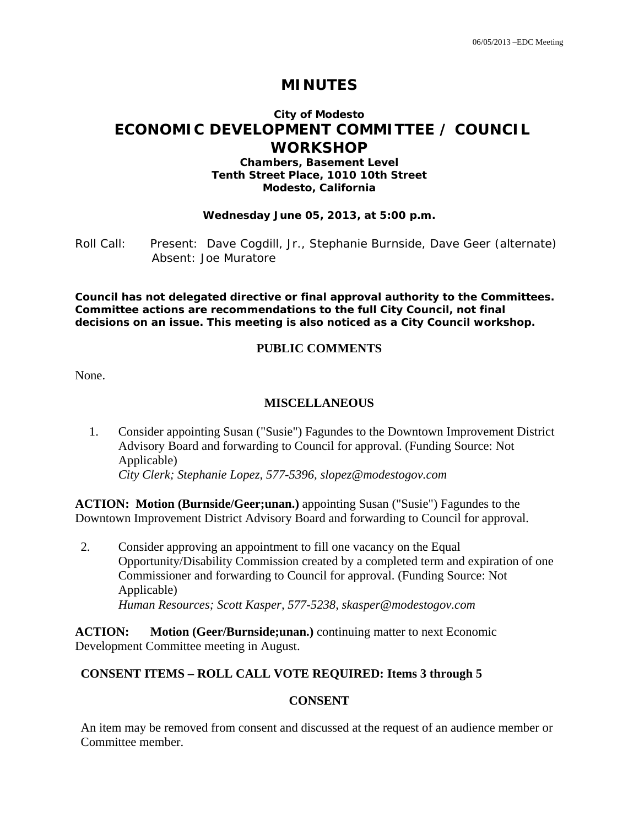# **MINUTES**

# **City of Modesto ECONOMIC DEVELOPMENT COMMITTEE / COUNCIL WORKSHOP**

#### **Chambers, Basement Level Tenth Street Place, 1010 10th Street Modesto, California**

#### **Wednesday June 05, 2013, at 5:00 p.m.**

Roll Call: Present: Dave Cogdill, Jr., Stephanie Burnside, Dave Geer (alternate) Absent: Joe Muratore

*Council has not delegated directive or final approval authority to the Committees. Committee actions are recommendations to the full City Council, not final decisions on an issue. This meeting is also noticed as a City Council workshop.* 

#### **PUBLIC COMMENTS**

None.

#### **MISCELLANEOUS**

1. Consider appointing Susan ("Susie") Fagundes to the Downtown Improvement District Advisory Board and forwarding to Council for approval. (Funding Source: Not Applicable)  *City Clerk; Stephanie Lopez, 577-5396, slopez@modestogov.com* 

**ACTION: Motion (Burnside/Geer;unan.)** appointing Susan ("Susie") Fagundes to the Downtown Improvement District Advisory Board and forwarding to Council for approval.

2. Consider approving an appointment to fill one vacancy on the Equal Opportunity/Disability Commission created by a completed term and expiration of one Commissioner and forwarding to Council for approval. (Funding Source: Not Applicable)  *Human Resources; Scott Kasper, 577-5238, skasper@modestogov.com* 

**ACTION:** Motion (Geer/Burnside;unan.) continuing matter to next Economic Development Committee meeting in August.

#### **CONSENT ITEMS – ROLL CALL VOTE REQUIRED: Items 3 through 5**

#### **CONSENT**

An item may be removed from consent and discussed at the request of an audience member or Committee member.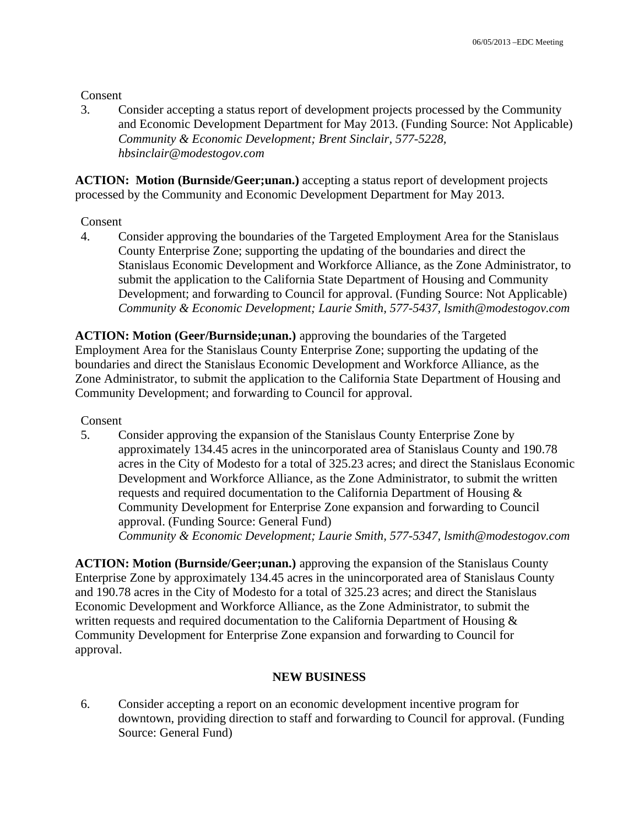Consent

3. Consider accepting a status report of development projects processed by the Community and Economic Development Department for May 2013. (Funding Source: Not Applicable)  *Community & Economic Development; Brent Sinclair, 577-5228, hbsinclair@modestogov.com* 

**ACTION: Motion (Burnside/Geer;unan.)** accepting a status report of development projects processed by the Community and Economic Development Department for May 2013.

Consent

4. Consider approving the boundaries of the Targeted Employment Area for the Stanislaus County Enterprise Zone; supporting the updating of the boundaries and direct the Stanislaus Economic Development and Workforce Alliance, as the Zone Administrator, to submit the application to the California State Department of Housing and Community Development; and forwarding to Council for approval. (Funding Source: Not Applicable)  *Community & Economic Development; Laurie Smith, 577-5437, lsmith@modestogov.com* 

**ACTION: Motion (Geer/Burnside;unan.)** approving the boundaries of the Targeted Employment Area for the Stanislaus County Enterprise Zone; supporting the updating of the boundaries and direct the Stanislaus Economic Development and Workforce Alliance, as the Zone Administrator, to submit the application to the California State Department of Housing and Community Development; and forwarding to Council for approval.

Consent

5. Consider approving the expansion of the Stanislaus County Enterprise Zone by approximately 134.45 acres in the unincorporated area of Stanislaus County and 190.78 acres in the City of Modesto for a total of 325.23 acres; and direct the Stanislaus Economic Development and Workforce Alliance, as the Zone Administrator, to submit the written requests and required documentation to the California Department of Housing & Community Development for Enterprise Zone expansion and forwarding to Council approval. (Funding Source: General Fund)

 *Community & Economic Development; Laurie Smith, 577-5347, lsmith@modestogov.com* 

**ACTION: Motion (Burnside/Geer;unan.)** approving the expansion of the Stanislaus County Enterprise Zone by approximately 134.45 acres in the unincorporated area of Stanislaus County and 190.78 acres in the City of Modesto for a total of 325.23 acres; and direct the Stanislaus Economic Development and Workforce Alliance, as the Zone Administrator, to submit the written requests and required documentation to the California Department of Housing & Community Development for Enterprise Zone expansion and forwarding to Council for approval.

## **NEW BUSINESS**

6. Consider accepting a report on an economic development incentive program for downtown, providing direction to staff and forwarding to Council for approval. (Funding Source: General Fund)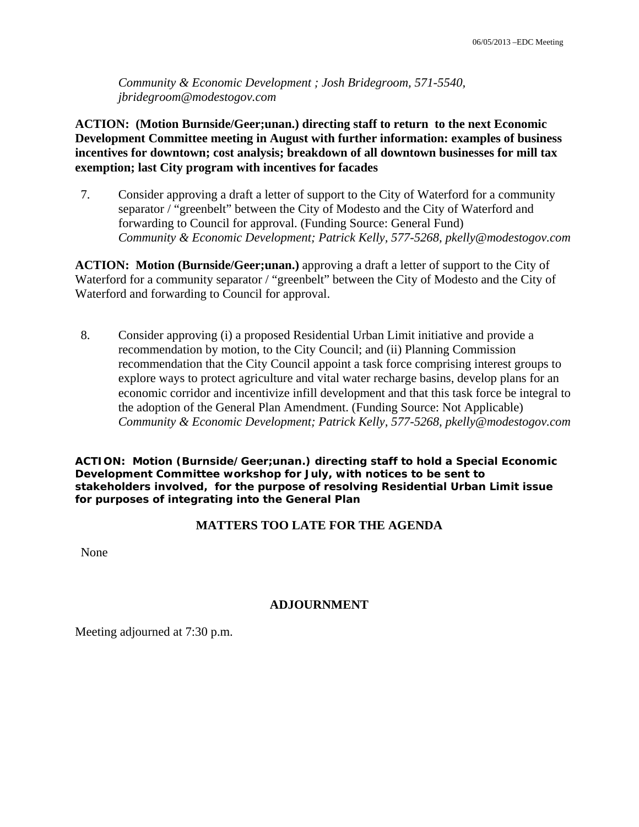*Community & Economic Development ; Josh Bridegroom, 571-5540, jbridegroom@modestogov.com* 

**ACTION: (Motion Burnside/Geer;unan.) directing staff to return to the next Economic Development Committee meeting in August with further information: examples of business incentives for downtown; cost analysis; breakdown of all downtown businesses for mill tax exemption; last City program with incentives for facades** 

7. Consider approving a draft a letter of support to the City of Waterford for a community separator / "greenbelt" between the City of Modesto and the City of Waterford and forwarding to Council for approval. (Funding Source: General Fund)  *Community & Economic Development; Patrick Kelly, 577-5268, pkelly@modestogov.com* 

**ACTION: Motion (Burnside/Geer;unan.)** approving a draft a letter of support to the City of Waterford for a community separator / "greenbelt" between the City of Modesto and the City of Waterford and forwarding to Council for approval.

8. Consider approving (i) a proposed Residential Urban Limit initiative and provide a recommendation by motion, to the City Council; and (ii) Planning Commission recommendation that the City Council appoint a task force comprising interest groups to explore ways to protect agriculture and vital water recharge basins, develop plans for an economic corridor and incentivize infill development and that this task force be integral to the adoption of the General Plan Amendment. (Funding Source: Not Applicable)  *Community & Economic Development; Patrick Kelly, 577-5268, pkelly@modestogov.com* 

**ACTION: Motion (Burnside/Geer;unan.) directing staff to hold a Special Economic Development Committee workshop for July, with notices to be sent to stakeholders involved, for the purpose of resolving Residential Urban Limit issue for purposes of integrating into the General Plan** 

#### **MATTERS TOO LATE FOR THE AGENDA**

None

#### **ADJOURNMENT**

Meeting adjourned at 7:30 p.m.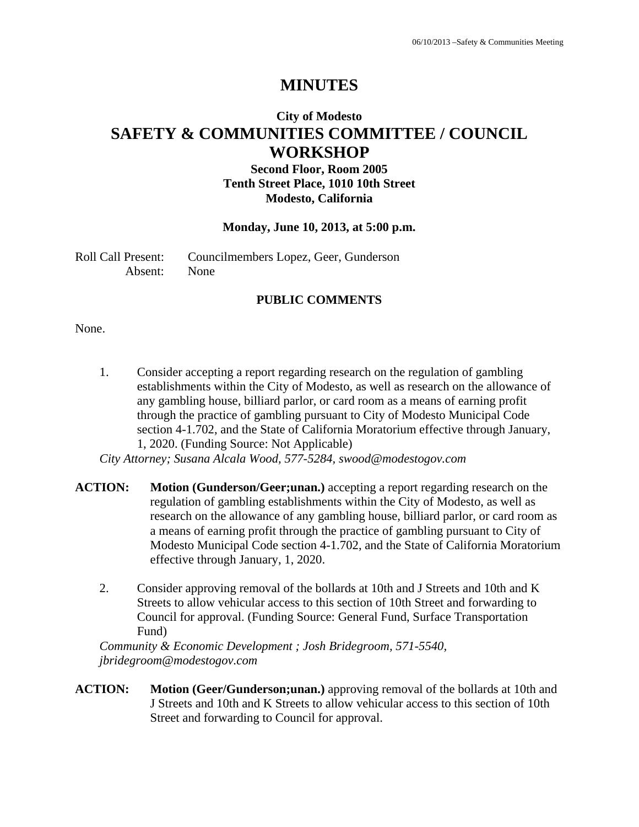# **MINUTES**

# **City of Modesto SAFETY & COMMUNITIES COMMITTEE / COUNCIL WORKSHOP**

## **Second Floor, Room 2005 Tenth Street Place, 1010 10th Street Modesto, California**

#### **Monday, June 10, 2013, at 5:00 p.m.**

Roll Call Present: Councilmembers Lopez, Geer, Gunderson Absent: None

### **PUBLIC COMMENTS**

None.

1. Consider accepting a report regarding research on the regulation of gambling establishments within the City of Modesto, as well as research on the allowance of any gambling house, billiard parlor, or card room as a means of earning profit through the practice of gambling pursuant to City of Modesto Municipal Code section 4-1.702, and the State of California Moratorium effective through January, 1, 2020. (Funding Source: Not Applicable)

*City Attorney; Susana Alcala Wood, 577-5284, swood@modestogov.com* 

- **ACTION: Motion (Gunderson/Geer;unan.)** accepting a report regarding research on the regulation of gambling establishments within the City of Modesto, as well as research on the allowance of any gambling house, billiard parlor, or card room as a means of earning profit through the practice of gambling pursuant to City of Modesto Municipal Code section 4-1.702, and the State of California Moratorium effective through January, 1, 2020.
	- 2. Consider approving removal of the bollards at 10th and J Streets and 10th and K Streets to allow vehicular access to this section of 10th Street and forwarding to Council for approval. (Funding Source: General Fund, Surface Transportation Fund)

*Community & Economic Development ; Josh Bridegroom, 571-5540, jbridegroom@modestogov.com* 

**ACTION: Motion (Geer/Gunderson;unan.)** approving removal of the bollards at 10th and J Streets and 10th and K Streets to allow vehicular access to this section of 10th Street and forwarding to Council for approval.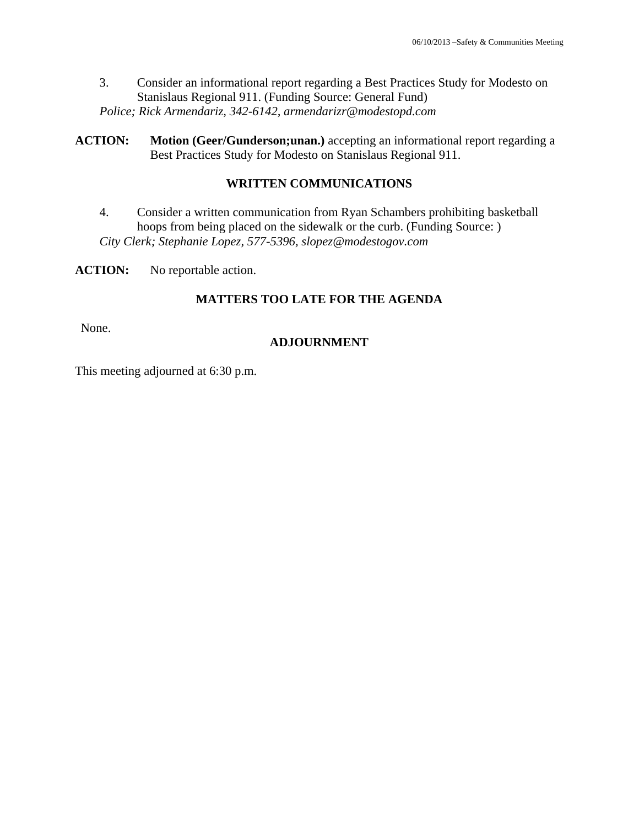- 3. Consider an informational report regarding a Best Practices Study for Modesto on Stanislaus Regional 911. (Funding Source: General Fund) *Police; Rick Armendariz, 342-6142, armendarizr@modestopd.com*
- **ACTION: Motion (Geer/Gunderson;unan.)** accepting an informational report regarding a Best Practices Study for Modesto on Stanislaus Regional 911.

#### **WRITTEN COMMUNICATIONS**

4. Consider a written communication from Ryan Schambers prohibiting basketball hoops from being placed on the sidewalk or the curb. (Funding Source: ) *City Clerk; Stephanie Lopez, 577-5396, slopez@modestogov.com* 

**ACTION:** No reportable action.

### **MATTERS TOO LATE FOR THE AGENDA**

None.

#### **ADJOURNMENT**

This meeting adjourned at 6:30 p.m.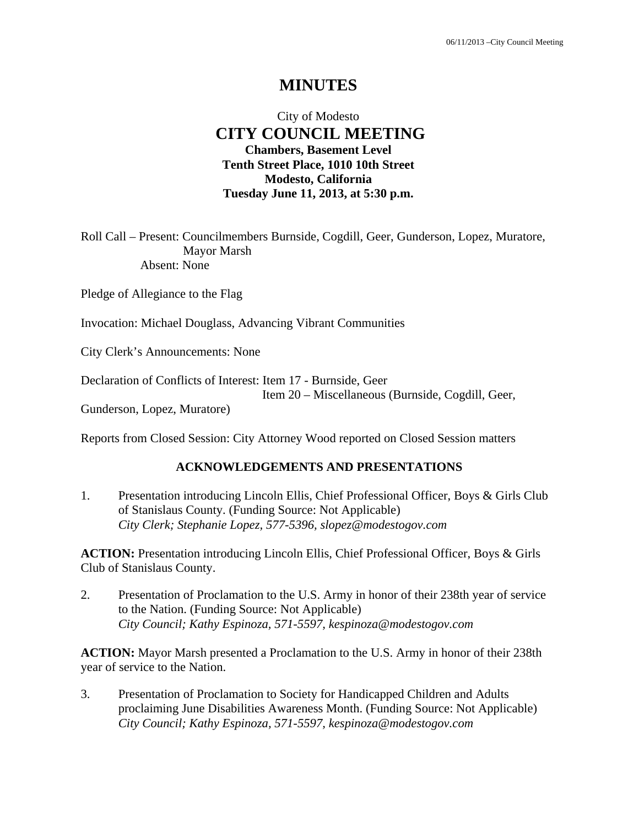# **MINUTES**

## City of Modesto  **CITY COUNCIL MEETING Chambers, Basement Level Tenth Street Place, 1010 10th Street Modesto, California Tuesday June 11, 2013, at 5:30 p.m.**

Roll Call – Present: Councilmembers Burnside, Cogdill, Geer, Gunderson, Lopez, Muratore, Mayor Marsh Absent: None

Pledge of Allegiance to the Flag

Invocation: Michael Douglass, Advancing Vibrant Communities

City Clerk's Announcements: None

Declaration of Conflicts of Interest: Item 17 - Burnside, Geer

Item 20 – Miscellaneous (Burnside, Cogdill, Geer,

Gunderson, Lopez, Muratore)

Reports from Closed Session: City Attorney Wood reported on Closed Session matters

#### **ACKNOWLEDGEMENTS AND PRESENTATIONS**

1. Presentation introducing Lincoln Ellis, Chief Professional Officer, Boys & Girls Club of Stanislaus County. (Funding Source: Not Applicable)  *City Clerk; Stephanie Lopez, 577-5396, slopez@modestogov.com* 

**ACTION:** Presentation introducing Lincoln Ellis, Chief Professional Officer, Boys & Girls Club of Stanislaus County.

2. Presentation of Proclamation to the U.S. Army in honor of their 238th year of service to the Nation. (Funding Source: Not Applicable)  *City Council; Kathy Espinoza, 571-5597, kespinoza@modestogov.com* 

**ACTION:** Mayor Marsh presented a Proclamation to the U.S. Army in honor of their 238th year of service to the Nation.

3. Presentation of Proclamation to Society for Handicapped Children and Adults proclaiming June Disabilities Awareness Month. (Funding Source: Not Applicable)  *City Council; Kathy Espinoza, 571-5597, kespinoza@modestogov.com*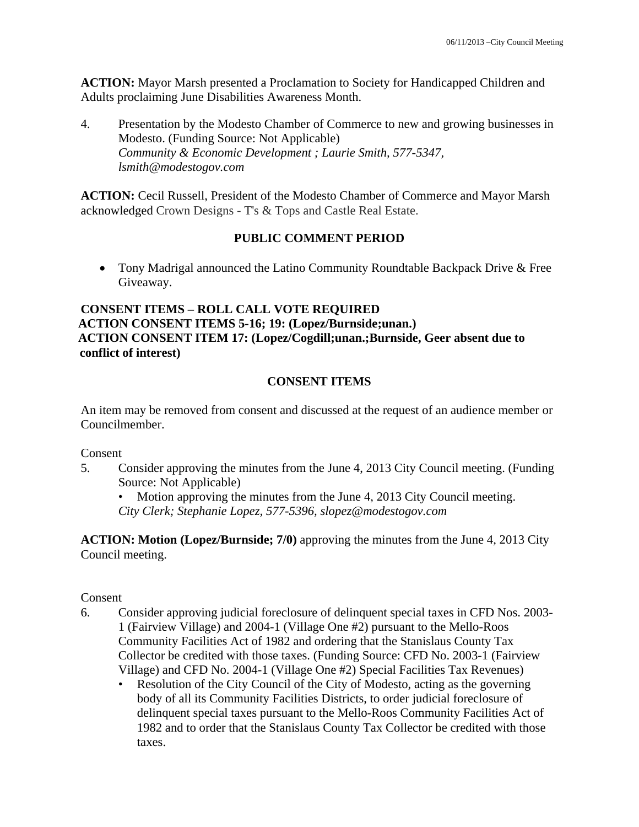**ACTION:** Mayor Marsh presented a Proclamation to Society for Handicapped Children and Adults proclaiming June Disabilities Awareness Month.

4. Presentation by the Modesto Chamber of Commerce to new and growing businesses in Modesto. (Funding Source: Not Applicable)  *Community & Economic Development ; Laurie Smith, 577-5347, lsmith@modestogov.com* 

**ACTION:** Cecil Russell, President of the Modesto Chamber of Commerce and Mayor Marsh acknowledged Crown Designs - T's & Tops and Castle Real Estate.

## **PUBLIC COMMENT PERIOD**

 Tony Madrigal announced the Latino Community Roundtable Backpack Drive & Free Giveaway.

## **CONSENT ITEMS – ROLL CALL VOTE REQUIRED ACTION CONSENT ITEMS 5-16; 19: (Lopez/Burnside;unan.) ACTION CONSENT ITEM 17: (Lopez/Cogdill;unan.;Burnside, Geer absent due to conflict of interest)**

## **CONSENT ITEMS**

An item may be removed from consent and discussed at the request of an audience member or Councilmember.

Consent

5. Consider approving the minutes from the June 4, 2013 City Council meeting. (Funding Source: Not Applicable)

• Motion approving the minutes from the June 4, 2013 City Council meeting. *City Clerk; Stephanie Lopez, 577-5396, slopez@modestogov.com* 

**ACTION: Motion (Lopez/Burnside; 7/0)** approving the minutes from the June 4, 2013 City Council meeting.

- 6. Consider approving judicial foreclosure of delinquent special taxes in CFD Nos. 2003- 1 (Fairview Village) and 2004-1 (Village One #2) pursuant to the Mello-Roos Community Facilities Act of 1982 and ordering that the Stanislaus County Tax Collector be credited with those taxes. (Funding Source: CFD No. 2003-1 (Fairview Village) and CFD No. 2004-1 (Village One #2) Special Facilities Tax Revenues)
	- Resolution of the City Council of the City of Modesto, acting as the governing body of all its Community Facilities Districts, to order judicial foreclosure of delinquent special taxes pursuant to the Mello-Roos Community Facilities Act of 1982 and to order that the Stanislaus County Tax Collector be credited with those taxes.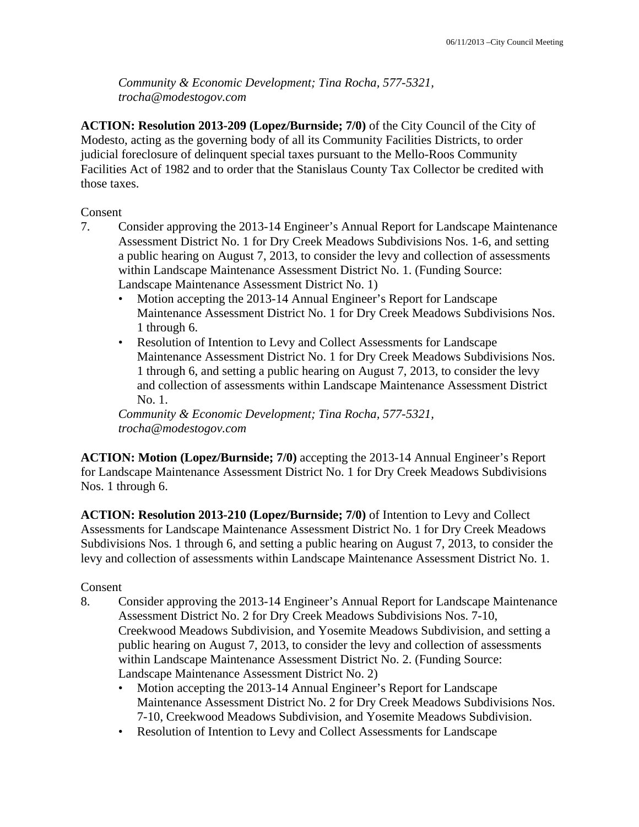*Community & Economic Development; Tina Rocha, 577-5321, trocha@modestogov.com* 

**ACTION: Resolution 2013-209 (Lopez/Burnside; 7/0)** of the City Council of the City of Modesto, acting as the governing body of all its Community Facilities Districts, to order judicial foreclosure of delinquent special taxes pursuant to the Mello-Roos Community Facilities Act of 1982 and to order that the Stanislaus County Tax Collector be credited with those taxes.

#### Consent

- 7. Consider approving the 2013-14 Engineer's Annual Report for Landscape Maintenance Assessment District No. 1 for Dry Creek Meadows Subdivisions Nos. 1-6, and setting a public hearing on August 7, 2013, to consider the levy and collection of assessments within Landscape Maintenance Assessment District No. 1. (Funding Source: Landscape Maintenance Assessment District No. 1)
	- Motion accepting the 2013-14 Annual Engineer's Report for Landscape Maintenance Assessment District No. 1 for Dry Creek Meadows Subdivisions Nos. 1 through 6.
	- Resolution of Intention to Levy and Collect Assessments for Landscape Maintenance Assessment District No. 1 for Dry Creek Meadows Subdivisions Nos. 1 through 6, and setting a public hearing on August 7, 2013, to consider the levy and collection of assessments within Landscape Maintenance Assessment District No. 1.

*Community & Economic Development; Tina Rocha, 577-5321, trocha@modestogov.com* 

**ACTION: Motion (Lopez/Burnside; 7/0)** accepting the 2013-14 Annual Engineer's Report for Landscape Maintenance Assessment District No. 1 for Dry Creek Meadows Subdivisions Nos. 1 through 6.

**ACTION: Resolution 2013-210 (Lopez/Burnside; 7/0)** of Intention to Levy and Collect Assessments for Landscape Maintenance Assessment District No. 1 for Dry Creek Meadows Subdivisions Nos. 1 through 6, and setting a public hearing on August 7, 2013, to consider the levy and collection of assessments within Landscape Maintenance Assessment District No. 1.

- 8. Consider approving the 2013-14 Engineer's Annual Report for Landscape Maintenance Assessment District No. 2 for Dry Creek Meadows Subdivisions Nos. 7-10, Creekwood Meadows Subdivision, and Yosemite Meadows Subdivision, and setting a public hearing on August 7, 2013, to consider the levy and collection of assessments within Landscape Maintenance Assessment District No. 2. (Funding Source: Landscape Maintenance Assessment District No. 2)
	- Motion accepting the 2013-14 Annual Engineer's Report for Landscape Maintenance Assessment District No. 2 for Dry Creek Meadows Subdivisions Nos. 7-10, Creekwood Meadows Subdivision, and Yosemite Meadows Subdivision.
	- Resolution of Intention to Levy and Collect Assessments for Landscape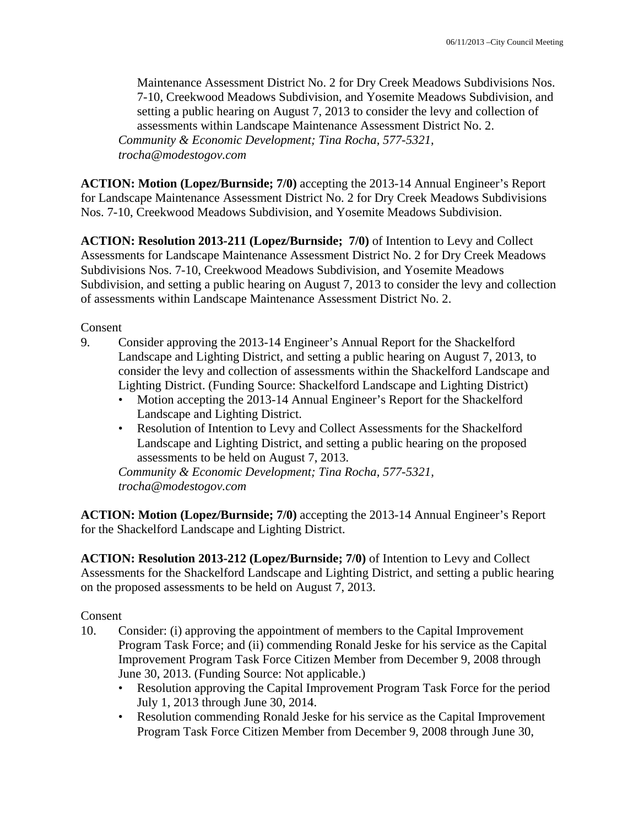Maintenance Assessment District No. 2 for Dry Creek Meadows Subdivisions Nos. 7-10, Creekwood Meadows Subdivision, and Yosemite Meadows Subdivision, and setting a public hearing on August 7, 2013 to consider the levy and collection of assessments within Landscape Maintenance Assessment District No. 2. *Community & Economic Development; Tina Rocha, 577-5321, trocha@modestogov.com* 

**ACTION: Motion (Lopez/Burnside; 7/0)** accepting the 2013-14 Annual Engineer's Report for Landscape Maintenance Assessment District No. 2 for Dry Creek Meadows Subdivisions Nos. 7-10, Creekwood Meadows Subdivision, and Yosemite Meadows Subdivision.

**ACTION: Resolution 2013-211 (Lopez/Burnside; 7/0)** of Intention to Levy and Collect Assessments for Landscape Maintenance Assessment District No. 2 for Dry Creek Meadows Subdivisions Nos. 7-10, Creekwood Meadows Subdivision, and Yosemite Meadows Subdivision, and setting a public hearing on August 7, 2013 to consider the levy and collection of assessments within Landscape Maintenance Assessment District No. 2.

Consent

- 9. Consider approving the 2013-14 Engineer's Annual Report for the Shackelford Landscape and Lighting District, and setting a public hearing on August 7, 2013, to consider the levy and collection of assessments within the Shackelford Landscape and Lighting District. (Funding Source: Shackelford Landscape and Lighting District)
	- Motion accepting the 2013-14 Annual Engineer's Report for the Shackelford Landscape and Lighting District.
	- Resolution of Intention to Levy and Collect Assessments for the Shackelford Landscape and Lighting District, and setting a public hearing on the proposed assessments to be held on August 7, 2013.

*Community & Economic Development; Tina Rocha, 577-5321, trocha@modestogov.com* 

**ACTION: Motion (Lopez/Burnside; 7/0)** accepting the 2013-14 Annual Engineer's Report for the Shackelford Landscape and Lighting District.

**ACTION: Resolution 2013-212 (Lopez/Burnside; 7/0)** of Intention to Levy and Collect Assessments for the Shackelford Landscape and Lighting District, and setting a public hearing on the proposed assessments to be held on August 7, 2013.

- 10. Consider: (i) approving the appointment of members to the Capital Improvement Program Task Force; and (ii) commending Ronald Jeske for his service as the Capital Improvement Program Task Force Citizen Member from December 9, 2008 through June 30, 2013. (Funding Source: Not applicable.)
	- Resolution approving the Capital Improvement Program Task Force for the period July 1, 2013 through June 30, 2014.
	- Resolution commending Ronald Jeske for his service as the Capital Improvement Program Task Force Citizen Member from December 9, 2008 through June 30,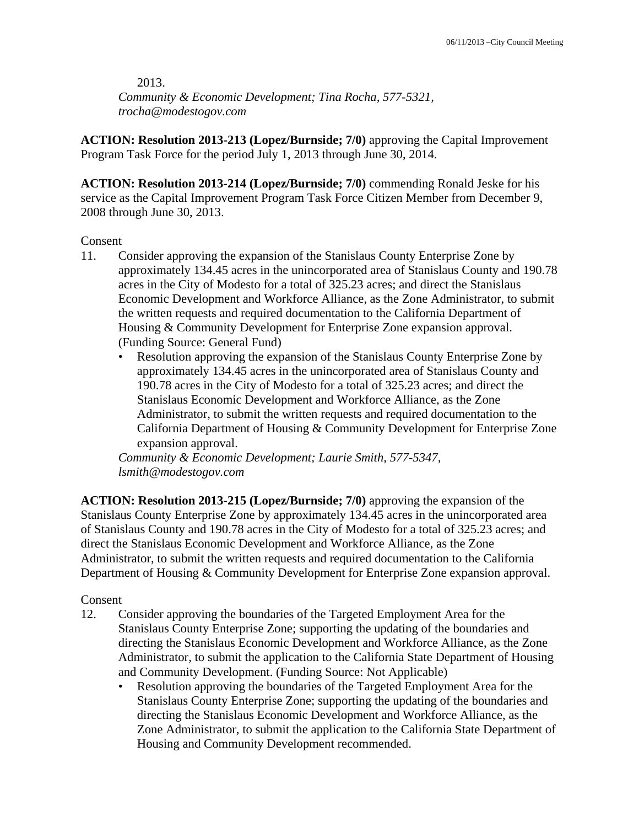2013. *Community & Economic Development; Tina Rocha, 577-5321, trocha@modestogov.com* 

**ACTION: Resolution 2013-213 (Lopez/Burnside; 7/0)** approving the Capital Improvement Program Task Force for the period July 1, 2013 through June 30, 2014.

**ACTION: Resolution 2013-214 (Lopez/Burnside; 7/0)** commending Ronald Jeske for his service as the Capital Improvement Program Task Force Citizen Member from December 9, 2008 through June 30, 2013.

#### Consent

- 11. Consider approving the expansion of the Stanislaus County Enterprise Zone by approximately 134.45 acres in the unincorporated area of Stanislaus County and 190.78 acres in the City of Modesto for a total of 325.23 acres; and direct the Stanislaus Economic Development and Workforce Alliance, as the Zone Administrator, to submit the written requests and required documentation to the California Department of Housing & Community Development for Enterprise Zone expansion approval. (Funding Source: General Fund)
	- Resolution approving the expansion of the Stanislaus County Enterprise Zone by approximately 134.45 acres in the unincorporated area of Stanislaus County and 190.78 acres in the City of Modesto for a total of 325.23 acres; and direct the Stanislaus Economic Development and Workforce Alliance, as the Zone Administrator, to submit the written requests and required documentation to the California Department of Housing & Community Development for Enterprise Zone expansion approval.

*Community & Economic Development; Laurie Smith, 577-5347, lsmith@modestogov.com* 

**ACTION: Resolution 2013-215 (Lopez/Burnside; 7/0)** approving the expansion of the Stanislaus County Enterprise Zone by approximately 134.45 acres in the unincorporated area of Stanislaus County and 190.78 acres in the City of Modesto for a total of 325.23 acres; and direct the Stanislaus Economic Development and Workforce Alliance, as the Zone Administrator, to submit the written requests and required documentation to the California Department of Housing & Community Development for Enterprise Zone expansion approval.

- 12. Consider approving the boundaries of the Targeted Employment Area for the Stanislaus County Enterprise Zone; supporting the updating of the boundaries and directing the Stanislaus Economic Development and Workforce Alliance, as the Zone Administrator, to submit the application to the California State Department of Housing and Community Development. (Funding Source: Not Applicable)
	- Resolution approving the boundaries of the Targeted Employment Area for the Stanislaus County Enterprise Zone; supporting the updating of the boundaries and directing the Stanislaus Economic Development and Workforce Alliance, as the Zone Administrator, to submit the application to the California State Department of Housing and Community Development recommended.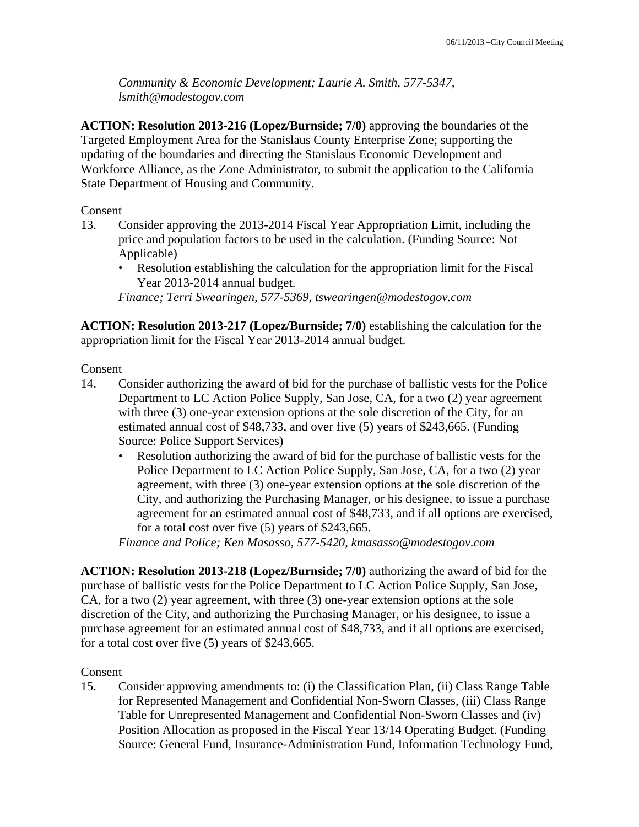*Community & Economic Development; Laurie A. Smith, 577-5347, lsmith@modestogov.com* 

**ACTION: Resolution 2013-216 (Lopez/Burnside; 7/0)** approving the boundaries of the Targeted Employment Area for the Stanislaus County Enterprise Zone; supporting the updating of the boundaries and directing the Stanislaus Economic Development and Workforce Alliance, as the Zone Administrator, to submit the application to the California State Department of Housing and Community.

#### Consent

- 13. Consider approving the 2013-2014 Fiscal Year Appropriation Limit, including the price and population factors to be used in the calculation. (Funding Source: Not Applicable)
	- Resolution establishing the calculation for the appropriation limit for the Fiscal Year 2013-2014 annual budget.

*Finance; Terri Swearingen, 577-5369, tswearingen@modestogov.com* 

**ACTION: Resolution 2013-217 (Lopez/Burnside; 7/0)** establishing the calculation for the appropriation limit for the Fiscal Year 2013-2014 annual budget.

Consent

- 14. Consider authorizing the award of bid for the purchase of ballistic vests for the Police Department to LC Action Police Supply, San Jose, CA, for a two (2) year agreement with three (3) one-year extension options at the sole discretion of the City, for an estimated annual cost of \$48,733, and over five (5) years of \$243,665. (Funding Source: Police Support Services)
	- Resolution authorizing the award of bid for the purchase of ballistic vests for the Police Department to LC Action Police Supply, San Jose, CA, for a two (2) year agreement, with three (3) one-year extension options at the sole discretion of the City, and authorizing the Purchasing Manager, or his designee, to issue a purchase agreement for an estimated annual cost of \$48,733, and if all options are exercised, for a total cost over five (5) years of \$243,665.

*Finance and Police; Ken Masasso, 577-5420, kmasasso@modestogov.com* 

**ACTION: Resolution 2013-218 (Lopez/Burnside; 7/0)** authorizing the award of bid for the purchase of ballistic vests for the Police Department to LC Action Police Supply, San Jose, CA, for a two (2) year agreement, with three (3) one-year extension options at the sole discretion of the City, and authorizing the Purchasing Manager, or his designee, to issue a purchase agreement for an estimated annual cost of \$48,733, and if all options are exercised, for a total cost over five (5) years of \$243,665.

#### Consent

15. Consider approving amendments to: (i) the Classification Plan, (ii) Class Range Table for Represented Management and Confidential Non-Sworn Classes, (iii) Class Range Table for Unrepresented Management and Confidential Non-Sworn Classes and (iv) Position Allocation as proposed in the Fiscal Year 13/14 Operating Budget. (Funding Source: General Fund, Insurance-Administration Fund, Information Technology Fund,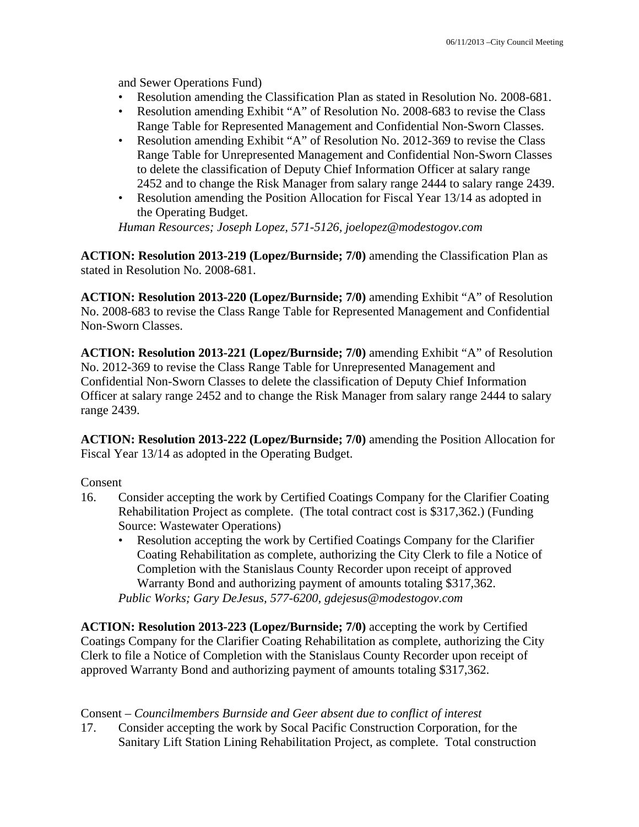and Sewer Operations Fund)

- Resolution amending the Classification Plan as stated in Resolution No. 2008-681.
- Resolution amending Exhibit "A" of Resolution No. 2008-683 to revise the Class Range Table for Represented Management and Confidential Non-Sworn Classes.
- Resolution amending Exhibit "A" of Resolution No. 2012-369 to revise the Class Range Table for Unrepresented Management and Confidential Non-Sworn Classes to delete the classification of Deputy Chief Information Officer at salary range 2452 and to change the Risk Manager from salary range 2444 to salary range 2439.
- Resolution amending the Position Allocation for Fiscal Year 13/14 as adopted in the Operating Budget.

*Human Resources; Joseph Lopez, 571-5126, joelopez@modestogov.com* 

**ACTION: Resolution 2013-219 (Lopez/Burnside; 7/0)** amending the Classification Plan as stated in Resolution No. 2008-681.

**ACTION: Resolution 2013-220 (Lopez/Burnside; 7/0)** amending Exhibit "A" of Resolution No. 2008-683 to revise the Class Range Table for Represented Management and Confidential Non-Sworn Classes.

**ACTION: Resolution 2013-221 (Lopez/Burnside; 7/0)** amending Exhibit "A" of Resolution No. 2012-369 to revise the Class Range Table for Unrepresented Management and Confidential Non-Sworn Classes to delete the classification of Deputy Chief Information Officer at salary range 2452 and to change the Risk Manager from salary range 2444 to salary range 2439.

**ACTION: Resolution 2013-222 (Lopez/Burnside; 7/0)** amending the Position Allocation for Fiscal Year 13/14 as adopted in the Operating Budget.

#### Consent

- 16. Consider accepting the work by Certified Coatings Company for the Clarifier Coating Rehabilitation Project as complete. (The total contract cost is \$317,362.) (Funding Source: Wastewater Operations)
	- Resolution accepting the work by Certified Coatings Company for the Clarifier Coating Rehabilitation as complete, authorizing the City Clerk to file a Notice of Completion with the Stanislaus County Recorder upon receipt of approved Warranty Bond and authorizing payment of amounts totaling \$317,362. *Public Works; Gary DeJesus, 577-6200, gdejesus@modestogov.com*

**ACTION: Resolution 2013-223 (Lopez/Burnside; 7/0)** accepting the work by Certified Coatings Company for the Clarifier Coating Rehabilitation as complete, authorizing the City Clerk to file a Notice of Completion with the Stanislaus County Recorder upon receipt of approved Warranty Bond and authorizing payment of amounts totaling \$317,362.

## Consent – *Councilmembers Burnside and Geer absent due to conflict of interest*

17. Consider accepting the work by Socal Pacific Construction Corporation, for the Sanitary Lift Station Lining Rehabilitation Project, as complete. Total construction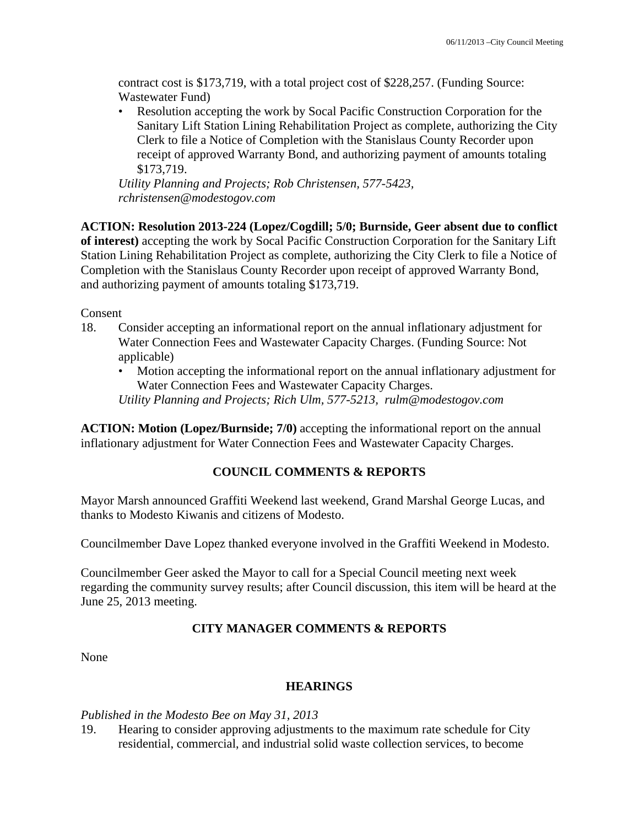contract cost is \$173,719, with a total project cost of \$228,257. (Funding Source: Wastewater Fund)

• Resolution accepting the work by Socal Pacific Construction Corporation for the Sanitary Lift Station Lining Rehabilitation Project as complete, authorizing the City Clerk to file a Notice of Completion with the Stanislaus County Recorder upon receipt of approved Warranty Bond, and authorizing payment of amounts totaling \$173,719.

*Utility Planning and Projects; Rob Christensen, 577-5423, rchristensen@modestogov.com* 

**ACTION: Resolution 2013-224 (Lopez/Cogdill; 5/0; Burnside, Geer absent due to conflict of interest)** accepting the work by Socal Pacific Construction Corporation for the Sanitary Lift Station Lining Rehabilitation Project as complete, authorizing the City Clerk to file a Notice of Completion with the Stanislaus County Recorder upon receipt of approved Warranty Bond, and authorizing payment of amounts totaling \$173,719.

Consent

- 18. Consider accepting an informational report on the annual inflationary adjustment for Water Connection Fees and Wastewater Capacity Charges. (Funding Source: Not applicable)
	- Motion accepting the informational report on the annual inflationary adjustment for Water Connection Fees and Wastewater Capacity Charges.

*Utility Planning and Projects; Rich Ulm, 577-5213, rulm@modestogov.com* 

**ACTION: Motion (Lopez/Burnside; 7/0)** accepting the informational report on the annual inflationary adjustment for Water Connection Fees and Wastewater Capacity Charges.

## **COUNCIL COMMENTS & REPORTS**

Mayor Marsh announced Graffiti Weekend last weekend, Grand Marshal George Lucas, and thanks to Modesto Kiwanis and citizens of Modesto.

Councilmember Dave Lopez thanked everyone involved in the Graffiti Weekend in Modesto.

Councilmember Geer asked the Mayor to call for a Special Council meeting next week regarding the community survey results; after Council discussion, this item will be heard at the June 25, 2013 meeting.

# **CITY MANAGER COMMENTS & REPORTS**

None

## **HEARINGS**

## *Published in the Modesto Bee on May 31, 2013*

19. Hearing to consider approving adjustments to the maximum rate schedule for City residential, commercial, and industrial solid waste collection services, to become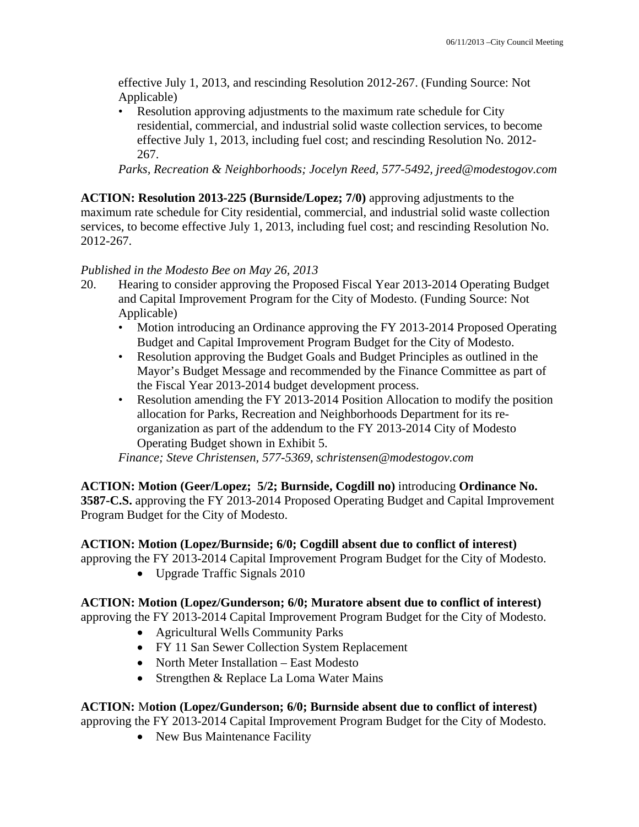effective July 1, 2013, and rescinding Resolution 2012-267. (Funding Source: Not Applicable)

• Resolution approving adjustments to the maximum rate schedule for City residential, commercial, and industrial solid waste collection services, to become effective July 1, 2013, including fuel cost; and rescinding Resolution No. 2012- 267.

*Parks, Recreation & Neighborhoods; Jocelyn Reed, 577-5492, jreed@modestogov.com* 

**ACTION: Resolution 2013-225 (Burnside/Lopez; 7/0)** approving adjustments to the maximum rate schedule for City residential, commercial, and industrial solid waste collection services, to become effective July 1, 2013, including fuel cost; and rescinding Resolution No. 2012-267.

## *Published in the Modesto Bee on May 26, 2013*

- 20. Hearing to consider approving the Proposed Fiscal Year 2013-2014 Operating Budget and Capital Improvement Program for the City of Modesto. (Funding Source: Not Applicable)
	- Motion introducing an Ordinance approving the FY 2013-2014 Proposed Operating Budget and Capital Improvement Program Budget for the City of Modesto.
	- Resolution approving the Budget Goals and Budget Principles as outlined in the Mayor's Budget Message and recommended by the Finance Committee as part of the Fiscal Year 2013-2014 budget development process.
	- Resolution amending the FY 2013-2014 Position Allocation to modify the position allocation for Parks, Recreation and Neighborhoods Department for its reorganization as part of the addendum to the FY 2013-2014 City of Modesto Operating Budget shown in Exhibit 5.

*Finance; Steve Christensen, 577-5369, schristensen@modestogov.com* 

**ACTION: Motion (Geer/Lopez; 5/2; Burnside, Cogdill no)** introducing **Ordinance No. 3587-C.S.** approving the FY 2013-2014 Proposed Operating Budget and Capital Improvement Program Budget for the City of Modesto.

## **ACTION: Motion (Lopez/Burnside; 6/0; Cogdill absent due to conflict of interest)**

approving the FY 2013-2014 Capital Improvement Program Budget for the City of Modesto.

Upgrade Traffic Signals 2010

# **ACTION: Motion (Lopez/Gunderson; 6/0; Muratore absent due to conflict of interest)**

approving the FY 2013-2014 Capital Improvement Program Budget for the City of Modesto.

- Agricultural Wells Community Parks
- FY 11 San Sewer Collection System Replacement
- North Meter Installation East Modesto
- Strengthen & Replace La Loma Water Mains

## **ACTION:** M**otion (Lopez/Gunderson; 6/0; Burnside absent due to conflict of interest)**

approving the FY 2013-2014 Capital Improvement Program Budget for the City of Modesto.

• New Bus Maintenance Facility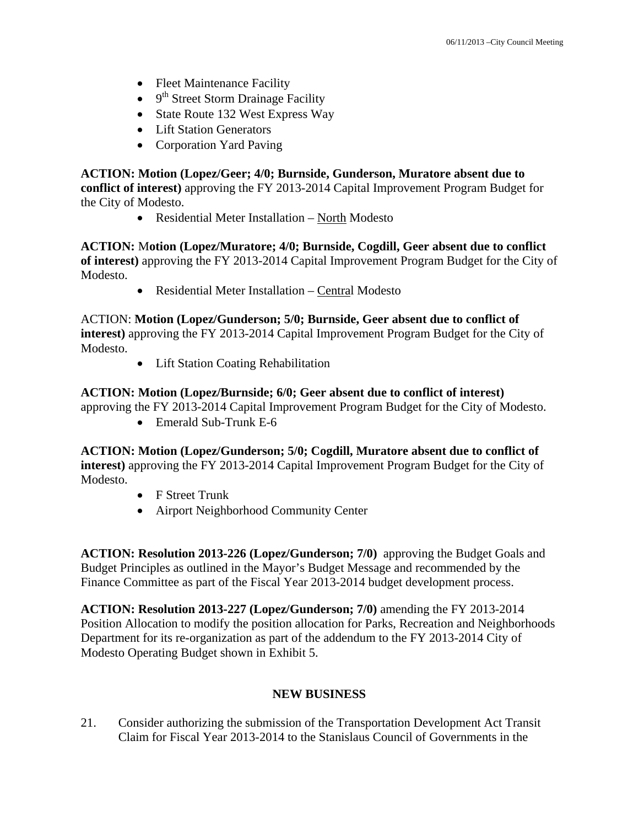- Fleet Maintenance Facility
- $\bullet$  9<sup>th</sup> Street Storm Drainage Facility
- State Route 132 West Express Way
- Lift Station Generators
- Corporation Yard Paving

**ACTION: Motion (Lopez/Geer; 4/0; Burnside, Gunderson, Muratore absent due to conflict of interest)** approving the FY 2013-2014 Capital Improvement Program Budget for the City of Modesto.

Residential Meter Installation – North Modesto

**ACTION:** M**otion (Lopez/Muratore; 4/0; Burnside, Cogdill, Geer absent due to conflict of interest)** approving the FY 2013-2014 Capital Improvement Program Budget for the City of Modesto.

Residential Meter Installation – Central Modesto

ACTION: **Motion (Lopez/Gunderson; 5/0; Burnside, Geer absent due to conflict of interest)** approving the FY 2013-2014 Capital Improvement Program Budget for the City of Modesto.

• Lift Station Coating Rehabilitation

#### **ACTION: Motion (Lopez/Burnside; 6/0; Geer absent due to conflict of interest)**

approving the FY 2013-2014 Capital Improvement Program Budget for the City of Modesto.

• Emerald Sub-Trunk E-6

**ACTION: Motion (Lopez/Gunderson; 5/0; Cogdill, Muratore absent due to conflict of interest)** approving the FY 2013-2014 Capital Improvement Program Budget for the City of Modesto.

- F Street Trunk
- Airport Neighborhood Community Center

**ACTION: Resolution 2013-226 (Lopez/Gunderson; 7/0)** approving the Budget Goals and Budget Principles as outlined in the Mayor's Budget Message and recommended by the Finance Committee as part of the Fiscal Year 2013-2014 budget development process.

**ACTION: Resolution 2013-227 (Lopez/Gunderson; 7/0)** amending the FY 2013-2014 Position Allocation to modify the position allocation for Parks, Recreation and Neighborhoods Department for its re-organization as part of the addendum to the FY 2013-2014 City of Modesto Operating Budget shown in Exhibit 5.

## **NEW BUSINESS**

21. Consider authorizing the submission of the Transportation Development Act Transit Claim for Fiscal Year 2013-2014 to the Stanislaus Council of Governments in the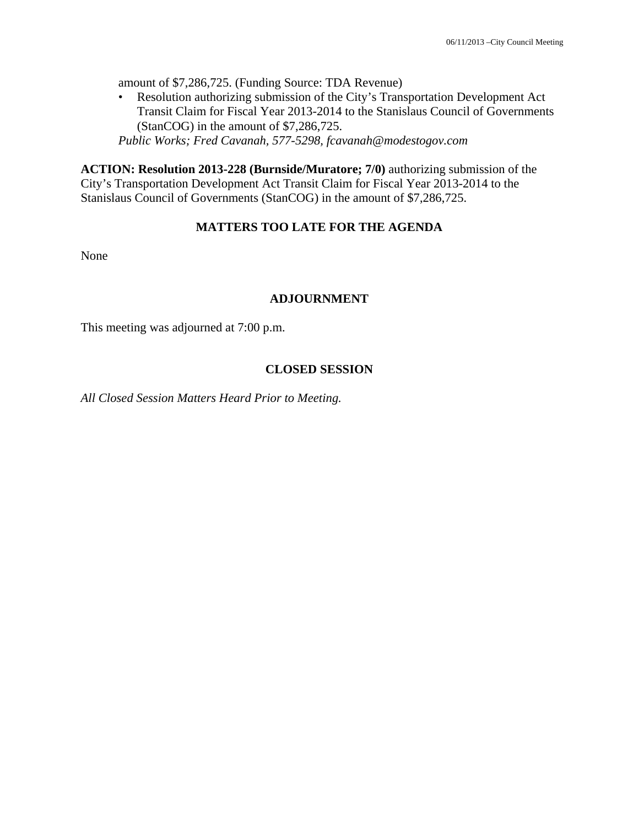amount of \$7,286,725. (Funding Source: TDA Revenue)

• Resolution authorizing submission of the City's Transportation Development Act Transit Claim for Fiscal Year 2013-2014 to the Stanislaus Council of Governments (StanCOG) in the amount of \$7,286,725.

*Public Works; Fred Cavanah, 577-5298, fcavanah@modestogov.com* 

**ACTION: Resolution 2013-228 (Burnside/Muratore; 7/0)** authorizing submission of the City's Transportation Development Act Transit Claim for Fiscal Year 2013-2014 to the Stanislaus Council of Governments (StanCOG) in the amount of \$7,286,725.

## **MATTERS TOO LATE FOR THE AGENDA**

None

### **ADJOURNMENT**

This meeting was adjourned at 7:00 p.m.

### **CLOSED SESSION**

*All Closed Session Matters Heard Prior to Meeting.*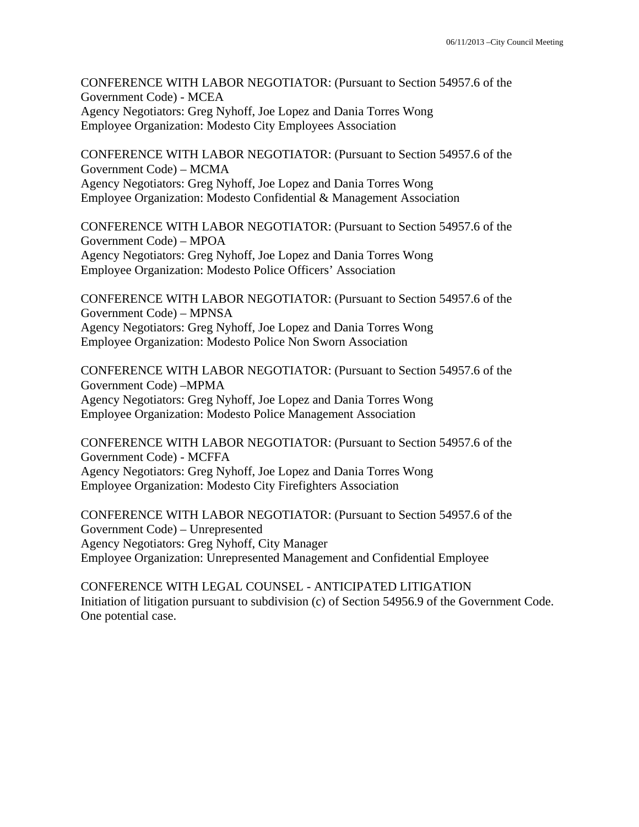CONFERENCE WITH LABOR NEGOTIATOR: (Pursuant to Section 54957.6 of the Government Code) - MCEA Agency Negotiators: Greg Nyhoff, Joe Lopez and Dania Torres Wong Employee Organization: Modesto City Employees Association

CONFERENCE WITH LABOR NEGOTIATOR: (Pursuant to Section 54957.6 of the Government Code) – MCMA Agency Negotiators: Greg Nyhoff, Joe Lopez and Dania Torres Wong Employee Organization: Modesto Confidential & Management Association

CONFERENCE WITH LABOR NEGOTIATOR: (Pursuant to Section 54957.6 of the Government Code) – MPOA Agency Negotiators: Greg Nyhoff, Joe Lopez and Dania Torres Wong Employee Organization: Modesto Police Officers' Association

CONFERENCE WITH LABOR NEGOTIATOR: (Pursuant to Section 54957.6 of the Government Code) – MPNSA Agency Negotiators: Greg Nyhoff, Joe Lopez and Dania Torres Wong Employee Organization: Modesto Police Non Sworn Association

CONFERENCE WITH LABOR NEGOTIATOR: (Pursuant to Section 54957.6 of the Government Code) –MPMA Agency Negotiators: Greg Nyhoff, Joe Lopez and Dania Torres Wong Employee Organization: Modesto Police Management Association

CONFERENCE WITH LABOR NEGOTIATOR: (Pursuant to Section 54957.6 of the Government Code) - MCFFA Agency Negotiators: Greg Nyhoff, Joe Lopez and Dania Torres Wong Employee Organization: Modesto City Firefighters Association

CONFERENCE WITH LABOR NEGOTIATOR: (Pursuant to Section 54957.6 of the Government Code) – Unrepresented Agency Negotiators: Greg Nyhoff, City Manager Employee Organization: Unrepresented Management and Confidential Employee

CONFERENCE WITH LEGAL COUNSEL - ANTICIPATED LITIGATION Initiation of litigation pursuant to subdivision (c) of Section 54956.9 of the Government Code. One potential case.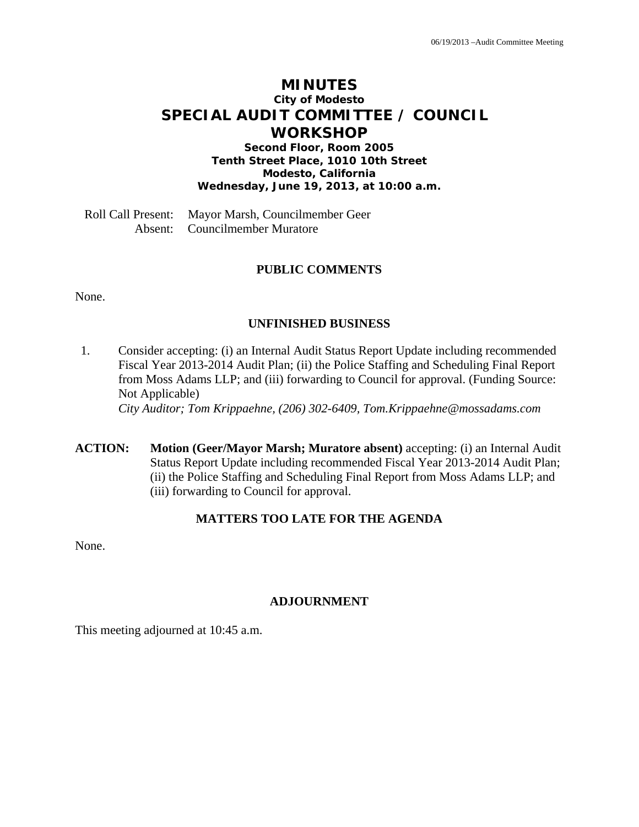# **MINUTES City of Modesto SPECIAL AUDIT COMMITTEE / COUNCIL WORKSHOP**

**Second Floor, Room 2005 Tenth Street Place, 1010 10th Street Modesto, California Wednesday, June 19, 2013, at 10:00 a.m.** 

Roll Call Present: Mayor Marsh, Councilmember Geer Absent: Councilmember Muratore

### **PUBLIC COMMENTS**

None.

#### **UNFINISHED BUSINESS**

- 1. Consider accepting: (i) an Internal Audit Status Report Update including recommended Fiscal Year 2013-2014 Audit Plan; (ii) the Police Staffing and Scheduling Final Report from Moss Adams LLP; and (iii) forwarding to Council for approval. (Funding Source: Not Applicable)  *City Auditor; Tom Krippaehne, (206) 302-6409, Tom.Krippaehne@mossadams.com*
- **ACTION: Motion (Geer/Mayor Marsh; Muratore absent)** accepting: (i) an Internal Audit Status Report Update including recommended Fiscal Year 2013-2014 Audit Plan; (ii) the Police Staffing and Scheduling Final Report from Moss Adams LLP; and (iii) forwarding to Council for approval.

#### **MATTERS TOO LATE FOR THE AGENDA**

None.

## **ADJOURNMENT**

This meeting adjourned at 10:45 a.m.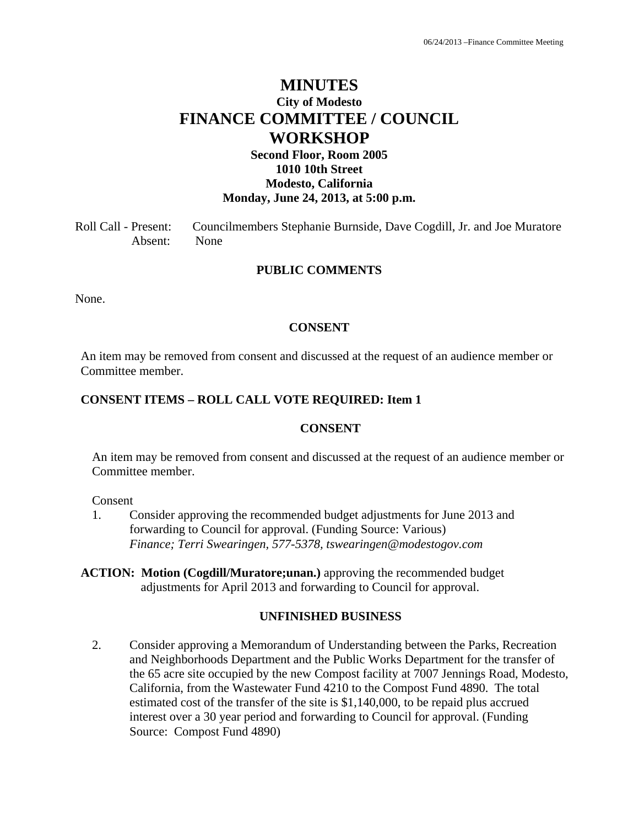# **MINUTES City of Modesto FINANCE COMMITTEE / COUNCIL WORKSHOP**

## **Second Floor, Room 2005 1010 10th Street Modesto, California Monday, June 24, 2013, at 5:00 p.m.**

Roll Call - Present: Councilmembers Stephanie Burnside, Dave Cogdill, Jr. and Joe Muratore Absent: None

#### **PUBLIC COMMENTS**

None.

#### **CONSENT**

An item may be removed from consent and discussed at the request of an audience member or Committee member.

#### **CONSENT ITEMS – ROLL CALL VOTE REQUIRED: Item 1**

#### **CONSENT**

An item may be removed from consent and discussed at the request of an audience member or Committee member.

#### Consent

- 1. Consider approving the recommended budget adjustments for June 2013 and forwarding to Council for approval. (Funding Source: Various)  *Finance; Terri Swearingen, 577-5378, tswearingen@modestogov.com*
- **ACTION: Motion (Cogdill/Muratore;unan.)** approving the recommended budget adjustments for April 2013 and forwarding to Council for approval.

#### **UNFINISHED BUSINESS**

2. Consider approving a Memorandum of Understanding between the Parks, Recreation and Neighborhoods Department and the Public Works Department for the transfer of the 65 acre site occupied by the new Compost facility at 7007 Jennings Road, Modesto, California, from the Wastewater Fund 4210 to the Compost Fund 4890. The total estimated cost of the transfer of the site is \$1,140,000, to be repaid plus accrued interest over a 30 year period and forwarding to Council for approval. (Funding Source: Compost Fund 4890)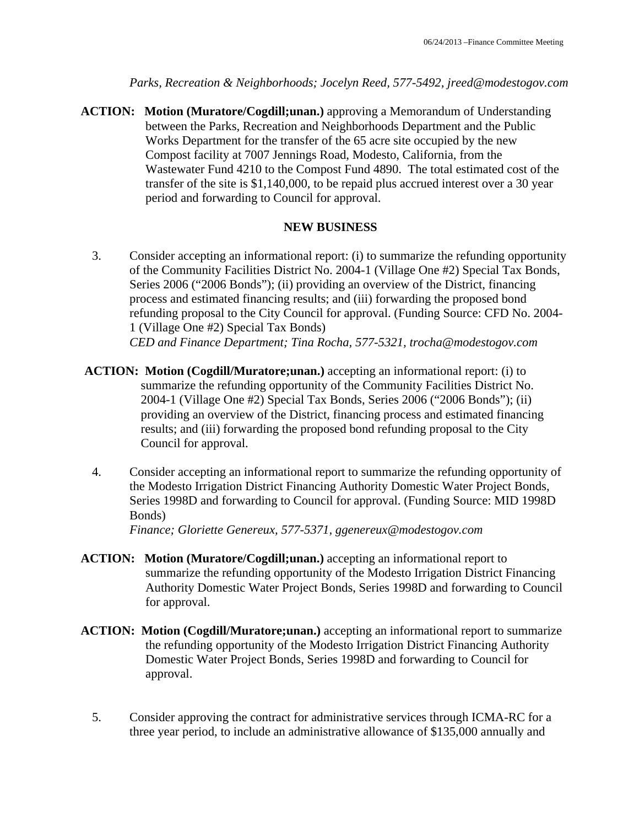*Parks, Recreation & Neighborhoods; Jocelyn Reed, 577-5492, jreed@modestogov.com* 

**ACTION: Motion (Muratore/Cogdill;unan.)** approving a Memorandum of Understanding between the Parks, Recreation and Neighborhoods Department and the Public Works Department for the transfer of the 65 acre site occupied by the new Compost facility at 7007 Jennings Road, Modesto, California, from the Wastewater Fund 4210 to the Compost Fund 4890. The total estimated cost of the transfer of the site is \$1,140,000, to be repaid plus accrued interest over a 30 year period and forwarding to Council for approval.

#### **NEW BUSINESS**

- 3. Consider accepting an informational report: (i) to summarize the refunding opportunity of the Community Facilities District No. 2004-1 (Village One #2) Special Tax Bonds, Series 2006 ("2006 Bonds"); (ii) providing an overview of the District, financing process and estimated financing results; and (iii) forwarding the proposed bond refunding proposal to the City Council for approval. (Funding Source: CFD No. 2004- 1 (Village One #2) Special Tax Bonds)  *CED and Finance Department; Tina Rocha, 577-5321, trocha@modestogov.com*
- **ACTION: Motion (Cogdill/Muratore;unan.)** accepting an informational report: (i) to summarize the refunding opportunity of the Community Facilities District No. 2004-1 (Village One #2) Special Tax Bonds, Series 2006 ("2006 Bonds"); (ii) providing an overview of the District, financing process and estimated financing results; and (iii) forwarding the proposed bond refunding proposal to the City Council for approval.
	- 4. Consider accepting an informational report to summarize the refunding opportunity of the Modesto Irrigation District Financing Authority Domestic Water Project Bonds, Series 1998D and forwarding to Council for approval. (Funding Source: MID 1998D Bonds)

 *Finance; Gloriette Genereux, 577-5371, ggenereux@modestogov.com* 

- **ACTION: Motion (Muratore/Cogdill;unan.)** accepting an informational report to summarize the refunding opportunity of the Modesto Irrigation District Financing Authority Domestic Water Project Bonds, Series 1998D and forwarding to Council for approval.
- **ACTION: Motion (Cogdill/Muratore;unan.)** accepting an informational report to summarize the refunding opportunity of the Modesto Irrigation District Financing Authority Domestic Water Project Bonds, Series 1998D and forwarding to Council for approval.
	- 5. Consider approving the contract for administrative services through ICMA-RC for a three year period, to include an administrative allowance of \$135,000 annually and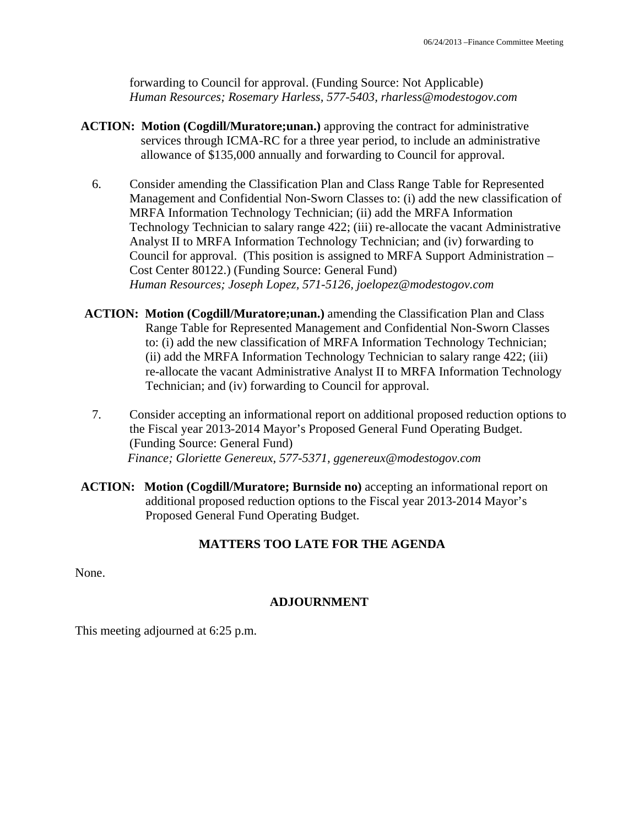forwarding to Council for approval. (Funding Source: Not Applicable)  *Human Resources; Rosemary Harless, 577-5403, rharless@modestogov.com* 

- **ACTION: Motion (Cogdill/Muratore;unan.)** approving the contract for administrative services through ICMA-RC for a three year period, to include an administrative allowance of \$135,000 annually and forwarding to Council for approval.
	- 6. Consider amending the Classification Plan and Class Range Table for Represented Management and Confidential Non-Sworn Classes to: (i) add the new classification of MRFA Information Technology Technician; (ii) add the MRFA Information Technology Technician to salary range 422; (iii) re-allocate the vacant Administrative Analyst II to MRFA Information Technology Technician; and (iv) forwarding to Council for approval. (This position is assigned to MRFA Support Administration – Cost Center 80122.) (Funding Source: General Fund)  *Human Resources; Joseph Lopez, 571-5126, joelopez@modestogov.com*
- **ACTION: Motion (Cogdill/Muratore;unan.)** amending the Classification Plan and Class Range Table for Represented Management and Confidential Non-Sworn Classes to: (i) add the new classification of MRFA Information Technology Technician; (ii) add the MRFA Information Technology Technician to salary range 422; (iii) re-allocate the vacant Administrative Analyst II to MRFA Information Technology Technician; and (iv) forwarding to Council for approval.
	- 7. Consider accepting an informational report on additional proposed reduction options to the Fiscal year 2013-2014 Mayor's Proposed General Fund Operating Budget. (Funding Source: General Fund)  *Finance; Gloriette Genereux, 577-5371, ggenereux@modestogov.com*
- **ACTION: Motion (Cogdill/Muratore; Burnside no)** accepting an informational report on additional proposed reduction options to the Fiscal year 2013-2014 Mayor's Proposed General Fund Operating Budget.

## **MATTERS TOO LATE FOR THE AGENDA**

None.

#### **ADJOURNMENT**

This meeting adjourned at 6:25 p.m.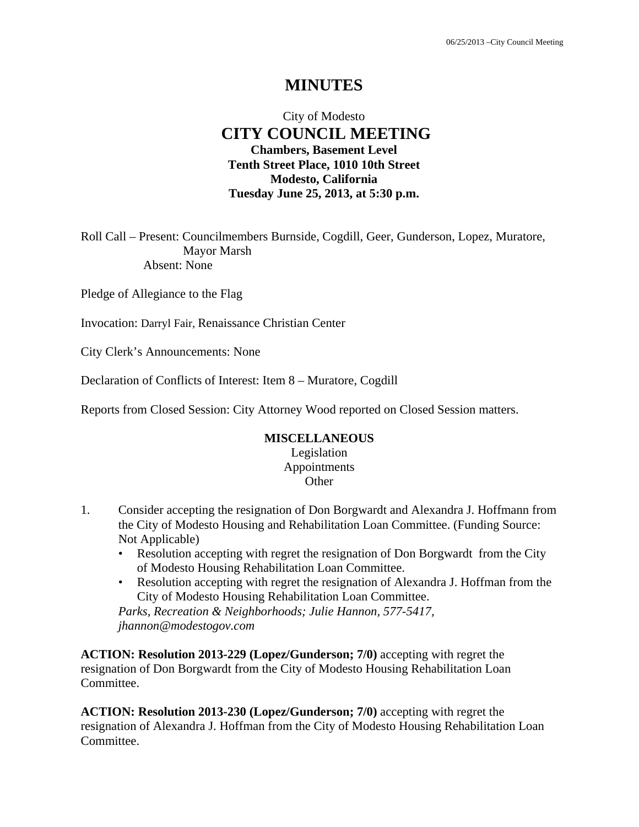# **MINUTES**

## City of Modesto  **CITY COUNCIL MEETING Chambers, Basement Level Tenth Street Place, 1010 10th Street Modesto, California Tuesday June 25, 2013, at 5:30 p.m.**

Roll Call – Present: Councilmembers Burnside, Cogdill, Geer, Gunderson, Lopez, Muratore, Mayor Marsh Absent: None

Pledge of Allegiance to the Flag

Invocation: Darryl Fair, Renaissance Christian Center

City Clerk's Announcements: None

Declaration of Conflicts of Interest: Item 8 – Muratore, Cogdill

Reports from Closed Session: City Attorney Wood reported on Closed Session matters.

#### **MISCELLANEOUS**

Legislation Appointments **Other** 

- 1. Consider accepting the resignation of Don Borgwardt and Alexandra J. Hoffmann from the City of Modesto Housing and Rehabilitation Loan Committee. (Funding Source: Not Applicable)
	- Resolution accepting with regret the resignation of Don Borgwardt from the City of Modesto Housing Rehabilitation Loan Committee.
	- Resolution accepting with regret the resignation of Alexandra J. Hoffman from the City of Modesto Housing Rehabilitation Loan Committee.

*Parks, Recreation & Neighborhoods; Julie Hannon, 577-5417, jhannon@modestogov.com* 

**ACTION: Resolution 2013-229 (Lopez/Gunderson; 7/0)** accepting with regret the resignation of Don Borgwardt from the City of Modesto Housing Rehabilitation Loan Committee.

**ACTION: Resolution 2013-230 (Lopez/Gunderson; 7/0)** accepting with regret the resignation of Alexandra J. Hoffman from the City of Modesto Housing Rehabilitation Loan Committee.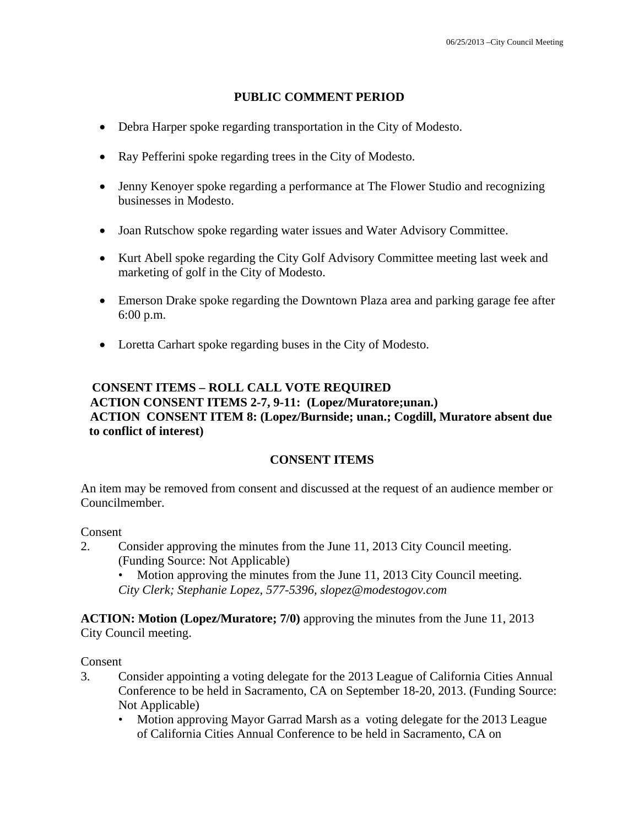## **PUBLIC COMMENT PERIOD**

- Debra Harper spoke regarding transportation in the City of Modesto.
- Ray Pefferini spoke regarding trees in the City of Modesto.
- Jenny Kenoyer spoke regarding a performance at The Flower Studio and recognizing businesses in Modesto.
- Joan Rutschow spoke regarding water issues and Water Advisory Committee.
- Kurt Abell spoke regarding the City Golf Advisory Committee meeting last week and marketing of golf in the City of Modesto.
- Emerson Drake spoke regarding the Downtown Plaza area and parking garage fee after 6:00 p.m.
- Loretta Carhart spoke regarding buses in the City of Modesto.

## **CONSENT ITEMS – ROLL CALL VOTE REQUIRED ACTION CONSENT ITEMS 2-7, 9-11: (Lopez/Muratore;unan.) ACTION CONSENT ITEM 8: (Lopez/Burnside; unan.; Cogdill, Muratore absent due to conflict of interest)**

## **CONSENT ITEMS**

An item may be removed from consent and discussed at the request of an audience member or Councilmember.

#### Consent

- 2. Consider approving the minutes from the June 11, 2013 City Council meeting. (Funding Source: Not Applicable)
	- Motion approving the minutes from the June 11, 2013 City Council meeting. *City Clerk; Stephanie Lopez, 577-5396, slopez@modestogov.com*

**ACTION: Motion (Lopez/Muratore; 7/0)** approving the minutes from the June 11, 2013 City Council meeting.

- 3. Consider appointing a voting delegate for the 2013 League of California Cities Annual Conference to be held in Sacramento, CA on September 18-20, 2013. (Funding Source: Not Applicable)
	- Motion approving Mayor Garrad Marsh as a voting delegate for the 2013 League of California Cities Annual Conference to be held in Sacramento, CA on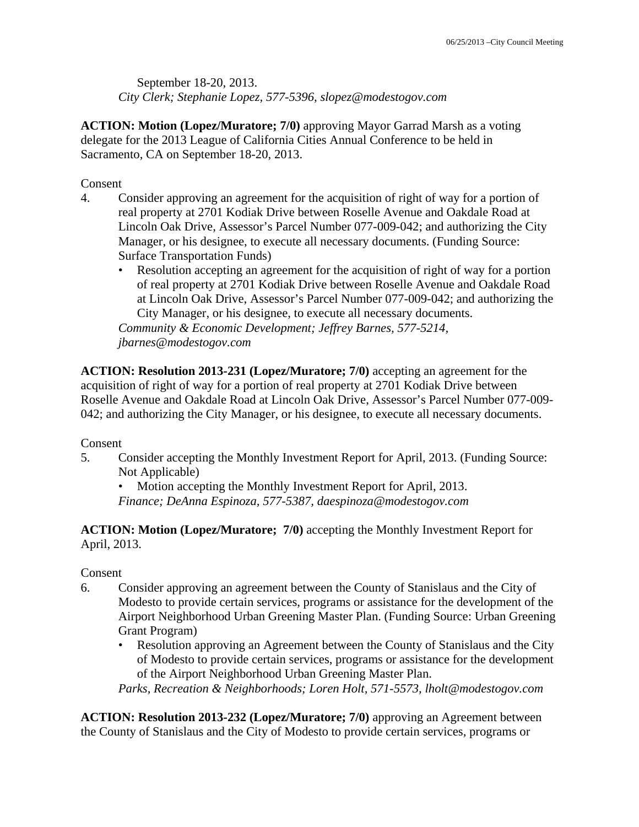September 18-20, 2013. *City Clerk; Stephanie Lopez, 577-5396, slopez@modestogov.com* 

**ACTION: Motion (Lopez/Muratore; 7/0)** approving Mayor Garrad Marsh as a voting delegate for the 2013 League of California Cities Annual Conference to be held in Sacramento, CA on September 18-20, 2013.

## Consent

- 4. Consider approving an agreement for the acquisition of right of way for a portion of real property at 2701 Kodiak Drive between Roselle Avenue and Oakdale Road at Lincoln Oak Drive, Assessor's Parcel Number 077-009-042; and authorizing the City Manager, or his designee, to execute all necessary documents. (Funding Source: Surface Transportation Funds)
	- Resolution accepting an agreement for the acquisition of right of way for a portion of real property at 2701 Kodiak Drive between Roselle Avenue and Oakdale Road at Lincoln Oak Drive, Assessor's Parcel Number 077-009-042; and authorizing the City Manager, or his designee, to execute all necessary documents.

*Community & Economic Development; Jeffrey Barnes, 577-5214, jbarnes@modestogov.com* 

**ACTION: Resolution 2013-231 (Lopez/Muratore; 7/0)** accepting an agreement for the acquisition of right of way for a portion of real property at 2701 Kodiak Drive between Roselle Avenue and Oakdale Road at Lincoln Oak Drive, Assessor's Parcel Number 077-009- 042; and authorizing the City Manager, or his designee, to execute all necessary documents.

#### Consent

5. Consider accepting the Monthly Investment Report for April, 2013. (Funding Source: Not Applicable)

• Motion accepting the Monthly Investment Report for April, 2013.

*Finance; DeAnna Espinoza, 577-5387, daespinoza@modestogov.com* 

**ACTION: Motion (Lopez/Muratore; 7/0)** accepting the Monthly Investment Report for April, 2013.

#### Consent

- 6. Consider approving an agreement between the County of Stanislaus and the City of Modesto to provide certain services, programs or assistance for the development of the Airport Neighborhood Urban Greening Master Plan. (Funding Source: Urban Greening Grant Program)
	- Resolution approving an Agreement between the County of Stanislaus and the City of Modesto to provide certain services, programs or assistance for the development of the Airport Neighborhood Urban Greening Master Plan.

*Parks, Recreation & Neighborhoods; Loren Holt, 571-5573, lholt@modestogov.com* 

**ACTION: Resolution 2013-232 (Lopez/Muratore; 7/0)** approving an Agreement between the County of Stanislaus and the City of Modesto to provide certain services, programs or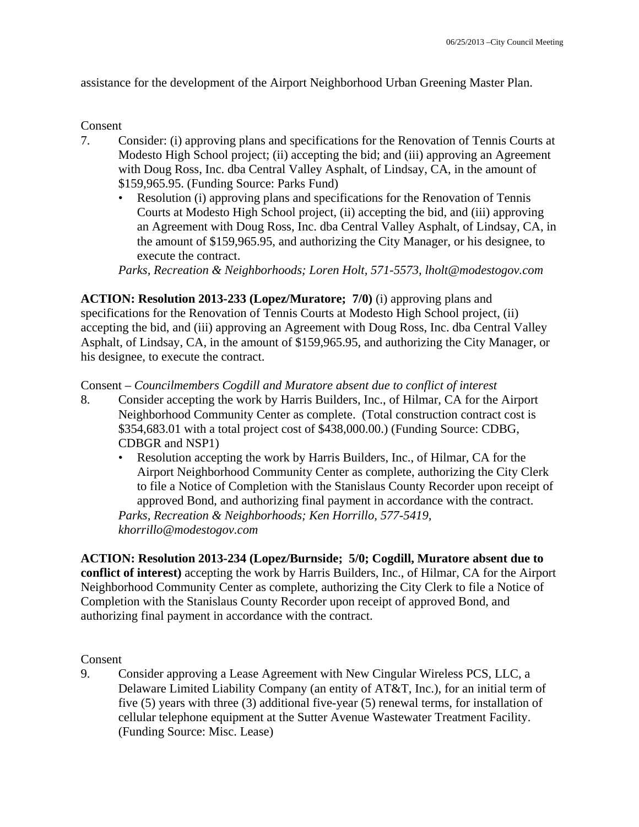assistance for the development of the Airport Neighborhood Urban Greening Master Plan.

### Consent

- 7. Consider: (i) approving plans and specifications for the Renovation of Tennis Courts at Modesto High School project; (ii) accepting the bid; and (iii) approving an Agreement with Doug Ross, Inc. dba Central Valley Asphalt, of Lindsay, CA, in the amount of \$159,965.95. (Funding Source: Parks Fund)
	- Resolution (i) approving plans and specifications for the Renovation of Tennis Courts at Modesto High School project, (ii) accepting the bid, and (iii) approving an Agreement with Doug Ross, Inc. dba Central Valley Asphalt, of Lindsay, CA, in the amount of \$159,965.95, and authorizing the City Manager, or his designee, to execute the contract.

*Parks, Recreation & Neighborhoods; Loren Holt, 571-5573, lholt@modestogov.com* 

**ACTION: Resolution 2013-233 (Lopez/Muratore; 7/0)** (i) approving plans and specifications for the Renovation of Tennis Courts at Modesto High School project, (ii) accepting the bid, and (iii) approving an Agreement with Doug Ross, Inc. dba Central Valley Asphalt, of Lindsay, CA, in the amount of \$159,965.95, and authorizing the City Manager, or his designee, to execute the contract.

Consent – *Councilmembers Cogdill and Muratore absent due to conflict of interest* 

- 8. Consider accepting the work by Harris Builders, Inc., of Hilmar, CA for the Airport Neighborhood Community Center as complete. (Total construction contract cost is \$354,683.01 with a total project cost of \$438,000.00.) (Funding Source: CDBG, CDBGR and NSP1)
	- Resolution accepting the work by Harris Builders, Inc., of Hilmar, CA for the Airport Neighborhood Community Center as complete, authorizing the City Clerk to file a Notice of Completion with the Stanislaus County Recorder upon receipt of approved Bond, and authorizing final payment in accordance with the contract.

*Parks, Recreation & Neighborhoods; Ken Horrillo, 577-5419, khorrillo@modestogov.com* 

**ACTION: Resolution 2013-234 (Lopez/Burnside; 5/0; Cogdill, Muratore absent due to conflict of interest)** accepting the work by Harris Builders, Inc., of Hilmar, CA for the Airport Neighborhood Community Center as complete, authorizing the City Clerk to file a Notice of Completion with the Stanislaus County Recorder upon receipt of approved Bond, and authorizing final payment in accordance with the contract.

#### Consent

9. Consider approving a Lease Agreement with New Cingular Wireless PCS, LLC, a Delaware Limited Liability Company (an entity of AT&T, Inc.), for an initial term of five (5) years with three (3) additional five-year (5) renewal terms, for installation of cellular telephone equipment at the Sutter Avenue Wastewater Treatment Facility. (Funding Source: Misc. Lease)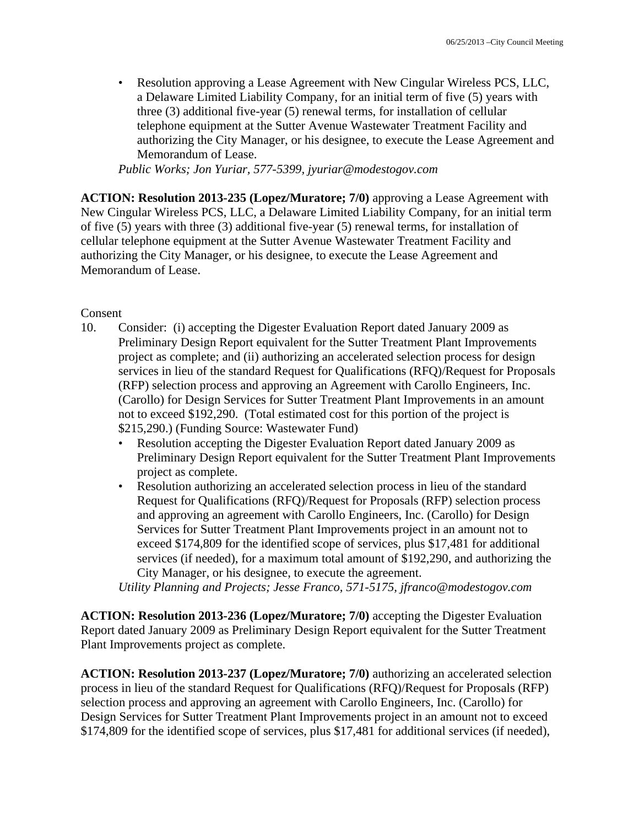• Resolution approving a Lease Agreement with New Cingular Wireless PCS, LLC, a Delaware Limited Liability Company, for an initial term of five (5) years with three (3) additional five-year (5) renewal terms, for installation of cellular telephone equipment at the Sutter Avenue Wastewater Treatment Facility and authorizing the City Manager, or his designee, to execute the Lease Agreement and Memorandum of Lease.

*Public Works; Jon Yuriar, 577-5399, jyuriar@modestogov.com* 

**ACTION: Resolution 2013-235 (Lopez/Muratore; 7/0)** approving a Lease Agreement with New Cingular Wireless PCS, LLC, a Delaware Limited Liability Company, for an initial term of five (5) years with three (3) additional five-year (5) renewal terms, for installation of cellular telephone equipment at the Sutter Avenue Wastewater Treatment Facility and authorizing the City Manager, or his designee, to execute the Lease Agreement and Memorandum of Lease.

#### Consent

- 10. Consider: (i) accepting the Digester Evaluation Report dated January 2009 as Preliminary Design Report equivalent for the Sutter Treatment Plant Improvements project as complete; and (ii) authorizing an accelerated selection process for design services in lieu of the standard Request for Qualifications (RFQ)/Request for Proposals (RFP) selection process and approving an Agreement with Carollo Engineers, Inc. (Carollo) for Design Services for Sutter Treatment Plant Improvements in an amount not to exceed \$192,290. (Total estimated cost for this portion of the project is \$215,290.) (Funding Source: Wastewater Fund)
	- Resolution accepting the Digester Evaluation Report dated January 2009 as Preliminary Design Report equivalent for the Sutter Treatment Plant Improvements project as complete.
	- Resolution authorizing an accelerated selection process in lieu of the standard Request for Qualifications (RFQ)/Request for Proposals (RFP) selection process and approving an agreement with Carollo Engineers, Inc. (Carollo) for Design Services for Sutter Treatment Plant Improvements project in an amount not to exceed \$174,809 for the identified scope of services, plus \$17,481 for additional services (if needed), for a maximum total amount of \$192,290, and authorizing the City Manager, or his designee, to execute the agreement.

*Utility Planning and Projects; Jesse Franco, 571-5175, jfranco@modestogov.com* 

**ACTION: Resolution 2013-236 (Lopez/Muratore; 7/0)** accepting the Digester Evaluation Report dated January 2009 as Preliminary Design Report equivalent for the Sutter Treatment Plant Improvements project as complete.

**ACTION: Resolution 2013-237 (Lopez/Muratore; 7/0)** authorizing an accelerated selection process in lieu of the standard Request for Qualifications (RFQ)/Request for Proposals (RFP) selection process and approving an agreement with Carollo Engineers, Inc. (Carollo) for Design Services for Sutter Treatment Plant Improvements project in an amount not to exceed \$174,809 for the identified scope of services, plus \$17,481 for additional services (if needed),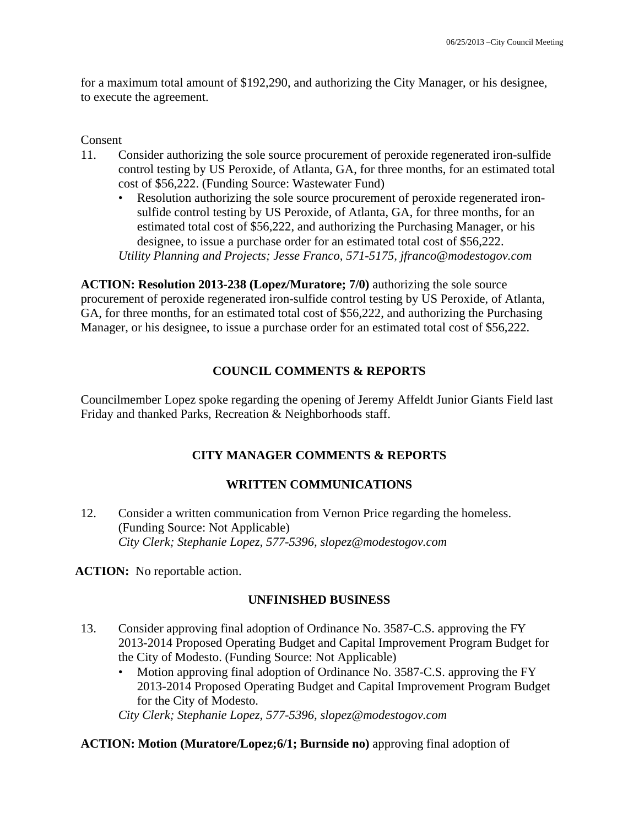for a maximum total amount of \$192,290, and authorizing the City Manager, or his designee, to execute the agreement.

#### Consent

- 11. Consider authorizing the sole source procurement of peroxide regenerated iron-sulfide control testing by US Peroxide, of Atlanta, GA, for three months, for an estimated total cost of \$56,222. (Funding Source: Wastewater Fund)
	- Resolution authorizing the sole source procurement of peroxide regenerated ironsulfide control testing by US Peroxide, of Atlanta, GA, for three months, for an estimated total cost of \$56,222, and authorizing the Purchasing Manager, or his designee, to issue a purchase order for an estimated total cost of \$56,222. *Utility Planning and Projects; Jesse Franco, 571-5175, jfranco@modestogov.com*

**ACTION: Resolution 2013-238 (Lopez/Muratore; 7/0)** authorizing the sole source procurement of peroxide regenerated iron-sulfide control testing by US Peroxide, of Atlanta, GA, for three months, for an estimated total cost of \$56,222, and authorizing the Purchasing Manager, or his designee, to issue a purchase order for an estimated total cost of \$56,222.

## **COUNCIL COMMENTS & REPORTS**

Councilmember Lopez spoke regarding the opening of Jeremy Affeldt Junior Giants Field last Friday and thanked Parks, Recreation & Neighborhoods staff.

## **CITY MANAGER COMMENTS & REPORTS**

## **WRITTEN COMMUNICATIONS**

12. Consider a written communication from Vernon Price regarding the homeless. (Funding Source: Not Applicable)  *City Clerk; Stephanie Lopez, 577-5396, slopez@modestogov.com* 

**ACTION:** No reportable action.

## **UNFINISHED BUSINESS**

- 13. Consider approving final adoption of Ordinance No. 3587-C.S. approving the FY 2013-2014 Proposed Operating Budget and Capital Improvement Program Budget for the City of Modesto. (Funding Source: Not Applicable)
	- Motion approving final adoption of Ordinance No. 3587-C.S. approving the FY 2013-2014 Proposed Operating Budget and Capital Improvement Program Budget for the City of Modesto.

*City Clerk; Stephanie Lopez, 577-5396, slopez@modestogov.com* 

## **ACTION: Motion (Muratore/Lopez;6/1; Burnside no)** approving final adoption of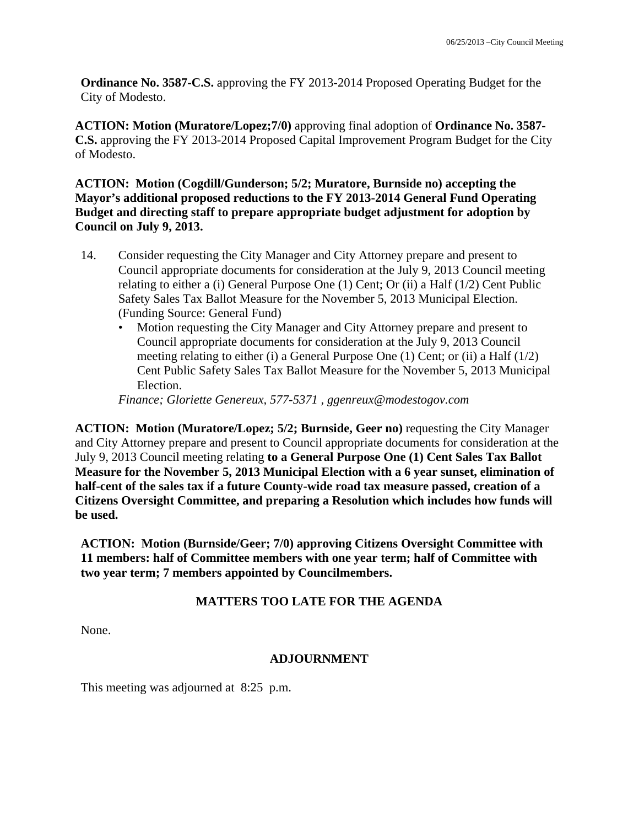**Ordinance No. 3587-C.S.** approving the FY 2013-2014 Proposed Operating Budget for the City of Modesto.

**ACTION: Motion (Muratore/Lopez;7/0)** approving final adoption of **Ordinance No. 3587- C.S.** approving the FY 2013-2014 Proposed Capital Improvement Program Budget for the City of Modesto.

**ACTION: Motion (Cogdill/Gunderson; 5/2; Muratore, Burnside no) accepting the Mayor's additional proposed reductions to the FY 2013-2014 General Fund Operating Budget and directing staff to prepare appropriate budget adjustment for adoption by Council on July 9, 2013.** 

- 14. Consider requesting the City Manager and City Attorney prepare and present to Council appropriate documents for consideration at the July 9, 2013 Council meeting relating to either a (i) General Purpose One (1) Cent; Or (ii) a Half (1/2) Cent Public Safety Sales Tax Ballot Measure for the November 5, 2013 Municipal Election. (Funding Source: General Fund)
	- Motion requesting the City Manager and City Attorney prepare and present to Council appropriate documents for consideration at the July 9, 2013 Council meeting relating to either (i) a General Purpose One (1) Cent; or (ii) a Half (1/2) Cent Public Safety Sales Tax Ballot Measure for the November 5, 2013 Municipal Election.

*Finance; Gloriette Genereux, 577-5371 , ggenreux@modestogov.com* 

**ACTION: Motion (Muratore/Lopez; 5/2; Burnside, Geer no)** requesting the City Manager and City Attorney prepare and present to Council appropriate documents for consideration at the July 9, 2013 Council meeting relating **to a General Purpose One (1) Cent Sales Tax Ballot Measure for the November 5, 2013 Municipal Election with a 6 year sunset, elimination of half-cent of the sales tax if a future County-wide road tax measure passed, creation of a Citizens Oversight Committee, and preparing a Resolution which includes how funds will be used.** 

**ACTION: Motion (Burnside/Geer; 7/0) approving Citizens Oversight Committee with 11 members: half of Committee members with one year term; half of Committee with two year term; 7 members appointed by Councilmembers.** 

## **MATTERS TOO LATE FOR THE AGENDA**

None.

#### **ADJOURNMENT**

This meeting was adjourned at 8:25 p.m.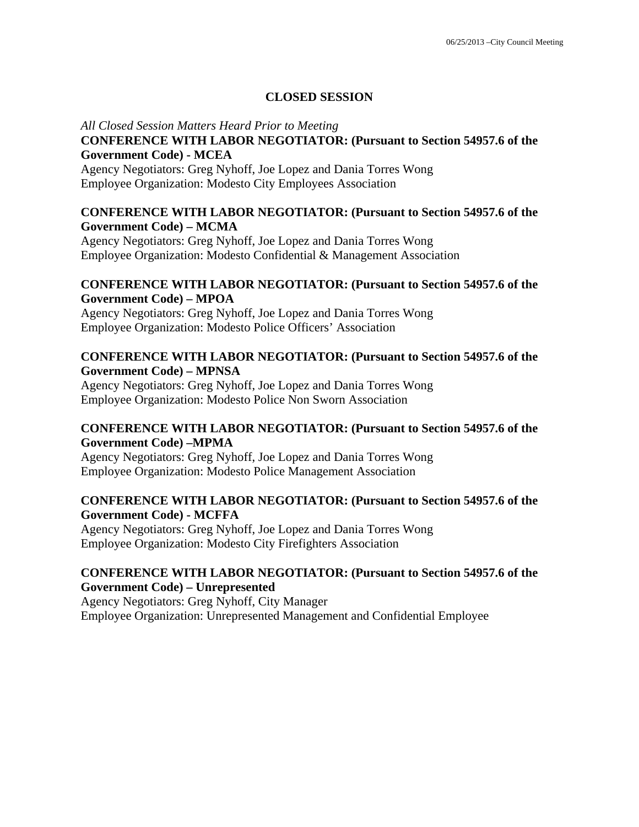## **CLOSED SESSION**

#### *All Closed Session Matters Heard Prior to Meeting*  **CONFERENCE WITH LABOR NEGOTIATOR: (Pursuant to Section 54957.6 of the Government Code) - MCEA**

Agency Negotiators: Greg Nyhoff, Joe Lopez and Dania Torres Wong Employee Organization: Modesto City Employees Association

## **CONFERENCE WITH LABOR NEGOTIATOR: (Pursuant to Section 54957.6 of the Government Code) – MCMA**

Agency Negotiators: Greg Nyhoff, Joe Lopez and Dania Torres Wong Employee Organization: Modesto Confidential & Management Association

### **CONFERENCE WITH LABOR NEGOTIATOR: (Pursuant to Section 54957.6 of the Government Code) – MPOA**

Agency Negotiators: Greg Nyhoff, Joe Lopez and Dania Torres Wong Employee Organization: Modesto Police Officers' Association

## **CONFERENCE WITH LABOR NEGOTIATOR: (Pursuant to Section 54957.6 of the Government Code) – MPNSA**

Agency Negotiators: Greg Nyhoff, Joe Lopez and Dania Torres Wong Employee Organization: Modesto Police Non Sworn Association

## **CONFERENCE WITH LABOR NEGOTIATOR: (Pursuant to Section 54957.6 of the Government Code) –MPMA**

Agency Negotiators: Greg Nyhoff, Joe Lopez and Dania Torres Wong Employee Organization: Modesto Police Management Association

## **CONFERENCE WITH LABOR NEGOTIATOR: (Pursuant to Section 54957.6 of the Government Code) - MCFFA**

Agency Negotiators: Greg Nyhoff, Joe Lopez and Dania Torres Wong Employee Organization: Modesto City Firefighters Association

## **CONFERENCE WITH LABOR NEGOTIATOR: (Pursuant to Section 54957.6 of the Government Code) – Unrepresented**

Agency Negotiators: Greg Nyhoff, City Manager Employee Organization: Unrepresented Management and Confidential Employee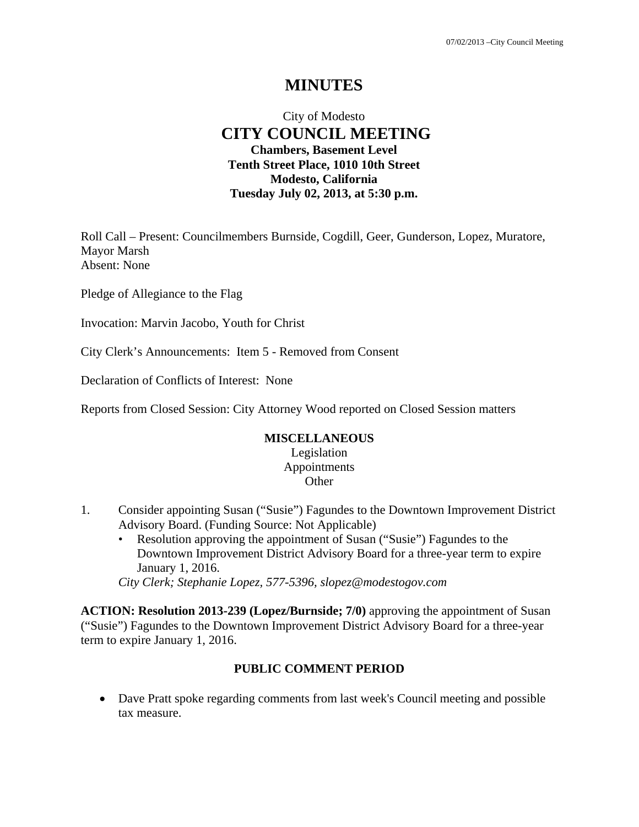# **MINUTES**

## City of Modesto  **CITY COUNCIL MEETING Chambers, Basement Level Tenth Street Place, 1010 10th Street Modesto, California Tuesday July 02, 2013, at 5:30 p.m.**

Roll Call – Present: Councilmembers Burnside, Cogdill, Geer, Gunderson, Lopez, Muratore, Mayor Marsh Absent: None

Pledge of Allegiance to the Flag

Invocation: Marvin Jacobo, Youth for Christ

City Clerk's Announcements: Item 5 - Removed from Consent

Declaration of Conflicts of Interest: None

Reports from Closed Session: City Attorney Wood reported on Closed Session matters

#### **MISCELLANEOUS**

Legislation Appointments **Other** 

- 1. Consider appointing Susan ("Susie") Fagundes to the Downtown Improvement District Advisory Board. (Funding Source: Not Applicable)
	- Resolution approving the appointment of Susan ("Susie") Fagundes to the Downtown Improvement District Advisory Board for a three-year term to expire January 1, 2016.

*City Clerk; Stephanie Lopez, 577-5396, slopez@modestogov.com* 

**ACTION: Resolution 2013-239 (Lopez/Burnside; 7/0)** approving the appointment of Susan ("Susie") Fagundes to the Downtown Improvement District Advisory Board for a three-year term to expire January 1, 2016.

#### **PUBLIC COMMENT PERIOD**

 Dave Pratt spoke regarding comments from last week's Council meeting and possible tax measure.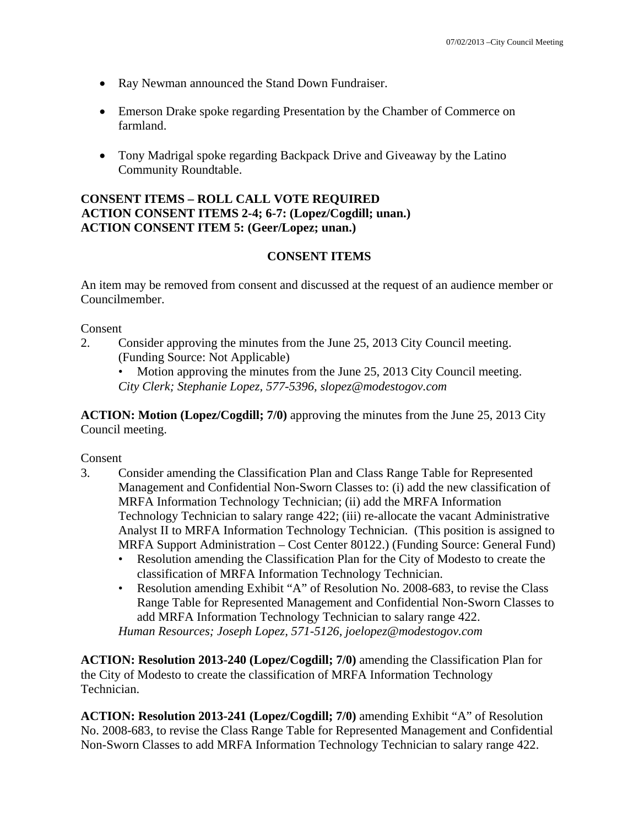- Ray Newman announced the Stand Down Fundraiser.
- Emerson Drake spoke regarding Presentation by the Chamber of Commerce on farmland.
- Tony Madrigal spoke regarding Backpack Drive and Giveaway by the Latino Community Roundtable.

## **CONSENT ITEMS – ROLL CALL VOTE REQUIRED ACTION CONSENT ITEMS 2-4; 6-7: (Lopez/Cogdill; unan.) ACTION CONSENT ITEM 5: (Geer/Lopez; unan.)**

### **CONSENT ITEMS**

An item may be removed from consent and discussed at the request of an audience member or Councilmember.

Consent

2. Consider approving the minutes from the June 25, 2013 City Council meeting. (Funding Source: Not Applicable)

Motion approving the minutes from the June 25, 2013 City Council meeting. *City Clerk; Stephanie Lopez, 577-5396, slopez@modestogov.com* 

**ACTION: Motion (Lopez/Cogdill; 7/0)** approving the minutes from the June 25, 2013 City Council meeting.

Consent

- 3. Consider amending the Classification Plan and Class Range Table for Represented Management and Confidential Non-Sworn Classes to: (i) add the new classification of MRFA Information Technology Technician; (ii) add the MRFA Information Technology Technician to salary range 422; (iii) re-allocate the vacant Administrative Analyst II to MRFA Information Technology Technician. (This position is assigned to MRFA Support Administration – Cost Center 80122.) (Funding Source: General Fund)
	- Resolution amending the Classification Plan for the City of Modesto to create the classification of MRFA Information Technology Technician.
	- Resolution amending Exhibit "A" of Resolution No. 2008-683, to revise the Class Range Table for Represented Management and Confidential Non-Sworn Classes to add MRFA Information Technology Technician to salary range 422. *Human Resources; Joseph Lopez, 571-5126, joelopez@modestogov.com*

**ACTION: Resolution 2013-240 (Lopez/Cogdill; 7/0)** amending the Classification Plan for the City of Modesto to create the classification of MRFA Information Technology Technician.

**ACTION: Resolution 2013-241 (Lopez/Cogdill; 7/0)** amending Exhibit "A" of Resolution No. 2008-683, to revise the Class Range Table for Represented Management and Confidential Non-Sworn Classes to add MRFA Information Technology Technician to salary range 422.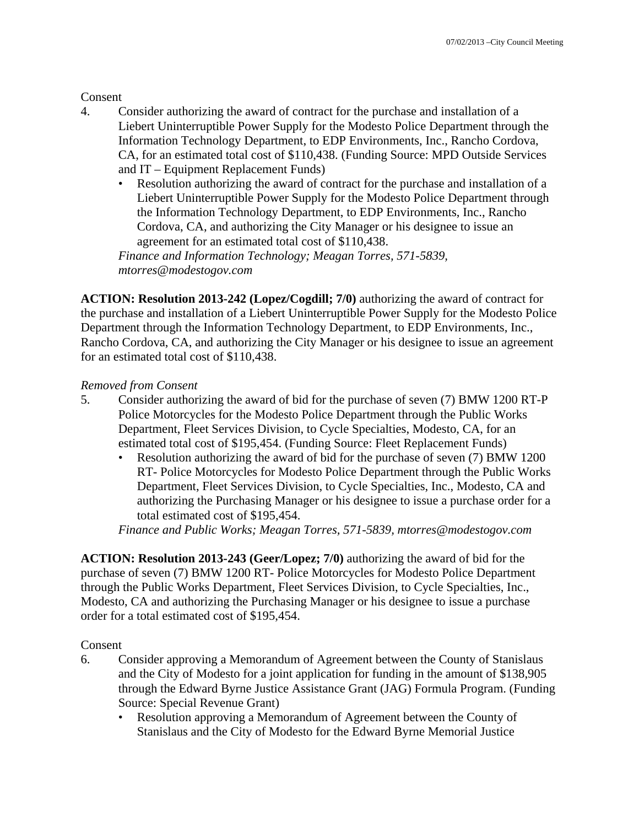### **Consent**

- 4. Consider authorizing the award of contract for the purchase and installation of a Liebert Uninterruptible Power Supply for the Modesto Police Department through the Information Technology Department, to EDP Environments, Inc., Rancho Cordova, CA, for an estimated total cost of \$110,438. (Funding Source: MPD Outside Services and IT – Equipment Replacement Funds)
	- Resolution authorizing the award of contract for the purchase and installation of a Liebert Uninterruptible Power Supply for the Modesto Police Department through the Information Technology Department, to EDP Environments, Inc., Rancho Cordova, CA, and authorizing the City Manager or his designee to issue an agreement for an estimated total cost of \$110,438.

*Finance and Information Technology; Meagan Torres, 571-5839, mtorres@modestogov.com* 

**ACTION: Resolution 2013-242 (Lopez/Cogdill; 7/0)** authorizing the award of contract for the purchase and installation of a Liebert Uninterruptible Power Supply for the Modesto Police Department through the Information Technology Department, to EDP Environments, Inc., Rancho Cordova, CA, and authorizing the City Manager or his designee to issue an agreement for an estimated total cost of \$110,438.

### *Removed from Consent*

- 5. Consider authorizing the award of bid for the purchase of seven (7) BMW 1200 RT-P Police Motorcycles for the Modesto Police Department through the Public Works Department, Fleet Services Division, to Cycle Specialties, Modesto, CA, for an estimated total cost of \$195,454. (Funding Source: Fleet Replacement Funds)
	- Resolution authorizing the award of bid for the purchase of seven (7) BMW 1200 RT- Police Motorcycles for Modesto Police Department through the Public Works Department, Fleet Services Division, to Cycle Specialties, Inc., Modesto, CA and authorizing the Purchasing Manager or his designee to issue a purchase order for a total estimated cost of \$195,454.

*Finance and Public Works; Meagan Torres, 571-5839, mtorres@modestogov.com* 

**ACTION: Resolution 2013-243 (Geer/Lopez; 7/0)** authorizing the award of bid for the purchase of seven (7) BMW 1200 RT- Police Motorcycles for Modesto Police Department through the Public Works Department, Fleet Services Division, to Cycle Specialties, Inc., Modesto, CA and authorizing the Purchasing Manager or his designee to issue a purchase order for a total estimated cost of \$195,454.

- 6. Consider approving a Memorandum of Agreement between the County of Stanislaus and the City of Modesto for a joint application for funding in the amount of \$138,905 through the Edward Byrne Justice Assistance Grant (JAG) Formula Program. (Funding Source: Special Revenue Grant)
	- Resolution approving a Memorandum of Agreement between the County of Stanislaus and the City of Modesto for the Edward Byrne Memorial Justice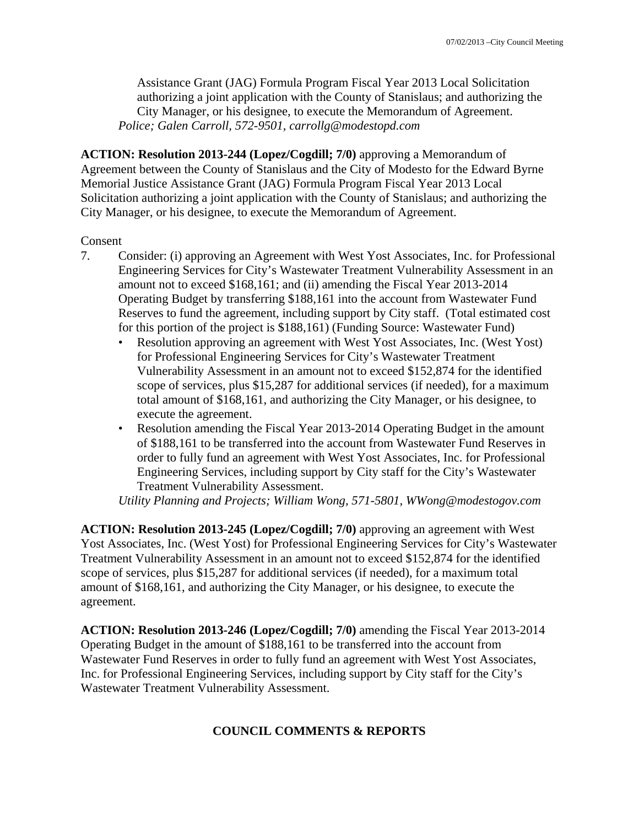Assistance Grant (JAG) Formula Program Fiscal Year 2013 Local Solicitation authorizing a joint application with the County of Stanislaus; and authorizing the City Manager, or his designee, to execute the Memorandum of Agreement. *Police; Galen Carroll, 572-9501, carrollg@modestopd.com* 

**ACTION: Resolution 2013-244 (Lopez/Cogdill; 7/0)** approving a Memorandum of Agreement between the County of Stanislaus and the City of Modesto for the Edward Byrne Memorial Justice Assistance Grant (JAG) Formula Program Fiscal Year 2013 Local Solicitation authorizing a joint application with the County of Stanislaus; and authorizing the City Manager, or his designee, to execute the Memorandum of Agreement.

#### Consent

- 7. Consider: (i) approving an Agreement with West Yost Associates, Inc. for Professional Engineering Services for City's Wastewater Treatment Vulnerability Assessment in an amount not to exceed \$168,161; and (ii) amending the Fiscal Year 2013-2014 Operating Budget by transferring \$188,161 into the account from Wastewater Fund Reserves to fund the agreement, including support by City staff. (Total estimated cost for this portion of the project is \$188,161) (Funding Source: Wastewater Fund)
	- Resolution approving an agreement with West Yost Associates, Inc. (West Yost) for Professional Engineering Services for City's Wastewater Treatment Vulnerability Assessment in an amount not to exceed \$152,874 for the identified scope of services, plus \$15,287 for additional services (if needed), for a maximum total amount of \$168,161, and authorizing the City Manager, or his designee, to execute the agreement.
	- Resolution amending the Fiscal Year 2013-2014 Operating Budget in the amount of \$188,161 to be transferred into the account from Wastewater Fund Reserves in order to fully fund an agreement with West Yost Associates, Inc. for Professional Engineering Services, including support by City staff for the City's Wastewater Treatment Vulnerability Assessment.

*Utility Planning and Projects; William Wong, 571-5801, WWong@modestogov.com* 

**ACTION: Resolution 2013-245 (Lopez/Cogdill; 7/0)** approving an agreement with West Yost Associates, Inc. (West Yost) for Professional Engineering Services for City's Wastewater Treatment Vulnerability Assessment in an amount not to exceed \$152,874 for the identified scope of services, plus \$15,287 for additional services (if needed), for a maximum total amount of \$168,161, and authorizing the City Manager, or his designee, to execute the agreement.

**ACTION: Resolution 2013-246 (Lopez/Cogdill; 7/0)** amending the Fiscal Year 2013-2014 Operating Budget in the amount of \$188,161 to be transferred into the account from Wastewater Fund Reserves in order to fully fund an agreement with West Yost Associates, Inc. for Professional Engineering Services, including support by City staff for the City's Wastewater Treatment Vulnerability Assessment.

## **COUNCIL COMMENTS & REPORTS**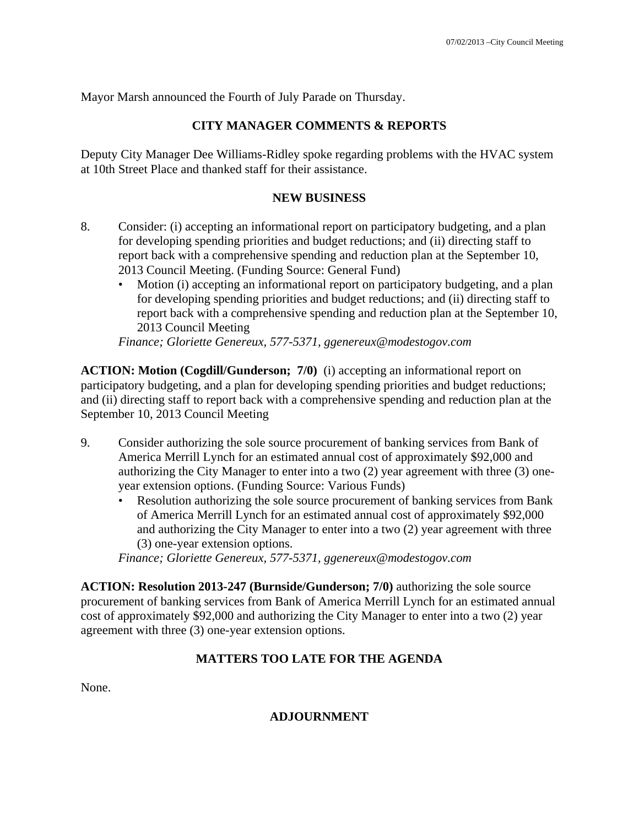Mayor Marsh announced the Fourth of July Parade on Thursday.

## **CITY MANAGER COMMENTS & REPORTS**

Deputy City Manager Dee Williams-Ridley spoke regarding problems with the HVAC system at 10th Street Place and thanked staff for their assistance.

### **NEW BUSINESS**

- 8. Consider: (i) accepting an informational report on participatory budgeting, and a plan for developing spending priorities and budget reductions; and (ii) directing staff to report back with a comprehensive spending and reduction plan at the September 10, 2013 Council Meeting. (Funding Source: General Fund)
	- Motion (i) accepting an informational report on participatory budgeting, and a plan for developing spending priorities and budget reductions; and (ii) directing staff to report back with a comprehensive spending and reduction plan at the September 10, 2013 Council Meeting

*Finance; Gloriette Genereux, 577-5371, ggenereux@modestogov.com* 

**ACTION: Motion (Cogdill/Gunderson; 7/0)** (i) accepting an informational report on participatory budgeting, and a plan for developing spending priorities and budget reductions; and (ii) directing staff to report back with a comprehensive spending and reduction plan at the September 10, 2013 Council Meeting

- 9. Consider authorizing the sole source procurement of banking services from Bank of America Merrill Lynch for an estimated annual cost of approximately \$92,000 and authorizing the City Manager to enter into a two (2) year agreement with three (3) oneyear extension options. (Funding Source: Various Funds)
	- Resolution authorizing the sole source procurement of banking services from Bank of America Merrill Lynch for an estimated annual cost of approximately \$92,000 and authorizing the City Manager to enter into a two (2) year agreement with three (3) one-year extension options.

*Finance; Gloriette Genereux, 577-5371, ggenereux@modestogov.com* 

**ACTION: Resolution 2013-247 (Burnside/Gunderson; 7/0)** authorizing the sole source procurement of banking services from Bank of America Merrill Lynch for an estimated annual cost of approximately \$92,000 and authorizing the City Manager to enter into a two (2) year agreement with three (3) one-year extension options.

## **MATTERS TOO LATE FOR THE AGENDA**

None.

## **ADJOURNMENT**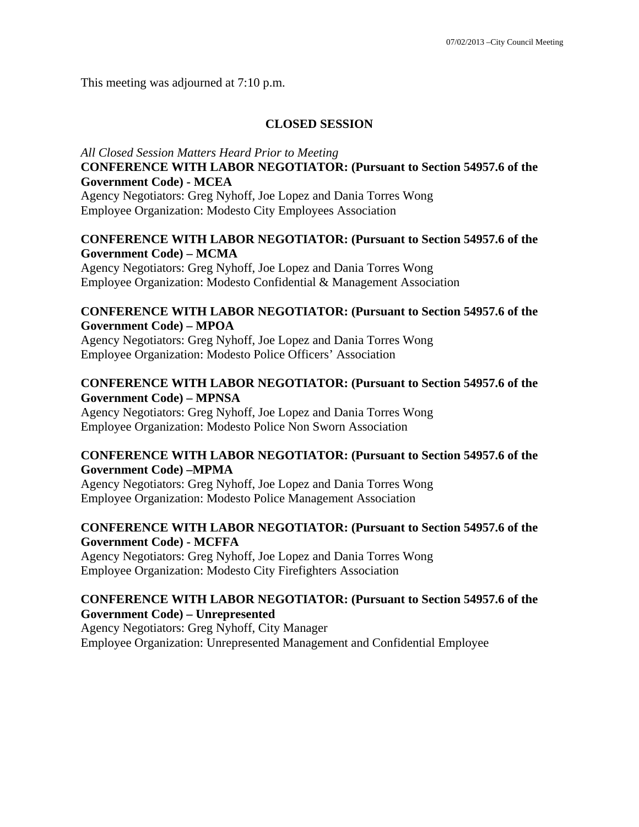This meeting was adjourned at 7:10 p.m.

## **CLOSED SESSION**

*All Closed Session Matters Heard Prior to Meeting* 

### **CONFERENCE WITH LABOR NEGOTIATOR: (Pursuant to Section 54957.6 of the Government Code) - MCEA**

Agency Negotiators: Greg Nyhoff, Joe Lopez and Dania Torres Wong Employee Organization: Modesto City Employees Association

### **CONFERENCE WITH LABOR NEGOTIATOR: (Pursuant to Section 54957.6 of the Government Code) – MCMA**

Agency Negotiators: Greg Nyhoff, Joe Lopez and Dania Torres Wong Employee Organization: Modesto Confidential & Management Association

### **CONFERENCE WITH LABOR NEGOTIATOR: (Pursuant to Section 54957.6 of the Government Code) – MPOA**

Agency Negotiators: Greg Nyhoff, Joe Lopez and Dania Torres Wong Employee Organization: Modesto Police Officers' Association

### **CONFERENCE WITH LABOR NEGOTIATOR: (Pursuant to Section 54957.6 of the Government Code) – MPNSA**

Agency Negotiators: Greg Nyhoff, Joe Lopez and Dania Torres Wong Employee Organization: Modesto Police Non Sworn Association

### **CONFERENCE WITH LABOR NEGOTIATOR: (Pursuant to Section 54957.6 of the Government Code) –MPMA**

Agency Negotiators: Greg Nyhoff, Joe Lopez and Dania Torres Wong Employee Organization: Modesto Police Management Association

### **CONFERENCE WITH LABOR NEGOTIATOR: (Pursuant to Section 54957.6 of the Government Code) - MCFFA**

Agency Negotiators: Greg Nyhoff, Joe Lopez and Dania Torres Wong Employee Organization: Modesto City Firefighters Association

## **CONFERENCE WITH LABOR NEGOTIATOR: (Pursuant to Section 54957.6 of the Government Code) – Unrepresented**

Agency Negotiators: Greg Nyhoff, City Manager Employee Organization: Unrepresented Management and Confidential Employee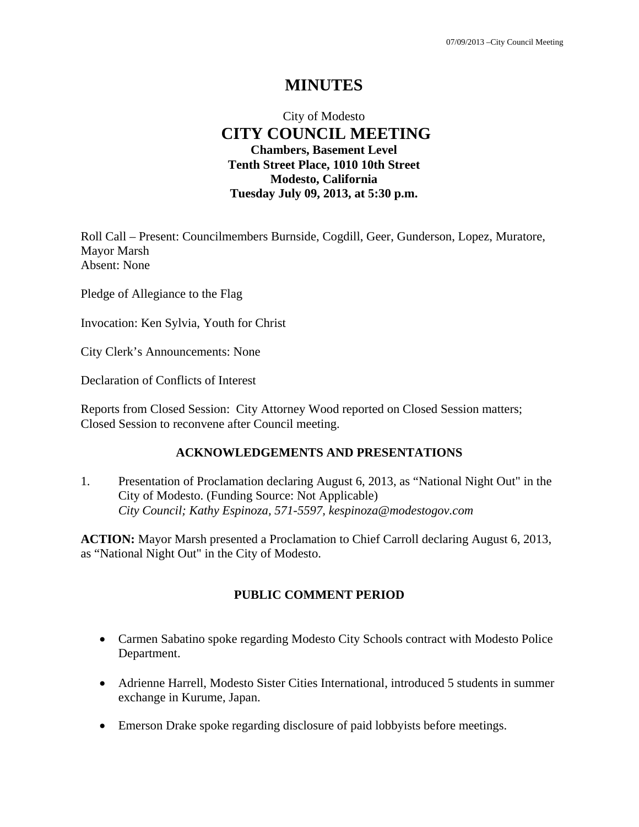# **MINUTES**

## City of Modesto  **CITY COUNCIL MEETING Chambers, Basement Level Tenth Street Place, 1010 10th Street Modesto, California Tuesday July 09, 2013, at 5:30 p.m.**

Roll Call – Present: Councilmembers Burnside, Cogdill, Geer, Gunderson, Lopez, Muratore, Mayor Marsh Absent: None

Pledge of Allegiance to the Flag

Invocation: Ken Sylvia, Youth for Christ

City Clerk's Announcements: None

Declaration of Conflicts of Interest

Reports from Closed Session: City Attorney Wood reported on Closed Session matters; Closed Session to reconvene after Council meeting.

#### **ACKNOWLEDGEMENTS AND PRESENTATIONS**

1. Presentation of Proclamation declaring August 6, 2013, as "National Night Out" in the City of Modesto. (Funding Source: Not Applicable)  *City Council; Kathy Espinoza, 571-5597, kespinoza@modestogov.com* 

**ACTION:** Mayor Marsh presented a Proclamation to Chief Carroll declaring August 6, 2013, as "National Night Out" in the City of Modesto.

#### **PUBLIC COMMENT PERIOD**

- Carmen Sabatino spoke regarding Modesto City Schools contract with Modesto Police Department.
- Adrienne Harrell, Modesto Sister Cities International, introduced 5 students in summer exchange in Kurume, Japan.
- Emerson Drake spoke regarding disclosure of paid lobbyists before meetings.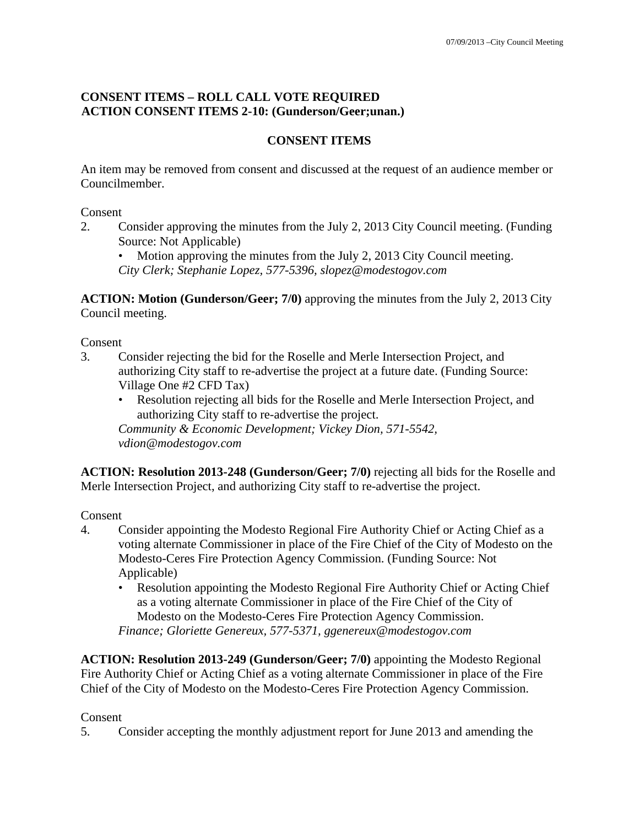## **CONSENT ITEMS – ROLL CALL VOTE REQUIRED ACTION CONSENT ITEMS 2-10: (Gunderson/Geer;unan.)**

## **CONSENT ITEMS**

An item may be removed from consent and discussed at the request of an audience member or Councilmember.

### Consent

2. Consider approving the minutes from the July 2, 2013 City Council meeting. (Funding Source: Not Applicable)

• Motion approving the minutes from the July 2, 2013 City Council meeting. *City Clerk; Stephanie Lopez, 577-5396, slopez@modestogov.com* 

**ACTION: Motion (Gunderson/Geer; 7/0)** approving the minutes from the July 2, 2013 City Council meeting.

Consent

- 3. Consider rejecting the bid for the Roselle and Merle Intersection Project, and authorizing City staff to re-advertise the project at a future date. (Funding Source: Village One #2 CFD Tax)
	- Resolution rejecting all bids for the Roselle and Merle Intersection Project, and authorizing City staff to re-advertise the project.

*Community & Economic Development; Vickey Dion, 571-5542, vdion@modestogov.com* 

**ACTION: Resolution 2013-248 (Gunderson/Geer; 7/0)** rejecting all bids for the Roselle and Merle Intersection Project, and authorizing City staff to re-advertise the project.

## Consent

- 4. Consider appointing the Modesto Regional Fire Authority Chief or Acting Chief as a voting alternate Commissioner in place of the Fire Chief of the City of Modesto on the Modesto-Ceres Fire Protection Agency Commission. (Funding Source: Not Applicable)
	- Resolution appointing the Modesto Regional Fire Authority Chief or Acting Chief as a voting alternate Commissioner in place of the Fire Chief of the City of Modesto on the Modesto-Ceres Fire Protection Agency Commission. *Finance; Gloriette Genereux, 577-5371, ggenereux@modestogov.com*

**ACTION: Resolution 2013-249 (Gunderson/Geer; 7/0)** appointing the Modesto Regional Fire Authority Chief or Acting Chief as a voting alternate Commissioner in place of the Fire Chief of the City of Modesto on the Modesto-Ceres Fire Protection Agency Commission.

## Consent

5. Consider accepting the monthly adjustment report for June 2013 and amending the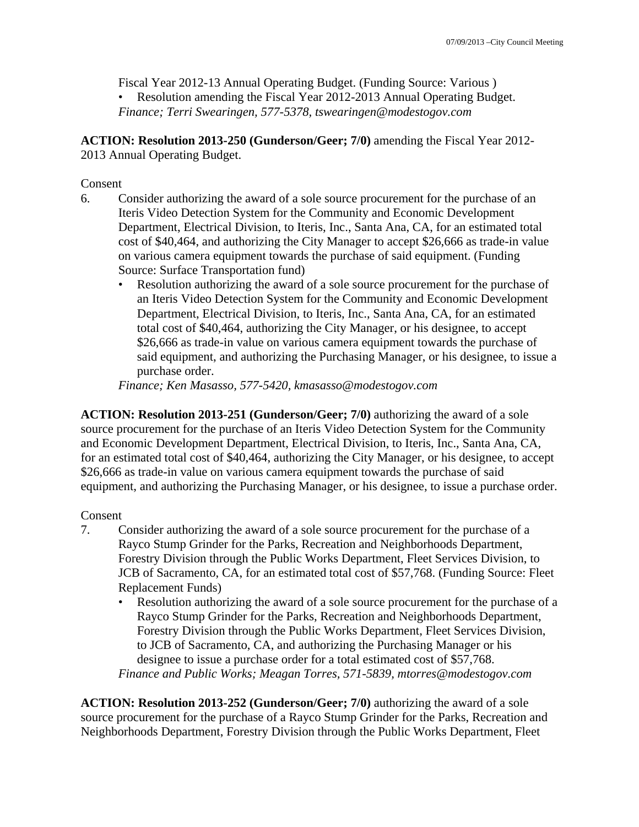Fiscal Year 2012-13 Annual Operating Budget. (Funding Source: Various )

• Resolution amending the Fiscal Year 2012-2013 Annual Operating Budget. *Finance; Terri Swearingen, 577-5378, tswearingen@modestogov.com* 

**ACTION: Resolution 2013-250 (Gunderson/Geer; 7/0)** amending the Fiscal Year 2012- 2013 Annual Operating Budget.

### Consent

- 6. Consider authorizing the award of a sole source procurement for the purchase of an Iteris Video Detection System for the Community and Economic Development Department, Electrical Division, to Iteris, Inc., Santa Ana, CA, for an estimated total cost of \$40,464, and authorizing the City Manager to accept \$26,666 as trade-in value on various camera equipment towards the purchase of said equipment. (Funding Source: Surface Transportation fund)
	- Resolution authorizing the award of a sole source procurement for the purchase of an Iteris Video Detection System for the Community and Economic Development Department, Electrical Division, to Iteris, Inc., Santa Ana, CA, for an estimated total cost of \$40,464, authorizing the City Manager, or his designee, to accept \$26,666 as trade-in value on various camera equipment towards the purchase of said equipment, and authorizing the Purchasing Manager, or his designee, to issue a purchase order.

*Finance; Ken Masasso, 577-5420, kmasasso@modestogov.com* 

**ACTION: Resolution 2013-251 (Gunderson/Geer; 7/0)** authorizing the award of a sole source procurement for the purchase of an Iteris Video Detection System for the Community and Economic Development Department, Electrical Division, to Iteris, Inc., Santa Ana, CA, for an estimated total cost of \$40,464, authorizing the City Manager, or his designee, to accept \$26,666 as trade-in value on various camera equipment towards the purchase of said equipment, and authorizing the Purchasing Manager, or his designee, to issue a purchase order.

## Consent

- 7. Consider authorizing the award of a sole source procurement for the purchase of a Rayco Stump Grinder for the Parks, Recreation and Neighborhoods Department, Forestry Division through the Public Works Department, Fleet Services Division, to JCB of Sacramento, CA, for an estimated total cost of \$57,768. (Funding Source: Fleet Replacement Funds)
	- Resolution authorizing the award of a sole source procurement for the purchase of a Rayco Stump Grinder for the Parks, Recreation and Neighborhoods Department, Forestry Division through the Public Works Department, Fleet Services Division, to JCB of Sacramento, CA, and authorizing the Purchasing Manager or his designee to issue a purchase order for a total estimated cost of \$57,768.

*Finance and Public Works; Meagan Torres, 571-5839, mtorres@modestogov.com* 

**ACTION: Resolution 2013-252 (Gunderson/Geer; 7/0)** authorizing the award of a sole source procurement for the purchase of a Rayco Stump Grinder for the Parks, Recreation and Neighborhoods Department, Forestry Division through the Public Works Department, Fleet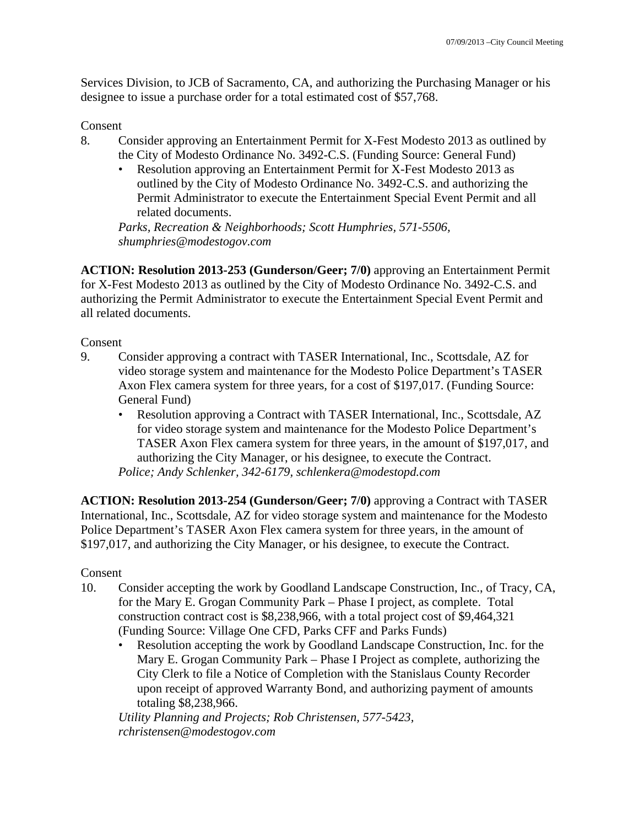Services Division, to JCB of Sacramento, CA, and authorizing the Purchasing Manager or his designee to issue a purchase order for a total estimated cost of \$57,768.

Consent

- 8. Consider approving an Entertainment Permit for X-Fest Modesto 2013 as outlined by the City of Modesto Ordinance No. 3492-C.S. (Funding Source: General Fund)
	- Resolution approving an Entertainment Permit for X-Fest Modesto 2013 as outlined by the City of Modesto Ordinance No. 3492-C.S. and authorizing the Permit Administrator to execute the Entertainment Special Event Permit and all related documents.

*Parks, Recreation & Neighborhoods; Scott Humphries, 571-5506, shumphries@modestogov.com* 

**ACTION: Resolution 2013-253 (Gunderson/Geer; 7/0)** approving an Entertainment Permit for X-Fest Modesto 2013 as outlined by the City of Modesto Ordinance No. 3492-C.S. and authorizing the Permit Administrator to execute the Entertainment Special Event Permit and all related documents.

Consent

- 9. Consider approving a contract with TASER International, Inc., Scottsdale, AZ for video storage system and maintenance for the Modesto Police Department's TASER Axon Flex camera system for three years, for a cost of \$197,017. (Funding Source: General Fund)
	- Resolution approving a Contract with TASER International, Inc., Scottsdale, AZ for video storage system and maintenance for the Modesto Police Department's TASER Axon Flex camera system for three years, in the amount of \$197,017, and authorizing the City Manager, or his designee, to execute the Contract. *Police; Andy Schlenker, 342-6179, schlenkera@modestopd.com*

**ACTION: Resolution 2013-254 (Gunderson/Geer; 7/0)** approving a Contract with TASER International, Inc., Scottsdale, AZ for video storage system and maintenance for the Modesto Police Department's TASER Axon Flex camera system for three years, in the amount of \$197,017, and authorizing the City Manager, or his designee, to execute the Contract.

Consent

- 10. Consider accepting the work by Goodland Landscape Construction, Inc., of Tracy, CA, for the Mary E. Grogan Community Park – Phase I project, as complete. Total construction contract cost is \$8,238,966, with a total project cost of \$9,464,321 (Funding Source: Village One CFD, Parks CFF and Parks Funds)
	- Resolution accepting the work by Goodland Landscape Construction, Inc. for the Mary E. Grogan Community Park – Phase I Project as complete, authorizing the City Clerk to file a Notice of Completion with the Stanislaus County Recorder upon receipt of approved Warranty Bond, and authorizing payment of amounts totaling \$8,238,966.

*Utility Planning and Projects; Rob Christensen, 577-5423, rchristensen@modestogov.com*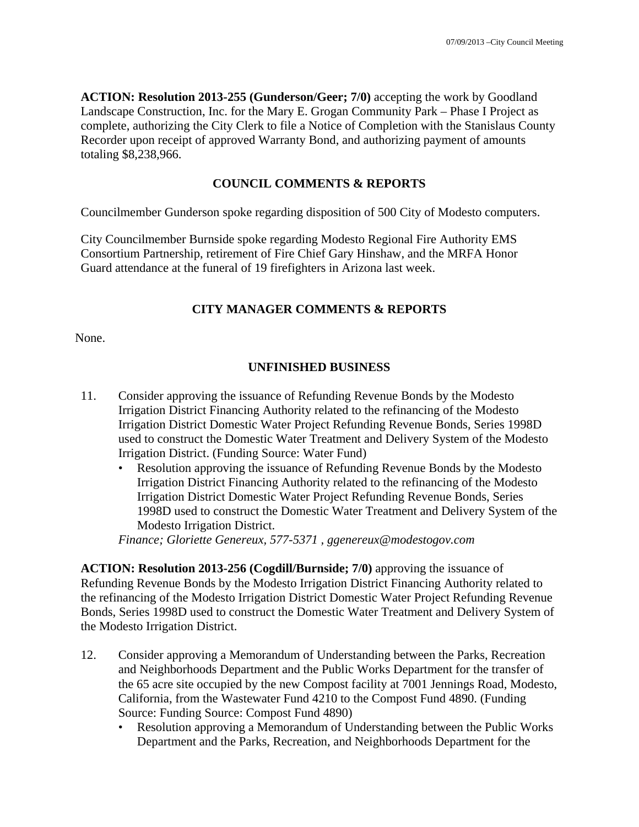**ACTION: Resolution 2013-255 (Gunderson/Geer; 7/0)** accepting the work by Goodland Landscape Construction, Inc. for the Mary E. Grogan Community Park – Phase I Project as complete, authorizing the City Clerk to file a Notice of Completion with the Stanislaus County Recorder upon receipt of approved Warranty Bond, and authorizing payment of amounts totaling \$8,238,966.

## **COUNCIL COMMENTS & REPORTS**

Councilmember Gunderson spoke regarding disposition of 500 City of Modesto computers.

City Councilmember Burnside spoke regarding Modesto Regional Fire Authority EMS Consortium Partnership, retirement of Fire Chief Gary Hinshaw, and the MRFA Honor Guard attendance at the funeral of 19 firefighters in Arizona last week.

## **CITY MANAGER COMMENTS & REPORTS**

None.

## **UNFINISHED BUSINESS**

- 11. Consider approving the issuance of Refunding Revenue Bonds by the Modesto Irrigation District Financing Authority related to the refinancing of the Modesto Irrigation District Domestic Water Project Refunding Revenue Bonds, Series 1998D used to construct the Domestic Water Treatment and Delivery System of the Modesto Irrigation District. (Funding Source: Water Fund)
	- Resolution approving the issuance of Refunding Revenue Bonds by the Modesto Irrigation District Financing Authority related to the refinancing of the Modesto Irrigation District Domestic Water Project Refunding Revenue Bonds, Series 1998D used to construct the Domestic Water Treatment and Delivery System of the Modesto Irrigation District.

*Finance; Gloriette Genereux, 577-5371 , ggenereux@modestogov.com* 

**ACTION: Resolution 2013-256 (Cogdill/Burnside; 7/0)** approving the issuance of Refunding Revenue Bonds by the Modesto Irrigation District Financing Authority related to the refinancing of the Modesto Irrigation District Domestic Water Project Refunding Revenue Bonds, Series 1998D used to construct the Domestic Water Treatment and Delivery System of the Modesto Irrigation District.

- 12. Consider approving a Memorandum of Understanding between the Parks, Recreation and Neighborhoods Department and the Public Works Department for the transfer of the 65 acre site occupied by the new Compost facility at 7001 Jennings Road, Modesto, California, from the Wastewater Fund 4210 to the Compost Fund 4890. (Funding Source: Funding Source: Compost Fund 4890)
	- Resolution approving a Memorandum of Understanding between the Public Works Department and the Parks, Recreation, and Neighborhoods Department for the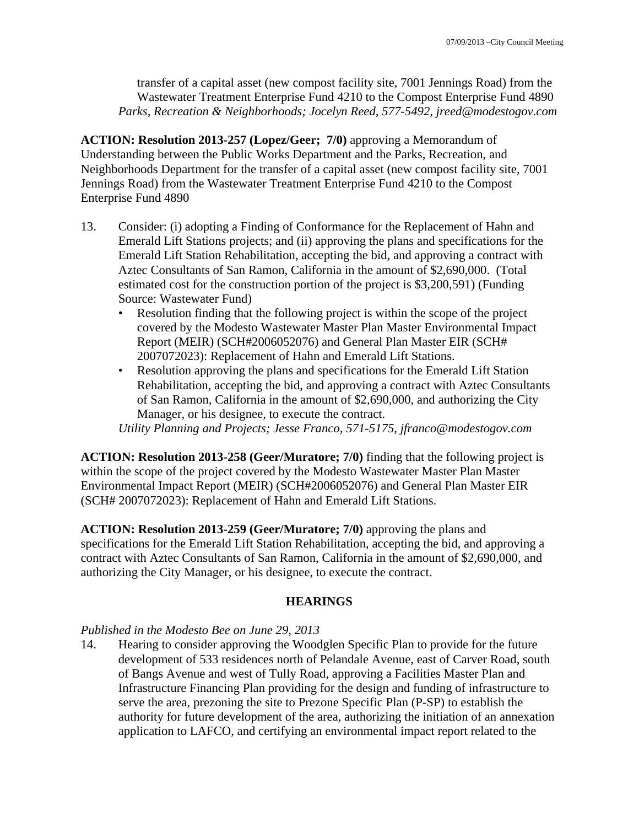transfer of a capital asset (new compost facility site, 7001 Jennings Road) from the Wastewater Treatment Enterprise Fund 4210 to the Compost Enterprise Fund 4890 *Parks, Recreation & Neighborhoods; Jocelyn Reed, 577-5492, jreed@modestogov.com* 

**ACTION: Resolution 2013-257 (Lopez/Geer; 7/0)** approving a Memorandum of Understanding between the Public Works Department and the Parks, Recreation, and Neighborhoods Department for the transfer of a capital asset (new compost facility site, 7001 Jennings Road) from the Wastewater Treatment Enterprise Fund 4210 to the Compost Enterprise Fund 4890

- 13. Consider: (i) adopting a Finding of Conformance for the Replacement of Hahn and Emerald Lift Stations projects; and (ii) approving the plans and specifications for the Emerald Lift Station Rehabilitation, accepting the bid, and approving a contract with Aztec Consultants of San Ramon, California in the amount of \$2,690,000. (Total estimated cost for the construction portion of the project is \$3,200,591) (Funding Source: Wastewater Fund)
	- Resolution finding that the following project is within the scope of the project covered by the Modesto Wastewater Master Plan Master Environmental Impact Report (MEIR) (SCH#2006052076) and General Plan Master EIR (SCH# 2007072023): Replacement of Hahn and Emerald Lift Stations.
	- Resolution approving the plans and specifications for the Emerald Lift Station Rehabilitation, accepting the bid, and approving a contract with Aztec Consultants of San Ramon, California in the amount of \$2,690,000, and authorizing the City Manager, or his designee, to execute the contract.

*Utility Planning and Projects; Jesse Franco, 571-5175, jfranco@modestogov.com* 

**ACTION: Resolution 2013-258 (Geer/Muratore; 7/0)** finding that the following project is within the scope of the project covered by the Modesto Wastewater Master Plan Master Environmental Impact Report (MEIR) (SCH#2006052076) and General Plan Master EIR (SCH# 2007072023): Replacement of Hahn and Emerald Lift Stations.

**ACTION: Resolution 2013-259 (Geer/Muratore; 7/0)** approving the plans and specifications for the Emerald Lift Station Rehabilitation, accepting the bid, and approving a contract with Aztec Consultants of San Ramon, California in the amount of \$2,690,000, and authorizing the City Manager, or his designee, to execute the contract.

## **HEARINGS**

#### *Published in the Modesto Bee on June 29, 2013*

14. Hearing to consider approving the Woodglen Specific Plan to provide for the future development of 533 residences north of Pelandale Avenue, east of Carver Road, south of Bangs Avenue and west of Tully Road, approving a Facilities Master Plan and Infrastructure Financing Plan providing for the design and funding of infrastructure to serve the area, prezoning the site to Prezone Specific Plan (P-SP) to establish the authority for future development of the area, authorizing the initiation of an annexation application to LAFCO, and certifying an environmental impact report related to the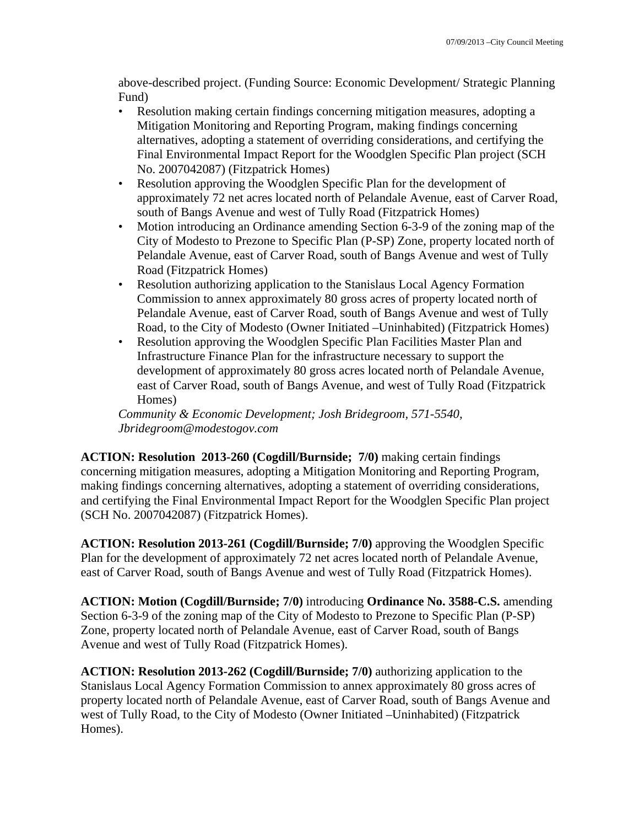above-described project. (Funding Source: Economic Development/ Strategic Planning Fund)

- Resolution making certain findings concerning mitigation measures, adopting a Mitigation Monitoring and Reporting Program, making findings concerning alternatives, adopting a statement of overriding considerations, and certifying the Final Environmental Impact Report for the Woodglen Specific Plan project (SCH No. 2007042087) (Fitzpatrick Homes)
- Resolution approving the Woodglen Specific Plan for the development of approximately 72 net acres located north of Pelandale Avenue, east of Carver Road, south of Bangs Avenue and west of Tully Road (Fitzpatrick Homes)
- Motion introducing an Ordinance amending Section 6-3-9 of the zoning map of the City of Modesto to Prezone to Specific Plan (P-SP) Zone, property located north of Pelandale Avenue, east of Carver Road, south of Bangs Avenue and west of Tully Road (Fitzpatrick Homes)
- Resolution authorizing application to the Stanislaus Local Agency Formation Commission to annex approximately 80 gross acres of property located north of Pelandale Avenue, east of Carver Road, south of Bangs Avenue and west of Tully Road, to the City of Modesto (Owner Initiated –Uninhabited) (Fitzpatrick Homes)
- Resolution approving the Woodglen Specific Plan Facilities Master Plan and Infrastructure Finance Plan for the infrastructure necessary to support the development of approximately 80 gross acres located north of Pelandale Avenue, east of Carver Road, south of Bangs Avenue, and west of Tully Road (Fitzpatrick Homes)

*Community & Economic Development; Josh Bridegroom, 571-5540, Jbridegroom@modestogov.com* 

**ACTION: Resolution 2013-260 (Cogdill/Burnside; 7/0)** making certain findings concerning mitigation measures, adopting a Mitigation Monitoring and Reporting Program, making findings concerning alternatives, adopting a statement of overriding considerations, and certifying the Final Environmental Impact Report for the Woodglen Specific Plan project (SCH No. 2007042087) (Fitzpatrick Homes).

**ACTION: Resolution 2013-261 (Cogdill/Burnside; 7/0)** approving the Woodglen Specific Plan for the development of approximately 72 net acres located north of Pelandale Avenue, east of Carver Road, south of Bangs Avenue and west of Tully Road (Fitzpatrick Homes).

**ACTION: Motion (Cogdill/Burnside; 7/0)** introducing **Ordinance No. 3588-C.S.** amending Section 6-3-9 of the zoning map of the City of Modesto to Prezone to Specific Plan (P-SP) Zone, property located north of Pelandale Avenue, east of Carver Road, south of Bangs Avenue and west of Tully Road (Fitzpatrick Homes).

**ACTION: Resolution 2013-262 (Cogdill/Burnside; 7/0)** authorizing application to the Stanislaus Local Agency Formation Commission to annex approximately 80 gross acres of property located north of Pelandale Avenue, east of Carver Road, south of Bangs Avenue and west of Tully Road, to the City of Modesto (Owner Initiated –Uninhabited) (Fitzpatrick Homes).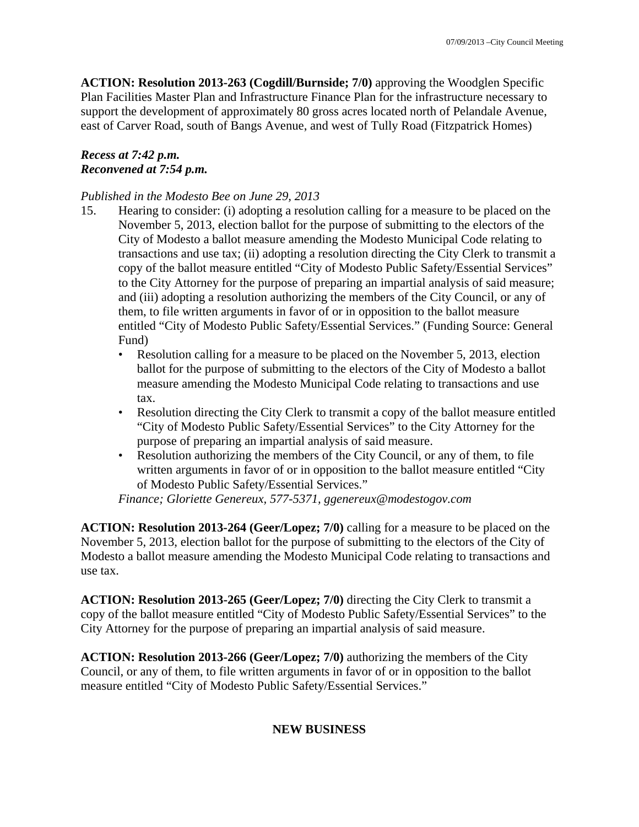**ACTION: Resolution 2013-263 (Cogdill/Burnside; 7/0)** approving the Woodglen Specific Plan Facilities Master Plan and Infrastructure Finance Plan for the infrastructure necessary to support the development of approximately 80 gross acres located north of Pelandale Avenue, east of Carver Road, south of Bangs Avenue, and west of Tully Road (Fitzpatrick Homes)

### *Recess at 7:42 p.m. Reconvened at 7:54 p.m.*

#### *Published in the Modesto Bee on June 29, 2013*

- 15. Hearing to consider: (i) adopting a resolution calling for a measure to be placed on the November 5, 2013, election ballot for the purpose of submitting to the electors of the City of Modesto a ballot measure amending the Modesto Municipal Code relating to transactions and use tax; (ii) adopting a resolution directing the City Clerk to transmit a copy of the ballot measure entitled "City of Modesto Public Safety/Essential Services" to the City Attorney for the purpose of preparing an impartial analysis of said measure; and (iii) adopting a resolution authorizing the members of the City Council, or any of them, to file written arguments in favor of or in opposition to the ballot measure entitled "City of Modesto Public Safety/Essential Services." (Funding Source: General Fund)
	- Resolution calling for a measure to be placed on the November 5, 2013, election ballot for the purpose of submitting to the electors of the City of Modesto a ballot measure amending the Modesto Municipal Code relating to transactions and use tax.
	- Resolution directing the City Clerk to transmit a copy of the ballot measure entitled "City of Modesto Public Safety/Essential Services" to the City Attorney for the purpose of preparing an impartial analysis of said measure.
	- Resolution authorizing the members of the City Council, or any of them, to file written arguments in favor of or in opposition to the ballot measure entitled "City of Modesto Public Safety/Essential Services."

*Finance; Gloriette Genereux, 577-5371, ggenereux@modestogov.com* 

**ACTION: Resolution 2013-264 (Geer/Lopez; 7/0)** calling for a measure to be placed on the November 5, 2013, election ballot for the purpose of submitting to the electors of the City of Modesto a ballot measure amending the Modesto Municipal Code relating to transactions and use tax.

**ACTION: Resolution 2013-265 (Geer/Lopez; 7/0)** directing the City Clerk to transmit a copy of the ballot measure entitled "City of Modesto Public Safety/Essential Services" to the City Attorney for the purpose of preparing an impartial analysis of said measure.

**ACTION: Resolution 2013-266 (Geer/Lopez; 7/0)** authorizing the members of the City Council, or any of them, to file written arguments in favor of or in opposition to the ballot measure entitled "City of Modesto Public Safety/Essential Services."

## **NEW BUSINESS**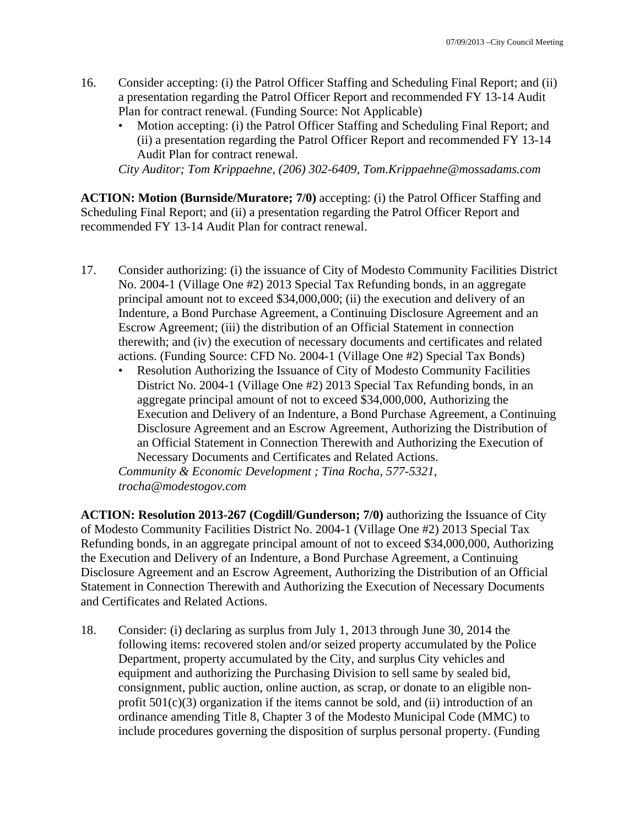- 16. Consider accepting: (i) the Patrol Officer Staffing and Scheduling Final Report; and (ii) a presentation regarding the Patrol Officer Report and recommended FY 13-14 Audit Plan for contract renewal. (Funding Source: Not Applicable)
	- Motion accepting: (i) the Patrol Officer Staffing and Scheduling Final Report; and (ii) a presentation regarding the Patrol Officer Report and recommended FY 13-14 Audit Plan for contract renewal.

*City Auditor; Tom Krippaehne, (206) 302-6409, Tom.Krippaehne@mossadams.com* 

**ACTION: Motion (Burnside/Muratore; 7/0)** accepting: (i) the Patrol Officer Staffing and Scheduling Final Report; and (ii) a presentation regarding the Patrol Officer Report and recommended FY 13-14 Audit Plan for contract renewal.

- 17. Consider authorizing: (i) the issuance of City of Modesto Community Facilities District No. 2004-1 (Village One #2) 2013 Special Tax Refunding bonds, in an aggregate principal amount not to exceed \$34,000,000; (ii) the execution and delivery of an Indenture, a Bond Purchase Agreement, a Continuing Disclosure Agreement and an Escrow Agreement; (iii) the distribution of an Official Statement in connection therewith; and (iv) the execution of necessary documents and certificates and related actions. (Funding Source: CFD No. 2004-1 (Village One #2) Special Tax Bonds)
	- Resolution Authorizing the Issuance of City of Modesto Community Facilities District No. 2004-1 (Village One #2) 2013 Special Tax Refunding bonds, in an aggregate principal amount of not to exceed \$34,000,000, Authorizing the Execution and Delivery of an Indenture, a Bond Purchase Agreement, a Continuing Disclosure Agreement and an Escrow Agreement, Authorizing the Distribution of an Official Statement in Connection Therewith and Authorizing the Execution of Necessary Documents and Certificates and Related Actions.

*Community & Economic Development ; Tina Rocha, 577-5321, trocha@modestogov.com* 

**ACTION: Resolution 2013-267 (Cogdill/Gunderson; 7/0)** authorizing the Issuance of City of Modesto Community Facilities District No. 2004-1 (Village One #2) 2013 Special Tax Refunding bonds, in an aggregate principal amount of not to exceed \$34,000,000, Authorizing the Execution and Delivery of an Indenture, a Bond Purchase Agreement, a Continuing Disclosure Agreement and an Escrow Agreement, Authorizing the Distribution of an Official Statement in Connection Therewith and Authorizing the Execution of Necessary Documents and Certificates and Related Actions.

18. Consider: (i) declaring as surplus from July 1, 2013 through June 30, 2014 the following items: recovered stolen and/or seized property accumulated by the Police Department, property accumulated by the City, and surplus City vehicles and equipment and authorizing the Purchasing Division to sell same by sealed bid, consignment, public auction, online auction, as scrap, or donate to an eligible nonprofit  $501(c)(3)$  organization if the items cannot be sold, and (ii) introduction of an ordinance amending Title 8, Chapter 3 of the Modesto Municipal Code (MMC) to include procedures governing the disposition of surplus personal property. (Funding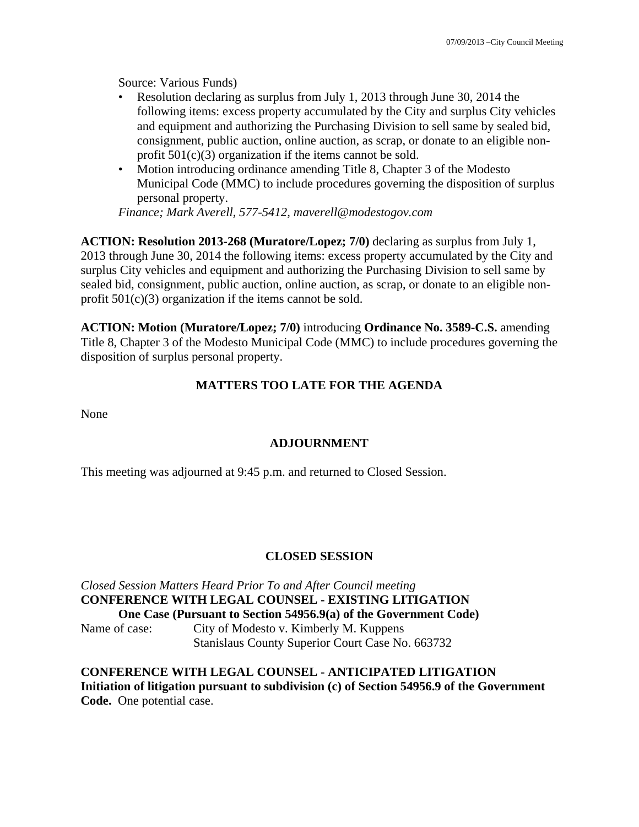Source: Various Funds)

- Resolution declaring as surplus from July 1, 2013 through June 30, 2014 the following items: excess property accumulated by the City and surplus City vehicles and equipment and authorizing the Purchasing Division to sell same by sealed bid, consignment, public auction, online auction, as scrap, or donate to an eligible nonprofit 501(c)(3) organization if the items cannot be sold.
- Motion introducing ordinance amending Title 8, Chapter 3 of the Modesto Municipal Code (MMC) to include procedures governing the disposition of surplus personal property.

*Finance; Mark Averell, 577-5412, maverell@modestogov.com* 

**ACTION: Resolution 2013-268 (Muratore/Lopez; 7/0)** declaring as surplus from July 1, 2013 through June 30, 2014 the following items: excess property accumulated by the City and surplus City vehicles and equipment and authorizing the Purchasing Division to sell same by sealed bid, consignment, public auction, online auction, as scrap, or donate to an eligible nonprofit 501(c)(3) organization if the items cannot be sold.

**ACTION: Motion (Muratore/Lopez; 7/0)** introducing **Ordinance No. 3589-C.S.** amending Title 8, Chapter 3 of the Modesto Municipal Code (MMC) to include procedures governing the disposition of surplus personal property.

## **MATTERS TOO LATE FOR THE AGENDA**

None

## **ADJOURNMENT**

This meeting was adjourned at 9:45 p.m. and returned to Closed Session.

## **CLOSED SESSION**

*Closed Session Matters Heard Prior To and After Council meeting* **CONFERENCE WITH LEGAL COUNSEL - EXISTING LITIGATION One Case (Pursuant to Section 54956.9(a) of the Government Code)**  Name of case: City of Modesto v. Kimberly M. Kuppens Stanislaus County Superior Court Case No. 663732

**CONFERENCE WITH LEGAL COUNSEL - ANTICIPATED LITIGATION Initiation of litigation pursuant to subdivision (c) of Section 54956.9 of the Government Code.** One potential case.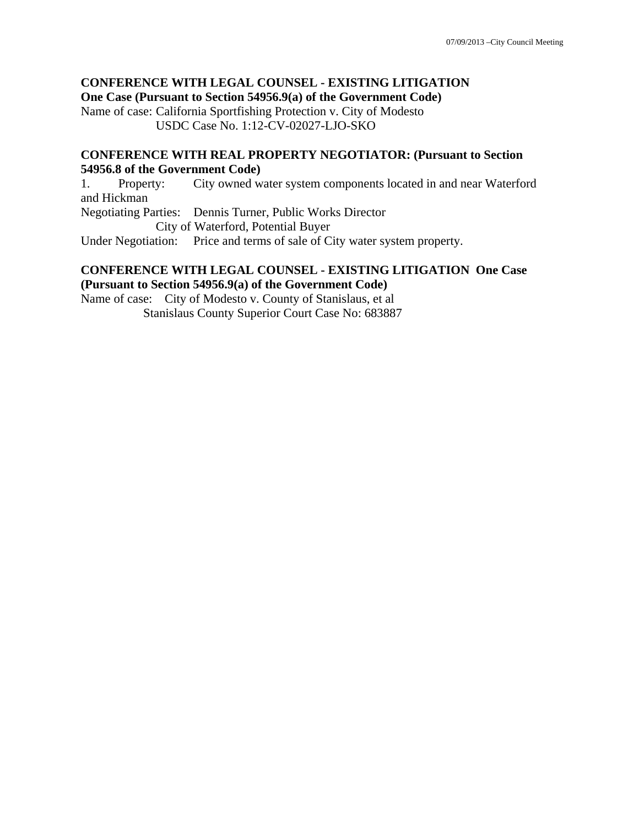## **CONFERENCE WITH LEGAL COUNSEL - EXISTING LITIGATION One Case (Pursuant to Section 54956.9(a) of the Government Code)**

Name of case: California Sportfishing Protection v. City of Modesto USDC Case No. 1:12-CV-02027-LJO-SKO

#### **CONFERENCE WITH REAL PROPERTY NEGOTIATOR: (Pursuant to Section 54956.8 of the Government Code)**

1. Property: City owned water system components located in and near Waterford and Hickman

Negotiating Parties: Dennis Turner, Public Works Director

City of Waterford, Potential Buyer

Under Negotiation: Price and terms of sale of City water system property.

### **CONFERENCE WITH LEGAL COUNSEL - EXISTING LITIGATION One Case (Pursuant to Section 54956.9(a) of the Government Code)**

Name of case: City of Modesto v. County of Stanislaus, et al Stanislaus County Superior Court Case No: 683887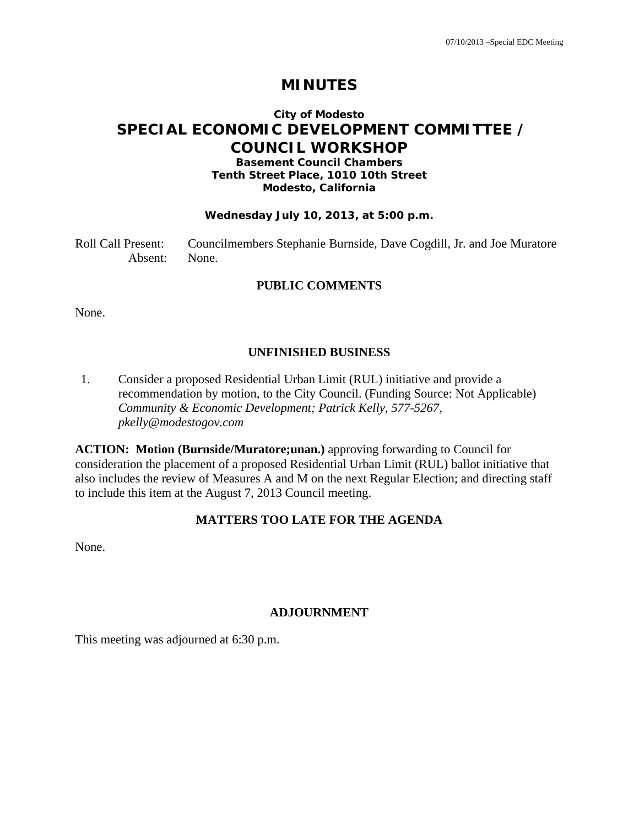# **MINUTES**

# **City of Modesto SPECIAL ECONOMIC DEVELOPMENT COMMITTEE / COUNCIL WORKSHOP Basement Council Chambers**

#### **Tenth Street Place, 1010 10th Street Modesto, California**

#### **Wednesday July 10, 2013, at 5:00 p.m.**

Roll Call Present: Councilmembers Stephanie Burnside, Dave Cogdill, Jr. and Joe Muratore Absent: None.

#### **PUBLIC COMMENTS**

None.

### **UNFINISHED BUSINESS**

1. Consider a proposed Residential Urban Limit (RUL) initiative and provide a recommendation by motion, to the City Council. (Funding Source: Not Applicable)  *Community & Economic Development; Patrick Kelly, 577-5267, pkelly@modestogov.com* 

**ACTION: Motion (Burnside/Muratore;unan.)** approving forwarding to Council for consideration the placement of a proposed Residential Urban Limit (RUL) ballot initiative that also includes the review of Measures A and M on the next Regular Election; and directing staff to include this item at the August 7, 2013 Council meeting.

### **MATTERS TOO LATE FOR THE AGENDA**

None.

## **ADJOURNMENT**

This meeting was adjourned at 6:30 p.m.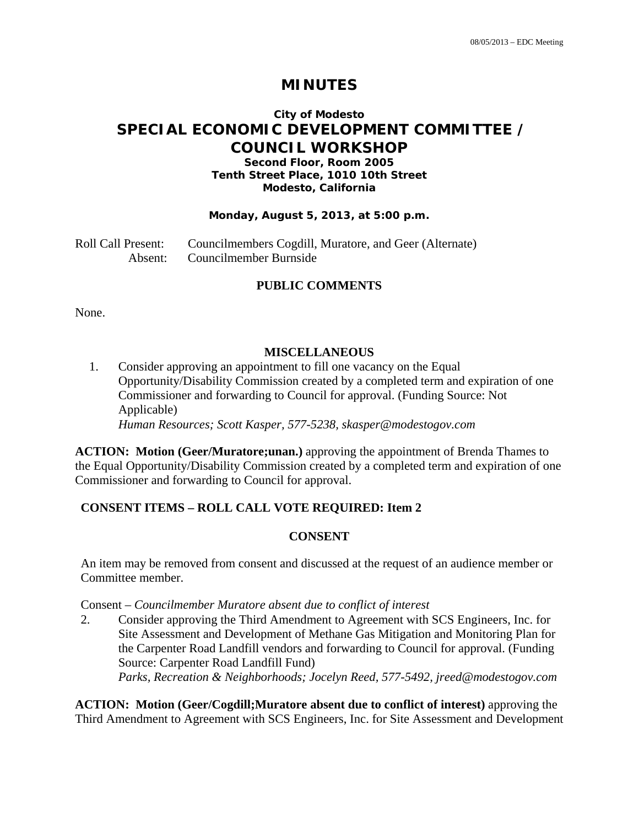# **MINUTES**

# **City of Modesto SPECIAL ECONOMIC DEVELOPMENT COMMITTEE / COUNCIL WORKSHOP**

#### **Second Floor, Room 2005 Tenth Street Place, 1010 10th Street Modesto, California**

#### **Monday, August 5, 2013, at 5:00 p.m.**

Roll Call Present: Councilmembers Cogdill, Muratore, and Geer (Alternate) Absent: Councilmember Burnside

#### **PUBLIC COMMENTS**

None.

#### **MISCELLANEOUS**

1. Consider approving an appointment to fill one vacancy on the Equal Opportunity/Disability Commission created by a completed term and expiration of one Commissioner and forwarding to Council for approval. (Funding Source: Not Applicable)  *Human Resources; Scott Kasper, 577-5238, skasper@modestogov.com* 

**ACTION: Motion (Geer/Muratore;unan.)** approving the appointment of Brenda Thames to the Equal Opportunity/Disability Commission created by a completed term and expiration of one Commissioner and forwarding to Council for approval.

### **CONSENT ITEMS – ROLL CALL VOTE REQUIRED: Item 2**

#### **CONSENT**

An item may be removed from consent and discussed at the request of an audience member or Committee member.

Consent – *Councilmember Muratore absent due to conflict of interest* 

2. Consider approving the Third Amendment to Agreement with SCS Engineers, Inc. for Site Assessment and Development of Methane Gas Mitigation and Monitoring Plan for the Carpenter Road Landfill vendors and forwarding to Council for approval. (Funding Source: Carpenter Road Landfill Fund)  *Parks, Recreation & Neighborhoods; Jocelyn Reed, 577-5492, jreed@modestogov.com* 

**ACTION: Motion (Geer/Cogdill;Muratore absent due to conflict of interest)** approving the Third Amendment to Agreement with SCS Engineers, Inc. for Site Assessment and Development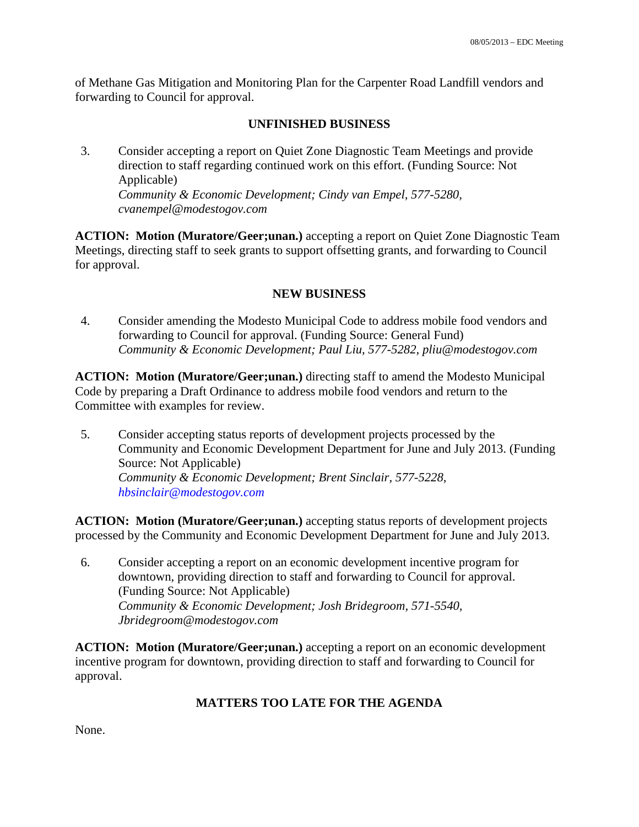of Methane Gas Mitigation and Monitoring Plan for the Carpenter Road Landfill vendors and forwarding to Council for approval.

## **UNFINISHED BUSINESS**

3. Consider accepting a report on Quiet Zone Diagnostic Team Meetings and provide direction to staff regarding continued work on this effort. (Funding Source: Not Applicable)  *Community & Economic Development; Cindy van Empel, 577-5280, cvanempel@modestogov.com* 

**ACTION: Motion (Muratore/Geer;unan.)** accepting a report on Quiet Zone Diagnostic Team Meetings, directing staff to seek grants to support offsetting grants, and forwarding to Council for approval.

## **NEW BUSINESS**

4. Consider amending the Modesto Municipal Code to address mobile food vendors and forwarding to Council for approval. (Funding Source: General Fund)  *Community & Economic Development; Paul Liu, 577-5282, pliu@modestogov.com* 

**ACTION: Motion (Muratore/Geer;unan.)** directing staff to amend the Modesto Municipal Code by preparing a Draft Ordinance to address mobile food vendors and return to the Committee with examples for review.

5. Consider accepting status reports of development projects processed by the Community and Economic Development Department for June and July 2013. (Funding Source: Not Applicable)  *Community & Economic Development; Brent Sinclair, 577-5228, hbsinclair@modestogov.com*

**ACTION: Motion (Muratore/Geer;unan.)** accepting status reports of development projects processed by the Community and Economic Development Department for June and July 2013.

6. Consider accepting a report on an economic development incentive program for downtown, providing direction to staff and forwarding to Council for approval. (Funding Source: Not Applicable)  *Community & Economic Development; Josh Bridegroom, 571-5540, Jbridegroom@modestogov.com* 

**ACTION: Motion (Muratore/Geer;unan.)** accepting a report on an economic development incentive program for downtown, providing direction to staff and forwarding to Council for approval.

# **MATTERS TOO LATE FOR THE AGENDA**

None.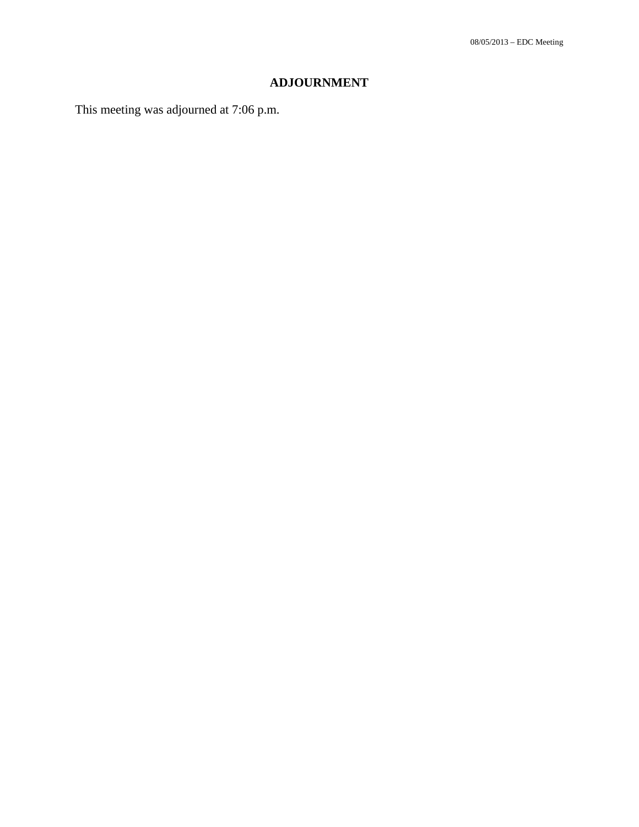# **ADJOURNMENT**

This meeting was adjourned at 7:06 p.m.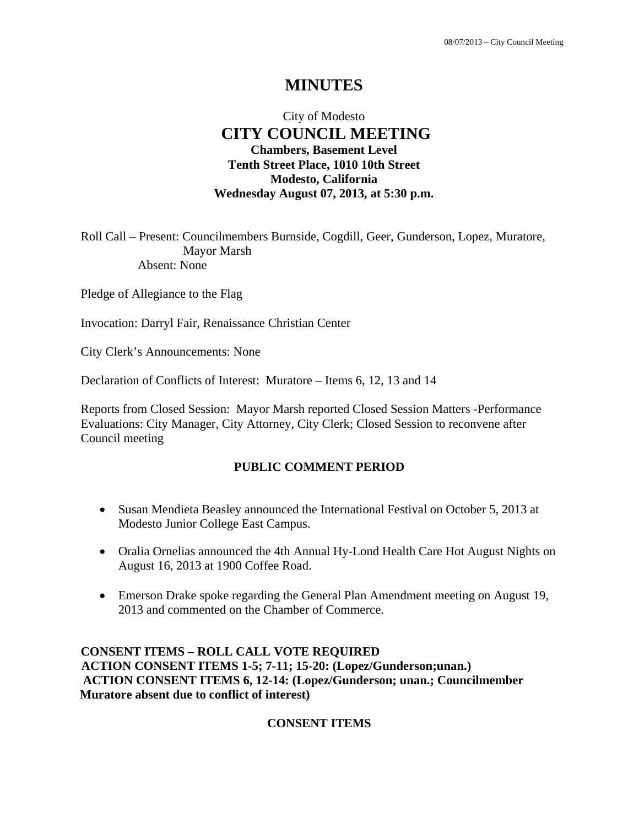# **MINUTES**

# City of Modesto  **CITY COUNCIL MEETING Chambers, Basement Level Tenth Street Place, 1010 10th Street Modesto, California Wednesday August 07, 2013, at 5:30 p.m.**

Roll Call – Present: Councilmembers Burnside, Cogdill, Geer, Gunderson, Lopez, Muratore, Mayor Marsh Absent: None

Pledge of Allegiance to the Flag

Invocation: Darryl Fair, Renaissance Christian Center

City Clerk's Announcements: None

Declaration of Conflicts of Interest: Muratore – Items 6, 12, 13 and 14

Reports from Closed Session: Mayor Marsh reported Closed Session Matters -Performance Evaluations: City Manager, City Attorney, City Clerk; Closed Session to reconvene after Council meeting

#### **PUBLIC COMMENT PERIOD**

- Susan Mendieta Beasley announced the International Festival on October 5, 2013 at Modesto Junior College East Campus.
- Oralia Ornelias announced the 4th Annual Hy-Lond Health Care Hot August Nights on August 16, 2013 at 1900 Coffee Road.
- Emerson Drake spoke regarding the General Plan Amendment meeting on August 19, 2013 and commented on the Chamber of Commerce.

**CONSENT ITEMS – ROLL CALL VOTE REQUIRED ACTION CONSENT ITEMS 1-5; 7-11; 15-20: (Lopez/Gunderson;unan.) ACTION CONSENT ITEMS 6, 12-14: (Lopez/Gunderson; unan.; Councilmember Muratore absent due to conflict of interest)** 

## **CONSENT ITEMS**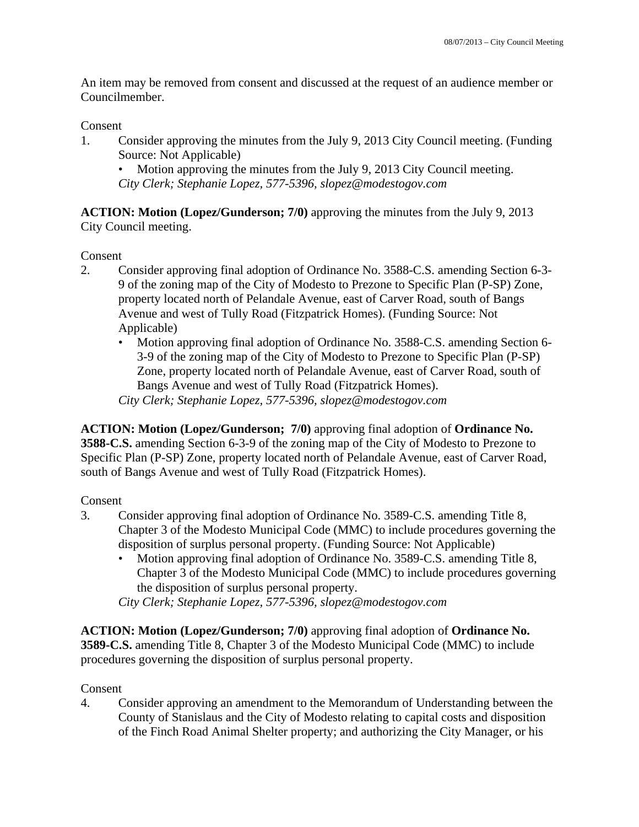An item may be removed from consent and discussed at the request of an audience member or Councilmember.

### Consent

1. Consider approving the minutes from the July 9, 2013 City Council meeting. (Funding Source: Not Applicable)

Motion approving the minutes from the July 9, 2013 City Council meeting. *City Clerk; Stephanie Lopez, 577-5396, slopez@modestogov.com* 

**ACTION: Motion (Lopez/Gunderson; 7/0)** approving the minutes from the July 9, 2013 City Council meeting.

Consent

- 2. Consider approving final adoption of Ordinance No. 3588-C.S. amending Section 6-3- 9 of the zoning map of the City of Modesto to Prezone to Specific Plan (P-SP) Zone, property located north of Pelandale Avenue, east of Carver Road, south of Bangs Avenue and west of Tully Road (Fitzpatrick Homes). (Funding Source: Not Applicable)
	- Motion approving final adoption of Ordinance No. 3588-C.S. amending Section 6- 3-9 of the zoning map of the City of Modesto to Prezone to Specific Plan (P-SP) Zone, property located north of Pelandale Avenue, east of Carver Road, south of Bangs Avenue and west of Tully Road (Fitzpatrick Homes).

*City Clerk; Stephanie Lopez, 577-5396, slopez@modestogov.com* 

**ACTION: Motion (Lopez/Gunderson; 7/0)** approving final adoption of **Ordinance No. 3588-C.S.** amending Section 6-3-9 of the zoning map of the City of Modesto to Prezone to Specific Plan (P-SP) Zone, property located north of Pelandale Avenue, east of Carver Road, south of Bangs Avenue and west of Tully Road (Fitzpatrick Homes).

## Consent

- 3. Consider approving final adoption of Ordinance No. 3589-C.S. amending Title 8, Chapter 3 of the Modesto Municipal Code (MMC) to include procedures governing the disposition of surplus personal property. (Funding Source: Not Applicable)
	- Motion approving final adoption of Ordinance No. 3589-C.S. amending Title 8, Chapter 3 of the Modesto Municipal Code (MMC) to include procedures governing the disposition of surplus personal property.

*City Clerk; Stephanie Lopez, 577-5396, slopez@modestogov.com* 

**ACTION: Motion (Lopez/Gunderson; 7/0)** approving final adoption of **Ordinance No. 3589-C.S.** amending Title 8, Chapter 3 of the Modesto Municipal Code (MMC) to include procedures governing the disposition of surplus personal property.

## Consent

4. Consider approving an amendment to the Memorandum of Understanding between the County of Stanislaus and the City of Modesto relating to capital costs and disposition of the Finch Road Animal Shelter property; and authorizing the City Manager, or his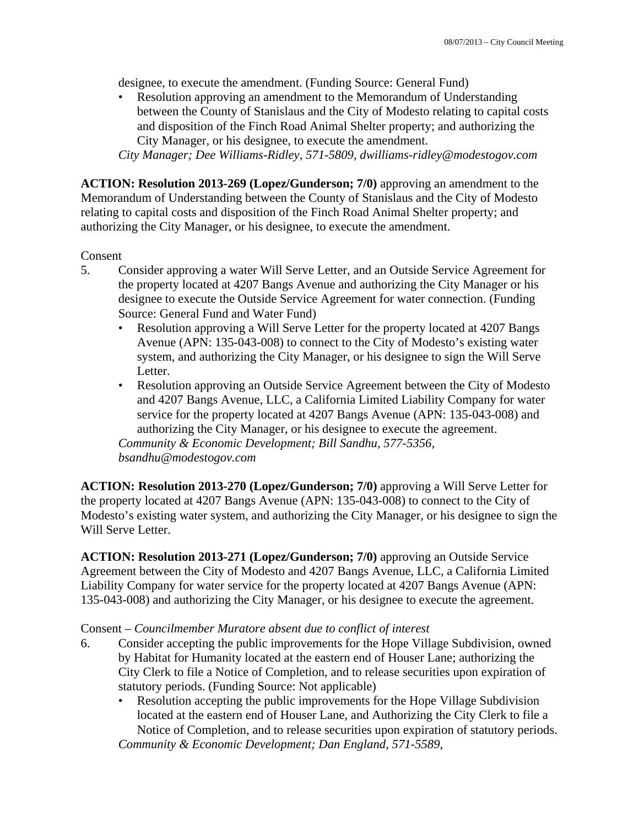designee, to execute the amendment. (Funding Source: General Fund)

• Resolution approving an amendment to the Memorandum of Understanding between the County of Stanislaus and the City of Modesto relating to capital costs and disposition of the Finch Road Animal Shelter property; and authorizing the City Manager, or his designee, to execute the amendment.

*City Manager; Dee Williams-Ridley, 571-5809, dwilliams-ridley@modestogov.com* 

**ACTION: Resolution 2013-269 (Lopez/Gunderson; 7/0)** approving an amendment to the Memorandum of Understanding between the County of Stanislaus and the City of Modesto relating to capital costs and disposition of the Finch Road Animal Shelter property; and authorizing the City Manager, or his designee, to execute the amendment.

#### Consent

- 5. Consider approving a water Will Serve Letter, and an Outside Service Agreement for the property located at 4207 Bangs Avenue and authorizing the City Manager or his designee to execute the Outside Service Agreement for water connection. (Funding Source: General Fund and Water Fund)
	- Resolution approving a Will Serve Letter for the property located at 4207 Bangs Avenue (APN: 135-043-008) to connect to the City of Modesto's existing water system, and authorizing the City Manager, or his designee to sign the Will Serve Letter.
	- Resolution approving an Outside Service Agreement between the City of Modesto and 4207 Bangs Avenue, LLC, a California Limited Liability Company for water service for the property located at 4207 Bangs Avenue (APN: 135-043-008) and authorizing the City Manager, or his designee to execute the agreement. *Community & Economic Development; Bill Sandhu, 577-5356,*

*bsandhu@modestogov.com* 

**ACTION: Resolution 2013-270 (Lopez/Gunderson; 7/0)** approving a Will Serve Letter for the property located at 4207 Bangs Avenue (APN: 135-043-008) to connect to the City of Modesto's existing water system, and authorizing the City Manager, or his designee to sign the Will Serve Letter.

**ACTION: Resolution 2013-271 (Lopez/Gunderson; 7/0)** approving an Outside Service Agreement between the City of Modesto and 4207 Bangs Avenue, LLC, a California Limited Liability Company for water service for the property located at 4207 Bangs Avenue (APN: 135-043-008) and authorizing the City Manager, or his designee to execute the agreement.

#### Consent – *Councilmember Muratore absent due to conflict of interest*

- 6. Consider accepting the public improvements for the Hope Village Subdivision, owned by Habitat for Humanity located at the eastern end of Houser Lane; authorizing the City Clerk to file a Notice of Completion, and to release securities upon expiration of statutory periods. (Funding Source: Not applicable)
	- Resolution accepting the public improvements for the Hope Village Subdivision located at the eastern end of Houser Lane, and Authorizing the City Clerk to file a Notice of Completion, and to release securities upon expiration of statutory periods. *Community & Economic Development; Dan England, 571-5589,*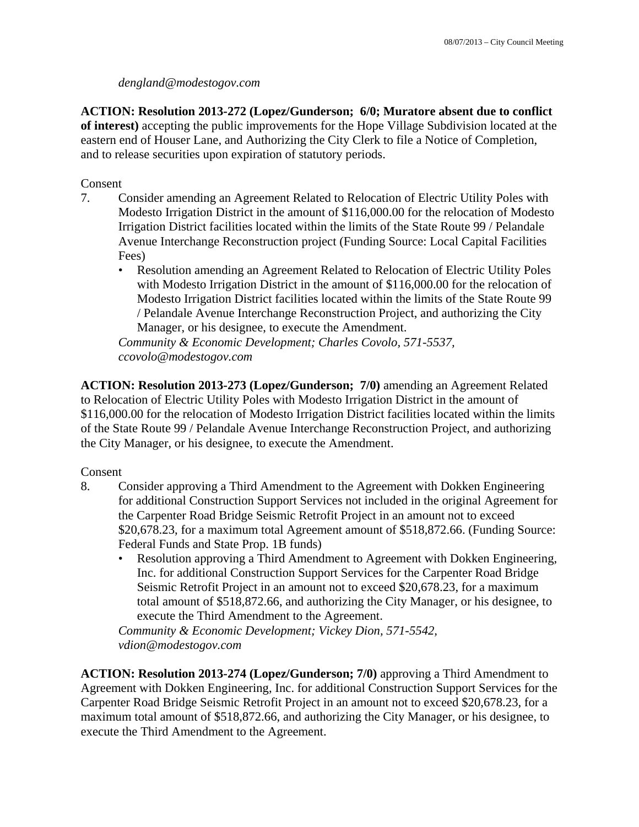### *dengland@modestogov.com*

**ACTION: Resolution 2013-272 (Lopez/Gunderson; 6/0; Muratore absent due to conflict of interest)** accepting the public improvements for the Hope Village Subdivision located at the eastern end of Houser Lane, and Authorizing the City Clerk to file a Notice of Completion, and to release securities upon expiration of statutory periods.

## Consent

- 7. Consider amending an Agreement Related to Relocation of Electric Utility Poles with Modesto Irrigation District in the amount of \$116,000.00 for the relocation of Modesto Irrigation District facilities located within the limits of the State Route 99 / Pelandale Avenue Interchange Reconstruction project (Funding Source: Local Capital Facilities Fees)
	- Resolution amending an Agreement Related to Relocation of Electric Utility Poles with Modesto Irrigation District in the amount of \$116,000.00 for the relocation of Modesto Irrigation District facilities located within the limits of the State Route 99 / Pelandale Avenue Interchange Reconstruction Project, and authorizing the City Manager, or his designee, to execute the Amendment.

*Community & Economic Development; Charles Covolo, 571-5537, ccovolo@modestogov.com* 

**ACTION: Resolution 2013-273 (Lopez/Gunderson; 7/0)** amending an Agreement Related to Relocation of Electric Utility Poles with Modesto Irrigation District in the amount of \$116,000.00 for the relocation of Modesto Irrigation District facilities located within the limits of the State Route 99 / Pelandale Avenue Interchange Reconstruction Project, and authorizing the City Manager, or his designee, to execute the Amendment.

#### Consent

- 8. Consider approving a Third Amendment to the Agreement with Dokken Engineering for additional Construction Support Services not included in the original Agreement for the Carpenter Road Bridge Seismic Retrofit Project in an amount not to exceed \$20,678.23, for a maximum total Agreement amount of \$518,872.66. (Funding Source: Federal Funds and State Prop. 1B funds)
	- Resolution approving a Third Amendment to Agreement with Dokken Engineering, Inc. for additional Construction Support Services for the Carpenter Road Bridge Seismic Retrofit Project in an amount not to exceed \$20,678.23, for a maximum total amount of \$518,872.66, and authorizing the City Manager, or his designee, to execute the Third Amendment to the Agreement.

*Community & Economic Development; Vickey Dion, 571-5542, vdion@modestogov.com* 

**ACTION: Resolution 2013-274 (Lopez/Gunderson; 7/0)** approving a Third Amendment to Agreement with Dokken Engineering, Inc. for additional Construction Support Services for the Carpenter Road Bridge Seismic Retrofit Project in an amount not to exceed \$20,678.23, for a maximum total amount of \$518,872.66, and authorizing the City Manager, or his designee, to execute the Third Amendment to the Agreement.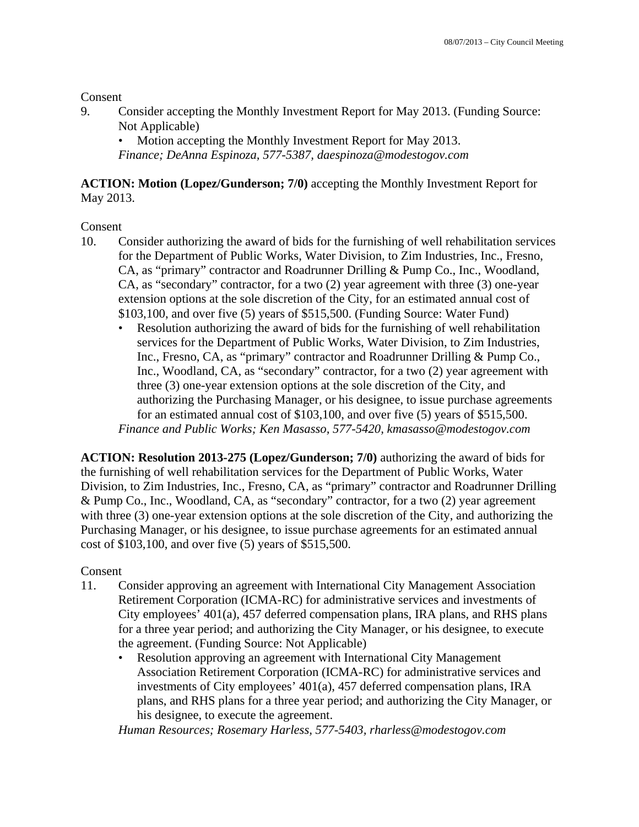### **Consent**

9. Consider accepting the Monthly Investment Report for May 2013. (Funding Source: Not Applicable)

• Motion accepting the Monthly Investment Report for May 2013. *Finance; DeAnna Espinoza, 577-5387, daespinoza@modestogov.com* 

### **ACTION: Motion (Lopez/Gunderson; 7/0)** accepting the Monthly Investment Report for May 2013.

## **Consent**

- 10. Consider authorizing the award of bids for the furnishing of well rehabilitation services for the Department of Public Works, Water Division, to Zim Industries, Inc., Fresno, CA, as "primary" contractor and Roadrunner Drilling & Pump Co., Inc., Woodland, CA, as "secondary" contractor, for a two (2) year agreement with three (3) one-year extension options at the sole discretion of the City, for an estimated annual cost of \$103,100, and over five (5) years of \$515,500. (Funding Source: Water Fund)
	- Resolution authorizing the award of bids for the furnishing of well rehabilitation services for the Department of Public Works, Water Division, to Zim Industries, Inc., Fresno, CA, as "primary" contractor and Roadrunner Drilling & Pump Co., Inc., Woodland, CA, as "secondary" contractor, for a two (2) year agreement with three (3) one-year extension options at the sole discretion of the City, and authorizing the Purchasing Manager, or his designee, to issue purchase agreements for an estimated annual cost of \$103,100, and over five (5) years of \$515,500. *Finance and Public Works; Ken Masasso, 577-5420, kmasasso@modestogov.com*

**ACTION: Resolution 2013-275 (Lopez/Gunderson; 7/0)** authorizing the award of bids for the furnishing of well rehabilitation services for the Department of Public Works, Water Division, to Zim Industries, Inc., Fresno, CA, as "primary" contractor and Roadrunner Drilling & Pump Co., Inc., Woodland, CA, as "secondary" contractor, for a two (2) year agreement with three (3) one-year extension options at the sole discretion of the City, and authorizing the Purchasing Manager, or his designee, to issue purchase agreements for an estimated annual cost of \$103,100, and over five (5) years of \$515,500.

## **Consent**

- 11. Consider approving an agreement with International City Management Association Retirement Corporation (ICMA-RC) for administrative services and investments of City employees' 401(a), 457 deferred compensation plans, IRA plans, and RHS plans for a three year period; and authorizing the City Manager, or his designee, to execute the agreement. (Funding Source: Not Applicable)
	- Resolution approving an agreement with International City Management Association Retirement Corporation (ICMA-RC) for administrative services and investments of City employees' 401(a), 457 deferred compensation plans, IRA plans, and RHS plans for a three year period; and authorizing the City Manager, or his designee, to execute the agreement.

*Human Resources; Rosemary Harless, 577-5403, rharless@modestogov.com*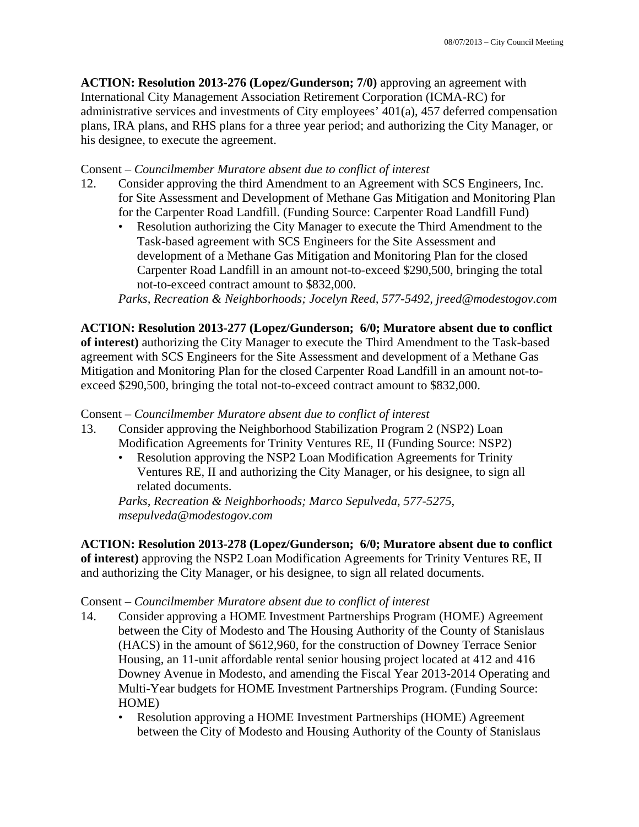**ACTION: Resolution 2013-276 (Lopez/Gunderson; 7/0)** approving an agreement with International City Management Association Retirement Corporation (ICMA-RC) for administrative services and investments of City employees' 401(a), 457 deferred compensation plans, IRA plans, and RHS plans for a three year period; and authorizing the City Manager, or his designee, to execute the agreement.

#### Consent – *Councilmember Muratore absent due to conflict of interest*

- 12. Consider approving the third Amendment to an Agreement with SCS Engineers, Inc. for Site Assessment and Development of Methane Gas Mitigation and Monitoring Plan for the Carpenter Road Landfill. (Funding Source: Carpenter Road Landfill Fund)
	- Resolution authorizing the City Manager to execute the Third Amendment to the Task-based agreement with SCS Engineers for the Site Assessment and development of a Methane Gas Mitigation and Monitoring Plan for the closed Carpenter Road Landfill in an amount not-to-exceed \$290,500, bringing the total not-to-exceed contract amount to \$832,000.

*Parks, Recreation & Neighborhoods; Jocelyn Reed, 577-5492, jreed@modestogov.com* 

### **ACTION: Resolution 2013-277 (Lopez/Gunderson; 6/0; Muratore absent due to conflict**

**of interest)** authorizing the City Manager to execute the Third Amendment to the Task-based agreement with SCS Engineers for the Site Assessment and development of a Methane Gas Mitigation and Monitoring Plan for the closed Carpenter Road Landfill in an amount not-toexceed \$290,500, bringing the total not-to-exceed contract amount to \$832,000.

#### Consent – *Councilmember Muratore absent due to conflict of interest*

- 13. Consider approving the Neighborhood Stabilization Program 2 (NSP2) Loan Modification Agreements for Trinity Ventures RE, II (Funding Source: NSP2)
	- Resolution approving the NSP2 Loan Modification Agreements for Trinity Ventures RE, II and authorizing the City Manager, or his designee, to sign all related documents.

*Parks, Recreation & Neighborhoods; Marco Sepulveda, 577-5275, msepulveda@modestogov.com* 

**ACTION: Resolution 2013-278 (Lopez/Gunderson; 6/0; Muratore absent due to conflict of interest)** approving the NSP2 Loan Modification Agreements for Trinity Ventures RE, II and authorizing the City Manager, or his designee, to sign all related documents.

#### Consent – *Councilmember Muratore absent due to conflict of interest*

- 14. Consider approving a HOME Investment Partnerships Program (HOME) Agreement between the City of Modesto and The Housing Authority of the County of Stanislaus (HACS) in the amount of \$612,960, for the construction of Downey Terrace Senior Housing, an 11-unit affordable rental senior housing project located at 412 and 416 Downey Avenue in Modesto, and amending the Fiscal Year 2013-2014 Operating and Multi-Year budgets for HOME Investment Partnerships Program. (Funding Source: HOME)
	- Resolution approving a HOME Investment Partnerships (HOME) Agreement between the City of Modesto and Housing Authority of the County of Stanislaus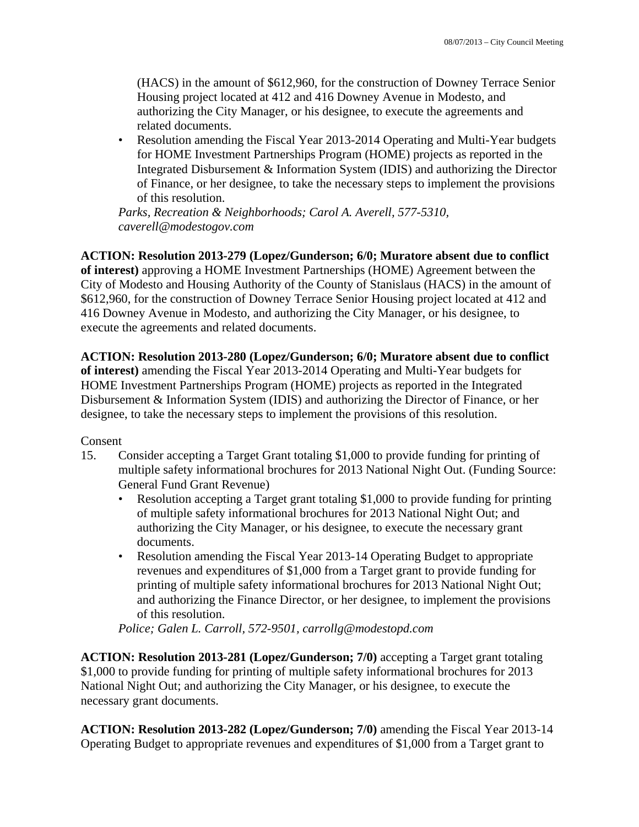(HACS) in the amount of \$612,960, for the construction of Downey Terrace Senior Housing project located at 412 and 416 Downey Avenue in Modesto, and authorizing the City Manager, or his designee, to execute the agreements and related documents.

• Resolution amending the Fiscal Year 2013-2014 Operating and Multi-Year budgets for HOME Investment Partnerships Program (HOME) projects as reported in the Integrated Disbursement & Information System (IDIS) and authorizing the Director of Finance, or her designee, to take the necessary steps to implement the provisions of this resolution.

*Parks, Recreation & Neighborhoods; Carol A. Averell, 577-5310, caverell@modestogov.com* 

**ACTION: Resolution 2013-279 (Lopez/Gunderson; 6/0; Muratore absent due to conflict of interest)** approving a HOME Investment Partnerships (HOME) Agreement between the City of Modesto and Housing Authority of the County of Stanislaus (HACS) in the amount of \$612,960, for the construction of Downey Terrace Senior Housing project located at 412 and 416 Downey Avenue in Modesto, and authorizing the City Manager, or his designee, to execute the agreements and related documents.

**ACTION: Resolution 2013-280 (Lopez/Gunderson; 6/0; Muratore absent due to conflict of interest)** amending the Fiscal Year 2013-2014 Operating and Multi-Year budgets for HOME Investment Partnerships Program (HOME) projects as reported in the Integrated Disbursement & Information System (IDIS) and authorizing the Director of Finance, or her designee, to take the necessary steps to implement the provisions of this resolution.

Consent

- 15. Consider accepting a Target Grant totaling \$1,000 to provide funding for printing of multiple safety informational brochures for 2013 National Night Out. (Funding Source: General Fund Grant Revenue)
	- Resolution accepting a Target grant totaling \$1,000 to provide funding for printing of multiple safety informational brochures for 2013 National Night Out; and authorizing the City Manager, or his designee, to execute the necessary grant documents.
	- Resolution amending the Fiscal Year 2013-14 Operating Budget to appropriate revenues and expenditures of \$1,000 from a Target grant to provide funding for printing of multiple safety informational brochures for 2013 National Night Out; and authorizing the Finance Director, or her designee, to implement the provisions of this resolution.

*Police; Galen L. Carroll, 572-9501, carrollg@modestopd.com* 

**ACTION: Resolution 2013-281 (Lopez/Gunderson; 7/0)** accepting a Target grant totaling \$1,000 to provide funding for printing of multiple safety informational brochures for 2013 National Night Out; and authorizing the City Manager, or his designee, to execute the necessary grant documents.

**ACTION: Resolution 2013-282 (Lopez/Gunderson; 7/0)** amending the Fiscal Year 2013-14 Operating Budget to appropriate revenues and expenditures of \$1,000 from a Target grant to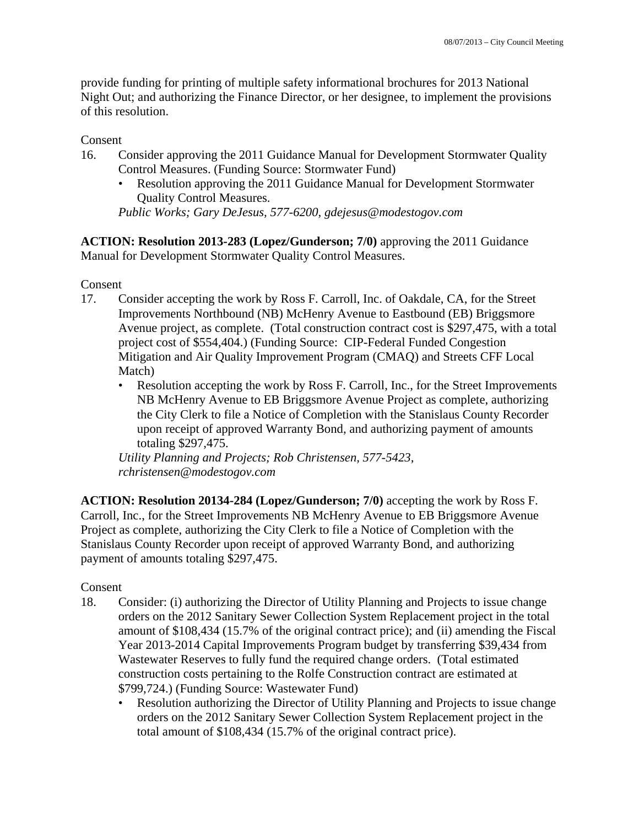provide funding for printing of multiple safety informational brochures for 2013 National Night Out; and authorizing the Finance Director, or her designee, to implement the provisions of this resolution.

### Consent

- 16. Consider approving the 2011 Guidance Manual for Development Stormwater Quality Control Measures. (Funding Source: Stormwater Fund)
	- Resolution approving the 2011 Guidance Manual for Development Stormwater Quality Control Measures.

*Public Works; Gary DeJesus, 577-6200, gdejesus@modestogov.com* 

**ACTION: Resolution 2013-283 (Lopez/Gunderson; 7/0)** approving the 2011 Guidance Manual for Development Stormwater Quality Control Measures.

Consent

- 17. Consider accepting the work by Ross F. Carroll, Inc. of Oakdale, CA, for the Street Improvements Northbound (NB) McHenry Avenue to Eastbound (EB) Briggsmore Avenue project, as complete. (Total construction contract cost is \$297,475, with a total project cost of \$554,404.) (Funding Source: CIP-Federal Funded Congestion Mitigation and Air Quality Improvement Program (CMAQ) and Streets CFF Local Match)
	- Resolution accepting the work by Ross F. Carroll, Inc., for the Street Improvements NB McHenry Avenue to EB Briggsmore Avenue Project as complete, authorizing the City Clerk to file a Notice of Completion with the Stanislaus County Recorder upon receipt of approved Warranty Bond, and authorizing payment of amounts totaling \$297,475.

*Utility Planning and Projects; Rob Christensen, 577-5423, rchristensen@modestogov.com* 

**ACTION: Resolution 20134-284 (Lopez/Gunderson; 7/0)** accepting the work by Ross F. Carroll, Inc., for the Street Improvements NB McHenry Avenue to EB Briggsmore Avenue Project as complete, authorizing the City Clerk to file a Notice of Completion with the Stanislaus County Recorder upon receipt of approved Warranty Bond, and authorizing payment of amounts totaling \$297,475.

## Consent

- 18. Consider: (i) authorizing the Director of Utility Planning and Projects to issue change orders on the 2012 Sanitary Sewer Collection System Replacement project in the total amount of \$108,434 (15.7% of the original contract price); and (ii) amending the Fiscal Year 2013-2014 Capital Improvements Program budget by transferring \$39,434 from Wastewater Reserves to fully fund the required change orders. (Total estimated construction costs pertaining to the Rolfe Construction contract are estimated at \$799,724.) (Funding Source: Wastewater Fund)
	- Resolution authorizing the Director of Utility Planning and Projects to issue change orders on the 2012 Sanitary Sewer Collection System Replacement project in the total amount of \$108,434 (15.7% of the original contract price).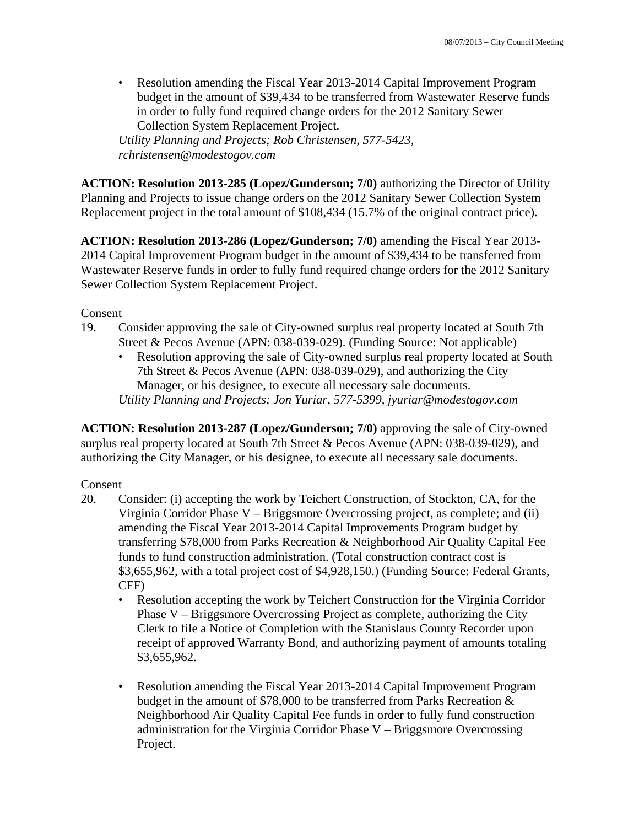• Resolution amending the Fiscal Year 2013-2014 Capital Improvement Program budget in the amount of \$39,434 to be transferred from Wastewater Reserve funds in order to fully fund required change orders for the 2012 Sanitary Sewer Collection System Replacement Project.

*Utility Planning and Projects; Rob Christensen, 577-5423, rchristensen@modestogov.com* 

**ACTION: Resolution 2013-285 (Lopez/Gunderson; 7/0)** authorizing the Director of Utility Planning and Projects to issue change orders on the 2012 Sanitary Sewer Collection System Replacement project in the total amount of \$108,434 (15.7% of the original contract price).

**ACTION: Resolution 2013-286 (Lopez/Gunderson; 7/0)** amending the Fiscal Year 2013- 2014 Capital Improvement Program budget in the amount of \$39,434 to be transferred from Wastewater Reserve funds in order to fully fund required change orders for the 2012 Sanitary Sewer Collection System Replacement Project.

#### Consent

- 19. Consider approving the sale of City-owned surplus real property located at South 7th Street & Pecos Avenue (APN: 038-039-029). (Funding Source: Not applicable)
	- Resolution approving the sale of City-owned surplus real property located at South 7th Street & Pecos Avenue (APN: 038-039-029), and authorizing the City Manager, or his designee, to execute all necessary sale documents. *Utility Planning and Projects; Jon Yuriar, 577-5399, jyuriar@modestogov.com*

**ACTION: Resolution 2013-287 (Lopez/Gunderson; 7/0)** approving the sale of City-owned surplus real property located at South 7th Street & Pecos Avenue (APN: 038-039-029), and authorizing the City Manager, or his designee, to execute all necessary sale documents.

## Consent

- 20. Consider: (i) accepting the work by Teichert Construction, of Stockton, CA, for the Virginia Corridor Phase V – Briggsmore Overcrossing project, as complete; and (ii) amending the Fiscal Year 2013-2014 Capital Improvements Program budget by transferring \$78,000 from Parks Recreation & Neighborhood Air Quality Capital Fee funds to fund construction administration. (Total construction contract cost is \$3,655,962, with a total project cost of \$4,928,150.) (Funding Source: Federal Grants, CFF)
	- Resolution accepting the work by Teichert Construction for the Virginia Corridor Phase V – Briggsmore Overcrossing Project as complete, authorizing the City Clerk to file a Notice of Completion with the Stanislaus County Recorder upon receipt of approved Warranty Bond, and authorizing payment of amounts totaling \$3,655,962.
	- Resolution amending the Fiscal Year 2013-2014 Capital Improvement Program budget in the amount of \$78,000 to be transferred from Parks Recreation & Neighborhood Air Quality Capital Fee funds in order to fully fund construction administration for the Virginia Corridor Phase V – Briggsmore Overcrossing Project.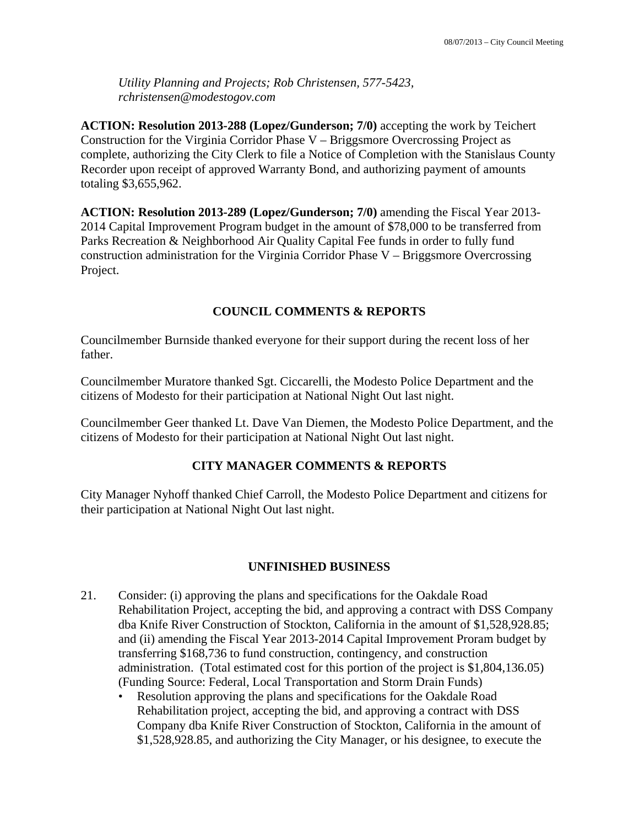*Utility Planning and Projects; Rob Christensen, 577-5423, rchristensen@modestogov.com* 

**ACTION: Resolution 2013-288 (Lopez/Gunderson; 7/0)** accepting the work by Teichert Construction for the Virginia Corridor Phase V – Briggsmore Overcrossing Project as complete, authorizing the City Clerk to file a Notice of Completion with the Stanislaus County Recorder upon receipt of approved Warranty Bond, and authorizing payment of amounts totaling \$3,655,962.

**ACTION: Resolution 2013-289 (Lopez/Gunderson; 7/0)** amending the Fiscal Year 2013- 2014 Capital Improvement Program budget in the amount of \$78,000 to be transferred from Parks Recreation & Neighborhood Air Quality Capital Fee funds in order to fully fund construction administration for the Virginia Corridor Phase V – Briggsmore Overcrossing Project.

## **COUNCIL COMMENTS & REPORTS**

Councilmember Burnside thanked everyone for their support during the recent loss of her father.

Councilmember Muratore thanked Sgt. Ciccarelli, the Modesto Police Department and the citizens of Modesto for their participation at National Night Out last night.

Councilmember Geer thanked Lt. Dave Van Diemen, the Modesto Police Department, and the citizens of Modesto for their participation at National Night Out last night.

## **CITY MANAGER COMMENTS & REPORTS**

City Manager Nyhoff thanked Chief Carroll, the Modesto Police Department and citizens for their participation at National Night Out last night.

## **UNFINISHED BUSINESS**

- 21. Consider: (i) approving the plans and specifications for the Oakdale Road Rehabilitation Project, accepting the bid, and approving a contract with DSS Company dba Knife River Construction of Stockton, California in the amount of \$1,528,928.85; and (ii) amending the Fiscal Year 2013-2014 Capital Improvement Proram budget by transferring \$168,736 to fund construction, contingency, and construction administration. (Total estimated cost for this portion of the project is \$1,804,136.05) (Funding Source: Federal, Local Transportation and Storm Drain Funds)
	- Resolution approving the plans and specifications for the Oakdale Road Rehabilitation project, accepting the bid, and approving a contract with DSS Company dba Knife River Construction of Stockton, California in the amount of \$1,528,928.85, and authorizing the City Manager, or his designee, to execute the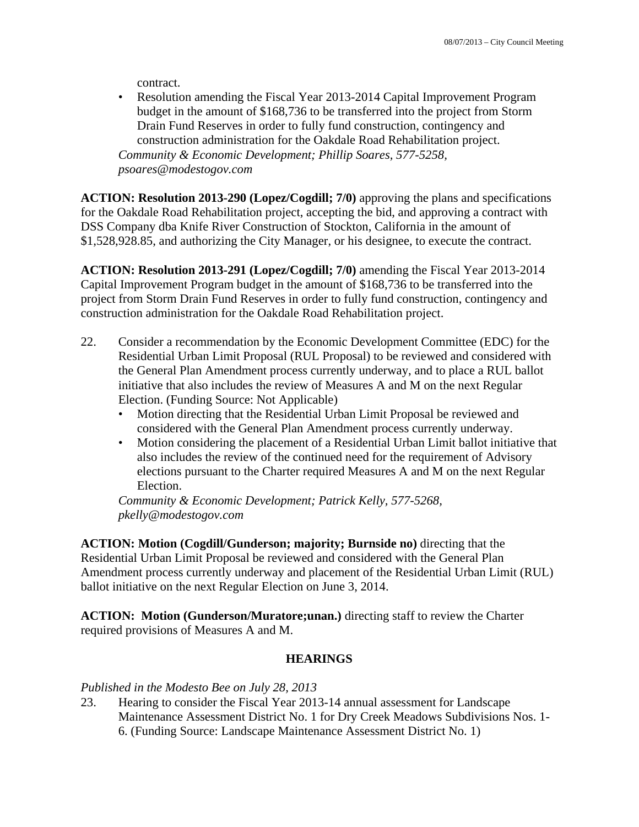contract.

• Resolution amending the Fiscal Year 2013-2014 Capital Improvement Program budget in the amount of \$168,736 to be transferred into the project from Storm Drain Fund Reserves in order to fully fund construction, contingency and construction administration for the Oakdale Road Rehabilitation project.

*Community & Economic Development; Phillip Soares, 577-5258, psoares@modestogov.com* 

**ACTION: Resolution 2013-290 (Lopez/Cogdill; 7/0)** approving the plans and specifications for the Oakdale Road Rehabilitation project, accepting the bid, and approving a contract with DSS Company dba Knife River Construction of Stockton, California in the amount of \$1,528,928.85, and authorizing the City Manager, or his designee, to execute the contract.

**ACTION: Resolution 2013-291 (Lopez/Cogdill; 7/0)** amending the Fiscal Year 2013-2014 Capital Improvement Program budget in the amount of \$168,736 to be transferred into the project from Storm Drain Fund Reserves in order to fully fund construction, contingency and construction administration for the Oakdale Road Rehabilitation project.

- 22. Consider a recommendation by the Economic Development Committee (EDC) for the Residential Urban Limit Proposal (RUL Proposal) to be reviewed and considered with the General Plan Amendment process currently underway, and to place a RUL ballot initiative that also includes the review of Measures A and M on the next Regular Election. (Funding Source: Not Applicable)
	- Motion directing that the Residential Urban Limit Proposal be reviewed and considered with the General Plan Amendment process currently underway.
	- Motion considering the placement of a Residential Urban Limit ballot initiative that also includes the review of the continued need for the requirement of Advisory elections pursuant to the Charter required Measures A and M on the next Regular Election.

*Community & Economic Development; Patrick Kelly, 577-5268, pkelly@modestogov.com* 

**ACTION: Motion (Cogdill/Gunderson; majority; Burnside no)** directing that the Residential Urban Limit Proposal be reviewed and considered with the General Plan Amendment process currently underway and placement of the Residential Urban Limit (RUL) ballot initiative on the next Regular Election on June 3, 2014.

**ACTION: Motion (Gunderson/Muratore;unan.)** directing staff to review the Charter required provisions of Measures A and M.

## **HEARINGS**

## *Published in the Modesto Bee on July 28, 2013*

23. Hearing to consider the Fiscal Year 2013-14 annual assessment for Landscape Maintenance Assessment District No. 1 for Dry Creek Meadows Subdivisions Nos. 1- 6. (Funding Source: Landscape Maintenance Assessment District No. 1)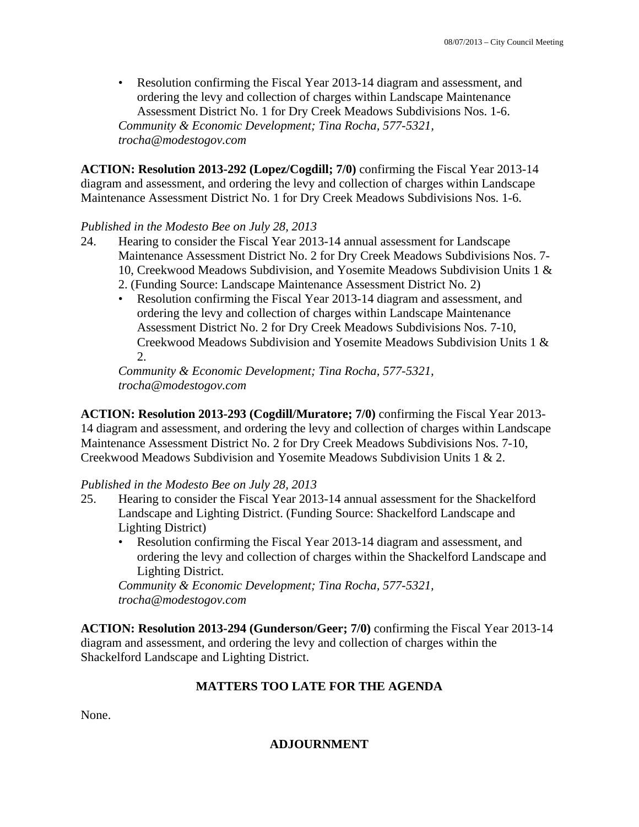• Resolution confirming the Fiscal Year 2013-14 diagram and assessment, and ordering the levy and collection of charges within Landscape Maintenance Assessment District No. 1 for Dry Creek Meadows Subdivisions Nos. 1-6. *Community & Economic Development; Tina Rocha, 577-5321, trocha@modestogov.com* 

**ACTION: Resolution 2013-292 (Lopez/Cogdill; 7/0)** confirming the Fiscal Year 2013-14 diagram and assessment, and ordering the levy and collection of charges within Landscape Maintenance Assessment District No. 1 for Dry Creek Meadows Subdivisions Nos. 1-6.

### *Published in the Modesto Bee on July 28, 2013*

- 24. Hearing to consider the Fiscal Year 2013-14 annual assessment for Landscape Maintenance Assessment District No. 2 for Dry Creek Meadows Subdivisions Nos. 7- 10, Creekwood Meadows Subdivision, and Yosemite Meadows Subdivision Units 1 &
	- 2. (Funding Source: Landscape Maintenance Assessment District No. 2)
	- Resolution confirming the Fiscal Year 2013-14 diagram and assessment, and ordering the levy and collection of charges within Landscape Maintenance Assessment District No. 2 for Dry Creek Meadows Subdivisions Nos. 7-10, Creekwood Meadows Subdivision and Yosemite Meadows Subdivision Units 1 & 2.

*Community & Economic Development; Tina Rocha, 577-5321, trocha@modestogov.com* 

**ACTION: Resolution 2013-293 (Cogdill/Muratore; 7/0)** confirming the Fiscal Year 2013- 14 diagram and assessment, and ordering the levy and collection of charges within Landscape Maintenance Assessment District No. 2 for Dry Creek Meadows Subdivisions Nos. 7-10, Creekwood Meadows Subdivision and Yosemite Meadows Subdivision Units 1 & 2.

#### *Published in the Modesto Bee on July 28, 2013*

- 25. Hearing to consider the Fiscal Year 2013-14 annual assessment for the Shackelford Landscape and Lighting District. (Funding Source: Shackelford Landscape and Lighting District)
	- Resolution confirming the Fiscal Year 2013-14 diagram and assessment, and ordering the levy and collection of charges within the Shackelford Landscape and Lighting District.

*Community & Economic Development; Tina Rocha, 577-5321, trocha@modestogov.com* 

**ACTION: Resolution 2013-294 (Gunderson/Geer; 7/0)** confirming the Fiscal Year 2013-14 diagram and assessment, and ordering the levy and collection of charges within the Shackelford Landscape and Lighting District.

# **MATTERS TOO LATE FOR THE AGENDA**

None.

## **ADJOURNMENT**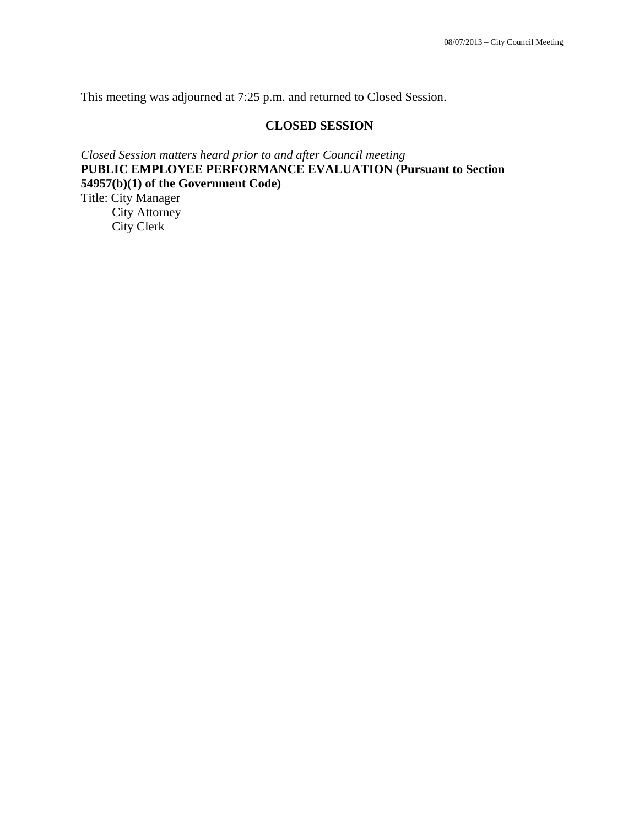This meeting was adjourned at 7:25 p.m. and returned to Closed Session.

#### **CLOSED SESSION**

*Closed Session matters heard prior to and after Council meeting* **PUBLIC EMPLOYEE PERFORMANCE EVALUATION (Pursuant to Section 54957(b)(1) of the Government Code)**  Title: City Manager City Attorney City Clerk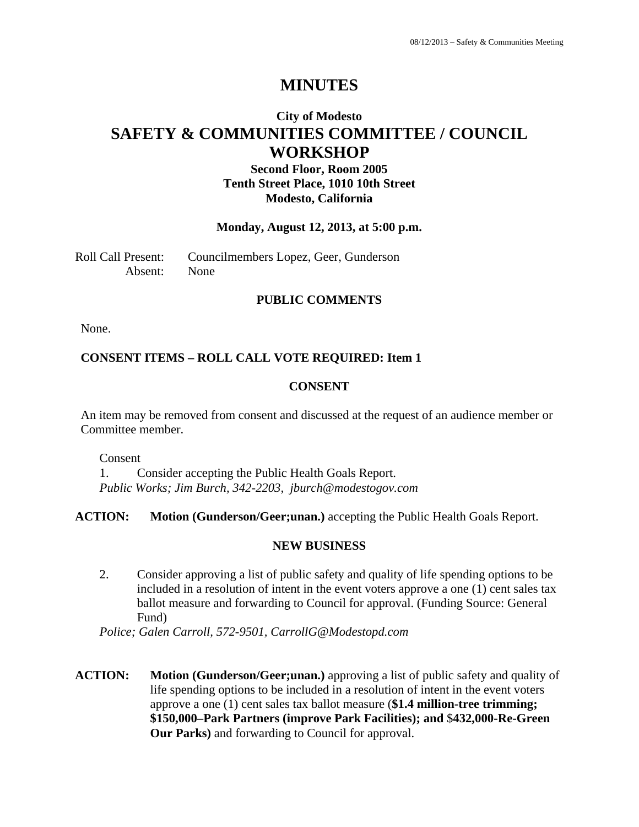# **MINUTES**

# **City of Modesto SAFETY & COMMUNITIES COMMITTEE / COUNCIL WORKSHOP**

**Second Floor, Room 2005 Tenth Street Place, 1010 10th Street Modesto, California** 

#### **Monday, August 12, 2013, at 5:00 p.m.**

Roll Call Present: Councilmembers Lopez, Geer, Gunderson Absent: None

#### **PUBLIC COMMENTS**

None.

#### **CONSENT ITEMS – ROLL CALL VOTE REQUIRED: Item 1**

#### **CONSENT**

An item may be removed from consent and discussed at the request of an audience member or Committee member.

Consent

1. Consider accepting the Public Health Goals Report. *Public Works; Jim Burch, 342-2203, jburch@modestogov.com* 

**ACTION: Motion (Gunderson/Geer;unan.)** accepting the Public Health Goals Report.

#### **NEW BUSINESS**

2. Consider approving a list of public safety and quality of life spending options to be included in a resolution of intent in the event voters approve a one (1) cent sales tax ballot measure and forwarding to Council for approval. (Funding Source: General Fund)

*Police; Galen Carroll, 572-9501, CarrollG@Modestopd.com* 

**ACTION: Motion (Gunderson/Geer;unan.)** approving a list of public safety and quality of life spending options to be included in a resolution of intent in the event voters approve a one (1) cent sales tax ballot measure (**\$1.4 million-tree trimming; \$150,000–Park Partners (improve Park Facilities); and** \$**432,000-Re-Green Our Parks)** and forwarding to Council for approval.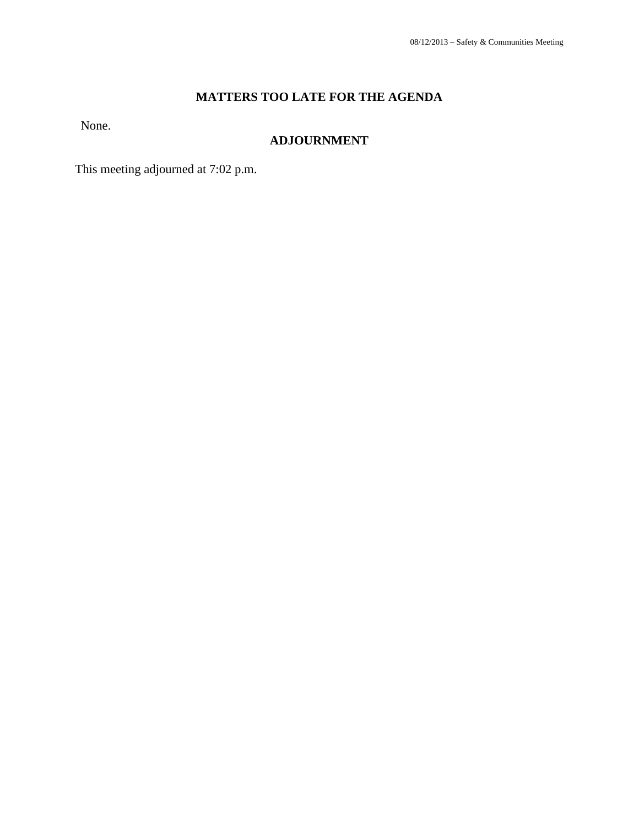# **MATTERS TOO LATE FOR THE AGENDA**

None.

# **ADJOURNMENT**

This meeting adjourned at 7:02 p.m.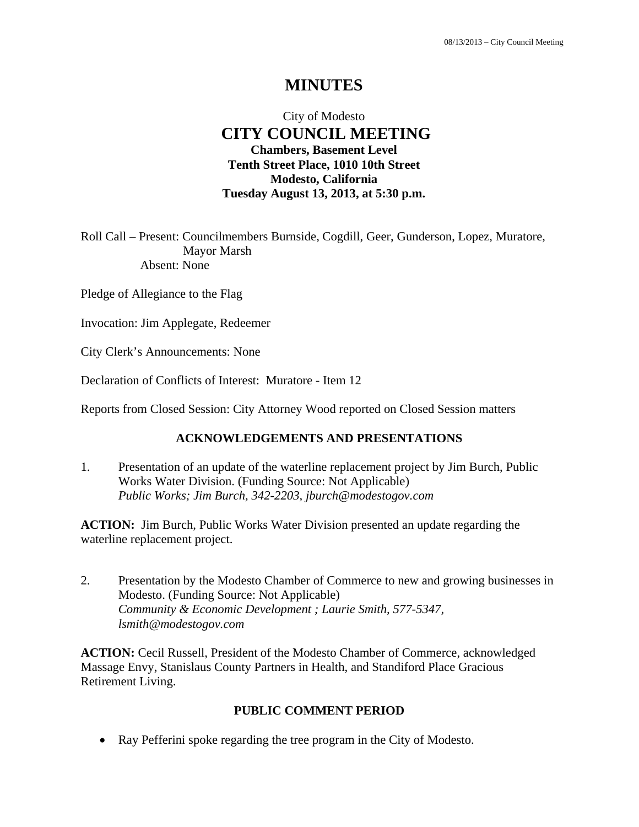# **MINUTES**

# City of Modesto  **CITY COUNCIL MEETING Chambers, Basement Level Tenth Street Place, 1010 10th Street Modesto, California Tuesday August 13, 2013, at 5:30 p.m.**

Roll Call – Present: Councilmembers Burnside, Cogdill, Geer, Gunderson, Lopez, Muratore, Mayor Marsh Absent: None

Pledge of Allegiance to the Flag

Invocation: Jim Applegate, Redeemer

City Clerk's Announcements: None

Declaration of Conflicts of Interest: Muratore - Item 12

Reports from Closed Session: City Attorney Wood reported on Closed Session matters

#### **ACKNOWLEDGEMENTS AND PRESENTATIONS**

1. Presentation of an update of the waterline replacement project by Jim Burch, Public Works Water Division. (Funding Source: Not Applicable)  *Public Works; Jim Burch, 342-2203, jburch@modestogov.com* 

**ACTION:** Jim Burch, Public Works Water Division presented an update regarding the waterline replacement project.

2. Presentation by the Modesto Chamber of Commerce to new and growing businesses in Modesto. (Funding Source: Not Applicable)  *Community & Economic Development ; Laurie Smith, 577-5347, lsmith@modestogov.com* 

**ACTION:** Cecil Russell, President of the Modesto Chamber of Commerce, acknowledged Massage Envy, Stanislaus County Partners in Health, and Standiford Place Gracious Retirement Living.

#### **PUBLIC COMMENT PERIOD**

Ray Pefferini spoke regarding the tree program in the City of Modesto.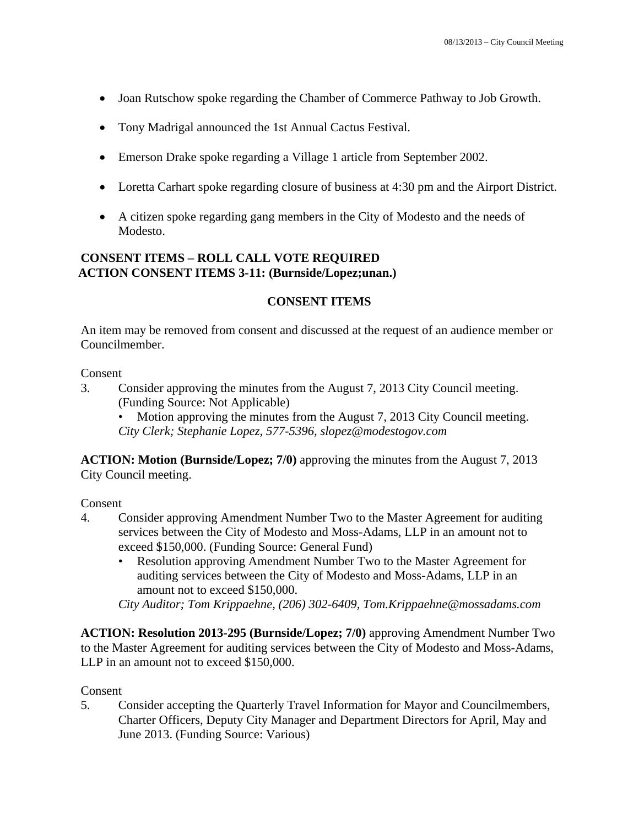- Joan Rutschow spoke regarding the Chamber of Commerce Pathway to Job Growth.
- Tony Madrigal announced the 1st Annual Cactus Festival.
- Emerson Drake spoke regarding a Village 1 article from September 2002.
- Loretta Carhart spoke regarding closure of business at 4:30 pm and the Airport District.
- A citizen spoke regarding gang members in the City of Modesto and the needs of Modesto.

### **CONSENT ITEMS – ROLL CALL VOTE REQUIRED ACTION CONSENT ITEMS 3-11: (Burnside/Lopez;unan.)**

#### **CONSENT ITEMS**

An item may be removed from consent and discussed at the request of an audience member or Councilmember.

#### Consent

3. Consider approving the minutes from the August 7, 2013 City Council meeting. (Funding Source: Not Applicable)

Motion approving the minutes from the August 7, 2013 City Council meeting. *City Clerk; Stephanie Lopez, 577-5396, slopez@modestogov.com* 

**ACTION: Motion (Burnside/Lopez; 7/0)** approving the minutes from the August 7, 2013 City Council meeting.

#### Consent

- 4. Consider approving Amendment Number Two to the Master Agreement for auditing services between the City of Modesto and Moss-Adams, LLP in an amount not to exceed \$150,000. (Funding Source: General Fund)
	- Resolution approving Amendment Number Two to the Master Agreement for auditing services between the City of Modesto and Moss-Adams, LLP in an amount not to exceed \$150,000.

*City Auditor; Tom Krippaehne, (206) 302-6409, Tom.Krippaehne@mossadams.com* 

**ACTION: Resolution 2013-295 (Burnside/Lopez; 7/0)** approving Amendment Number Two to the Master Agreement for auditing services between the City of Modesto and Moss-Adams, LLP in an amount not to exceed \$150,000.

#### Consent

5. Consider accepting the Quarterly Travel Information for Mayor and Councilmembers, Charter Officers, Deputy City Manager and Department Directors for April, May and June 2013. (Funding Source: Various)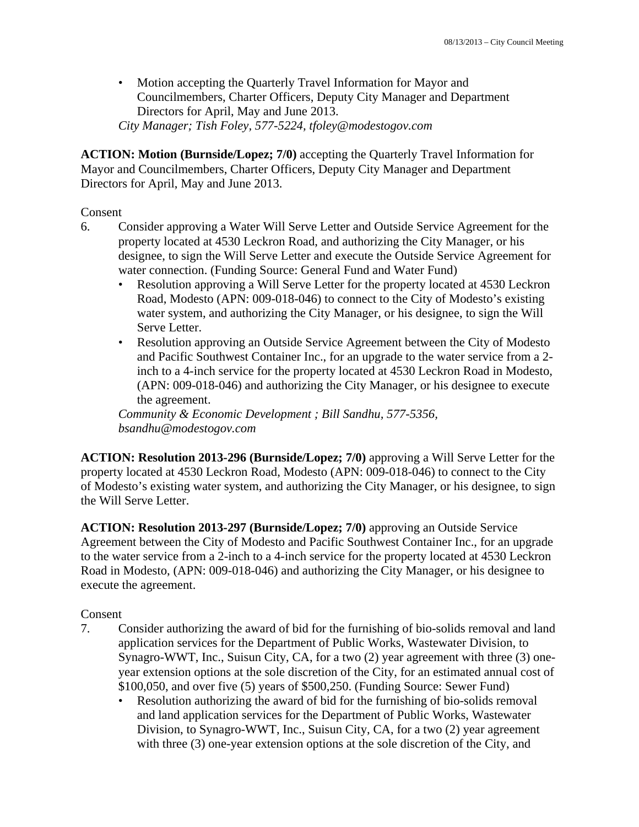• Motion accepting the Quarterly Travel Information for Mayor and Councilmembers, Charter Officers, Deputy City Manager and Department Directors for April, May and June 2013. *City Manager; Tish Foley, 577-5224, tfoley@modestogov.com* 

**ACTION: Motion (Burnside/Lopez; 7/0)** accepting the Quarterly Travel Information for Mayor and Councilmembers, Charter Officers, Deputy City Manager and Department Directors for April, May and June 2013.

#### Consent

- 6. Consider approving a Water Will Serve Letter and Outside Service Agreement for the property located at 4530 Leckron Road, and authorizing the City Manager, or his designee, to sign the Will Serve Letter and execute the Outside Service Agreement for water connection. (Funding Source: General Fund and Water Fund)
	- Resolution approving a Will Serve Letter for the property located at 4530 Leckron Road, Modesto (APN: 009-018-046) to connect to the City of Modesto's existing water system, and authorizing the City Manager, or his designee, to sign the Will Serve Letter.
	- Resolution approving an Outside Service Agreement between the City of Modesto and Pacific Southwest Container Inc., for an upgrade to the water service from a 2 inch to a 4-inch service for the property located at 4530 Leckron Road in Modesto, (APN: 009-018-046) and authorizing the City Manager, or his designee to execute the agreement.

*Community & Economic Development ; Bill Sandhu, 577-5356, bsandhu@modestogov.com* 

**ACTION: Resolution 2013-296 (Burnside/Lopez; 7/0)** approving a Will Serve Letter for the property located at 4530 Leckron Road, Modesto (APN: 009-018-046) to connect to the City of Modesto's existing water system, and authorizing the City Manager, or his designee, to sign the Will Serve Letter.

**ACTION: Resolution 2013-297 (Burnside/Lopez; 7/0)** approving an Outside Service Agreement between the City of Modesto and Pacific Southwest Container Inc., for an upgrade to the water service from a 2-inch to a 4-inch service for the property located at 4530 Leckron Road in Modesto, (APN: 009-018-046) and authorizing the City Manager, or his designee to execute the agreement.

#### Consent

- 7. Consider authorizing the award of bid for the furnishing of bio-solids removal and land application services for the Department of Public Works, Wastewater Division, to Synagro-WWT, Inc., Suisun City, CA, for a two (2) year agreement with three (3) oneyear extension options at the sole discretion of the City, for an estimated annual cost of \$100,050, and over five (5) years of \$500,250. (Funding Source: Sewer Fund)
	- Resolution authorizing the award of bid for the furnishing of bio-solids removal and land application services for the Department of Public Works, Wastewater Division, to Synagro-WWT, Inc., Suisun City, CA, for a two (2) year agreement with three (3) one-year extension options at the sole discretion of the City, and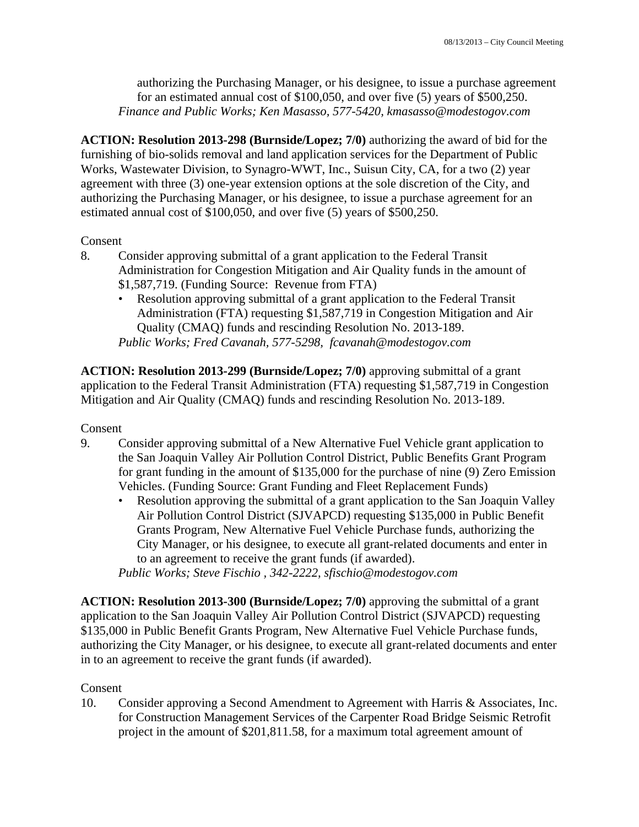authorizing the Purchasing Manager, or his designee, to issue a purchase agreement for an estimated annual cost of \$100,050, and over five (5) years of \$500,250. *Finance and Public Works; Ken Masasso, 577-5420, kmasasso@modestogov.com* 

**ACTION: Resolution 2013-298 (Burnside/Lopez; 7/0)** authorizing the award of bid for the furnishing of bio-solids removal and land application services for the Department of Public Works, Wastewater Division, to Synagro-WWT, Inc., Suisun City, CA, for a two (2) year agreement with three (3) one-year extension options at the sole discretion of the City, and authorizing the Purchasing Manager, or his designee, to issue a purchase agreement for an estimated annual cost of \$100,050, and over five (5) years of \$500,250.

### Consent

- 8. Consider approving submittal of a grant application to the Federal Transit Administration for Congestion Mitigation and Air Quality funds in the amount of \$1,587,719. (Funding Source: Revenue from FTA)
	- Resolution approving submittal of a grant application to the Federal Transit Administration (FTA) requesting \$1,587,719 in Congestion Mitigation and Air Quality (CMAQ) funds and rescinding Resolution No. 2013-189. *Public Works; Fred Cavanah, 577-5298, fcavanah@modestogov.com*

**ACTION: Resolution 2013-299 (Burnside/Lopez; 7/0)** approving submittal of a grant application to the Federal Transit Administration (FTA) requesting \$1,587,719 in Congestion Mitigation and Air Quality (CMAQ) funds and rescinding Resolution No. 2013-189.

Consent

- 9. Consider approving submittal of a New Alternative Fuel Vehicle grant application to the San Joaquin Valley Air Pollution Control District, Public Benefits Grant Program for grant funding in the amount of \$135,000 for the purchase of nine (9) Zero Emission Vehicles. (Funding Source: Grant Funding and Fleet Replacement Funds)
	- Resolution approving the submittal of a grant application to the San Joaquin Valley Air Pollution Control District (SJVAPCD) requesting \$135,000 in Public Benefit Grants Program, New Alternative Fuel Vehicle Purchase funds, authorizing the City Manager, or his designee, to execute all grant-related documents and enter in to an agreement to receive the grant funds (if awarded).

*Public Works; Steve Fischio , 342-2222, sfischio@modestogov.com* 

**ACTION: Resolution 2013-300 (Burnside/Lopez; 7/0)** approving the submittal of a grant application to the San Joaquin Valley Air Pollution Control District (SJVAPCD) requesting \$135,000 in Public Benefit Grants Program, New Alternative Fuel Vehicle Purchase funds, authorizing the City Manager, or his designee, to execute all grant-related documents and enter in to an agreement to receive the grant funds (if awarded).

#### Consent

10. Consider approving a Second Amendment to Agreement with Harris & Associates, Inc. for Construction Management Services of the Carpenter Road Bridge Seismic Retrofit project in the amount of \$201,811.58, for a maximum total agreement amount of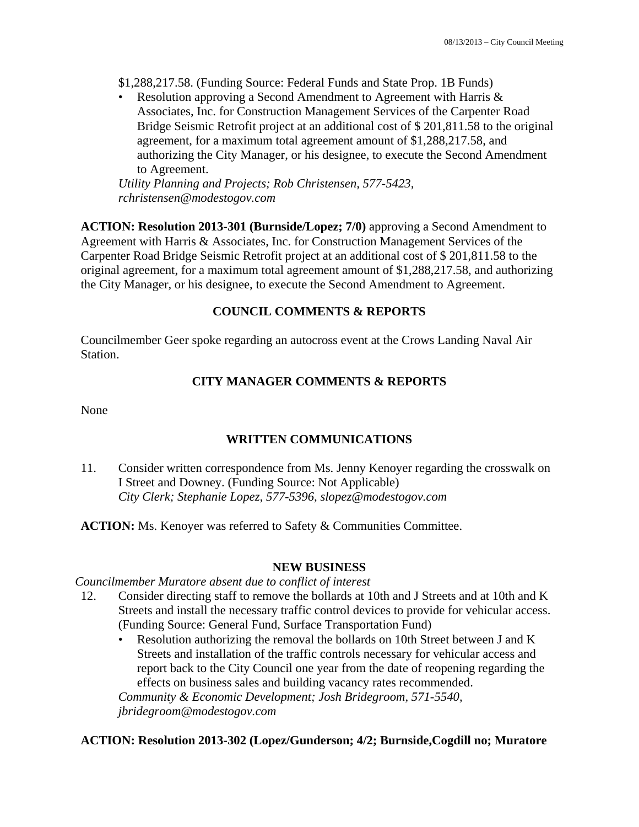\$1,288,217.58. (Funding Source: Federal Funds and State Prop. 1B Funds)

• Resolution approving a Second Amendment to Agreement with Harris & Associates, Inc. for Construction Management Services of the Carpenter Road Bridge Seismic Retrofit project at an additional cost of \$ 201,811.58 to the original agreement, for a maximum total agreement amount of \$1,288,217.58, and authorizing the City Manager, or his designee, to execute the Second Amendment to Agreement.

*Utility Planning and Projects; Rob Christensen, 577-5423, rchristensen@modestogov.com* 

**ACTION: Resolution 2013-301 (Burnside/Lopez; 7/0)** approving a Second Amendment to Agreement with Harris & Associates, Inc. for Construction Management Services of the Carpenter Road Bridge Seismic Retrofit project at an additional cost of \$ 201,811.58 to the original agreement, for a maximum total agreement amount of \$1,288,217.58, and authorizing the City Manager, or his designee, to execute the Second Amendment to Agreement.

## **COUNCIL COMMENTS & REPORTS**

Councilmember Geer spoke regarding an autocross event at the Crows Landing Naval Air Station.

# **CITY MANAGER COMMENTS & REPORTS**

None

# **WRITTEN COMMUNICATIONS**

- 11. Consider written correspondence from Ms. Jenny Kenoyer regarding the crosswalk on I Street and Downey. (Funding Source: Not Applicable)  *City Clerk; Stephanie Lopez, 577-5396, slopez@modestogov.com*
- ACTION: Ms. Kenoyer was referred to Safety & Communities Committee.

# **NEW BUSINESS**

## *Councilmember Muratore absent due to conflict of interest*

- 12. Consider directing staff to remove the bollards at 10th and J Streets and at 10th and K Streets and install the necessary traffic control devices to provide for vehicular access. (Funding Source: General Fund, Surface Transportation Fund)
	- Resolution authorizing the removal the bollards on 10th Street between J and K Streets and installation of the traffic controls necessary for vehicular access and report back to the City Council one year from the date of reopening regarding the effects on business sales and building vacancy rates recommended. *Community & Economic Development; Josh Bridegroom, 571-5540, jbridegroom@modestogov.com*

**ACTION: Resolution 2013-302 (Lopez/Gunderson; 4/2; Burnside,Cogdill no; Muratore**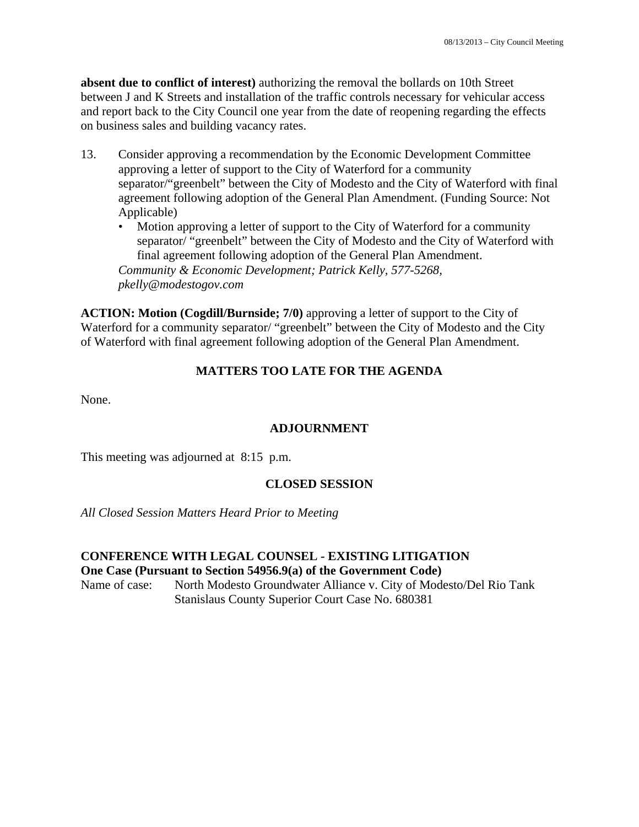**absent due to conflict of interest)** authorizing the removal the bollards on 10th Street between J and K Streets and installation of the traffic controls necessary for vehicular access and report back to the City Council one year from the date of reopening regarding the effects on business sales and building vacancy rates.

- 13. Consider approving a recommendation by the Economic Development Committee approving a letter of support to the City of Waterford for a community separator/"greenbelt" between the City of Modesto and the City of Waterford with final agreement following adoption of the General Plan Amendment. (Funding Source: Not Applicable)
	- Motion approving a letter of support to the City of Waterford for a community separator/ "greenbelt" between the City of Modesto and the City of Waterford with final agreement following adoption of the General Plan Amendment. *Community & Economic Development; Patrick Kelly, 577-5268, pkelly@modestogov.com*

**ACTION: Motion (Cogdill/Burnside; 7/0)** approving a letter of support to the City of Waterford for a community separator/ "greenbelt" between the City of Modesto and the City of Waterford with final agreement following adoption of the General Plan Amendment.

# **MATTERS TOO LATE FOR THE AGENDA**

None.

## **ADJOURNMENT**

This meeting was adjourned at 8:15 p.m.

## **CLOSED SESSION**

#### *All Closed Session Matters Heard Prior to Meeting*

**CONFERENCE WITH LEGAL COUNSEL - EXISTING LITIGATION One Case (Pursuant to Section 54956.9(a) of the Government Code)**  Name of case: North Modesto Groundwater Alliance v. City of Modesto/Del Rio Tank Stanislaus County Superior Court Case No. 680381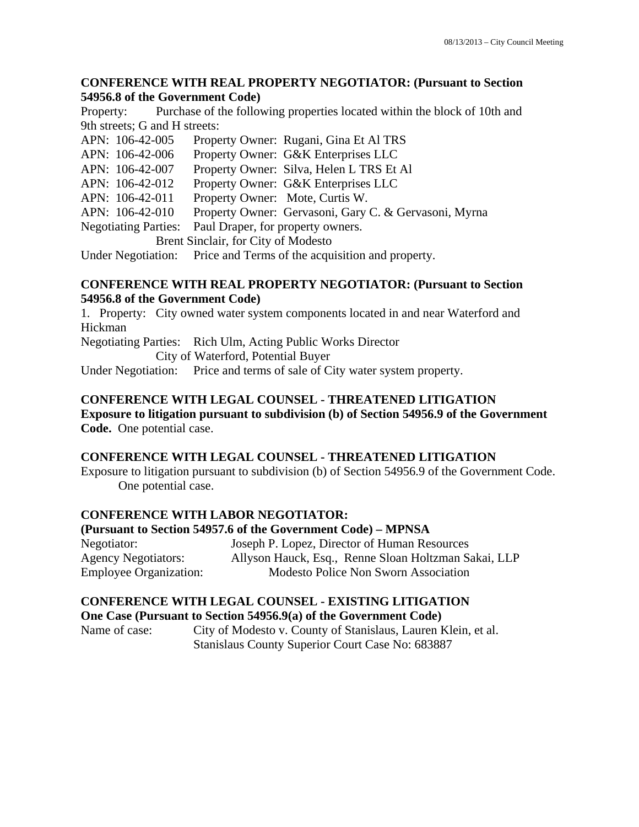#### **CONFERENCE WITH REAL PROPERTY NEGOTIATOR: (Pursuant to Section 54956.8 of the Government Code)**

Property: Purchase of the following properties located within the block of 10th and 9th streets; G and H streets:

| APN: 106-42-005                     | Property Owner: Rugani, Gina Et Al TRS                              |
|-------------------------------------|---------------------------------------------------------------------|
| APN: 106-42-006                     | Property Owner: G&K Enterprises LLC                                 |
| APN: 106-42-007                     | Property Owner: Silva, Helen L TRS Et Al                            |
| APN: 106-42-012                     | Property Owner: G&K Enterprises LLC                                 |
| APN: 106-42-011                     | Property Owner: Mote, Curtis W.                                     |
| APN: 106-42-010                     | Property Owner: Gervasoni, Gary C. & Gervasoni, Myrna               |
|                                     | Negotiating Parties: Paul Draper, for property owners.              |
| Brent Sinclair, for City of Modesto |                                                                     |
|                                     | Under Negotiation: Price and Terms of the acquisition and property. |
|                                     |                                                                     |

#### **CONFERENCE WITH REAL PROPERTY NEGOTIATOR: (Pursuant to Section 54956.8 of the Government Code)**

1. Property: City owned water system components located in and near Waterford and Hickman

Negotiating Parties: Rich Ulm, Acting Public Works Director

City of Waterford, Potential Buyer

Under Negotiation: Price and terms of sale of City water system property.

# **CONFERENCE WITH LEGAL COUNSEL - THREATENED LITIGATION Exposure to litigation pursuant to subdivision (b) of Section 54956.9 of the Government**

**Code.** One potential case.

#### **CONFERENCE WITH LEGAL COUNSEL - THREATENED LITIGATION**

Exposure to litigation pursuant to subdivision (b) of Section 54956.9 of the Government Code. One potential case.

## **CONFERENCE WITH LABOR NEGOTIATOR:**

#### **(Pursuant to Section 54957.6 of the Government Code) – MPNSA**

Negotiator: Joseph P. Lopez, Director of Human Resources Agency Negotiators: Allyson Hauck, Esq., Renne Sloan Holtzman Sakai, LLP Employee Organization: Modesto Police Non Sworn Association

## **CONFERENCE WITH LEGAL COUNSEL - EXISTING LITIGATION**

#### **One Case (Pursuant to Section 54956.9(a) of the Government Code)**

Name of case: City of Modesto v. County of Stanislaus, Lauren Klein, et al. Stanislaus County Superior Court Case No: 683887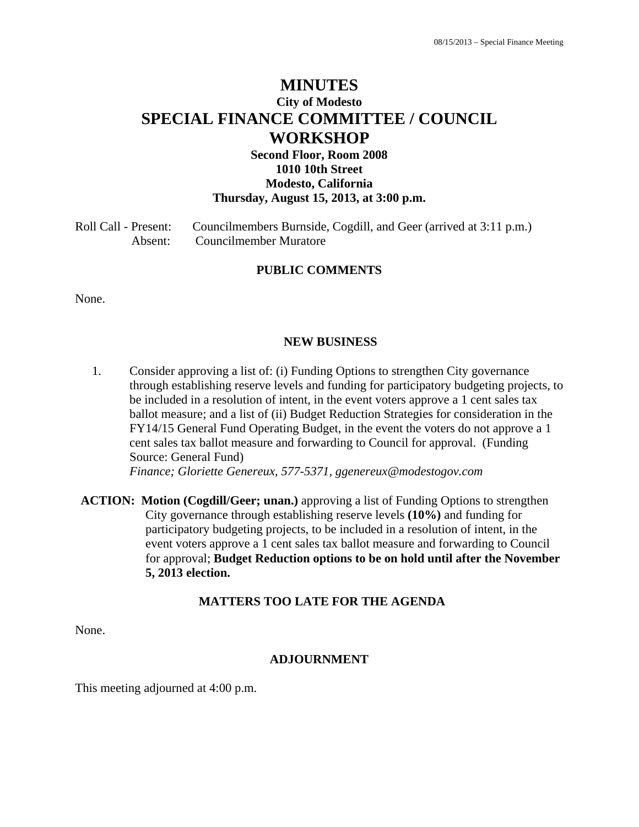# **MINUTES City of Modesto SPECIAL FINANCE COMMITTEE / COUNCIL WORKSHOP**

## **Second Floor, Room 2008 1010 10th Street Modesto, California Thursday, August 15, 2013, at 3:00 p.m.**

Roll Call - Present: Councilmembers Burnside, Cogdill, and Geer (arrived at 3:11 p.m.) Absent: Councilmember Muratore

#### **PUBLIC COMMENTS**

None.

#### **NEW BUSINESS**

1. Consider approving a list of: (i) Funding Options to strengthen City governance through establishing reserve levels and funding for participatory budgeting projects, to be included in a resolution of intent, in the event voters approve a 1 cent sales tax ballot measure; and a list of (ii) Budget Reduction Strategies for consideration in the FY14/15 General Fund Operating Budget, in the event the voters do not approve a 1 cent sales tax ballot measure and forwarding to Council for approval. (Funding Source: General Fund)  *Finance; Gloriette Genereux, 577-5371, ggenereux@modestogov.com* 

**ACTION: Motion (Cogdill/Geer; unan.)** approving a list of Funding Options to strengthen City governance through establishing reserve levels **(10%)** and funding for participatory budgeting projects, to be included in a resolution of intent, in the event voters approve a 1 cent sales tax ballot measure and forwarding to Council for approval; **Budget Reduction options to be on hold until after the November 5, 2013 election.** 

#### **MATTERS TOO LATE FOR THE AGENDA**

None.

#### **ADJOURNMENT**

This meeting adjourned at 4:00 p.m.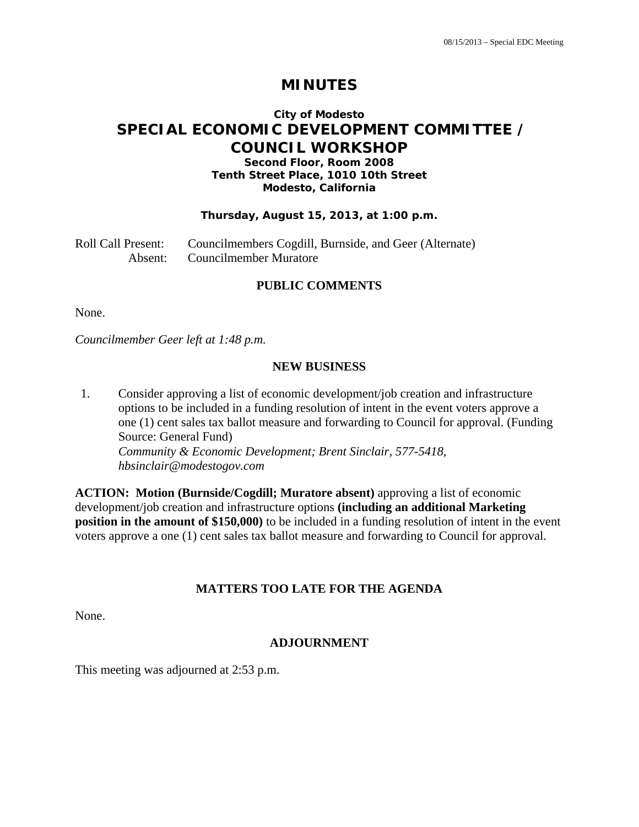# **MINUTES**

# **City of Modesto SPECIAL ECONOMIC DEVELOPMENT COMMITTEE / COUNCIL WORKSHOP**

#### **Second Floor, Room 2008 Tenth Street Place, 1010 10th Street Modesto, California**

#### **Thursday, August 15, 2013, at 1:00 p.m.**

Roll Call Present: Councilmembers Cogdill, Burnside, and Geer (Alternate) Absent: Councilmember Muratore

#### **PUBLIC COMMENTS**

None.

*Councilmember Geer left at 1:48 p.m.* 

#### **NEW BUSINESS**

1. Consider approving a list of economic development/job creation and infrastructure options to be included in a funding resolution of intent in the event voters approve a one (1) cent sales tax ballot measure and forwarding to Council for approval. (Funding Source: General Fund)  *Community & Economic Development; Brent Sinclair, 577-5418, hbsinclair@modestogov.com* 

**ACTION: Motion (Burnside/Cogdill; Muratore absent)** approving a list of economic development/job creation and infrastructure options **(including an additional Marketing position in the amount of \$150,000**) to be included in a funding resolution of intent in the event voters approve a one (1) cent sales tax ballot measure and forwarding to Council for approval.

#### **MATTERS TOO LATE FOR THE AGENDA**

None.

## **ADJOURNMENT**

This meeting was adjourned at 2:53 p.m.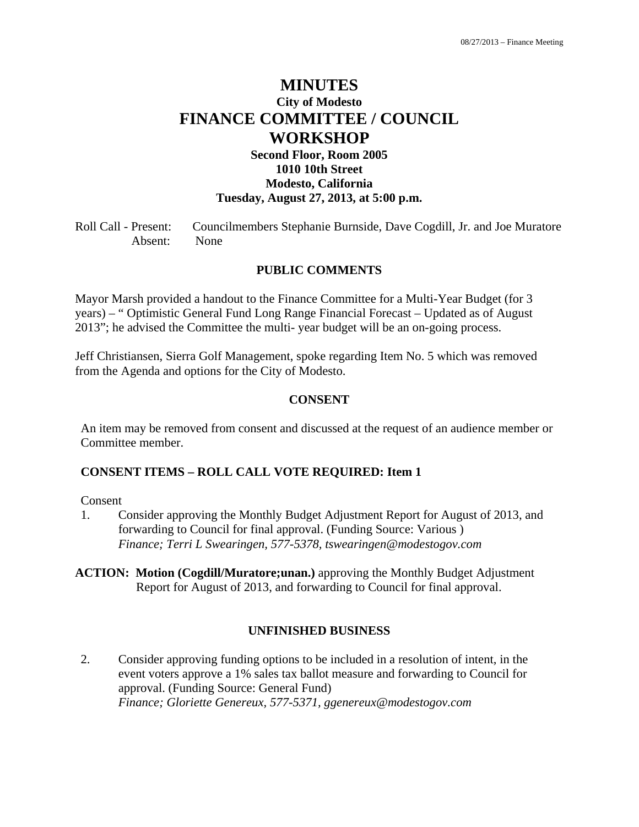## **MINUTES City of Modesto FINANCE COMMITTEE / COUNCIL WORKSHOP Second Floor, Room 2005**

## **1010 10th Street Modesto, California Tuesday, August 27, 2013, at 5:00 p.m.**

Roll Call - Present: Councilmembers Stephanie Burnside, Dave Cogdill, Jr. and Joe Muratore Absent: None

#### **PUBLIC COMMENTS**

Mayor Marsh provided a handout to the Finance Committee for a Multi-Year Budget (for 3 years) – " Optimistic General Fund Long Range Financial Forecast – Updated as of August 2013"; he advised the Committee the multi- year budget will be an on-going process.

Jeff Christiansen, Sierra Golf Management, spoke regarding Item No. 5 which was removed from the Agenda and options for the City of Modesto.

#### **CONSENT**

An item may be removed from consent and discussed at the request of an audience member or Committee member.

#### **CONSENT ITEMS – ROLL CALL VOTE REQUIRED: Item 1**

#### Consent

- 1. Consider approving the Monthly Budget Adjustment Report for August of 2013, and forwarding to Council for final approval. (Funding Source: Various )  *Finance; Terri L Swearingen, 577-5378, tswearingen@modestogov.com*
- **ACTION: Motion (Cogdill/Muratore;unan.)** approving the Monthly Budget Adjustment Report for August of 2013, and forwarding to Council for final approval.

#### **UNFINISHED BUSINESS**

2. Consider approving funding options to be included in a resolution of intent, in the event voters approve a 1% sales tax ballot measure and forwarding to Council for approval. (Funding Source: General Fund)  *Finance; Gloriette Genereux, 577-5371, ggenereux@modestogov.com*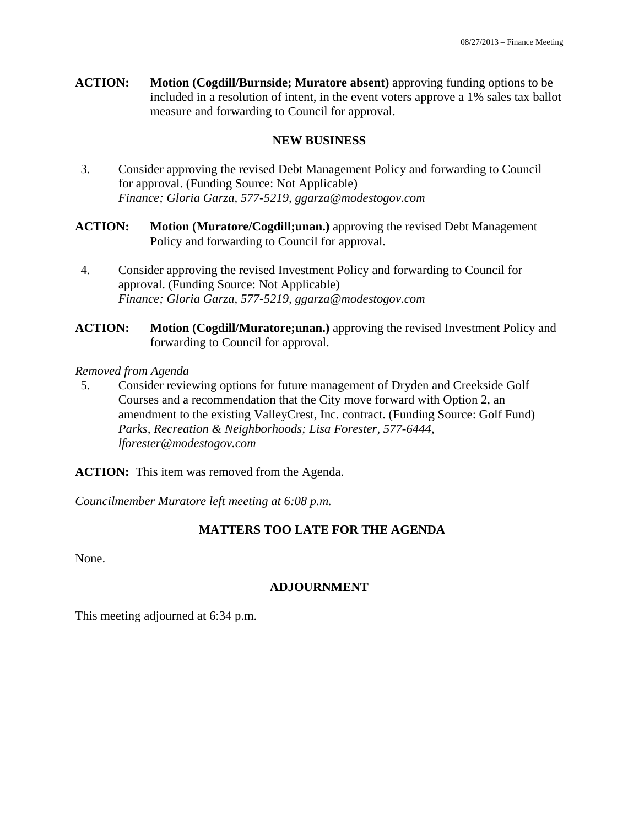**ACTION: Motion (Cogdill/Burnside; Muratore absent)** approving funding options to be included in a resolution of intent, in the event voters approve a 1% sales tax ballot measure and forwarding to Council for approval.

#### **NEW BUSINESS**

- 3. Consider approving the revised Debt Management Policy and forwarding to Council for approval. (Funding Source: Not Applicable)  *Finance; Gloria Garza, 577-5219, ggarza@modestogov.com*
- **ACTION: Motion (Muratore/Cogdill;unan.)** approving the revised Debt Management Policy and forwarding to Council for approval.
- 4. Consider approving the revised Investment Policy and forwarding to Council for approval. (Funding Source: Not Applicable)  *Finance; Gloria Garza, 577-5219, ggarza@modestogov.com*
- **ACTION: Motion (Cogdill/Muratore;unan.)** approving the revised Investment Policy and forwarding to Council for approval.

*Removed from Agenda* 

5. Consider reviewing options for future management of Dryden and Creekside Golf Courses and a recommendation that the City move forward with Option 2, an amendment to the existing ValleyCrest, Inc. contract. (Funding Source: Golf Fund)  *Parks, Recreation & Neighborhoods; Lisa Forester, 577-6444, lforester@modestogov.com* 

**ACTION:** This item was removed from the Agenda.

*Councilmember Muratore left meeting at 6:08 p.m.* 

## **MATTERS TOO LATE FOR THE AGENDA**

None.

## **ADJOURNMENT**

This meeting adjourned at 6:34 p.m.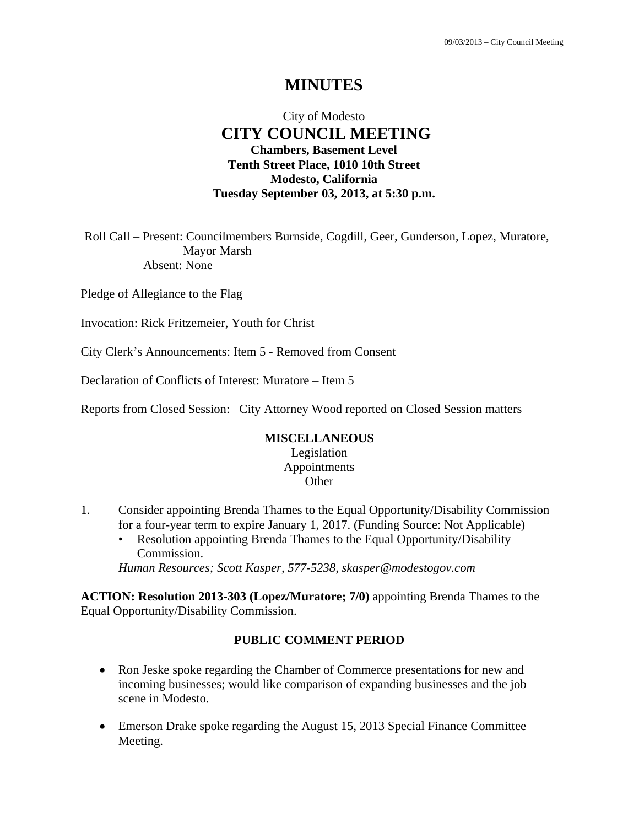# **MINUTES**

## City of Modesto  **CITY COUNCIL MEETING Chambers, Basement Level Tenth Street Place, 1010 10th Street Modesto, California Tuesday September 03, 2013, at 5:30 p.m.**

Roll Call – Present: Councilmembers Burnside, Cogdill, Geer, Gunderson, Lopez, Muratore, Mayor Marsh Absent: None

Pledge of Allegiance to the Flag

Invocation: Rick Fritzemeier, Youth for Christ

City Clerk's Announcements: Item 5 - Removed from Consent

Declaration of Conflicts of Interest: Muratore – Item 5

Reports from Closed Session: City Attorney Wood reported on Closed Session matters

#### **MISCELLANEOUS**

Legislation Appointments **Other** 

- 1. Consider appointing Brenda Thames to the Equal Opportunity/Disability Commission for a four-year term to expire January 1, 2017. (Funding Source: Not Applicable)
	- Resolution appointing Brenda Thames to the Equal Opportunity/Disability Commission.

*Human Resources; Scott Kasper, 577-5238, skasper@modestogov.com* 

**ACTION: Resolution 2013-303 (Lopez/Muratore; 7/0)** appointing Brenda Thames to the Equal Opportunity/Disability Commission.

#### **PUBLIC COMMENT PERIOD**

- Ron Jeske spoke regarding the Chamber of Commerce presentations for new and incoming businesses; would like comparison of expanding businesses and the job scene in Modesto.
- Emerson Drake spoke regarding the August 15, 2013 Special Finance Committee Meeting.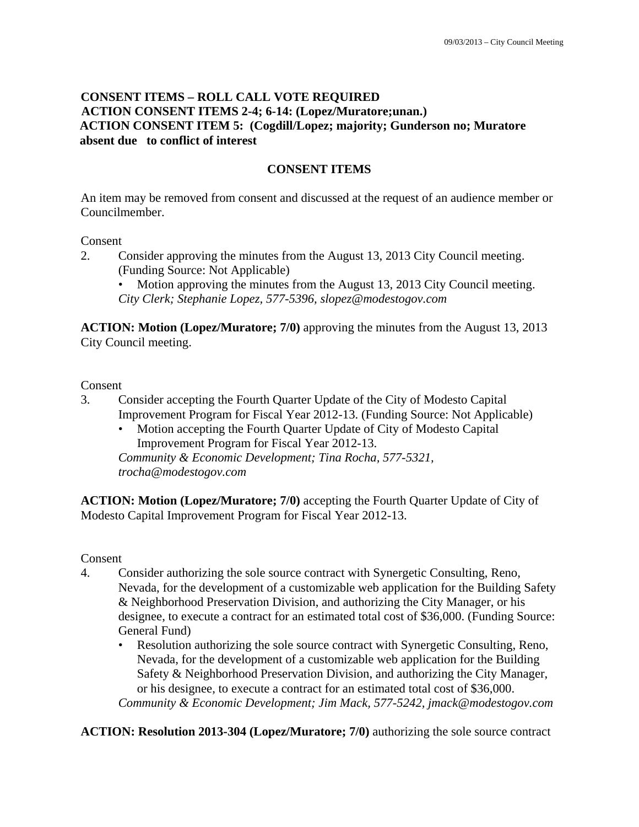### **CONSENT ITEMS – ROLL CALL VOTE REQUIRED ACTION CONSENT ITEMS 2-4; 6-14: (Lopez/Muratore;unan.) ACTION CONSENT ITEM 5: (Cogdill/Lopez; majority; Gunderson no; Muratore absent due to conflict of interest**

## **CONSENT ITEMS**

An item may be removed from consent and discussed at the request of an audience member or Councilmember.

#### Consent

2. Consider approving the minutes from the August 13, 2013 City Council meeting. (Funding Source: Not Applicable)

Motion approving the minutes from the August 13, 2013 City Council meeting. *City Clerk; Stephanie Lopez, 577-5396, slopez@modestogov.com* 

**ACTION: Motion (Lopez/Muratore; 7/0)** approving the minutes from the August 13, 2013 City Council meeting.

#### Consent

- 3. Consider accepting the Fourth Quarter Update of the City of Modesto Capital Improvement Program for Fiscal Year 2012-13. (Funding Source: Not Applicable)
	- Motion accepting the Fourth Quarter Update of City of Modesto Capital Improvement Program for Fiscal Year 2012-13. *Community & Economic Development; Tina Rocha, 577-5321,*

*trocha@modestogov.com* 

**ACTION: Motion (Lopez/Muratore; 7/0)** accepting the Fourth Quarter Update of City of Modesto Capital Improvement Program for Fiscal Year 2012-13.

#### Consent

- 4. Consider authorizing the sole source contract with Synergetic Consulting, Reno, Nevada, for the development of a customizable web application for the Building Safety & Neighborhood Preservation Division, and authorizing the City Manager, or his designee, to execute a contract for an estimated total cost of \$36,000. (Funding Source: General Fund)
	- Resolution authorizing the sole source contract with Synergetic Consulting, Reno, Nevada, for the development of a customizable web application for the Building Safety & Neighborhood Preservation Division, and authorizing the City Manager, or his designee, to execute a contract for an estimated total cost of \$36,000. *Community & Economic Development; Jim Mack, 577-5242, jmack@modestogov.com*

**ACTION: Resolution 2013-304 (Lopez/Muratore; 7/0)** authorizing the sole source contract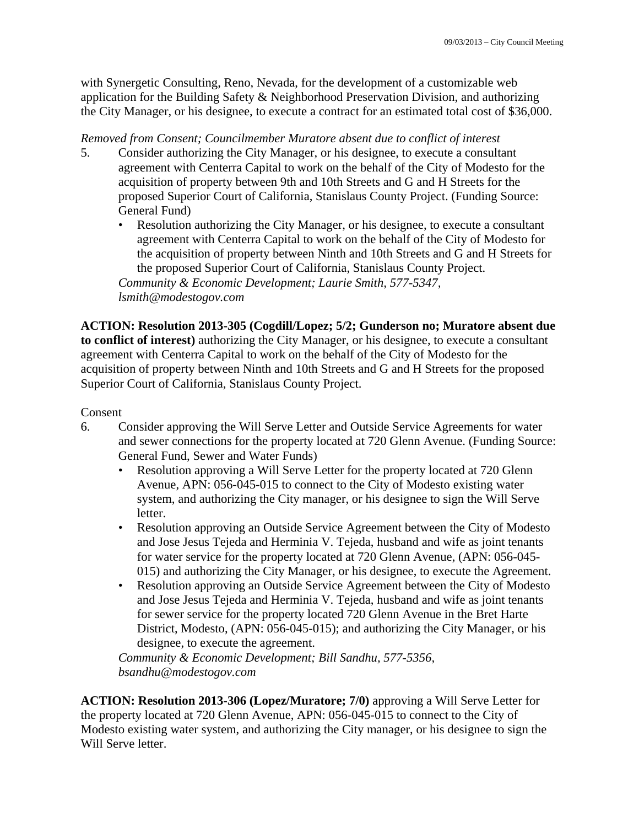with Synergetic Consulting, Reno, Nevada, for the development of a customizable web application for the Building Safety & Neighborhood Preservation Division, and authorizing the City Manager, or his designee, to execute a contract for an estimated total cost of \$36,000.

*Removed from Consent; Councilmember Muratore absent due to conflict of interest* 

- 5. Consider authorizing the City Manager, or his designee, to execute a consultant agreement with Centerra Capital to work on the behalf of the City of Modesto for the acquisition of property between 9th and 10th Streets and G and H Streets for the proposed Superior Court of California, Stanislaus County Project. (Funding Source: General Fund)
	- Resolution authorizing the City Manager, or his designee, to execute a consultant agreement with Centerra Capital to work on the behalf of the City of Modesto for the acquisition of property between Ninth and 10th Streets and G and H Streets for the proposed Superior Court of California, Stanislaus County Project. *Community & Economic Development; Laurie Smith, 577-5347, lsmith@modestogov.com*

**ACTION: Resolution 2013-305 (Cogdill/Lopez; 5/2; Gunderson no; Muratore absent due to conflict of interest)** authorizing the City Manager, or his designee, to execute a consultant agreement with Centerra Capital to work on the behalf of the City of Modesto for the acquisition of property between Ninth and 10th Streets and G and H Streets for the proposed Superior Court of California, Stanislaus County Project.

#### Consent

- 6. Consider approving the Will Serve Letter and Outside Service Agreements for water and sewer connections for the property located at 720 Glenn Avenue. (Funding Source: General Fund, Sewer and Water Funds)
	- Resolution approving a Will Serve Letter for the property located at 720 Glenn Avenue, APN: 056-045-015 to connect to the City of Modesto existing water system, and authorizing the City manager, or his designee to sign the Will Serve letter.
	- Resolution approving an Outside Service Agreement between the City of Modesto and Jose Jesus Tejeda and Herminia V. Tejeda, husband and wife as joint tenants for water service for the property located at 720 Glenn Avenue, (APN: 056-045- 015) and authorizing the City Manager, or his designee, to execute the Agreement.
	- Resolution approving an Outside Service Agreement between the City of Modesto and Jose Jesus Tejeda and Herminia V. Tejeda, husband and wife as joint tenants for sewer service for the property located 720 Glenn Avenue in the Bret Harte District, Modesto, (APN: 056-045-015); and authorizing the City Manager, or his designee, to execute the agreement.

*Community & Economic Development; Bill Sandhu, 577-5356, bsandhu@modestogov.com* 

**ACTION: Resolution 2013-306 (Lopez/Muratore; 7/0)** approving a Will Serve Letter for the property located at 720 Glenn Avenue, APN: 056-045-015 to connect to the City of Modesto existing water system, and authorizing the City manager, or his designee to sign the Will Serve letter.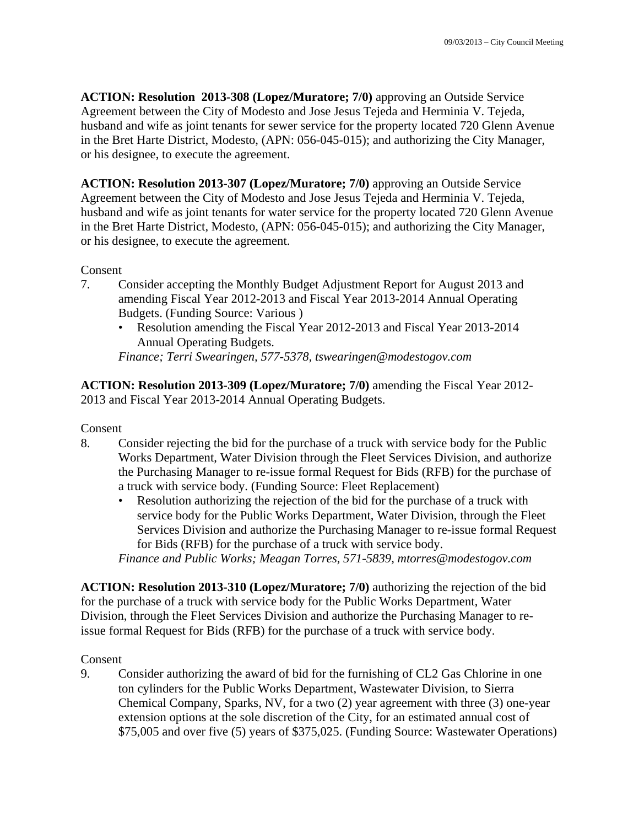**ACTION: Resolution 2013-308 (Lopez/Muratore; 7/0)** approving an Outside Service Agreement between the City of Modesto and Jose Jesus Tejeda and Herminia V. Tejeda, husband and wife as joint tenants for sewer service for the property located 720 Glenn Avenue in the Bret Harte District, Modesto, (APN: 056-045-015); and authorizing the City Manager, or his designee, to execute the agreement.

**ACTION: Resolution 2013-307 (Lopez/Muratore; 7/0)** approving an Outside Service Agreement between the City of Modesto and Jose Jesus Tejeda and Herminia V. Tejeda, husband and wife as joint tenants for water service for the property located 720 Glenn Avenue in the Bret Harte District, Modesto, (APN: 056-045-015); and authorizing the City Manager, or his designee, to execute the agreement.

Consent

- 7. Consider accepting the Monthly Budget Adjustment Report for August 2013 and amending Fiscal Year 2012-2013 and Fiscal Year 2013-2014 Annual Operating Budgets. (Funding Source: Various )
	- Resolution amending the Fiscal Year 2012-2013 and Fiscal Year 2013-2014 Annual Operating Budgets.

*Finance; Terri Swearingen, 577-5378, tswearingen@modestogov.com* 

**ACTION: Resolution 2013-309 (Lopez/Muratore; 7/0)** amending the Fiscal Year 2012- 2013 and Fiscal Year 2013-2014 Annual Operating Budgets.

Consent

- 8. Consider rejecting the bid for the purchase of a truck with service body for the Public Works Department, Water Division through the Fleet Services Division, and authorize the Purchasing Manager to re-issue formal Request for Bids (RFB) for the purchase of a truck with service body. (Funding Source: Fleet Replacement)
	- Resolution authorizing the rejection of the bid for the purchase of a truck with service body for the Public Works Department, Water Division, through the Fleet Services Division and authorize the Purchasing Manager to re-issue formal Request for Bids (RFB) for the purchase of a truck with service body. *Finance and Public Works; Meagan Torres, 571-5839, mtorres@modestogov.com*

**ACTION: Resolution 2013-310 (Lopez/Muratore; 7/0)** authorizing the rejection of the bid for the purchase of a truck with service body for the Public Works Department, Water Division, through the Fleet Services Division and authorize the Purchasing Manager to re-

issue formal Request for Bids (RFB) for the purchase of a truck with service body.

#### Consent

9. Consider authorizing the award of bid for the furnishing of CL2 Gas Chlorine in one ton cylinders for the Public Works Department, Wastewater Division, to Sierra Chemical Company, Sparks, NV, for a two (2) year agreement with three (3) one-year extension options at the sole discretion of the City, for an estimated annual cost of \$75,005 and over five (5) years of \$375,025. (Funding Source: Wastewater Operations)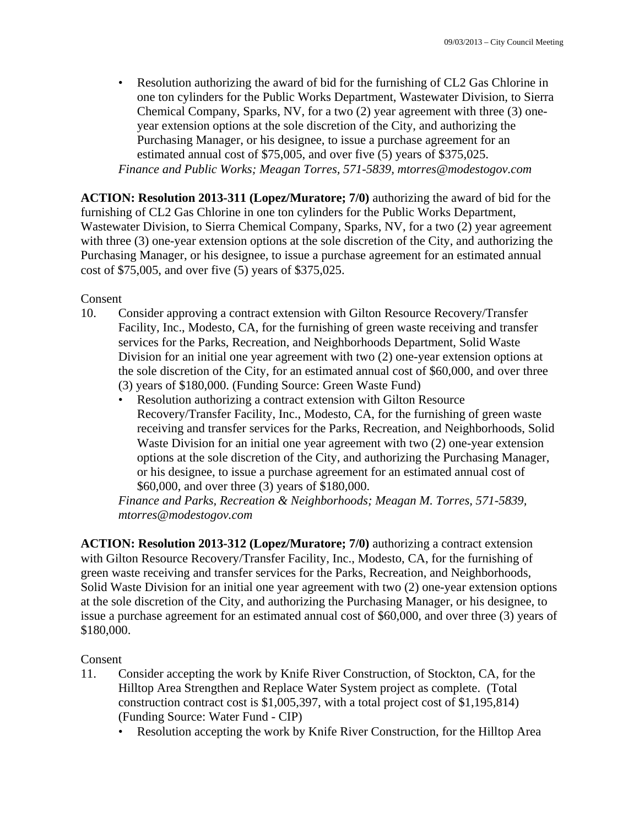• Resolution authorizing the award of bid for the furnishing of CL2 Gas Chlorine in one ton cylinders for the Public Works Department, Wastewater Division, to Sierra Chemical Company, Sparks, NV, for a two (2) year agreement with three (3) oneyear extension options at the sole discretion of the City, and authorizing the Purchasing Manager, or his designee, to issue a purchase agreement for an estimated annual cost of \$75,005, and over five (5) years of \$375,025. *Finance and Public Works; Meagan Torres, 571-5839, mtorres@modestogov.com* 

**ACTION: Resolution 2013-311 (Lopez/Muratore; 7/0)** authorizing the award of bid for the furnishing of CL2 Gas Chlorine in one ton cylinders for the Public Works Department, Wastewater Division, to Sierra Chemical Company, Sparks, NV, for a two (2) year agreement with three (3) one-year extension options at the sole discretion of the City, and authorizing the Purchasing Manager, or his designee, to issue a purchase agreement for an estimated annual cost of \$75,005, and over five (5) years of \$375,025.

#### Consent

- 10. Consider approving a contract extension with Gilton Resource Recovery/Transfer Facility, Inc., Modesto, CA, for the furnishing of green waste receiving and transfer services for the Parks, Recreation, and Neighborhoods Department, Solid Waste Division for an initial one year agreement with two (2) one-year extension options at the sole discretion of the City, for an estimated annual cost of \$60,000, and over three (3) years of \$180,000. (Funding Source: Green Waste Fund)
	- Resolution authorizing a contract extension with Gilton Resource Recovery/Transfer Facility, Inc., Modesto, CA, for the furnishing of green waste receiving and transfer services for the Parks, Recreation, and Neighborhoods, Solid Waste Division for an initial one year agreement with two (2) one-year extension options at the sole discretion of the City, and authorizing the Purchasing Manager, or his designee, to issue a purchase agreement for an estimated annual cost of \$60,000, and over three (3) years of \$180,000.

*Finance and Parks, Recreation & Neighborhoods; Meagan M. Torres, 571-5839, mtorres@modestogov.com* 

**ACTION: Resolution 2013-312 (Lopez/Muratore; 7/0)** authorizing a contract extension with Gilton Resource Recovery/Transfer Facility, Inc., Modesto, CA, for the furnishing of green waste receiving and transfer services for the Parks, Recreation, and Neighborhoods, Solid Waste Division for an initial one year agreement with two (2) one-year extension options at the sole discretion of the City, and authorizing the Purchasing Manager, or his designee, to issue a purchase agreement for an estimated annual cost of \$60,000, and over three (3) years of \$180,000.

#### Consent

- 11. Consider accepting the work by Knife River Construction, of Stockton, CA, for the Hilltop Area Strengthen and Replace Water System project as complete. (Total construction contract cost is \$1,005,397, with a total project cost of \$1,195,814) (Funding Source: Water Fund - CIP)
	- Resolution accepting the work by Knife River Construction, for the Hilltop Area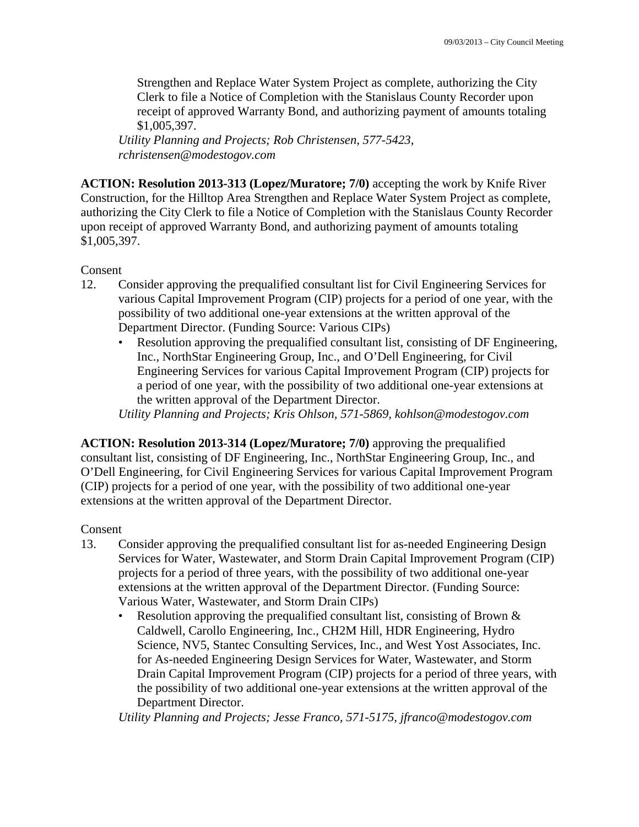Strengthen and Replace Water System Project as complete, authorizing the City Clerk to file a Notice of Completion with the Stanislaus County Recorder upon receipt of approved Warranty Bond, and authorizing payment of amounts totaling \$1,005,397.

*Utility Planning and Projects; Rob Christensen, 577-5423, rchristensen@modestogov.com* 

**ACTION: Resolution 2013-313 (Lopez/Muratore; 7/0)** accepting the work by Knife River Construction, for the Hilltop Area Strengthen and Replace Water System Project as complete, authorizing the City Clerk to file a Notice of Completion with the Stanislaus County Recorder upon receipt of approved Warranty Bond, and authorizing payment of amounts totaling \$1,005,397.

#### Consent

- 12. Consider approving the prequalified consultant list for Civil Engineering Services for various Capital Improvement Program (CIP) projects for a period of one year, with the possibility of two additional one-year extensions at the written approval of the Department Director. (Funding Source: Various CIPs)
	- Resolution approving the prequalified consultant list, consisting of DF Engineering, Inc., NorthStar Engineering Group, Inc., and O'Dell Engineering, for Civil Engineering Services for various Capital Improvement Program (CIP) projects for a period of one year, with the possibility of two additional one-year extensions at the written approval of the Department Director.

*Utility Planning and Projects; Kris Ohlson, 571-5869, kohlson@modestogov.com* 

**ACTION: Resolution 2013-314 (Lopez/Muratore; 7/0)** approving the prequalified consultant list, consisting of DF Engineering, Inc., NorthStar Engineering Group, Inc., and O'Dell Engineering, for Civil Engineering Services for various Capital Improvement Program (CIP) projects for a period of one year, with the possibility of two additional one-year extensions at the written approval of the Department Director.

#### Consent

- 13. Consider approving the prequalified consultant list for as-needed Engineering Design Services for Water, Wastewater, and Storm Drain Capital Improvement Program (CIP) projects for a period of three years, with the possibility of two additional one-year extensions at the written approval of the Department Director. (Funding Source: Various Water, Wastewater, and Storm Drain CIPs)
	- Resolution approving the prequalified consultant list, consisting of Brown  $\&$ Caldwell, Carollo Engineering, Inc., CH2M Hill, HDR Engineering, Hydro Science, NV5, Stantec Consulting Services, Inc., and West Yost Associates, Inc. for As-needed Engineering Design Services for Water, Wastewater, and Storm Drain Capital Improvement Program (CIP) projects for a period of three years, with the possibility of two additional one-year extensions at the written approval of the Department Director.

*Utility Planning and Projects; Jesse Franco, 571-5175, jfranco@modestogov.com*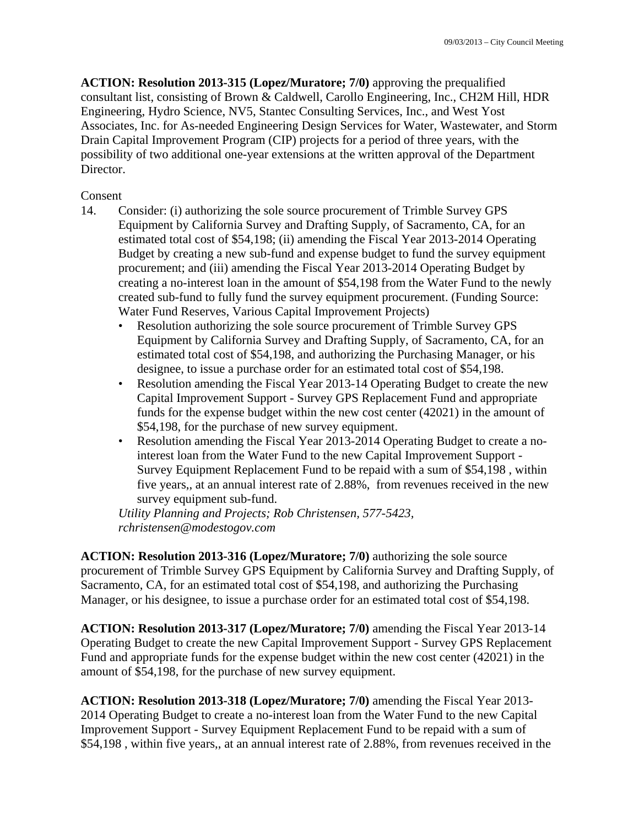**ACTION: Resolution 2013-315 (Lopez/Muratore; 7/0)** approving the prequalified consultant list, consisting of Brown & Caldwell, Carollo Engineering, Inc., CH2M Hill, HDR Engineering, Hydro Science, NV5, Stantec Consulting Services, Inc., and West Yost Associates, Inc. for As-needed Engineering Design Services for Water, Wastewater, and Storm Drain Capital Improvement Program (CIP) projects for a period of three years, with the possibility of two additional one-year extensions at the written approval of the Department Director.

#### Consent

- 14. Consider: (i) authorizing the sole source procurement of Trimble Survey GPS Equipment by California Survey and Drafting Supply, of Sacramento, CA, for an estimated total cost of \$54,198; (ii) amending the Fiscal Year 2013-2014 Operating Budget by creating a new sub-fund and expense budget to fund the survey equipment procurement; and (iii) amending the Fiscal Year 2013-2014 Operating Budget by creating a no-interest loan in the amount of \$54,198 from the Water Fund to the newly created sub-fund to fully fund the survey equipment procurement. (Funding Source: Water Fund Reserves, Various Capital Improvement Projects)
	- Resolution authorizing the sole source procurement of Trimble Survey GPS Equipment by California Survey and Drafting Supply, of Sacramento, CA, for an estimated total cost of \$54,198, and authorizing the Purchasing Manager, or his designee, to issue a purchase order for an estimated total cost of \$54,198.
	- Resolution amending the Fiscal Year 2013-14 Operating Budget to create the new Capital Improvement Support - Survey GPS Replacement Fund and appropriate funds for the expense budget within the new cost center (42021) in the amount of \$54,198, for the purchase of new survey equipment.
	- Resolution amending the Fiscal Year 2013-2014 Operating Budget to create a nointerest loan from the Water Fund to the new Capital Improvement Support - Survey Equipment Replacement Fund to be repaid with a sum of \$54,198 , within five years,, at an annual interest rate of 2.88%, from revenues received in the new survey equipment sub-fund.

*Utility Planning and Projects; Rob Christensen, 577-5423, rchristensen@modestogov.com* 

**ACTION: Resolution 2013-316 (Lopez/Muratore; 7/0)** authorizing the sole source procurement of Trimble Survey GPS Equipment by California Survey and Drafting Supply, of Sacramento, CA, for an estimated total cost of \$54,198, and authorizing the Purchasing Manager, or his designee, to issue a purchase order for an estimated total cost of \$54,198.

**ACTION: Resolution 2013-317 (Lopez/Muratore; 7/0)** amending the Fiscal Year 2013-14 Operating Budget to create the new Capital Improvement Support - Survey GPS Replacement Fund and appropriate funds for the expense budget within the new cost center (42021) in the amount of \$54,198, for the purchase of new survey equipment.

**ACTION: Resolution 2013-318 (Lopez/Muratore; 7/0)** amending the Fiscal Year 2013- 2014 Operating Budget to create a no-interest loan from the Water Fund to the new Capital Improvement Support - Survey Equipment Replacement Fund to be repaid with a sum of \$54,198 , within five years,, at an annual interest rate of 2.88%, from revenues received in the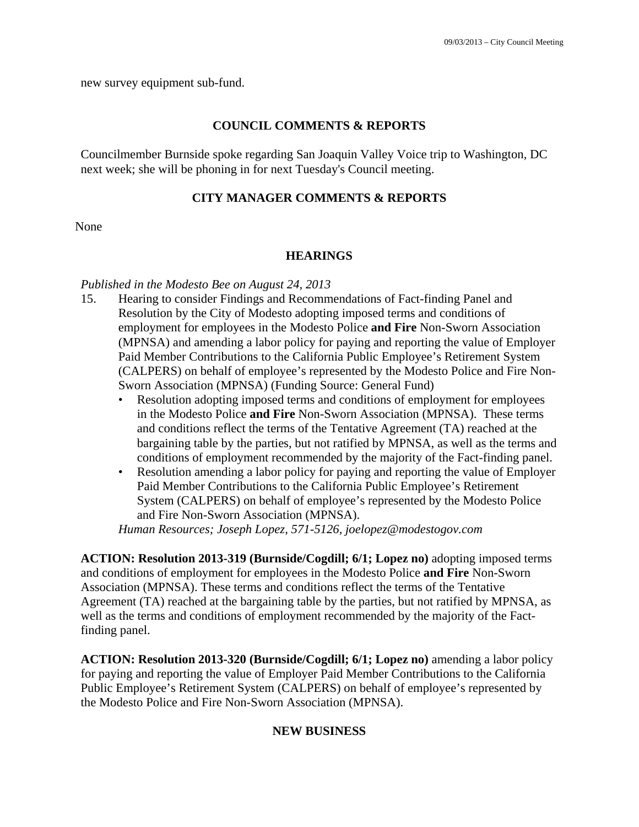new survey equipment sub-fund.

#### **COUNCIL COMMENTS & REPORTS**

Councilmember Burnside spoke regarding San Joaquin Valley Voice trip to Washington, DC next week; she will be phoning in for next Tuesday's Council meeting.

#### **CITY MANAGER COMMENTS & REPORTS**

None

#### **HEARINGS**

#### *Published in the Modesto Bee on August 24, 2013*

- 15. Hearing to consider Findings and Recommendations of Fact-finding Panel and Resolution by the City of Modesto adopting imposed terms and conditions of employment for employees in the Modesto Police **and Fire** Non-Sworn Association (MPNSA) and amending a labor policy for paying and reporting the value of Employer Paid Member Contributions to the California Public Employee's Retirement System (CALPERS) on behalf of employee's represented by the Modesto Police and Fire Non-Sworn Association (MPNSA) (Funding Source: General Fund)
	- Resolution adopting imposed terms and conditions of employment for employees in the Modesto Police **and Fire** Non-Sworn Association (MPNSA). These terms and conditions reflect the terms of the Tentative Agreement (TA) reached at the bargaining table by the parties, but not ratified by MPNSA, as well as the terms and conditions of employment recommended by the majority of the Fact-finding panel.
	- Resolution amending a labor policy for paying and reporting the value of Employer Paid Member Contributions to the California Public Employee's Retirement System (CALPERS) on behalf of employee's represented by the Modesto Police and Fire Non-Sworn Association (MPNSA).

*Human Resources; Joseph Lopez, 571-5126, joelopez@modestogov.com* 

**ACTION: Resolution 2013-319 (Burnside/Cogdill; 6/1; Lopez no)** adopting imposed terms and conditions of employment for employees in the Modesto Police **and Fire** Non-Sworn Association (MPNSA). These terms and conditions reflect the terms of the Tentative Agreement (TA) reached at the bargaining table by the parties, but not ratified by MPNSA, as well as the terms and conditions of employment recommended by the majority of the Factfinding panel.

**ACTION: Resolution 2013-320 (Burnside/Cogdill; 6/1; Lopez no)** amending a labor policy for paying and reporting the value of Employer Paid Member Contributions to the California Public Employee's Retirement System (CALPERS) on behalf of employee's represented by the Modesto Police and Fire Non-Sworn Association (MPNSA).

#### **NEW BUSINESS**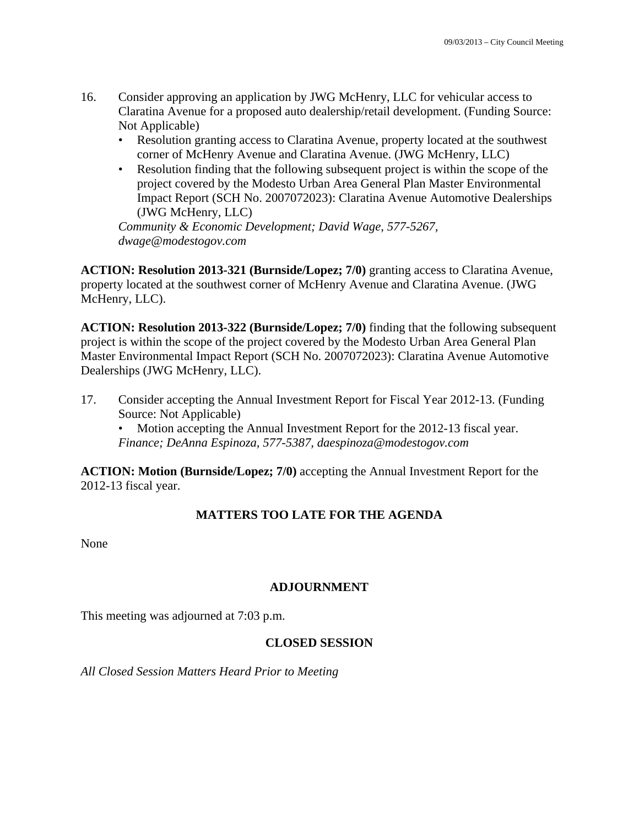- 16. Consider approving an application by JWG McHenry, LLC for vehicular access to Claratina Avenue for a proposed auto dealership/retail development. (Funding Source: Not Applicable)
	- Resolution granting access to Claratina Avenue, property located at the southwest corner of McHenry Avenue and Claratina Avenue. (JWG McHenry, LLC)
	- Resolution finding that the following subsequent project is within the scope of the project covered by the Modesto Urban Area General Plan Master Environmental Impact Report (SCH No. 2007072023): Claratina Avenue Automotive Dealerships (JWG McHenry, LLC)

*Community & Economic Development; David Wage, 577-5267, dwage@modestogov.com* 

**ACTION: Resolution 2013-321 (Burnside/Lopez; 7/0)** granting access to Claratina Avenue, property located at the southwest corner of McHenry Avenue and Claratina Avenue. (JWG McHenry, LLC).

**ACTION: Resolution 2013-322 (Burnside/Lopez; 7/0)** finding that the following subsequent project is within the scope of the project covered by the Modesto Urban Area General Plan Master Environmental Impact Report (SCH No. 2007072023): Claratina Avenue Automotive Dealerships (JWG McHenry, LLC).

17. Consider accepting the Annual Investment Report for Fiscal Year 2012-13. (Funding Source: Not Applicable)

Motion accepting the Annual Investment Report for the 2012-13 fiscal year. *Finance; DeAnna Espinoza, 577-5387, daespinoza@modestogov.com* 

**ACTION: Motion (Burnside/Lopez; 7/0)** accepting the Annual Investment Report for the 2012-13 fiscal year.

## **MATTERS TOO LATE FOR THE AGENDA**

None

## **ADJOURNMENT**

This meeting was adjourned at 7:03 p.m.

## **CLOSED SESSION**

*All Closed Session Matters Heard Prior to Meeting*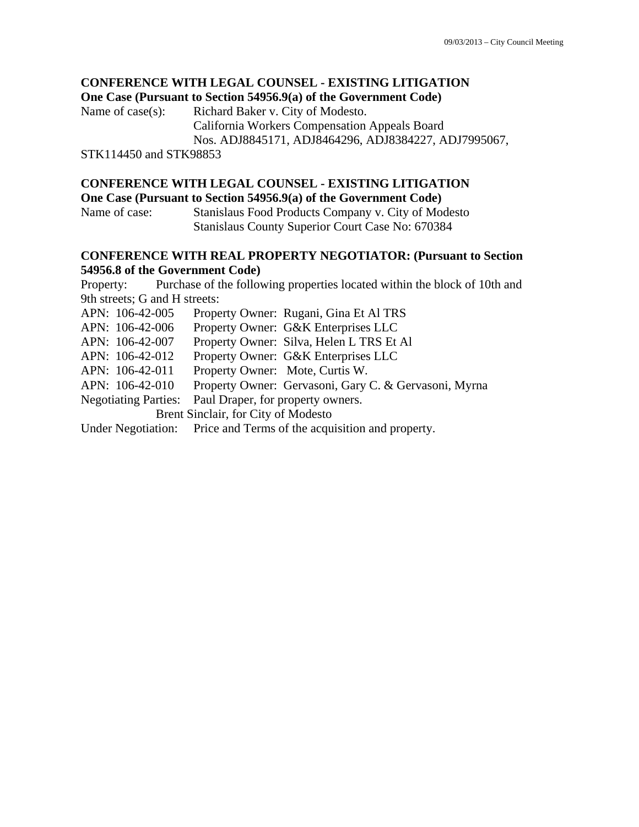#### **CONFERENCE WITH LEGAL COUNSEL - EXISTING LITIGATION One Case (Pursuant to Section 54956.9(a) of the Government Code)**

Name of case(s): Richard Baker v. City of Modesto. California Workers Compensation Appeals Board Nos. ADJ8845171, ADJ8464296, ADJ8384227, ADJ7995067,

STK114450 and STK98853

## **CONFERENCE WITH LEGAL COUNSEL - EXISTING LITIGATION**

#### **One Case (Pursuant to Section 54956.9(a) of the Government Code)**

Name of case: Stanislaus Food Products Company v. City of Modesto Stanislaus County Superior Court Case No: 670384

#### **CONFERENCE WITH REAL PROPERTY NEGOTIATOR: (Pursuant to Section 54956.8 of the Government Code)**

Property: Purchase of the following properties located within the block of 10th and 9th streets; G and H streets:

APN: 106-42-005 Property Owner: Rugani, Gina Et Al TRS

APN: 106-42-006 Property Owner: G&K Enterprises LLC

APN: 106-42-007 Property Owner: Silva, Helen L TRS Et Al

APN: 106-42-012 Property Owner: G&K Enterprises LLC

APN: 106-42-011 Property Owner: Mote, Curtis W.

APN: 106-42-010 Property Owner: Gervasoni, Gary C. & Gervasoni, Myrna

Negotiating Parties: Paul Draper, for property owners.

Brent Sinclair, for City of Modesto

Under Negotiation: Price and Terms of the acquisition and property.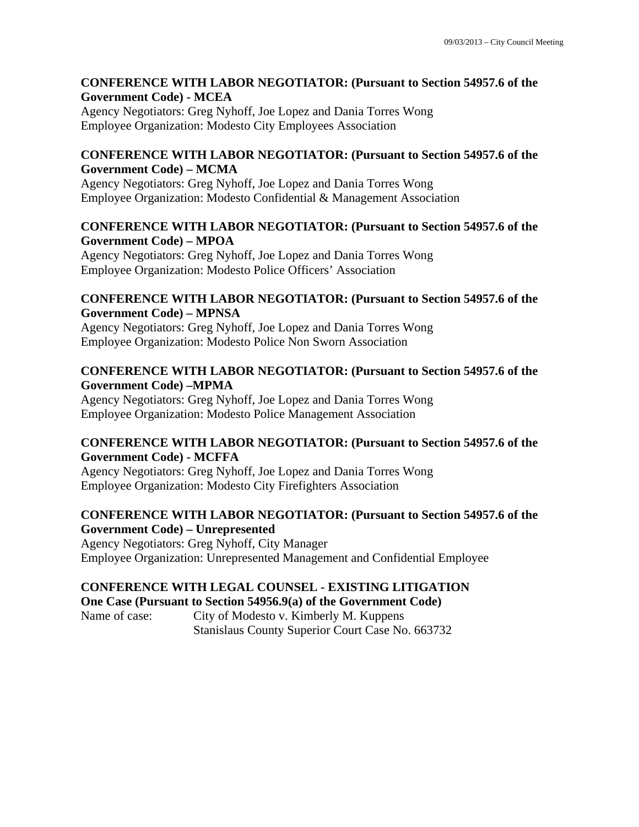#### **CONFERENCE WITH LABOR NEGOTIATOR: (Pursuant to Section 54957.6 of the Government Code) - MCEA**

Agency Negotiators: Greg Nyhoff, Joe Lopez and Dania Torres Wong Employee Organization: Modesto City Employees Association

### **CONFERENCE WITH LABOR NEGOTIATOR: (Pursuant to Section 54957.6 of the Government Code) – MCMA**

Agency Negotiators: Greg Nyhoff, Joe Lopez and Dania Torres Wong Employee Organization: Modesto Confidential & Management Association

## **CONFERENCE WITH LABOR NEGOTIATOR: (Pursuant to Section 54957.6 of the Government Code) – MPOA**

Agency Negotiators: Greg Nyhoff, Joe Lopez and Dania Torres Wong Employee Organization: Modesto Police Officers' Association

## **CONFERENCE WITH LABOR NEGOTIATOR: (Pursuant to Section 54957.6 of the Government Code) – MPNSA**

Agency Negotiators: Greg Nyhoff, Joe Lopez and Dania Torres Wong Employee Organization: Modesto Police Non Sworn Association

## **CONFERENCE WITH LABOR NEGOTIATOR: (Pursuant to Section 54957.6 of the Government Code) –MPMA**

Agency Negotiators: Greg Nyhoff, Joe Lopez and Dania Torres Wong Employee Organization: Modesto Police Management Association

## **CONFERENCE WITH LABOR NEGOTIATOR: (Pursuant to Section 54957.6 of the Government Code) - MCFFA**

Agency Negotiators: Greg Nyhoff, Joe Lopez and Dania Torres Wong Employee Organization: Modesto City Firefighters Association

## **CONFERENCE WITH LABOR NEGOTIATOR: (Pursuant to Section 54957.6 of the Government Code) – Unrepresented**

Agency Negotiators: Greg Nyhoff, City Manager Employee Organization: Unrepresented Management and Confidential Employee

## **CONFERENCE WITH LEGAL COUNSEL - EXISTING LITIGATION**

**One Case (Pursuant to Section 54956.9(a) of the Government Code)**  Name of case: City of Modesto v. Kimberly M. Kuppens Stanislaus County Superior Court Case No. 663732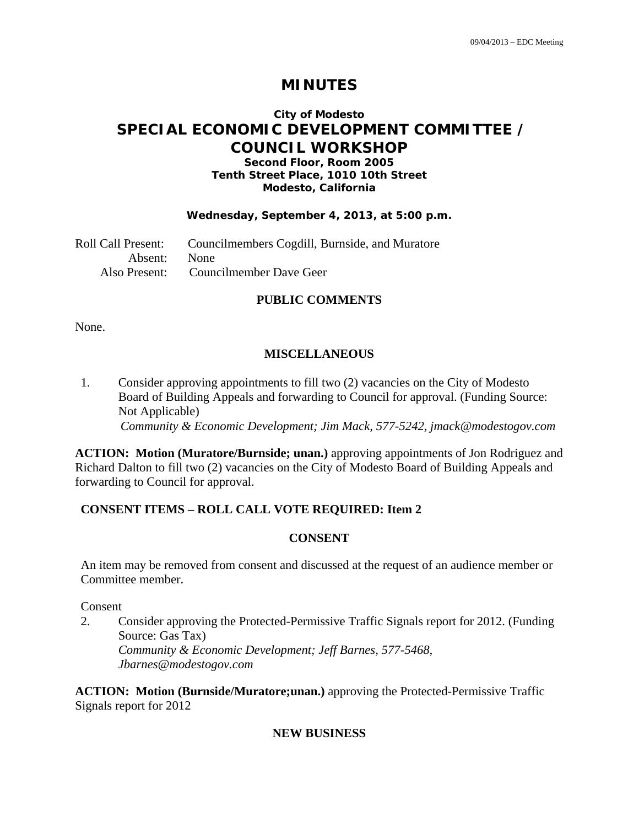## **MINUTES**

## **City of Modesto SPECIAL ECONOMIC DEVELOPMENT COMMITTEE / COUNCIL WORKSHOP**

#### **Second Floor, Room 2005 Tenth Street Place, 1010 10th Street Modesto, California**

#### **Wednesday, September 4, 2013, at 5:00 p.m.**

Roll Call Present: Councilmembers Cogdill, Burnside, and Muratore Absent: None Also Present: Councilmember Dave Geer

#### **PUBLIC COMMENTS**

None.

#### **MISCELLANEOUS**

1. Consider approving appointments to fill two (2) vacancies on the City of Modesto Board of Building Appeals and forwarding to Council for approval. (Funding Source: Not Applicable)  *Community & Economic Development; Jim Mack, 577-5242, jmack@modestogov.com* 

**ACTION: Motion (Muratore/Burnside; unan.)** approving appointments of Jon Rodriguez and Richard Dalton to fill two (2) vacancies on the City of Modesto Board of Building Appeals and forwarding to Council for approval.

#### **CONSENT ITEMS – ROLL CALL VOTE REQUIRED: Item 2**

#### **CONSENT**

An item may be removed from consent and discussed at the request of an audience member or Committee member.

Consent

2. Consider approving the Protected-Permissive Traffic Signals report for 2012. (Funding Source: Gas Tax)  *Community & Economic Development; Jeff Barnes, 577-5468, Jbarnes@modestogov.com* 

**ACTION: Motion (Burnside/Muratore;unan.)** approving the Protected-Permissive Traffic Signals report for 2012

#### **NEW BUSINESS**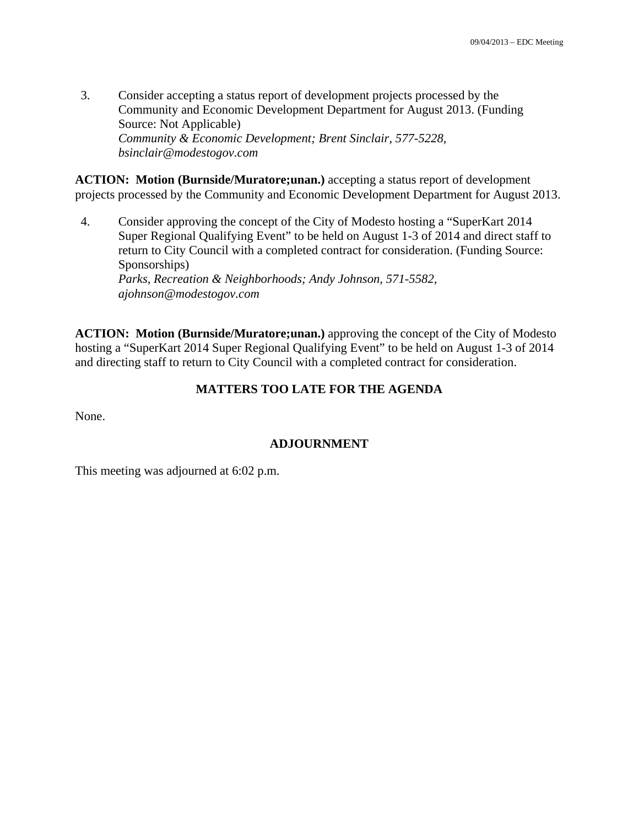3. Consider accepting a status report of development projects processed by the Community and Economic Development Department for August 2013. (Funding Source: Not Applicable)  *Community & Economic Development; Brent Sinclair, 577-5228, bsinclair@modestogov.com* 

**ACTION: Motion (Burnside/Muratore;unan.)** accepting a status report of development projects processed by the Community and Economic Development Department for August 2013.

4. Consider approving the concept of the City of Modesto hosting a "SuperKart 2014 Super Regional Qualifying Event" to be held on August 1-3 of 2014 and direct staff to return to City Council with a completed contract for consideration. (Funding Source: Sponsorships)  *Parks, Recreation & Neighborhoods; Andy Johnson, 571-5582, ajohnson@modestogov.com* 

**ACTION: Motion (Burnside/Muratore;unan.)** approving the concept of the City of Modesto hosting a "SuperKart 2014 Super Regional Qualifying Event" to be held on August 1-3 of 2014 and directing staff to return to City Council with a completed contract for consideration.

## **MATTERS TOO LATE FOR THE AGENDA**

None.

#### **ADJOURNMENT**

This meeting was adjourned at 6:02 p.m.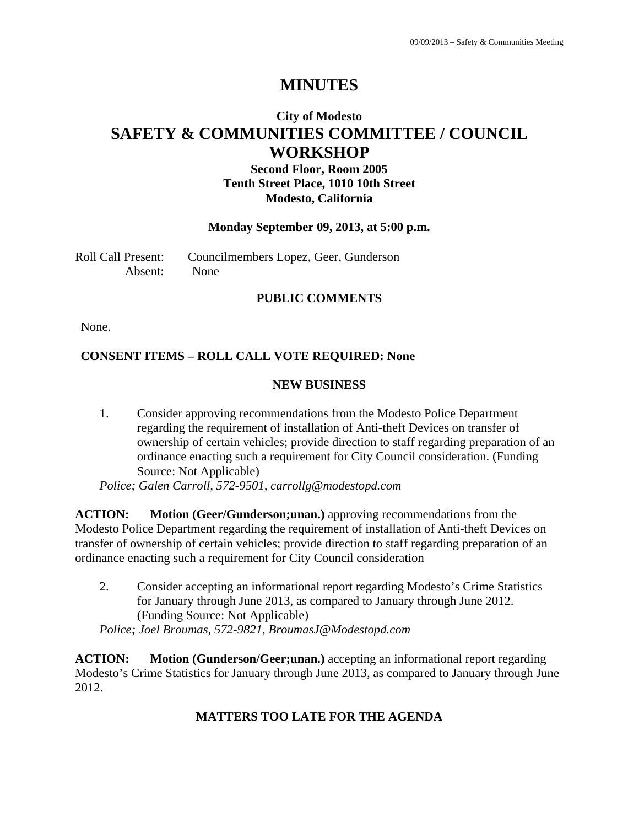# **MINUTES**

## **City of Modesto SAFETY & COMMUNITIES COMMITTEE / COUNCIL WORKSHOP**

**Second Floor, Room 2005 Tenth Street Place, 1010 10th Street Modesto, California** 

#### **Monday September 09, 2013, at 5:00 p.m.**

Roll Call Present: Councilmembers Lopez, Geer, Gunderson Absent: None

#### **PUBLIC COMMENTS**

None.

## **CONSENT ITEMS – ROLL CALL VOTE REQUIRED: None**

#### **NEW BUSINESS**

1. Consider approving recommendations from the Modesto Police Department regarding the requirement of installation of Anti-theft Devices on transfer of ownership of certain vehicles; provide direction to staff regarding preparation of an ordinance enacting such a requirement for City Council consideration. (Funding Source: Not Applicable)

*Police; Galen Carroll, 572-9501, carrollg@modestopd.com* 

**ACTION: Motion (Geer/Gunderson;unan.)** approving recommendations from the Modesto Police Department regarding the requirement of installation of Anti-theft Devices on transfer of ownership of certain vehicles; provide direction to staff regarding preparation of an ordinance enacting such a requirement for City Council consideration

2. Consider accepting an informational report regarding Modesto's Crime Statistics for January through June 2013, as compared to January through June 2012. (Funding Source: Not Applicable)

*Police; Joel Broumas, 572-9821, BroumasJ@Modestopd.com* 

**ACTION: Motion (Gunderson/Geer;unan.)** accepting an informational report regarding Modesto's Crime Statistics for January through June 2013, as compared to January through June 2012.

## **MATTERS TOO LATE FOR THE AGENDA**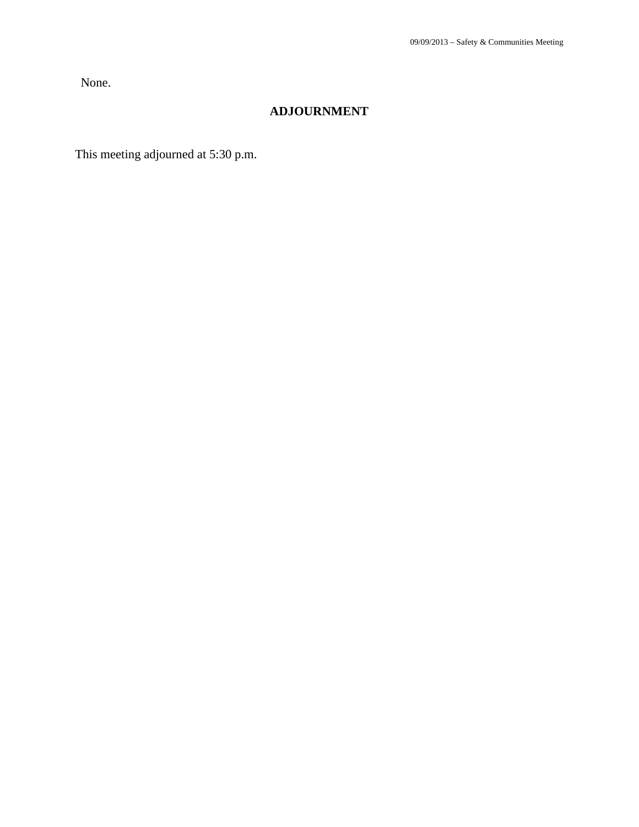None.

## **ADJOURNMENT**

This meeting adjourned at 5:30 p.m.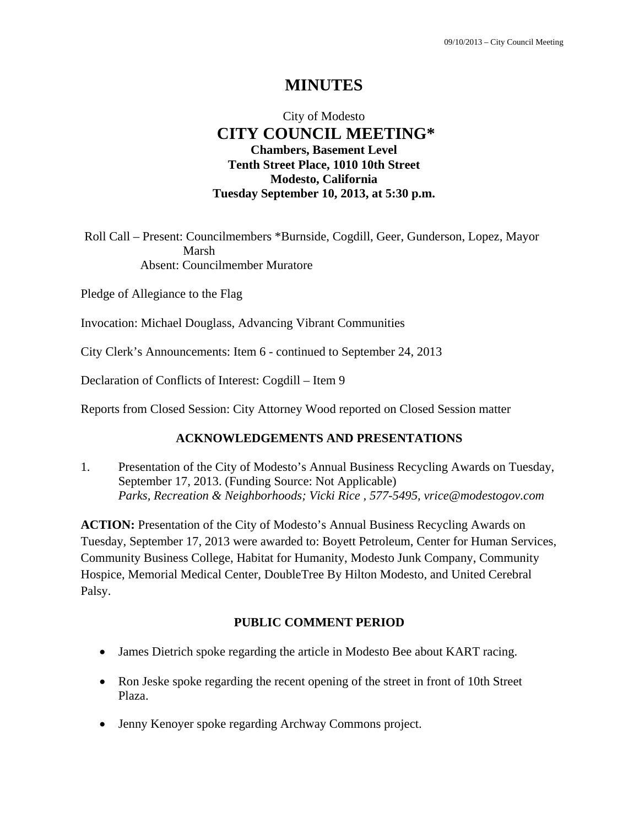# **MINUTES**

## City of Modesto  **CITY COUNCIL MEETING\* Chambers, Basement Level Tenth Street Place, 1010 10th Street Modesto, California Tuesday September 10, 2013, at 5:30 p.m.**

Roll Call – Present: Councilmembers \*Burnside, Cogdill, Geer, Gunderson, Lopez, Mayor Marsh Absent: Councilmember Muratore

Pledge of Allegiance to the Flag

Invocation: Michael Douglass, Advancing Vibrant Communities

City Clerk's Announcements: Item 6 - continued to September 24, 2013

Declaration of Conflicts of Interest: Cogdill – Item 9

Reports from Closed Session: City Attorney Wood reported on Closed Session matter

## **ACKNOWLEDGEMENTS AND PRESENTATIONS**

1. Presentation of the City of Modesto's Annual Business Recycling Awards on Tuesday, September 17, 2013. (Funding Source: Not Applicable)  *Parks, Recreation & Neighborhoods; Vicki Rice , 577-5495, vrice@modestogov.com* 

**ACTION:** Presentation of the City of Modesto's Annual Business Recycling Awards on Tuesday, September 17, 2013 were awarded to: Boyett Petroleum, Center for Human Services, Community Business College, Habitat for Humanity, Modesto Junk Company, Community Hospice, Memorial Medical Center, DoubleTree By Hilton Modesto, and United Cerebral Palsy.

## **PUBLIC COMMENT PERIOD**

- James Dietrich spoke regarding the article in Modesto Bee about KART racing.
- Ron Jeske spoke regarding the recent opening of the street in front of 10th Street Plaza.
- Jenny Kenoyer spoke regarding Archway Commons project.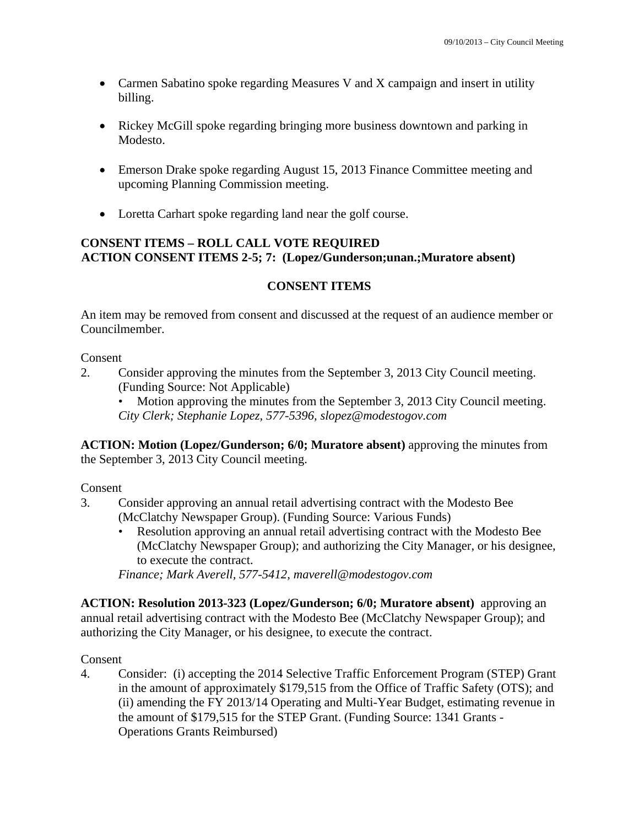- Carmen Sabatino spoke regarding Measures V and X campaign and insert in utility billing.
- Rickey McGill spoke regarding bringing more business downtown and parking in Modesto.
- Emerson Drake spoke regarding August 15, 2013 Finance Committee meeting and upcoming Planning Commission meeting.
- Loretta Carhart spoke regarding land near the golf course.

## **CONSENT ITEMS – ROLL CALL VOTE REQUIRED ACTION CONSENT ITEMS 2-5; 7: (Lopez/Gunderson;unan.;Muratore absent)**

## **CONSENT ITEMS**

An item may be removed from consent and discussed at the request of an audience member or Councilmember.

Consent

2. Consider approving the minutes from the September 3, 2013 City Council meeting. (Funding Source: Not Applicable)

Motion approving the minutes from the September 3, 2013 City Council meeting. *City Clerk; Stephanie Lopez, 577-5396, slopez@modestogov.com* 

**ACTION: Motion (Lopez/Gunderson; 6/0; Muratore absent)** approving the minutes from the September 3, 2013 City Council meeting.

Consent

- 3. Consider approving an annual retail advertising contract with the Modesto Bee (McClatchy Newspaper Group). (Funding Source: Various Funds)
	- Resolution approving an annual retail advertising contract with the Modesto Bee (McClatchy Newspaper Group); and authorizing the City Manager, or his designee, to execute the contract.

*Finance; Mark Averell, 577-5412, maverell@modestogov.com* 

**ACTION: Resolution 2013-323 (Lopez/Gunderson; 6/0; Muratore absent)** approving an annual retail advertising contract with the Modesto Bee (McClatchy Newspaper Group); and authorizing the City Manager, or his designee, to execute the contract.

Consent

4. Consider: (i) accepting the 2014 Selective Traffic Enforcement Program (STEP) Grant in the amount of approximately \$179,515 from the Office of Traffic Safety (OTS); and (ii) amending the FY 2013/14 Operating and Multi-Year Budget, estimating revenue in the amount of \$179,515 for the STEP Grant. (Funding Source: 1341 Grants - Operations Grants Reimbursed)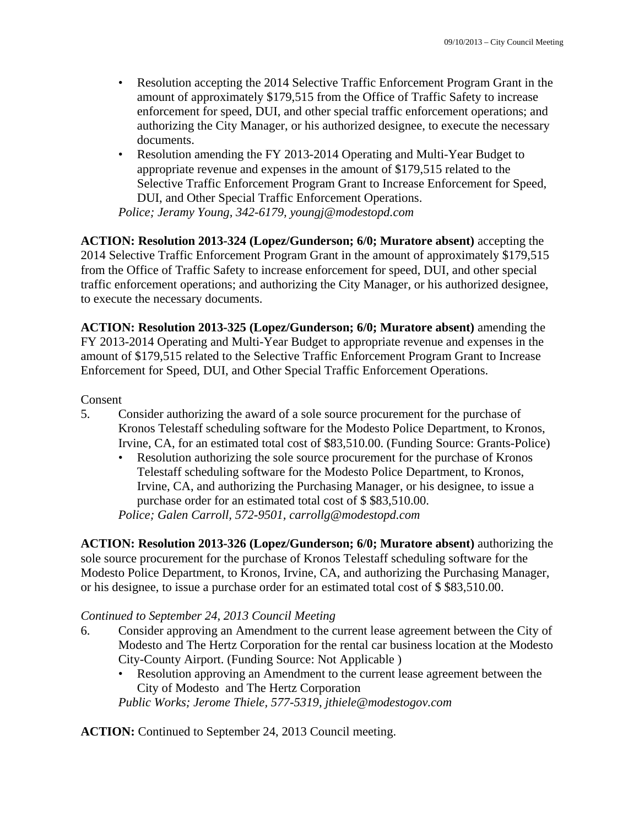- Resolution accepting the 2014 Selective Traffic Enforcement Program Grant in the amount of approximately \$179,515 from the Office of Traffic Safety to increase enforcement for speed, DUI, and other special traffic enforcement operations; and authorizing the City Manager, or his authorized designee, to execute the necessary documents.
- Resolution amending the FY 2013-2014 Operating and Multi-Year Budget to appropriate revenue and expenses in the amount of \$179,515 related to the Selective Traffic Enforcement Program Grant to Increase Enforcement for Speed, DUI, and Other Special Traffic Enforcement Operations. *Police; Jeramy Young, 342-6179, youngj@modestopd.com*

**ACTION: Resolution 2013-324 (Lopez/Gunderson; 6/0; Muratore absent)** accepting the 2014 Selective Traffic Enforcement Program Grant in the amount of approximately \$179,515 from the Office of Traffic Safety to increase enforcement for speed, DUI, and other special traffic enforcement operations; and authorizing the City Manager, or his authorized designee, to execute the necessary documents.

**ACTION: Resolution 2013-325 (Lopez/Gunderson; 6/0; Muratore absent)** amending the FY 2013-2014 Operating and Multi-Year Budget to appropriate revenue and expenses in the amount of \$179,515 related to the Selective Traffic Enforcement Program Grant to Increase Enforcement for Speed, DUI, and Other Special Traffic Enforcement Operations.

#### Consent

- 5. Consider authorizing the award of a sole source procurement for the purchase of Kronos Telestaff scheduling software for the Modesto Police Department, to Kronos, Irvine, CA, for an estimated total cost of \$83,510.00. (Funding Source: Grants-Police)
	- Resolution authorizing the sole source procurement for the purchase of Kronos Telestaff scheduling software for the Modesto Police Department, to Kronos, Irvine, CA, and authorizing the Purchasing Manager, or his designee, to issue a purchase order for an estimated total cost of \$ \$83,510.00.

*Police; Galen Carroll, 572-9501, carrollg@modestopd.com* 

**ACTION: Resolution 2013-326 (Lopez/Gunderson; 6/0; Muratore absent)** authorizing the sole source procurement for the purchase of Kronos Telestaff scheduling software for the Modesto Police Department, to Kronos, Irvine, CA, and authorizing the Purchasing Manager, or his designee, to issue a purchase order for an estimated total cost of \$ \$83,510.00.

#### *Continued to September 24, 2013 Council Meeting*

- 6. Consider approving an Amendment to the current lease agreement between the City of Modesto and The Hertz Corporation for the rental car business location at the Modesto City-County Airport. (Funding Source: Not Applicable )
	- Resolution approving an Amendment to the current lease agreement between the City of Modesto and The Hertz Corporation

*Public Works; Jerome Thiele, 577-5319, jthiele@modestogov.com* 

**ACTION:** Continued to September 24, 2013 Council meeting.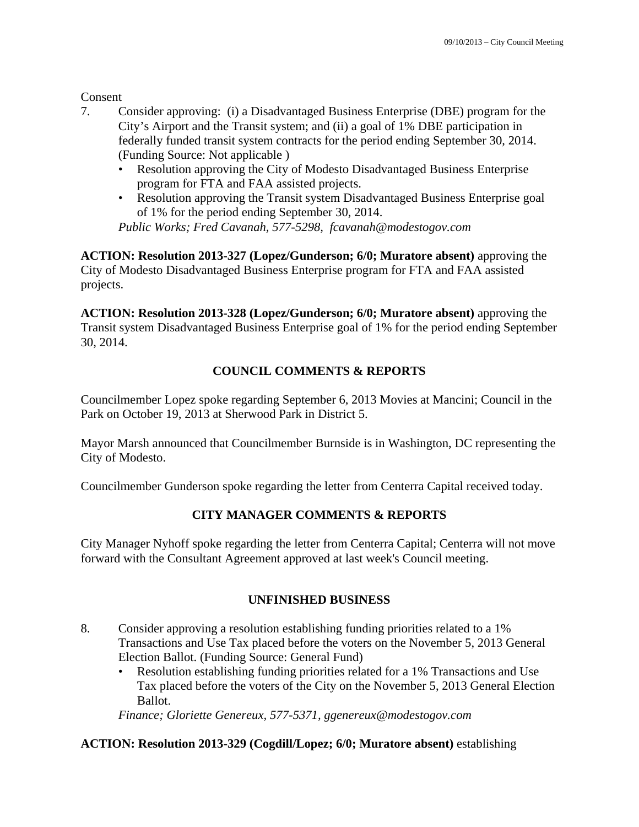Consent

- 7. Consider approving: (i) a Disadvantaged Business Enterprise (DBE) program for the City's Airport and the Transit system; and (ii) a goal of 1% DBE participation in federally funded transit system contracts for the period ending September 30, 2014. (Funding Source: Not applicable )
	- Resolution approving the City of Modesto Disadvantaged Business Enterprise program for FTA and FAA assisted projects.
	- Resolution approving the Transit system Disadvantaged Business Enterprise goal of 1% for the period ending September 30, 2014.

*Public Works; Fred Cavanah, 577-5298, fcavanah@modestogov.com* 

**ACTION: Resolution 2013-327 (Lopez/Gunderson; 6/0; Muratore absent)** approving the City of Modesto Disadvantaged Business Enterprise program for FTA and FAA assisted projects.

**ACTION: Resolution 2013-328 (Lopez/Gunderson; 6/0; Muratore absent)** approving the Transit system Disadvantaged Business Enterprise goal of 1% for the period ending September 30, 2014.

## **COUNCIL COMMENTS & REPORTS**

Councilmember Lopez spoke regarding September 6, 2013 Movies at Mancini; Council in the Park on October 19, 2013 at Sherwood Park in District 5.

Mayor Marsh announced that Councilmember Burnside is in Washington, DC representing the City of Modesto.

Councilmember Gunderson spoke regarding the letter from Centerra Capital received today.

## **CITY MANAGER COMMENTS & REPORTS**

City Manager Nyhoff spoke regarding the letter from Centerra Capital; Centerra will not move forward with the Consultant Agreement approved at last week's Council meeting.

## **UNFINISHED BUSINESS**

- 8. Consider approving a resolution establishing funding priorities related to a 1% Transactions and Use Tax placed before the voters on the November 5, 2013 General Election Ballot. (Funding Source: General Fund)
	- Resolution establishing funding priorities related for a 1% Transactions and Use Tax placed before the voters of the City on the November 5, 2013 General Election Ballot.

*Finance; Gloriette Genereux, 577-5371, ggenereux@modestogov.com* 

## **ACTION: Resolution 2013-329 (Cogdill/Lopez; 6/0; Muratore absent)** establishing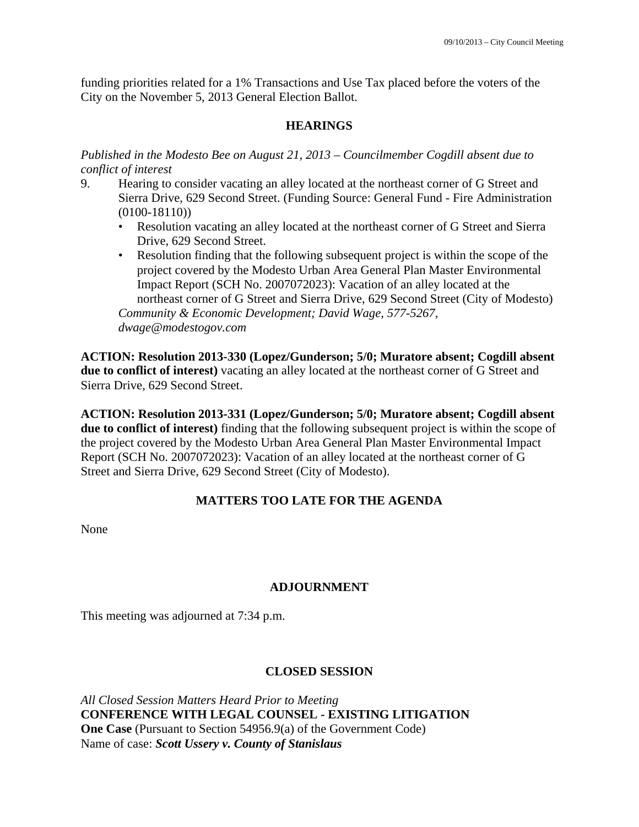funding priorities related for a 1% Transactions and Use Tax placed before the voters of the City on the November 5, 2013 General Election Ballot.

## **HEARINGS**

*Published in the Modesto Bee on August 21, 2013 – Councilmember Cogdill absent due to conflict of interest* 

- 9. Hearing to consider vacating an alley located at the northeast corner of G Street and Sierra Drive, 629 Second Street. (Funding Source: General Fund - Fire Administration (0100-18110))
	- Resolution vacating an alley located at the northeast corner of G Street and Sierra Drive, 629 Second Street.
	- Resolution finding that the following subsequent project is within the scope of the project covered by the Modesto Urban Area General Plan Master Environmental Impact Report (SCH No. 2007072023): Vacation of an alley located at the northeast corner of G Street and Sierra Drive, 629 Second Street (City of Modesto) *Community & Economic Development; David Wage, 577-5267, dwage@modestogov.com*

**ACTION: Resolution 2013-330 (Lopez/Gunderson; 5/0; Muratore absent; Cogdill absent due to conflict of interest)** vacating an alley located at the northeast corner of G Street and Sierra Drive, 629 Second Street.

**ACTION: Resolution 2013-331 (Lopez/Gunderson; 5/0; Muratore absent; Cogdill absent due to conflict of interest)** finding that the following subsequent project is within the scope of the project covered by the Modesto Urban Area General Plan Master Environmental Impact Report (SCH No. 2007072023): Vacation of an alley located at the northeast corner of G Street and Sierra Drive, 629 Second Street (City of Modesto).

## **MATTERS TOO LATE FOR THE AGENDA**

None

## **ADJOURNMENT**

This meeting was adjourned at 7:34 p.m.

## **CLOSED SESSION**

*All Closed Session Matters Heard Prior to Meeting* **CONFERENCE WITH LEGAL COUNSEL - EXISTING LITIGATION One Case** (Pursuant to Section 54956.9(a) of the Government Code) Name of case: *Scott Ussery v. County of Stanislaus*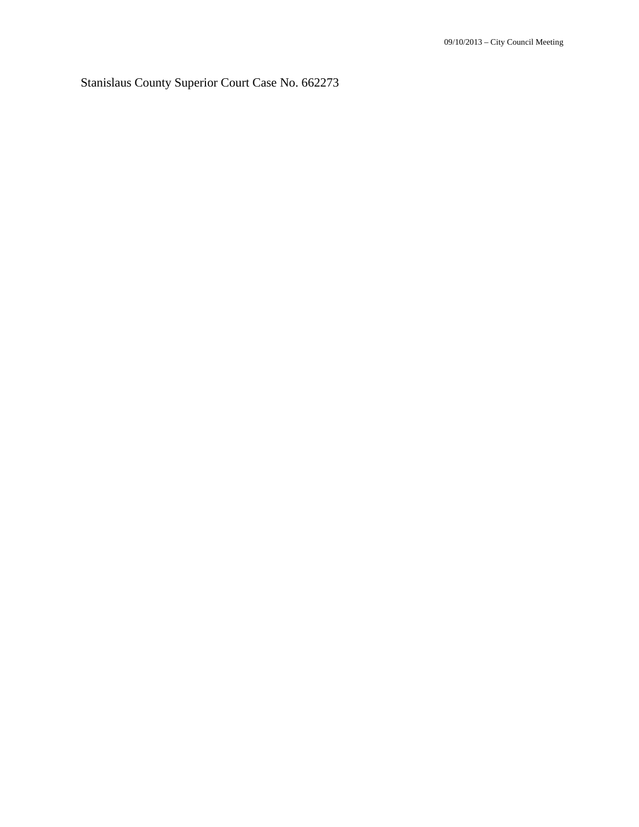Stanislaus County Superior Court Case No. 662273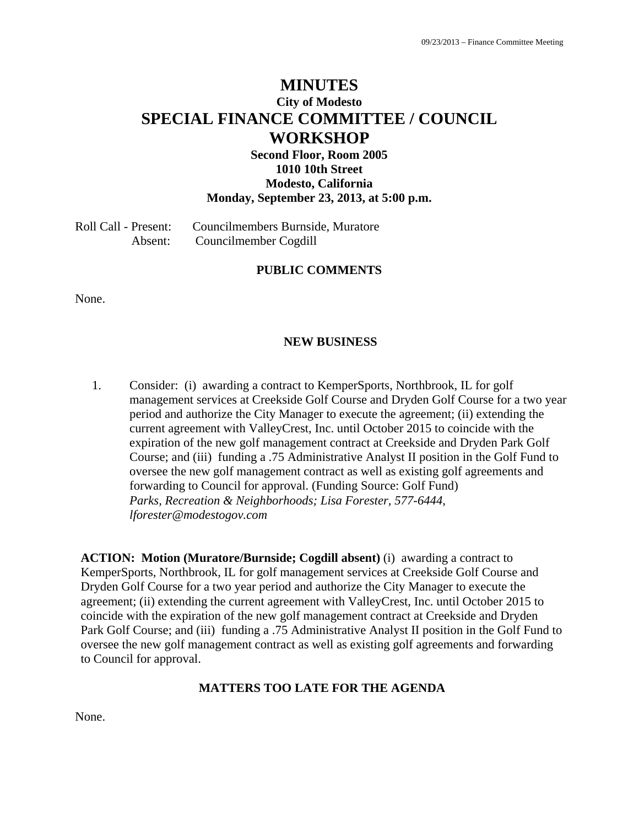# **MINUTES City of Modesto SPECIAL FINANCE COMMITTEE / COUNCIL WORKSHOP**

## **Second Floor, Room 2005 1010 10th Street Modesto, California Monday, September 23, 2013, at 5:00 p.m.**

Roll Call - Present: Councilmembers Burnside, Muratore Absent: Councilmember Cogdill

#### **PUBLIC COMMENTS**

None.

#### **NEW BUSINESS**

1. Consider: (i) awarding a contract to KemperSports, Northbrook, IL for golf management services at Creekside Golf Course and Dryden Golf Course for a two year period and authorize the City Manager to execute the agreement; (ii) extending the current agreement with ValleyCrest, Inc. until October 2015 to coincide with the expiration of the new golf management contract at Creekside and Dryden Park Golf Course; and (iii) funding a .75 Administrative Analyst II position in the Golf Fund to oversee the new golf management contract as well as existing golf agreements and forwarding to Council for approval. (Funding Source: Golf Fund)  *Parks, Recreation & Neighborhoods; Lisa Forester, 577-6444, lforester@modestogov.com* 

**ACTION: Motion (Muratore/Burnside; Cogdill absent)** (i) awarding a contract to KemperSports, Northbrook, IL for golf management services at Creekside Golf Course and Dryden Golf Course for a two year period and authorize the City Manager to execute the agreement; (ii) extending the current agreement with ValleyCrest, Inc. until October 2015 to coincide with the expiration of the new golf management contract at Creekside and Dryden Park Golf Course; and (iii) funding a .75 Administrative Analyst II position in the Golf Fund to oversee the new golf management contract as well as existing golf agreements and forwarding to Council for approval.

#### **MATTERS TOO LATE FOR THE AGENDA**

None.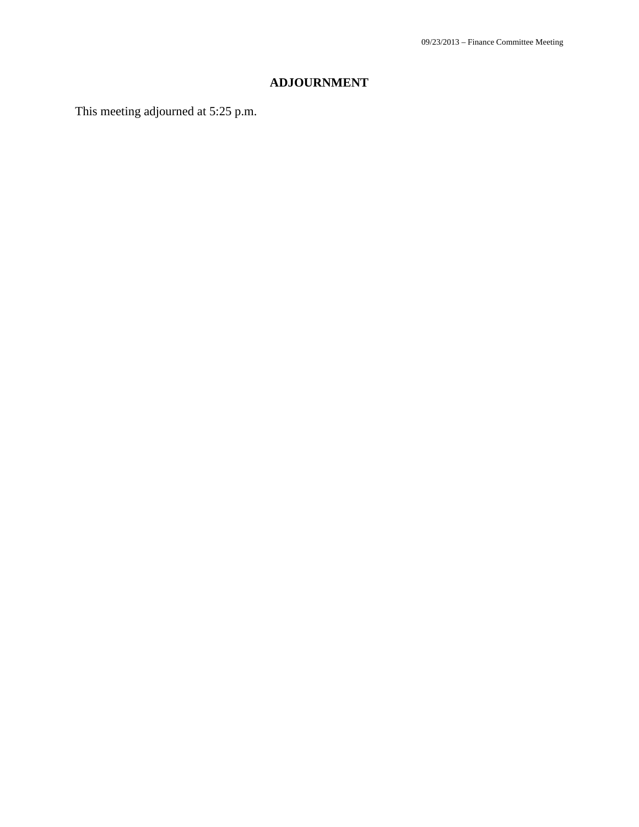## **ADJOURNMENT**

This meeting adjourned at 5:25 p.m.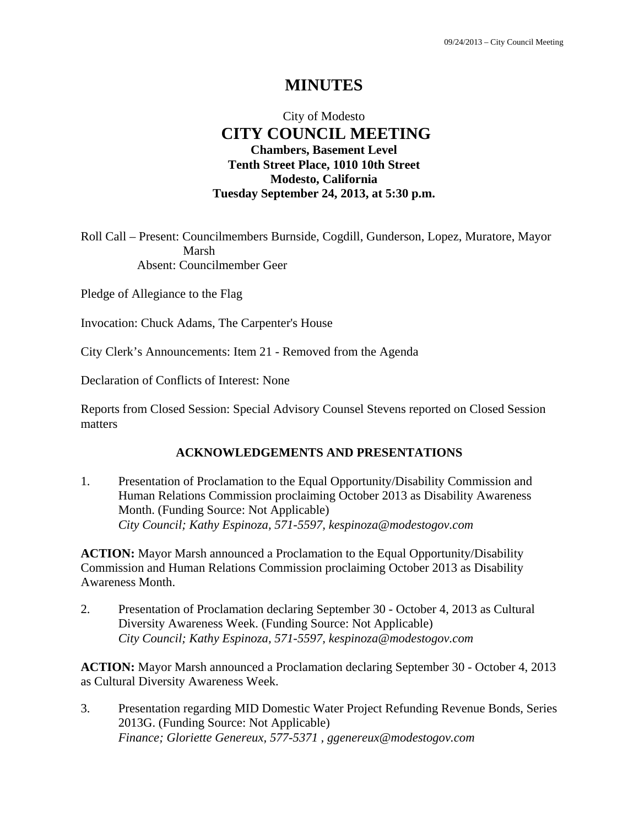# **MINUTES**

## City of Modesto  **CITY COUNCIL MEETING Chambers, Basement Level Tenth Street Place, 1010 10th Street Modesto, California Tuesday September 24, 2013, at 5:30 p.m.**

Roll Call – Present: Councilmembers Burnside, Cogdill, Gunderson, Lopez, Muratore, Mayor Marsh Absent: Councilmember Geer

Pledge of Allegiance to the Flag

Invocation: Chuck Adams, The Carpenter's House

City Clerk's Announcements: Item 21 - Removed from the Agenda

Declaration of Conflicts of Interest: None

Reports from Closed Session: Special Advisory Counsel Stevens reported on Closed Session matters

#### **ACKNOWLEDGEMENTS AND PRESENTATIONS**

1. Presentation of Proclamation to the Equal Opportunity/Disability Commission and Human Relations Commission proclaiming October 2013 as Disability Awareness Month. (Funding Source: Not Applicable)  *City Council; Kathy Espinoza, 571-5597, kespinoza@modestogov.com* 

**ACTION:** Mayor Marsh announced a Proclamation to the Equal Opportunity/Disability Commission and Human Relations Commission proclaiming October 2013 as Disability Awareness Month.

2. Presentation of Proclamation declaring September 30 - October 4, 2013 as Cultural Diversity Awareness Week. (Funding Source: Not Applicable)  *City Council; Kathy Espinoza, 571-5597, kespinoza@modestogov.com* 

**ACTION:** Mayor Marsh announced a Proclamation declaring September 30 - October 4, 2013 as Cultural Diversity Awareness Week.

3. Presentation regarding MID Domestic Water Project Refunding Revenue Bonds, Series 2013G. (Funding Source: Not Applicable)  *Finance; Gloriette Genereux, 577-5371 , ggenereux@modestogov.com*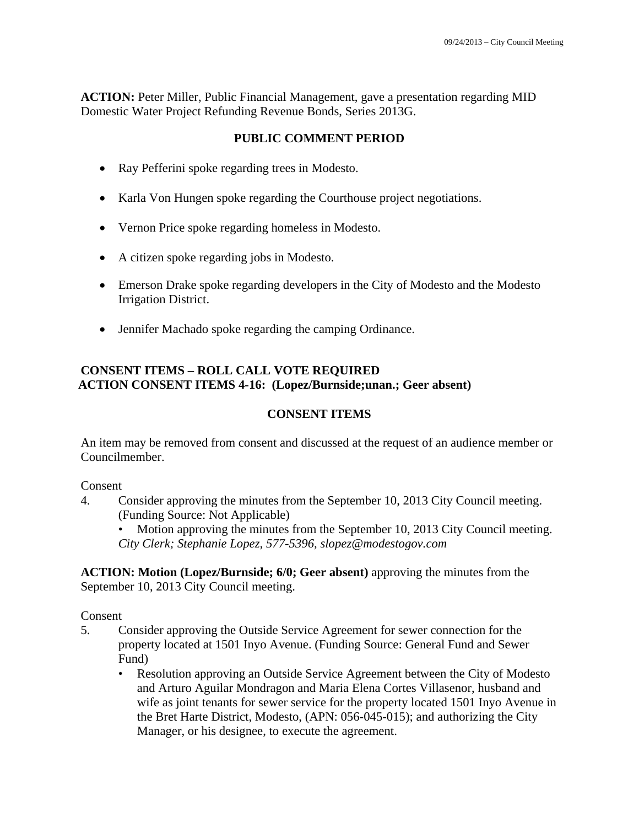**ACTION:** Peter Miller, Public Financial Management, gave a presentation regarding MID Domestic Water Project Refunding Revenue Bonds, Series 2013G.

## **PUBLIC COMMENT PERIOD**

- Ray Pefferini spoke regarding trees in Modesto.
- Karla Von Hungen spoke regarding the Courthouse project negotiations.
- Vernon Price spoke regarding homeless in Modesto.
- A citizen spoke regarding jobs in Modesto.
- Emerson Drake spoke regarding developers in the City of Modesto and the Modesto Irrigation District.
- Jennifer Machado spoke regarding the camping Ordinance.

## **CONSENT ITEMS – ROLL CALL VOTE REQUIRED ACTION CONSENT ITEMS 4-16: (Lopez/Burnside;unan.; Geer absent)**

## **CONSENT ITEMS**

An item may be removed from consent and discussed at the request of an audience member or Councilmember.

#### Consent

4. Consider approving the minutes from the September 10, 2013 City Council meeting. (Funding Source: Not Applicable)

Motion approving the minutes from the September 10, 2013 City Council meeting. *City Clerk; Stephanie Lopez, 577-5396, slopez@modestogov.com* 

**ACTION: Motion (Lopez/Burnside; 6/0; Geer absent)** approving the minutes from the September 10, 2013 City Council meeting.

## Consent

- 5. Consider approving the Outside Service Agreement for sewer connection for the property located at 1501 Inyo Avenue. (Funding Source: General Fund and Sewer Fund)
	- Resolution approving an Outside Service Agreement between the City of Modesto and Arturo Aguilar Mondragon and Maria Elena Cortes Villasenor, husband and wife as joint tenants for sewer service for the property located 1501 Inyo Avenue in the Bret Harte District, Modesto, (APN: 056-045-015); and authorizing the City Manager, or his designee, to execute the agreement.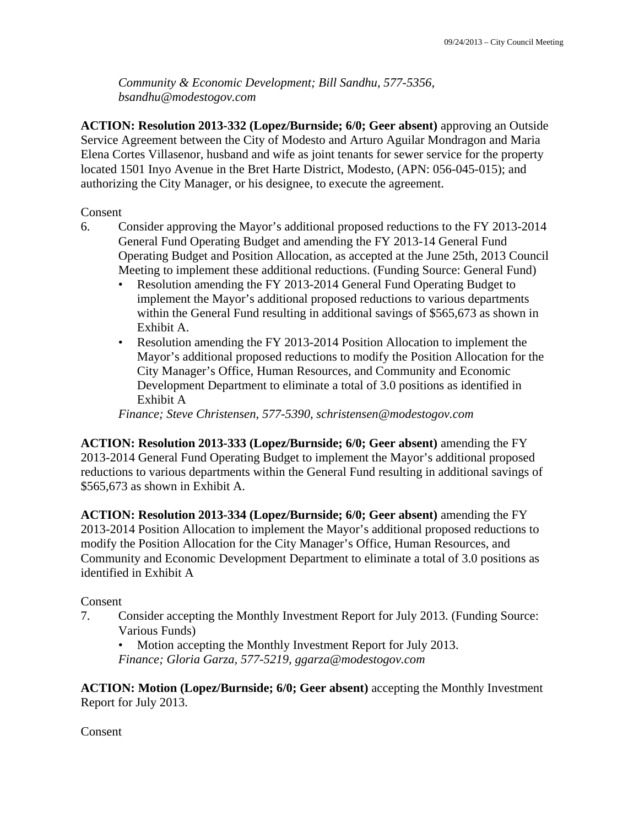*Community & Economic Development; Bill Sandhu, 577-5356, bsandhu@modestogov.com* 

**ACTION: Resolution 2013-332 (Lopez/Burnside; 6/0; Geer absent)** approving an Outside Service Agreement between the City of Modesto and Arturo Aguilar Mondragon and Maria Elena Cortes Villasenor, husband and wife as joint tenants for sewer service for the property located 1501 Inyo Avenue in the Bret Harte District, Modesto, (APN: 056-045-015); and authorizing the City Manager, or his designee, to execute the agreement.

#### Consent

- 6. Consider approving the Mayor's additional proposed reductions to the FY 2013-2014 General Fund Operating Budget and amending the FY 2013-14 General Fund Operating Budget and Position Allocation, as accepted at the June 25th, 2013 Council Meeting to implement these additional reductions. (Funding Source: General Fund)
	- Resolution amending the FY 2013-2014 General Fund Operating Budget to implement the Mayor's additional proposed reductions to various departments within the General Fund resulting in additional savings of \$565,673 as shown in Exhibit A.
	- Resolution amending the FY 2013-2014 Position Allocation to implement the Mayor's additional proposed reductions to modify the Position Allocation for the City Manager's Office, Human Resources, and Community and Economic Development Department to eliminate a total of 3.0 positions as identified in Exhibit A

*Finance; Steve Christensen, 577-5390, schristensen@modestogov.com* 

**ACTION: Resolution 2013-333 (Lopez/Burnside; 6/0; Geer absent)** amending the FY 2013-2014 General Fund Operating Budget to implement the Mayor's additional proposed reductions to various departments within the General Fund resulting in additional savings of \$565,673 as shown in Exhibit A.

**ACTION: Resolution 2013-334 (Lopez/Burnside; 6/0; Geer absent)** amending the FY 2013-2014 Position Allocation to implement the Mayor's additional proposed reductions to modify the Position Allocation for the City Manager's Office, Human Resources, and Community and Economic Development Department to eliminate a total of 3.0 positions as identified in Exhibit A

#### Consent

- 7. Consider accepting the Monthly Investment Report for July 2013. (Funding Source: Various Funds)
	- Motion accepting the Monthly Investment Report for July 2013. *Finance; Gloria Garza, 577-5219, ggarza@modestogov.com*

**ACTION: Motion (Lopez/Burnside; 6/0; Geer absent)** accepting the Monthly Investment Report for July 2013.

Consent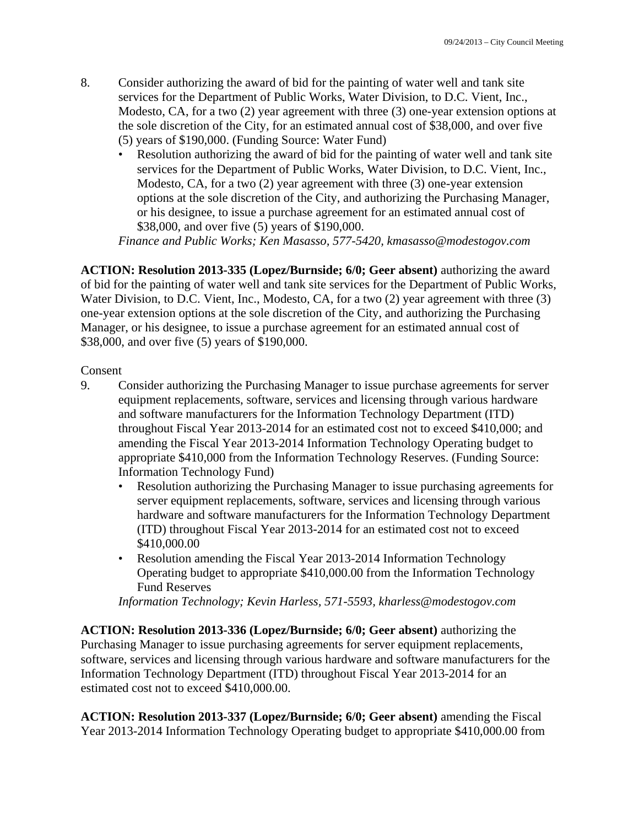- 8. Consider authorizing the award of bid for the painting of water well and tank site services for the Department of Public Works, Water Division, to D.C. Vient, Inc., Modesto, CA, for a two (2) year agreement with three (3) one-year extension options at the sole discretion of the City, for an estimated annual cost of \$38,000, and over five (5) years of \$190,000. (Funding Source: Water Fund)
	- Resolution authorizing the award of bid for the painting of water well and tank site services for the Department of Public Works, Water Division, to D.C. Vient, Inc., Modesto, CA, for a two (2) year agreement with three (3) one-year extension options at the sole discretion of the City, and authorizing the Purchasing Manager, or his designee, to issue a purchase agreement for an estimated annual cost of \$38,000, and over five (5) years of \$190,000.

*Finance and Public Works; Ken Masasso, 577-5420, kmasasso@modestogov.com* 

**ACTION: Resolution 2013-335 (Lopez/Burnside; 6/0; Geer absent)** authorizing the award of bid for the painting of water well and tank site services for the Department of Public Works, Water Division, to D.C. Vient, Inc., Modesto, CA, for a two (2) year agreement with three (3) one-year extension options at the sole discretion of the City, and authorizing the Purchasing Manager, or his designee, to issue a purchase agreement for an estimated annual cost of \$38,000, and over five (5) years of \$190,000.

#### Consent

- 9. Consider authorizing the Purchasing Manager to issue purchase agreements for server equipment replacements, software, services and licensing through various hardware and software manufacturers for the Information Technology Department (ITD) throughout Fiscal Year 2013-2014 for an estimated cost not to exceed \$410,000; and amending the Fiscal Year 2013-2014 Information Technology Operating budget to appropriate \$410,000 from the Information Technology Reserves. (Funding Source: Information Technology Fund)
	- Resolution authorizing the Purchasing Manager to issue purchasing agreements for server equipment replacements, software, services and licensing through various hardware and software manufacturers for the Information Technology Department (ITD) throughout Fiscal Year 2013-2014 for an estimated cost not to exceed \$410,000.00
	- Resolution amending the Fiscal Year 2013-2014 Information Technology Operating budget to appropriate \$410,000.00 from the Information Technology Fund Reserves

*Information Technology; Kevin Harless, 571-5593, kharless@modestogov.com* 

**ACTION: Resolution 2013-336 (Lopez/Burnside; 6/0; Geer absent)** authorizing the Purchasing Manager to issue purchasing agreements for server equipment replacements, software, services and licensing through various hardware and software manufacturers for the Information Technology Department (ITD) throughout Fiscal Year 2013-2014 for an estimated cost not to exceed \$410,000.00.

**ACTION: Resolution 2013-337 (Lopez/Burnside; 6/0; Geer absent)** amending the Fiscal Year 2013-2014 Information Technology Operating budget to appropriate \$410,000.00 from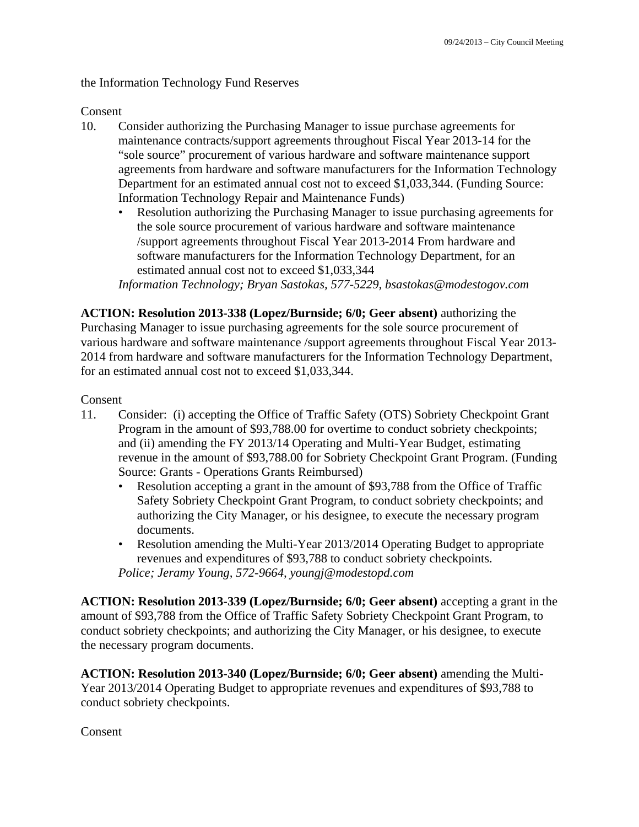the Information Technology Fund Reserves

#### Consent

- 10. Consider authorizing the Purchasing Manager to issue purchase agreements for maintenance contracts/support agreements throughout Fiscal Year 2013-14 for the "sole source" procurement of various hardware and software maintenance support agreements from hardware and software manufacturers for the Information Technology Department for an estimated annual cost not to exceed \$1,033,344. (Funding Source: Information Technology Repair and Maintenance Funds)
	- Resolution authorizing the Purchasing Manager to issue purchasing agreements for the sole source procurement of various hardware and software maintenance /support agreements throughout Fiscal Year 2013-2014 From hardware and software manufacturers for the Information Technology Department, for an estimated annual cost not to exceed \$1,033,344

*Information Technology; Bryan Sastokas, 577-5229, bsastokas@modestogov.com* 

**ACTION: Resolution 2013-338 (Lopez/Burnside; 6/0; Geer absent)** authorizing the Purchasing Manager to issue purchasing agreements for the sole source procurement of various hardware and software maintenance /support agreements throughout Fiscal Year 2013- 2014 from hardware and software manufacturers for the Information Technology Department, for an estimated annual cost not to exceed \$1,033,344.

#### Consent

- 11. Consider: (i) accepting the Office of Traffic Safety (OTS) Sobriety Checkpoint Grant Program in the amount of \$93,788.00 for overtime to conduct sobriety checkpoints; and (ii) amending the FY 2013/14 Operating and Multi-Year Budget, estimating revenue in the amount of \$93,788.00 for Sobriety Checkpoint Grant Program. (Funding Source: Grants - Operations Grants Reimbursed)
	- Resolution accepting a grant in the amount of \$93,788 from the Office of Traffic Safety Sobriety Checkpoint Grant Program, to conduct sobriety checkpoints; and authorizing the City Manager, or his designee, to execute the necessary program documents.
	- Resolution amending the Multi-Year 2013/2014 Operating Budget to appropriate revenues and expenditures of \$93,788 to conduct sobriety checkpoints. *Police; Jeramy Young, 572-9664, youngj@modestopd.com*

**ACTION: Resolution 2013-339 (Lopez/Burnside; 6/0; Geer absent)** accepting a grant in the amount of \$93,788 from the Office of Traffic Safety Sobriety Checkpoint Grant Program, to conduct sobriety checkpoints; and authorizing the City Manager, or his designee, to execute the necessary program documents.

**ACTION: Resolution 2013-340 (Lopez/Burnside; 6/0; Geer absent)** amending the Multi-Year 2013/2014 Operating Budget to appropriate revenues and expenditures of \$93,788 to conduct sobriety checkpoints.

Consent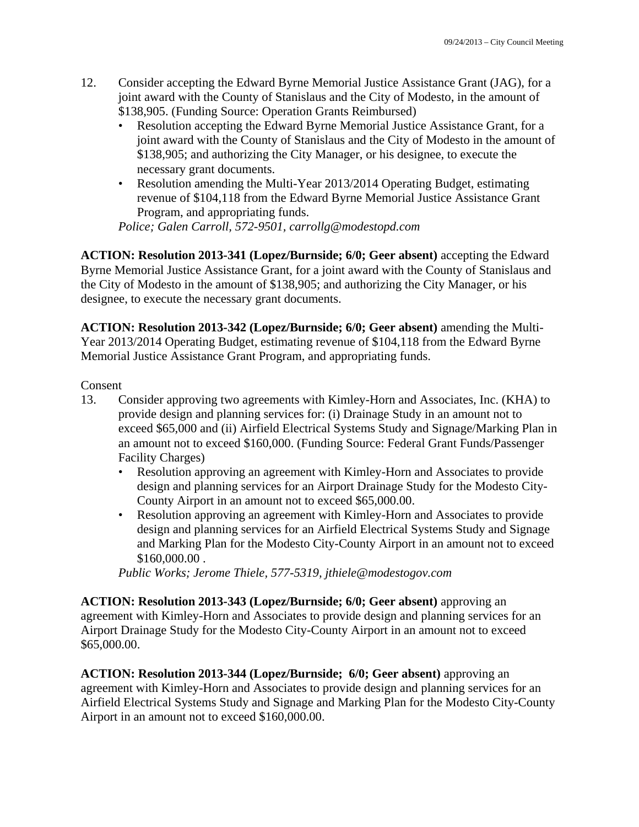- 12. Consider accepting the Edward Byrne Memorial Justice Assistance Grant (JAG), for a joint award with the County of Stanislaus and the City of Modesto, in the amount of \$138,905. (Funding Source: Operation Grants Reimbursed)
	- Resolution accepting the Edward Byrne Memorial Justice Assistance Grant, for a joint award with the County of Stanislaus and the City of Modesto in the amount of \$138,905; and authorizing the City Manager, or his designee, to execute the necessary grant documents.
	- Resolution amending the Multi-Year 2013/2014 Operating Budget, estimating revenue of \$104,118 from the Edward Byrne Memorial Justice Assistance Grant Program, and appropriating funds.

*Police; Galen Carroll, 572-9501, carrollg@modestopd.com* 

**ACTION: Resolution 2013-341 (Lopez/Burnside; 6/0; Geer absent)** accepting the Edward Byrne Memorial Justice Assistance Grant, for a joint award with the County of Stanislaus and the City of Modesto in the amount of \$138,905; and authorizing the City Manager, or his designee, to execute the necessary grant documents.

**ACTION: Resolution 2013-342 (Lopez/Burnside; 6/0; Geer absent)** amending the Multi-Year 2013/2014 Operating Budget, estimating revenue of \$104,118 from the Edward Byrne Memorial Justice Assistance Grant Program, and appropriating funds.

#### Consent

- 13. Consider approving two agreements with Kimley-Horn and Associates, Inc. (KHA) to provide design and planning services for: (i) Drainage Study in an amount not to exceed \$65,000 and (ii) Airfield Electrical Systems Study and Signage/Marking Plan in an amount not to exceed \$160,000. (Funding Source: Federal Grant Funds/Passenger Facility Charges)
	- Resolution approving an agreement with Kimley-Horn and Associates to provide design and planning services for an Airport Drainage Study for the Modesto City-County Airport in an amount not to exceed \$65,000.00.
	- Resolution approving an agreement with Kimley-Horn and Associates to provide design and planning services for an Airfield Electrical Systems Study and Signage and Marking Plan for the Modesto City-County Airport in an amount not to exceed \$160,000.00 .

*Public Works; Jerome Thiele, 577-5319, jthiele@modestogov.com* 

**ACTION: Resolution 2013-343 (Lopez/Burnside; 6/0; Geer absent)** approving an agreement with Kimley-Horn and Associates to provide design and planning services for an Airport Drainage Study for the Modesto City-County Airport in an amount not to exceed \$65,000.00.

**ACTION: Resolution 2013-344 (Lopez/Burnside; 6/0; Geer absent)** approving an agreement with Kimley-Horn and Associates to provide design and planning services for an Airfield Electrical Systems Study and Signage and Marking Plan for the Modesto City-County Airport in an amount not to exceed \$160,000.00.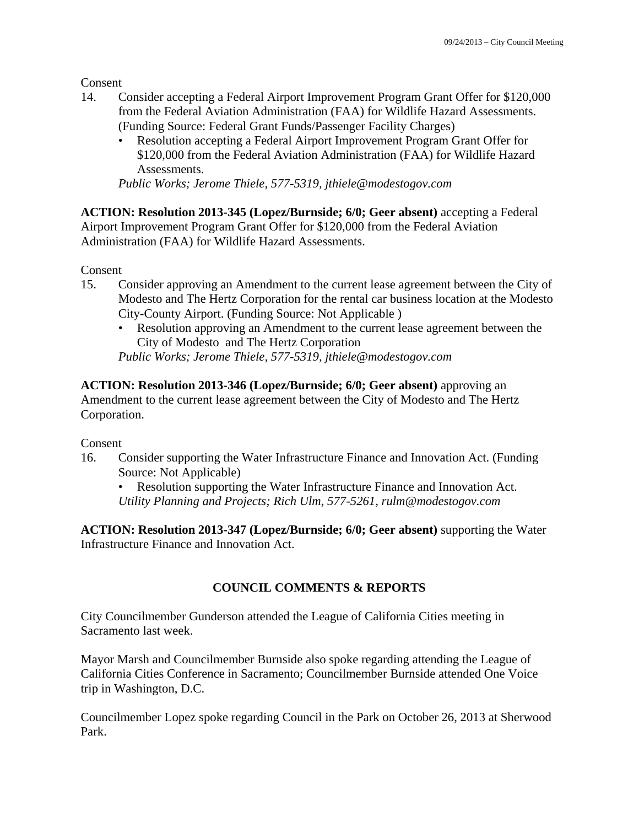Consent

- 14. Consider accepting a Federal Airport Improvement Program Grant Offer for \$120,000 from the Federal Aviation Administration (FAA) for Wildlife Hazard Assessments. (Funding Source: Federal Grant Funds/Passenger Facility Charges)
	- Resolution accepting a Federal Airport Improvement Program Grant Offer for \$120,000 from the Federal Aviation Administration (FAA) for Wildlife Hazard Assessments.

*Public Works; Jerome Thiele, 577-5319, jthiele@modestogov.com* 

**ACTION: Resolution 2013-345 (Lopez/Burnside; 6/0; Geer absent)** accepting a Federal Airport Improvement Program Grant Offer for \$120,000 from the Federal Aviation Administration (FAA) for Wildlife Hazard Assessments.

Consent

- 15. Consider approving an Amendment to the current lease agreement between the City of Modesto and The Hertz Corporation for the rental car business location at the Modesto City-County Airport. (Funding Source: Not Applicable )
	- Resolution approving an Amendment to the current lease agreement between the City of Modesto and The Hertz Corporation

*Public Works; Jerome Thiele, 577-5319, jthiele@modestogov.com* 

**ACTION: Resolution 2013-346 (Lopez/Burnside; 6/0; Geer absent)** approving an Amendment to the current lease agreement between the City of Modesto and The Hertz Corporation.

Consent

16. Consider supporting the Water Infrastructure Finance and Innovation Act. (Funding Source: Not Applicable)

• Resolution supporting the Water Infrastructure Finance and Innovation Act. *Utility Planning and Projects; Rich Ulm, 577-5261, rulm@modestogov.com* 

**ACTION: Resolution 2013-347 (Lopez/Burnside; 6/0; Geer absent)** supporting the Water Infrastructure Finance and Innovation Act.

## **COUNCIL COMMENTS & REPORTS**

City Councilmember Gunderson attended the League of California Cities meeting in Sacramento last week.

Mayor Marsh and Councilmember Burnside also spoke regarding attending the League of California Cities Conference in Sacramento; Councilmember Burnside attended One Voice trip in Washington, D.C.

Councilmember Lopez spoke regarding Council in the Park on October 26, 2013 at Sherwood Park.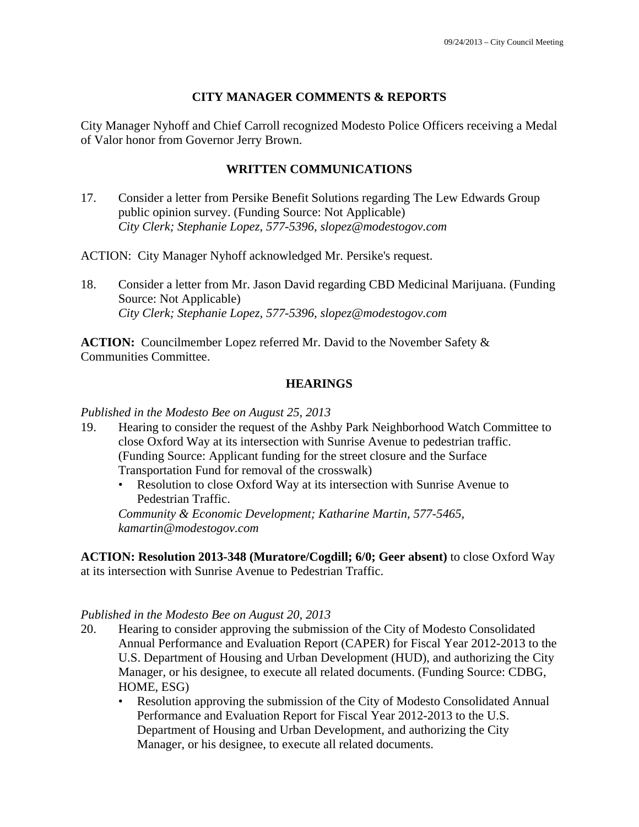## **CITY MANAGER COMMENTS & REPORTS**

City Manager Nyhoff and Chief Carroll recognized Modesto Police Officers receiving a Medal of Valor honor from Governor Jerry Brown.

## **WRITTEN COMMUNICATIONS**

17. Consider a letter from Persike Benefit Solutions regarding The Lew Edwards Group public opinion survey. (Funding Source: Not Applicable)  *City Clerk; Stephanie Lopez, 577-5396, slopez@modestogov.com* 

ACTION: City Manager Nyhoff acknowledged Mr. Persike's request.

18. Consider a letter from Mr. Jason David regarding CBD Medicinal Marijuana. (Funding Source: Not Applicable)  *City Clerk; Stephanie Lopez, 577-5396, slopez@modestogov.com* 

**ACTION:** Councilmember Lopez referred Mr. David to the November Safety & Communities Committee.

#### **HEARINGS**

*Published in the Modesto Bee on August 25, 2013* 

- 19. Hearing to consider the request of the Ashby Park Neighborhood Watch Committee to close Oxford Way at its intersection with Sunrise Avenue to pedestrian traffic. (Funding Source: Applicant funding for the street closure and the Surface Transportation Fund for removal of the crosswalk)
	- Resolution to close Oxford Way at its intersection with Sunrise Avenue to Pedestrian Traffic.

*Community & Economic Development; Katharine Martin, 577-5465, kamartin@modestogov.com* 

**ACTION: Resolution 2013-348 (Muratore/Cogdill; 6/0; Geer absent)** to close Oxford Way at its intersection with Sunrise Avenue to Pedestrian Traffic.

## *Published in the Modesto Bee on August 20, 2013*

- 20. Hearing to consider approving the submission of the City of Modesto Consolidated Annual Performance and Evaluation Report (CAPER) for Fiscal Year 2012-2013 to the U.S. Department of Housing and Urban Development (HUD), and authorizing the City Manager, or his designee, to execute all related documents. (Funding Source: CDBG, HOME, ESG)
	- Resolution approving the submission of the City of Modesto Consolidated Annual Performance and Evaluation Report for Fiscal Year 2012-2013 to the U.S. Department of Housing and Urban Development, and authorizing the City Manager, or his designee, to execute all related documents.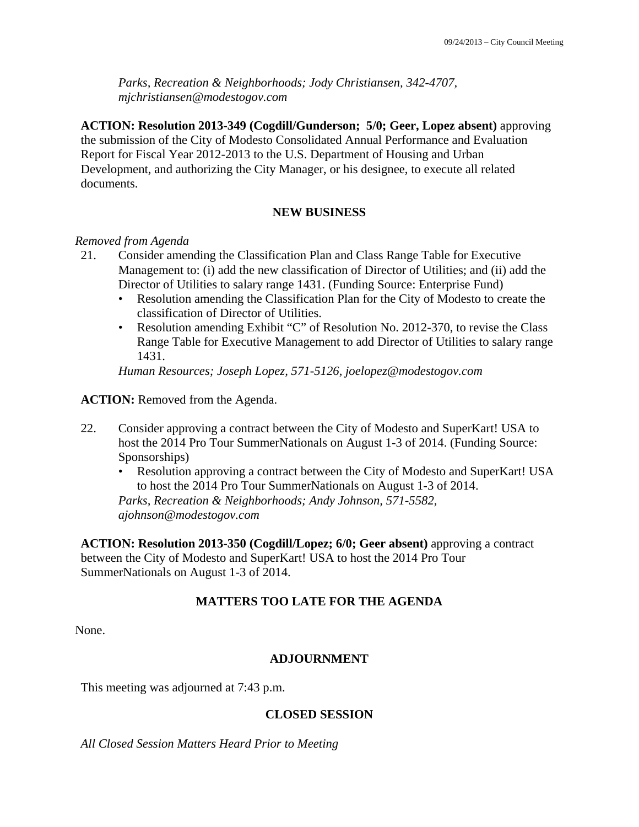*Parks, Recreation & Neighborhoods; Jody Christiansen, 342-4707, mjchristiansen@modestogov.com* 

**ACTION: Resolution 2013-349 (Cogdill/Gunderson; 5/0; Geer, Lopez absent)** approving the submission of the City of Modesto Consolidated Annual Performance and Evaluation Report for Fiscal Year 2012-2013 to the U.S. Department of Housing and Urban Development, and authorizing the City Manager, or his designee, to execute all related documents.

#### **NEW BUSINESS**

#### *Removed from Agenda*

- 21. Consider amending the Classification Plan and Class Range Table for Executive Management to: (i) add the new classification of Director of Utilities; and (ii) add the Director of Utilities to salary range 1431. (Funding Source: Enterprise Fund)
	- Resolution amending the Classification Plan for the City of Modesto to create the classification of Director of Utilities.
	- Resolution amending Exhibit "C" of Resolution No. 2012-370, to revise the Class Range Table for Executive Management to add Director of Utilities to salary range 1431.

*Human Resources; Joseph Lopez, 571-5126, joelopez@modestogov.com* 

**ACTION:** Removed from the Agenda.

- 22. Consider approving a contract between the City of Modesto and SuperKart! USA to host the 2014 Pro Tour SummerNationals on August 1-3 of 2014. (Funding Source: Sponsorships)
	- Resolution approving a contract between the City of Modesto and SuperKart! USA to host the 2014 Pro Tour SummerNationals on August 1-3 of 2014.

*Parks, Recreation & Neighborhoods; Andy Johnson, 571-5582, ajohnson@modestogov.com* 

**ACTION: Resolution 2013-350 (Cogdill/Lopez; 6/0; Geer absent)** approving a contract between the City of Modesto and SuperKart! USA to host the 2014 Pro Tour SummerNationals on August 1-3 of 2014.

## **MATTERS TOO LATE FOR THE AGENDA**

None.

#### **ADJOURNMENT**

This meeting was adjourned at 7:43 p.m.

#### **CLOSED SESSION**

*All Closed Session Matters Heard Prior to Meeting*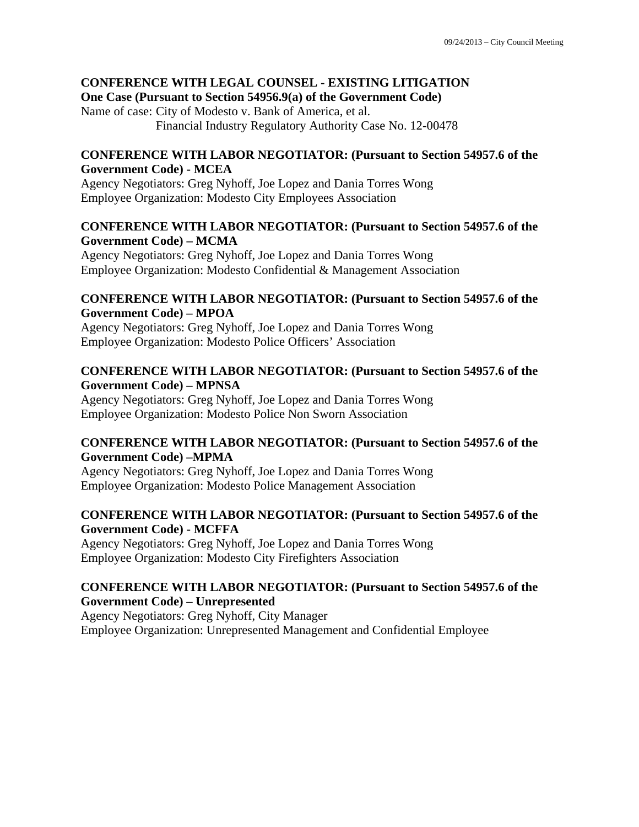#### **CONFERENCE WITH LEGAL COUNSEL - EXISTING LITIGATION One Case (Pursuant to Section 54956.9(a) of the Government Code)**

Name of case: City of Modesto v. Bank of America, et al. Financial Industry Regulatory Authority Case No. 12-00478

### **CONFERENCE WITH LABOR NEGOTIATOR: (Pursuant to Section 54957.6 of the Government Code) - MCEA**

Agency Negotiators: Greg Nyhoff, Joe Lopez and Dania Torres Wong Employee Organization: Modesto City Employees Association

### **CONFERENCE WITH LABOR NEGOTIATOR: (Pursuant to Section 54957.6 of the Government Code) – MCMA**

Agency Negotiators: Greg Nyhoff, Joe Lopez and Dania Torres Wong Employee Organization: Modesto Confidential & Management Association

## **CONFERENCE WITH LABOR NEGOTIATOR: (Pursuant to Section 54957.6 of the Government Code) – MPOA**

Agency Negotiators: Greg Nyhoff, Joe Lopez and Dania Torres Wong Employee Organization: Modesto Police Officers' Association

## **CONFERENCE WITH LABOR NEGOTIATOR: (Pursuant to Section 54957.6 of the Government Code) – MPNSA**

Agency Negotiators: Greg Nyhoff, Joe Lopez and Dania Torres Wong Employee Organization: Modesto Police Non Sworn Association

## **CONFERENCE WITH LABOR NEGOTIATOR: (Pursuant to Section 54957.6 of the Government Code) –MPMA**

Agency Negotiators: Greg Nyhoff, Joe Lopez and Dania Torres Wong Employee Organization: Modesto Police Management Association

## **CONFERENCE WITH LABOR NEGOTIATOR: (Pursuant to Section 54957.6 of the Government Code) - MCFFA**

Agency Negotiators: Greg Nyhoff, Joe Lopez and Dania Torres Wong Employee Organization: Modesto City Firefighters Association

### **CONFERENCE WITH LABOR NEGOTIATOR: (Pursuant to Section 54957.6 of the Government Code) – Unrepresented**

Agency Negotiators: Greg Nyhoff, City Manager Employee Organization: Unrepresented Management and Confidential Employee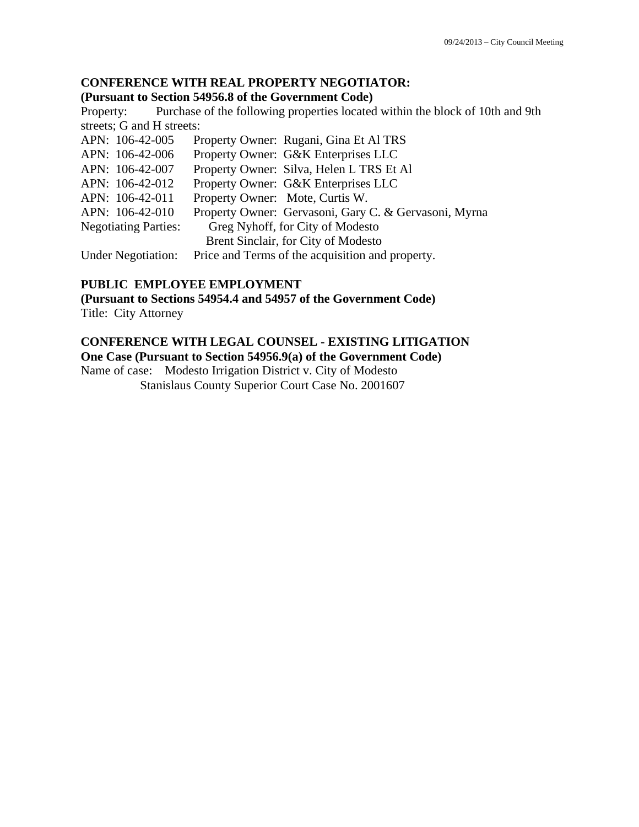## **CONFERENCE WITH REAL PROPERTY NEGOTIATOR:**

#### **(Pursuant to Section 54956.8 of the Government Code)**

Property: Purchase of the following properties located within the block of 10th and 9th streets; G and H streets:

| APN: 106-42-005             | Property Owner: Rugani, Gina Et Al TRS                |
|-----------------------------|-------------------------------------------------------|
| APN: 106-42-006             | Property Owner: G&K Enterprises LLC                   |
| APN: 106-42-007             | Property Owner: Silva, Helen L TRS Et Al              |
| APN: 106-42-012             | Property Owner: G&K Enterprises LLC                   |
| APN: 106-42-011             | Property Owner: Mote, Curtis W.                       |
| APN: 106-42-010             | Property Owner: Gervasoni, Gary C. & Gervasoni, Myrna |
| <b>Negotiating Parties:</b> | Greg Nyhoff, for City of Modesto                      |
|                             | Brent Sinclair, for City of Modesto                   |
| <b>Under Negotiation:</b>   | Price and Terms of the acquisition and property.      |

## **PUBLIC EMPLOYEE EMPLOYMENT**

**(Pursuant to Sections 54954.4 and 54957 of the Government Code)**  Title: City Attorney

### **CONFERENCE WITH LEGAL COUNSEL - EXISTING LITIGATION One Case (Pursuant to Section 54956.9(a) of the Government Code)**

Name of case: Modesto Irrigation District v. City of Modesto Stanislaus County Superior Court Case No. 2001607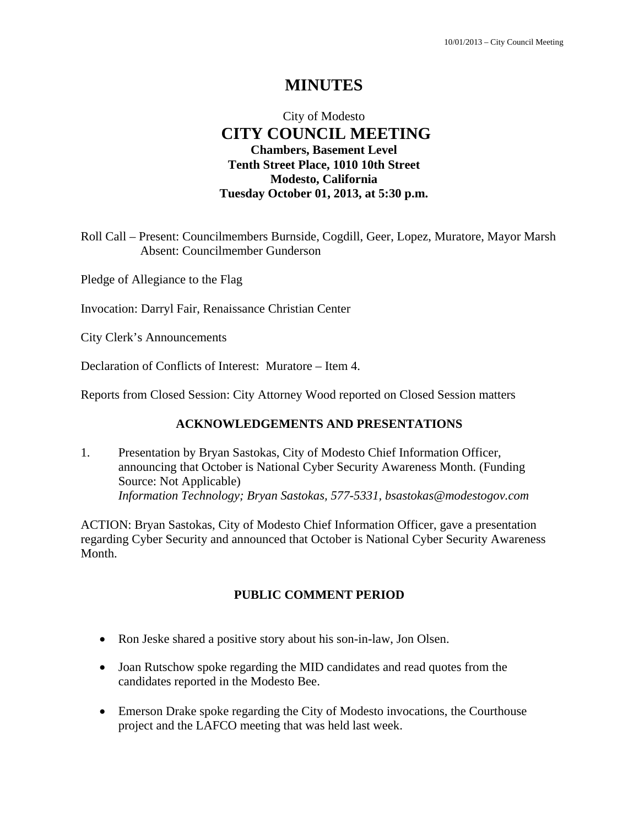# **MINUTES**

## City of Modesto  **CITY COUNCIL MEETING Chambers, Basement Level Tenth Street Place, 1010 10th Street Modesto, California Tuesday October 01, 2013, at 5:30 p.m.**

Roll Call – Present: Councilmembers Burnside, Cogdill, Geer, Lopez, Muratore, Mayor Marsh Absent: Councilmember Gunderson

Pledge of Allegiance to the Flag

Invocation: Darryl Fair, Renaissance Christian Center

City Clerk's Announcements

Declaration of Conflicts of Interest: Muratore – Item 4.

Reports from Closed Session: City Attorney Wood reported on Closed Session matters

## **ACKNOWLEDGEMENTS AND PRESENTATIONS**

1. Presentation by Bryan Sastokas, City of Modesto Chief Information Officer, announcing that October is National Cyber Security Awareness Month. (Funding Source: Not Applicable)  *Information Technology; Bryan Sastokas, 577-5331, bsastokas@modestogov.com* 

ACTION: Bryan Sastokas, City of Modesto Chief Information Officer, gave a presentation regarding Cyber Security and announced that October is National Cyber Security Awareness Month.

#### **PUBLIC COMMENT PERIOD**

- Ron Jeske shared a positive story about his son-in-law, Jon Olsen.
- Joan Rutschow spoke regarding the MID candidates and read quotes from the candidates reported in the Modesto Bee.
- Emerson Drake spoke regarding the City of Modesto invocations, the Courthouse project and the LAFCO meeting that was held last week.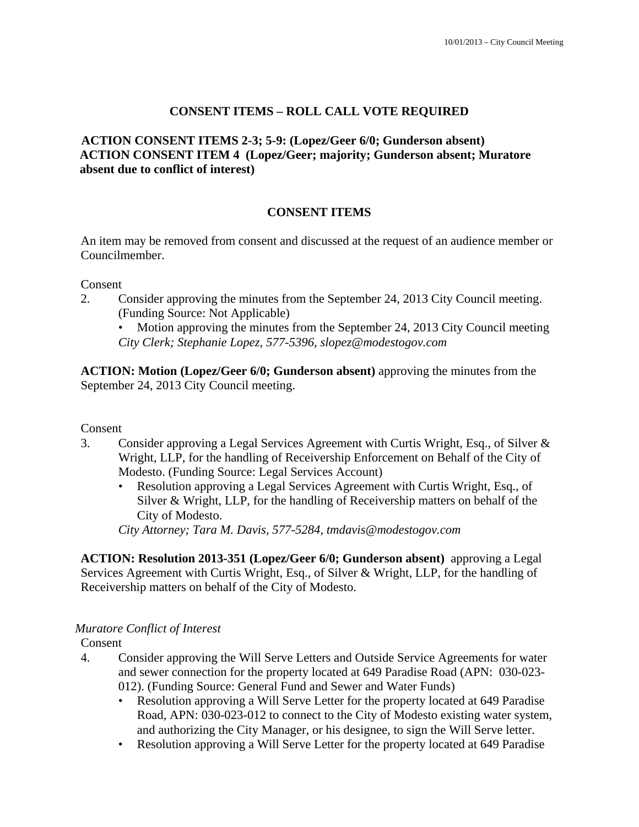## **CONSENT ITEMS – ROLL CALL VOTE REQUIRED**

## **ACTION CONSENT ITEMS 2-3; 5-9: (Lopez/Geer 6/0; Gunderson absent) ACTION CONSENT ITEM 4 (Lopez/Geer; majority; Gunderson absent; Muratore absent due to conflict of interest)**

## **CONSENT ITEMS**

An item may be removed from consent and discussed at the request of an audience member or Councilmember.

Consent

2. Consider approving the minutes from the September 24, 2013 City Council meeting. (Funding Source: Not Applicable)

• Motion approving the minutes from the September 24, 2013 City Council meeting *City Clerk; Stephanie Lopez, 577-5396, slopez@modestogov.com* 

**ACTION: Motion (Lopez/Geer 6/0; Gunderson absent)** approving the minutes from the September 24, 2013 City Council meeting.

#### Consent

- 3. Consider approving a Legal Services Agreement with Curtis Wright, Esq., of Silver & Wright, LLP, for the handling of Receivership Enforcement on Behalf of the City of Modesto. (Funding Source: Legal Services Account)
	- Resolution approving a Legal Services Agreement with Curtis Wright, Esq., of Silver & Wright, LLP, for the handling of Receivership matters on behalf of the City of Modesto.

*City Attorney; Tara M. Davis, 577-5284, tmdavis@modestogov.com* 

**ACTION: Resolution 2013-351 (Lopez/Geer 6/0; Gunderson absent)** approving a Legal Services Agreement with Curtis Wright, Esq., of Silver & Wright, LLP, for the handling of Receivership matters on behalf of the City of Modesto.

#### *Muratore Conflict of Interest*

Consent

- 4. Consider approving the Will Serve Letters and Outside Service Agreements for water and sewer connection for the property located at 649 Paradise Road (APN: 030-023- 012). (Funding Source: General Fund and Sewer and Water Funds)
	- Resolution approving a Will Serve Letter for the property located at 649 Paradise Road, APN: 030-023-012 to connect to the City of Modesto existing water system, and authorizing the City Manager, or his designee, to sign the Will Serve letter.
	- Resolution approving a Will Serve Letter for the property located at 649 Paradise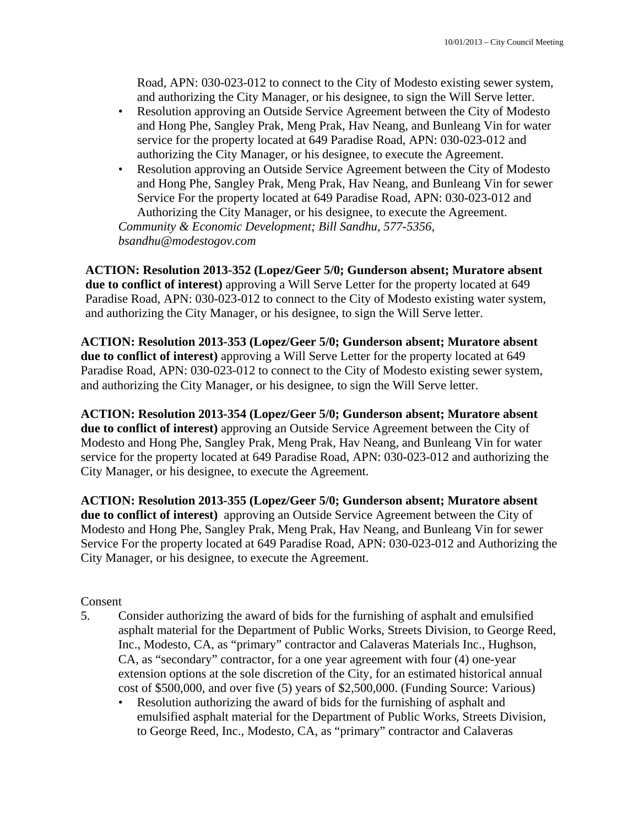Road, APN: 030-023-012 to connect to the City of Modesto existing sewer system, and authorizing the City Manager, or his designee, to sign the Will Serve letter.

- Resolution approving an Outside Service Agreement between the City of Modesto and Hong Phe, Sangley Prak, Meng Prak, Hav Neang, and Bunleang Vin for water service for the property located at 649 Paradise Road, APN: 030-023-012 and authorizing the City Manager, or his designee, to execute the Agreement.
- Resolution approving an Outside Service Agreement between the City of Modesto and Hong Phe, Sangley Prak, Meng Prak, Hav Neang, and Bunleang Vin for sewer Service For the property located at 649 Paradise Road, APN: 030-023-012 and Authorizing the City Manager, or his designee, to execute the Agreement.

*Community & Economic Development; Bill Sandhu, 577-5356, bsandhu@modestogov.com* 

**ACTION: Resolution 2013-352 (Lopez/Geer 5/0; Gunderson absent; Muratore absent due to conflict of interest)** approving a Will Serve Letter for the property located at 649 Paradise Road, APN: 030-023-012 to connect to the City of Modesto existing water system, and authorizing the City Manager, or his designee, to sign the Will Serve letter.

**ACTION: Resolution 2013-353 (Lopez/Geer 5/0; Gunderson absent; Muratore absent due to conflict of interest)** approving a Will Serve Letter for the property located at 649 Paradise Road, APN: 030-023-012 to connect to the City of Modesto existing sewer system, and authorizing the City Manager, or his designee, to sign the Will Serve letter.

**ACTION: Resolution 2013-354 (Lopez/Geer 5/0; Gunderson absent; Muratore absent due to conflict of interest)** approving an Outside Service Agreement between the City of Modesto and Hong Phe, Sangley Prak, Meng Prak, Hav Neang, and Bunleang Vin for water service for the property located at 649 Paradise Road, APN: 030-023-012 and authorizing the City Manager, or his designee, to execute the Agreement.

**ACTION: Resolution 2013-355 (Lopez/Geer 5/0; Gunderson absent; Muratore absent due to conflict of interest)** approving an Outside Service Agreement between the City of Modesto and Hong Phe, Sangley Prak, Meng Prak, Hav Neang, and Bunleang Vin for sewer Service For the property located at 649 Paradise Road, APN: 030-023-012 and Authorizing the City Manager, or his designee, to execute the Agreement.

#### Consent

- 5. Consider authorizing the award of bids for the furnishing of asphalt and emulsified asphalt material for the Department of Public Works, Streets Division, to George Reed, Inc., Modesto, CA, as "primary" contractor and Calaveras Materials Inc., Hughson, CA, as "secondary" contractor, for a one year agreement with four (4) one-year extension options at the sole discretion of the City, for an estimated historical annual cost of \$500,000, and over five (5) years of \$2,500,000. (Funding Source: Various)
	- Resolution authorizing the award of bids for the furnishing of asphalt and emulsified asphalt material for the Department of Public Works, Streets Division, to George Reed, Inc., Modesto, CA, as "primary" contractor and Calaveras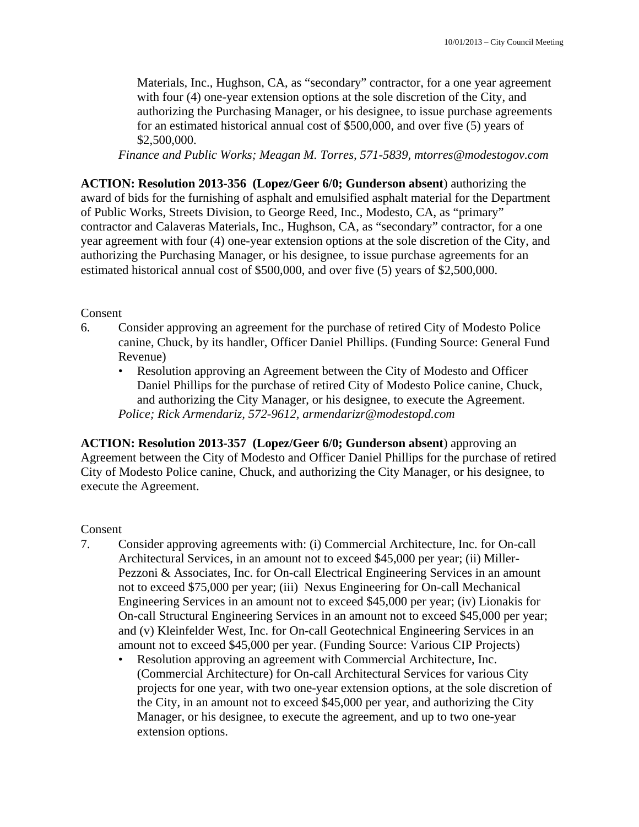Materials, Inc., Hughson, CA, as "secondary" contractor, for a one year agreement with four (4) one-year extension options at the sole discretion of the City, and authorizing the Purchasing Manager, or his designee, to issue purchase agreements for an estimated historical annual cost of \$500,000, and over five (5) years of \$2,500,000.

*Finance and Public Works; Meagan M. Torres, 571-5839, mtorres@modestogov.com* 

**ACTION: Resolution 2013-356 (Lopez/Geer 6/0; Gunderson absent**) authorizing the award of bids for the furnishing of asphalt and emulsified asphalt material for the Department of Public Works, Streets Division, to George Reed, Inc., Modesto, CA, as "primary" contractor and Calaveras Materials, Inc., Hughson, CA, as "secondary" contractor, for a one year agreement with four (4) one-year extension options at the sole discretion of the City, and authorizing the Purchasing Manager, or his designee, to issue purchase agreements for an estimated historical annual cost of \$500,000, and over five (5) years of \$2,500,000.

#### Consent

- 6. Consider approving an agreement for the purchase of retired City of Modesto Police canine, Chuck, by its handler, Officer Daniel Phillips. (Funding Source: General Fund Revenue)
	- Resolution approving an Agreement between the City of Modesto and Officer Daniel Phillips for the purchase of retired City of Modesto Police canine, Chuck, and authorizing the City Manager, or his designee, to execute the Agreement. *Police; Rick Armendariz, 572-9612, armendarizr@modestopd.com*

**ACTION: Resolution 2013-357 (Lopez/Geer 6/0; Gunderson absent**) approving an Agreement between the City of Modesto and Officer Daniel Phillips for the purchase of retired City of Modesto Police canine, Chuck, and authorizing the City Manager, or his designee, to execute the Agreement.

#### Consent

- 7. Consider approving agreements with: (i) Commercial Architecture, Inc. for On-call Architectural Services, in an amount not to exceed \$45,000 per year; (ii) Miller-Pezzoni & Associates, Inc. for On-call Electrical Engineering Services in an amount not to exceed \$75,000 per year; (iii) Nexus Engineering for On-call Mechanical Engineering Services in an amount not to exceed \$45,000 per year; (iv) Lionakis for On-call Structural Engineering Services in an amount not to exceed \$45,000 per year; and (v) Kleinfelder West, Inc. for On-call Geotechnical Engineering Services in an amount not to exceed \$45,000 per year. (Funding Source: Various CIP Projects)
	- Resolution approving an agreement with Commercial Architecture, Inc. (Commercial Architecture) for On-call Architectural Services for various City projects for one year, with two one-year extension options, at the sole discretion of the City, in an amount not to exceed \$45,000 per year, and authorizing the City Manager, or his designee, to execute the agreement, and up to two one-year extension options.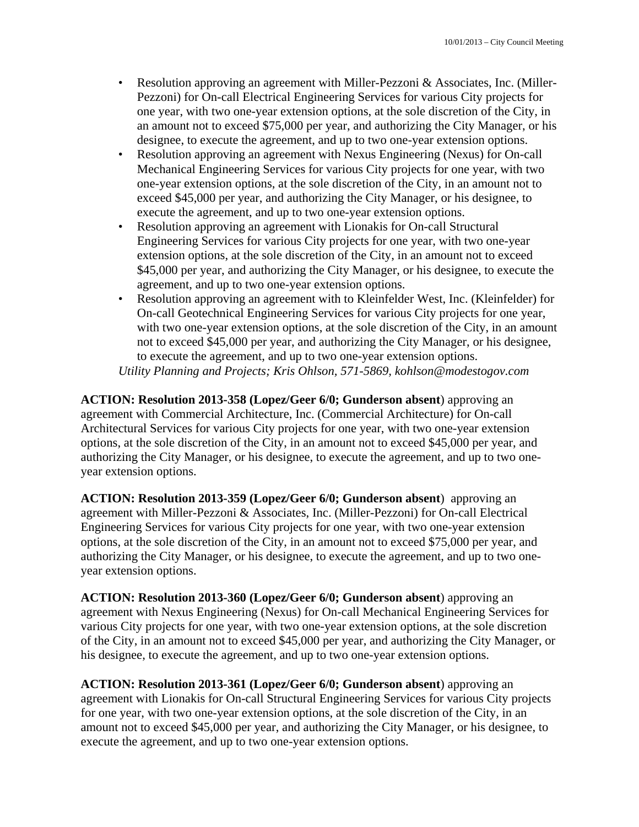- Resolution approving an agreement with Miller-Pezzoni & Associates, Inc. (Miller-Pezzoni) for On-call Electrical Engineering Services for various City projects for one year, with two one-year extension options, at the sole discretion of the City, in an amount not to exceed \$75,000 per year, and authorizing the City Manager, or his designee, to execute the agreement, and up to two one-year extension options.
- Resolution approving an agreement with Nexus Engineering (Nexus) for On-call Mechanical Engineering Services for various City projects for one year, with two one-year extension options, at the sole discretion of the City, in an amount not to exceed \$45,000 per year, and authorizing the City Manager, or his designee, to execute the agreement, and up to two one-year extension options.
- Resolution approving an agreement with Lionakis for On-call Structural Engineering Services for various City projects for one year, with two one-year extension options, at the sole discretion of the City, in an amount not to exceed \$45,000 per year, and authorizing the City Manager, or his designee, to execute the agreement, and up to two one-year extension options.
- Resolution approving an agreement with to Kleinfelder West, Inc. (Kleinfelder) for On-call Geotechnical Engineering Services for various City projects for one year, with two one-year extension options, at the sole discretion of the City, in an amount not to exceed \$45,000 per year, and authorizing the City Manager, or his designee, to execute the agreement, and up to two one-year extension options.

*Utility Planning and Projects; Kris Ohlson, 571-5869, kohlson@modestogov.com* 

**ACTION: Resolution 2013-358 (Lopez/Geer 6/0; Gunderson absent**) approving an agreement with Commercial Architecture, Inc. (Commercial Architecture) for On-call Architectural Services for various City projects for one year, with two one-year extension options, at the sole discretion of the City, in an amount not to exceed \$45,000 per year, and authorizing the City Manager, or his designee, to execute the agreement, and up to two oneyear extension options.

**ACTION: Resolution 2013-359 (Lopez/Geer 6/0; Gunderson absent**) approving an agreement with Miller-Pezzoni & Associates, Inc. (Miller-Pezzoni) for On-call Electrical Engineering Services for various City projects for one year, with two one-year extension options, at the sole discretion of the City, in an amount not to exceed \$75,000 per year, and authorizing the City Manager, or his designee, to execute the agreement, and up to two oneyear extension options.

**ACTION: Resolution 2013-360 (Lopez/Geer 6/0; Gunderson absent**) approving an agreement with Nexus Engineering (Nexus) for On-call Mechanical Engineering Services for various City projects for one year, with two one-year extension options, at the sole discretion of the City, in an amount not to exceed \$45,000 per year, and authorizing the City Manager, or his designee, to execute the agreement, and up to two one-year extension options.

**ACTION: Resolution 2013-361 (Lopez/Geer 6/0; Gunderson absent**) approving an agreement with Lionakis for On-call Structural Engineering Services for various City projects for one year, with two one-year extension options, at the sole discretion of the City, in an amount not to exceed \$45,000 per year, and authorizing the City Manager, or his designee, to execute the agreement, and up to two one-year extension options.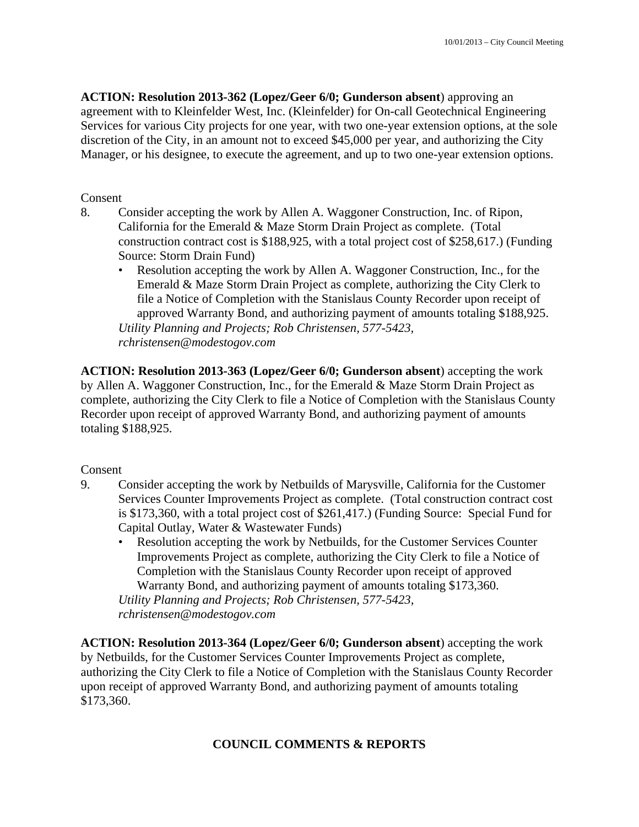**ACTION: Resolution 2013-362 (Lopez/Geer 6/0; Gunderson absent**) approving an agreement with to Kleinfelder West, Inc. (Kleinfelder) for On-call Geotechnical Engineering Services for various City projects for one year, with two one-year extension options, at the sole discretion of the City, in an amount not to exceed \$45,000 per year, and authorizing the City Manager, or his designee, to execute the agreement, and up to two one-year extension options.

#### Consent

- 8. Consider accepting the work by Allen A. Waggoner Construction, Inc. of Ripon, California for the Emerald & Maze Storm Drain Project as complete. (Total construction contract cost is \$188,925, with a total project cost of \$258,617.) (Funding Source: Storm Drain Fund)
	- Resolution accepting the work by Allen A. Waggoner Construction, Inc., for the Emerald & Maze Storm Drain Project as complete, authorizing the City Clerk to file a Notice of Completion with the Stanislaus County Recorder upon receipt of approved Warranty Bond, and authorizing payment of amounts totaling \$188,925. *Utility Planning and Projects; Rob Christensen, 577-5423, rchristensen@modestogov.com*

**ACTION: Resolution 2013-363 (Lopez/Geer 6/0; Gunderson absent**) accepting the work by Allen A. Waggoner Construction, Inc., for the Emerald & Maze Storm Drain Project as complete, authorizing the City Clerk to file a Notice of Completion with the Stanislaus County Recorder upon receipt of approved Warranty Bond, and authorizing payment of amounts totaling \$188,925.

#### Consent

- 9. Consider accepting the work by Netbuilds of Marysville, California for the Customer Services Counter Improvements Project as complete. (Total construction contract cost is \$173,360, with a total project cost of \$261,417.) (Funding Source: Special Fund for Capital Outlay, Water & Wastewater Funds)
	- Resolution accepting the work by Netbuilds, for the Customer Services Counter Improvements Project as complete, authorizing the City Clerk to file a Notice of Completion with the Stanislaus County Recorder upon receipt of approved Warranty Bond, and authorizing payment of amounts totaling \$173,360. *Utility Planning and Projects; Rob Christensen, 577-5423,*

*rchristensen@modestogov.com* 

**ACTION: Resolution 2013-364 (Lopez/Geer 6/0; Gunderson absent**) accepting the work by Netbuilds, for the Customer Services Counter Improvements Project as complete, authorizing the City Clerk to file a Notice of Completion with the Stanislaus County Recorder upon receipt of approved Warranty Bond, and authorizing payment of amounts totaling \$173,360.

## **COUNCIL COMMENTS & REPORTS**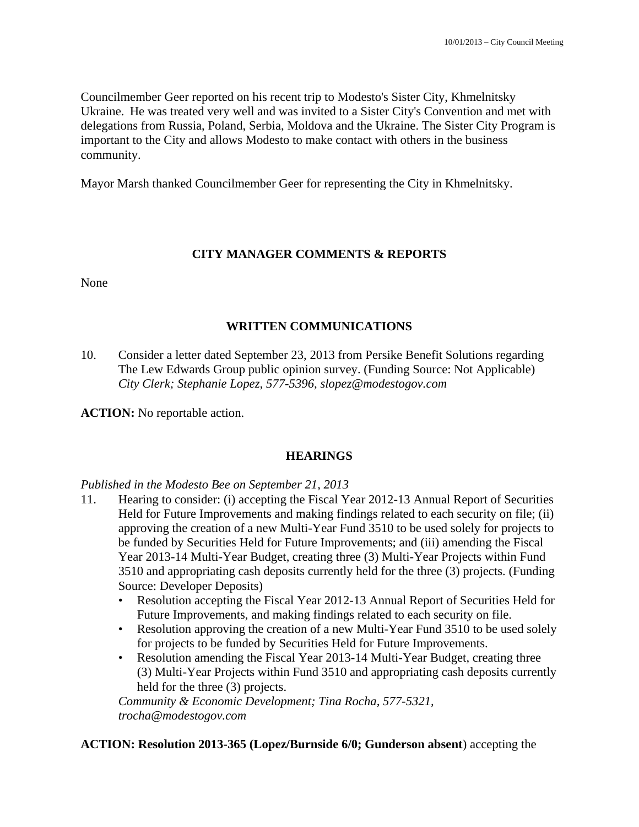Councilmember Geer reported on his recent trip to Modesto's Sister City, Khmelnitsky Ukraine. He was treated very well and was invited to a Sister City's Convention and met with delegations from Russia, Poland, Serbia, Moldova and the Ukraine. The Sister City Program is important to the City and allows Modesto to make contact with others in the business community.

Mayor Marsh thanked Councilmember Geer for representing the City in Khmelnitsky.

### **CITY MANAGER COMMENTS & REPORTS**

None

### **WRITTEN COMMUNICATIONS**

10. Consider a letter dated September 23, 2013 from Persike Benefit Solutions regarding The Lew Edwards Group public opinion survey. (Funding Source: Not Applicable)  *City Clerk; Stephanie Lopez, 577-5396, slopez@modestogov.com* 

**ACTION:** No reportable action.

## **HEARINGS**

#### *Published in the Modesto Bee on September 21, 2013*

- 11. Hearing to consider: (i) accepting the Fiscal Year 2012-13 Annual Report of Securities Held for Future Improvements and making findings related to each security on file; (ii) approving the creation of a new Multi-Year Fund 3510 to be used solely for projects to be funded by Securities Held for Future Improvements; and (iii) amending the Fiscal Year 2013-14 Multi-Year Budget, creating three (3) Multi-Year Projects within Fund 3510 and appropriating cash deposits currently held for the three (3) projects. (Funding Source: Developer Deposits)
	- Resolution accepting the Fiscal Year 2012-13 Annual Report of Securities Held for Future Improvements, and making findings related to each security on file.
	- Resolution approving the creation of a new Multi-Year Fund 3510 to be used solely for projects to be funded by Securities Held for Future Improvements.
	- Resolution amending the Fiscal Year 2013-14 Multi-Year Budget, creating three (3) Multi-Year Projects within Fund 3510 and appropriating cash deposits currently held for the three (3) projects.

*Community & Economic Development; Tina Rocha, 577-5321, trocha@modestogov.com* 

**ACTION: Resolution 2013-365 (Lopez/Burnside 6/0; Gunderson absent**) accepting the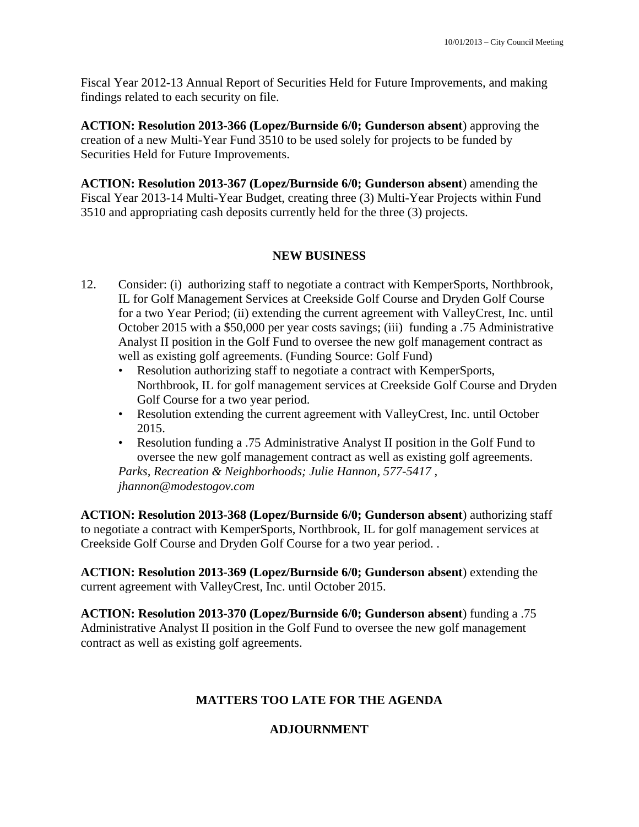Fiscal Year 2012-13 Annual Report of Securities Held for Future Improvements, and making findings related to each security on file.

**ACTION: Resolution 2013-366 (Lopez/Burnside 6/0; Gunderson absent**) approving the creation of a new Multi-Year Fund 3510 to be used solely for projects to be funded by Securities Held for Future Improvements.

**ACTION: Resolution 2013-367 (Lopez/Burnside 6/0; Gunderson absent**) amending the Fiscal Year 2013-14 Multi-Year Budget, creating three (3) Multi-Year Projects within Fund 3510 and appropriating cash deposits currently held for the three (3) projects.

## **NEW BUSINESS**

- 12. Consider: (i) authorizing staff to negotiate a contract with KemperSports, Northbrook, IL for Golf Management Services at Creekside Golf Course and Dryden Golf Course for a two Year Period; (ii) extending the current agreement with ValleyCrest, Inc. until October 2015 with a \$50,000 per year costs savings; (iii) funding a .75 Administrative Analyst II position in the Golf Fund to oversee the new golf management contract as well as existing golf agreements. (Funding Source: Golf Fund)
	- Resolution authorizing staff to negotiate a contract with KemperSports, Northbrook, IL for golf management services at Creekside Golf Course and Dryden Golf Course for a two year period.
	- Resolution extending the current agreement with ValleyCrest, Inc. until October 2015.
	- Resolution funding a .75 Administrative Analyst II position in the Golf Fund to oversee the new golf management contract as well as existing golf agreements. *Parks, Recreation & Neighborhoods; Julie Hannon, 577-5417 , jhannon@modestogov.com*

**ACTION: Resolution 2013-368 (Lopez/Burnside 6/0; Gunderson absent**) authorizing staff to negotiate a contract with KemperSports, Northbrook, IL for golf management services at Creekside Golf Course and Dryden Golf Course for a two year period. .

**ACTION: Resolution 2013-369 (Lopez/Burnside 6/0; Gunderson absent**) extending the current agreement with ValleyCrest, Inc. until October 2015.

**ACTION: Resolution 2013-370 (Lopez/Burnside 6/0; Gunderson absent**) funding a .75 Administrative Analyst II position in the Golf Fund to oversee the new golf management contract as well as existing golf agreements.

## **MATTERS TOO LATE FOR THE AGENDA**

## **ADJOURNMENT**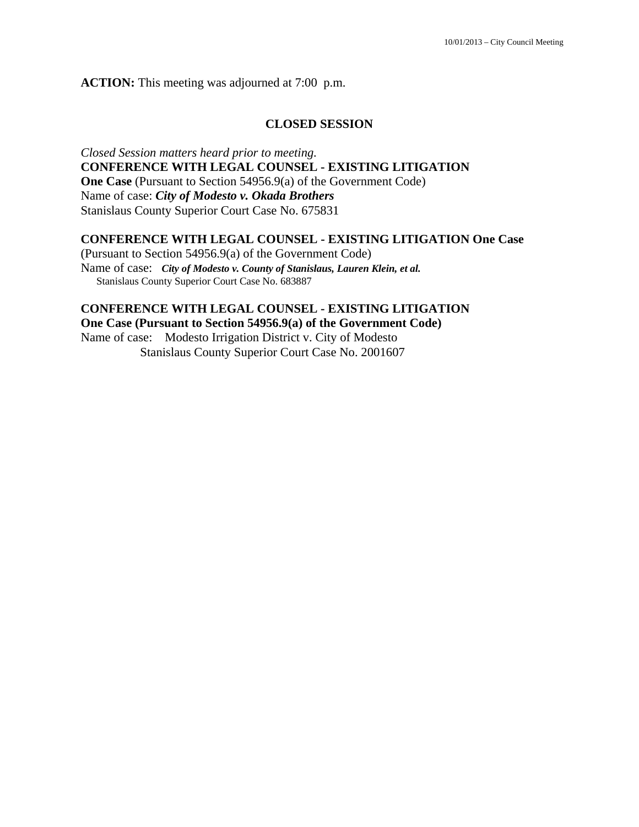**ACTION:** This meeting was adjourned at 7:00 p.m.

#### **CLOSED SESSION**

*Closed Session matters heard prior to meeting.*  **CONFERENCE WITH LEGAL COUNSEL - EXISTING LITIGATION One Case** (Pursuant to Section 54956.9(a) of the Government Code) Name of case: *City of Modesto v. Okada Brothers* Stanislaus County Superior Court Case No. 675831

#### **CONFERENCE WITH LEGAL COUNSEL - EXISTING LITIGATION One Case**

(Pursuant to Section 54956.9(a) of the Government Code) Name of case: *City of Modesto v. County of Stanislaus, Lauren Klein, et al.*  Stanislaus County Superior Court Case No. 683887

#### **CONFERENCE WITH LEGAL COUNSEL - EXISTING LITIGATION**

**One Case (Pursuant to Section 54956.9(a) of the Government Code)**  Name of case: Modesto Irrigation District v. City of Modesto Stanislaus County Superior Court Case No. 2001607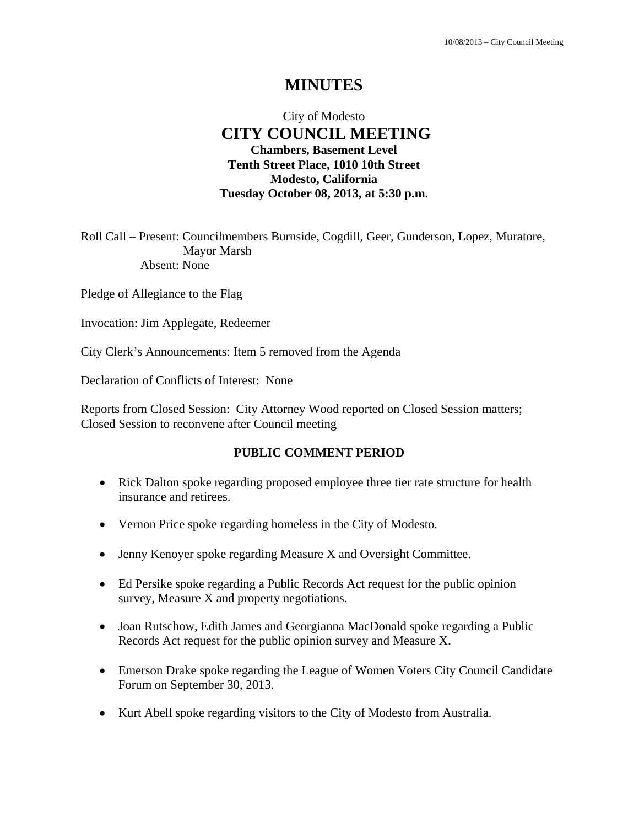## **MINUTES**

## City of Modesto  **CITY COUNCIL MEETING Chambers, Basement Level Tenth Street Place, 1010 10th Street Modesto, California Tuesday October 08, 2013, at 5:30 p.m.**

Roll Call – Present: Councilmembers Burnside, Cogdill, Geer, Gunderson, Lopez, Muratore, Mayor Marsh Absent: None

Pledge of Allegiance to the Flag

Invocation: Jim Applegate, Redeemer

City Clerk's Announcements: Item 5 removed from the Agenda

Declaration of Conflicts of Interest: None

Reports from Closed Session: City Attorney Wood reported on Closed Session matters; Closed Session to reconvene after Council meeting

#### **PUBLIC COMMENT PERIOD**

- Rick Dalton spoke regarding proposed employee three tier rate structure for health insurance and retirees.
- Vernon Price spoke regarding homeless in the City of Modesto.
- Jenny Kenoyer spoke regarding Measure X and Oversight Committee.
- Ed Persike spoke regarding a Public Records Act request for the public opinion survey, Measure X and property negotiations.
- Joan Rutschow, Edith James and Georgianna MacDonald spoke regarding a Public Records Act request for the public opinion survey and Measure X.
- Emerson Drake spoke regarding the League of Women Voters City Council Candidate Forum on September 30, 2013.
- Kurt Abell spoke regarding visitors to the City of Modesto from Australia.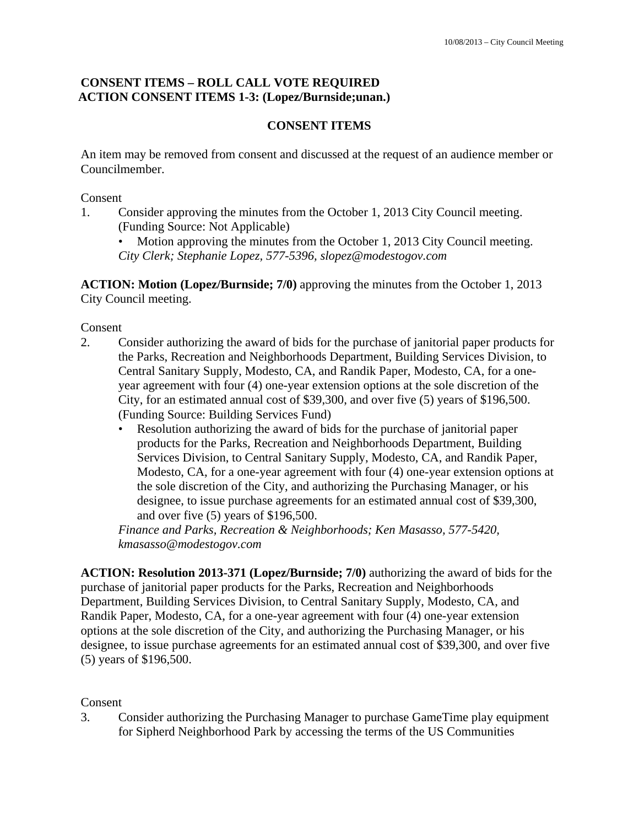## **CONSENT ITEMS – ROLL CALL VOTE REQUIRED ACTION CONSENT ITEMS 1-3: (Lopez/Burnside;unan.)**

### **CONSENT ITEMS**

An item may be removed from consent and discussed at the request of an audience member or Councilmember.

Consent

1. Consider approving the minutes from the October 1, 2013 City Council meeting. (Funding Source: Not Applicable)

Motion approving the minutes from the October 1, 2013 City Council meeting. *City Clerk; Stephanie Lopez, 577-5396, slopez@modestogov.com* 

**ACTION: Motion (Lopez/Burnside; 7/0)** approving the minutes from the October 1, 2013 City Council meeting.

Consent

- 2. Consider authorizing the award of bids for the purchase of janitorial paper products for the Parks, Recreation and Neighborhoods Department, Building Services Division, to Central Sanitary Supply, Modesto, CA, and Randik Paper, Modesto, CA, for a oneyear agreement with four (4) one-year extension options at the sole discretion of the City, for an estimated annual cost of \$39,300, and over five (5) years of \$196,500. (Funding Source: Building Services Fund)
	- Resolution authorizing the award of bids for the purchase of janitorial paper products for the Parks, Recreation and Neighborhoods Department, Building Services Division, to Central Sanitary Supply, Modesto, CA, and Randik Paper, Modesto, CA, for a one-year agreement with four (4) one-year extension options at the sole discretion of the City, and authorizing the Purchasing Manager, or his designee, to issue purchase agreements for an estimated annual cost of \$39,300, and over five (5) years of \$196,500.

*Finance and Parks, Recreation & Neighborhoods; Ken Masasso, 577-5420, kmasasso@modestogov.com* 

**ACTION: Resolution 2013-371 (Lopez/Burnside; 7/0)** authorizing the award of bids for the purchase of janitorial paper products for the Parks, Recreation and Neighborhoods Department, Building Services Division, to Central Sanitary Supply, Modesto, CA, and Randik Paper, Modesto, CA, for a one-year agreement with four (4) one-year extension options at the sole discretion of the City, and authorizing the Purchasing Manager, or his designee, to issue purchase agreements for an estimated annual cost of \$39,300, and over five (5) years of \$196,500.

#### Consent

3. Consider authorizing the Purchasing Manager to purchase GameTime play equipment for Sipherd Neighborhood Park by accessing the terms of the US Communities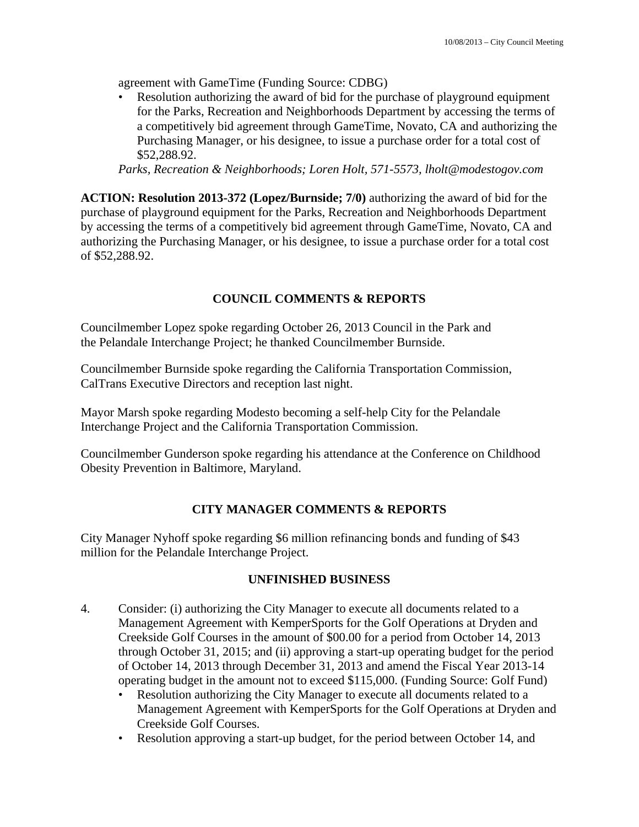agreement with GameTime (Funding Source: CDBG)

• Resolution authorizing the award of bid for the purchase of playground equipment for the Parks, Recreation and Neighborhoods Department by accessing the terms of a competitively bid agreement through GameTime, Novato, CA and authorizing the Purchasing Manager, or his designee, to issue a purchase order for a total cost of \$52,288.92.

*Parks, Recreation & Neighborhoods; Loren Holt, 571-5573, lholt@modestogov.com* 

**ACTION: Resolution 2013-372 (Lopez/Burnside; 7/0)** authorizing the award of bid for the purchase of playground equipment for the Parks, Recreation and Neighborhoods Department by accessing the terms of a competitively bid agreement through GameTime, Novato, CA and authorizing the Purchasing Manager, or his designee, to issue a purchase order for a total cost of \$52,288.92.

## **COUNCIL COMMENTS & REPORTS**

Councilmember Lopez spoke regarding October 26, 2013 Council in the Park and the Pelandale Interchange Project; he thanked Councilmember Burnside.

Councilmember Burnside spoke regarding the California Transportation Commission, CalTrans Executive Directors and reception last night.

Mayor Marsh spoke regarding Modesto becoming a self-help City for the Pelandale Interchange Project and the California Transportation Commission.

Councilmember Gunderson spoke regarding his attendance at the Conference on Childhood Obesity Prevention in Baltimore, Maryland.

## **CITY MANAGER COMMENTS & REPORTS**

City Manager Nyhoff spoke regarding \$6 million refinancing bonds and funding of \$43 million for the Pelandale Interchange Project.

## **UNFINISHED BUSINESS**

- 4. Consider: (i) authorizing the City Manager to execute all documents related to a Management Agreement with KemperSports for the Golf Operations at Dryden and Creekside Golf Courses in the amount of \$00.00 for a period from October 14, 2013 through October 31, 2015; and (ii) approving a start-up operating budget for the period of October 14, 2013 through December 31, 2013 and amend the Fiscal Year 2013-14 operating budget in the amount not to exceed \$115,000. (Funding Source: Golf Fund)
	- Resolution authorizing the City Manager to execute all documents related to a Management Agreement with KemperSports for the Golf Operations at Dryden and Creekside Golf Courses.
	- Resolution approving a start-up budget, for the period between October 14, and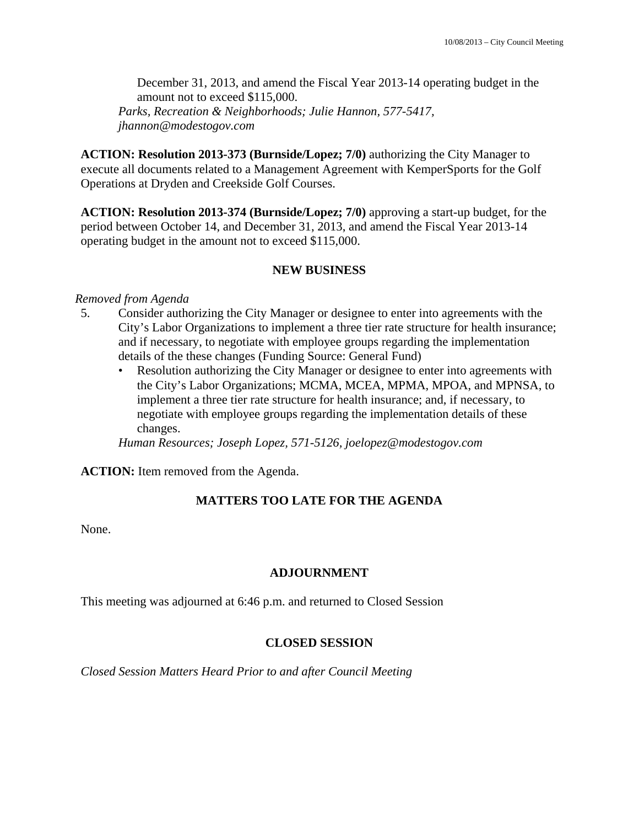December 31, 2013, and amend the Fiscal Year 2013-14 operating budget in the amount not to exceed \$115,000. *Parks, Recreation & Neighborhoods; Julie Hannon, 577-5417, jhannon@modestogov.com* 

**ACTION: Resolution 2013-373 (Burnside/Lopez; 7/0)** authorizing the City Manager to execute all documents related to a Management Agreement with KemperSports for the Golf Operations at Dryden and Creekside Golf Courses.

**ACTION: Resolution 2013-374 (Burnside/Lopez; 7/0)** approving a start-up budget, for the period between October 14, and December 31, 2013, and amend the Fiscal Year 2013-14 operating budget in the amount not to exceed \$115,000.

## **NEW BUSINESS**

*Removed from Agenda* 

- 5. Consider authorizing the City Manager or designee to enter into agreements with the City's Labor Organizations to implement a three tier rate structure for health insurance; and if necessary, to negotiate with employee groups regarding the implementation details of the these changes (Funding Source: General Fund)
	- Resolution authorizing the City Manager or designee to enter into agreements with the City's Labor Organizations; MCMA, MCEA, MPMA, MPOA, and MPNSA, to implement a three tier rate structure for health insurance; and, if necessary, to negotiate with employee groups regarding the implementation details of these changes.

*Human Resources; Joseph Lopez, 571-5126, joelopez@modestogov.com* 

**ACTION:** Item removed from the Agenda.

## **MATTERS TOO LATE FOR THE AGENDA**

None.

## **ADJOURNMENT**

This meeting was adjourned at 6:46 p.m. and returned to Closed Session

## **CLOSED SESSION**

*Closed Session Matters Heard Prior to and after Council Meeting*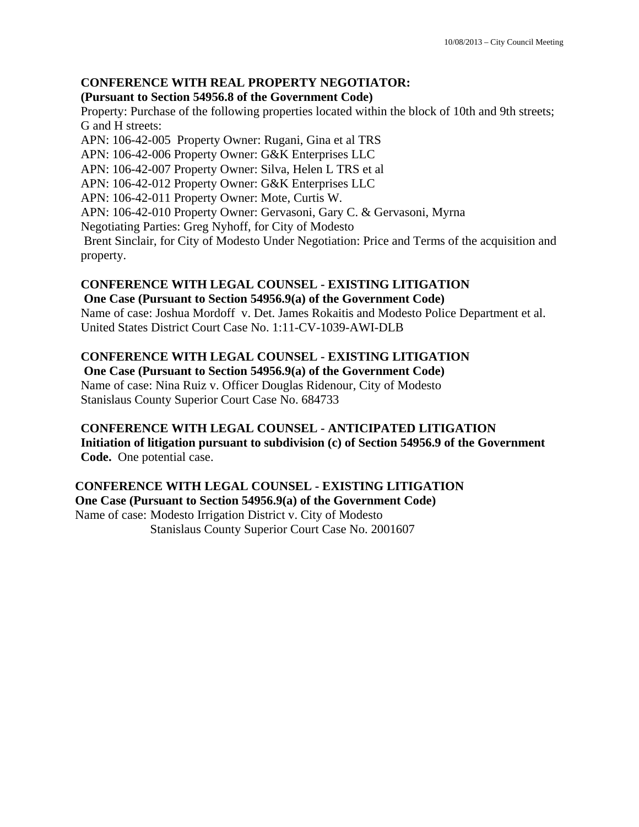# **CONFERENCE WITH REAL PROPERTY NEGOTIATOR:**

### **(Pursuant to Section 54956.8 of the Government Code)**

Property: Purchase of the following properties located within the block of 10th and 9th streets; G and H streets:

APN: 106-42-005 Property Owner: Rugani, Gina et al TRS APN: 106-42-006 Property Owner: G&K Enterprises LLC

APN: 106-42-007 Property Owner: Silva, Helen L TRS et al

APN: 106-42-012 Property Owner: G&K Enterprises LLC

APN: 106-42-011 Property Owner: Mote, Curtis W.

APN: 106-42-010 Property Owner: Gervasoni, Gary C. & Gervasoni, Myrna

Negotiating Parties: Greg Nyhoff, for City of Modesto

 Brent Sinclair, for City of Modesto Under Negotiation: Price and Terms of the acquisition and property.

## **CONFERENCE WITH LEGAL COUNSEL - EXISTING LITIGATION**

 **One Case (Pursuant to Section 54956.9(a) of the Government Code)** 

Name of case: Joshua Mordoff v. Det. James Rokaitis and Modesto Police Department et al. United States District Court Case No. 1:11-CV-1039-AWI-DLB

## **CONFERENCE WITH LEGAL COUNSEL - EXISTING LITIGATION**

 **One Case (Pursuant to Section 54956.9(a) of the Government Code)**  Name of case: Nina Ruiz v. Officer Douglas Ridenour, City of Modesto

Stanislaus County Superior Court Case No. 684733

## **CONFERENCE WITH LEGAL COUNSEL - ANTICIPATED LITIGATION**

**Initiation of litigation pursuant to subdivision (c) of Section 54956.9 of the Government Code.** One potential case.

#### **CONFERENCE WITH LEGAL COUNSEL - EXISTING LITIGATION One Case (Pursuant to Section 54956.9(a) of the Government Code)**

Name of case: Modesto Irrigation District v. City of Modesto Stanislaus County Superior Court Case No. 2001607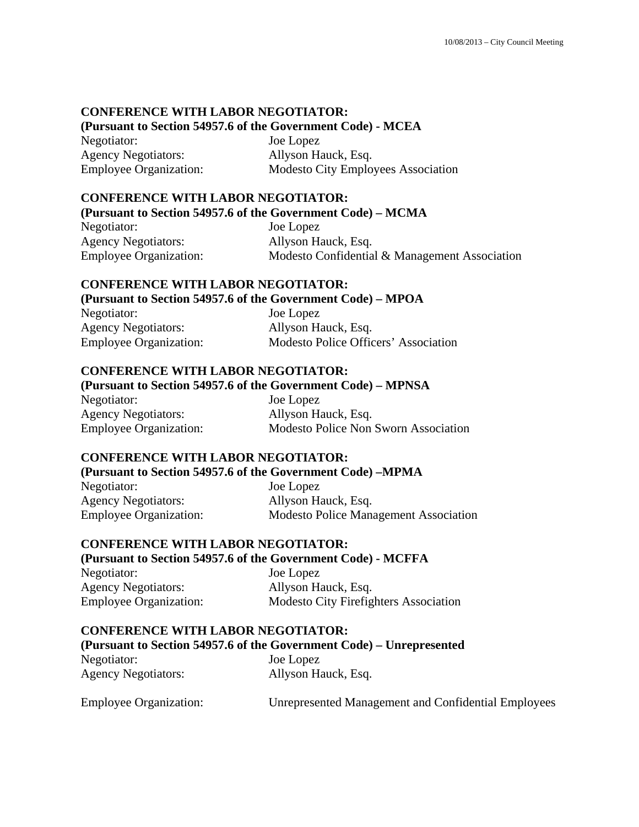#### **CONFERENCE WITH LABOR NEGOTIATOR: (Pursuant to Section 54957.6 of the Government Code) - MCEA**

Negotiator: Joe Lopez Agency Negotiators: Allyson Hauck, Esq.

Employee Organization: Modesto City Employees Association

## **CONFERENCE WITH LABOR NEGOTIATOR:**

**(Pursuant to Section 54957.6 of the Government Code) – MCMA**  Negotiator: Joe Lopez Agency Negotiators: Allyson Hauck, Esq. Employee Organization: Modesto Confidential & Management Association

## **CONFERENCE WITH LABOR NEGOTIATOR:**

#### **(Pursuant to Section 54957.6 of the Government Code) – MPOA**

Negotiator: Joe Lopez Agency Negotiators: Allyson Hauck, Esq. Employee Organization: Modesto Police Officers' Association

#### **CONFERENCE WITH LABOR NEGOTIATOR:**

#### **(Pursuant to Section 54957.6 of the Government Code) – MPNSA**

| Negotiator:                   | Joe Lopez                            |
|-------------------------------|--------------------------------------|
| <b>Agency Negotiators:</b>    | Allyson Hauck, Esq.                  |
| <b>Employee Organization:</b> | Modesto Police Non Sworn Association |

#### **CONFERENCE WITH LABOR NEGOTIATOR:**

#### **(Pursuant to Section 54957.6 of the Government Code) –MPMA**

Negotiator: Joe Lopez Agency Negotiators: Allyson Hauck, Esq. Employee Organization: Modesto Police Management Association

#### **CONFERENCE WITH LABOR NEGOTIATOR:**

#### **(Pursuant to Section 54957.6 of the Government Code) - MCFFA**

| Negotiator:                   | Joe Lopez                                    |
|-------------------------------|----------------------------------------------|
| <b>Agency Negotiators:</b>    | Allyson Hauck, Esq.                          |
| <b>Employee Organization:</b> | <b>Modesto City Firefighters Association</b> |

#### **CONFERENCE WITH LABOR NEGOTIATOR:**

#### **(Pursuant to Section 54957.6 of the Government Code) – Unrepresented**

| Negotiator:                | Joe Lopez           |
|----------------------------|---------------------|
| <b>Agency Negotiators:</b> | Allyson Hauck, Esq. |

| <b>Employee Organization:</b> | <b>Unrepresented Management and Confidential Employees</b> |
|-------------------------------|------------------------------------------------------------|
|                               |                                                            |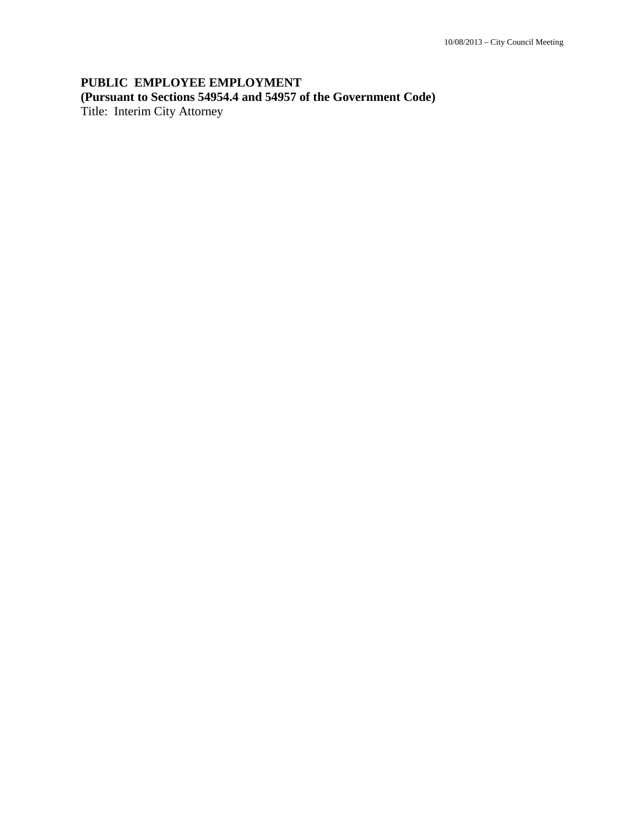**PUBLIC EMPLOYEE EMPLOYMENT (Pursuant to Sections 54954.4 and 54957 of the Government Code)**  Title: Interim City Attorney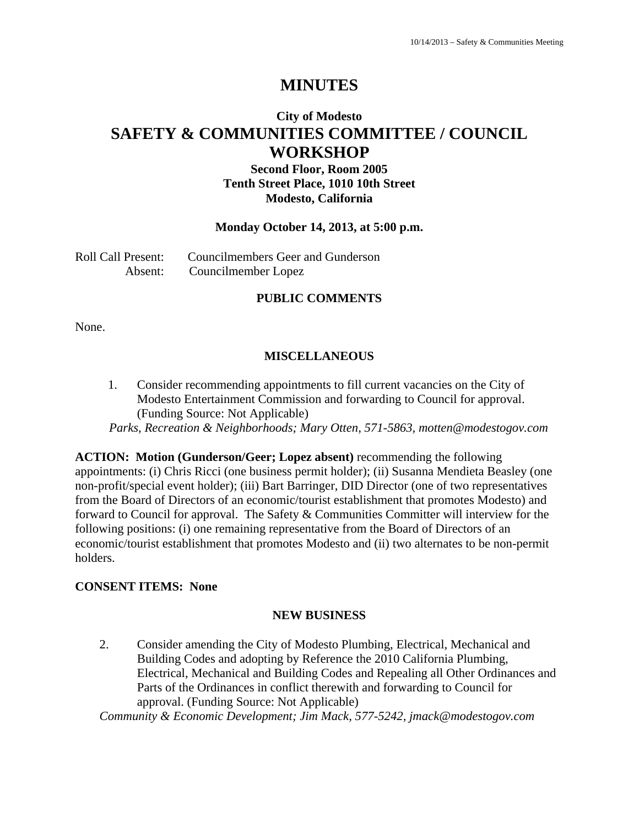# **MINUTES**

## **City of Modesto SAFETY & COMMUNITIES COMMITTEE / COUNCIL WORKSHOP**

## **Second Floor, Room 2005 Tenth Street Place, 1010 10th Street Modesto, California**

### **Monday October 14, 2013, at 5:00 p.m.**

Roll Call Present: Councilmembers Geer and Gunderson Absent: Councilmember Lopez

### **PUBLIC COMMENTS**

None.

## **MISCELLANEOUS**

1. Consider recommending appointments to fill current vacancies on the City of Modesto Entertainment Commission and forwarding to Council for approval. (Funding Source: Not Applicable) *Parks, Recreation & Neighborhoods; Mary Otten, 571-5863, motten@modestogov.com* 

**ACTION: Motion (Gunderson/Geer; Lopez absent)** recommending the following appointments: (i) Chris Ricci (one business permit holder); (ii) Susanna Mendieta Beasley (one non-profit/special event holder); (iii) Bart Barringer, DID Director (one of two representatives from the Board of Directors of an economic/tourist establishment that promotes Modesto) and forward to Council for approval. The Safety & Communities Committer will interview for the following positions: (i) one remaining representative from the Board of Directors of an economic/tourist establishment that promotes Modesto and (ii) two alternates to be non-permit holders.

#### **CONSENT ITEMS: None**

#### **NEW BUSINESS**

2. Consider amending the City of Modesto Plumbing, Electrical, Mechanical and Building Codes and adopting by Reference the 2010 California Plumbing, Electrical, Mechanical and Building Codes and Repealing all Other Ordinances and Parts of the Ordinances in conflict therewith and forwarding to Council for approval. (Funding Source: Not Applicable)

*Community & Economic Development; Jim Mack, 577-5242, jmack@modestogov.com*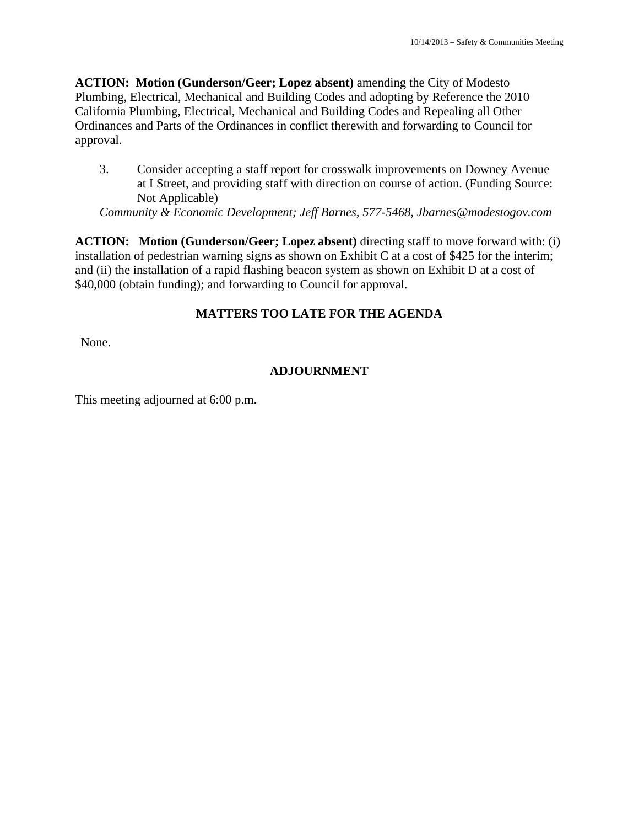**ACTION: Motion (Gunderson/Geer; Lopez absent)** amending the City of Modesto Plumbing, Electrical, Mechanical and Building Codes and adopting by Reference the 2010 California Plumbing, Electrical, Mechanical and Building Codes and Repealing all Other Ordinances and Parts of the Ordinances in conflict therewith and forwarding to Council for approval.

3. Consider accepting a staff report for crosswalk improvements on Downey Avenue at I Street, and providing staff with direction on course of action. (Funding Source: Not Applicable)

*Community & Economic Development; Jeff Barnes, 577-5468, Jbarnes@modestogov.com* 

**ACTION: Motion (Gunderson/Geer; Lopez absent)** directing staff to move forward with: (i) installation of pedestrian warning signs as shown on Exhibit C at a cost of \$425 for the interim; and (ii) the installation of a rapid flashing beacon system as shown on Exhibit D at a cost of \$40,000 (obtain funding); and forwarding to Council for approval.

## **MATTERS TOO LATE FOR THE AGENDA**

None.

## **ADJOURNMENT**

This meeting adjourned at 6:00 p.m.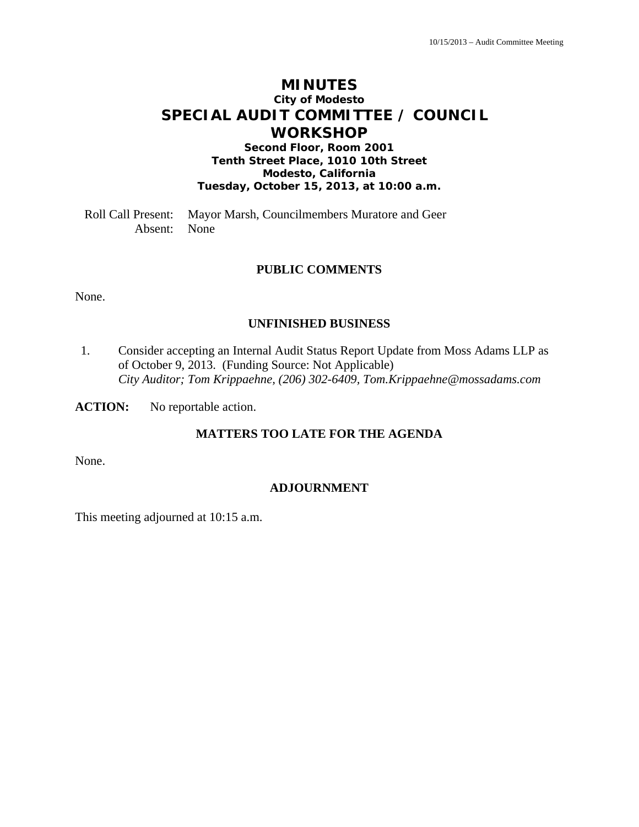## **MINUTES City of Modesto SPECIAL AUDIT COMMITTEE / COUNCIL WORKSHOP**

**Second Floor, Room 2001 Tenth Street Place, 1010 10th Street Modesto, California Tuesday, October 15, 2013, at 10:00 a.m.** 

Roll Call Present: Mayor Marsh, Councilmembers Muratore and Geer Absent: None

#### **PUBLIC COMMENTS**

None.

#### **UNFINISHED BUSINESS**

1. Consider accepting an Internal Audit Status Report Update from Moss Adams LLP as of October 9, 2013. (Funding Source: Not Applicable)  *City Auditor; Tom Krippaehne, (206) 302-6409, Tom.Krippaehne@mossadams.com* 

ACTION: No reportable action.

#### **MATTERS TOO LATE FOR THE AGENDA**

None.

#### **ADJOURNMENT**

This meeting adjourned at 10:15 a.m.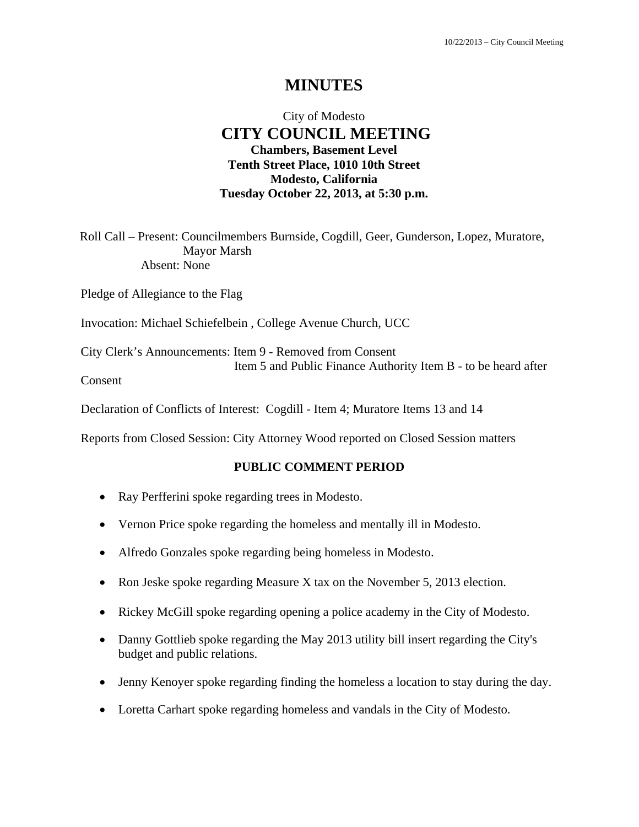## **MINUTES**

## City of Modesto  **CITY COUNCIL MEETING Chambers, Basement Level Tenth Street Place, 1010 10th Street Modesto, California Tuesday October 22, 2013, at 5:30 p.m.**

Roll Call – Present: Councilmembers Burnside, Cogdill, Geer, Gunderson, Lopez, Muratore, Mayor Marsh Absent: None

Pledge of Allegiance to the Flag

Invocation: Michael Schiefelbein , College Avenue Church, UCC

City Clerk's Announcements: Item 9 - Removed from Consent Item 5 and Public Finance Authority Item B - to be heard after Consent

Declaration of Conflicts of Interest: Cogdill - Item 4; Muratore Items 13 and 14

Reports from Closed Session: City Attorney Wood reported on Closed Session matters

#### **PUBLIC COMMENT PERIOD**

- Ray Perfferini spoke regarding trees in Modesto.
- Vernon Price spoke regarding the homeless and mentally ill in Modesto.
- Alfredo Gonzales spoke regarding being homeless in Modesto.
- Ron Jeske spoke regarding Measure X tax on the November 5, 2013 election.
- Rickey McGill spoke regarding opening a police academy in the City of Modesto.
- Danny Gottlieb spoke regarding the May 2013 utility bill insert regarding the City's budget and public relations.
- Jenny Kenoyer spoke regarding finding the homeless a location to stay during the day.
- Loretta Carhart spoke regarding homeless and vandals in the City of Modesto.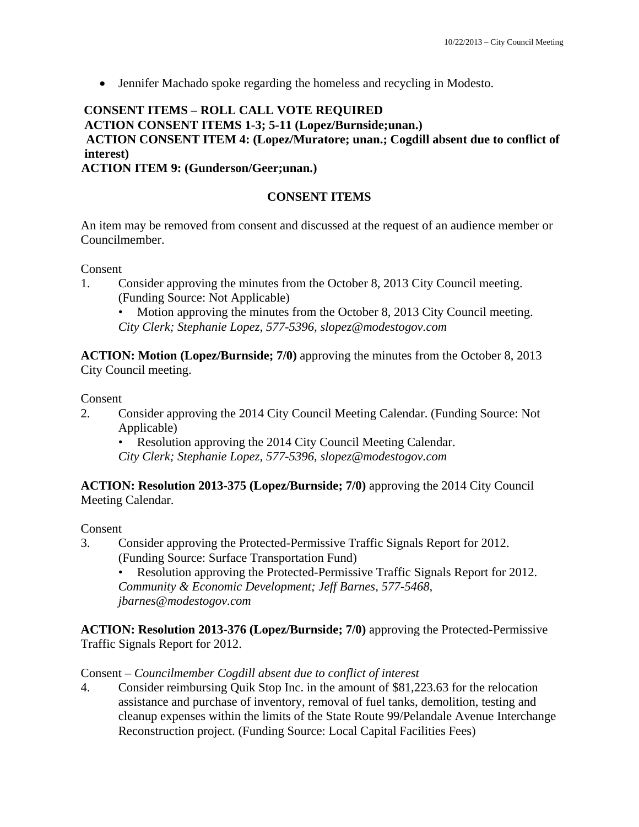Jennifer Machado spoke regarding the homeless and recycling in Modesto.

## **CONSENT ITEMS – ROLL CALL VOTE REQUIRED ACTION CONSENT ITEMS 1-3; 5-11 (Lopez/Burnside;unan.) ACTION CONSENT ITEM 4: (Lopez/Muratore; unan.; Cogdill absent due to conflict of interest)**

### **ACTION ITEM 9: (Gunderson/Geer;unan.)**

### **CONSENT ITEMS**

An item may be removed from consent and discussed at the request of an audience member or Councilmember.

#### Consent

1. Consider approving the minutes from the October 8, 2013 City Council meeting. (Funding Source: Not Applicable)

• Motion approving the minutes from the October 8, 2013 City Council meeting. *City Clerk; Stephanie Lopez, 577-5396, slopez@modestogov.com* 

**ACTION: Motion (Lopez/Burnside; 7/0)** approving the minutes from the October 8, 2013 City Council meeting.

#### Consent

2. Consider approving the 2014 City Council Meeting Calendar. (Funding Source: Not Applicable)

• Resolution approving the 2014 City Council Meeting Calendar. *City Clerk; Stephanie Lopez, 577-5396, slopez@modestogov.com* 

**ACTION: Resolution 2013-375 (Lopez/Burnside; 7/0)** approving the 2014 City Council Meeting Calendar.

#### Consent

3. Consider approving the Protected-Permissive Traffic Signals Report for 2012. (Funding Source: Surface Transportation Fund)

• Resolution approving the Protected-Permissive Traffic Signals Report for 2012. *Community & Economic Development; Jeff Barnes, 577-5468, jbarnes@modestogov.com* 

**ACTION: Resolution 2013-376 (Lopez/Burnside; 7/0)** approving the Protected-Permissive Traffic Signals Report for 2012.

#### Consent – *Councilmember Cogdill absent due to conflict of interest*

4. Consider reimbursing Quik Stop Inc. in the amount of \$81,223.63 for the relocation assistance and purchase of inventory, removal of fuel tanks, demolition, testing and cleanup expenses within the limits of the State Route 99/Pelandale Avenue Interchange Reconstruction project. (Funding Source: Local Capital Facilities Fees)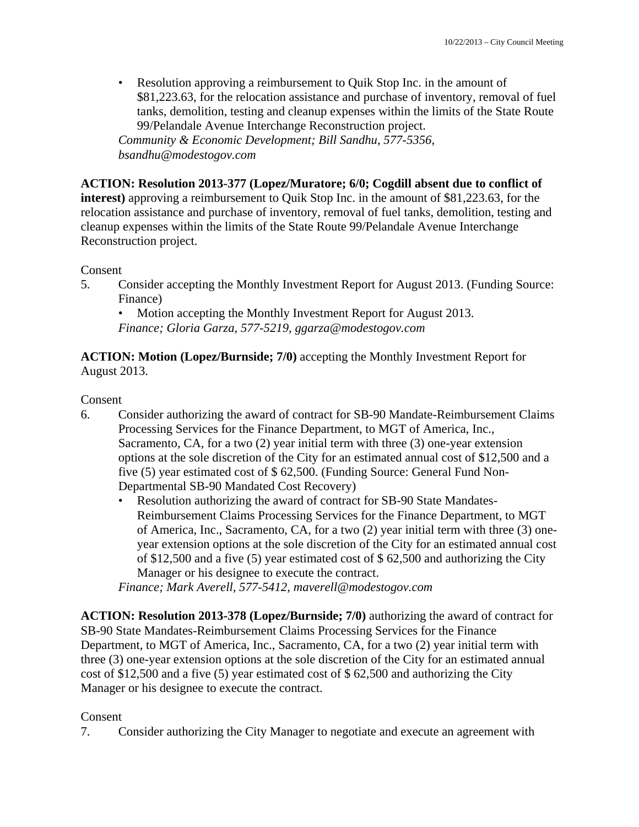• Resolution approving a reimbursement to Quik Stop Inc. in the amount of \$81,223.63, for the relocation assistance and purchase of inventory, removal of fuel tanks, demolition, testing and cleanup expenses within the limits of the State Route 99/Pelandale Avenue Interchange Reconstruction project.

*Community & Economic Development; Bill Sandhu, 577-5356, bsandhu@modestogov.com* 

## **ACTION: Resolution 2013-377 (Lopez/Muratore; 6/0; Cogdill absent due to conflict of**

**interest)** approving a reimbursement to Quik Stop Inc. in the amount of \$81,223.63, for the relocation assistance and purchase of inventory, removal of fuel tanks, demolition, testing and cleanup expenses within the limits of the State Route 99/Pelandale Avenue Interchange Reconstruction project.

### Consent

5. Consider accepting the Monthly Investment Report for August 2013. (Funding Source: Finance)

• Motion accepting the Monthly Investment Report for August 2013.

*Finance; Gloria Garza, 577-5219, ggarza@modestogov.com* 

**ACTION: Motion (Lopez/Burnside; 7/0)** accepting the Monthly Investment Report for August 2013.

#### Consent

- 6. Consider authorizing the award of contract for SB-90 Mandate-Reimbursement Claims Processing Services for the Finance Department, to MGT of America, Inc., Sacramento, CA, for a two (2) year initial term with three (3) one-year extension options at the sole discretion of the City for an estimated annual cost of \$12,500 and a five (5) year estimated cost of \$ 62,500. (Funding Source: General Fund Non-Departmental SB-90 Mandated Cost Recovery)
	- Resolution authorizing the award of contract for SB-90 State Mandates-Reimbursement Claims Processing Services for the Finance Department, to MGT of America, Inc., Sacramento, CA, for a two (2) year initial term with three (3) oneyear extension options at the sole discretion of the City for an estimated annual cost of \$12,500 and a five (5) year estimated cost of \$ 62,500 and authorizing the City Manager or his designee to execute the contract.

*Finance; Mark Averell, 577-5412, maverell@modestogov.com* 

**ACTION: Resolution 2013-378 (Lopez/Burnside; 7/0)** authorizing the award of contract for SB-90 State Mandates-Reimbursement Claims Processing Services for the Finance Department, to MGT of America, Inc., Sacramento, CA, for a two (2) year initial term with three (3) one-year extension options at the sole discretion of the City for an estimated annual cost of \$12,500 and a five (5) year estimated cost of \$ 62,500 and authorizing the City Manager or his designee to execute the contract.

## Consent

7. Consider authorizing the City Manager to negotiate and execute an agreement with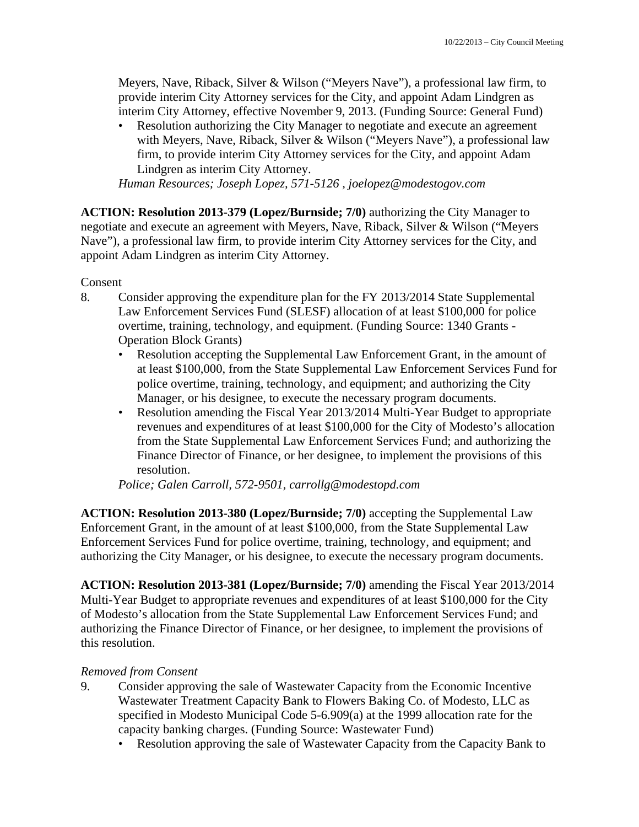Meyers, Nave, Riback, Silver & Wilson ("Meyers Nave"), a professional law firm, to provide interim City Attorney services for the City, and appoint Adam Lindgren as interim City Attorney, effective November 9, 2013. (Funding Source: General Fund)

• Resolution authorizing the City Manager to negotiate and execute an agreement with Meyers, Nave, Riback, Silver & Wilson ("Meyers Nave"), a professional law firm, to provide interim City Attorney services for the City, and appoint Adam Lindgren as interim City Attorney.

*Human Resources; Joseph Lopez, 571-5126 , joelopez@modestogov.com* 

**ACTION: Resolution 2013-379 (Lopez/Burnside; 7/0)** authorizing the City Manager to negotiate and execute an agreement with Meyers, Nave, Riback, Silver & Wilson ("Meyers Nave"), a professional law firm, to provide interim City Attorney services for the City, and appoint Adam Lindgren as interim City Attorney.

Consent

- 8. Consider approving the expenditure plan for the FY 2013/2014 State Supplemental Law Enforcement Services Fund (SLESF) allocation of at least \$100,000 for police overtime, training, technology, and equipment. (Funding Source: 1340 Grants - Operation Block Grants)
	- Resolution accepting the Supplemental Law Enforcement Grant, in the amount of at least \$100,000, from the State Supplemental Law Enforcement Services Fund for police overtime, training, technology, and equipment; and authorizing the City Manager, or his designee, to execute the necessary program documents.
	- Resolution amending the Fiscal Year 2013/2014 Multi-Year Budget to appropriate revenues and expenditures of at least \$100,000 for the City of Modesto's allocation from the State Supplemental Law Enforcement Services Fund; and authorizing the Finance Director of Finance, or her designee, to implement the provisions of this resolution.

*Police; Galen Carroll, 572-9501, carrollg@modestopd.com* 

**ACTION: Resolution 2013-380 (Lopez/Burnside; 7/0)** accepting the Supplemental Law Enforcement Grant, in the amount of at least \$100,000, from the State Supplemental Law Enforcement Services Fund for police overtime, training, technology, and equipment; and authorizing the City Manager, or his designee, to execute the necessary program documents.

**ACTION: Resolution 2013-381 (Lopez/Burnside; 7/0)** amending the Fiscal Year 2013/2014 Multi-Year Budget to appropriate revenues and expenditures of at least \$100,000 for the City of Modesto's allocation from the State Supplemental Law Enforcement Services Fund; and authorizing the Finance Director of Finance, or her designee, to implement the provisions of this resolution.

## *Removed from Consent*

- 9. Consider approving the sale of Wastewater Capacity from the Economic Incentive Wastewater Treatment Capacity Bank to Flowers Baking Co. of Modesto, LLC as specified in Modesto Municipal Code 5-6.909(a) at the 1999 allocation rate for the capacity banking charges. (Funding Source: Wastewater Fund)
	- Resolution approving the sale of Wastewater Capacity from the Capacity Bank to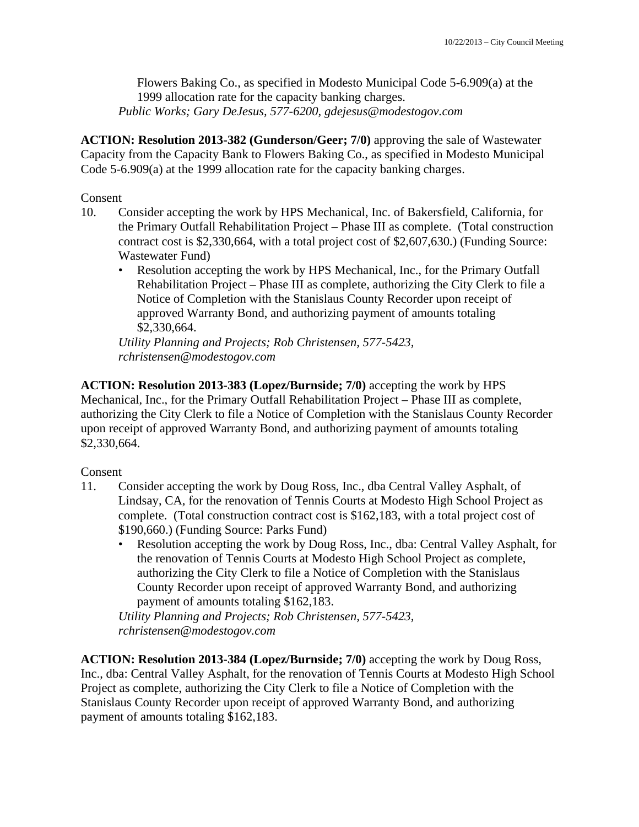Flowers Baking Co., as specified in Modesto Municipal Code 5-6.909(a) at the 1999 allocation rate for the capacity banking charges. *Public Works; Gary DeJesus, 577-6200, gdejesus@modestogov.com* 

**ACTION: Resolution 2013-382 (Gunderson/Geer; 7/0)** approving the sale of Wastewater Capacity from the Capacity Bank to Flowers Baking Co., as specified in Modesto Municipal Code 5-6.909(a) at the 1999 allocation rate for the capacity banking charges.

Consent

- 10. Consider accepting the work by HPS Mechanical, Inc. of Bakersfield, California, for the Primary Outfall Rehabilitation Project – Phase III as complete. (Total construction contract cost is \$2,330,664, with a total project cost of \$2,607,630.) (Funding Source: Wastewater Fund)
	- Resolution accepting the work by HPS Mechanical, Inc., for the Primary Outfall Rehabilitation Project – Phase III as complete, authorizing the City Clerk to file a Notice of Completion with the Stanislaus County Recorder upon receipt of approved Warranty Bond, and authorizing payment of amounts totaling \$2,330,664.

*Utility Planning and Projects; Rob Christensen, 577-5423, rchristensen@modestogov.com* 

**ACTION: Resolution 2013-383 (Lopez/Burnside; 7/0)** accepting the work by HPS Mechanical, Inc., for the Primary Outfall Rehabilitation Project – Phase III as complete, authorizing the City Clerk to file a Notice of Completion with the Stanislaus County Recorder upon receipt of approved Warranty Bond, and authorizing payment of amounts totaling \$2,330,664.

## Consent

- 11. Consider accepting the work by Doug Ross, Inc., dba Central Valley Asphalt, of Lindsay, CA, for the renovation of Tennis Courts at Modesto High School Project as complete. (Total construction contract cost is \$162,183, with a total project cost of \$190,660.) (Funding Source: Parks Fund)
	- Resolution accepting the work by Doug Ross, Inc., dba: Central Valley Asphalt, for the renovation of Tennis Courts at Modesto High School Project as complete, authorizing the City Clerk to file a Notice of Completion with the Stanislaus County Recorder upon receipt of approved Warranty Bond, and authorizing payment of amounts totaling \$162,183.

*Utility Planning and Projects; Rob Christensen, 577-5423, rchristensen@modestogov.com* 

**ACTION: Resolution 2013-384 (Lopez/Burnside; 7/0)** accepting the work by Doug Ross, Inc., dba: Central Valley Asphalt, for the renovation of Tennis Courts at Modesto High School Project as complete, authorizing the City Clerk to file a Notice of Completion with the Stanislaus County Recorder upon receipt of approved Warranty Bond, and authorizing payment of amounts totaling \$162,183.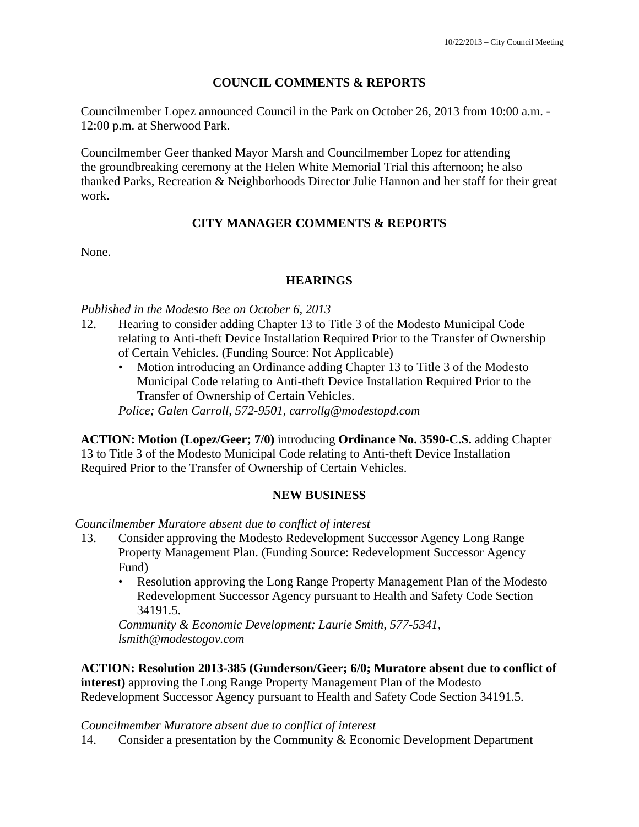### **COUNCIL COMMENTS & REPORTS**

Councilmember Lopez announced Council in the Park on October 26, 2013 from 10:00 a.m. - 12:00 p.m. at Sherwood Park.

Councilmember Geer thanked Mayor Marsh and Councilmember Lopez for attending the groundbreaking ceremony at the Helen White Memorial Trial this afternoon; he also thanked Parks, Recreation & Neighborhoods Director Julie Hannon and her staff for their great work.

## **CITY MANAGER COMMENTS & REPORTS**

None.

### **HEARINGS**

*Published in the Modesto Bee on October 6, 2013* 

- 12. Hearing to consider adding Chapter 13 to Title 3 of the Modesto Municipal Code relating to Anti-theft Device Installation Required Prior to the Transfer of Ownership of Certain Vehicles. (Funding Source: Not Applicable)
	- Motion introducing an Ordinance adding Chapter 13 to Title 3 of the Modesto Municipal Code relating to Anti-theft Device Installation Required Prior to the Transfer of Ownership of Certain Vehicles.

*Police; Galen Carroll, 572-9501, carrollg@modestopd.com* 

**ACTION: Motion (Lopez/Geer; 7/0)** introducing **Ordinance No. 3590-C.S.** adding Chapter 13 to Title 3 of the Modesto Municipal Code relating to Anti-theft Device Installation Required Prior to the Transfer of Ownership of Certain Vehicles.

#### **NEW BUSINESS**

*Councilmember Muratore absent due to conflict of interest* 

- 13. Consider approving the Modesto Redevelopment Successor Agency Long Range Property Management Plan. (Funding Source: Redevelopment Successor Agency Fund)
	- Resolution approving the Long Range Property Management Plan of the Modesto Redevelopment Successor Agency pursuant to Health and Safety Code Section 34191.5.

*Community & Economic Development; Laurie Smith, 577-5341, lsmith@modestogov.com* 

**ACTION: Resolution 2013-385 (Gunderson/Geer; 6/0; Muratore absent due to conflict of interest)** approving the Long Range Property Management Plan of the Modesto Redevelopment Successor Agency pursuant to Health and Safety Code Section 34191.5.

#### *Councilmember Muratore absent due to conflict of interest*

14. Consider a presentation by the Community & Economic Development Department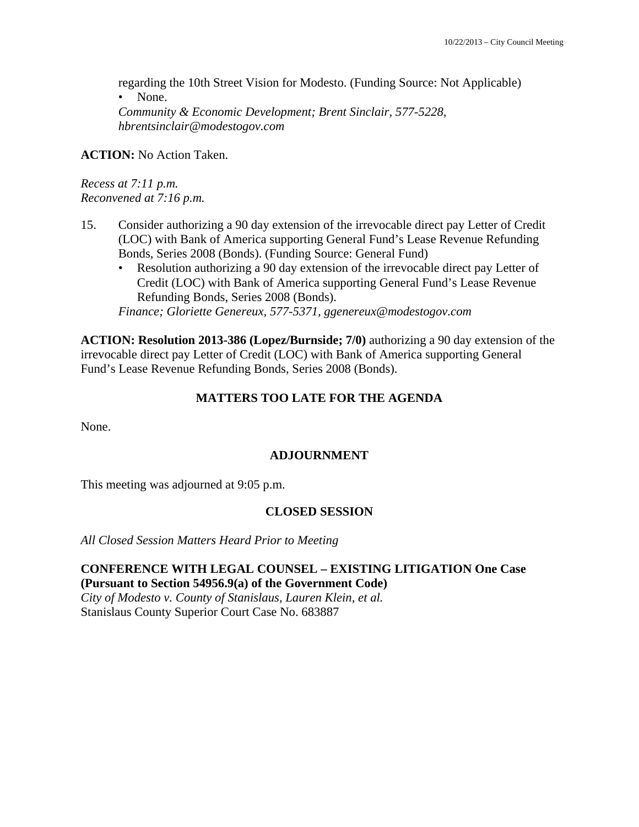regarding the 10th Street Vision for Modesto. (Funding Source: Not Applicable) • None.

*Community & Economic Development; Brent Sinclair, 577-5228, hbrentsinclair@modestogov.com* 

**ACTION:** No Action Taken.

*Recess at 7:11 p.m. Reconvened at 7:16 p.m.* 

- 15. Consider authorizing a 90 day extension of the irrevocable direct pay Letter of Credit (LOC) with Bank of America supporting General Fund's Lease Revenue Refunding Bonds, Series 2008 (Bonds). (Funding Source: General Fund)
	- Resolution authorizing a 90 day extension of the irrevocable direct pay Letter of Credit (LOC) with Bank of America supporting General Fund's Lease Revenue Refunding Bonds, Series 2008 (Bonds).

*Finance; Gloriette Genereux, 577-5371, ggenereux@modestogov.com* 

**ACTION: Resolution 2013-386 (Lopez/Burnside; 7/0)** authorizing a 90 day extension of the irrevocable direct pay Letter of Credit (LOC) with Bank of America supporting General Fund's Lease Revenue Refunding Bonds, Series 2008 (Bonds).

## **MATTERS TOO LATE FOR THE AGENDA**

None.

## **ADJOURNMENT**

This meeting was adjourned at 9:05 p.m.

## **CLOSED SESSION**

*All Closed Session Matters Heard Prior to Meeting*

#### **CONFERENCE WITH LEGAL COUNSEL – EXISTING LITIGATION One Case (Pursuant to Section 54956.9(a) of the Government Code)**

*City of Modesto v. County of Stanislaus, Lauren Klein, et al.*  Stanislaus County Superior Court Case No. 683887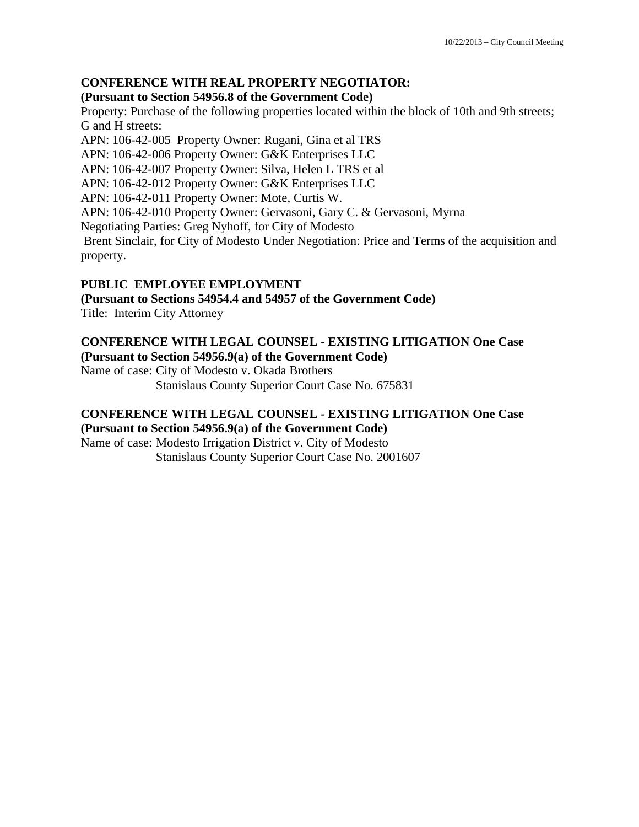## **CONFERENCE WITH REAL PROPERTY NEGOTIATOR:**

### **(Pursuant to Section 54956.8 of the Government Code)**

Property: Purchase of the following properties located within the block of 10th and 9th streets; G and H streets:

APN: 106-42-005 Property Owner: Rugani, Gina et al TRS

APN: 106-42-006 Property Owner: G&K Enterprises LLC

APN: 106-42-007 Property Owner: Silva, Helen L TRS et al

APN: 106-42-012 Property Owner: G&K Enterprises LLC

APN: 106-42-011 Property Owner: Mote, Curtis W.

APN: 106-42-010 Property Owner: Gervasoni, Gary C. & Gervasoni, Myrna

Negotiating Parties: Greg Nyhoff, for City of Modesto

 Brent Sinclair, for City of Modesto Under Negotiation: Price and Terms of the acquisition and property.

## **PUBLIC EMPLOYEE EMPLOYMENT**

**(Pursuant to Sections 54954.4 and 54957 of the Government Code)**  Title: Interim City Attorney

#### **CONFERENCE WITH LEGAL COUNSEL - EXISTING LITIGATION One Case (Pursuant to Section 54956.9(a) of the Government Code)**

Name of case: City of Modesto v. Okada Brothers Stanislaus County Superior Court Case No. 675831

# **CONFERENCE WITH LEGAL COUNSEL - EXISTING LITIGATION One Case**

## **(Pursuant to Section 54956.9(a) of the Government Code)**

Name of case: Modesto Irrigation District v. City of Modesto Stanislaus County Superior Court Case No. 2001607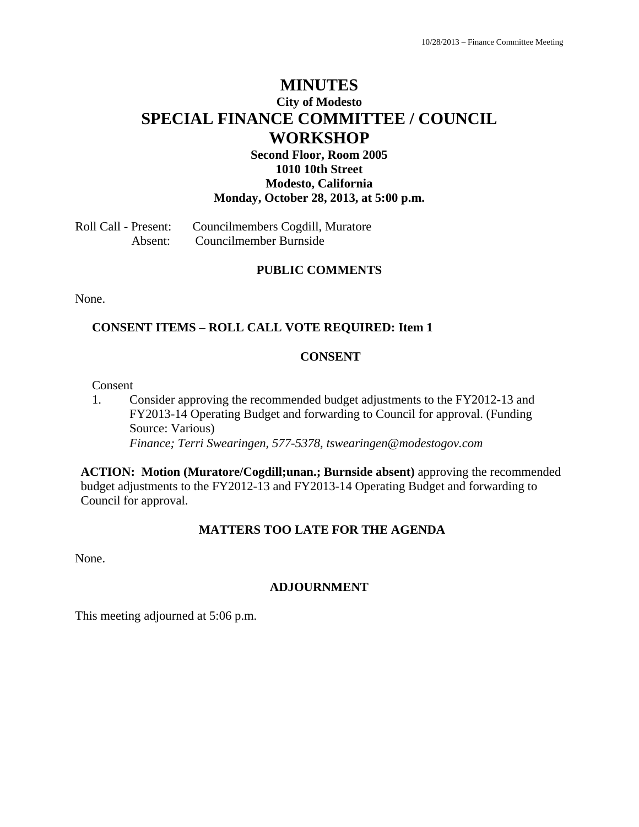## **MINUTES City of Modesto SPECIAL FINANCE COMMITTEE / COUNCIL WORKSHOP**

## **Second Floor, Room 2005 1010 10th Street Modesto, California Monday, October 28, 2013, at 5:00 p.m.**

Roll Call - Present: Councilmembers Cogdill, Muratore Absent: Councilmember Burnside

#### **PUBLIC COMMENTS**

None.

#### **CONSENT ITEMS – ROLL CALL VOTE REQUIRED: Item 1**

#### **CONSENT**

Consent

1. Consider approving the recommended budget adjustments to the FY2012-13 and FY2013-14 Operating Budget and forwarding to Council for approval. (Funding Source: Various)  *Finance; Terri Swearingen, 577-5378, tswearingen@modestogov.com* 

**ACTION: Motion (Muratore/Cogdill;unan.; Burnside absent)** approving the recommended budget adjustments to the FY2012-13 and FY2013-14 Operating Budget and forwarding to Council for approval.

#### **MATTERS TOO LATE FOR THE AGENDA**

None.

#### **ADJOURNMENT**

This meeting adjourned at 5:06 p.m.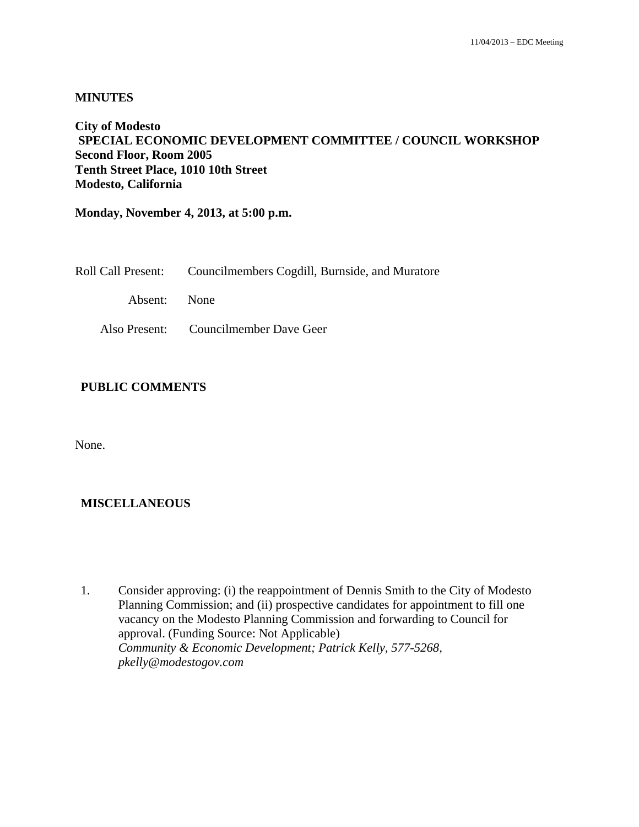#### **MINUTES**

**City of Modesto SPECIAL ECONOMIC DEVELOPMENT COMMITTEE / COUNCIL WORKSHOP Second Floor, Room 2005 Tenth Street Place, 1010 10th Street Modesto, California** 

**Monday, November 4, 2013, at 5:00 p.m.** 

Roll Call Present: Councilmembers Cogdill, Burnside, and Muratore

Absent: None

Also Present: Councilmember Dave Geer

#### **PUBLIC COMMENTS**

None.

#### **MISCELLANEOUS**

1. Consider approving: (i) the reappointment of Dennis Smith to the City of Modesto Planning Commission; and (ii) prospective candidates for appointment to fill one vacancy on the Modesto Planning Commission and forwarding to Council for approval. (Funding Source: Not Applicable)  *Community & Economic Development; Patrick Kelly, 577-5268, pkelly@modestogov.com*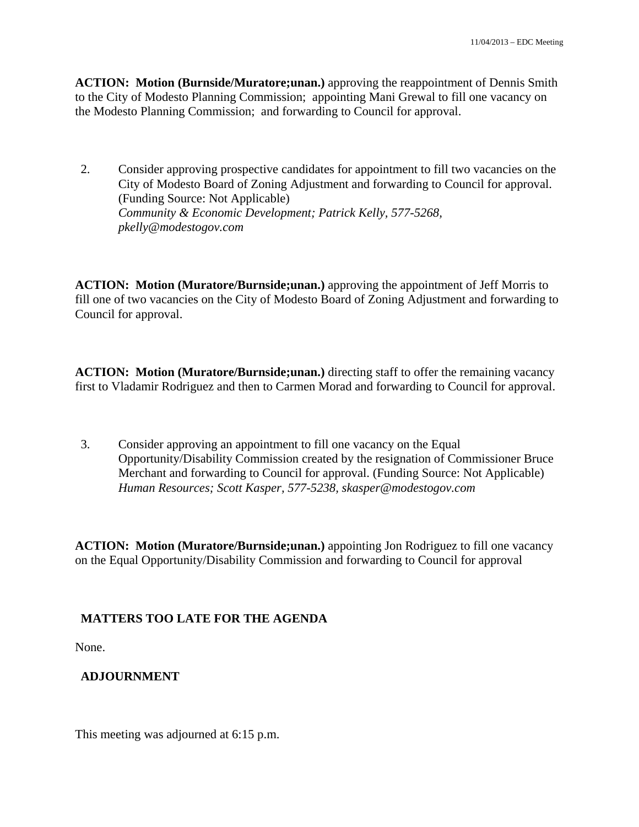**ACTION: Motion (Burnside/Muratore;unan.)** approving the reappointment of Dennis Smith to the City of Modesto Planning Commission; appointing Mani Grewal to fill one vacancy on the Modesto Planning Commission; and forwarding to Council for approval.

2. Consider approving prospective candidates for appointment to fill two vacancies on the City of Modesto Board of Zoning Adjustment and forwarding to Council for approval. (Funding Source: Not Applicable)  *Community & Economic Development; Patrick Kelly, 577-5268, pkelly@modestogov.com* 

**ACTION: Motion (Muratore/Burnside;unan.)** approving the appointment of Jeff Morris to fill one of two vacancies on the City of Modesto Board of Zoning Adjustment and forwarding to Council for approval.

**ACTION: Motion (Muratore/Burnside;unan.)** directing staff to offer the remaining vacancy first to Vladamir Rodriguez and then to Carmen Morad and forwarding to Council for approval.

3. Consider approving an appointment to fill one vacancy on the Equal Opportunity/Disability Commission created by the resignation of Commissioner Bruce Merchant and forwarding to Council for approval. (Funding Source: Not Applicable)  *Human Resources; Scott Kasper, 577-5238, skasper@modestogov.com* 

**ACTION: Motion (Muratore/Burnside;unan.)** appointing Jon Rodriguez to fill one vacancy on the Equal Opportunity/Disability Commission and forwarding to Council for approval

## **MATTERS TOO LATE FOR THE AGENDA**

None.

## **ADJOURNMENT**

This meeting was adjourned at 6:15 p.m.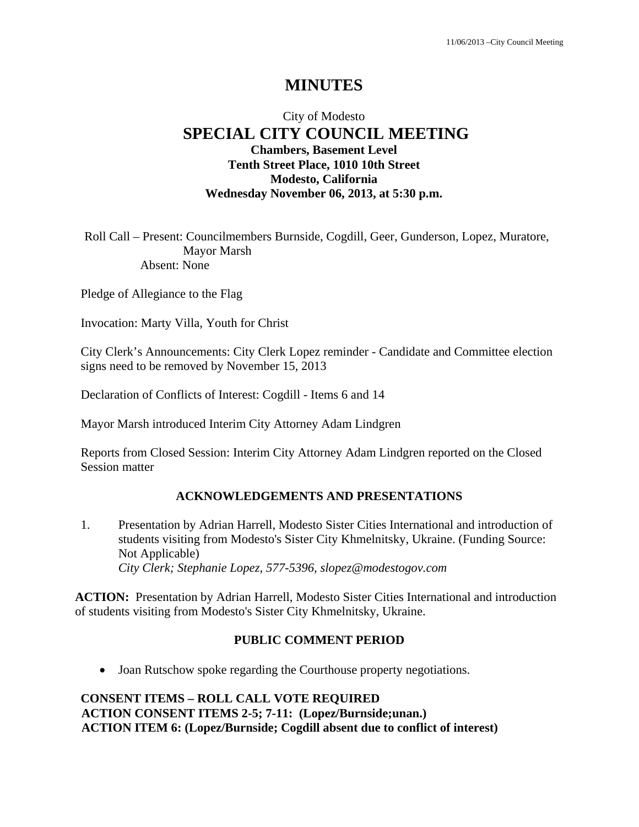# **MINUTES**

## City of Modesto  **SPECIAL CITY COUNCIL MEETING Chambers, Basement Level Tenth Street Place, 1010 10th Street Modesto, California Wednesday November 06, 2013, at 5:30 p.m.**

Roll Call – Present: Councilmembers Burnside, Cogdill, Geer, Gunderson, Lopez, Muratore, Mayor Marsh Absent: None

Pledge of Allegiance to the Flag

Invocation: Marty Villa, Youth for Christ

City Clerk's Announcements: City Clerk Lopez reminder - Candidate and Committee election signs need to be removed by November 15, 2013

Declaration of Conflicts of Interest: Cogdill - Items 6 and 14

Mayor Marsh introduced Interim City Attorney Adam Lindgren

Reports from Closed Session: Interim City Attorney Adam Lindgren reported on the Closed Session matter

## **ACKNOWLEDGEMENTS AND PRESENTATIONS**

1. Presentation by Adrian Harrell, Modesto Sister Cities International and introduction of students visiting from Modesto's Sister City Khmelnitsky, Ukraine. (Funding Source: Not Applicable)  *City Clerk; Stephanie Lopez, 577-5396, slopez@modestogov.com* 

**ACTION:** Presentation by Adrian Harrell, Modesto Sister Cities International and introduction of students visiting from Modesto's Sister City Khmelnitsky, Ukraine.

#### **PUBLIC COMMENT PERIOD**

• Joan Rutschow spoke regarding the Courthouse property negotiations.

**CONSENT ITEMS – ROLL CALL VOTE REQUIRED ACTION CONSENT ITEMS 2-5; 7-11: (Lopez/Burnside;unan.) ACTION ITEM 6: (Lopez/Burnside; Cogdill absent due to conflict of interest)**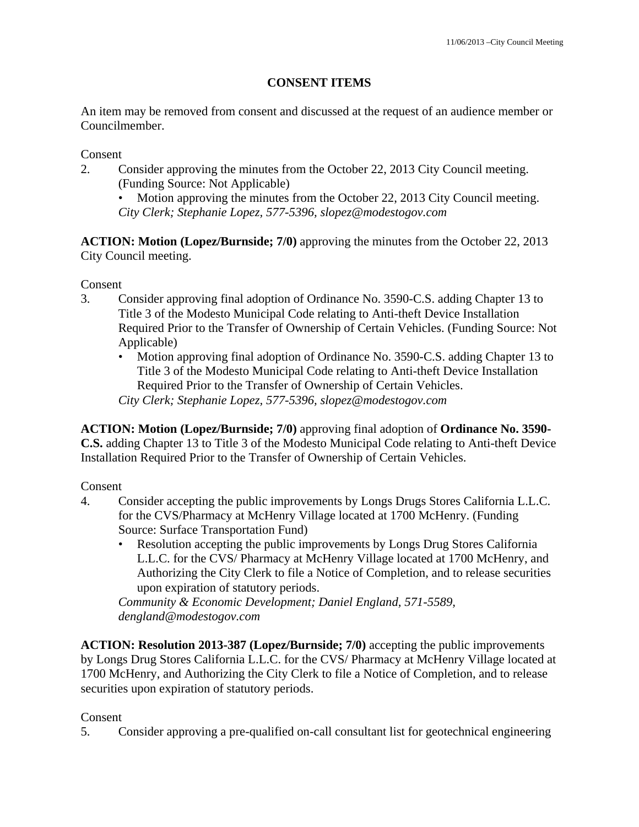## **CONSENT ITEMS**

An item may be removed from consent and discussed at the request of an audience member or Councilmember.

Consent

- 2. Consider approving the minutes from the October 22, 2013 City Council meeting. (Funding Source: Not Applicable)
	- Motion approving the minutes from the October 22, 2013 City Council meeting. *City Clerk; Stephanie Lopez, 577-5396, slopez@modestogov.com*

**ACTION: Motion (Lopez/Burnside; 7/0)** approving the minutes from the October 22, 2013 City Council meeting.

Consent

- 3. Consider approving final adoption of Ordinance No. 3590-C.S. adding Chapter 13 to Title 3 of the Modesto Municipal Code relating to Anti-theft Device Installation Required Prior to the Transfer of Ownership of Certain Vehicles. (Funding Source: Not Applicable)
	- Motion approving final adoption of Ordinance No. 3590-C.S. adding Chapter 13 to Title 3 of the Modesto Municipal Code relating to Anti-theft Device Installation Required Prior to the Transfer of Ownership of Certain Vehicles.

*City Clerk; Stephanie Lopez, 577-5396, slopez@modestogov.com* 

**ACTION: Motion (Lopez/Burnside; 7/0)** approving final adoption of **Ordinance No. 3590- C.S.** adding Chapter 13 to Title 3 of the Modesto Municipal Code relating to Anti-theft Device Installation Required Prior to the Transfer of Ownership of Certain Vehicles.

Consent

- 4. Consider accepting the public improvements by Longs Drugs Stores California L.L.C. for the CVS/Pharmacy at McHenry Village located at 1700 McHenry. (Funding Source: Surface Transportation Fund)
	- Resolution accepting the public improvements by Longs Drug Stores California L.L.C. for the CVS/ Pharmacy at McHenry Village located at 1700 McHenry, and Authorizing the City Clerk to file a Notice of Completion, and to release securities upon expiration of statutory periods.

*Community & Economic Development; Daniel England, 571-5589, dengland@modestogov.com* 

**ACTION: Resolution 2013-387 (Lopez/Burnside; 7/0)** accepting the public improvements by Longs Drug Stores California L.L.C. for the CVS/ Pharmacy at McHenry Village located at 1700 McHenry, and Authorizing the City Clerk to file a Notice of Completion, and to release securities upon expiration of statutory periods.

## Consent

5. Consider approving a pre-qualified on-call consultant list for geotechnical engineering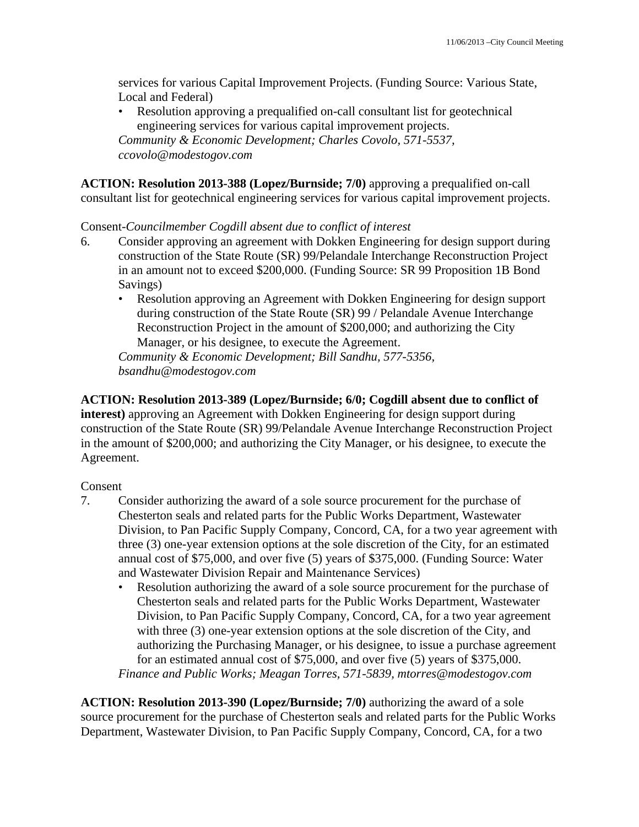services for various Capital Improvement Projects. (Funding Source: Various State, Local and Federal)

• Resolution approving a prequalified on-call consultant list for geotechnical engineering services for various capital improvement projects. *Community & Economic Development; Charles Covolo, 571-5537, ccovolo@modestogov.com* 

**ACTION: Resolution 2013-388 (Lopez/Burnside; 7/0)** approving a prequalified on-call consultant list for geotechnical engineering services for various capital improvement projects.

### Consent-*Councilmember Cogdill absent due to conflict of interest*

- 6. Consider approving an agreement with Dokken Engineering for design support during construction of the State Route (SR) 99/Pelandale Interchange Reconstruction Project in an amount not to exceed \$200,000. (Funding Source: SR 99 Proposition 1B Bond Savings)
	- Resolution approving an Agreement with Dokken Engineering for design support during construction of the State Route (SR) 99 / Pelandale Avenue Interchange Reconstruction Project in the amount of \$200,000; and authorizing the City Manager, or his designee, to execute the Agreement.

*Community & Economic Development; Bill Sandhu, 577-5356, bsandhu@modestogov.com* 

### **ACTION: Resolution 2013-389 (Lopez/Burnside; 6/0; Cogdill absent due to conflict of**

**interest)** approving an Agreement with Dokken Engineering for design support during construction of the State Route (SR) 99/Pelandale Avenue Interchange Reconstruction Project in the amount of \$200,000; and authorizing the City Manager, or his designee, to execute the Agreement.

#### Consent

- 7. Consider authorizing the award of a sole source procurement for the purchase of Chesterton seals and related parts for the Public Works Department, Wastewater Division, to Pan Pacific Supply Company, Concord, CA, for a two year agreement with three (3) one-year extension options at the sole discretion of the City, for an estimated annual cost of \$75,000, and over five (5) years of \$375,000. (Funding Source: Water and Wastewater Division Repair and Maintenance Services)
	- Resolution authorizing the award of a sole source procurement for the purchase of Chesterton seals and related parts for the Public Works Department, Wastewater Division, to Pan Pacific Supply Company, Concord, CA, for a two year agreement with three (3) one-year extension options at the sole discretion of the City, and authorizing the Purchasing Manager, or his designee, to issue a purchase agreement for an estimated annual cost of \$75,000, and over five (5) years of \$375,000.

*Finance and Public Works; Meagan Torres, 571-5839, mtorres@modestogov.com* 

**ACTION: Resolution 2013-390 (Lopez/Burnside; 7/0)** authorizing the award of a sole source procurement for the purchase of Chesterton seals and related parts for the Public Works Department, Wastewater Division, to Pan Pacific Supply Company, Concord, CA, for a two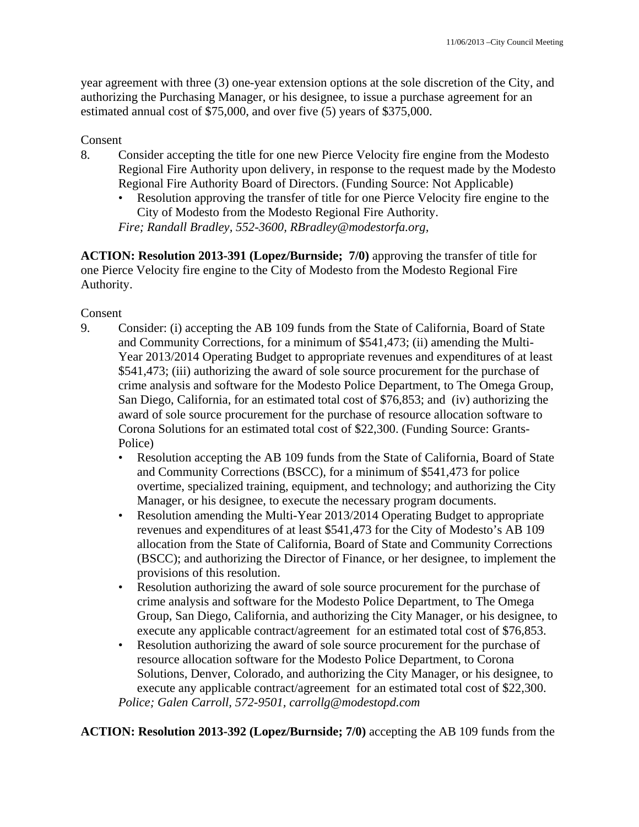year agreement with three (3) one-year extension options at the sole discretion of the City, and authorizing the Purchasing Manager, or his designee, to issue a purchase agreement for an estimated annual cost of \$75,000, and over five (5) years of \$375,000.

#### Consent

- 8. Consider accepting the title for one new Pierce Velocity fire engine from the Modesto Regional Fire Authority upon delivery, in response to the request made by the Modesto Regional Fire Authority Board of Directors. (Funding Source: Not Applicable)
	- Resolution approving the transfer of title for one Pierce Velocity fire engine to the City of Modesto from the Modesto Regional Fire Authority.

*Fire; Randall Bradley, 552-3600, RBradley@modestorfa.org,* 

**ACTION: Resolution 2013-391 (Lopez/Burnside; 7/0)** approving the transfer of title for one Pierce Velocity fire engine to the City of Modesto from the Modesto Regional Fire Authority.

#### Consent

- 9. Consider: (i) accepting the AB 109 funds from the State of California, Board of State and Community Corrections, for a minimum of \$541,473; (ii) amending the Multi-Year 2013/2014 Operating Budget to appropriate revenues and expenditures of at least \$541,473; (iii) authorizing the award of sole source procurement for the purchase of crime analysis and software for the Modesto Police Department, to The Omega Group, San Diego, California, for an estimated total cost of \$76,853; and (iv) authorizing the award of sole source procurement for the purchase of resource allocation software to Corona Solutions for an estimated total cost of \$22,300. (Funding Source: Grants-Police)
	- Resolution accepting the AB 109 funds from the State of California, Board of State and Community Corrections (BSCC), for a minimum of \$541,473 for police overtime, specialized training, equipment, and technology; and authorizing the City Manager, or his designee, to execute the necessary program documents.
	- Resolution amending the Multi-Year 2013/2014 Operating Budget to appropriate revenues and expenditures of at least \$541,473 for the City of Modesto's AB 109 allocation from the State of California, Board of State and Community Corrections (BSCC); and authorizing the Director of Finance, or her designee, to implement the provisions of this resolution.
	- Resolution authorizing the award of sole source procurement for the purchase of crime analysis and software for the Modesto Police Department, to The Omega Group, San Diego, California, and authorizing the City Manager, or his designee, to execute any applicable contract/agreement for an estimated total cost of \$76,853.
	- Resolution authorizing the award of sole source procurement for the purchase of resource allocation software for the Modesto Police Department, to Corona Solutions, Denver, Colorado, and authorizing the City Manager, or his designee, to execute any applicable contract/agreement for an estimated total cost of \$22,300. *Police; Galen Carroll, 572-9501, carrollg@modestopd.com*

**ACTION: Resolution 2013-392 (Lopez/Burnside; 7/0)** accepting the AB 109 funds from the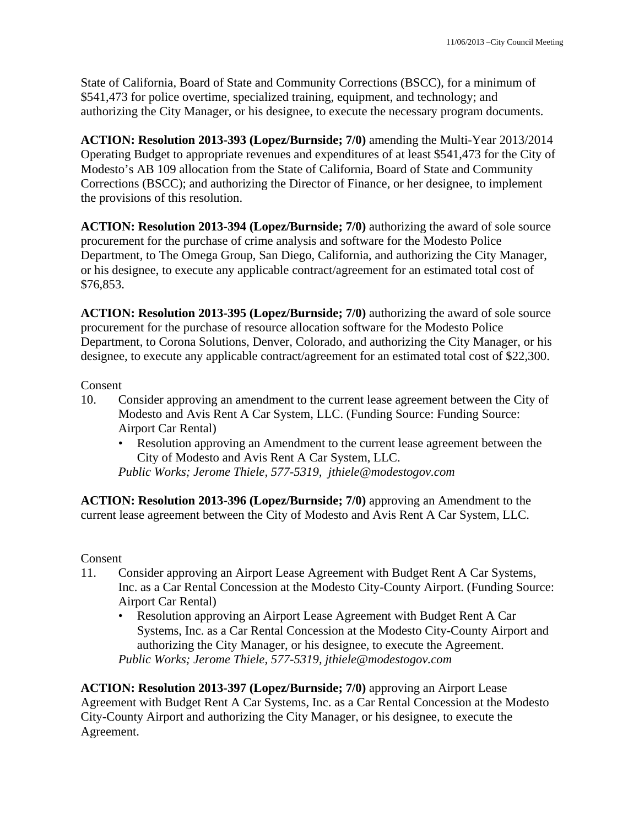State of California, Board of State and Community Corrections (BSCC), for a minimum of \$541,473 for police overtime, specialized training, equipment, and technology; and authorizing the City Manager, or his designee, to execute the necessary program documents.

**ACTION: Resolution 2013-393 (Lopez/Burnside; 7/0)** amending the Multi-Year 2013/2014 Operating Budget to appropriate revenues and expenditures of at least \$541,473 for the City of Modesto's AB 109 allocation from the State of California, Board of State and Community Corrections (BSCC); and authorizing the Director of Finance, or her designee, to implement the provisions of this resolution.

**ACTION: Resolution 2013-394 (Lopez/Burnside; 7/0)** authorizing the award of sole source procurement for the purchase of crime analysis and software for the Modesto Police Department, to The Omega Group, San Diego, California, and authorizing the City Manager, or his designee, to execute any applicable contract/agreement for an estimated total cost of \$76,853.

**ACTION: Resolution 2013-395 (Lopez/Burnside; 7/0)** authorizing the award of sole source procurement for the purchase of resource allocation software for the Modesto Police Department, to Corona Solutions, Denver, Colorado, and authorizing the City Manager, or his designee, to execute any applicable contract/agreement for an estimated total cost of \$22,300.

### Consent

- 10. Consider approving an amendment to the current lease agreement between the City of Modesto and Avis Rent A Car System, LLC. (Funding Source: Funding Source: Airport Car Rental)
	- Resolution approving an Amendment to the current lease agreement between the City of Modesto and Avis Rent A Car System, LLC. *Public Works; Jerome Thiele, 577-5319, jthiele@modestogov.com*

**ACTION: Resolution 2013-396 (Lopez/Burnside; 7/0)** approving an Amendment to the current lease agreement between the City of Modesto and Avis Rent A Car System, LLC.

### Consent

- 11. Consider approving an Airport Lease Agreement with Budget Rent A Car Systems, Inc. as a Car Rental Concession at the Modesto City-County Airport. (Funding Source: Airport Car Rental)
	- Resolution approving an Airport Lease Agreement with Budget Rent A Car Systems, Inc. as a Car Rental Concession at the Modesto City-County Airport and authorizing the City Manager, or his designee, to execute the Agreement. *Public Works; Jerome Thiele, 577-5319, jthiele@modestogov.com*

**ACTION: Resolution 2013-397 (Lopez/Burnside; 7/0)** approving an Airport Lease Agreement with Budget Rent A Car Systems, Inc. as a Car Rental Concession at the Modesto City-County Airport and authorizing the City Manager, or his designee, to execute the Agreement.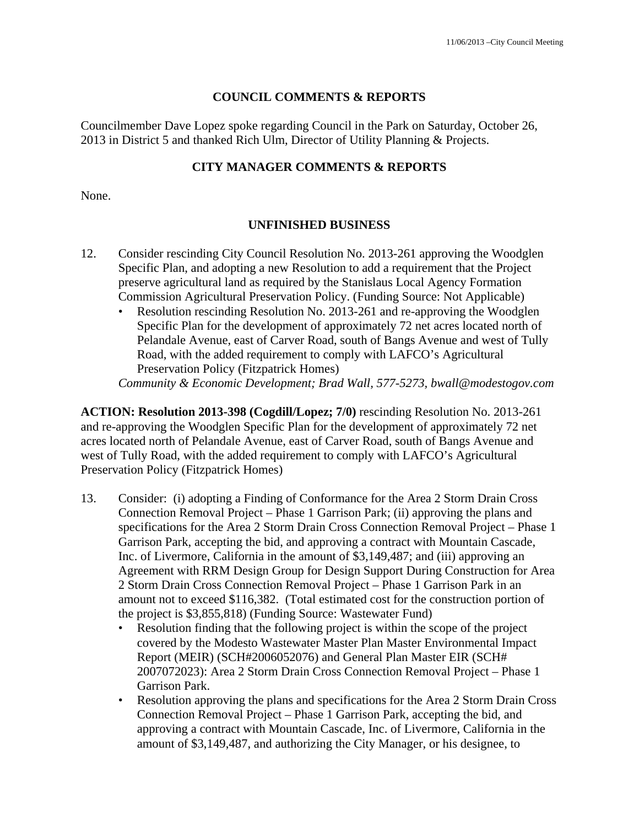## **COUNCIL COMMENTS & REPORTS**

Councilmember Dave Lopez spoke regarding Council in the Park on Saturday, October 26, 2013 in District 5 and thanked Rich Ulm, Director of Utility Planning & Projects.

## **CITY MANAGER COMMENTS & REPORTS**

None.

## **UNFINISHED BUSINESS**

- 12. Consider rescinding City Council Resolution No. 2013-261 approving the Woodglen Specific Plan, and adopting a new Resolution to add a requirement that the Project preserve agricultural land as required by the Stanislaus Local Agency Formation Commission Agricultural Preservation Policy. (Funding Source: Not Applicable)
	- Resolution rescinding Resolution No. 2013-261 and re-approving the Woodglen Specific Plan for the development of approximately 72 net acres located north of Pelandale Avenue, east of Carver Road, south of Bangs Avenue and west of Tully Road, with the added requirement to comply with LAFCO's Agricultural Preservation Policy (Fitzpatrick Homes)

*Community & Economic Development; Brad Wall, 577-5273, bwall@modestogov.com* 

**ACTION: Resolution 2013-398 (Cogdill/Lopez; 7/0)** rescinding Resolution No. 2013-261 and re-approving the Woodglen Specific Plan for the development of approximately 72 net acres located north of Pelandale Avenue, east of Carver Road, south of Bangs Avenue and west of Tully Road, with the added requirement to comply with LAFCO's Agricultural Preservation Policy (Fitzpatrick Homes)

- 13. Consider: (i) adopting a Finding of Conformance for the Area 2 Storm Drain Cross Connection Removal Project – Phase 1 Garrison Park; (ii) approving the plans and specifications for the Area 2 Storm Drain Cross Connection Removal Project – Phase 1 Garrison Park, accepting the bid, and approving a contract with Mountain Cascade, Inc. of Livermore, California in the amount of \$3,149,487; and (iii) approving an Agreement with RRM Design Group for Design Support During Construction for Area 2 Storm Drain Cross Connection Removal Project – Phase 1 Garrison Park in an amount not to exceed \$116,382. (Total estimated cost for the construction portion of the project is \$3,855,818) (Funding Source: Wastewater Fund)
	- Resolution finding that the following project is within the scope of the project covered by the Modesto Wastewater Master Plan Master Environmental Impact Report (MEIR) (SCH#2006052076) and General Plan Master EIR (SCH# 2007072023): Area 2 Storm Drain Cross Connection Removal Project – Phase 1 Garrison Park.
	- Resolution approving the plans and specifications for the Area 2 Storm Drain Cross Connection Removal Project – Phase 1 Garrison Park, accepting the bid, and approving a contract with Mountain Cascade, Inc. of Livermore, California in the amount of \$3,149,487, and authorizing the City Manager, or his designee, to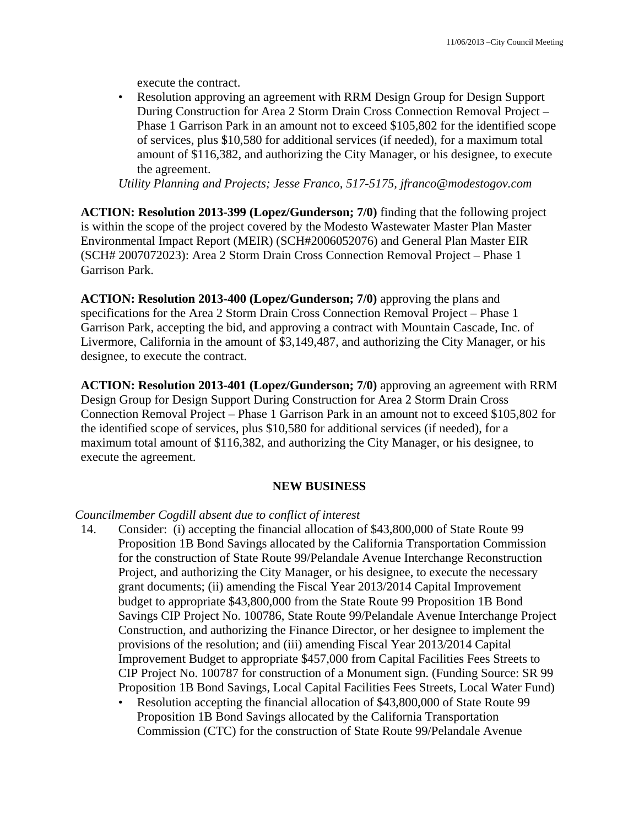execute the contract.

• Resolution approving an agreement with RRM Design Group for Design Support During Construction for Area 2 Storm Drain Cross Connection Removal Project – Phase 1 Garrison Park in an amount not to exceed \$105,802 for the identified scope of services, plus \$10,580 for additional services (if needed), for a maximum total amount of \$116,382, and authorizing the City Manager, or his designee, to execute the agreement.

*Utility Planning and Projects; Jesse Franco, 517-5175, jfranco@modestogov.com* 

**ACTION: Resolution 2013-399 (Lopez/Gunderson; 7/0)** finding that the following project is within the scope of the project covered by the Modesto Wastewater Master Plan Master Environmental Impact Report (MEIR) (SCH#2006052076) and General Plan Master EIR (SCH# 2007072023): Area 2 Storm Drain Cross Connection Removal Project – Phase 1 Garrison Park.

**ACTION: Resolution 2013-400 (Lopez/Gunderson; 7/0)** approving the plans and specifications for the Area 2 Storm Drain Cross Connection Removal Project – Phase 1 Garrison Park, accepting the bid, and approving a contract with Mountain Cascade, Inc. of Livermore, California in the amount of \$3,149,487, and authorizing the City Manager, or his designee, to execute the contract.

**ACTION: Resolution 2013-401 (Lopez/Gunderson; 7/0)** approving an agreement with RRM Design Group for Design Support During Construction for Area 2 Storm Drain Cross Connection Removal Project – Phase 1 Garrison Park in an amount not to exceed \$105,802 for the identified scope of services, plus \$10,580 for additional services (if needed), for a maximum total amount of \$116,382, and authorizing the City Manager, or his designee, to execute the agreement.

### **NEW BUSINESS**

### *Councilmember Cogdill absent due to conflict of interest*

- 14. Consider: (i) accepting the financial allocation of \$43,800,000 of State Route 99 Proposition 1B Bond Savings allocated by the California Transportation Commission for the construction of State Route 99/Pelandale Avenue Interchange Reconstruction Project, and authorizing the City Manager, or his designee, to execute the necessary grant documents; (ii) amending the Fiscal Year 2013/2014 Capital Improvement budget to appropriate \$43,800,000 from the State Route 99 Proposition 1B Bond Savings CIP Project No. 100786, State Route 99/Pelandale Avenue Interchange Project Construction, and authorizing the Finance Director, or her designee to implement the provisions of the resolution; and (iii) amending Fiscal Year 2013/2014 Capital Improvement Budget to appropriate \$457,000 from Capital Facilities Fees Streets to CIP Project No. 100787 for construction of a Monument sign. (Funding Source: SR 99 Proposition 1B Bond Savings, Local Capital Facilities Fees Streets, Local Water Fund)
	- Resolution accepting the financial allocation of \$43,800,000 of State Route 99 Proposition 1B Bond Savings allocated by the California Transportation Commission (CTC) for the construction of State Route 99/Pelandale Avenue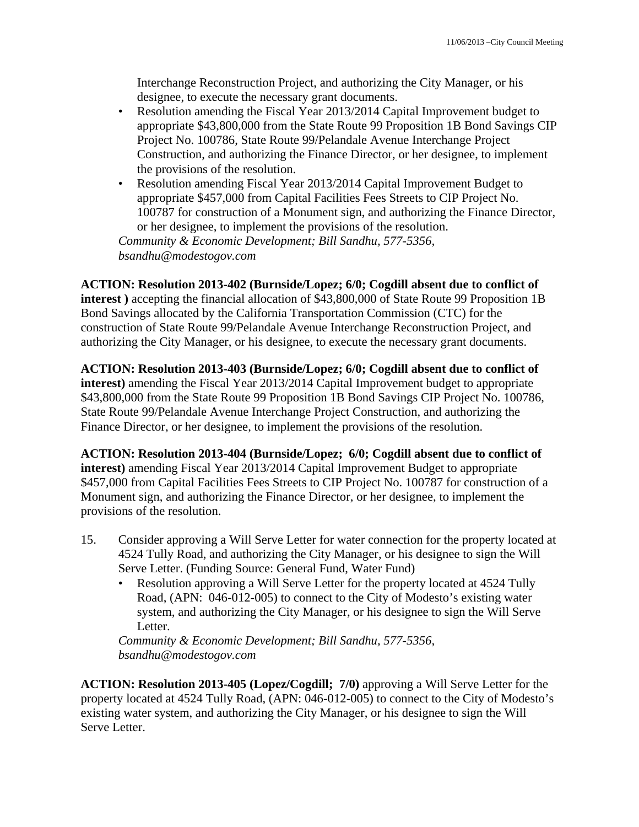Interchange Reconstruction Project, and authorizing the City Manager, or his designee, to execute the necessary grant documents.

- Resolution amending the Fiscal Year 2013/2014 Capital Improvement budget to appropriate \$43,800,000 from the State Route 99 Proposition 1B Bond Savings CIP Project No. 100786, State Route 99/Pelandale Avenue Interchange Project Construction, and authorizing the Finance Director, or her designee, to implement the provisions of the resolution.
- Resolution amending Fiscal Year 2013/2014 Capital Improvement Budget to appropriate \$457,000 from Capital Facilities Fees Streets to CIP Project No. 100787 for construction of a Monument sign, and authorizing the Finance Director, or her designee, to implement the provisions of the resolution.

*Community & Economic Development; Bill Sandhu, 577-5356, bsandhu@modestogov.com* 

**ACTION: Resolution 2013-402 (Burnside/Lopez; 6/0; Cogdill absent due to conflict of interest )** accepting the financial allocation of \$43,800,000 of State Route 99 Proposition 1B Bond Savings allocated by the California Transportation Commission (CTC) for the construction of State Route 99/Pelandale Avenue Interchange Reconstruction Project, and authorizing the City Manager, or his designee, to execute the necessary grant documents.

**ACTION: Resolution 2013-403 (Burnside/Lopez; 6/0; Cogdill absent due to conflict of interest)** amending the Fiscal Year 2013/2014 Capital Improvement budget to appropriate \$43,800,000 from the State Route 99 Proposition 1B Bond Savings CIP Project No. 100786, State Route 99/Pelandale Avenue Interchange Project Construction, and authorizing the Finance Director, or her designee, to implement the provisions of the resolution.

**ACTION: Resolution 2013-404 (Burnside/Lopez; 6/0; Cogdill absent due to conflict of interest)** amending Fiscal Year 2013/2014 Capital Improvement Budget to appropriate \$457,000 from Capital Facilities Fees Streets to CIP Project No. 100787 for construction of a Monument sign, and authorizing the Finance Director, or her designee, to implement the provisions of the resolution.

- 15. Consider approving a Will Serve Letter for water connection for the property located at 4524 Tully Road, and authorizing the City Manager, or his designee to sign the Will Serve Letter. (Funding Source: General Fund, Water Fund)
	- Resolution approving a Will Serve Letter for the property located at 4524 Tully Road, (APN: 046-012-005) to connect to the City of Modesto's existing water system, and authorizing the City Manager, or his designee to sign the Will Serve Letter.

*Community & Economic Development; Bill Sandhu, 577-5356, bsandhu@modestogov.com* 

**ACTION: Resolution 2013-405 (Lopez/Cogdill; 7/0)** approving a Will Serve Letter for the property located at 4524 Tully Road, (APN: 046-012-005) to connect to the City of Modesto's existing water system, and authorizing the City Manager, or his designee to sign the Will Serve Letter.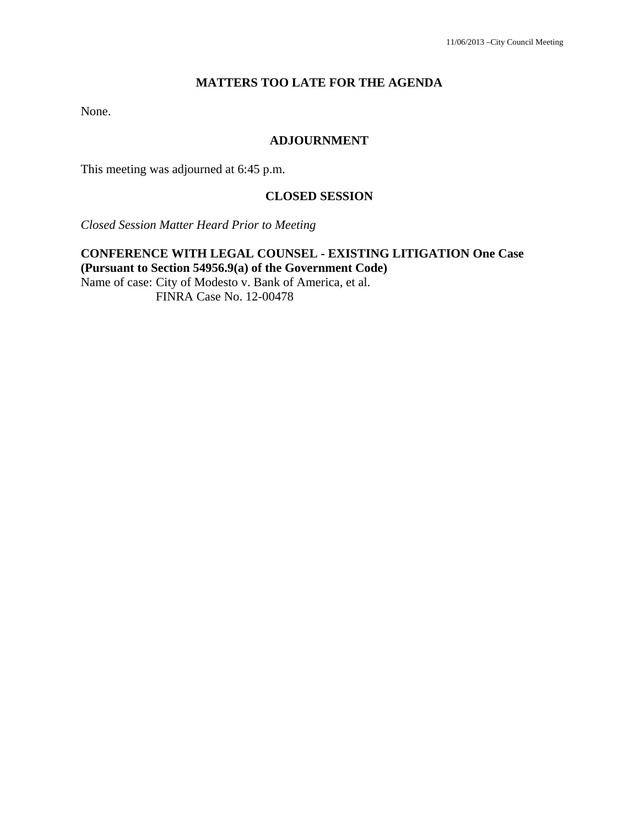## **MATTERS TOO LATE FOR THE AGENDA**

None.

## **ADJOURNMENT**

This meeting was adjourned at 6:45 p.m.

### **CLOSED SESSION**

*Closed Session Matter Heard Prior to Meeting*

## **CONFERENCE WITH LEGAL COUNSEL - EXISTING LITIGATION One Case (Pursuant to Section 54956.9(a) of the Government Code)**

Name of case: City of Modesto v. Bank of America, et al. FINRA Case No. 12-00478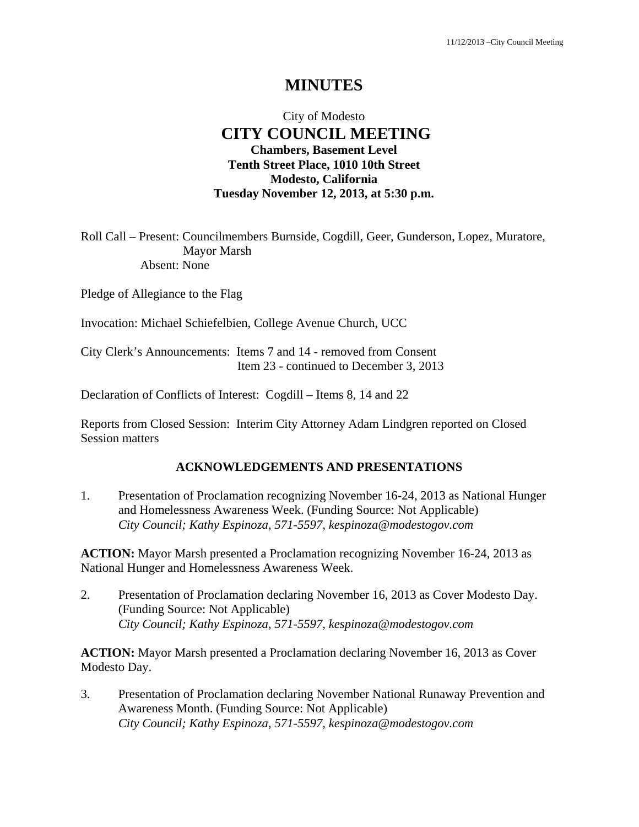# **MINUTES**

## City of Modesto  **CITY COUNCIL MEETING Chambers, Basement Level Tenth Street Place, 1010 10th Street Modesto, California Tuesday November 12, 2013, at 5:30 p.m.**

Roll Call – Present: Councilmembers Burnside, Cogdill, Geer, Gunderson, Lopez, Muratore, Mayor Marsh Absent: None

Pledge of Allegiance to the Flag

Invocation: Michael Schiefelbien, College Avenue Church, UCC

City Clerk's Announcements: Items 7 and 14 - removed from Consent Item 23 - continued to December 3, 2013

Declaration of Conflicts of Interest: Cogdill – Items 8, 14 and 22

Reports from Closed Session: Interim City Attorney Adam Lindgren reported on Closed Session matters

### **ACKNOWLEDGEMENTS AND PRESENTATIONS**

1. Presentation of Proclamation recognizing November 16-24, 2013 as National Hunger and Homelessness Awareness Week. (Funding Source: Not Applicable)  *City Council; Kathy Espinoza, 571-5597, kespinoza@modestogov.com* 

**ACTION:** Mayor Marsh presented a Proclamation recognizing November 16-24, 2013 as National Hunger and Homelessness Awareness Week.

2. Presentation of Proclamation declaring November 16, 2013 as Cover Modesto Day. (Funding Source: Not Applicable)  *City Council; Kathy Espinoza, 571-5597, kespinoza@modestogov.com* 

**ACTION:** Mayor Marsh presented a Proclamation declaring November 16, 2013 as Cover Modesto Day.

3. Presentation of Proclamation declaring November National Runaway Prevention and Awareness Month. (Funding Source: Not Applicable)  *City Council; Kathy Espinoza, 571-5597, kespinoza@modestogov.com*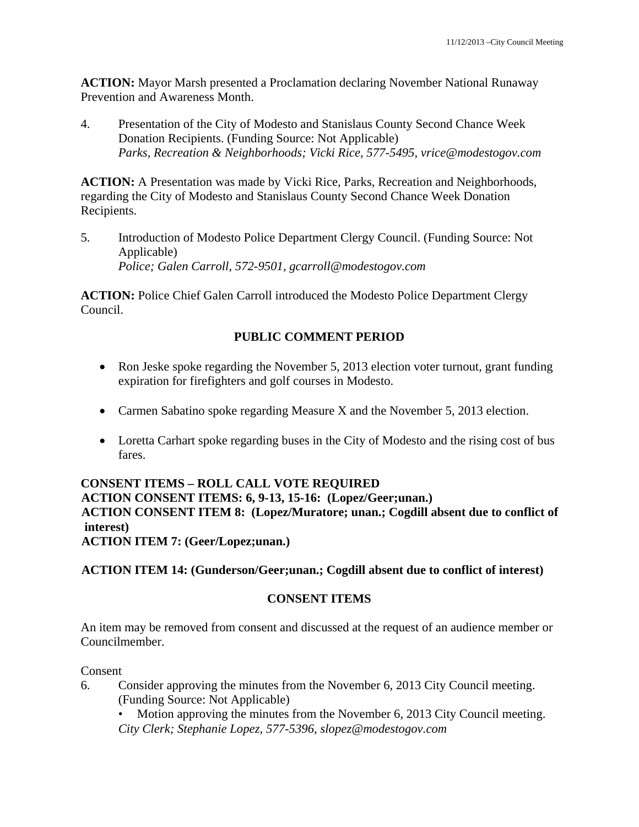**ACTION:** Mayor Marsh presented a Proclamation declaring November National Runaway Prevention and Awareness Month.

4. Presentation of the City of Modesto and Stanislaus County Second Chance Week Donation Recipients. (Funding Source: Not Applicable)  *Parks, Recreation & Neighborhoods; Vicki Rice, 577-5495, vrice@modestogov.com* 

**ACTION:** A Presentation was made by Vicki Rice, Parks, Recreation and Neighborhoods, regarding the City of Modesto and Stanislaus County Second Chance Week Donation Recipients.

5. Introduction of Modesto Police Department Clergy Council. (Funding Source: Not Applicable)  *Police; Galen Carroll, 572-9501, gcarroll@modestogov.com* 

**ACTION:** Police Chief Galen Carroll introduced the Modesto Police Department Clergy Council.

## **PUBLIC COMMENT PERIOD**

- Ron Jeske spoke regarding the November 5, 2013 election voter turnout, grant funding expiration for firefighters and golf courses in Modesto.
- Carmen Sabatino spoke regarding Measure X and the November 5, 2013 election.
- Loretta Carhart spoke regarding buses in the City of Modesto and the rising cost of bus fares.

**CONSENT ITEMS – ROLL CALL VOTE REQUIRED ACTION CONSENT ITEMS: 6, 9-13, 15-16: (Lopez/Geer;unan.) ACTION CONSENT ITEM 8: (Lopez/Muratore; unan.; Cogdill absent due to conflict of interest) ACTION ITEM 7: (Geer/Lopez;unan.)** 

 **ACTION ITEM 14: (Gunderson/Geer;unan.; Cogdill absent due to conflict of interest)** 

## **CONSENT ITEMS**

An item may be removed from consent and discussed at the request of an audience member or Councilmember.

Consent

- 6. Consider approving the minutes from the November 6, 2013 City Council meeting. (Funding Source: Not Applicable)
	- Motion approving the minutes from the November 6, 2013 City Council meeting. *City Clerk; Stephanie Lopez, 577-5396, slopez@modestogov.com*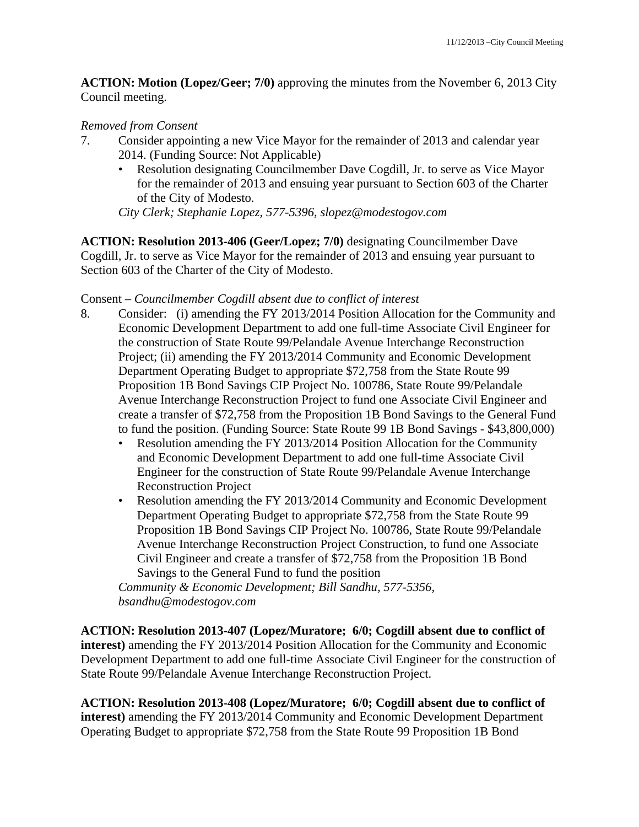**ACTION: Motion (Lopez/Geer; 7/0)** approving the minutes from the November 6, 2013 City Council meeting.

## *Removed from Consent*

- 7. Consider appointing a new Vice Mayor for the remainder of 2013 and calendar year 2014. (Funding Source: Not Applicable)
	- Resolution designating Councilmember Dave Cogdill, Jr. to serve as Vice Mayor for the remainder of 2013 and ensuing year pursuant to Section 603 of the Charter of the City of Modesto.

*City Clerk; Stephanie Lopez, 577-5396, slopez@modestogov.com* 

**ACTION: Resolution 2013-406 (Geer/Lopez; 7/0)** designating Councilmember Dave Cogdill, Jr. to serve as Vice Mayor for the remainder of 2013 and ensuing year pursuant to Section 603 of the Charter of the City of Modesto.

### Consent – *Councilmember Cogdill absent due to conflict of interest*

- 8. Consider: (i) amending the FY 2013/2014 Position Allocation for the Community and Economic Development Department to add one full-time Associate Civil Engineer for the construction of State Route 99/Pelandale Avenue Interchange Reconstruction Project; (ii) amending the FY 2013/2014 Community and Economic Development Department Operating Budget to appropriate \$72,758 from the State Route 99 Proposition 1B Bond Savings CIP Project No. 100786, State Route 99/Pelandale Avenue Interchange Reconstruction Project to fund one Associate Civil Engineer and create a transfer of \$72,758 from the Proposition 1B Bond Savings to the General Fund to fund the position. (Funding Source: State Route 99 1B Bond Savings - \$43,800,000)
	- Resolution amending the FY 2013/2014 Position Allocation for the Community and Economic Development Department to add one full-time Associate Civil Engineer for the construction of State Route 99/Pelandale Avenue Interchange Reconstruction Project
	- Resolution amending the FY 2013/2014 Community and Economic Development Department Operating Budget to appropriate \$72,758 from the State Route 99 Proposition 1B Bond Savings CIP Project No. 100786, State Route 99/Pelandale Avenue Interchange Reconstruction Project Construction, to fund one Associate Civil Engineer and create a transfer of \$72,758 from the Proposition 1B Bond Savings to the General Fund to fund the position

*Community & Economic Development; Bill Sandhu, 577-5356, bsandhu@modestogov.com* 

**ACTION: Resolution 2013-407 (Lopez/Muratore; 6/0; Cogdill absent due to conflict of interest)** amending the FY 2013/2014 Position Allocation for the Community and Economic Development Department to add one full-time Associate Civil Engineer for the construction of State Route 99/Pelandale Avenue Interchange Reconstruction Project.

**ACTION: Resolution 2013-408 (Lopez/Muratore; 6/0; Cogdill absent due to conflict of interest)** amending the FY 2013/2014 Community and Economic Development Department Operating Budget to appropriate \$72,758 from the State Route 99 Proposition 1B Bond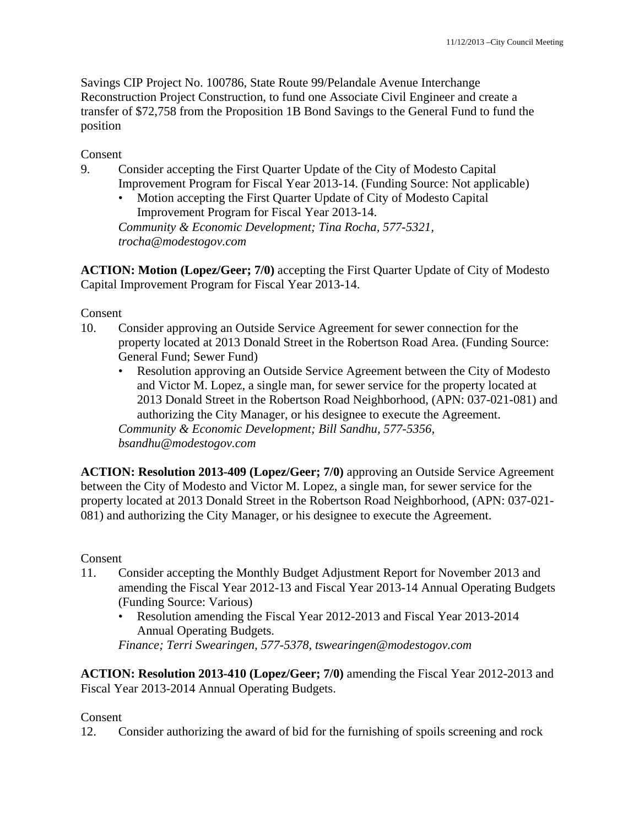Savings CIP Project No. 100786, State Route 99/Pelandale Avenue Interchange Reconstruction Project Construction, to fund one Associate Civil Engineer and create a transfer of \$72,758 from the Proposition 1B Bond Savings to the General Fund to fund the position

Consent

- 9. Consider accepting the First Quarter Update of the City of Modesto Capital Improvement Program for Fiscal Year 2013-14. (Funding Source: Not applicable)
	- Motion accepting the First Quarter Update of City of Modesto Capital Improvement Program for Fiscal Year 2013-14. *Community & Economic Development; Tina Rocha, 577-5321, trocha@modestogov.com*

**ACTION: Motion (Lopez/Geer; 7/0)** accepting the First Quarter Update of City of Modesto Capital Improvement Program for Fiscal Year 2013-14.

### Consent

- 10. Consider approving an Outside Service Agreement for sewer connection for the property located at 2013 Donald Street in the Robertson Road Area. (Funding Source: General Fund; Sewer Fund)
	- Resolution approving an Outside Service Agreement between the City of Modesto and Victor M. Lopez, a single man, for sewer service for the property located at 2013 Donald Street in the Robertson Road Neighborhood, (APN: 037-021-081) and authorizing the City Manager, or his designee to execute the Agreement. *Community & Economic Development; Bill Sandhu, 577-5356, bsandhu@modestogov.com*

**ACTION: Resolution 2013-409 (Lopez/Geer; 7/0)** approving an Outside Service Agreement between the City of Modesto and Victor M. Lopez, a single man, for sewer service for the property located at 2013 Donald Street in the Robertson Road Neighborhood, (APN: 037-021- 081) and authorizing the City Manager, or his designee to execute the Agreement.

### Consent

- 11. Consider accepting the Monthly Budget Adjustment Report for November 2013 and amending the Fiscal Year 2012-13 and Fiscal Year 2013-14 Annual Operating Budgets (Funding Source: Various)
	- Resolution amending the Fiscal Year 2012-2013 and Fiscal Year 2013-2014 Annual Operating Budgets.

*Finance; Terri Swearingen, 577-5378, tswearingen@modestogov.com* 

**ACTION: Resolution 2013-410 (Lopez/Geer; 7/0)** amending the Fiscal Year 2012-2013 and Fiscal Year 2013-2014 Annual Operating Budgets.

### **Consent**

12. Consider authorizing the award of bid for the furnishing of spoils screening and rock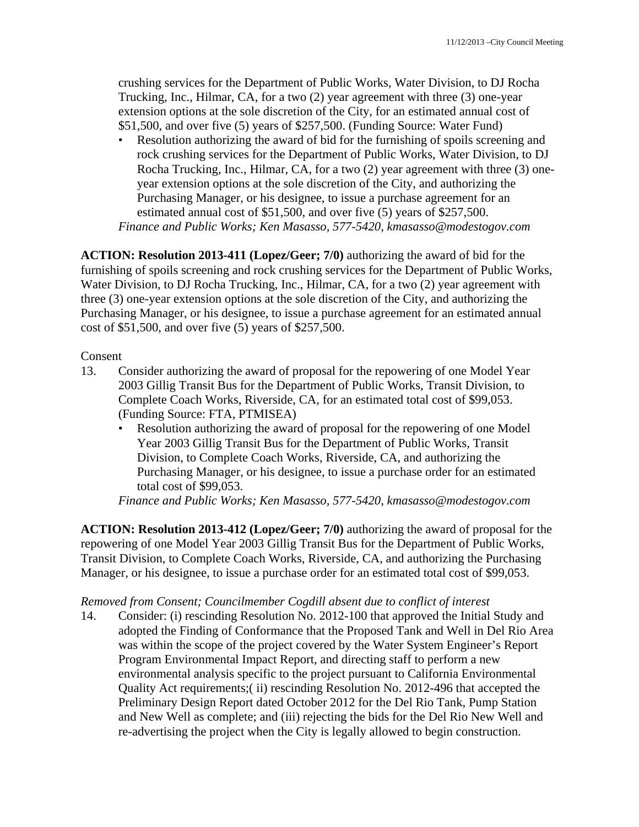crushing services for the Department of Public Works, Water Division, to DJ Rocha Trucking, Inc., Hilmar, CA, for a two (2) year agreement with three (3) one-year extension options at the sole discretion of the City, for an estimated annual cost of \$51,500, and over five (5) years of \$257,500. (Funding Source: Water Fund)

• Resolution authorizing the award of bid for the furnishing of spoils screening and rock crushing services for the Department of Public Works, Water Division, to DJ Rocha Trucking, Inc., Hilmar, CA, for a two (2) year agreement with three (3) oneyear extension options at the sole discretion of the City, and authorizing the Purchasing Manager, or his designee, to issue a purchase agreement for an estimated annual cost of \$51,500, and over five (5) years of \$257,500.

*Finance and Public Works; Ken Masasso, 577-5420, kmasasso@modestogov.com* 

**ACTION: Resolution 2013-411 (Lopez/Geer; 7/0)** authorizing the award of bid for the furnishing of spoils screening and rock crushing services for the Department of Public Works, Water Division, to DJ Rocha Trucking, Inc., Hilmar, CA, for a two (2) year agreement with three (3) one-year extension options at the sole discretion of the City, and authorizing the Purchasing Manager, or his designee, to issue a purchase agreement for an estimated annual cost of \$51,500, and over five (5) years of \$257,500.

### **Consent**

- 13. Consider authorizing the award of proposal for the repowering of one Model Year 2003 Gillig Transit Bus for the Department of Public Works, Transit Division, to Complete Coach Works, Riverside, CA, for an estimated total cost of \$99,053. (Funding Source: FTA, PTMISEA)
	- Resolution authorizing the award of proposal for the repowering of one Model Year 2003 Gillig Transit Bus for the Department of Public Works, Transit Division, to Complete Coach Works, Riverside, CA, and authorizing the Purchasing Manager, or his designee, to issue a purchase order for an estimated total cost of \$99,053.

*Finance and Public Works; Ken Masasso, 577-5420, kmasasso@modestogov.com* 

**ACTION: Resolution 2013-412 (Lopez/Geer; 7/0)** authorizing the award of proposal for the repowering of one Model Year 2003 Gillig Transit Bus for the Department of Public Works, Transit Division, to Complete Coach Works, Riverside, CA, and authorizing the Purchasing Manager, or his designee, to issue a purchase order for an estimated total cost of \$99,053.

### *Removed from Consent; Councilmember Cogdill absent due to conflict of interest*

14. Consider: (i) rescinding Resolution No. 2012-100 that approved the Initial Study and adopted the Finding of Conformance that the Proposed Tank and Well in Del Rio Area was within the scope of the project covered by the Water System Engineer's Report Program Environmental Impact Report, and directing staff to perform a new environmental analysis specific to the project pursuant to California Environmental Quality Act requirements;( ii) rescinding Resolution No. 2012-496 that accepted the Preliminary Design Report dated October 2012 for the Del Rio Tank, Pump Station and New Well as complete; and (iii) rejecting the bids for the Del Rio New Well and re-advertising the project when the City is legally allowed to begin construction.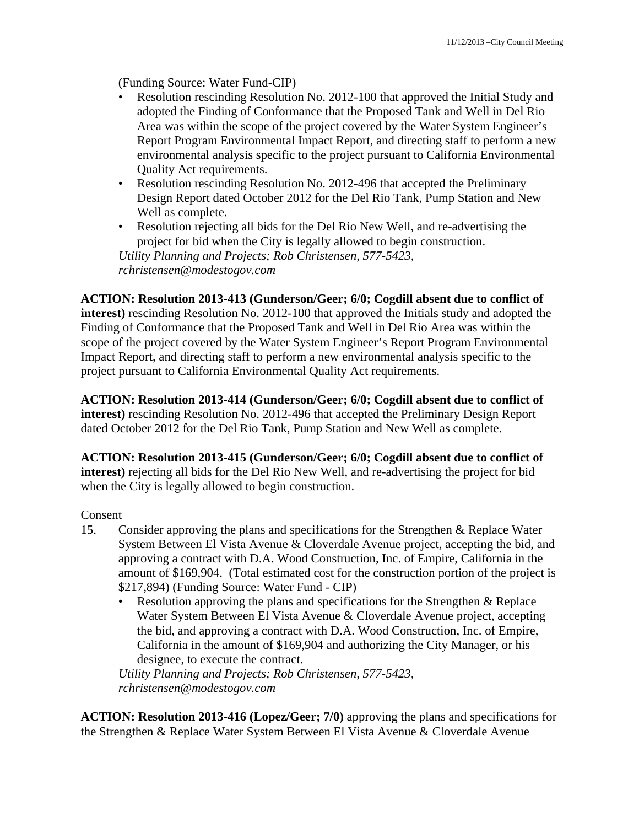(Funding Source: Water Fund-CIP)

- Resolution rescinding Resolution No. 2012-100 that approved the Initial Study and adopted the Finding of Conformance that the Proposed Tank and Well in Del Rio Area was within the scope of the project covered by the Water System Engineer's Report Program Environmental Impact Report, and directing staff to perform a new environmental analysis specific to the project pursuant to California Environmental Quality Act requirements.
- Resolution rescinding Resolution No. 2012-496 that accepted the Preliminary Design Report dated October 2012 for the Del Rio Tank, Pump Station and New Well as complete.
- Resolution rejecting all bids for the Del Rio New Well, and re-advertising the project for bid when the City is legally allowed to begin construction.

*Utility Planning and Projects; Rob Christensen, 577-5423, rchristensen@modestogov.com* 

**ACTION: Resolution 2013-413 (Gunderson/Geer; 6/0; Cogdill absent due to conflict of interest)** rescinding Resolution No. 2012-100 that approved the Initials study and adopted the

Finding of Conformance that the Proposed Tank and Well in Del Rio Area was within the scope of the project covered by the Water System Engineer's Report Program Environmental Impact Report, and directing staff to perform a new environmental analysis specific to the project pursuant to California Environmental Quality Act requirements.

**ACTION: Resolution 2013-414 (Gunderson/Geer; 6/0; Cogdill absent due to conflict of interest)** rescinding Resolution No. 2012-496 that accepted the Preliminary Design Report dated October 2012 for the Del Rio Tank, Pump Station and New Well as complete.

**ACTION: Resolution 2013-415 (Gunderson/Geer; 6/0; Cogdill absent due to conflict of interest)** rejecting all bids for the Del Rio New Well, and re-advertising the project for bid when the City is legally allowed to begin construction.

### Consent

- 15. Consider approving the plans and specifications for the Strengthen & Replace Water System Between El Vista Avenue & Cloverdale Avenue project, accepting the bid, and approving a contract with D.A. Wood Construction, Inc. of Empire, California in the amount of \$169,904. (Total estimated cost for the construction portion of the project is \$217,894) (Funding Source: Water Fund - CIP)
	- Resolution approving the plans and specifications for the Strengthen & Replace Water System Between El Vista Avenue & Cloverdale Avenue project, accepting the bid, and approving a contract with D.A. Wood Construction, Inc. of Empire, California in the amount of \$169,904 and authorizing the City Manager, or his designee, to execute the contract.

*Utility Planning and Projects; Rob Christensen, 577-5423, rchristensen@modestogov.com* 

**ACTION: Resolution 2013-416 (Lopez/Geer; 7/0)** approving the plans and specifications for the Strengthen & Replace Water System Between El Vista Avenue & Cloverdale Avenue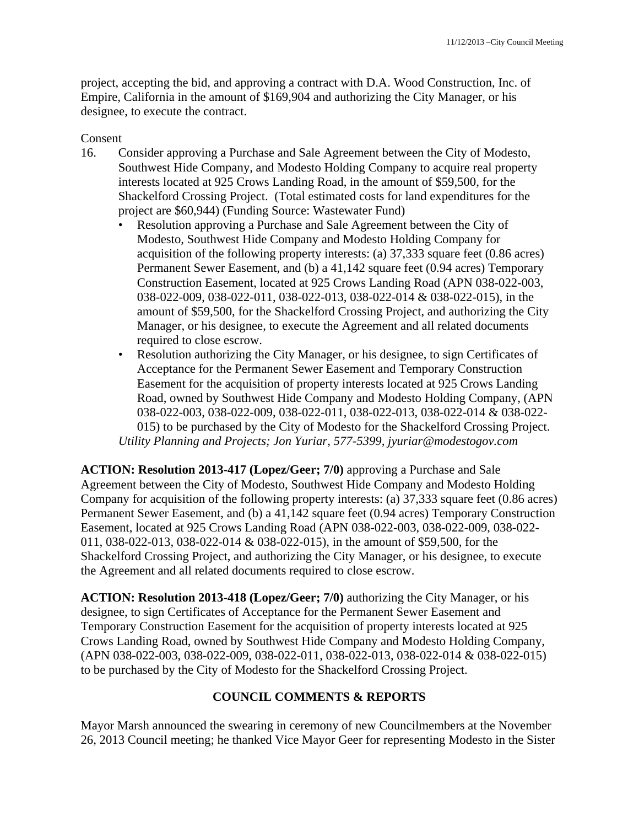project, accepting the bid, and approving a contract with D.A. Wood Construction, Inc. of Empire, California in the amount of \$169,904 and authorizing the City Manager, or his designee, to execute the contract.

### Consent

- 16. Consider approving a Purchase and Sale Agreement between the City of Modesto, Southwest Hide Company, and Modesto Holding Company to acquire real property interests located at 925 Crows Landing Road, in the amount of \$59,500, for the Shackelford Crossing Project. (Total estimated costs for land expenditures for the project are \$60,944) (Funding Source: Wastewater Fund)
	- Resolution approving a Purchase and Sale Agreement between the City of Modesto, Southwest Hide Company and Modesto Holding Company for acquisition of the following property interests: (a) 37,333 square feet (0.86 acres) Permanent Sewer Easement, and (b) a 41,142 square feet (0.94 acres) Temporary Construction Easement, located at 925 Crows Landing Road (APN 038-022-003, 038-022-009, 038-022-011, 038-022-013, 038-022-014 & 038-022-015), in the amount of \$59,500, for the Shackelford Crossing Project, and authorizing the City Manager, or his designee, to execute the Agreement and all related documents required to close escrow.
	- Resolution authorizing the City Manager, or his designee, to sign Certificates of Acceptance for the Permanent Sewer Easement and Temporary Construction Easement for the acquisition of property interests located at 925 Crows Landing Road, owned by Southwest Hide Company and Modesto Holding Company, (APN 038-022-003, 038-022-009, 038-022-011, 038-022-013, 038-022-014 & 038-022- 015) to be purchased by the City of Modesto for the Shackelford Crossing Project. *Utility Planning and Projects; Jon Yuriar, 577-5399, jyuriar@modestogov.com*

**ACTION: Resolution 2013-417 (Lopez/Geer; 7/0)** approving a Purchase and Sale Agreement between the City of Modesto, Southwest Hide Company and Modesto Holding Company for acquisition of the following property interests: (a) 37,333 square feet (0.86 acres) Permanent Sewer Easement, and (b) a 41,142 square feet (0.94 acres) Temporary Construction Easement, located at 925 Crows Landing Road (APN 038-022-003, 038-022-009, 038-022- 011, 038-022-013, 038-022-014 & 038-022-015), in the amount of \$59,500, for the Shackelford Crossing Project, and authorizing the City Manager, or his designee, to execute the Agreement and all related documents required to close escrow.

**ACTION: Resolution 2013-418 (Lopez/Geer; 7/0)** authorizing the City Manager, or his designee, to sign Certificates of Acceptance for the Permanent Sewer Easement and Temporary Construction Easement for the acquisition of property interests located at 925 Crows Landing Road, owned by Southwest Hide Company and Modesto Holding Company, (APN 038-022-003, 038-022-009, 038-022-011, 038-022-013, 038-022-014 & 038-022-015) to be purchased by the City of Modesto for the Shackelford Crossing Project.

## **COUNCIL COMMENTS & REPORTS**

Mayor Marsh announced the swearing in ceremony of new Councilmembers at the November 26, 2013 Council meeting; he thanked Vice Mayor Geer for representing Modesto in the Sister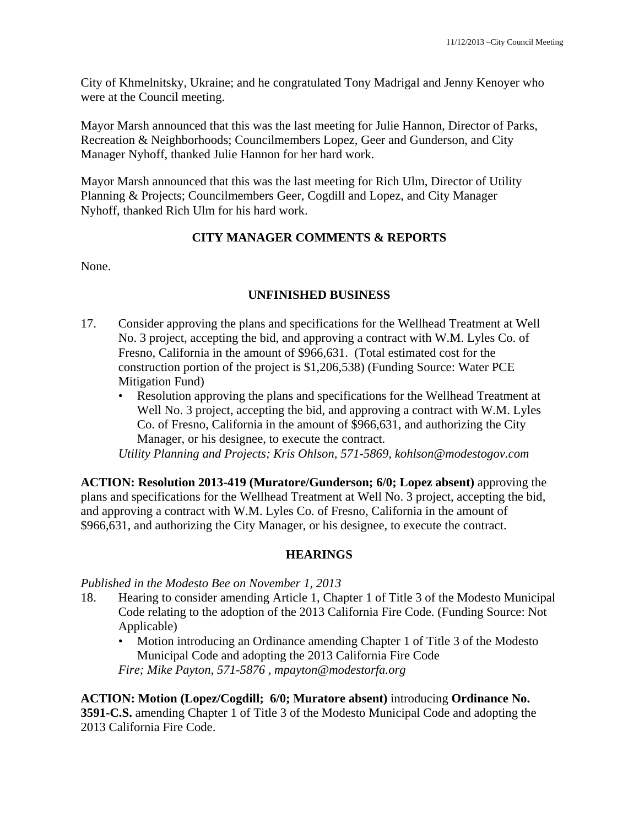City of Khmelnitsky, Ukraine; and he congratulated Tony Madrigal and Jenny Kenoyer who were at the Council meeting.

Mayor Marsh announced that this was the last meeting for Julie Hannon, Director of Parks, Recreation & Neighborhoods; Councilmembers Lopez, Geer and Gunderson, and City Manager Nyhoff, thanked Julie Hannon for her hard work.

Mayor Marsh announced that this was the last meeting for Rich Ulm, Director of Utility Planning & Projects; Councilmembers Geer, Cogdill and Lopez, and City Manager Nyhoff, thanked Rich Ulm for his hard work.

## **CITY MANAGER COMMENTS & REPORTS**

None.

## **UNFINISHED BUSINESS**

- 17. Consider approving the plans and specifications for the Wellhead Treatment at Well No. 3 project, accepting the bid, and approving a contract with W.M. Lyles Co. of Fresno, California in the amount of \$966,631. (Total estimated cost for the construction portion of the project is \$1,206,538) (Funding Source: Water PCE Mitigation Fund)
	- Resolution approving the plans and specifications for the Wellhead Treatment at Well No. 3 project, accepting the bid, and approving a contract with W.M. Lyles Co. of Fresno, California in the amount of \$966,631, and authorizing the City Manager, or his designee, to execute the contract.

*Utility Planning and Projects; Kris Ohlson, 571-5869, kohlson@modestogov.com* 

**ACTION: Resolution 2013-419 (Muratore/Gunderson; 6/0; Lopez absent)** approving the plans and specifications for the Wellhead Treatment at Well No. 3 project, accepting the bid, and approving a contract with W.M. Lyles Co. of Fresno, California in the amount of \$966,631, and authorizing the City Manager, or his designee, to execute the contract.

## **HEARINGS**

*Published in the Modesto Bee on November 1, 2013* 

- 18. Hearing to consider amending Article 1, Chapter 1 of Title 3 of the Modesto Municipal Code relating to the adoption of the 2013 California Fire Code. (Funding Source: Not Applicable)
	- Motion introducing an Ordinance amending Chapter 1 of Title 3 of the Modesto Municipal Code and adopting the 2013 California Fire Code

*Fire; Mike Payton, 571-5876 , mpayton@modestorfa.org* 

**ACTION: Motion (Lopez/Cogdill; 6/0; Muratore absent)** introducing **Ordinance No. 3591-C.S.** amending Chapter 1 of Title 3 of the Modesto Municipal Code and adopting the 2013 California Fire Code.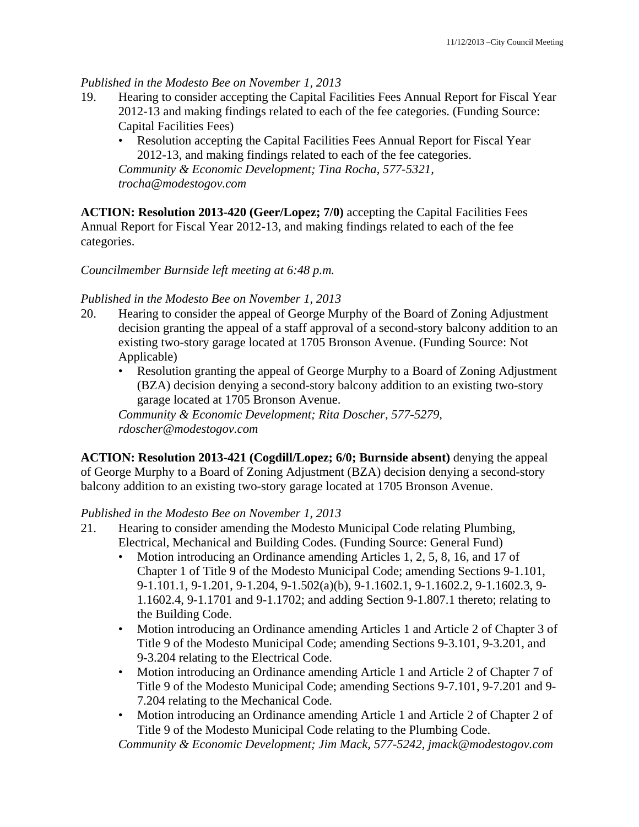### *Published in the Modesto Bee on November 1, 2013*

- 19. Hearing to consider accepting the Capital Facilities Fees Annual Report for Fiscal Year 2012-13 and making findings related to each of the fee categories. (Funding Source: Capital Facilities Fees)
	- Resolution accepting the Capital Facilities Fees Annual Report for Fiscal Year 2012-13, and making findings related to each of the fee categories. *Community & Economic Development; Tina Rocha, 577-5321, trocha@modestogov.com*

**ACTION: Resolution 2013-420 (Geer/Lopez; 7/0)** accepting the Capital Facilities Fees Annual Report for Fiscal Year 2012-13, and making findings related to each of the fee categories.

## *Councilmember Burnside left meeting at 6:48 p.m.*

### *Published in the Modesto Bee on November 1, 2013*

- 20. Hearing to consider the appeal of George Murphy of the Board of Zoning Adjustment decision granting the appeal of a staff approval of a second-story balcony addition to an existing two-story garage located at 1705 Bronson Avenue. (Funding Source: Not Applicable)
	- Resolution granting the appeal of George Murphy to a Board of Zoning Adjustment (BZA) decision denying a second-story balcony addition to an existing two-story garage located at 1705 Bronson Avenue.

*Community & Economic Development; Rita Doscher, 577-5279, rdoscher@modestogov.com* 

**ACTION: Resolution 2013-421 (Cogdill/Lopez; 6/0; Burnside absent)** denying the appeal of George Murphy to a Board of Zoning Adjustment (BZA) decision denying a second-story balcony addition to an existing two-story garage located at 1705 Bronson Avenue.

### *Published in the Modesto Bee on November 1, 2013*

- 21. Hearing to consider amending the Modesto Municipal Code relating Plumbing, Electrical, Mechanical and Building Codes. (Funding Source: General Fund)
	- Motion introducing an Ordinance amending Articles 1, 2, 5, 8, 16, and 17 of Chapter 1 of Title 9 of the Modesto Municipal Code; amending Sections 9-1.101, 9-1.101.1, 9-1.201, 9-1.204, 9-1.502(a)(b), 9-1.1602.1, 9-1.1602.2, 9-1.1602.3, 9- 1.1602.4, 9-1.1701 and 9-1.1702; and adding Section 9-1.807.1 thereto; relating to the Building Code.
	- Motion introducing an Ordinance amending Articles 1 and Article 2 of Chapter 3 of Title 9 of the Modesto Municipal Code; amending Sections 9-3.101, 9-3.201, and 9-3.204 relating to the Electrical Code.
	- Motion introducing an Ordinance amending Article 1 and Article 2 of Chapter 7 of Title 9 of the Modesto Municipal Code; amending Sections 9-7.101, 9-7.201 and 9- 7.204 relating to the Mechanical Code.
	- Motion introducing an Ordinance amending Article 1 and Article 2 of Chapter 2 of Title 9 of the Modesto Municipal Code relating to the Plumbing Code.

*Community & Economic Development; Jim Mack, 577-5242, jmack@modestogov.com*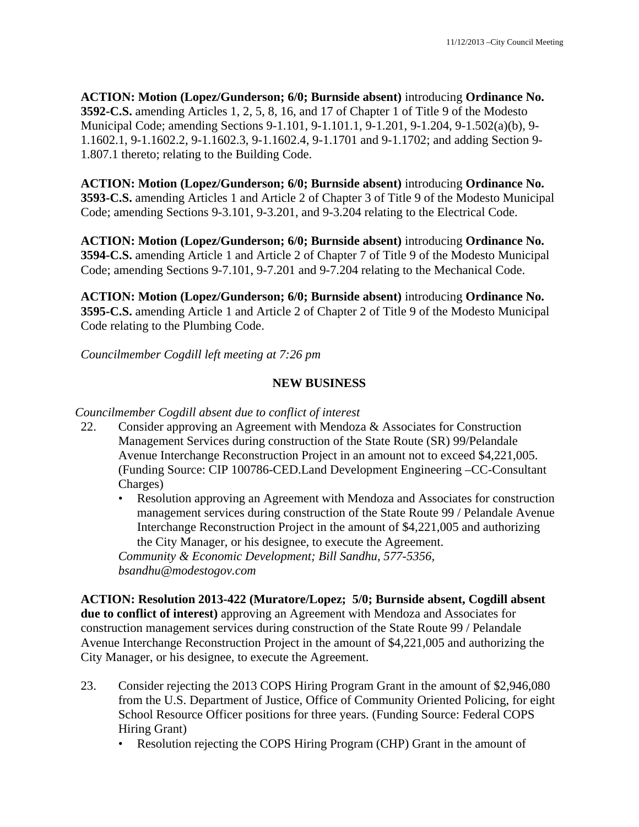**ACTION: Motion (Lopez/Gunderson; 6/0; Burnside absent)** introducing **Ordinance No. 3592-C.S.** amending Articles 1, 2, 5, 8, 16, and 17 of Chapter 1 of Title 9 of the Modesto Municipal Code; amending Sections 9-1.101, 9-1.101.1, 9-1.201, 9-1.204, 9-1.502(a)(b), 9- 1.1602.1, 9-1.1602.2, 9-1.1602.3, 9-1.1602.4, 9-1.1701 and 9-1.1702; and adding Section 9- 1.807.1 thereto; relating to the Building Code.

**ACTION: Motion (Lopez/Gunderson; 6/0; Burnside absent)** introducing **Ordinance No. 3593-C.S.** amending Articles 1 and Article 2 of Chapter 3 of Title 9 of the Modesto Municipal Code; amending Sections 9-3.101, 9-3.201, and 9-3.204 relating to the Electrical Code.

**ACTION: Motion (Lopez/Gunderson; 6/0; Burnside absent)** introducing **Ordinance No. 3594-C.S.** amending Article 1 and Article 2 of Chapter 7 of Title 9 of the Modesto Municipal Code; amending Sections 9-7.101, 9-7.201 and 9-7.204 relating to the Mechanical Code.

**ACTION: Motion (Lopez/Gunderson; 6/0; Burnside absent)** introducing **Ordinance No. 3595-C.S.** amending Article 1 and Article 2 of Chapter 2 of Title 9 of the Modesto Municipal Code relating to the Plumbing Code.

*Councilmember Cogdill left meeting at 7:26 pm* 

## **NEW BUSINESS**

*Councilmember Cogdill absent due to conflict of interest* 

- 22. Consider approving an Agreement with Mendoza & Associates for Construction Management Services during construction of the State Route (SR) 99/Pelandale Avenue Interchange Reconstruction Project in an amount not to exceed \$4,221,005. (Funding Source: CIP 100786-CED.Land Development Engineering –CC-Consultant Charges)
	- Resolution approving an Agreement with Mendoza and Associates for construction management services during construction of the State Route 99 / Pelandale Avenue Interchange Reconstruction Project in the amount of \$4,221,005 and authorizing the City Manager, or his designee, to execute the Agreement.

*Community & Economic Development; Bill Sandhu, 577-5356, bsandhu@modestogov.com* 

**ACTION: Resolution 2013-422 (Muratore/Lopez; 5/0; Burnside absent, Cogdill absent due to conflict of interest)** approving an Agreement with Mendoza and Associates for construction management services during construction of the State Route 99 / Pelandale Avenue Interchange Reconstruction Project in the amount of \$4,221,005 and authorizing the City Manager, or his designee, to execute the Agreement.

- 23. Consider rejecting the 2013 COPS Hiring Program Grant in the amount of \$2,946,080 from the U.S. Department of Justice, Office of Community Oriented Policing, for eight School Resource Officer positions for three years. (Funding Source: Federal COPS Hiring Grant)
	- Resolution rejecting the COPS Hiring Program (CHP) Grant in the amount of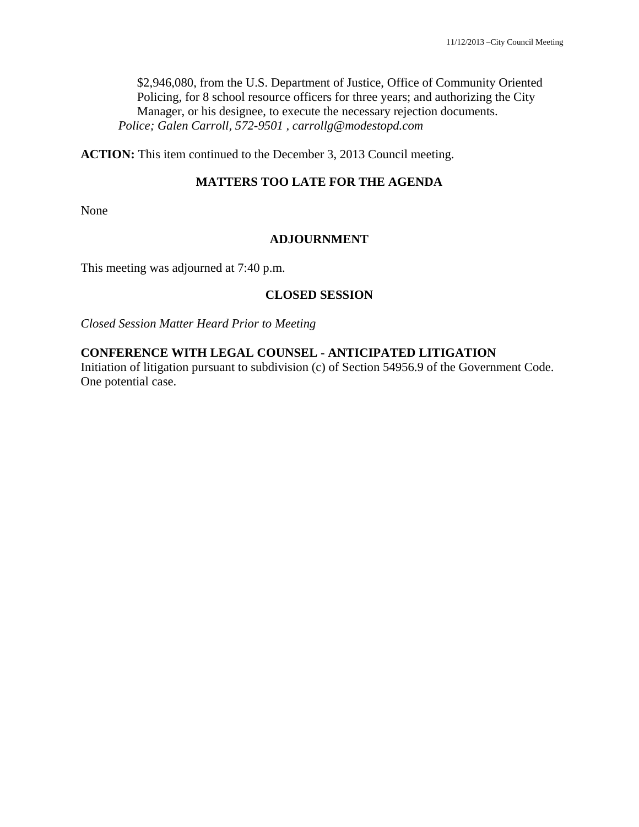\$2,946,080, from the U.S. Department of Justice, Office of Community Oriented Policing, for 8 school resource officers for three years; and authorizing the City Manager, or his designee, to execute the necessary rejection documents. *Police; Galen Carroll, 572-9501 , carrollg@modestopd.com* 

**ACTION:** This item continued to the December 3, 2013 Council meeting.

## **MATTERS TOO LATE FOR THE AGENDA**

None

## **ADJOURNMENT**

This meeting was adjourned at 7:40 p.m.

## **CLOSED SESSION**

*Closed Session Matter Heard Prior to Meeting*

## **CONFERENCE WITH LEGAL COUNSEL - ANTICIPATED LITIGATION**

Initiation of litigation pursuant to subdivision (c) of Section 54956.9 of the Government Code. One potential case.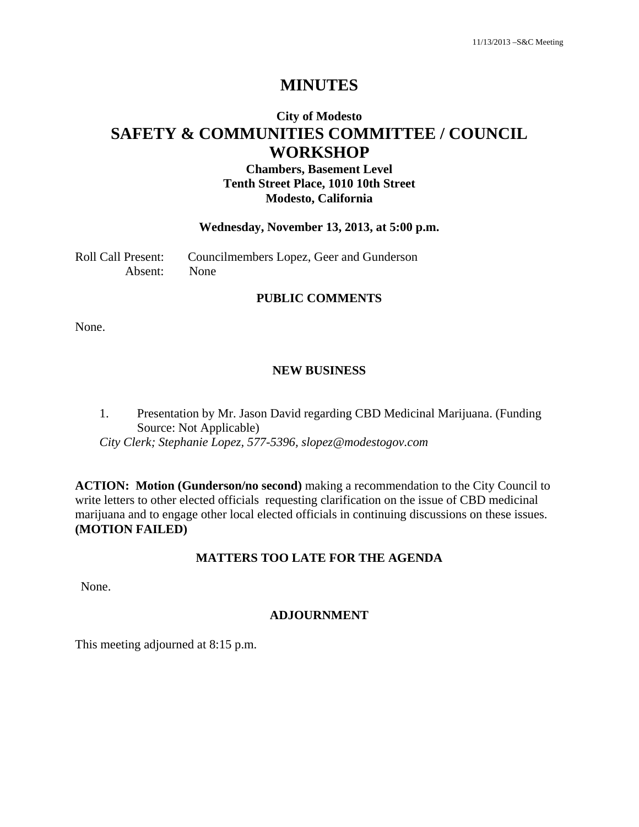# **MINUTES**

## **City of Modesto SAFETY & COMMUNITIES COMMITTEE / COUNCIL WORKSHOP**

## **Chambers, Basement Level Tenth Street Place, 1010 10th Street Modesto, California**

### **Wednesday, November 13, 2013, at 5:00 p.m.**

Roll Call Present: Councilmembers Lopez, Geer and Gunderson Absent: None

### **PUBLIC COMMENTS**

None.

### **NEW BUSINESS**

1. Presentation by Mr. Jason David regarding CBD Medicinal Marijuana. (Funding Source: Not Applicable) *City Clerk; Stephanie Lopez, 577-5396, slopez@modestogov.com* 

**ACTION: Motion (Gunderson/no second)** making a recommendation to the City Council to write letters to other elected officials requesting clarification on the issue of CBD medicinal marijuana and to engage other local elected officials in continuing discussions on these issues. **(MOTION FAILED)**

### **MATTERS TOO LATE FOR THE AGENDA**

None.

### **ADJOURNMENT**

This meeting adjourned at 8:15 p.m.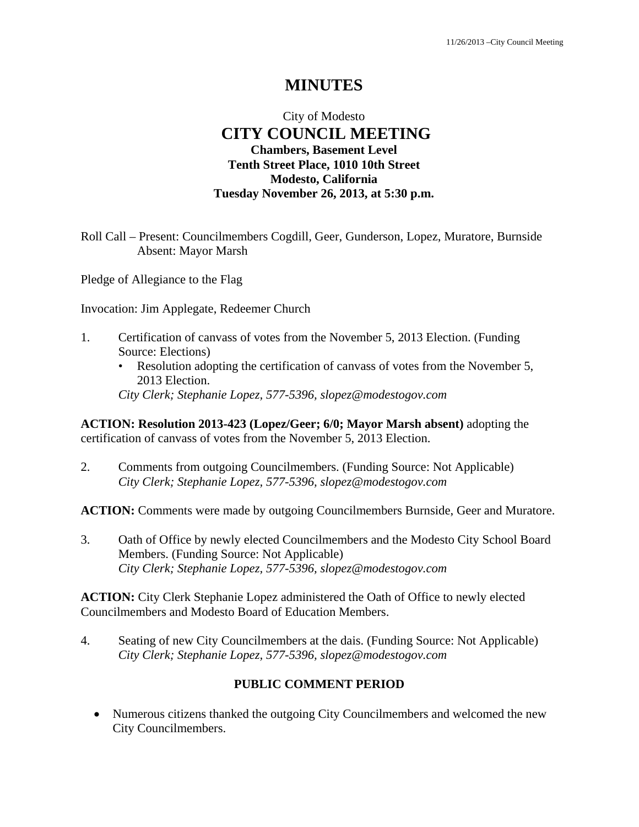# **MINUTES**

## City of Modesto  **CITY COUNCIL MEETING Chambers, Basement Level Tenth Street Place, 1010 10th Street Modesto, California Tuesday November 26, 2013, at 5:30 p.m.**

Roll Call – Present: Councilmembers Cogdill, Geer, Gunderson, Lopez, Muratore, Burnside Absent: Mayor Marsh

Pledge of Allegiance to the Flag

Invocation: Jim Applegate, Redeemer Church

- 1. Certification of canvass of votes from the November 5, 2013 Election. (Funding Source: Elections)
	- Resolution adopting the certification of canvass of votes from the November 5, 2013 Election.

*City Clerk; Stephanie Lopez, 577-5396, slopez@modestogov.com* 

**ACTION: Resolution 2013-423 (Lopez/Geer; 6/0; Mayor Marsh absent)** adopting the certification of canvass of votes from the November 5, 2013 Election.

2. Comments from outgoing Councilmembers. (Funding Source: Not Applicable)  *City Clerk; Stephanie Lopez, 577-5396, slopez@modestogov.com* 

**ACTION:** Comments were made by outgoing Councilmembers Burnside, Geer and Muratore.

3. Oath of Office by newly elected Councilmembers and the Modesto City School Board Members. (Funding Source: Not Applicable)  *City Clerk; Stephanie Lopez, 577-5396, slopez@modestogov.com* 

**ACTION:** City Clerk Stephanie Lopez administered the Oath of Office to newly elected Councilmembers and Modesto Board of Education Members.

4. Seating of new City Councilmembers at the dais. (Funding Source: Not Applicable)  *City Clerk; Stephanie Lopez, 577-5396, slopez@modestogov.com* 

## **PUBLIC COMMENT PERIOD**

 Numerous citizens thanked the outgoing City Councilmembers and welcomed the new City Councilmembers.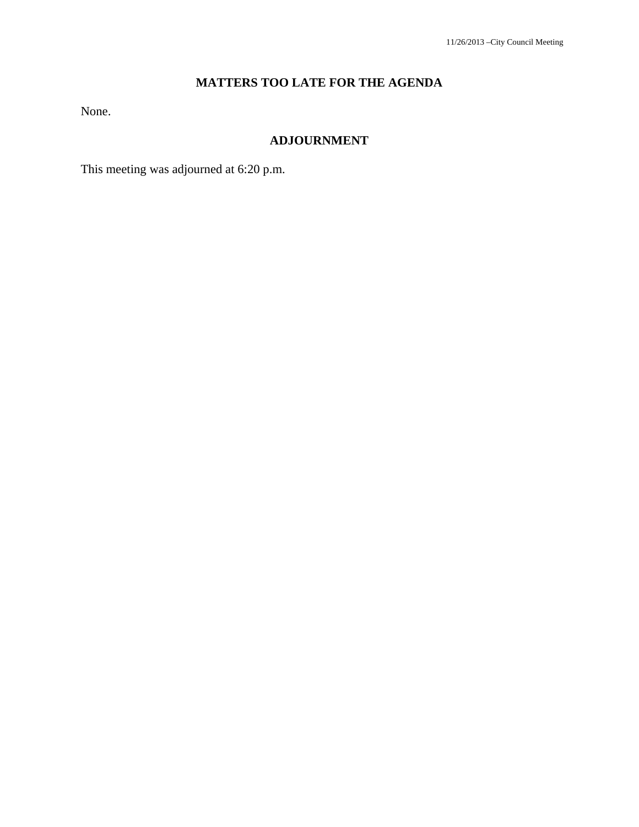## **MATTERS TOO LATE FOR THE AGENDA**

None.

## **ADJOURNMENT**

This meeting was adjourned at 6:20 p.m.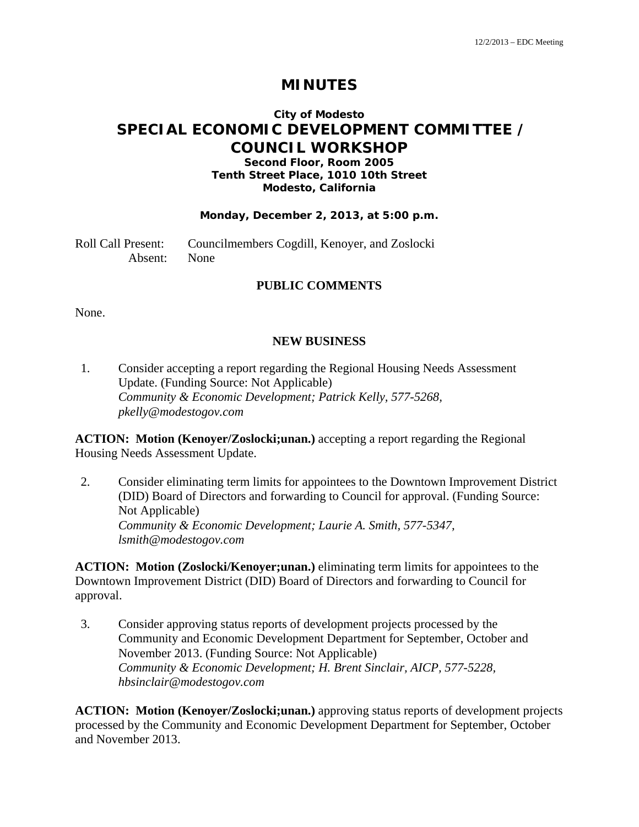# **MINUTES**

# **City of Modesto SPECIAL ECONOMIC DEVELOPMENT COMMITTEE / COUNCIL WORKSHOP**

### **Second Floor, Room 2005 Tenth Street Place, 1010 10th Street Modesto, California**

### **Monday, December 2, 2013, at 5:00 p.m.**

Roll Call Present: Councilmembers Cogdill, Kenoyer, and Zoslocki Absent: None

## **PUBLIC COMMENTS**

None.

## **NEW BUSINESS**

1. Consider accepting a report regarding the Regional Housing Needs Assessment Update. (Funding Source: Not Applicable)  *Community & Economic Development; Patrick Kelly, 577-5268, pkelly@modestogov.com* 

**ACTION: Motion (Kenoyer/Zoslocki;unan.)** accepting a report regarding the Regional Housing Needs Assessment Update.

2. Consider eliminating term limits for appointees to the Downtown Improvement District (DID) Board of Directors and forwarding to Council for approval. (Funding Source: Not Applicable)  *Community & Economic Development; Laurie A. Smith, 577-5347, lsmith@modestogov.com* 

**ACTION: Motion (Zoslocki/Kenoyer;unan.)** eliminating term limits for appointees to the Downtown Improvement District (DID) Board of Directors and forwarding to Council for approval.

3. Consider approving status reports of development projects processed by the Community and Economic Development Department for September, October and November 2013. (Funding Source: Not Applicable)  *Community & Economic Development; H. Brent Sinclair, AICP, 577-5228, hbsinclair@modestogov.com* 

**ACTION: Motion (Kenoyer/Zoslocki;unan.)** approving status reports of development projects processed by the Community and Economic Development Department for September, October and November 2013.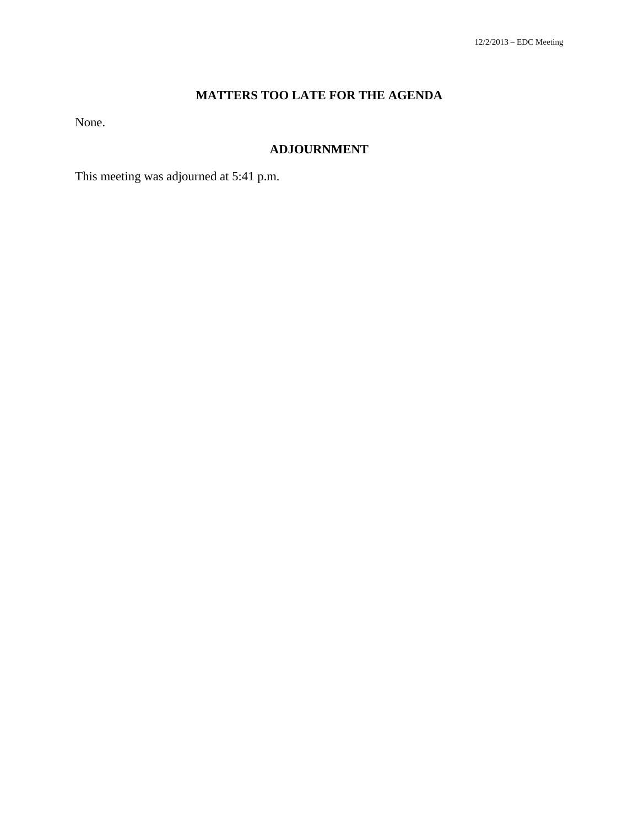## **MATTERS TOO LATE FOR THE AGENDA**

None.

## **ADJOURNMENT**

This meeting was adjourned at 5:41 p.m.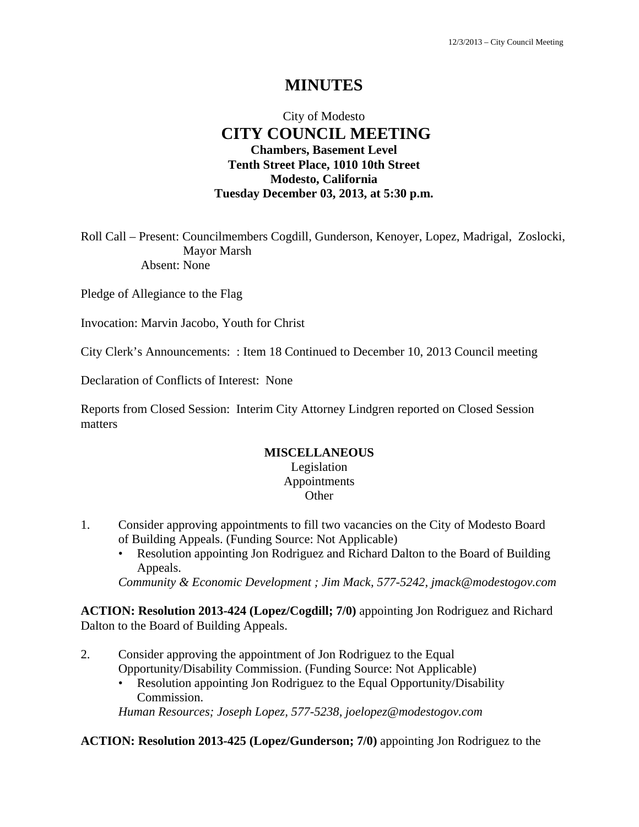# **MINUTES**

## City of Modesto  **CITY COUNCIL MEETING Chambers, Basement Level Tenth Street Place, 1010 10th Street Modesto, California Tuesday December 03, 2013, at 5:30 p.m.**

Roll Call – Present: Councilmembers Cogdill, Gunderson, Kenoyer, Lopez, Madrigal, Zoslocki, Mayor Marsh Absent: None

Pledge of Allegiance to the Flag

Invocation: Marvin Jacobo, Youth for Christ

City Clerk's Announcements: : Item 18 Continued to December 10, 2013 Council meeting

Declaration of Conflicts of Interest: None

Reports from Closed Session: Interim City Attorney Lindgren reported on Closed Session matters

### **MISCELLANEOUS**

### Legislation Appointments **Other**

- 1. Consider approving appointments to fill two vacancies on the City of Modesto Board of Building Appeals. (Funding Source: Not Applicable)
	- Resolution appointing Jon Rodriguez and Richard Dalton to the Board of Building Appeals.

*Community & Economic Development ; Jim Mack, 577-5242, jmack@modestogov.com* 

**ACTION: Resolution 2013-424 (Lopez/Cogdill; 7/0)** appointing Jon Rodriguez and Richard Dalton to the Board of Building Appeals.

- 2. Consider approving the appointment of Jon Rodriguez to the Equal Opportunity/Disability Commission. (Funding Source: Not Applicable)
	- Resolution appointing Jon Rodriguez to the Equal Opportunity/Disability Commission.

*Human Resources; Joseph Lopez, 577-5238, joelopez@modestogov.com* 

**ACTION: Resolution 2013-425 (Lopez/Gunderson; 7/0)** appointing Jon Rodriguez to the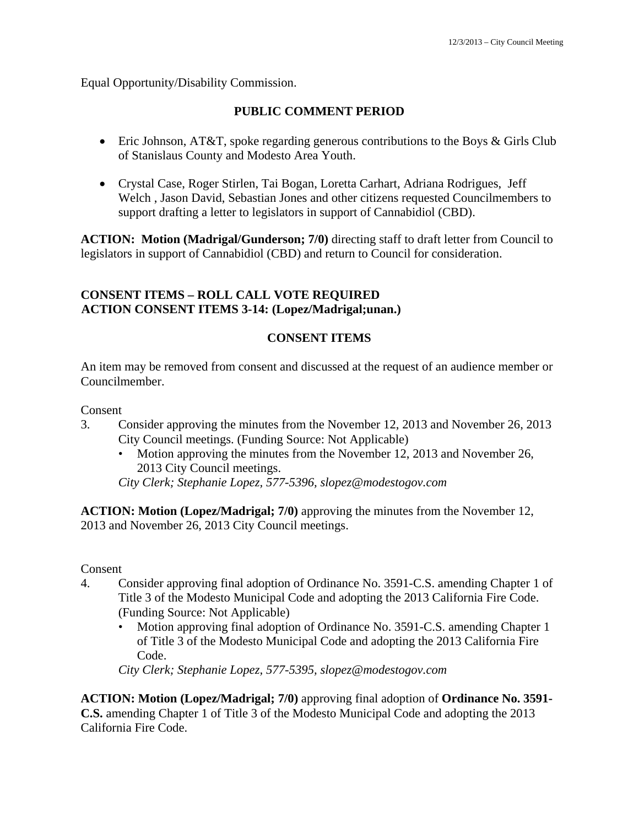Equal Opportunity/Disability Commission.

## **PUBLIC COMMENT PERIOD**

- Eric Johnson, AT&T, spoke regarding generous contributions to the Boys & Girls Club of Stanislaus County and Modesto Area Youth.
- Crystal Case, Roger Stirlen, Tai Bogan, Loretta Carhart, Adriana Rodrigues, Jeff Welch , Jason David, Sebastian Jones and other citizens requested Councilmembers to support drafting a letter to legislators in support of Cannabidiol (CBD).

**ACTION: Motion (Madrigal/Gunderson; 7/0)** directing staff to draft letter from Council to legislators in support of Cannabidiol (CBD) and return to Council for consideration.

## **CONSENT ITEMS – ROLL CALL VOTE REQUIRED ACTION CONSENT ITEMS 3-14: (Lopez/Madrigal;unan.)**

## **CONSENT ITEMS**

An item may be removed from consent and discussed at the request of an audience member or Councilmember.

Consent

- 3. Consider approving the minutes from the November 12, 2013 and November 26, 2013 City Council meetings. (Funding Source: Not Applicable)
	- Motion approving the minutes from the November 12, 2013 and November 26, 2013 City Council meetings.

*City Clerk; Stephanie Lopez, 577-5396, slopez@modestogov.com* 

**ACTION: Motion (Lopez/Madrigal; 7/0)** approving the minutes from the November 12, 2013 and November 26, 2013 City Council meetings.

Consent

- 4. Consider approving final adoption of Ordinance No. 3591-C.S. amending Chapter 1 of Title 3 of the Modesto Municipal Code and adopting the 2013 California Fire Code. (Funding Source: Not Applicable)
	- Motion approving final adoption of Ordinance No. 3591-C.S. amending Chapter 1 of Title 3 of the Modesto Municipal Code and adopting the 2013 California Fire Code.

*City Clerk; Stephanie Lopez, 577-5395, slopez@modestogov.com* 

**ACTION: Motion (Lopez/Madrigal; 7/0)** approving final adoption of **Ordinance No. 3591- C.S.** amending Chapter 1 of Title 3 of the Modesto Municipal Code and adopting the 2013 California Fire Code.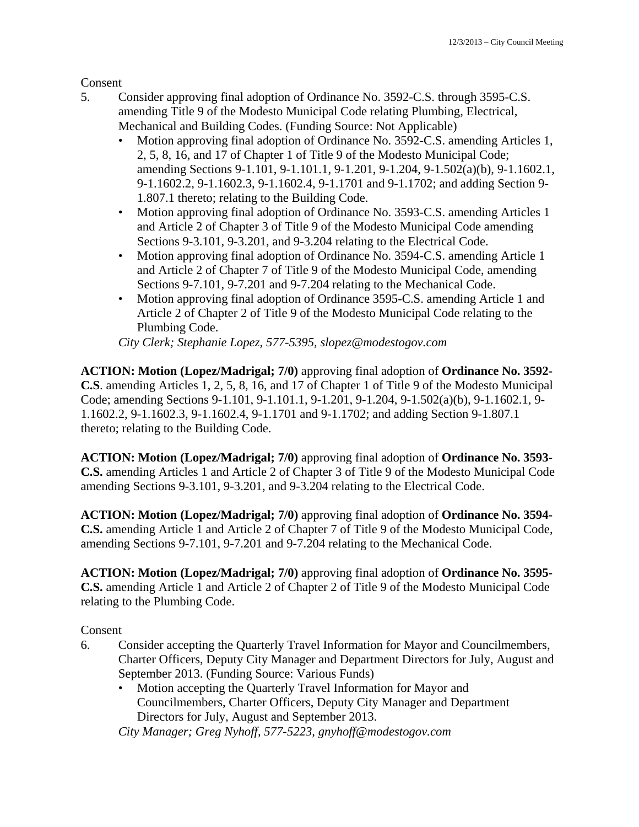Consent

- 5. Consider approving final adoption of Ordinance No. 3592-C.S. through 3595-C.S. amending Title 9 of the Modesto Municipal Code relating Plumbing, Electrical, Mechanical and Building Codes. (Funding Source: Not Applicable)
	- Motion approving final adoption of Ordinance No. 3592-C.S. amending Articles 1, 2, 5, 8, 16, and 17 of Chapter 1 of Title 9 of the Modesto Municipal Code; amending Sections 9-1.101, 9-1.101.1, 9-1.201, 9-1.204, 9-1.502(a)(b), 9-1.1602.1, 9-1.1602.2, 9-1.1602.3, 9-1.1602.4, 9-1.1701 and 9-1.1702; and adding Section 9- 1.807.1 thereto; relating to the Building Code.
	- Motion approving final adoption of Ordinance No. 3593-C.S. amending Articles 1 and Article 2 of Chapter 3 of Title 9 of the Modesto Municipal Code amending Sections 9-3.101, 9-3.201, and 9-3.204 relating to the Electrical Code.
	- Motion approving final adoption of Ordinance No. 3594-C.S. amending Article 1 and Article 2 of Chapter 7 of Title 9 of the Modesto Municipal Code, amending Sections 9-7.101, 9-7.201 and 9-7.204 relating to the Mechanical Code.
	- Motion approving final adoption of Ordinance 3595-C.S. amending Article 1 and Article 2 of Chapter 2 of Title 9 of the Modesto Municipal Code relating to the Plumbing Code.

*City Clerk; Stephanie Lopez, 577-5395, slopez@modestogov.com* 

**ACTION: Motion (Lopez/Madrigal; 7/0)** approving final adoption of **Ordinance No. 3592- C.S**. amending Articles 1, 2, 5, 8, 16, and 17 of Chapter 1 of Title 9 of the Modesto Municipal Code; amending Sections 9-1.101, 9-1.101.1, 9-1.201, 9-1.204, 9-1.502(a)(b), 9-1.1602.1, 9- 1.1602.2, 9-1.1602.3, 9-1.1602.4, 9-1.1701 and 9-1.1702; and adding Section 9-1.807.1 thereto; relating to the Building Code.

**ACTION: Motion (Lopez/Madrigal; 7/0)** approving final adoption of **Ordinance No. 3593- C.S.** amending Articles 1 and Article 2 of Chapter 3 of Title 9 of the Modesto Municipal Code amending Sections 9-3.101, 9-3.201, and 9-3.204 relating to the Electrical Code.

**ACTION: Motion (Lopez/Madrigal; 7/0)** approving final adoption of **Ordinance No. 3594- C.S.** amending Article 1 and Article 2 of Chapter 7 of Title 9 of the Modesto Municipal Code, amending Sections 9-7.101, 9-7.201 and 9-7.204 relating to the Mechanical Code.

**ACTION: Motion (Lopez/Madrigal; 7/0)** approving final adoption of **Ordinance No. 3595- C.S.** amending Article 1 and Article 2 of Chapter 2 of Title 9 of the Modesto Municipal Code relating to the Plumbing Code.

Consent

- 6. Consider accepting the Quarterly Travel Information for Mayor and Councilmembers, Charter Officers, Deputy City Manager and Department Directors for July, August and September 2013. (Funding Source: Various Funds)
	- Motion accepting the Quarterly Travel Information for Mayor and Councilmembers, Charter Officers, Deputy City Manager and Department Directors for July, August and September 2013.

*City Manager; Greg Nyhoff, 577-5223, gnyhoff@modestogov.com*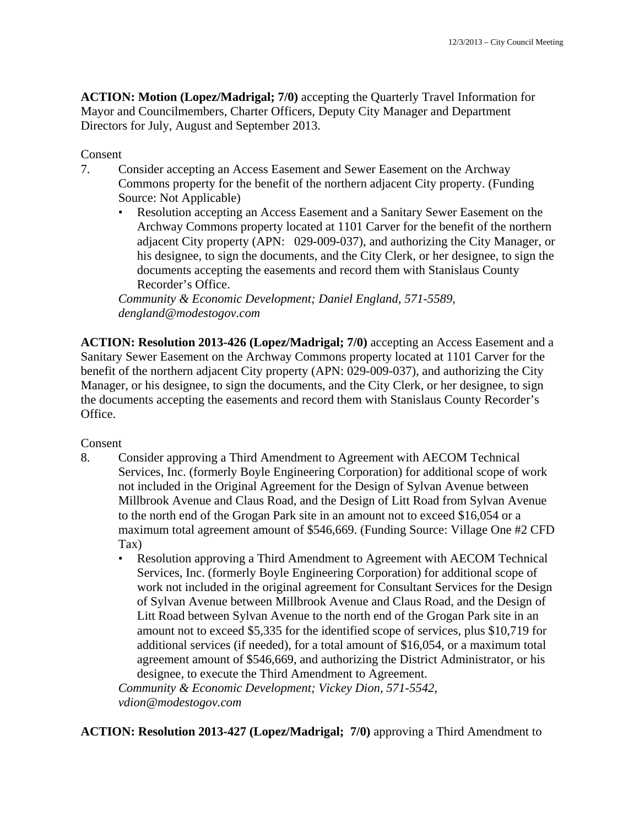**ACTION: Motion (Lopez/Madrigal; 7/0)** accepting the Quarterly Travel Information for Mayor and Councilmembers, Charter Officers, Deputy City Manager and Department Directors for July, August and September 2013.

### Consent

- 7. Consider accepting an Access Easement and Sewer Easement on the Archway Commons property for the benefit of the northern adjacent City property. (Funding Source: Not Applicable)
	- Resolution accepting an Access Easement and a Sanitary Sewer Easement on the Archway Commons property located at 1101 Carver for the benefit of the northern adjacent City property (APN: 029-009-037), and authorizing the City Manager, or his designee, to sign the documents, and the City Clerk, or her designee, to sign the documents accepting the easements and record them with Stanislaus County Recorder's Office.

*Community & Economic Development; Daniel England, 571-5589, dengland@modestogov.com* 

**ACTION: Resolution 2013-426 (Lopez/Madrigal; 7/0)** accepting an Access Easement and a Sanitary Sewer Easement on the Archway Commons property located at 1101 Carver for the benefit of the northern adjacent City property (APN: 029-009-037), and authorizing the City Manager, or his designee, to sign the documents, and the City Clerk, or her designee, to sign the documents accepting the easements and record them with Stanislaus County Recorder's Office.

## Consent

- 8. Consider approving a Third Amendment to Agreement with AECOM Technical Services, Inc. (formerly Boyle Engineering Corporation) for additional scope of work not included in the Original Agreement for the Design of Sylvan Avenue between Millbrook Avenue and Claus Road, and the Design of Litt Road from Sylvan Avenue to the north end of the Grogan Park site in an amount not to exceed \$16,054 or a maximum total agreement amount of \$546,669. (Funding Source: Village One #2 CFD Tax)
	- Resolution approving a Third Amendment to Agreement with AECOM Technical Services, Inc. (formerly Boyle Engineering Corporation) for additional scope of work not included in the original agreement for Consultant Services for the Design of Sylvan Avenue between Millbrook Avenue and Claus Road, and the Design of Litt Road between Sylvan Avenue to the north end of the Grogan Park site in an amount not to exceed \$5,335 for the identified scope of services, plus \$10,719 for additional services (if needed), for a total amount of \$16,054, or a maximum total agreement amount of \$546,669, and authorizing the District Administrator, or his designee, to execute the Third Amendment to Agreement.

*Community & Economic Development; Vickey Dion, 571-5542, vdion@modestogov.com* 

**ACTION: Resolution 2013-427 (Lopez/Madrigal; 7/0)** approving a Third Amendment to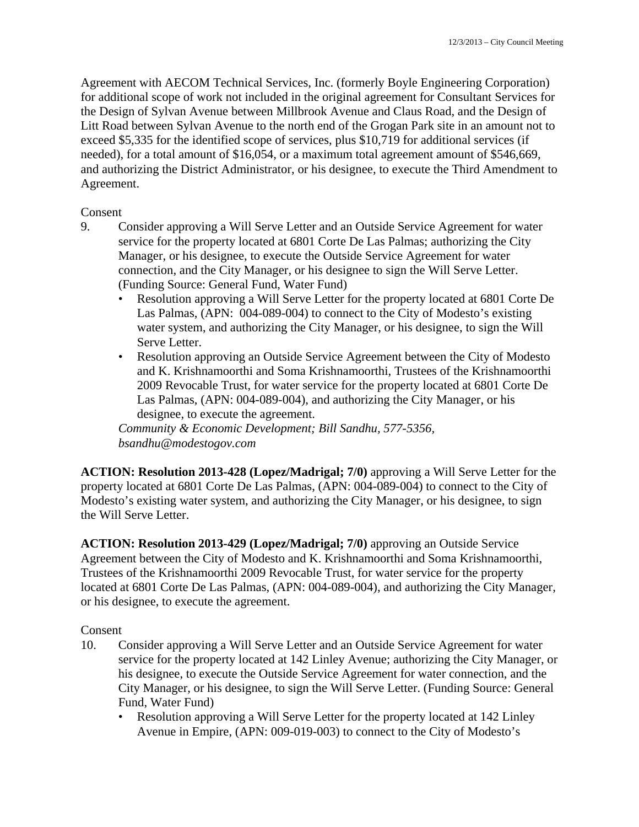Agreement with AECOM Technical Services, Inc. (formerly Boyle Engineering Corporation) for additional scope of work not included in the original agreement for Consultant Services for the Design of Sylvan Avenue between Millbrook Avenue and Claus Road, and the Design of Litt Road between Sylvan Avenue to the north end of the Grogan Park site in an amount not to exceed \$5,335 for the identified scope of services, plus \$10,719 for additional services (if needed), for a total amount of \$16,054, or a maximum total agreement amount of \$546,669, and authorizing the District Administrator, or his designee, to execute the Third Amendment to Agreement.

### Consent

- 9. Consider approving a Will Serve Letter and an Outside Service Agreement for water service for the property located at 6801 Corte De Las Palmas; authorizing the City Manager, or his designee, to execute the Outside Service Agreement for water connection, and the City Manager, or his designee to sign the Will Serve Letter. (Funding Source: General Fund, Water Fund)
	- Resolution approving a Will Serve Letter for the property located at 6801 Corte De Las Palmas, (APN: 004-089-004) to connect to the City of Modesto's existing water system, and authorizing the City Manager, or his designee, to sign the Will Serve Letter.
	- Resolution approving an Outside Service Agreement between the City of Modesto and K. Krishnamoorthi and Soma Krishnamoorthi, Trustees of the Krishnamoorthi 2009 Revocable Trust, for water service for the property located at 6801 Corte De Las Palmas, (APN: 004-089-004), and authorizing the City Manager, or his designee, to execute the agreement.

*Community & Economic Development; Bill Sandhu, 577-5356, bsandhu@modestogov.com* 

**ACTION: Resolution 2013-428 (Lopez/Madrigal; 7/0)** approving a Will Serve Letter for the property located at 6801 Corte De Las Palmas, (APN: 004-089-004) to connect to the City of Modesto's existing water system, and authorizing the City Manager, or his designee, to sign the Will Serve Letter.

**ACTION: Resolution 2013-429 (Lopez/Madrigal; 7/0)** approving an Outside Service Agreement between the City of Modesto and K. Krishnamoorthi and Soma Krishnamoorthi, Trustees of the Krishnamoorthi 2009 Revocable Trust, for water service for the property located at 6801 Corte De Las Palmas, (APN: 004-089-004), and authorizing the City Manager, or his designee, to execute the agreement.

### Consent

- 10. Consider approving a Will Serve Letter and an Outside Service Agreement for water service for the property located at 142 Linley Avenue; authorizing the City Manager, or his designee, to execute the Outside Service Agreement for water connection, and the City Manager, or his designee, to sign the Will Serve Letter. (Funding Source: General Fund, Water Fund)
	- Resolution approving a Will Serve Letter for the property located at 142 Linley Avenue in Empire, (APN: 009-019-003) to connect to the City of Modesto's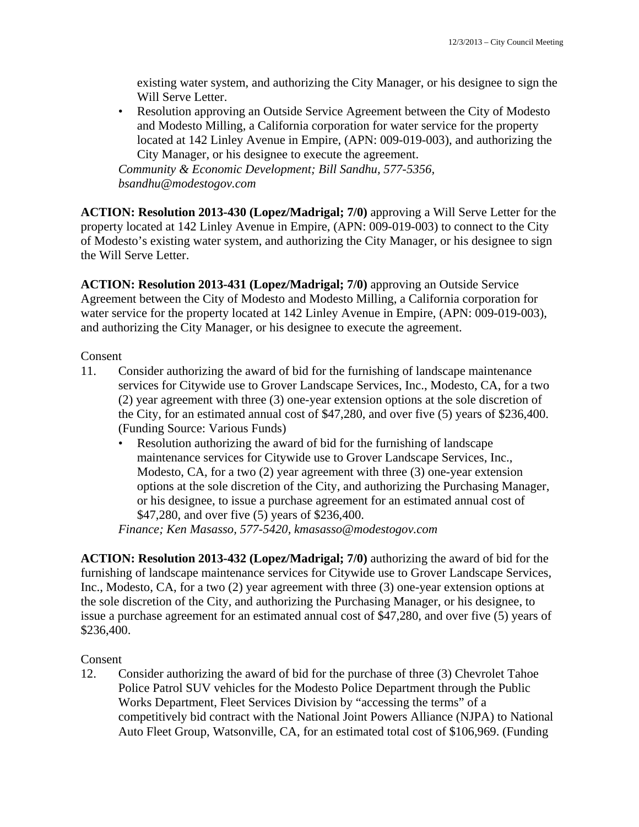existing water system, and authorizing the City Manager, or his designee to sign the Will Serve Letter.

• Resolution approving an Outside Service Agreement between the City of Modesto and Modesto Milling, a California corporation for water service for the property located at 142 Linley Avenue in Empire, (APN: 009-019-003), and authorizing the City Manager, or his designee to execute the agreement.

*Community & Economic Development; Bill Sandhu, 577-5356, bsandhu@modestogov.com* 

**ACTION: Resolution 2013-430 (Lopez/Madrigal; 7/0)** approving a Will Serve Letter for the property located at 142 Linley Avenue in Empire, (APN: 009-019-003) to connect to the City of Modesto's existing water system, and authorizing the City Manager, or his designee to sign the Will Serve Letter.

**ACTION: Resolution 2013-431 (Lopez/Madrigal; 7/0)** approving an Outside Service Agreement between the City of Modesto and Modesto Milling, a California corporation for water service for the property located at 142 Linley Avenue in Empire, (APN: 009-019-003), and authorizing the City Manager, or his designee to execute the agreement.

## **Consent**

- 11. Consider authorizing the award of bid for the furnishing of landscape maintenance services for Citywide use to Grover Landscape Services, Inc., Modesto, CA, for a two (2) year agreement with three (3) one-year extension options at the sole discretion of the City, for an estimated annual cost of \$47,280, and over five (5) years of \$236,400. (Funding Source: Various Funds)
	- Resolution authorizing the award of bid for the furnishing of landscape maintenance services for Citywide use to Grover Landscape Services, Inc., Modesto, CA, for a two (2) year agreement with three (3) one-year extension options at the sole discretion of the City, and authorizing the Purchasing Manager, or his designee, to issue a purchase agreement for an estimated annual cost of \$47,280, and over five (5) years of \$236,400.

*Finance; Ken Masasso, 577-5420, kmasasso@modestogov.com* 

**ACTION: Resolution 2013-432 (Lopez/Madrigal; 7/0)** authorizing the award of bid for the furnishing of landscape maintenance services for Citywide use to Grover Landscape Services, Inc., Modesto, CA, for a two (2) year agreement with three (3) one-year extension options at the sole discretion of the City, and authorizing the Purchasing Manager, or his designee, to issue a purchase agreement for an estimated annual cost of \$47,280, and over five (5) years of \$236,400.

### Consent

12. Consider authorizing the award of bid for the purchase of three (3) Chevrolet Tahoe Police Patrol SUV vehicles for the Modesto Police Department through the Public Works Department, Fleet Services Division by "accessing the terms" of a competitively bid contract with the National Joint Powers Alliance (NJPA) to National Auto Fleet Group, Watsonville, CA, for an estimated total cost of \$106,969. (Funding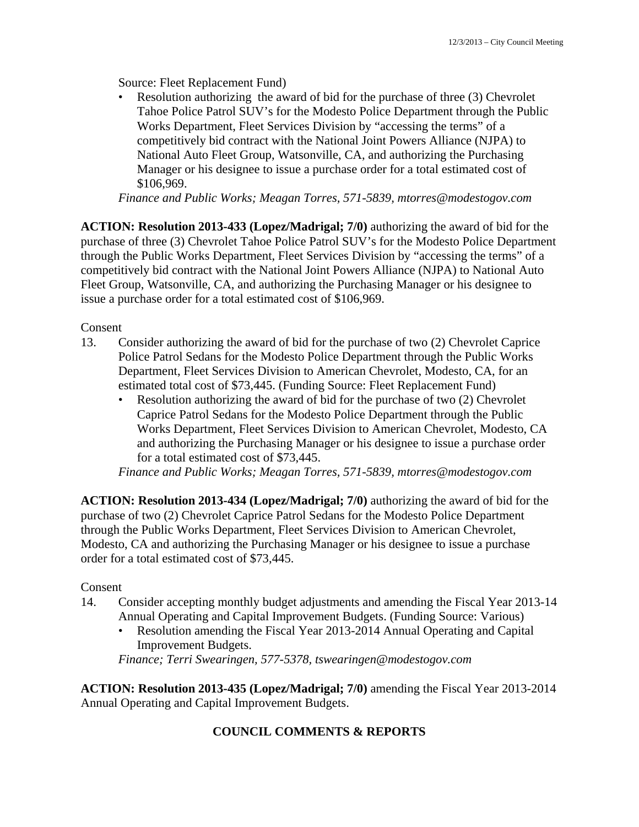Source: Fleet Replacement Fund)

• Resolution authorizing the award of bid for the purchase of three (3) Chevrolet Tahoe Police Patrol SUV's for the Modesto Police Department through the Public Works Department, Fleet Services Division by "accessing the terms" of a competitively bid contract with the National Joint Powers Alliance (NJPA) to National Auto Fleet Group, Watsonville, CA, and authorizing the Purchasing Manager or his designee to issue a purchase order for a total estimated cost of \$106,969.

*Finance and Public Works; Meagan Torres, 571-5839, mtorres@modestogov.com* 

**ACTION: Resolution 2013-433 (Lopez/Madrigal; 7/0)** authorizing the award of bid for the purchase of three (3) Chevrolet Tahoe Police Patrol SUV's for the Modesto Police Department through the Public Works Department, Fleet Services Division by "accessing the terms" of a competitively bid contract with the National Joint Powers Alliance (NJPA) to National Auto Fleet Group, Watsonville, CA, and authorizing the Purchasing Manager or his designee to issue a purchase order for a total estimated cost of \$106,969.

Consent

- 13. Consider authorizing the award of bid for the purchase of two (2) Chevrolet Caprice Police Patrol Sedans for the Modesto Police Department through the Public Works Department, Fleet Services Division to American Chevrolet, Modesto, CA, for an estimated total cost of \$73,445. (Funding Source: Fleet Replacement Fund)
	- Resolution authorizing the award of bid for the purchase of two (2) Chevrolet Caprice Patrol Sedans for the Modesto Police Department through the Public Works Department, Fleet Services Division to American Chevrolet, Modesto, CA and authorizing the Purchasing Manager or his designee to issue a purchase order for a total estimated cost of \$73,445.

*Finance and Public Works; Meagan Torres, 571-5839, mtorres@modestogov.com* 

**ACTION: Resolution 2013-434 (Lopez/Madrigal; 7/0)** authorizing the award of bid for the purchase of two (2) Chevrolet Caprice Patrol Sedans for the Modesto Police Department through the Public Works Department, Fleet Services Division to American Chevrolet, Modesto, CA and authorizing the Purchasing Manager or his designee to issue a purchase order for a total estimated cost of \$73,445.

### Consent

- 14. Consider accepting monthly budget adjustments and amending the Fiscal Year 2013-14 Annual Operating and Capital Improvement Budgets. (Funding Source: Various)
	- Resolution amending the Fiscal Year 2013-2014 Annual Operating and Capital Improvement Budgets.

*Finance; Terri Swearingen, 577-5378, tswearingen@modestogov.com* 

**ACTION: Resolution 2013-435 (Lopez/Madrigal; 7/0)** amending the Fiscal Year 2013-2014 Annual Operating and Capital Improvement Budgets.

## **COUNCIL COMMENTS & REPORTS**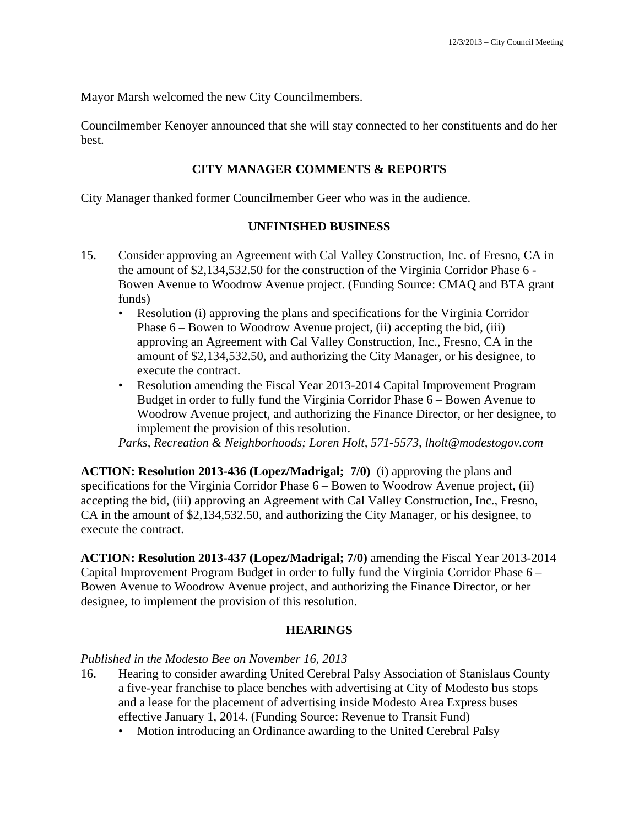Mayor Marsh welcomed the new City Councilmembers.

Councilmember Kenoyer announced that she will stay connected to her constituents and do her best.

## **CITY MANAGER COMMENTS & REPORTS**

City Manager thanked former Councilmember Geer who was in the audience.

## **UNFINISHED BUSINESS**

- 15. Consider approving an Agreement with Cal Valley Construction, Inc. of Fresno, CA in the amount of \$2,134,532.50 for the construction of the Virginia Corridor Phase 6 - Bowen Avenue to Woodrow Avenue project. (Funding Source: CMAQ and BTA grant funds)
	- Resolution (i) approving the plans and specifications for the Virginia Corridor Phase  $6 -$  Bowen to Woodrow Avenue project, (ii) accepting the bid, (iii) approving an Agreement with Cal Valley Construction, Inc., Fresno, CA in the amount of \$2,134,532.50, and authorizing the City Manager, or his designee, to execute the contract.
	- Resolution amending the Fiscal Year 2013-2014 Capital Improvement Program Budget in order to fully fund the Virginia Corridor Phase 6 – Bowen Avenue to Woodrow Avenue project, and authorizing the Finance Director, or her designee, to implement the provision of this resolution.

*Parks, Recreation & Neighborhoods; Loren Holt, 571-5573, lholt@modestogov.com* 

**ACTION: Resolution 2013-436 (Lopez/Madrigal; 7/0)** (i) approving the plans and specifications for the Virginia Corridor Phase 6 – Bowen to Woodrow Avenue project, (ii) accepting the bid, (iii) approving an Agreement with Cal Valley Construction, Inc., Fresno, CA in the amount of \$2,134,532.50, and authorizing the City Manager, or his designee, to execute the contract.

**ACTION: Resolution 2013-437 (Lopez/Madrigal; 7/0)** amending the Fiscal Year 2013-2014 Capital Improvement Program Budget in order to fully fund the Virginia Corridor Phase 6 – Bowen Avenue to Woodrow Avenue project, and authorizing the Finance Director, or her designee, to implement the provision of this resolution.

## **HEARINGS**

### *Published in the Modesto Bee on November 16, 2013*

- 16. Hearing to consider awarding United Cerebral Palsy Association of Stanislaus County a five-year franchise to place benches with advertising at City of Modesto bus stops and a lease for the placement of advertising inside Modesto Area Express buses effective January 1, 2014. (Funding Source: Revenue to Transit Fund)
	- Motion introducing an Ordinance awarding to the United Cerebral Palsy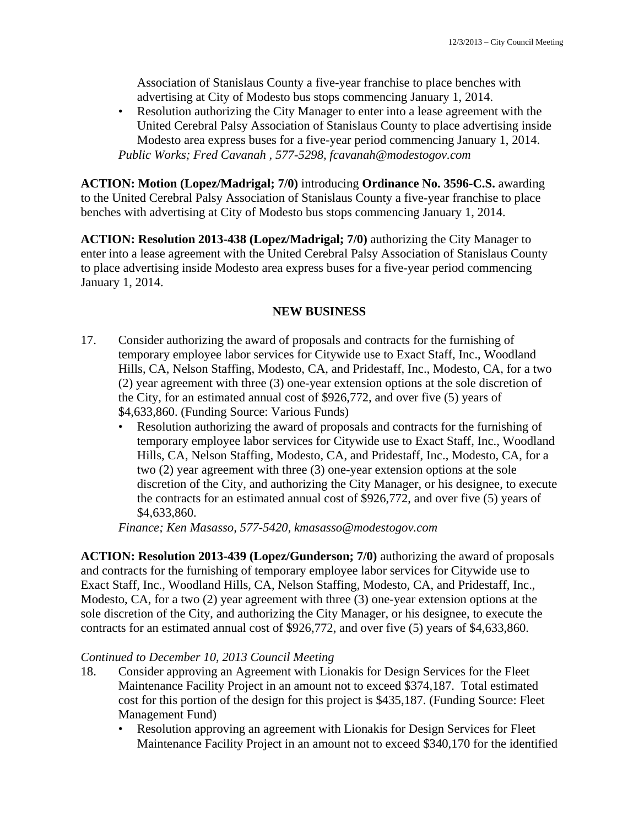Association of Stanislaus County a five-year franchise to place benches with advertising at City of Modesto bus stops commencing January 1, 2014.

• Resolution authorizing the City Manager to enter into a lease agreement with the United Cerebral Palsy Association of Stanislaus County to place advertising inside Modesto area express buses for a five-year period commencing January 1, 2014. *Public Works; Fred Cavanah , 577-5298, fcavanah@modestogov.com* 

**ACTION: Motion (Lopez/Madrigal; 7/0)** introducing **Ordinance No. 3596-C.S.** awarding to the United Cerebral Palsy Association of Stanislaus County a five-year franchise to place benches with advertising at City of Modesto bus stops commencing January 1, 2014.

**ACTION: Resolution 2013-438 (Lopez/Madrigal; 7/0)** authorizing the City Manager to enter into a lease agreement with the United Cerebral Palsy Association of Stanislaus County to place advertising inside Modesto area express buses for a five-year period commencing January 1, 2014.

## **NEW BUSINESS**

- 17. Consider authorizing the award of proposals and contracts for the furnishing of temporary employee labor services for Citywide use to Exact Staff, Inc., Woodland Hills, CA, Nelson Staffing, Modesto, CA, and Pridestaff, Inc., Modesto, CA, for a two (2) year agreement with three (3) one-year extension options at the sole discretion of the City, for an estimated annual cost of \$926,772, and over five (5) years of \$4,633,860. (Funding Source: Various Funds)
	- Resolution authorizing the award of proposals and contracts for the furnishing of temporary employee labor services for Citywide use to Exact Staff, Inc., Woodland Hills, CA, Nelson Staffing, Modesto, CA, and Pridestaff, Inc., Modesto, CA, for a two (2) year agreement with three (3) one-year extension options at the sole discretion of the City, and authorizing the City Manager, or his designee, to execute the contracts for an estimated annual cost of \$926,772, and over five (5) years of \$4,633,860.

*Finance; Ken Masasso, 577-5420, kmasasso@modestogov.com* 

**ACTION: Resolution 2013-439 (Lopez/Gunderson; 7/0)** authorizing the award of proposals and contracts for the furnishing of temporary employee labor services for Citywide use to Exact Staff, Inc., Woodland Hills, CA, Nelson Staffing, Modesto, CA, and Pridestaff, Inc., Modesto, CA, for a two (2) year agreement with three (3) one-year extension options at the sole discretion of the City, and authorizing the City Manager, or his designee, to execute the contracts for an estimated annual cost of \$926,772, and over five (5) years of \$4,633,860.

## *Continued to December 10, 2013 Council Meeting*

- 18. Consider approving an Agreement with Lionakis for Design Services for the Fleet Maintenance Facility Project in an amount not to exceed \$374,187. Total estimated cost for this portion of the design for this project is \$435,187. (Funding Source: Fleet Management Fund)
	- Resolution approving an agreement with Lionakis for Design Services for Fleet Maintenance Facility Project in an amount not to exceed \$340,170 for the identified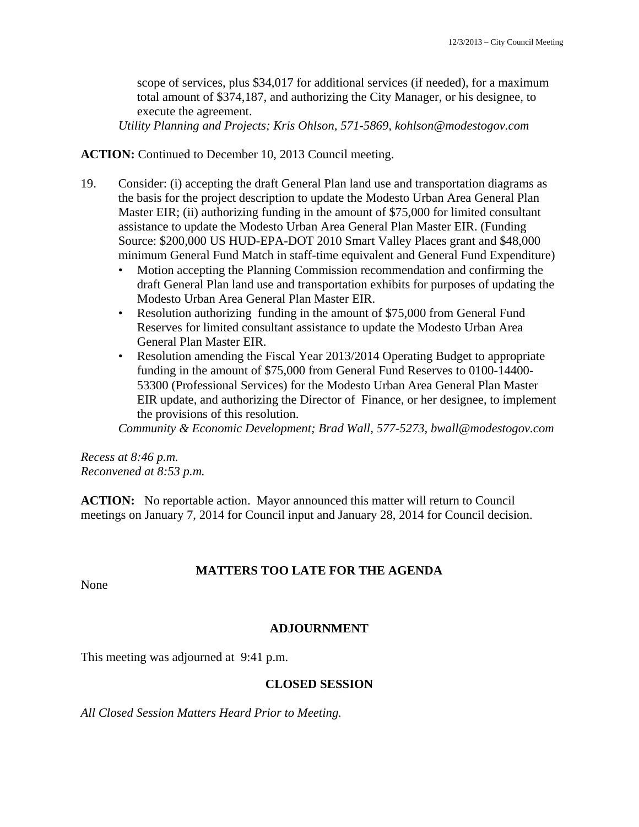scope of services, plus \$34,017 for additional services (if needed), for a maximum total amount of \$374,187, and authorizing the City Manager, or his designee, to execute the agreement.

*Utility Planning and Projects; Kris Ohlson, 571-5869, kohlson@modestogov.com* 

### **ACTION:** Continued to December 10, 2013 Council meeting.

- 19. Consider: (i) accepting the draft General Plan land use and transportation diagrams as the basis for the project description to update the Modesto Urban Area General Plan Master EIR; (ii) authorizing funding in the amount of \$75,000 for limited consultant assistance to update the Modesto Urban Area General Plan Master EIR. (Funding Source: \$200,000 US HUD-EPA-DOT 2010 Smart Valley Places grant and \$48,000 minimum General Fund Match in staff-time equivalent and General Fund Expenditure)
	- Motion accepting the Planning Commission recommendation and confirming the draft General Plan land use and transportation exhibits for purposes of updating the Modesto Urban Area General Plan Master EIR.
	- Resolution authorizing funding in the amount of \$75,000 from General Fund Reserves for limited consultant assistance to update the Modesto Urban Area General Plan Master EIR.
	- Resolution amending the Fiscal Year 2013/2014 Operating Budget to appropriate funding in the amount of \$75,000 from General Fund Reserves to 0100-14400- 53300 (Professional Services) for the Modesto Urban Area General Plan Master EIR update, and authorizing the Director of Finance, or her designee, to implement the provisions of this resolution.

*Community & Economic Development; Brad Wall, 577-5273, bwall@modestogov.com* 

*Recess at 8:46 p.m. Reconvened at 8:53 p.m.* 

**ACTION:** No reportable action. Mayor announced this matter will return to Council meetings on January 7, 2014 for Council input and January 28, 2014 for Council decision.

### **MATTERS TOO LATE FOR THE AGENDA**

None

### **ADJOURNMENT**

This meeting was adjourned at 9:41 p.m.

#### **CLOSED SESSION**

*All Closed Session Matters Heard Prior to Meeting.*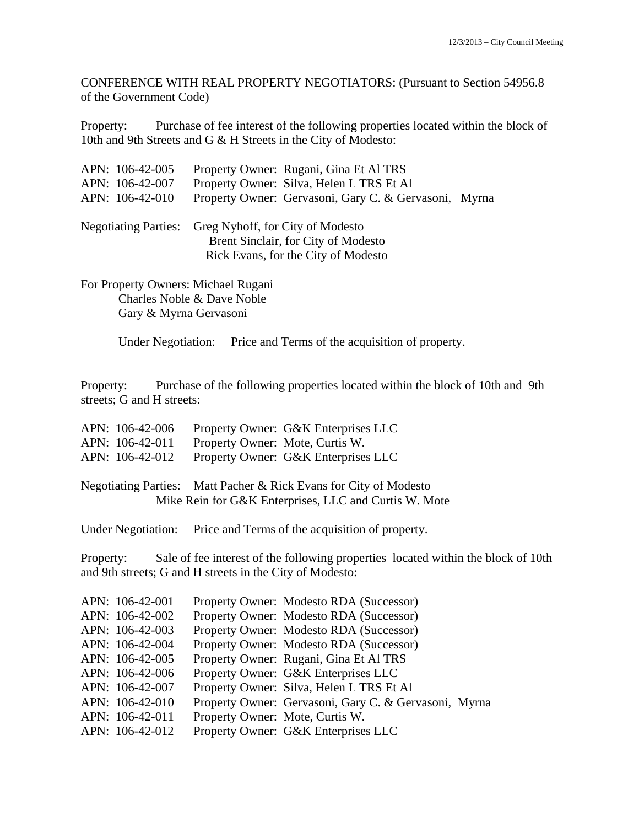CONFERENCE WITH REAL PROPERTY NEGOTIATORS: (Pursuant to Section 54956.8 of the Government Code)

Property: Purchase of fee interest of the following properties located within the block of 10th and 9th Streets and G & H Streets in the City of Modesto:

| APN: 106-42-005 | Property Owner: Rugani, Gina Et Al TRS                |
|-----------------|-------------------------------------------------------|
| APN: 106-42-007 | Property Owner: Silva, Helen L TRS Et Al              |
| APN: 106-42-010 | Property Owner: Gervasoni, Gary C. & Gervasoni, Myrna |
|                 | Negotiating Parties: Greg Nyhoff, for City of Modesto |
|                 | Brent Sinclair, for City of Modesto                   |
|                 | Rick Evans, for the City of Modesto                   |
|                 |                                                       |

For Property Owners: Michael Rugani Charles Noble & Dave Noble Gary & Myrna Gervasoni

Under Negotiation: Price and Terms of the acquisition of property.

Property: Purchase of the following properties located within the block of 10th and 9th streets; G and H streets:

| APN: 106-42-006                                                                                                                                         | Property Owner: G&K Enterprises LLC                                                                                        |  |
|---------------------------------------------------------------------------------------------------------------------------------------------------------|----------------------------------------------------------------------------------------------------------------------------|--|
| APN: 106-42-011                                                                                                                                         | Property Owner: Mote, Curtis W.                                                                                            |  |
| APN: 106-42-012                                                                                                                                         | Property Owner: G&K Enterprises LLC                                                                                        |  |
|                                                                                                                                                         | Negotiating Parties: Matt Pacher & Rick Evans for City of Modesto<br>Mike Rein for G&K Enterprises, LLC and Curtis W. Mote |  |
|                                                                                                                                                         | Under Negotiation: Price and Terms of the acquisition of property.                                                         |  |
| Property: Sale of fee interest of the following properties located within the block of 10th<br>and 9th streets; G and H streets in the City of Modesto: |                                                                                                                            |  |
| APN: 106-42-001                                                                                                                                         | Property Owner: Modesto RDA (Successor)                                                                                    |  |
| APN: 106-42-002                                                                                                                                         | Property Owner: Modesto RDA (Successor)                                                                                    |  |
| APN: 106-42-003                                                                                                                                         | Property Owner: Modesto RDA (Successor)                                                                                    |  |
| APN: 106-42-004                                                                                                                                         | Property Owner: Modesto RDA (Successor)                                                                                    |  |
| APN: 106-42-005                                                                                                                                         | Property Owner: Rugani, Gina Et Al TRS                                                                                     |  |
| APN: 106-42-006                                                                                                                                         | Property Owner: G&K Enterprises LLC                                                                                        |  |
| APN: 106-42-007                                                                                                                                         | Property Owner: Silva, Helen L TRS Et Al                                                                                   |  |
| APN: 106-42-010                                                                                                                                         | Property Owner: Gervasoni, Gary C. & Gervasoni, Myrna                                                                      |  |
| APN: 106-42-011                                                                                                                                         | Property Owner: Mote, Curtis W.                                                                                            |  |
| APN: 106-42-012                                                                                                                                         | Property Owner: G&K Enterprises LLC                                                                                        |  |
|                                                                                                                                                         |                                                                                                                            |  |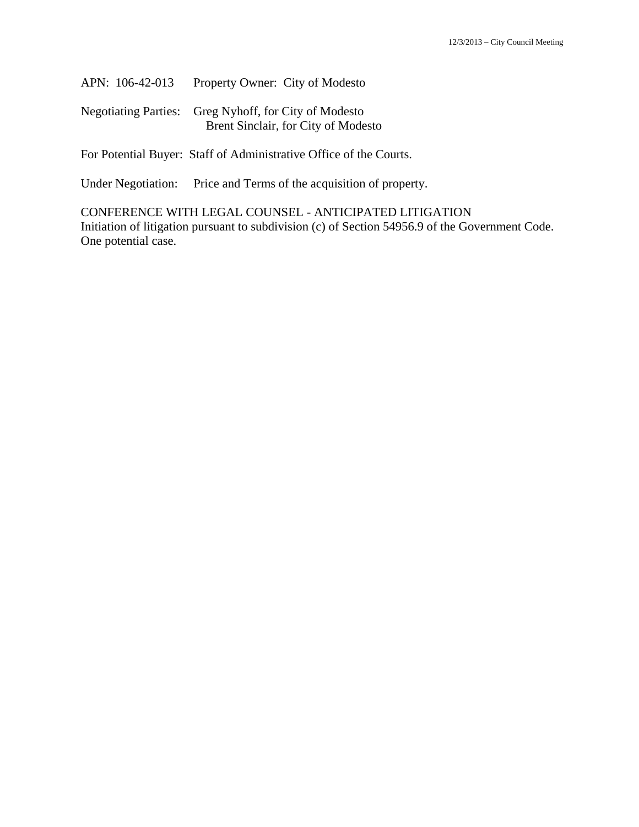APN: 106-42-013 Property Owner: City of Modesto

Negotiating Parties: Greg Nyhoff, for City of Modesto Brent Sinclair, for City of Modesto

For Potential Buyer: Staff of Administrative Office of the Courts.

Under Negotiation: Price and Terms of the acquisition of property.

CONFERENCE WITH LEGAL COUNSEL - ANTICIPATED LITIGATION Initiation of litigation pursuant to subdivision (c) of Section 54956.9 of the Government Code. One potential case.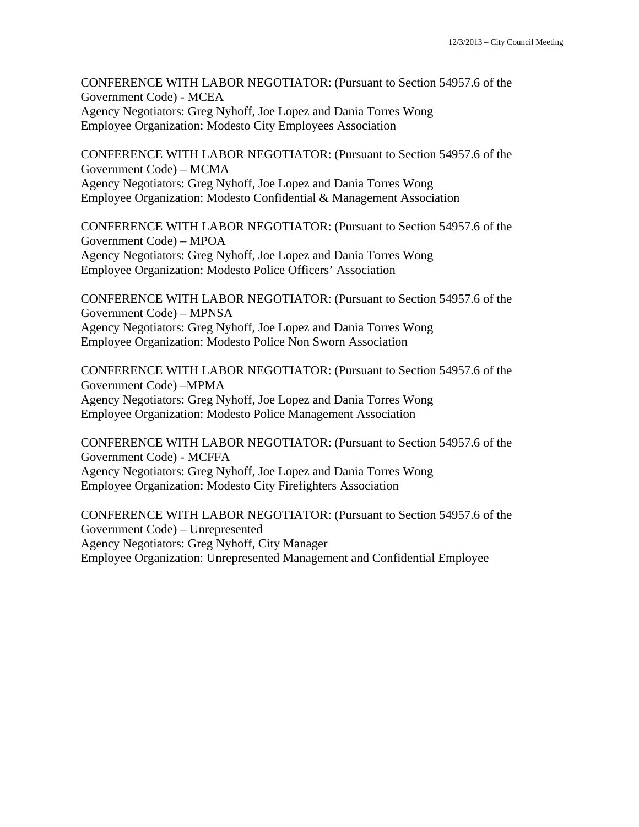CONFERENCE WITH LABOR NEGOTIATOR: (Pursuant to Section 54957.6 of the Government Code) - MCEA Agency Negotiators: Greg Nyhoff, Joe Lopez and Dania Torres Wong Employee Organization: Modesto City Employees Association

CONFERENCE WITH LABOR NEGOTIATOR: (Pursuant to Section 54957.6 of the Government Code) – MCMA Agency Negotiators: Greg Nyhoff, Joe Lopez and Dania Torres Wong Employee Organization: Modesto Confidential & Management Association

CONFERENCE WITH LABOR NEGOTIATOR: (Pursuant to Section 54957.6 of the Government Code) – MPOA Agency Negotiators: Greg Nyhoff, Joe Lopez and Dania Torres Wong Employee Organization: Modesto Police Officers' Association

CONFERENCE WITH LABOR NEGOTIATOR: (Pursuant to Section 54957.6 of the Government Code) – MPNSA Agency Negotiators: Greg Nyhoff, Joe Lopez and Dania Torres Wong Employee Organization: Modesto Police Non Sworn Association

CONFERENCE WITH LABOR NEGOTIATOR: (Pursuant to Section 54957.6 of the Government Code) –MPMA Agency Negotiators: Greg Nyhoff, Joe Lopez and Dania Torres Wong Employee Organization: Modesto Police Management Association

CONFERENCE WITH LABOR NEGOTIATOR: (Pursuant to Section 54957.6 of the Government Code) - MCFFA Agency Negotiators: Greg Nyhoff, Joe Lopez and Dania Torres Wong Employee Organization: Modesto City Firefighters Association

CONFERENCE WITH LABOR NEGOTIATOR: (Pursuant to Section 54957.6 of the Government Code) – Unrepresented Agency Negotiators: Greg Nyhoff, City Manager Employee Organization: Unrepresented Management and Confidential Employee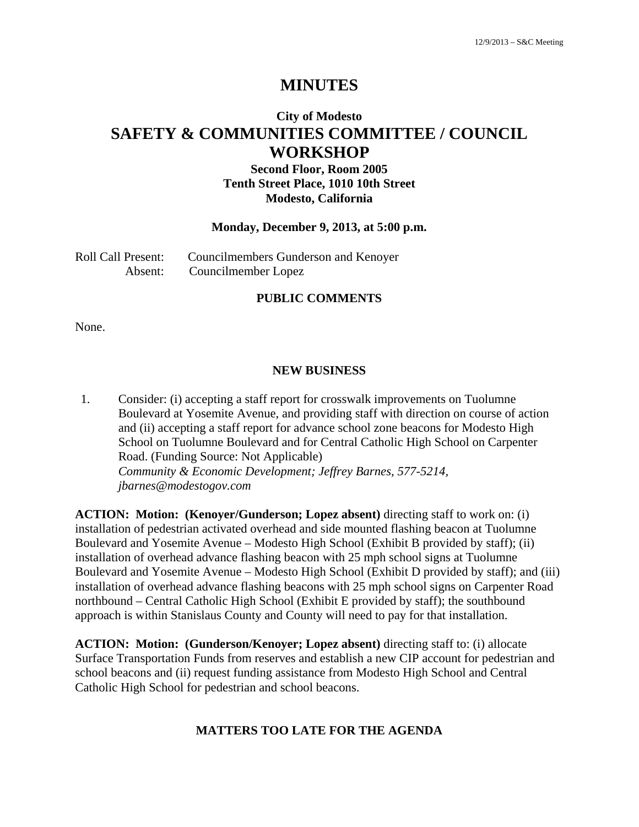## **MINUTES**

## **City of Modesto SAFETY & COMMUNITIES COMMITTEE / COUNCIL WORKSHOP**

**Second Floor, Room 2005 Tenth Street Place, 1010 10th Street Modesto, California** 

#### **Monday, December 9, 2013, at 5:00 p.m.**

Roll Call Present: Councilmembers Gunderson and Kenoyer Absent: Councilmember Lopez

#### **PUBLIC COMMENTS**

None.

### **NEW BUSINESS**

1. Consider: (i) accepting a staff report for crosswalk improvements on Tuolumne Boulevard at Yosemite Avenue, and providing staff with direction on course of action and (ii) accepting a staff report for advance school zone beacons for Modesto High School on Tuolumne Boulevard and for Central Catholic High School on Carpenter Road. (Funding Source: Not Applicable)  *Community & Economic Development; Jeffrey Barnes, 577-5214, jbarnes@modestogov.com* 

**ACTION: Motion: (Kenoyer/Gunderson; Lopez absent)** directing staff to work on: (i) installation of pedestrian activated overhead and side mounted flashing beacon at Tuolumne Boulevard and Yosemite Avenue – Modesto High School (Exhibit B provided by staff); (ii) installation of overhead advance flashing beacon with 25 mph school signs at Tuolumne Boulevard and Yosemite Avenue – Modesto High School (Exhibit D provided by staff); and (iii) installation of overhead advance flashing beacons with 25 mph school signs on Carpenter Road northbound – Central Catholic High School (Exhibit E provided by staff); the southbound approach is within Stanislaus County and County will need to pay for that installation.

**ACTION: Motion: (Gunderson/Kenoyer; Lopez absent)** directing staff to: (i) allocate Surface Transportation Funds from reserves and establish a new CIP account for pedestrian and school beacons and (ii) request funding assistance from Modesto High School and Central Catholic High School for pedestrian and school beacons.

### **MATTERS TOO LATE FOR THE AGENDA**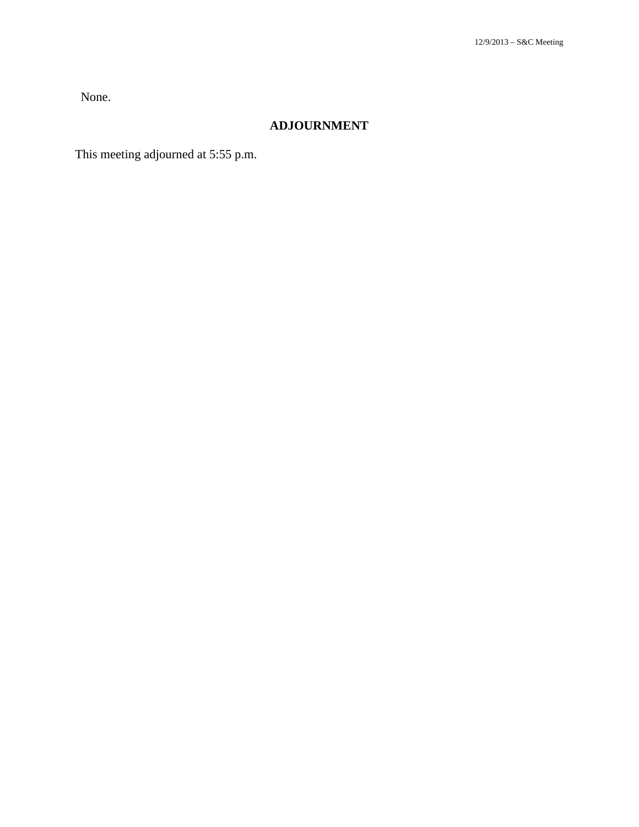None.

## **ADJOURNMENT**

This meeting adjourned at 5:55 p.m.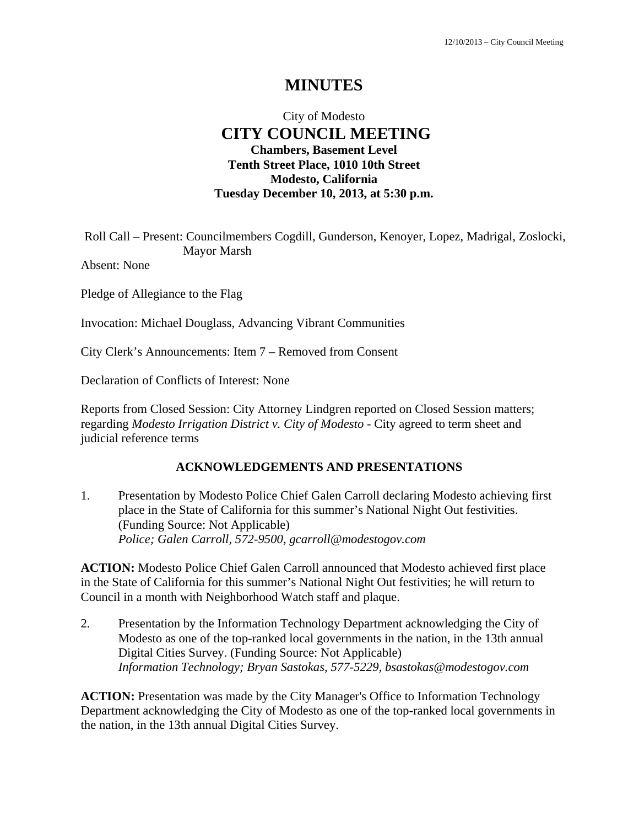# **MINUTES**

# City of Modesto  **CITY COUNCIL MEETING Chambers, Basement Level Tenth Street Place, 1010 10th Street Modesto, California Tuesday December 10, 2013, at 5:30 p.m.**

Roll Call – Present: Councilmembers Cogdill, Gunderson, Kenoyer, Lopez, Madrigal, Zoslocki, Mayor Marsh

Absent: None

Pledge of Allegiance to the Flag

Invocation: Michael Douglass, Advancing Vibrant Communities

City Clerk's Announcements: Item 7 – Removed from Consent

Declaration of Conflicts of Interest: None

Reports from Closed Session: City Attorney Lindgren reported on Closed Session matters; regarding *Modesto Irrigation District v. City of Modesto -* City agreed to term sheet and judicial reference terms

#### **ACKNOWLEDGEMENTS AND PRESENTATIONS**

1. Presentation by Modesto Police Chief Galen Carroll declaring Modesto achieving first place in the State of California for this summer's National Night Out festivities. (Funding Source: Not Applicable)  *Police; Galen Carroll, 572-9500, gcarroll@modestogov.com* 

**ACTION:** Modesto Police Chief Galen Carroll announced that Modesto achieved first place in the State of California for this summer's National Night Out festivities; he will return to Council in a month with Neighborhood Watch staff and plaque.

2. Presentation by the Information Technology Department acknowledging the City of Modesto as one of the top-ranked local governments in the nation, in the 13th annual Digital Cities Survey. (Funding Source: Not Applicable)  *Information Technology; Bryan Sastokas, 577-5229, bsastokas@modestogov.com* 

**ACTION:** Presentation was made by the City Manager's Office to Information Technology Department acknowledging the City of Modesto as one of the top-ranked local governments in the nation, in the 13th annual Digital Cities Survey.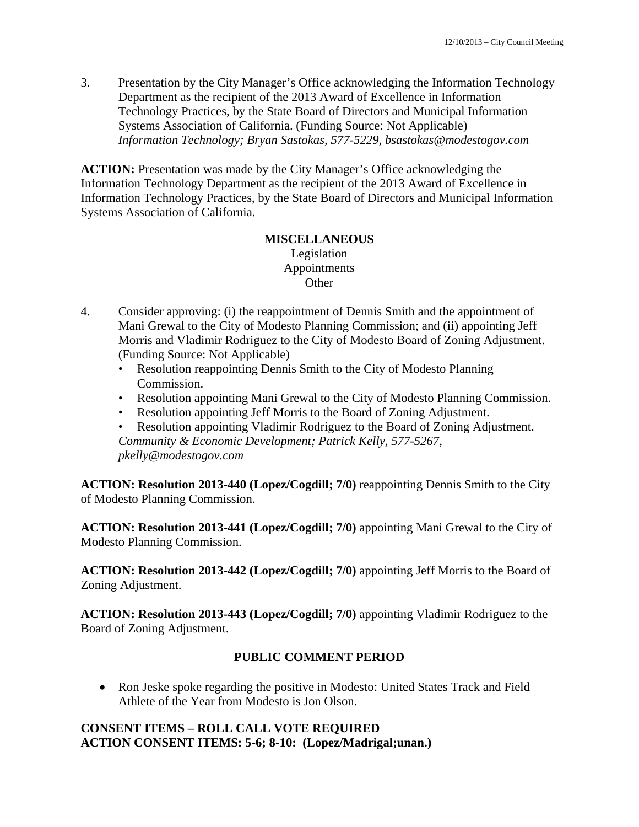3. Presentation by the City Manager's Office acknowledging the Information Technology Department as the recipient of the 2013 Award of Excellence in Information Technology Practices, by the State Board of Directors and Municipal Information Systems Association of California. (Funding Source: Not Applicable)  *Information Technology; Bryan Sastokas, 577-5229, bsastokas@modestogov.com* 

**ACTION:** Presentation was made by the City Manager's Office acknowledging the Information Technology Department as the recipient of the 2013 Award of Excellence in Information Technology Practices, by the State Board of Directors and Municipal Information Systems Association of California.

#### **MISCELLANEOUS**  Legislation Appointments

## **Other**

- 4. Consider approving: (i) the reappointment of Dennis Smith and the appointment of Mani Grewal to the City of Modesto Planning Commission; and (ii) appointing Jeff Morris and Vladimir Rodriguez to the City of Modesto Board of Zoning Adjustment. (Funding Source: Not Applicable)
	- Resolution reappointing Dennis Smith to the City of Modesto Planning Commission.
	- Resolution appointing Mani Grewal to the City of Modesto Planning Commission.
	- Resolution appointing Jeff Morris to the Board of Zoning Adjustment.

• Resolution appointing Vladimir Rodriguez to the Board of Zoning Adjustment. *Community & Economic Development; Patrick Kelly, 577-5267, pkelly@modestogov.com* 

**ACTION: Resolution 2013-440 (Lopez/Cogdill; 7/0)** reappointing Dennis Smith to the City of Modesto Planning Commission.

**ACTION: Resolution 2013-441 (Lopez/Cogdill; 7/0)** appointing Mani Grewal to the City of Modesto Planning Commission.

**ACTION: Resolution 2013-442 (Lopez/Cogdill; 7/0)** appointing Jeff Morris to the Board of Zoning Adjustment.

**ACTION: Resolution 2013-443 (Lopez/Cogdill; 7/0)** appointing Vladimir Rodriguez to the Board of Zoning Adjustment.

# **PUBLIC COMMENT PERIOD**

 Ron Jeske spoke regarding the positive in Modesto: United States Track and Field Athlete of the Year from Modesto is Jon Olson.

## **CONSENT ITEMS – ROLL CALL VOTE REQUIRED ACTION CONSENT ITEMS: 5-6; 8-10: (Lopez/Madrigal;unan.)**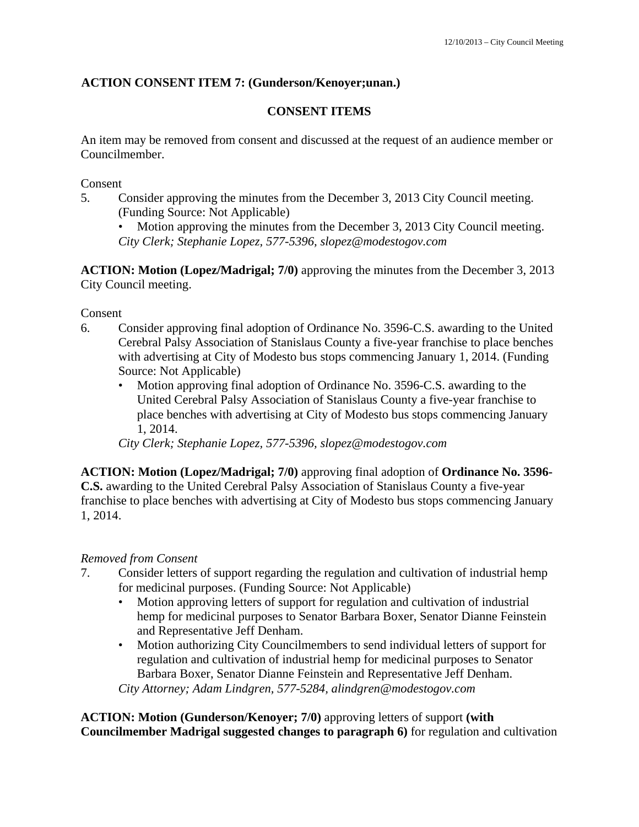# **ACTION CONSENT ITEM 7: (Gunderson/Kenoyer;unan.)**

# **CONSENT ITEMS**

An item may be removed from consent and discussed at the request of an audience member or Councilmember.

Consent

- 5. Consider approving the minutes from the December 3, 2013 City Council meeting. (Funding Source: Not Applicable)
	- Motion approving the minutes from the December 3, 2013 City Council meeting. *City Clerk; Stephanie Lopez, 577-5396, slopez@modestogov.com*

**ACTION: Motion (Lopez/Madrigal; 7/0)** approving the minutes from the December 3, 2013 City Council meeting.

Consent

- 6. Consider approving final adoption of Ordinance No. 3596-C.S. awarding to the United Cerebral Palsy Association of Stanislaus County a five-year franchise to place benches with advertising at City of Modesto bus stops commencing January 1, 2014. (Funding Source: Not Applicable)
	- Motion approving final adoption of Ordinance No. 3596-C.S. awarding to the United Cerebral Palsy Association of Stanislaus County a five-year franchise to place benches with advertising at City of Modesto bus stops commencing January 1, 2014.

*City Clerk; Stephanie Lopez, 577-5396, slopez@modestogov.com* 

**ACTION: Motion (Lopez/Madrigal; 7/0)** approving final adoption of **Ordinance No. 3596- C.S.** awarding to the United Cerebral Palsy Association of Stanislaus County a five-year franchise to place benches with advertising at City of Modesto bus stops commencing January 1, 2014.

## *Removed from Consent*

- 7. Consider letters of support regarding the regulation and cultivation of industrial hemp for medicinal purposes. (Funding Source: Not Applicable)
	- Motion approving letters of support for regulation and cultivation of industrial hemp for medicinal purposes to Senator Barbara Boxer, Senator Dianne Feinstein and Representative Jeff Denham.
	- Motion authorizing City Councilmembers to send individual letters of support for regulation and cultivation of industrial hemp for medicinal purposes to Senator Barbara Boxer, Senator Dianne Feinstein and Representative Jeff Denham. *City Attorney; Adam Lindgren, 577-5284, alindgren@modestogov.com*

**ACTION: Motion (Gunderson/Kenoyer; 7/0)** approving letters of support **(with Councilmember Madrigal suggested changes to paragraph 6)** for regulation and cultivation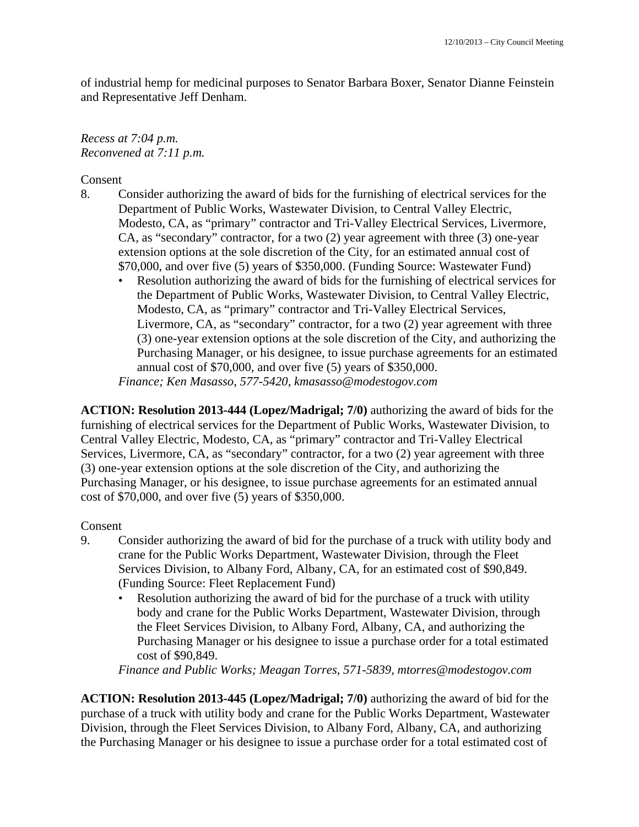of industrial hemp for medicinal purposes to Senator Barbara Boxer, Senator Dianne Feinstein and Representative Jeff Denham.

## *Recess at 7:04 p.m. Reconvened at 7:11 p.m.*

Consent

- 8. Consider authorizing the award of bids for the furnishing of electrical services for the Department of Public Works, Wastewater Division, to Central Valley Electric, Modesto, CA, as "primary" contractor and Tri-Valley Electrical Services, Livermore, CA, as "secondary" contractor, for a two (2) year agreement with three (3) one-year extension options at the sole discretion of the City, for an estimated annual cost of \$70,000, and over five (5) years of \$350,000. (Funding Source: Wastewater Fund)
	- Resolution authorizing the award of bids for the furnishing of electrical services for the Department of Public Works, Wastewater Division, to Central Valley Electric, Modesto, CA, as "primary" contractor and Tri-Valley Electrical Services, Livermore, CA, as "secondary" contractor, for a two (2) year agreement with three (3) one-year extension options at the sole discretion of the City, and authorizing the Purchasing Manager, or his designee, to issue purchase agreements for an estimated annual cost of \$70,000, and over five (5) years of \$350,000.

*Finance; Ken Masasso, 577-5420, kmasasso@modestogov.com* 

**ACTION: Resolution 2013-444 (Lopez/Madrigal; 7/0)** authorizing the award of bids for the furnishing of electrical services for the Department of Public Works, Wastewater Division, to Central Valley Electric, Modesto, CA, as "primary" contractor and Tri-Valley Electrical Services, Livermore, CA, as "secondary" contractor, for a two (2) year agreement with three (3) one-year extension options at the sole discretion of the City, and authorizing the Purchasing Manager, or his designee, to issue purchase agreements for an estimated annual cost of \$70,000, and over five (5) years of \$350,000.

#### Consent

- 9. Consider authorizing the award of bid for the purchase of a truck with utility body and crane for the Public Works Department, Wastewater Division, through the Fleet Services Division, to Albany Ford, Albany, CA, for an estimated cost of \$90,849. (Funding Source: Fleet Replacement Fund)
	- Resolution authorizing the award of bid for the purchase of a truck with utility body and crane for the Public Works Department, Wastewater Division, through the Fleet Services Division, to Albany Ford, Albany, CA, and authorizing the Purchasing Manager or his designee to issue a purchase order for a total estimated cost of \$90,849.

*Finance and Public Works; Meagan Torres, 571-5839, mtorres@modestogov.com* 

**ACTION: Resolution 2013-445 (Lopez/Madrigal; 7/0)** authorizing the award of bid for the purchase of a truck with utility body and crane for the Public Works Department, Wastewater Division, through the Fleet Services Division, to Albany Ford, Albany, CA, and authorizing the Purchasing Manager or his designee to issue a purchase order for a total estimated cost of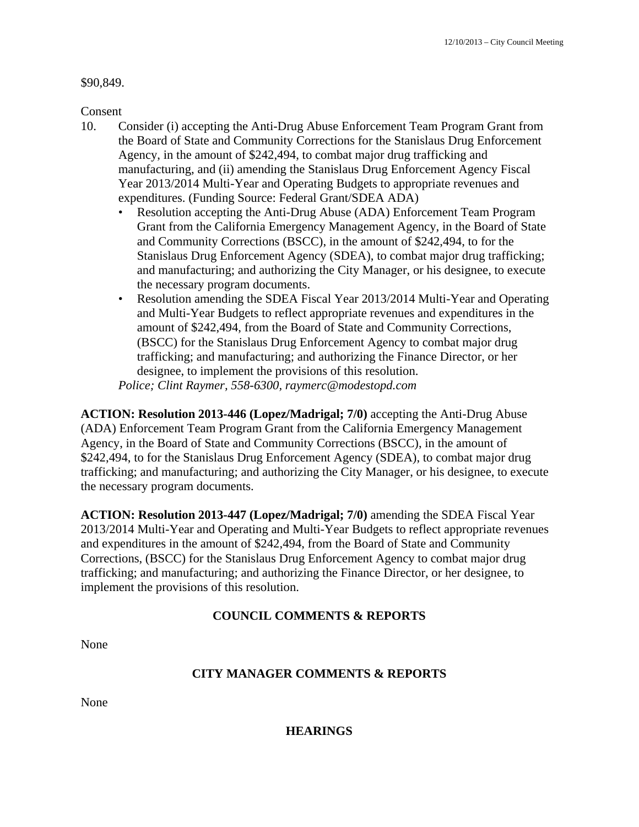#### \$90,849.

#### Consent

- 10. Consider (i) accepting the Anti-Drug Abuse Enforcement Team Program Grant from the Board of State and Community Corrections for the Stanislaus Drug Enforcement Agency, in the amount of \$242,494, to combat major drug trafficking and manufacturing, and (ii) amending the Stanislaus Drug Enforcement Agency Fiscal Year 2013/2014 Multi-Year and Operating Budgets to appropriate revenues and expenditures. (Funding Source: Federal Grant/SDEA ADA)
	- Resolution accepting the Anti-Drug Abuse (ADA) Enforcement Team Program Grant from the California Emergency Management Agency, in the Board of State and Community Corrections (BSCC), in the amount of \$242,494, to for the Stanislaus Drug Enforcement Agency (SDEA), to combat major drug trafficking; and manufacturing; and authorizing the City Manager, or his designee, to execute the necessary program documents.
	- Resolution amending the SDEA Fiscal Year 2013/2014 Multi-Year and Operating and Multi-Year Budgets to reflect appropriate revenues and expenditures in the amount of \$242,494, from the Board of State and Community Corrections, (BSCC) for the Stanislaus Drug Enforcement Agency to combat major drug trafficking; and manufacturing; and authorizing the Finance Director, or her designee, to implement the provisions of this resolution.

*Police; Clint Raymer, 558-6300, raymerc@modestopd.com* 

**ACTION: Resolution 2013-446 (Lopez/Madrigal; 7/0)** accepting the Anti-Drug Abuse (ADA) Enforcement Team Program Grant from the California Emergency Management Agency, in the Board of State and Community Corrections (BSCC), in the amount of \$242,494, to for the Stanislaus Drug Enforcement Agency (SDEA), to combat major drug trafficking; and manufacturing; and authorizing the City Manager, or his designee, to execute the necessary program documents.

**ACTION: Resolution 2013-447 (Lopez/Madrigal; 7/0)** amending the SDEA Fiscal Year 2013/2014 Multi-Year and Operating and Multi-Year Budgets to reflect appropriate revenues and expenditures in the amount of \$242,494, from the Board of State and Community Corrections, (BSCC) for the Stanislaus Drug Enforcement Agency to combat major drug trafficking; and manufacturing; and authorizing the Finance Director, or her designee, to implement the provisions of this resolution.

## **COUNCIL COMMENTS & REPORTS**

None

## **CITY MANAGER COMMENTS & REPORTS**

None

**HEARINGS**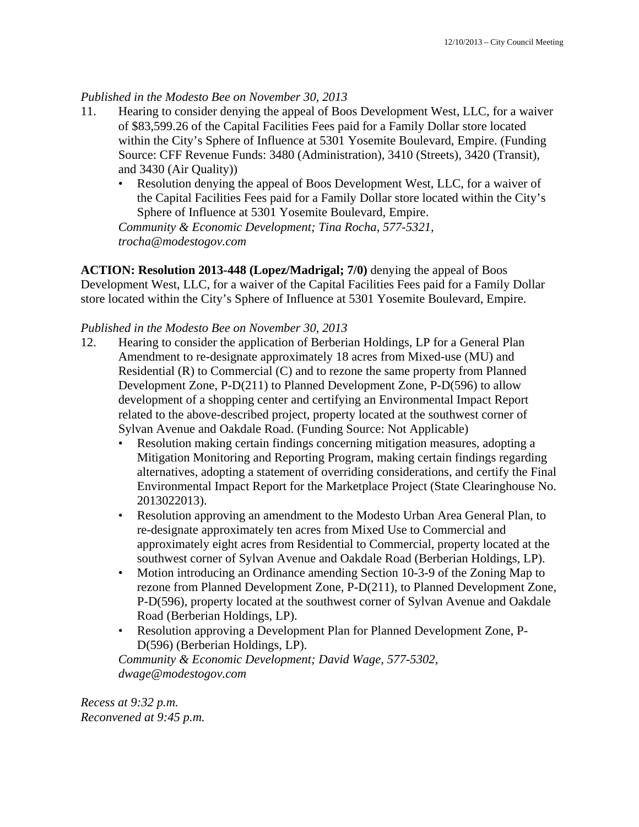## *Published in the Modesto Bee on November 30, 2013*

- 11. Hearing to consider denying the appeal of Boos Development West, LLC, for a waiver of \$83,599.26 of the Capital Facilities Fees paid for a Family Dollar store located within the City's Sphere of Influence at 5301 Yosemite Boulevard, Empire. (Funding Source: CFF Revenue Funds: 3480 (Administration), 3410 (Streets), 3420 (Transit), and 3430 (Air Quality))
	- Resolution denying the appeal of Boos Development West, LLC, for a waiver of the Capital Facilities Fees paid for a Family Dollar store located within the City's Sphere of Influence at 5301 Yosemite Boulevard, Empire.

*Community & Economic Development; Tina Rocha, 577-5321, trocha@modestogov.com* 

**ACTION: Resolution 2013-448 (Lopez/Madrigal; 7/0)** denying the appeal of Boos Development West, LLC, for a waiver of the Capital Facilities Fees paid for a Family Dollar store located within the City's Sphere of Influence at 5301 Yosemite Boulevard, Empire.

## *Published in the Modesto Bee on November 30, 2013*

- 12. Hearing to consider the application of Berberian Holdings, LP for a General Plan Amendment to re-designate approximately 18 acres from Mixed-use (MU) and Residential (R) to Commercial (C) and to rezone the same property from Planned Development Zone, P-D(211) to Planned Development Zone, P-D(596) to allow development of a shopping center and certifying an Environmental Impact Report related to the above-described project, property located at the southwest corner of Sylvan Avenue and Oakdale Road. (Funding Source: Not Applicable)
	- Resolution making certain findings concerning mitigation measures, adopting a Mitigation Monitoring and Reporting Program, making certain findings regarding alternatives, adopting a statement of overriding considerations, and certify the Final Environmental Impact Report for the Marketplace Project (State Clearinghouse No. 2013022013).
	- Resolution approving an amendment to the Modesto Urban Area General Plan, to re-designate approximately ten acres from Mixed Use to Commercial and approximately eight acres from Residential to Commercial, property located at the southwest corner of Sylvan Avenue and Oakdale Road (Berberian Holdings, LP).
	- Motion introducing an Ordinance amending Section 10-3-9 of the Zoning Map to rezone from Planned Development Zone, P-D(211), to Planned Development Zone, P-D(596), property located at the southwest corner of Sylvan Avenue and Oakdale Road (Berberian Holdings, LP).
	- Resolution approving a Development Plan for Planned Development Zone, P-D(596) (Berberian Holdings, LP).

*Community & Economic Development; David Wage, 577-5302, dwage@modestogov.com* 

*Recess at 9:32 p.m. Reconvened at 9:45 p.m.*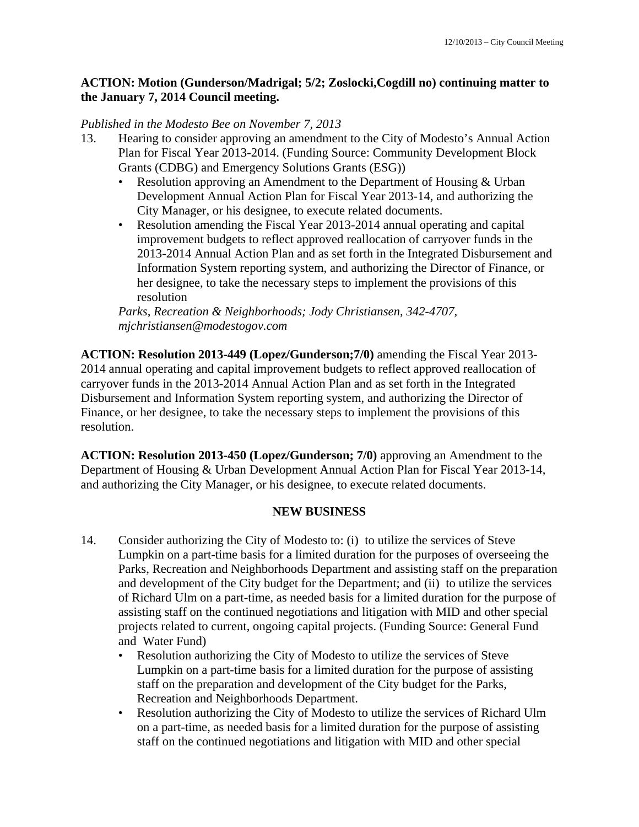## **ACTION: Motion (Gunderson/Madrigal; 5/2; Zoslocki,Cogdill no) continuing matter to the January 7, 2014 Council meeting.**

## *Published in the Modesto Bee on November 7, 2013*

- 13. Hearing to consider approving an amendment to the City of Modesto's Annual Action Plan for Fiscal Year 2013-2014. (Funding Source: Community Development Block Grants (CDBG) and Emergency Solutions Grants (ESG))
	- Resolution approving an Amendment to the Department of Housing & Urban Development Annual Action Plan for Fiscal Year 2013-14, and authorizing the City Manager, or his designee, to execute related documents.
	- Resolution amending the Fiscal Year 2013-2014 annual operating and capital improvement budgets to reflect approved reallocation of carryover funds in the 2013-2014 Annual Action Plan and as set forth in the Integrated Disbursement and Information System reporting system, and authorizing the Director of Finance, or her designee, to take the necessary steps to implement the provisions of this resolution

*Parks, Recreation & Neighborhoods; Jody Christiansen, 342-4707, mjchristiansen@modestogov.com* 

**ACTION: Resolution 2013-449 (Lopez/Gunderson;7/0)** amending the Fiscal Year 2013- 2014 annual operating and capital improvement budgets to reflect approved reallocation of carryover funds in the 2013-2014 Annual Action Plan and as set forth in the Integrated Disbursement and Information System reporting system, and authorizing the Director of Finance, or her designee, to take the necessary steps to implement the provisions of this resolution.

**ACTION: Resolution 2013-450 (Lopez/Gunderson; 7/0)** approving an Amendment to the Department of Housing & Urban Development Annual Action Plan for Fiscal Year 2013-14, and authorizing the City Manager, or his designee, to execute related documents.

## **NEW BUSINESS**

- 14. Consider authorizing the City of Modesto to: (i) to utilize the services of Steve Lumpkin on a part-time basis for a limited duration for the purposes of overseeing the Parks, Recreation and Neighborhoods Department and assisting staff on the preparation and development of the City budget for the Department; and (ii) to utilize the services of Richard Ulm on a part-time, as needed basis for a limited duration for the purpose of assisting staff on the continued negotiations and litigation with MID and other special projects related to current, ongoing capital projects. (Funding Source: General Fund and Water Fund)
	- Resolution authorizing the City of Modesto to utilize the services of Steve Lumpkin on a part-time basis for a limited duration for the purpose of assisting staff on the preparation and development of the City budget for the Parks, Recreation and Neighborhoods Department.
	- Resolution authorizing the City of Modesto to utilize the services of Richard Ulm on a part-time, as needed basis for a limited duration for the purpose of assisting staff on the continued negotiations and litigation with MID and other special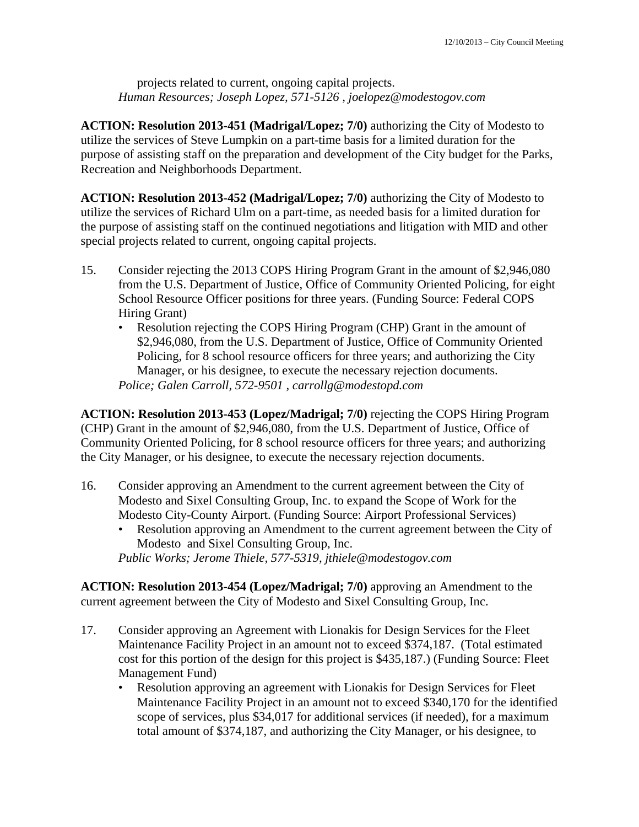projects related to current, ongoing capital projects. *Human Resources; Joseph Lopez, 571-5126 , joelopez@modestogov.com* 

**ACTION: Resolution 2013-451 (Madrigal/Lopez; 7/0)** authorizing the City of Modesto to utilize the services of Steve Lumpkin on a part-time basis for a limited duration for the purpose of assisting staff on the preparation and development of the City budget for the Parks, Recreation and Neighborhoods Department.

**ACTION: Resolution 2013-452 (Madrigal/Lopez; 7/0)** authorizing the City of Modesto to utilize the services of Richard Ulm on a part-time, as needed basis for a limited duration for the purpose of assisting staff on the continued negotiations and litigation with MID and other special projects related to current, ongoing capital projects.

- 15. Consider rejecting the 2013 COPS Hiring Program Grant in the amount of \$2,946,080 from the U.S. Department of Justice, Office of Community Oriented Policing, for eight School Resource Officer positions for three years. (Funding Source: Federal COPS Hiring Grant)
	- Resolution rejecting the COPS Hiring Program (CHP) Grant in the amount of \$2,946,080, from the U.S. Department of Justice, Office of Community Oriented Policing, for 8 school resource officers for three years; and authorizing the City Manager, or his designee, to execute the necessary rejection documents. *Police; Galen Carroll, 572-9501 , carrollg@modestopd.com*

**ACTION: Resolution 2013-453 (Lopez/Madrigal; 7/0)** rejecting the COPS Hiring Program (CHP) Grant in the amount of \$2,946,080, from the U.S. Department of Justice, Office of Community Oriented Policing, for 8 school resource officers for three years; and authorizing the City Manager, or his designee, to execute the necessary rejection documents.

- 16. Consider approving an Amendment to the current agreement between the City of Modesto and Sixel Consulting Group, Inc. to expand the Scope of Work for the Modesto City-County Airport. (Funding Source: Airport Professional Services)
	- Resolution approving an Amendment to the current agreement between the City of Modesto and Sixel Consulting Group, Inc. *Public Works; Jerome Thiele, 577-5319, jthiele@modestogov.com*

**ACTION: Resolution 2013-454 (Lopez/Madrigal; 7/0)** approving an Amendment to the current agreement between the City of Modesto and Sixel Consulting Group, Inc.

- 17. Consider approving an Agreement with Lionakis for Design Services for the Fleet Maintenance Facility Project in an amount not to exceed \$374,187. (Total estimated cost for this portion of the design for this project is \$435,187.) (Funding Source: Fleet Management Fund)
	- Resolution approving an agreement with Lionakis for Design Services for Fleet Maintenance Facility Project in an amount not to exceed \$340,170 for the identified scope of services, plus \$34,017 for additional services (if needed), for a maximum total amount of \$374,187, and authorizing the City Manager, or his designee, to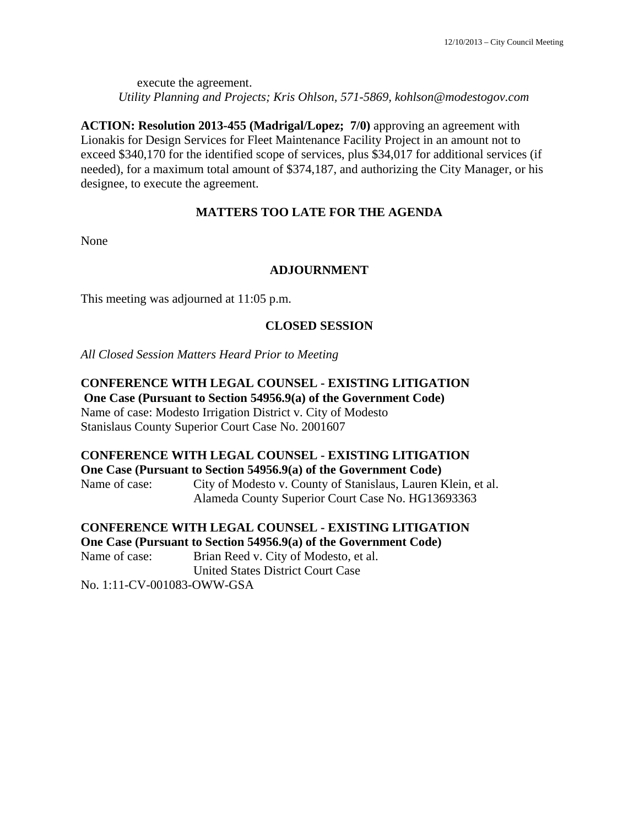execute the agreement. *Utility Planning and Projects; Kris Ohlson, 571-5869, kohlson@modestogov.com* 

**ACTION: Resolution 2013-455 (Madrigal/Lopez; 7/0)** approving an agreement with Lionakis for Design Services for Fleet Maintenance Facility Project in an amount not to exceed \$340,170 for the identified scope of services, plus \$34,017 for additional services (if needed), for a maximum total amount of \$374,187, and authorizing the City Manager, or his designee, to execute the agreement.

## **MATTERS TOO LATE FOR THE AGENDA**

None

#### **ADJOURNMENT**

This meeting was adjourned at 11:05 p.m.

#### **CLOSED SESSION**

*All Closed Session Matters Heard Prior to Meeting*

# **CONFERENCE WITH LEGAL COUNSEL - EXISTING LITIGATION One Case (Pursuant to Section 54956.9(a) of the Government Code)**

Name of case: Modesto Irrigation District v. City of Modesto Stanislaus County Superior Court Case No. 2001607

#### **CONFERENCE WITH LEGAL COUNSEL - EXISTING LITIGATION One Case (Pursuant to Section 54956.9(a) of the Government Code)**

Name of case: City of Modesto v. County of Stanislaus, Lauren Klein, et al. Alameda County Superior Court Case No. HG13693363

# **CONFERENCE WITH LEGAL COUNSEL - EXISTING LITIGATION**

**One Case (Pursuant to Section 54956.9(a) of the Government Code)**  Name of case: Brian Reed v. City of Modesto, et al. United States District Court Case

No. 1:11-CV-001083-OWW-GSA